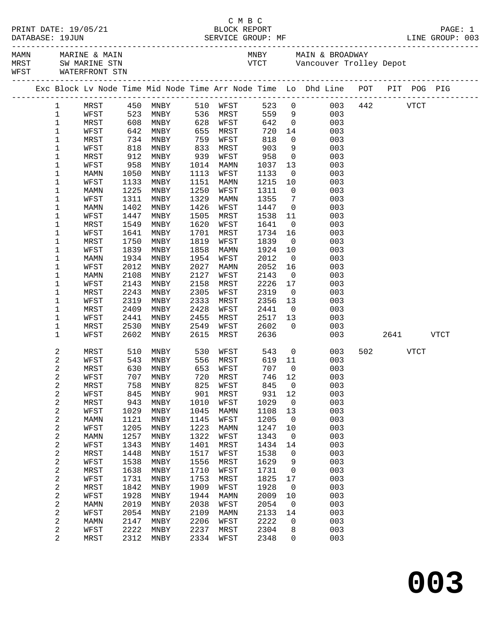|                              |              |              |                                    |              |              |               |                      | C M B C<br>PRINT DATE: 19/05/21 BLOCK REPORT<br>DATABASE: 19JUN SERVICE GROUP: MF LINE GROUP: 003 |            |             |             |
|------------------------------|--------------|--------------|------------------------------------|--------------|--------------|---------------|----------------------|---------------------------------------------------------------------------------------------------|------------|-------------|-------------|
|                              |              |              |                                    |              |              |               |                      |                                                                                                   |            |             |             |
|                              |              |              |                                    |              |              |               |                      |                                                                                                   |            |             |             |
|                              |              |              |                                    |              |              |               |                      | Exc Block Lv Node Time Mid Node Time Arr Node Time Lo Dhd Line POT PIT POG PIG                    |            |             |             |
| $\mathbf{1}$                 |              |              | MRST 450 MNBY                      |              | 510 WFST     |               |                      | 523 0<br>003                                                                                      | $442$ VTCT |             |             |
| $\mathbf{1}$                 | WFST         |              | 523 MNBY                           |              | 536 MRST     |               |                      | 559 9<br>003                                                                                      |            |             |             |
| $\mathbf 1$                  | MRST         | 608          | MNBY                               | 628          | WFST         | 642           |                      | $\overline{0}$<br>003                                                                             |            |             |             |
| $\mathbf 1$                  | WFST         |              | צפו איז ג' INBY<br>איז 542<br>א ג' | 655          | MRST         | 720<br>818    | 14                   | 003                                                                                               |            |             |             |
| $\mathbf 1$                  | MRST         | 818          |                                    | 759<br>833   | WFST         | 903           | $\overline{0}$       | 003                                                                                               |            |             |             |
| 1<br>$\mathbf 1$             | WFST<br>MRST | 912          | MNBY<br>MNBY                       | 939          | MRST<br>WFST | 958           | 9<br>$\overline{0}$  | 003<br>003                                                                                        |            |             |             |
| 1                            | WFST         | 958          | MNBY                               | 1014         | MAMN         | 1037          | 13                   | 003                                                                                               |            |             |             |
| $\mathbf 1$                  | MAMN         | 1050         | MNBY                               | 1113         | WFST         | 1133          | $\overline{0}$       | 003                                                                                               |            |             |             |
| 1                            | WFST         | 1133         | MNBY                               | 1151         | MAMN         | 1215          | 10                   | 003                                                                                               |            |             |             |
| $\mathbf 1$                  | MAMN         | 1225         | MNBY                               | 1250         | WFST         | 1311          | $\overline{0}$       | 003                                                                                               |            |             |             |
| 1                            | WFST         | 1311         | MNBY                               | 1329         | MAMN         | 1355          | $\overline{7}$       | 003                                                                                               |            |             |             |
| 1                            | MAMN         | 1402         | MNBY                               | 1426         | WFST         | 1447          | $\overline{0}$       | 003                                                                                               |            |             |             |
| $\mathbf 1$                  | WFST         | 1447         | MNBY                               | 1505         | MRST         | 1538          | 11                   | 003                                                                                               |            |             |             |
| $\mathbf 1$                  | MRST         | 1549         | MNBY                               | 1620         | WFST         | 1641          | $\overline{0}$       | 003                                                                                               |            |             |             |
| 1                            | WFST         | 1641         | MNBY                               | 1701         | MRST<br>WFST | 1734          | 16                   | 003                                                                                               |            |             |             |
| $\mathbf 1$<br>$\mathbf 1$   | MRST<br>WFST | 1750<br>1839 | MNBY<br>MNBY                       | 1819<br>1858 | MAMN         | 1839<br>1924  | $\overline{0}$<br>10 | 003<br>003                                                                                        |            |             |             |
| 1                            | MAMN         | 1934         | MNBY                               | 1954         | WFST         | 2012          | $\overline{0}$       | 003                                                                                               |            |             |             |
| 1                            | WFST         | 2012         | MNBY                               | 2027         | MAMN         | 2052          | 16                   | 003                                                                                               |            |             |             |
| 1                            | MAMN         | 2108         | MNBY                               | 2127         | WFST         | 2143          | $\overline{0}$       | 003                                                                                               |            |             |             |
| 1                            | WFST         | 2143         | MNBY                               | 2158         | MRST         | 2226          | 17                   | 003                                                                                               |            |             |             |
| $\mathbf 1$                  | MRST         | 2243         | MNBY                               | 2305         | WFST         | 2319          | $\overline{0}$       | 003                                                                                               |            |             |             |
| $\mathbf 1$                  | WFST         | 2319         | MNBY                               | 2333         | MRST         | 2356          | 13                   | 003                                                                                               |            |             |             |
| $\mathbf 1$                  | MRST         | 2409         | MNBY                               | 2428         | WFST         | 2441          | $\overline{0}$       | 003                                                                                               |            |             |             |
| $\mathbf 1$                  | WFST         | 2441         | MNBY                               | 2455         | MRST         | 2517          | 13                   | 003                                                                                               |            |             |             |
| $\mathbf 1$<br>$\mathbf 1$   | MRST<br>WFST | 2530<br>2602 | MNBY<br>MNBY                       | 2549<br>2615 | WFST<br>MRST | 2602<br>2636  | $\overline{0}$       | 003<br>003                                                                                        | 2641       |             | <b>VTCT</b> |
|                              |              |              |                                    |              |              |               |                      |                                                                                                   |            |             |             |
| 2                            | MRST         | 510          | <b>MNBY</b>                        | 530          | WFST         | 543           |                      | $\overline{0}$<br>003                                                                             | 502 30     | <b>VTCT</b> |             |
| 2                            | WFST         |              | 543 MNBY                           |              | 556 MRST     | 619 11        |                      | 003                                                                                               |            |             |             |
| 2                            | MRST         |              | 630 MNBY<br>707 MNBY 720 MRST      |              | 653 WFST     | 707<br>746 12 | $\overline{0}$       | 003<br>003                                                                                        |            |             |             |
| 2<br>2                       | WFST<br>MRST | 758          | MNBY                               | 825          | WFST         | 845           | 0                    | 003                                                                                               |            |             |             |
| 2                            | WFST         | 845          | MNBY                               | 901          | MRST         | 931           | 12                   | 003                                                                                               |            |             |             |
| 2                            | MRST         | 943          | MNBY                               | 1010         | WFST         | 1029          | 0                    | 003                                                                                               |            |             |             |
| $\overline{\mathbf{c}}$      | WFST         | 1029         | MNBY                               | 1045         | MAMN         | 1108          | 13                   | 003                                                                                               |            |             |             |
| $\overline{\mathbf{c}}$      | MAMN         | 1121         | MNBY                               | 1145         | WFST         | 1205          | 0                    | 003                                                                                               |            |             |             |
| 2                            | WFST         | 1205         | MNBY                               | 1223         | MAMN         | 1247          | 10                   | 003                                                                                               |            |             |             |
| 2                            | MAMN         | 1257         | MNBY                               | 1322         | WFST         | 1343          | 0                    | 003                                                                                               |            |             |             |
| $\overline{\mathbf{c}}$      | WFST         | 1343         | $\texttt{MNBY}$                    | 1401         | MRST         | 1434          | 14                   | 003                                                                                               |            |             |             |
| $\overline{\mathbf{c}}$      | MRST         | 1448         | MNBY                               | 1517         | WFST         | 1538          | 0                    | 003                                                                                               |            |             |             |
| $\overline{\mathbf{c}}$<br>2 | WFST<br>MRST | 1538<br>1638 | MNBY<br>MNBY                       | 1556<br>1710 | MRST<br>WFST | 1629<br>1731  | 9<br>0               | 003<br>003                                                                                        |            |             |             |
| $\overline{\mathbf{c}}$      | WFST         | 1731         | MNBY                               | 1753         | MRST         | 1825          | 17                   | 003                                                                                               |            |             |             |
| $\overline{\mathbf{c}}$      | MRST         | 1842         | MNBY                               | 1909         | WFST         | 1928          | 0                    | 003                                                                                               |            |             |             |
| $\overline{\mathbf{c}}$      | WFST         | 1928         | MNBY                               | 1944         | MAMN         | 2009          | 10                   | 003                                                                                               |            |             |             |
| 2                            | <b>MAMN</b>  | 2019         | MNBY                               | 2038         | WFST         | 2054          | 0                    | 003                                                                                               |            |             |             |
| $\overline{\mathbf{c}}$      | WFST         | 2054         | MNBY                               | 2109         | MAMN         | 2133          | 14                   | 003                                                                                               |            |             |             |
| $\overline{\mathbf{c}}$      | MAMN         | 2147         | MNBY                               | 2206         | WFST         | 2222          | 0                    | 003                                                                                               |            |             |             |
| 2                            | WFST         | 2222         | MNBY                               | 2237         | MRST         | 2304          | 8                    | 003                                                                                               |            |             |             |
| 2                            | MRST         | 2312         | MNBY                               | 2334         | WFST         | 2348          | 0                    | 003                                                                                               |            |             |             |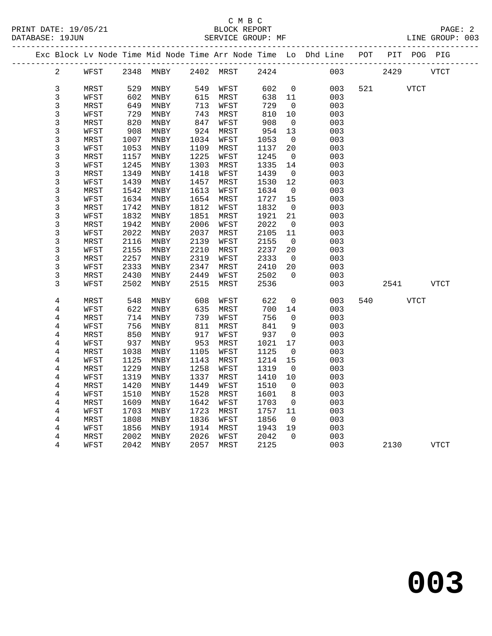|  |                         |      |              | Exc Block Lv Node Time Mid Node Time Arr Node Time Lo Dhd Line POT |              |      |              |                |            |        | PIT  | POG PIG     |             |
|--|-------------------------|------|--------------|--------------------------------------------------------------------|--------------|------|--------------|----------------|------------|--------|------|-------------|-------------|
|  | $\overline{2}$          | WFST |              | 2348 MNBY                                                          | 2402 MRST    |      | 2424         |                | 003        |        | 2429 |             | <b>VTCT</b> |
|  | 3                       | MRST | 529          | MNBY                                                               | 549          | WFST | 602          | $\overline{0}$ | 003        | 521 72 |      | <b>VTCT</b> |             |
|  | 3                       | WFST | 602          | MNBY                                                               | 615          | MRST | 638          | 11             | 003        |        |      |             |             |
|  | $\mathfrak{Z}$          | MRST | 649          | MNBY                                                               | 713          | WFST | 729          | $\overline{0}$ | 003        |        |      |             |             |
|  | 3                       | WFST | 729          | MNBY                                                               | 743          | MRST | 810          | 10             | 003        |        |      |             |             |
|  | 3                       | MRST | 820          | $\operatorname{\mathsf{MNBY}}$                                     | 847          | WFST | 908          | $\overline{0}$ | 003        |        |      |             |             |
|  | 3                       | WFST | 908          | MNBY                                                               | 924          | MRST | 954          | 13             | 003        |        |      |             |             |
|  | 3                       | MRST | 1007         | MNBY                                                               | 1034         | WFST | 1053         | $\overline{0}$ | 003        |        |      |             |             |
|  | 3                       | WFST | 1053         | MNBY                                                               | 1109         | MRST | 1137         | 20             | 003        |        |      |             |             |
|  | 3                       | MRST | 1157         | MNBY                                                               | 1225         | WFST | 1245         | $\overline{0}$ | 003        |        |      |             |             |
|  | 3                       | WFST | 1245         | MNBY                                                               | 1303         | MRST | 1335         | 14             | 003        |        |      |             |             |
|  | 3                       | MRST | 1349         | MNBY                                                               | 1418         | WFST | 1439         | $\overline{0}$ | 003        |        |      |             |             |
|  | $\mathsf{3}$            | WFST | 1439         | MNBY                                                               | 1457         | MRST | 1530         | 12             | 003        |        |      |             |             |
|  | 3                       | MRST | 1542         | MNBY                                                               | 1613         | WFST | 1634         | $\overline{0}$ | 003        |        |      |             |             |
|  | 3                       | WFST | 1634         | MNBY                                                               | 1654         | MRST | 1727         | 15             | 003        |        |      |             |             |
|  | 3                       | MRST | 1742         | MNBY                                                               | 1812         | WFST | 1832         | 0              | 003        |        |      |             |             |
|  | $\mathsf{3}$            | WFST | 1832         | MNBY                                                               | 1851         | MRST | 1921         | 21             | 003        |        |      |             |             |
|  | 3                       | MRST | 1942         | MNBY                                                               | 2006         | WFST | 2022         | $\mathbf 0$    | 003        |        |      |             |             |
|  | 3                       | WFST | 2022         | MNBY                                                               | 2037         | MRST | 2105         | 11             | 003        |        |      |             |             |
|  | $\mathsf{3}$            | MRST | 2116         | MNBY                                                               | 2139         | WFST | 2155         | $\overline{0}$ | 003        |        |      |             |             |
|  | $\mathsf{3}$            | WFST | 2155         | MNBY                                                               | 2210         | MRST | 2237         | 20             | 003        |        |      |             |             |
|  | 3                       | MRST | 2257         | MNBY                                                               | 2319         | WFST | 2333         | $\overline{0}$ | 003        |        |      |             |             |
|  | 3                       | WFST | 2333         | MNBY                                                               | 2347         | MRST | 2410         | 20             | 003        |        |      |             |             |
|  | $\mathsf{3}$            | MRST | 2430         | MNBY                                                               | 2449         | WFST | 2502         | $\mathbf 0$    | 003        |        |      |             |             |
|  | 3                       | WFST | 2502         | MNBY                                                               | 2515         | MRST | 2536         |                | 003        |        | 2541 |             | <b>VTCT</b> |
|  | $\overline{4}$          | MRST | 548          | MNBY                                                               | 608          | WFST | 622          | 0              | 003        | 540    |      | VTCT        |             |
|  | 4                       | WFST | 622          | MNBY                                                               | 635          | MRST | 700          | 14             | 003        |        |      |             |             |
|  | 4                       | MRST | 714          | MNBY                                                               | 739          | WFST | 756          | $\mathbf 0$    | 003        |        |      |             |             |
|  | 4                       | WFST | 756          | MNBY                                                               | 811          | MRST | 841          | 9              | 003        |        |      |             |             |
|  | 4                       | MRST | 850          | MNBY                                                               | 917          | WFST | 937          | 0              | 003        |        |      |             |             |
|  | 4                       | WFST | 937          | MNBY                                                               | 953          | MRST | 1021         | 17             | 003        |        |      |             |             |
|  | $\bf 4$                 | MRST | 1038         | MNBY                                                               | 1105         | WFST | 1125         | 0              | 003        |        |      |             |             |
|  | 4                       | WFST | 1125         | MNBY                                                               | 1143         | MRST | 1214         | 15             | 003        |        |      |             |             |
|  | $\overline{\mathbf{4}}$ | MRST | 1229         | MNBY                                                               | 1258         | WFST | 1319         | $\overline{0}$ | 003        |        |      |             |             |
|  | 4                       | WFST | 1319         | MNBY                                                               | 1337         | MRST | 1410         | 10             | 003        |        |      |             |             |
|  | $\overline{\mathbf{4}}$ | MRST | 1420         | MNBY                                                               | 1449         | WFST | 1510         | $\mathsf{O}$   | 003        |        |      |             |             |
|  | 4                       | WFST | 1510         | MNBY                                                               | 1528         | MRST | 1601         | 8              | 003        |        |      |             |             |
|  | 4                       | MRST | 1609         | MNBY                                                               | 1642         | WFST | 1703         | $\overline{0}$ | 003        |        |      |             |             |
|  | $\,4$                   | WFST | 1703         | MNBY                                                               | 1723         | MRST | 1757         | 11             | 003        |        |      |             |             |
|  | 4                       | MRST | 1808         | MNBY                                                               | 1836         | WFST | 1856         | $\overline{0}$ | 003        |        |      |             |             |
|  | 4                       | WFST | 1856<br>2002 | MNBY                                                               | 1914<br>2026 | MRST | 1943<br>2042 | 19<br>$\Omega$ | 003<br>003 |        |      |             |             |
|  | 4                       | MRST |              | MNBY                                                               |              | WFST |              |                |            |        |      |             |             |
|  | 4                       | WFST | 2042         | MNBY                                                               | 2057         | MRST | 2125         |                | 003        |        | 2130 |             | <b>VTCT</b> |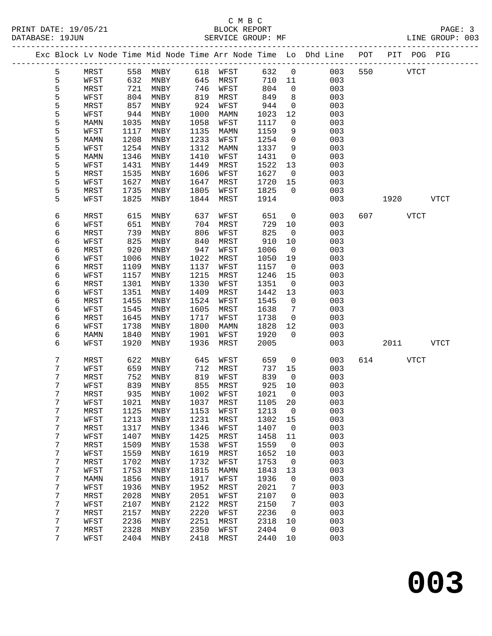|   |             |      |                              |      |      |         |                | Exc Block Lv Node Time Mid Node Time Arr Node Time Lo Dhd Line POT |     |      | PIT POG PIG |      |
|---|-------------|------|------------------------------|------|------|---------|----------------|--------------------------------------------------------------------|-----|------|-------------|------|
| 5 | MRST        | 558  | MNBY                         | 618  | WFST | 632     | $\mathsf{O}$   | 003                                                                | 550 |      | <b>VTCT</b> |      |
| 5 | WFST        | 632  | MNBY                         | 645  | MRST | 710     | 11             | 003                                                                |     |      |             |      |
| 5 | MRST        | 721  | MNBY                         | 746  | WFST | 804     | $\mathsf{O}$   | 003                                                                |     |      |             |      |
| 5 | WFST        | 804  | MNBY                         | 819  | MRST | 849     | 8              | 003                                                                |     |      |             |      |
| 5 | MRST        | 857  | MNBY                         | 924  | WFST | 944     | $\mathsf{O}$   | 003                                                                |     |      |             |      |
| 5 | WFST        | 944  | MNBY                         | 1000 | MAMN | 1023    | 12             | 003                                                                |     |      |             |      |
| 5 | MAMN        | 1035 | MNBY                         | 1058 | WFST | 1117    | $\mathbf 0$    | 003                                                                |     |      |             |      |
| 5 | WFST        | 1117 | MNBY                         | 1135 | MAMN | 1159    | 9              | 003                                                                |     |      |             |      |
| 5 | <b>MAMN</b> | 1208 | MNBY                         | 1233 | WFST | 1254    | $\mathsf{O}$   | 003                                                                |     |      |             |      |
| 5 | WFST        | 1254 | MNBY                         | 1312 | MAMN | 1337    | 9              | 003                                                                |     |      |             |      |
| 5 | MAMN        | 1346 | MNBY                         | 1410 | WFST | 1431    | $\mathbf 0$    | 003                                                                |     |      |             |      |
| 5 | WFST        | 1431 | MNBY                         | 1449 | MRST | 1522    | 13             | 003                                                                |     |      |             |      |
| 5 | MRST        | 1535 | MNBY                         | 1606 | WFST | 1627    | $\mathbf 0$    | 003                                                                |     |      |             |      |
| 5 | WFST        | 1627 | MNBY                         | 1647 | MRST | 1720    | 15             | 003                                                                |     |      |             |      |
| 5 | MRST        | 1735 | MNBY                         | 1805 | WFST | 1825    | $\Omega$       | 003                                                                |     |      |             |      |
| 5 | WFST        | 1825 | MNBY                         | 1844 | MRST | 1914    |                | 003                                                                |     | 1920 |             | VTCT |
|   |             |      |                              |      |      |         |                |                                                                    |     |      |             |      |
| 6 | MRST        | 615  | MNBY                         | 637  | WFST | 651     | 0              | 003                                                                | 607 |      | <b>VTCT</b> |      |
| 6 | WFST        | 651  | MNBY                         | 704  | MRST | 729     | 10             | 003                                                                |     |      |             |      |
| 6 | MRST        | 739  | MNBY                         | 806  | WFST | 825     | $\overline{0}$ | 003                                                                |     |      |             |      |
| 6 | WFST        | 825  | MNBY                         | 840  | MRST | 910     | 10             | 003                                                                |     |      |             |      |
| 6 | MRST        | 920  | MNBY                         | 947  | WFST | 1006    | $\mathbf 0$    | 003                                                                |     |      |             |      |
| 6 | WFST        | 1006 | MNBY                         | 1022 | MRST | 1050    | 19             | 003                                                                |     |      |             |      |
| 6 | <b>MRST</b> | 1109 | MNBY                         | 1137 | WFST | 1157    | $\overline{0}$ | 003                                                                |     |      |             |      |
| 6 | WFST        | 1157 | MNBY                         | 1215 | MRST | 1246    | 15             | 003                                                                |     |      |             |      |
| 6 | MRST        | 1301 | MNBY                         | 1330 | WFST | 1351    | $\mathbf 0$    | 003                                                                |     |      |             |      |
| 6 | WFST        | 1351 | MNBY                         | 1409 | MRST | 1442    | 13             | 003                                                                |     |      |             |      |
| 6 | MRST        | 1455 | MNBY                         | 1524 | WFST | 1545    | $\mathsf{O}$   | 003                                                                |     |      |             |      |
| 6 | WFST        | 1545 | MNBY                         | 1605 | MRST | 1638    | 7              | 003                                                                |     |      |             |      |
| 6 | MRST        | 1645 | MNBY                         | 1717 | WFST | 1738    | $\mathsf{O}$   | 003                                                                |     |      |             |      |
| 6 | WFST        | 1738 | MNBY                         | 1800 | MAMN | 1828    | 12             | 003                                                                |     |      |             |      |
| 6 | MAMN        | 1840 | MNBY                         | 1901 | WFST | 1920    | $\mathbf 0$    | 003                                                                |     |      |             |      |
| 6 | WFST        | 1920 | MNBY                         | 1936 | MRST | 2005    |                | 003                                                                |     | 2011 |             | VTCT |
|   |             |      |                              |      |      |         |                |                                                                    |     |      |             |      |
| 7 | MRST        | 622  | MNBY                         | 645  | WFST | 659     | 0              | 003                                                                | 614 |      | <b>VTCT</b> |      |
| 7 | WFST        | 659  | MNBY                         | 712  | MRST | 737     | 15             | 003                                                                |     |      |             |      |
| 7 | MRST        | 752  | MNBY                         | 819  | WFST | 839     | $\mathbf 0$    | 003                                                                |     |      |             |      |
| 7 | WFST        | 839  | MNBY                         | 855  | MRST | 925     | 10             | 003                                                                |     |      |             |      |
| 7 | MRST        | 935  | MNBY                         | 1002 | WFST | 1021    | $\Omega$       | 003                                                                |     |      |             |      |
| 7 | WFST        | 1021 | $\ensuremath{\mathsf{MNBY}}$ | 1037 | MRST | 1105 20 |                | 003                                                                |     |      |             |      |
| 7 | MRST        | 1125 | MNBY                         | 1153 | WFST | 1213    | 0              | 003                                                                |     |      |             |      |
| 7 | WFST        | 1213 | MNBY                         | 1231 | MRST | 1302    | 15             | 003                                                                |     |      |             |      |
| 7 | MRST        | 1317 | MNBY                         | 1346 | WFST | 1407    | 0              | 003                                                                |     |      |             |      |
| 7 | WFST        | 1407 | MNBY                         | 1425 | MRST | 1458    | 11             | 003                                                                |     |      |             |      |
| 7 | MRST        | 1509 | MNBY                         | 1538 | WFST | 1559    | 0              | 003                                                                |     |      |             |      |
| 7 | WFST        | 1559 | MNBY                         | 1619 | MRST | 1652    | 10             | 003                                                                |     |      |             |      |
| 7 | MRST        | 1702 | MNBY                         | 1732 | WFST | 1753    | 0              | 003                                                                |     |      |             |      |
| 7 | WFST        | 1753 | MNBY                         | 1815 | MAMN | 1843    | 13             | 003                                                                |     |      |             |      |
| 7 | MAMN        | 1856 | MNBY                         | 1917 | WFST | 1936    | 0              | 003                                                                |     |      |             |      |
| 7 | WFST        | 1936 | MNBY                         | 1952 | MRST | 2021    | 7              | 003                                                                |     |      |             |      |
| 7 | MRST        | 2028 | MNBY                         | 2051 | WFST | 2107    | 0              | 003                                                                |     |      |             |      |
| 7 | WFST        | 2107 | MNBY                         | 2122 | MRST | 2150    | 7              | 003                                                                |     |      |             |      |
| 7 | MRST        | 2157 | MNBY                         | 2220 | WFST | 2236    | 0              | 003                                                                |     |      |             |      |
| 7 | WFST        | 2236 | MNBY                         | 2251 | MRST | 2318    | 10             | 003                                                                |     |      |             |      |
| 7 | MRST        | 2328 | MNBY                         | 2350 | WFST | 2404    | 0              | 003                                                                |     |      |             |      |
| 7 | WFST        | 2404 | MNBY                         | 2418 | MRST | 2440    | 10             | 003                                                                |     |      |             |      |
|   |             |      |                              |      |      |         |                |                                                                    |     |      |             |      |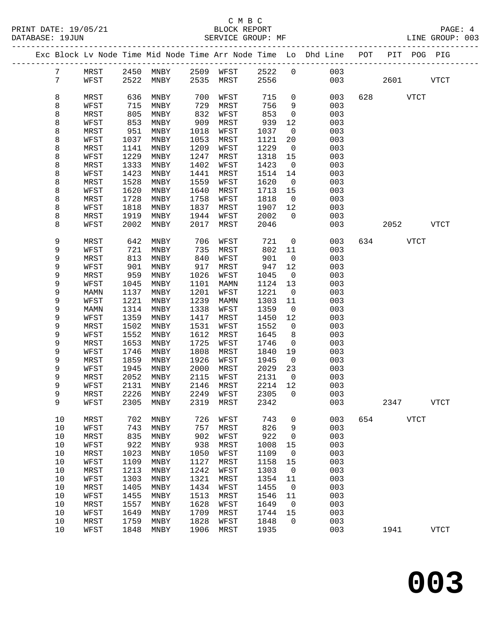#### C M B C<br>BLOCK REPORT SERVICE GROUP: MF

PRINT DATE: 19/05/21 BLOCK REPORT PAGE: 4

|  |                 |              |              |                          |              |              |              |                          | Exc Block Lv Node Time Mid Node Time Arr Node Time Lo Dhd Line POT |     | PIT POG PIG |             |             |  |
|--|-----------------|--------------|--------------|--------------------------|--------------|--------------|--------------|--------------------------|--------------------------------------------------------------------|-----|-------------|-------------|-------------|--|
|  | 7               | MRST         |              | 2450 MNBY 2509 WFST 2522 |              |              |              | $\overline{0}$           | 003                                                                |     |             |             |             |  |
|  | $7\phantom{.0}$ | WFST         | 2522         | MNBY                     |              | 2535 MRST    | 2556         |                          | 003                                                                |     | 2601        |             | <b>VTCT</b> |  |
|  |                 |              |              |                          |              |              |              |                          |                                                                    |     |             |             |             |  |
|  | 8               | MRST         | 636          | MNBY                     | 700          | WFST         | 715          | $\mathsf{O}$             | 003                                                                | 628 | <b>VTCT</b> |             |             |  |
|  | 8               | WFST         | 715          | MNBY                     | 729          | MRST         | 756          | 9                        | 003                                                                |     |             |             |             |  |
|  | 8               | MRST         | 805          | MNBY                     | 832          | WFST         | 853          | $\mathsf{O}$             | 003                                                                |     |             |             |             |  |
|  | 8               | WFST         | 853          | MNBY                     | 909          | MRST         | 939          | 12                       | 003                                                                |     |             |             |             |  |
|  | 8               | MRST         | 951          | MNBY                     | 1018         | WFST         | 1037         | $\overline{\phantom{0}}$ | 003                                                                |     |             |             |             |  |
|  | 8               | WFST         | 1037         | MNBY                     | 1053         | MRST         | 1121         | 20                       | 003                                                                |     |             |             |             |  |
|  | 8               | MRST         | 1141         | MNBY                     | 1209         | WFST         | 1229         | $\overline{0}$           | 003                                                                |     |             |             |             |  |
|  | 8               | WFST         | 1229         | MNBY                     | 1247         | MRST         | 1318         | 15                       | 003                                                                |     |             |             |             |  |
|  | 8               | MRST         | 1333         | MNBY                     | 1402         | WFST         | 1423         | $\overline{\phantom{0}}$ | 003                                                                |     |             |             |             |  |
|  | 8               | WFST         | 1423         | MNBY                     | 1441         | MRST         | 1514         | 14                       | 003                                                                |     |             |             |             |  |
|  | 8               | MRST         | 1528         | MNBY                     | 1559         | WFST         | 1620         | $\overline{0}$           | 003                                                                |     |             |             |             |  |
|  | 8               | WFST         | 1620         | MNBY                     | 1640         | MRST         | 1713         | 15                       | 003                                                                |     |             |             |             |  |
|  | 8               | MRST         | 1728         | MNBY                     | 1758         | WFST         | 1818         | $\overline{0}$           | 003                                                                |     |             |             |             |  |
|  | 8               | WFST         | 1818         | MNBY                     | 1837         | MRST         | 1907         | 12                       | 003                                                                |     |             |             |             |  |
|  | 8               | MRST         | 1919         | MNBY                     | 1944         | WFST         | 2002         | $\overline{0}$           | 003                                                                |     |             |             |             |  |
|  | 8               | WFST         | 2002         | MNBY                     | 2017         | MRST         | 2046         |                          | 003                                                                |     | 2052        |             | VTCT        |  |
|  | 9               | MRST         | 642          | MNBY                     | 706          | WFST         | 721          | $\overline{0}$           | 003                                                                |     | 634 VTCT    |             |             |  |
|  | 9               | WFST         | 721          | MNBY                     | 735          | MRST         | 802          | 11                       | 003                                                                |     |             |             |             |  |
|  | 9               | MRST         | 813          | MNBY                     | 840          | WFST         | 901          | $\overline{0}$           | 003                                                                |     |             |             |             |  |
|  | 9               | WFST         | 901          | MNBY                     | 917          | MRST         | 947          | 12                       | 003                                                                |     |             |             |             |  |
|  | 9               | MRST         | 959          | MNBY                     | 1026         | WFST         | 1045         | $\overline{0}$           | 003                                                                |     |             |             |             |  |
|  | 9               | WFST         | 1045         | MNBY                     | 1101         | MAMN         | 1124         | 13                       | 003                                                                |     |             |             |             |  |
|  | 9               | MAMN         | 1137         | MNBY                     | 1201         | WFST         | 1221         | $\overline{0}$           | 003                                                                |     |             |             |             |  |
|  | 9               | WFST         | 1221         | MNBY                     | 1239         | MAMN         | 1303         | 11                       | 003                                                                |     |             |             |             |  |
|  | 9               | MAMN         | 1314         | MNBY                     | 1338         | WFST         | 1359         | $\overline{0}$           | 003                                                                |     |             |             |             |  |
|  | 9               | WFST         | 1359         | MNBY                     | 1417         | MRST         | 1450         | 12                       | 003                                                                |     |             |             |             |  |
|  | 9               | MRST         | 1502         | MNBY                     | 1531         | WFST         | 1552         | $\overline{0}$           | 003                                                                |     |             |             |             |  |
|  | 9               | WFST         | 1552         | MNBY                     | 1612<br>1725 | MRST         | 1645         | 8                        | 003                                                                |     |             |             |             |  |
|  | 9               | MRST         | 1653<br>1746 | MNBY                     | 1808         | WFST         | 1746         | $\overline{0}$           | 003<br>003                                                         |     |             |             |             |  |
|  | 9<br>9          | WFST         | 1859         | MNBY                     | 1926         | MRST         | 1840         | 19<br>$\overline{0}$     |                                                                    |     |             |             |             |  |
|  | 9               | MRST<br>WFST | 1945         | MNBY<br>MNBY             | 2000         | WFST<br>MRST | 1945<br>2029 | 23                       | 003<br>003                                                         |     |             |             |             |  |
|  | 9               | MRST         | 2052         | MNBY                     | 2115         | WFST         | 2131         | $\overline{\phantom{0}}$ | 003                                                                |     |             |             |             |  |
|  | 9               | WFST         | 2131         | MNBY                     | 2146         | MRST         | 2214         | 12                       | 003                                                                |     |             |             |             |  |
|  | 9               | MRST         | 2226         | MNBY                     | 2249         | WFST         | 2305         | $\overline{0}$           | 003                                                                |     |             |             |             |  |
|  | 9               | WFST         |              | 2305 MNBY                |              | 2319 MRST    | 2342         |                          | 003                                                                |     | 2347        |             | <b>VTCT</b> |  |
|  |                 |              |              |                          |              |              |              |                          |                                                                    |     |             |             |             |  |
|  | 10              | MRST         | 702          | MNBY                     | 726          | WFST         | 743          | 0                        | 003                                                                | 654 |             | <b>VTCT</b> |             |  |
|  | $10$            | WFST         | 743          | MNBY                     | 757          | MRST         | 826          | 9                        | 003                                                                |     |             |             |             |  |
|  | $10$            | MRST         | 835          | MNBY                     | 902          | WFST         | 922          | 0                        | 003                                                                |     |             |             |             |  |
|  | 10              | WFST         | 922          | MNBY                     | 938          | MRST         | 1008         | 15                       | 003                                                                |     |             |             |             |  |
|  | $10$            | MRST         | 1023         | MNBY                     | 1050         | WFST         | 1109         | 0                        | 003                                                                |     |             |             |             |  |
|  | $10$            | WFST         | 1109         | MNBY                     | 1127         | MRST         | 1158         | 15                       | 003                                                                |     |             |             |             |  |
|  | $10$            | MRST         | 1213         | MNBY                     | 1242         | WFST         | 1303         | $\mathbf 0$              | 003                                                                |     |             |             |             |  |
|  | $10$            | WFST         | 1303         | MNBY                     | 1321         | MRST         | 1354         | 11                       | 003                                                                |     |             |             |             |  |
|  | $10$            | MRST         | 1405         | MNBY                     | 1434         | WFST         | 1455         | 0                        | 003                                                                |     |             |             |             |  |
|  | $10$            | WFST         | 1455         | MNBY                     | 1513         | MRST         | 1546         | 11                       | 003                                                                |     |             |             |             |  |
|  | $10$            | MRST         | 1557         | MNBY                     | 1628         | WFST         | 1649         | $\mathbf 0$              | 003                                                                |     |             |             |             |  |
|  | 10              | WFST         | 1649         | MNBY                     | 1709         | MRST         | 1744         | 15                       | 003                                                                |     |             |             |             |  |
|  | 10              | MRST         | 1759         | MNBY                     | 1828         | WFST         | 1848         | $\Omega$                 | 003                                                                |     |             |             |             |  |
|  | 10              | WFST         | 1848         | MNBY                     | 1906         | MRST         | 1935         |                          | 003                                                                |     | 1941        |             | <b>VTCT</b> |  |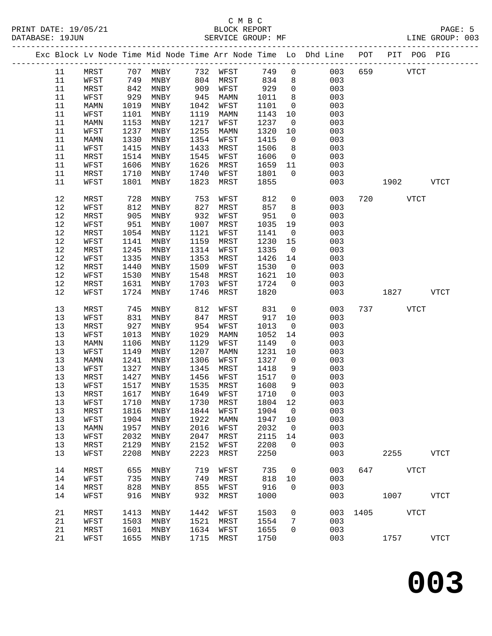|      |      |      |                     |      |      |         |                | Exc Block Lv Node Time Mid Node Time Arr Node Time Lo Dhd Line POT PIT POG PIG |     |                    |             |
|------|------|------|---------------------|------|------|---------|----------------|--------------------------------------------------------------------------------|-----|--------------------|-------------|
| 11   | MRST |      | 707 MNBY 732 WFST   |      |      | 749     | $\mathbf 0$    | 003                                                                            | 659 | <b>VTCT</b>        |             |
| 11   | WFST | 749  | MNBY                | 804  | MRST | 834     | 8              | 003                                                                            |     |                    |             |
| 11   | MRST | 842  | MNBY                | 909  | WFST | 929     | $\mathsf{O}$   | 003                                                                            |     |                    |             |
| 11   | WFST | 929  | MNBY                | 945  | MAMN | 1011    | 8              | 003                                                                            |     |                    |             |
| 11   | MAMN | 1019 | MNBY                | 1042 | WFST | 1101    | $\overline{0}$ | 003                                                                            |     |                    |             |
| 11   | WFST | 1101 | MNBY                | 1119 | MAMN | 1143    | 10             | 003                                                                            |     |                    |             |
| 11   | MAMN | 1153 | MNBY                | 1217 | WFST | 1237    | $\overline{0}$ | 003                                                                            |     |                    |             |
| 11   | WFST | 1237 | MNBY                | 1255 |      | 1320    | 10             | 003                                                                            |     |                    |             |
|      |      |      |                     |      | MAMN |         |                |                                                                                |     |                    |             |
| 11   | MAMN | 1330 | MNBY                | 1354 | WFST | 1415    | $\overline{0}$ | 003                                                                            |     |                    |             |
| 11   | WFST | 1415 | MNBY<br>MNBY        | 1433 | MRST | 1506    | 8              | 003                                                                            |     |                    |             |
| 11   | MRST | 1514 |                     | 1545 | WFST | 1606    | $\overline{0}$ | 003                                                                            |     |                    |             |
| 11   | WFST | 1606 | MNBY                | 1626 | MRST | 1659    | 11             | 003                                                                            |     |                    |             |
| 11   | MRST | 1710 | MNBY                | 1740 | WFST | 1801    | $\overline{0}$ | 003                                                                            |     |                    |             |
| 11   | WFST | 1801 | MNBY                | 1823 | MRST | 1855    |                | 003                                                                            |     | 1902               | <b>VTCT</b> |
| 12   | MRST | 728  | MNBY                | 753  | WFST | 812     | $\mathbf 0$    | 003                                                                            |     | 720<br><b>VTCT</b> |             |
| 12   | WFST | 812  | MNBY                | 827  | MRST | 857     | 8              | 003                                                                            |     |                    |             |
| 12   | MRST | 905  | MNBY                | 932  | WFST | 951     | $\overline{0}$ | 003                                                                            |     |                    |             |
| 12   | WFST | 951  | MNBY                | 1007 | MRST | 1035    | 19             | 003                                                                            |     |                    |             |
| 12   | MRST | 1054 | MNBY                | 1121 | WFST | 1141    | $\overline{0}$ | 003                                                                            |     |                    |             |
| 12   | WFST | 1141 | MNBY                | 1159 | MRST | 1230    | 15             | 003                                                                            |     |                    |             |
| 12   | MRST | 1245 | MNBY                | 1314 | WFST | 1335    | $\overline{0}$ | 003                                                                            |     |                    |             |
| 12   | WFST | 1335 | MNBY                | 1353 | MRST | 1426    | 14             | 003                                                                            |     |                    |             |
| $12$ | MRST | 1440 | MNBY                | 1509 | WFST | 1530    | $\overline{0}$ | 003                                                                            |     |                    |             |
| 12   | WFST | 1530 | MNBY                | 1548 | MRST | 1621    | 10             | 003                                                                            |     |                    |             |
| 12   | MRST | 1631 | MNBY                | 1703 | WFST | 1724    | $\overline{0}$ | 003                                                                            |     |                    |             |
| 12   | WFST | 1724 | MNBY                | 1746 | MRST | 1820    |                | 003                                                                            |     | 1827               | VTCT        |
|      |      |      |                     |      |      |         |                |                                                                                |     |                    |             |
| 13   | MRST | 745  | MNBY                | 812  | WFST | 831     | $\overline{0}$ | 003                                                                            |     | 737 VTCT           |             |
| 13   | WFST | 831  | MNBY                | 847  | MRST | 917     | 10             | 003                                                                            |     |                    |             |
| 13   | MRST | 927  | MNBY                | 954  | WFST | 1013    | $\overline{0}$ | 003                                                                            |     |                    |             |
| 13   | WFST | 1013 | MNBY                | 1029 | MAMN | 1052    | 14             | 003                                                                            |     |                    |             |
| 13   | MAMN | 1106 | MNBY                | 1129 | WFST | 1149    | $\overline{0}$ | 003                                                                            |     |                    |             |
| 13   | WFST | 1149 | MNBY                | 1207 | MAMN | 1231    | 10             | 003                                                                            |     |                    |             |
| 13   | MAMN | 1241 | MNBY                | 1306 | WFST | 1327    | $\overline{0}$ | 003                                                                            |     |                    |             |
| 13   | WFST | 1327 | MNBY                | 1345 | MRST | 1418    | 9              | 003                                                                            |     |                    |             |
| 13   | MRST | 1427 | MNBY                | 1456 | WFST | 1517    | $\mathsf{O}$   | 003                                                                            |     |                    |             |
| 13   | WFST | 1517 | MNBY                | 1535 | MRST | 1608    | 9              | 003                                                                            |     |                    |             |
| 13   | MRST | 1617 | MNBY                | 1649 | WFST | 1710    | $\mathbf 0$    | 003                                                                            |     |                    |             |
| 13   | WFST |      | 1710 MNBY 1730 MRST |      |      | 1804 12 |                | 003                                                                            |     |                    |             |
| 13   | MRST | 1816 | MNBY                | 1844 | WFST | 1904    | $\mathsf{O}$   | 003                                                                            |     |                    |             |
| 13   | WFST | 1904 | MNBY                | 1922 | MAMN | 1947    | 10             | 003                                                                            |     |                    |             |
| 13   | MAMN | 1957 | MNBY                | 2016 | WFST | 2032    | $\overline{0}$ | 003                                                                            |     |                    |             |
| 13   | WFST | 2032 | MNBY                | 2047 | MRST | 2115    | 14             | 003                                                                            |     |                    |             |
| 13   | MRST | 2129 | MNBY                | 2152 | WFST | 2208    | $\Omega$       | 003                                                                            |     |                    |             |
| 13   | WFST | 2208 | MNBY                | 2223 | MRST | 2250    |                | 003                                                                            |     | 2255               | <b>VTCT</b> |
| 14   | MRST | 655  | MNBY                | 719  | WFST | 735     | $\overline{0}$ | 003                                                                            | 647 | <b>VTCT</b>        |             |
| 14   | WFST | 735  | MNBY                | 749  | MRST | 818     | 10             | 003                                                                            |     |                    |             |
| 14   | MRST | 828  | MNBY                | 855  | WFST | 916     | $\Omega$       | 003                                                                            |     |                    |             |
| 14   | WFST | 916  | MNBY                | 932  | MRST | 1000    |                | 003                                                                            |     | 1007               | VTCT        |
|      |      |      |                     |      |      |         |                |                                                                                |     |                    |             |
| 21   | MRST | 1413 | MNBY                | 1442 | WFST | 1503    | $\mathsf{O}$   | 003                                                                            |     | 1405 VTCT          |             |
| 21   | WFST | 1503 | MNBY                | 1521 | MRST | 1554    | 7              | 003                                                                            |     |                    |             |
| 21   | MRST | 1601 | MNBY                | 1634 | WFST | 1655    | $\mathbf 0$    | 003                                                                            |     |                    |             |
| 21   | WFST | 1655 | MNBY                | 1715 | MRST | 1750    |                | 003                                                                            |     | 1757               | <b>VTCT</b> |
|      |      |      |                     |      |      |         |                |                                                                                |     |                    |             |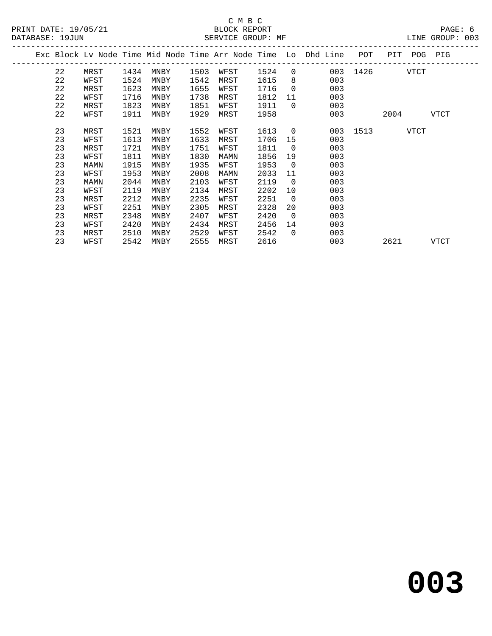|    |      |      |      |      |      |              |                |     | POT |                                                                            | PIG                          |     |
|----|------|------|------|------|------|--------------|----------------|-----|-----|----------------------------------------------------------------------------|------------------------------|-----|
| 22 | MRST | 1434 | MNBY |      | WFST | 1524         | $\overline{0}$ |     |     |                                                                            |                              |     |
| 22 | WFST | 1524 | MNBY | 1542 | MRST | 1615         | 8              | 003 |     |                                                                            |                              |     |
| 22 | MRST | 1623 | MNBY | 1655 | WFST | 1716         | $\overline{0}$ | 003 |     |                                                                            |                              |     |
| 22 | WFST | 1716 | MNBY | 1738 | MRST | 1812         | 11             | 003 |     |                                                                            |                              |     |
| 22 | MRST | 1823 | MNBY | 1851 | WFST | 1911         | $\Omega$       | 003 |     |                                                                            |                              |     |
| 22 | WFST | 1911 | MNBY | 1929 | MRST | 1958         |                | 003 |     | 2004                                                                       | <b>VTCT</b>                  |     |
| 23 | MRST | 1521 | MNBY | 1552 | WFST | 1613         | $\overline{0}$ |     |     |                                                                            |                              |     |
| 23 | WFST | 1613 | MNBY | 1633 | MRST | 1706         | 15             | 003 |     |                                                                            |                              |     |
| 23 | MRST | 1721 | MNBY | 1751 | WFST | 1811         | $\overline{0}$ | 003 |     |                                                                            |                              |     |
| 23 | WFST | 1811 | MNBY | 1830 | MAMN | 1856         | 19             | 003 |     |                                                                            |                              |     |
| 23 | MAMN | 1915 | MNBY | 1935 | WFST | 1953         | $\overline{0}$ | 003 |     |                                                                            |                              |     |
| 23 | WFST | 1953 | MNBY | 2008 | MAMN | 2033         | 11             | 003 |     |                                                                            |                              |     |
| 23 | MAMN | 2044 | MNBY | 2103 | WFST | 2119         | $\overline{0}$ | 003 |     |                                                                            |                              |     |
| 23 | WFST | 2119 | MNBY | 2134 | MRST | 2202         | 10             | 003 |     |                                                                            |                              |     |
| 23 | MRST | 2212 | MNBY | 2235 | WFST | 2251         | $\overline{0}$ | 003 |     |                                                                            |                              |     |
| 23 | WFST | 2251 | MNBY | 2305 | MRST | 2328         | 20             | 003 |     |                                                                            |                              |     |
| 23 | MRST | 2348 | MNBY | 2407 | WFST | 2420         | $\overline{0}$ | 003 |     |                                                                            |                              |     |
| 23 | WFST | 2420 | MNBY | 2434 | MRST | 2456         | 14             | 003 |     |                                                                            |                              |     |
| 23 | MRST | 2510 | MNBY | 2529 | WFST | 2542         | $\Omega$       | 003 |     |                                                                            |                              |     |
| 23 | WFST | 2542 | MNBY |      | MRST | 2616         |                | 003 |     | 2621                                                                       | <b>VTCT</b>                  |     |
|    |      |      |      |      |      | 1503<br>2555 |                |     |     | Exc Block Lv Node Time Mid Node Time Arr Node Time Lo Dhd Line<br>003 1513 | PIT<br>003 1426 VTCT<br>VTCT | POG |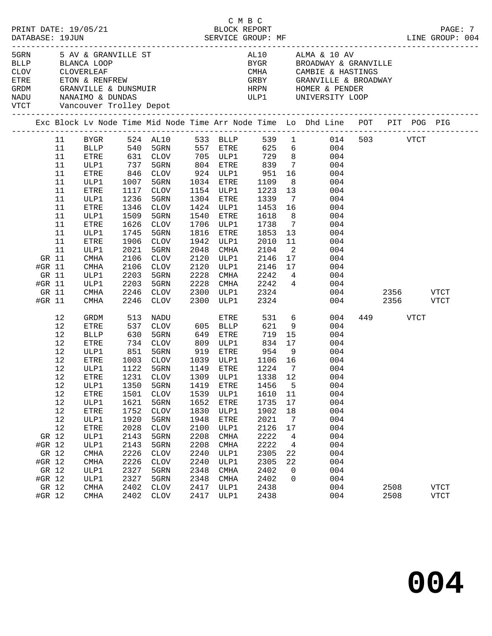| ETRE<br>GRDM<br>NADU<br>VTCT |        | CLOV CLOVERLEAF |             | Vancouver Trolley Depot | SMUTP<br>SMUTP<br>ETON & RENFREW<br>GRANVILLE & DUNSMUIR<br>NANAIMO & DUNDAS                                     |             |             |                        |                            | AL10 ALMA & 10 AV<br>BYGR         BROADWAY & GRANVILLE<br>CMHA CAMBIE & HASTINGS<br>GRBY GRANVILLE & BROADWAY<br>HRPN HOMER & PENDER<br>ULP1 UNIVERSITY LOOP |     |           |           |             |
|------------------------------|--------|-----------------|-------------|-------------------------|------------------------------------------------------------------------------------------------------------------|-------------|-------------|------------------------|----------------------------|--------------------------------------------------------------------------------------------------------------------------------------------------------------|-----|-----------|-----------|-------------|
|                              |        |                 |             |                         |                                                                                                                  |             |             |                        |                            | Exc Block Lv Node Time Mid Node Time Arr Node Time Lo Dhd Line POT PIT POG PIG                                                                               |     |           |           |             |
|                              |        | 11              |             |                         |                                                                                                                  |             |             |                        |                            | BYGR 524 AL10 533 BLLP 539 1 014 503 VTCT                                                                                                                    |     |           |           |             |
|                              |        | 11              |             |                         |                                                                                                                  |             |             |                        |                            | BLLP 540 5GRN 557 ETRE 625 6 004                                                                                                                             |     |           |           |             |
|                              |        | 11              | ETRE        |                         | 631   CLOV           705    ULP1            729       8<br>737    5GRN           804    ETRE          839      7 |             |             |                        |                            | 004                                                                                                                                                          |     |           |           |             |
|                              |        | 11              | ULP1        |                         |                                                                                                                  |             |             |                        |                            | 004                                                                                                                                                          |     |           |           |             |
|                              |        | 11              | ETRE        | 846                     | CLOV                                                                                                             |             |             | 924 ULP1 951           | 16                         | 004                                                                                                                                                          |     |           |           |             |
|                              |        | 11              | ULP1        | 1007                    | 5GRN                                                                                                             |             | 1034 ETRE   | 1109                   | 8 <sup>8</sup>             | 004                                                                                                                                                          |     |           |           |             |
|                              |        | 11              | ETRE        | 1117                    | CLOV                                                                                                             |             | 1154 ULP1   | 1223                   | 13                         | 004                                                                                                                                                          |     |           |           |             |
|                              |        | 11              | ULP1        | 1236                    | 5GRN                                                                                                             |             | 1304 ETRE   | 1339                   | $\overline{7}$             | 004                                                                                                                                                          |     |           |           |             |
|                              |        | 11              | ETRE        | 1346                    | CLOV                                                                                                             |             | 1424 ULP1   | 1453 16                |                            | 004                                                                                                                                                          |     |           |           |             |
|                              |        | 11              | ULP1        | 1509                    | 5GRN                                                                                                             |             | 1540 ETRE   | 1618                   | 8 <sup>8</sup>             | 004                                                                                                                                                          |     |           |           |             |
|                              |        | 11              | ETRE        | 1626                    | CLOV                                                                                                             |             | 1706 ULP1   | 1738                   | $7\phantom{0}$             | 004                                                                                                                                                          |     |           |           |             |
|                              |        | 11              | ULP1        | 1745                    | 5GRN                                                                                                             | 1816        | ETRE        | 1853                   | 13                         | 004                                                                                                                                                          |     |           |           |             |
|                              |        | 11              | ETRE        | 1906                    | CLOV                                                                                                             | 1942        | ULP1        | 2010                   | 11                         | 004                                                                                                                                                          |     |           |           |             |
|                              |        | 11              | ULP1        | 2021                    | 5GRN                                                                                                             | 2048        | CMHA        | 2104                   | $\overline{\phantom{0}}^2$ | 004                                                                                                                                                          |     |           |           |             |
|                              | GR 11  |                 | CMHA        | 2106                    | CLOV                                                                                                             | 2120        | ULP1        | 2146                   | 17                         | 004                                                                                                                                                          |     |           |           |             |
|                              | #GR 11 |                 | CMHA        | 2106                    | CLOV                                                                                                             | 2120        | ULP1        | 2146 17                |                            | 004                                                                                                                                                          |     |           |           |             |
|                              | GR 11  |                 | ULP1        | 2203                    | 5GRN                                                                                                             | 2228        | CMHA        | $2242$ 4               |                            | 004                                                                                                                                                          |     |           |           |             |
|                              | #GR 11 |                 | ULP1        | 2203                    | 5GRN                                                                                                             | 2228        |             | CMHA 2242 4            |                            | 004                                                                                                                                                          |     |           |           |             |
|                              | GR 11  |                 | CMHA        | 2246                    | CLOV                                                                                                             | 2300        | ULP1        | 2324                   |                            |                                                                                                                                                              | 004 |           | 2356 VTCT |             |
|                              | #GR 11 |                 | CMHA        | 2246                    | CLOV                                                                                                             |             | 2300 ULP1   | 2324                   |                            |                                                                                                                                                              | 004 |           | 2356 VTCT |             |
|                              |        | 12              | GRDM        | 513                     | NADU                                                                                                             |             | ETRE        |                        |                            | 531 6<br>004                                                                                                                                                 |     | 449 — 100 | VTCT      |             |
|                              |        | 12              | <b>ETRE</b> | 537                     | CLOV                                                                                                             | 605 BLLP    |             | 621                    | 9                          | 004                                                                                                                                                          |     |           |           |             |
|                              |        | 12              | BLLP        |                         | 630 5GRN<br>734 CLOV                                                                                             | 649         | ETRE        | 719                    | 15                         | 004                                                                                                                                                          |     |           |           |             |
|                              |        | 12              | ETRE        |                         |                                                                                                                  | 809         | ULP1        | 834 17                 |                            | 004                                                                                                                                                          |     |           |           |             |
|                              |        | 12              | ULP1        | 851                     | 5GRN                                                                                                             | 919         |             | ETRE 954               | 9                          | 004                                                                                                                                                          |     |           |           |             |
|                              |        | 12              | ETRE        | 1003                    | CLOV                                                                                                             |             |             | 1039 ULP1 1106 16      |                            | 004                                                                                                                                                          |     |           |           |             |
|                              |        | 12              | ULP1        | 1122<br>1231            | 5GRN                                                                                                             | 1149 ETRE   |             | $\frac{1224}{1338}$ 12 |                            | 004                                                                                                                                                          |     |           |           |             |
|                              |        | 12              | ETRE        |                         | 1231 CLOV                                                                                                        | $1309$ ULP1 |             | 1338 12                |                            | 004                                                                                                                                                          |     |           |           |             |
|                              |        | 12              |             |                         |                                                                                                                  |             |             |                        |                            | ULP1 1350 5GRN 1419 ETRE 1456 5 004                                                                                                                          |     |           |           |             |
|                              |        | 12              | ETRE        | 1501                    | CLOV                                                                                                             | 1539        | ULP1        | 1610                   | 11                         | 004                                                                                                                                                          |     |           |           |             |
|                              |        | 12              | ULP1        | 1621                    | 5GRN                                                                                                             | 1652        | ETRE        | 1735                   | 17                         | 004                                                                                                                                                          |     |           |           |             |
|                              |        | 12              | ETRE        | 1752                    | <b>CLOV</b>                                                                                                      | 1830        | ULP1        | 1902                   | 18                         | 004                                                                                                                                                          |     |           |           |             |
|                              |        | 12              | ULP1        | 1920                    | 5GRN                                                                                                             | 1948        | ETRE        | 2021                   | 7                          | 004                                                                                                                                                          |     |           |           |             |
|                              |        | 12              | ETRE        | 2028                    | <b>CLOV</b>                                                                                                      | 2100        | ULP1        | 2126                   | 17                         | 004                                                                                                                                                          |     |           |           |             |
|                              | GR 12  |                 | ULP1        | 2143                    | 5GRN                                                                                                             | 2208        | CMHA        | 2222                   | 4                          | 004                                                                                                                                                          |     |           |           |             |
|                              | #GR 12 |                 | ULP1        | 2143                    | 5GRN                                                                                                             | 2208        | CMHA        | 2222                   | 4                          | 004                                                                                                                                                          |     |           |           |             |
|                              | GR 12  |                 | <b>CMHA</b> | 2226                    | <b>CLOV</b>                                                                                                      | 2240        | ULP1        | 2305                   | 22                         | 004                                                                                                                                                          |     |           |           |             |
|                              | #GR 12 |                 | <b>CMHA</b> | 2226                    | <b>CLOV</b>                                                                                                      | 2240        | ULP1        | 2305                   | 22                         | 004                                                                                                                                                          |     |           |           |             |
|                              | GR 12  |                 | ULP1        | 2327                    | 5GRN                                                                                                             | 2348        | <b>CMHA</b> | 2402                   | 0                          | 004                                                                                                                                                          |     |           |           |             |
|                              | #GR 12 |                 | ULP1        | 2327                    | 5GRN                                                                                                             | 2348        | <b>CMHA</b> | 2402                   | 0                          | 004                                                                                                                                                          |     |           |           |             |
|                              | GR 12  |                 | <b>CMHA</b> | 2402                    | <b>CLOV</b>                                                                                                      | 2417        | ULP1        | 2438                   |                            | 004                                                                                                                                                          |     | 2508      |           | <b>VTCT</b> |
|                              | #GR 12 |                 | CMHA        | 2402                    | CLOV                                                                                                             | 2417        | ULP1        | 2438                   |                            | 004                                                                                                                                                          |     | 2508      |           | <b>VTCT</b> |
|                              |        |                 |             |                         |                                                                                                                  |             |             |                        |                            |                                                                                                                                                              |     |           |           |             |

C M B C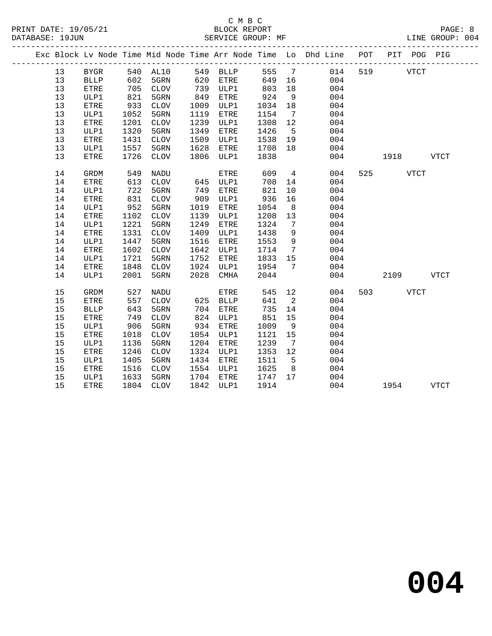### C M B C<br>BLOCK REPORT SERVICE GROUP: MF

|    |             |            |                      |      |                      |                  |                            | Exc Block Lv Node Time Mid Node Time Arr Node Time Lo Dhd Line POT |           | PIT POG PIG |
|----|-------------|------------|----------------------|------|----------------------|------------------|----------------------------|--------------------------------------------------------------------|-----------|-------------|
| 13 | <b>BYGR</b> |            | 540 AL10 549 BLLP    |      |                      |                  |                            | 555 7 014                                                          | 519 VTCT  |             |
| 13 | <b>BLLP</b> |            | 602 5GRN<br>705 CLOV |      | 620 ETRE<br>739 ULP1 | 649 16<br>803 18 |                            | 004                                                                |           |             |
| 13 | ETRE        |            |                      |      |                      | 803              | 18                         | 004                                                                |           |             |
| 13 | ULP1        | 821        | 5GRN                 | 849  | ETRE                 | 924              | 9                          | 004                                                                |           |             |
| 13 | ETRE        | 933        | CLOV                 | 1009 | ULP1                 | 1034             | 18                         | 004                                                                |           |             |
| 13 | ULP1        | 1052       | 5GRN                 | 1119 | ETRE                 | 1154             | $7\overline{ }$            | 004                                                                |           |             |
| 13 | ETRE        | 1201       | CLOV                 | 1239 | ULP1                 | 1308             | 12                         | 004                                                                |           |             |
| 13 | ULP1        | 1320       | 5GRN                 | 1349 | ETRE                 | 1426             | 5 <sup>5</sup>             | 004                                                                |           |             |
| 13 | <b>ETRE</b> | 1431       | CLOV                 | 1509 | ULP1                 | 1538             | 19                         | 004                                                                |           |             |
| 13 | ULP1        | 1557       | 5GRN                 | 1628 | ETRE                 | 1708             | 18                         | 004                                                                |           |             |
| 13 | ETRE        | 1726       | CLOV                 | 1806 | ULP1                 | 1838             |                            | 004                                                                | 1918 VTCT |             |
| 14 | GRDM        | 549<br>613 | NADU                 |      | ETRE<br>645 ULP1     | 609              | $4\overline{4}$            | 004                                                                | 525 VTCT  |             |
| 14 | <b>ETRE</b> |            | CLOV                 |      |                      | 708              | 14                         | 004                                                                |           |             |
| 14 | ULP1        | 722        | 5GRN                 | 749  | ETRE                 | 821              | 10                         | 004                                                                |           |             |
| 14 | <b>ETRE</b> | 831        | CLOV                 | 909  | ULP1                 | 936              | 16                         | 004                                                                |           |             |
| 14 | ULP1        | 952        | 5GRN                 | 1019 | ETRE                 | 1054             | 8 <sup>8</sup>             | 004                                                                |           |             |
| 14 | ETRE        | 1102       | CLOV                 | 1139 | ULP1                 | 1208             | 13                         | 004                                                                |           |             |
| 14 | ULP1        | 1221       | 5GRN                 | 1249 | ETRE                 | 1324             | $\overline{7}$             | 004                                                                |           |             |
| 14 | ETRE        | 1331       | CLOV                 | 1409 | ULP1                 | 1438             | 9                          | 004                                                                |           |             |
| 14 | ULP1        | 1447       | 5GRN                 | 1516 | ETRE                 | 1553             | 9                          | 004                                                                |           |             |
| 14 | ETRE        | 1602       | CLOV                 | 1642 | ULP1                 | 1714             | $7\overline{ }$            | 004                                                                |           |             |
| 14 | ULP1        | 1721       | 5GRN                 | 1752 | ETRE                 | 1833             | 15                         | 004                                                                |           |             |
| 14 | ETRE        | 1848       | CLOV                 |      | 1924 ULP1            | 1954             | $7\phantom{0}$             | 004                                                                |           |             |
| 14 | ULP1        | 2001       | 5GRN                 | 2028 | CMHA                 | 2044             |                            | 004                                                                | 2109      | VTCT        |
| 15 | GRDM        | 527        | NADU                 |      | ETRE                 |                  | 545 12                     | 004                                                                | 503 VTCT  |             |
| 15 | <b>ETRE</b> | 557        | CLOV                 |      | 625 BLLP             | 641              | $\overline{\phantom{0}}^2$ | 004                                                                |           |             |
| 15 | <b>BLLP</b> | 643        | 5GRN                 | 704  | ETRE                 | 735              | 14                         | 004                                                                |           |             |
| 15 | <b>ETRE</b> | 749        | CLOV                 |      | 824 ULP1             | 851              | 15                         | 004                                                                |           |             |
| 15 | ULP1        | 906        | 5GRN                 | 934  | ETRE                 | 1009             | 9                          | 004                                                                |           |             |
| 15 | ETRE        | 1018       | CLOV                 | 1054 | ULP1                 | 1121             | 15                         | 004                                                                |           |             |
| 15 | ULP1        | 1136       | 5GRN                 | 1204 | ETRE                 | 1239             | $\overline{7}$             | 004                                                                |           |             |
| 15 | <b>ETRE</b> | 1246       | CLOV                 |      | 1324 ULP1            | 1353             | 12                         | 004                                                                |           |             |
| 15 | ULP1        | 1405       | 5GRN                 | 1434 | ETRE                 | 1511             | $5^{\circ}$                | 004                                                                |           |             |
| 15 | ETRE        | 1516       | CLOV                 |      | 1554 ULP1            | 1625             | 8 <sup>8</sup>             | 004                                                                |           |             |
| 15 | ULP1        | 1633       | 5GRN                 |      | 1704 ETRE            | 1747 17          |                            | 004                                                                |           |             |
| 15 | ETRE        |            | 1804 CLOV            |      | 1842 ULP1            | 1914             |                            | 004                                                                | 1954 VTCT |             |

**004**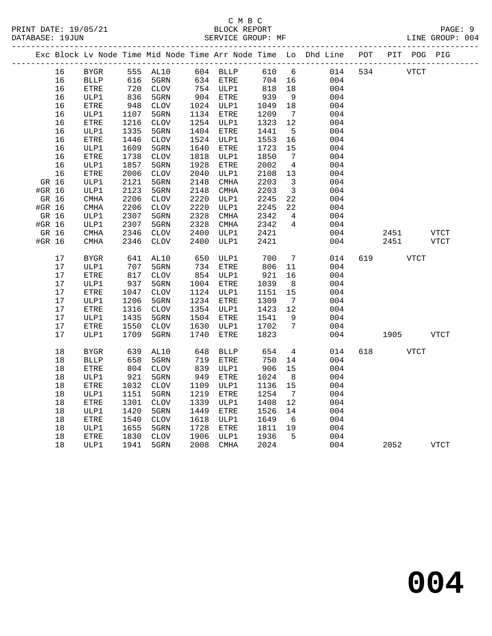|        |      |              |                 |                              |      |              |        |                              | Exc Block Lv Node Time Mid Node Time Arr Node Time Lo Dhd Line POT |     | PIT POG PIG      |             |
|--------|------|--------------|-----------------|------------------------------|------|--------------|--------|------------------------------|--------------------------------------------------------------------|-----|------------------|-------------|
|        | 16   | BYGR         |                 | 555 AL10                     |      | $604$ BLLP   | 610    | 6                            | 014                                                                | 534 | VTCT             |             |
|        | 16   | <b>BLLP</b>  |                 | 5GRN                         |      | 634 ETRE     | 704 16 |                              | 004                                                                |     |                  |             |
|        | 16   | <b>ETRE</b>  | $\frac{1}{720}$ | CLOV                         |      | 754 ULP1     | 818    | 18                           | 004                                                                |     |                  |             |
|        | 16   | ULP1         | 836             | 5GRN                         |      | 904 ETRE     | 939    | 9                            | 004                                                                |     |                  |             |
|        | 16   | ETRE         | 948             | CLOV                         |      | 1024 ULP1    | 1049   | 18                           | 004                                                                |     |                  |             |
|        | 16   | ULP1         | 1107            | 5GRN                         |      | 1134 ETRE    | 1209   | $\overline{7}$               | 004                                                                |     |                  |             |
|        | 16   | ETRE         | 1216            | CLOV                         |      | 1254 ULP1    | 1323   | 12                           | 004                                                                |     |                  |             |
|        | 16   | ULP1         | 1335            | 5GRN                         | 1404 | ETRE         | 1441   | 5                            | 004                                                                |     |                  |             |
|        | 16   | ETRE         | 1446            | $\mathtt{CLOV}$              | 1524 | ULP1         | 1553   | 16                           | 004                                                                |     |                  |             |
|        | 16   | ULP1         | 1609            | 5GRN                         | 1640 | ETRE         | 1723   | 15                           | 004                                                                |     |                  |             |
|        | 16   | ETRE         | 1738            | $\mathtt{CLOV}$              | 1818 | ULP1         | 1850   | $7\phantom{.0}\phantom{.0}7$ | 004                                                                |     |                  |             |
|        | 16   | ULP1         | 1857            | 5GRN                         | 1928 | ETRE         | 2002   | $\overline{4}$               | 004                                                                |     |                  |             |
|        | 16   | ETRE         | 2006            | $\ensuremath{\mathsf{CLOV}}$ | 2040 | ULP1         | 2108   | 13                           | 004                                                                |     |                  |             |
| GR 16  |      | ULP1         | 2121            | 5GRN                         | 2148 | CMHA         | 2203   | $\overline{\mathbf{3}}$      | 004                                                                |     |                  |             |
| #GR 16 |      | ULP1         | 2123            | 5GRN                         | 2148 | CMHA         | 2203   | $\overline{\mathbf{3}}$      | 004                                                                |     |                  |             |
| GR 16  |      | CMHA         | 2206            | $\mathtt{CLOV}$              | 2220 | ULP1         | 2245   | 22                           | 004                                                                |     |                  |             |
| #GR 16 |      | <b>CMHA</b>  | 2206            | CLOV                         | 2220 | ULP1         | 2245   | 22                           | 004                                                                |     |                  |             |
| GR 16  |      | ULP1         | 2307            | 5GRN                         | 2328 | CMHA         | 2342   | $\overline{4}$               | 004                                                                |     |                  |             |
| #GR 16 |      | ULP1         | 2307            | 5GRN                         | 2328 | CMHA         | 2342   | $\overline{4}$               | 004                                                                |     |                  |             |
| GR 16  |      | $\rm CMHz$   | 2346            | CLOV                         | 2400 | ULP1         | 2421   |                              | 004                                                                |     | 2451             | <b>VTCT</b> |
| #GR 16 |      | CMHA         | 2346            | <b>CLOV</b>                  | 2400 | ULP1         | 2421   |                              | 004                                                                |     | 2451             | VTCT        |
|        | 17   | BYGR         | 641             | AL10                         | 650  | ULP1         | 700    | $7\phantom{.0}$              | 014                                                                | 619 | VTCT             |             |
|        | 17   | ULP1         | 707             | 5GRN                         | 734  | ETRE         | 806    | 11                           | 004                                                                |     |                  |             |
|        | 17   | ETRE         | 817             | CLOV                         |      | 854 ULP1     | 921    | 16                           | 004                                                                |     |                  |             |
|        | 17   | ULP1         | 937             | 5GRN                         |      | 1004 ETRE    | 1039   | 8                            | 004                                                                |     |                  |             |
|        | 17   | ${\tt ETRE}$ | 1047            | $\mathtt{CLOV}$              |      | 1124 ULP1    | 1151   | 15                           | 004                                                                |     |                  |             |
|        | 17   | ULP1         | 1206            | 5GRN                         |      | 1234 ETRE    | 1309   | $7\overline{ }$              | 004                                                                |     |                  |             |
|        | $17$ | ETRE         | 1316            | $\mathtt{CLOV}$              |      | 1354 ULP1    | 1423   | 12                           | 004                                                                |     |                  |             |
|        | 17   | ULP1         | 1435            | 5GRN                         |      | 1504 ETRE    | 1541   | - 9                          | 004                                                                |     |                  |             |
|        | 17   | ETRE         | 1550            | CLOV                         | 1630 | ULP1         | 1702   | 7                            | 004                                                                |     |                  |             |
|        | 17   | ULP1         | 1709            | 5GRN                         | 1740 | ETRE         | 1823   |                              | 004                                                                |     | 1905 - 1905      | VTCT        |
|        | 18   | <b>BYGR</b>  | 639             | AL10                         | 648  | BLLP         | 654    | $4\overline{ }$              | 014                                                                |     | 618 — 18<br>VTCT |             |
|        | 18   | <b>BLLP</b>  | 658             | 5GRN                         | 719  | ETRE         | 750    | 14                           | 004                                                                |     |                  |             |
|        | 18   | ETRE         | 804             | CLOV                         | 839  | ULP1         | 906    | 15                           | 004                                                                |     |                  |             |
|        | 18   | ULP1         | 921             | 5GRN                         | 949  | ETRE         | 1024   | 8 <sup>8</sup>               | 004                                                                |     |                  |             |
|        | 18   | ETRE         | 1032            | $\ensuremath{\mathsf{CLOV}}$ | 1109 | ULP1         | 1136   | 15                           | 004                                                                |     |                  |             |
|        | 18   | ULP1         | 1151            | 5GRN                         | 1219 | ${\tt ETRE}$ | 1254   | $\overline{7}$               | 004                                                                |     |                  |             |
|        | 18   | <b>ETRE</b>  | 1301            | <b>CLOV</b>                  | 1339 | ULP1         | 1408   | 12                           | 004                                                                |     |                  |             |
|        | 18   | ULP1         | 1420            | 5GRN                         | 1449 | ETRE         | 1526   | 14                           | 004                                                                |     |                  |             |
|        | 18   | ETRE         | 1540            | $\mathtt{CLOV}$              | 1618 | ULP1         | 1649   | 6                            | 004                                                                |     |                  |             |
|        | 18   | ULP1         | 1655            | 5GRN                         | 1728 | ETRE         | 1811   | 19                           | 004                                                                |     |                  |             |
|        | 18   | ETRE         | 1830            | CLOV                         | 1906 | ULP1         | 1936   | $-5$                         | 004                                                                |     |                  |             |
|        | 18   | ULP1         | 1941            | 5GRN                         | 2008 | CMHA         | 2024   |                              | 004                                                                |     | 2052             | <b>VTCT</b> |
|        |      |              |                 |                              |      |              |        |                              |                                                                    |     |                  |             |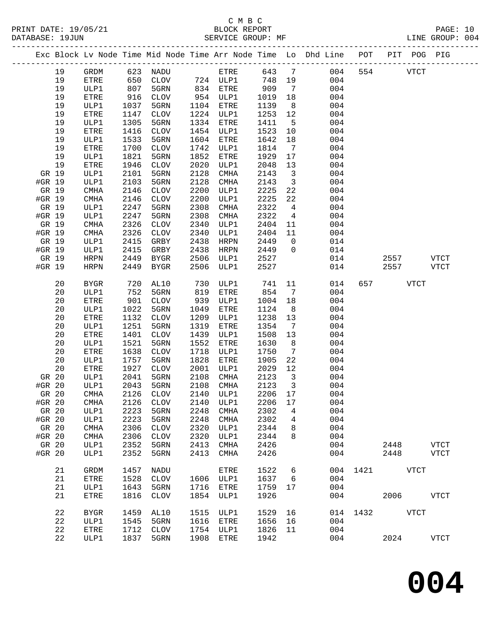PRINT DATE: 19/05/21 BLOCK REPORT<br>DATABASE: 19JUN BATABASE: 19JUN

## C M B C<br>BLOCK REPORT

PAGE: 10<br>LINE GROUP: 004

|           |    |             |      |                 |      |             |         |                              | Exc Block Lv Node Time Mid Node Time Arr Node Time Lo Dhd Line POT<br>------------------------------- |      |      | PIT POG PIG |               |
|-----------|----|-------------|------|-----------------|------|-------------|---------|------------------------------|-------------------------------------------------------------------------------------------------------|------|------|-------------|---------------|
|           | 19 | GRDM        | 623  | NADU            |      | ETRE        | 643     | $\overline{7}$               | 004                                                                                                   | 554  |      | <b>VTCT</b> |               |
|           | 19 | <b>ETRE</b> | 650  | <b>CLOV</b>     |      | 724 ULP1    | 748     | 19                           | 004                                                                                                   |      |      |             |               |
|           | 19 | ULP1        | 807  | 5GRN            | 834  | ETRE        | 909     | $7\phantom{.0}\phantom{.0}7$ | 004                                                                                                   |      |      |             |               |
|           | 19 | ETRE        | 916  | <b>CLOV</b>     |      | 954 ULP1    | 1019    | 18                           | 004                                                                                                   |      |      |             |               |
|           | 19 | ULP1        | 1037 | 5GRN            | 1104 | ETRE        | 1139    | 8                            | 004                                                                                                   |      |      |             |               |
|           | 19 | ETRE        | 1147 | CLOV            | 1224 | ULP1        | 1253    | 12                           | 004                                                                                                   |      |      |             |               |
|           | 19 | ULP1        | 1305 | 5GRN            | 1334 | ETRE        | 1411    | 5                            | 004                                                                                                   |      |      |             |               |
|           | 19 | ETRE        | 1416 | CLOV            | 1454 | ULP1        | 1523    | 10                           | 004                                                                                                   |      |      |             |               |
|           | 19 | ULP1        | 1533 | 5GRN            | 1604 | ETRE        | 1642    | 18                           | 004                                                                                                   |      |      |             |               |
|           | 19 | ETRE        | 1700 | <b>CLOV</b>     | 1742 | ULP1        | 1814    | $\overline{7}$               | 004                                                                                                   |      |      |             |               |
|           | 19 | ULP1        | 1821 | 5GRN            | 1852 | ETRE        | 1929    | 17                           | 004                                                                                                   |      |      |             |               |
|           | 19 | ETRE        | 1946 | CLOV            | 2020 | ULP1        | 2048    | 13                           | 004                                                                                                   |      |      |             |               |
| GR 19     |    | ULP1        | 2101 | 5GRN            | 2128 | <b>CMHA</b> | 2143    | $\overline{\mathbf{3}}$      | 004                                                                                                   |      |      |             |               |
| #GR 19    |    | ULP1        | 2103 | 5GRN            | 2128 | CMHA        | 2143    | $\overline{\mathbf{3}}$      | 004                                                                                                   |      |      |             |               |
| GR 19     |    | <b>CMHA</b> | 2146 | <b>CLOV</b>     | 2200 | ULP1        | 2225    | 22                           | 004                                                                                                   |      |      |             |               |
| #GR 19    |    | CMHA        | 2146 | $\mathtt{CLOV}$ | 2200 | ULP1        | 2225    | 22                           | 004                                                                                                   |      |      |             |               |
| GR 19     |    | ULP1        | 2247 | 5GRN            | 2308 | CMHA        | 2322    | $\overline{4}$               | 004                                                                                                   |      |      |             |               |
| #GR 19    |    | ULP1        | 2247 | 5GRN            | 2308 | CMHA        | 2322    | 4                            | 004                                                                                                   |      |      |             |               |
| GR 19     |    | <b>CMHA</b> | 2326 | <b>CLOV</b>     | 2340 | ULP1        | 2404    | 11                           | 004                                                                                                   |      |      |             |               |
| #GR 19    |    | <b>CMHA</b> | 2326 | <b>CLOV</b>     | 2340 | ULP1        | 2404    | 11                           | 004                                                                                                   |      |      |             |               |
| GR 19     |    | ULP1        | 2415 | GRBY            | 2438 | HRPN        | 2449    | $\mathbf{0}$                 | 014                                                                                                   |      |      |             |               |
| #GR 19    |    | ULP1        | 2415 | GRBY            | 2438 | HRPN        | 2449    | $\Omega$                     | 014                                                                                                   |      |      |             |               |
| GR 19     |    | <b>HRPN</b> | 2449 | BYGR            | 2506 | ULP1        | 2527    |                              | 014                                                                                                   |      | 2557 |             | <b>VTCT</b>   |
| #GR 19    |    | <b>HRPN</b> | 2449 | BYGR            | 2506 | ULP1        | 2527    |                              | 014                                                                                                   |      | 2557 |             | VTCT          |
|           | 20 | <b>BYGR</b> | 720  | AL10            | 730  | ULP1        | 741     | 11                           | 014                                                                                                   | 657  |      | <b>VTCT</b> |               |
|           | 20 | ULP1        | 752  | 5GRN            | 819  | ETRE        | 854     | 7                            | 004                                                                                                   |      |      |             |               |
|           | 20 | ETRE        | 901  | CLOV            | 939  | ULP1        | 1004    | 18                           | 004                                                                                                   |      |      |             |               |
|           | 20 | ULP1        | 1022 | 5GRN            | 1049 | ETRE        | 1124    | 8                            | 004                                                                                                   |      |      |             |               |
|           | 20 | ETRE        | 1132 | CLOV            | 1209 | ULP1        | 1238    | 13                           | 004                                                                                                   |      |      |             |               |
|           | 20 | ULP1        | 1251 | 5GRN            | 1319 | ETRE        | 1354    | 7                            | 004                                                                                                   |      |      |             |               |
|           | 20 | ETRE        | 1401 | CLOV            | 1439 | ULP1        | 1508    | 13                           | 004                                                                                                   |      |      |             |               |
|           | 20 | ULP1        | 1521 | 5GRN            | 1552 | ETRE        | 1630    | 8                            | 004                                                                                                   |      |      |             |               |
|           | 20 | ETRE        | 1638 | ${\tt CLOV}$    | 1718 | ULP1        | 1750    | $7\phantom{.0}$              | 004                                                                                                   |      |      |             |               |
|           | 20 | ULP1        | 1757 | 5GRN            | 1828 | ETRE        | 1905    | 22                           | 004                                                                                                   |      |      |             |               |
|           | 20 | ETRE        | 1927 | CLOV            | 2001 | ULP1        | 2029    | 12                           | 004                                                                                                   |      |      |             |               |
| GR 20     |    | ULP1        | 2041 | 5GRN            | 2108 | CMHA        | 2123    | $\overline{\mathbf{3}}$      | 004                                                                                                   |      |      |             |               |
| #GR 20    |    | ULP1        | 2043 | 5GRN            | 2108 | CMHA        | 2123    | $\overline{\mathbf{3}}$      | 004                                                                                                   |      |      |             |               |
| GR 20     |    | CMHA        | 2126 | <b>CLOV</b>     | 2140 | ULP1        | 2206 17 |                              | 004                                                                                                   |      |      |             |               |
| $\#GR$ 20 |    | CMHA        | 2126 | <b>CLOV</b>     | 2140 | ULP1        | 2206    | 17                           | 004                                                                                                   |      |      |             |               |
| GR 20     |    | ULP1        | 2223 | 5GRN            | 2248 | <b>CMHA</b> | 2302    | 4                            | 004                                                                                                   |      |      |             |               |
| #GR 20    |    | ULP1        | 2223 | 5GRN            | 2248 | CMHA        | 2302    | 4                            | 004                                                                                                   |      |      |             |               |
| GR 20     |    | <b>CMHA</b> | 2306 | <b>CLOV</b>     | 2320 | ULP1        | 2344    | 8                            | 004                                                                                                   |      |      |             |               |
| #GR 20    |    | <b>CMHA</b> | 2306 | <b>CLOV</b>     | 2320 | ULP1        | 2344    | 8                            | 004                                                                                                   |      |      |             |               |
| GR 20     |    | ULP1        | 2352 | 5GRN            | 2413 | <b>CMHA</b> | 2426    |                              | 004                                                                                                   |      | 2448 |             | <b>VTCT</b>   |
| #GR 20    |    | ULP1        | 2352 | 5GRN            | 2413 | <b>CMHA</b> | 2426    |                              | 004                                                                                                   |      | 2448 |             | <b>VTCT</b>   |
|           | 21 | <b>GRDM</b> | 1457 | NADU            |      | <b>ETRE</b> | 1522    | 6                            | 004                                                                                                   | 1421 |      | <b>VTCT</b> |               |
|           | 21 | ETRE        | 1528 | <b>CLOV</b>     | 1606 | ULP1        | 1637    | 6                            | 004                                                                                                   |      |      |             |               |
|           | 21 | ULP1        | 1643 | 5GRN            | 1716 | ETRE        | 1759    | 17                           | 004                                                                                                   |      |      |             |               |
|           | 21 | ETRE        | 1816 | <b>CLOV</b>     | 1854 | ULP1        | 1926    |                              | 004                                                                                                   |      | 2006 |             | <b>VTCT</b>   |
|           | 22 | <b>BYGR</b> | 1459 | AL10            | 1515 | ULP1        | 1529    | 16                           | 014                                                                                                   | 1432 |      | <b>VTCT</b> |               |
|           | 22 | ULP1        | 1545 | 5GRN            | 1616 | ETRE        | 1656    | 16                           | 004                                                                                                   |      |      |             |               |
|           | 22 | ETRE        | 1712 | <b>CLOV</b>     | 1754 | ULP1        | 1826    | 11                           | 004                                                                                                   |      |      |             |               |
|           | 22 | ULP1        | 1837 | 5GRN            | 1908 | ETRE        | 1942    |                              | 004                                                                                                   |      | 2024 |             | $_{\rm VTCT}$ |

**004**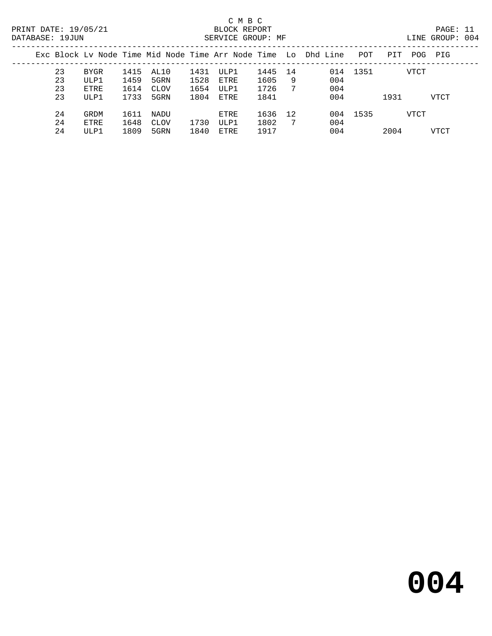|    |      |      |      |      |      |      |    | Exc Block Ly Node Time Mid Node Time Arr Node Time Lo Dhd Line | POT  | PIT  | POG<br>PIG |  |
|----|------|------|------|------|------|------|----|----------------------------------------------------------------|------|------|------------|--|
| 23 | BYGR | 1415 | AL10 | 1431 | ULP1 | 1445 | 14 | 014                                                            | 1351 |      | VTCT       |  |
| 23 | ULP1 | 1459 | 5GRN | 1528 | ETRE | 1605 | 9  | 004                                                            |      |      |            |  |
| 23 | ETRE | 1614 | CLOV | 1654 | ULP1 | 1726 | 7  | 004                                                            |      |      |            |  |
| 23 | ULP1 | 1733 | 5GRN | 1804 | ETRE | 1841 |    | 004                                                            |      | 1931 | VTCT       |  |
| 24 | GRDM | 1611 | NADU |      | ETRE | 1636 | 12 | 004                                                            | 1535 |      | VTCT       |  |
| 24 | ETRE | 1648 | CLOV | 1730 | ULP1 | 1802 | -7 | 004                                                            |      |      |            |  |
| 24 | ULP1 | 1809 | 5GRN | 1840 | ETRE | 1917 |    | 004                                                            |      | 2004 | VTCT       |  |
|    |      |      |      |      |      |      |    |                                                                |      |      |            |  |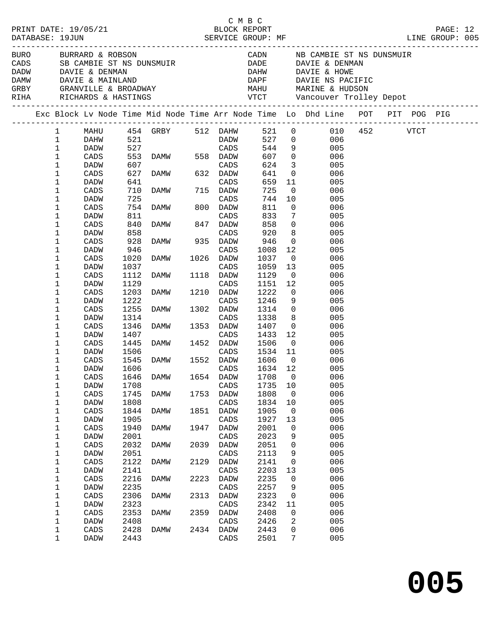| BURO BURRARD & ROBSON CADN NB CAMBIE ST NS DUNSMUIR<br>CADS SB CAMBIE ST NS DUNSMUIR<br>DADE DAVIE & DENMAN DAVIE & DENMAN DAVIE & HOWE<br>DAMW DAVIE & MAINLAND DAPE DAVIE DAVIE A HOWE<br>DAMW DAVIE & MAINLAND DAPE DAVIE NS PACIFI<br>Exc Block Lv Node Time Mid Node Time Arr Node Time Lo Dhd Line POT PIT POG PIG<br>MAHU 454 GRBY 512 DAHW 521 0 010 452 VTCT<br>DAHW 521 DADW 527 0 006<br>DADW 527 CADS 544 9 005<br>CADS 553 DAMW 558 DADW 607 0 006<br>DADW 607 0 006<br>$1 \quad \Box$<br>$\mathbf 1$<br>$\mathbf{1}$<br>1<br>CADS<br>DAMW 632 DADW<br>CADS<br>DAMW 715 DADW<br>624<br>$\begin{array}{ccc} 3 & \hspace{1.5cm} & 005 \\ 0 & \hspace{1.5cm} & 006 \end{array}$<br>1<br>607<br>627<br>DADW<br>1<br>CADS<br>641<br>11<br>659<br>1<br>641<br>005<br>DADW<br>1<br>725<br>$\overline{0}$<br>CADS<br>710<br>006<br>725<br>744<br>1<br>10 005<br>DADW<br>725<br>754<br>811<br>1<br>811<br>CADS<br>$\overline{0}$<br>006<br>833<br>1<br>$\overline{7}$<br>005<br>DADW<br>1<br>840<br>858<br>$\overline{0}$<br>006<br>CADS<br>858<br>920<br>$\begin{array}{ccc} 8 & & 005 \\ 0 & & 006 \\ 12 & & 005 \end{array}$<br>1<br>DADW<br>DAMW<br>DAMW 935 DADW<br>~~<br>1<br>928<br>946<br>CADS<br>946<br>1<br>1008<br>DADW<br>DAMW 1026 DADW<br>$\overline{0}$<br>1<br>1020<br>1037<br>006<br>CADS<br>CADS<br>DAMW 1118 DADW<br>CADS<br>DAMW 1210 DADW<br>1<br>1037<br>1059<br>13<br>005<br>DADW<br>1<br>1112<br>1129<br>$\overline{0}$<br>006<br>CADS<br>1<br>1129<br>1151<br>12<br>005<br>DADW<br>$\overline{0}$<br>1222<br>1<br>1203<br>006<br>CADS<br>1222<br>1<br>1246<br>$9 \left( \frac{1}{2} \right)$<br>DADW<br>CADS<br>005<br>DAMW 1302 DADW<br>CADS<br>1255<br>$\begin{array}{c} 0 \\ 8 \end{array}$<br>1<br>1314<br>006<br>CADS<br>1<br>1314<br>1338<br>005<br>DADW<br>CADS<br>$\overline{0}$<br>DAMW 1353 DADW<br>1<br>1346<br>1407<br>006<br>CADS<br>1407 CADS 1433 12 005<br>1445 DAMW 1452 DADW 1506 0 006<br>1506 CADS 1534 11 005<br>1545 DAMW 1552 DADW 1606 0 006<br>1<br>DADW<br>1<br>CADS<br>1<br>DADW<br>1<br>CADS<br>1<br>1606<br>CADS<br>1634 12<br>DADW<br>005<br>CADS 1646 DAMW 1654 DADW 1708 0<br>006<br>1<br>1<br>DADW<br>1708<br>CADS<br>1735<br>005<br>10<br>1<br>1808<br>006<br>CADS<br>1745<br>1753<br>DADW<br>0<br><b>DAMW</b><br>1<br>1808<br>1834<br>005<br>DADW<br>CADS<br>10<br>1844<br>1905<br>006<br>1<br>$\mathtt{CADS}$<br>1851<br>DADW<br>0<br><b>DAMW</b><br>005<br>1<br>1905<br>1927<br>DADW<br>CADS<br>13<br>006<br>1<br>$\mathtt{CADS}$<br>1940<br>1947<br>2001<br>DADW<br>0<br>DAMW<br>1<br>2001<br>2023<br>005<br>DADW<br>CADS<br>9<br>1<br>2032<br>006<br>$\mathtt{CADS}$<br>DAMW<br>2039<br>DADW<br>2051<br>0<br>$\mathbf 1$<br>2051<br>2113<br>005<br>DADW<br>CADS<br>9<br>1<br>2122<br>2141<br>006<br>CADS<br>2129<br>DADW<br>0<br><b>DAMW</b><br>1<br>2141<br>2203<br>005<br>DADW<br>CADS<br>13<br>1<br>2216<br>2235<br>006<br>$\mathtt{CADS}$<br>2223<br>DADW<br>0<br><b>DAMW</b><br>1<br>2235<br>2257<br>005<br>DADW<br>CADS<br>9<br>006<br>1<br>2306<br>2323<br>$\mathtt{CADS}$<br>2313<br>0<br><b>DAMW</b><br>DADW<br>1<br>2323<br>2342<br>005<br>DADW<br>CADS<br>11<br>1<br>2353<br>006<br>CADS<br>2359<br>DADW<br>2408<br>0<br><b>DAMW</b><br>1<br>2408<br>2426<br>2<br>005<br>DADW<br>CADS<br>1<br>2428<br>006<br>CADS<br>2434<br>2443<br>0<br>DAMW<br>DADW<br>1<br>7<br>005<br>DADW<br>2443<br>CADS<br>2501 |  |  |  | C M B C | LINE GROUP: 005 |  |  |
|----------------------------------------------------------------------------------------------------------------------------------------------------------------------------------------------------------------------------------------------------------------------------------------------------------------------------------------------------------------------------------------------------------------------------------------------------------------------------------------------------------------------------------------------------------------------------------------------------------------------------------------------------------------------------------------------------------------------------------------------------------------------------------------------------------------------------------------------------------------------------------------------------------------------------------------------------------------------------------------------------------------------------------------------------------------------------------------------------------------------------------------------------------------------------------------------------------------------------------------------------------------------------------------------------------------------------------------------------------------------------------------------------------------------------------------------------------------------------------------------------------------------------------------------------------------------------------------------------------------------------------------------------------------------------------------------------------------------------------------------------------------------------------------------------------------------------------------------------------------------------------------------------------------------------------------------------------------------------------------------------------------------------------------------------------------------------------------------------------------------------------------------------------------------------------------------------------------------------------------------------------------------------------------------------------------------------------------------------------------------------------------------------------------------------------------------------------------------------------------------------------------------------------------------------------------------------------------------------------------------------------------------------------------------------------------------------------------------------------------------------------------------------------------------------------------------------------------------------------------------------------------------------------------------------------------------------------------------------------------------------------------------------------------------------------------------------------------------------------------------------------------------------------------------------------------------------------------------------------------------------------------------------------------------------------------------------------------------------------------------------------------|--|--|--|---------|-----------------|--|--|
|                                                                                                                                                                                                                                                                                                                                                                                                                                                                                                                                                                                                                                                                                                                                                                                                                                                                                                                                                                                                                                                                                                                                                                                                                                                                                                                                                                                                                                                                                                                                                                                                                                                                                                                                                                                                                                                                                                                                                                                                                                                                                                                                                                                                                                                                                                                                                                                                                                                                                                                                                                                                                                                                                                                                                                                                                                                                                                                                                                                                                                                                                                                                                                                                                                                                                                                                                                                        |  |  |  |         |                 |  |  |
|                                                                                                                                                                                                                                                                                                                                                                                                                                                                                                                                                                                                                                                                                                                                                                                                                                                                                                                                                                                                                                                                                                                                                                                                                                                                                                                                                                                                                                                                                                                                                                                                                                                                                                                                                                                                                                                                                                                                                                                                                                                                                                                                                                                                                                                                                                                                                                                                                                                                                                                                                                                                                                                                                                                                                                                                                                                                                                                                                                                                                                                                                                                                                                                                                                                                                                                                                                                        |  |  |  |         |                 |  |  |
|                                                                                                                                                                                                                                                                                                                                                                                                                                                                                                                                                                                                                                                                                                                                                                                                                                                                                                                                                                                                                                                                                                                                                                                                                                                                                                                                                                                                                                                                                                                                                                                                                                                                                                                                                                                                                                                                                                                                                                                                                                                                                                                                                                                                                                                                                                                                                                                                                                                                                                                                                                                                                                                                                                                                                                                                                                                                                                                                                                                                                                                                                                                                                                                                                                                                                                                                                                                        |  |  |  |         |                 |  |  |
|                                                                                                                                                                                                                                                                                                                                                                                                                                                                                                                                                                                                                                                                                                                                                                                                                                                                                                                                                                                                                                                                                                                                                                                                                                                                                                                                                                                                                                                                                                                                                                                                                                                                                                                                                                                                                                                                                                                                                                                                                                                                                                                                                                                                                                                                                                                                                                                                                                                                                                                                                                                                                                                                                                                                                                                                                                                                                                                                                                                                                                                                                                                                                                                                                                                                                                                                                                                        |  |  |  |         |                 |  |  |
|                                                                                                                                                                                                                                                                                                                                                                                                                                                                                                                                                                                                                                                                                                                                                                                                                                                                                                                                                                                                                                                                                                                                                                                                                                                                                                                                                                                                                                                                                                                                                                                                                                                                                                                                                                                                                                                                                                                                                                                                                                                                                                                                                                                                                                                                                                                                                                                                                                                                                                                                                                                                                                                                                                                                                                                                                                                                                                                                                                                                                                                                                                                                                                                                                                                                                                                                                                                        |  |  |  |         |                 |  |  |
|                                                                                                                                                                                                                                                                                                                                                                                                                                                                                                                                                                                                                                                                                                                                                                                                                                                                                                                                                                                                                                                                                                                                                                                                                                                                                                                                                                                                                                                                                                                                                                                                                                                                                                                                                                                                                                                                                                                                                                                                                                                                                                                                                                                                                                                                                                                                                                                                                                                                                                                                                                                                                                                                                                                                                                                                                                                                                                                                                                                                                                                                                                                                                                                                                                                                                                                                                                                        |  |  |  |         |                 |  |  |
|                                                                                                                                                                                                                                                                                                                                                                                                                                                                                                                                                                                                                                                                                                                                                                                                                                                                                                                                                                                                                                                                                                                                                                                                                                                                                                                                                                                                                                                                                                                                                                                                                                                                                                                                                                                                                                                                                                                                                                                                                                                                                                                                                                                                                                                                                                                                                                                                                                                                                                                                                                                                                                                                                                                                                                                                                                                                                                                                                                                                                                                                                                                                                                                                                                                                                                                                                                                        |  |  |  |         |                 |  |  |
|                                                                                                                                                                                                                                                                                                                                                                                                                                                                                                                                                                                                                                                                                                                                                                                                                                                                                                                                                                                                                                                                                                                                                                                                                                                                                                                                                                                                                                                                                                                                                                                                                                                                                                                                                                                                                                                                                                                                                                                                                                                                                                                                                                                                                                                                                                                                                                                                                                                                                                                                                                                                                                                                                                                                                                                                                                                                                                                                                                                                                                                                                                                                                                                                                                                                                                                                                                                        |  |  |  |         |                 |  |  |
|                                                                                                                                                                                                                                                                                                                                                                                                                                                                                                                                                                                                                                                                                                                                                                                                                                                                                                                                                                                                                                                                                                                                                                                                                                                                                                                                                                                                                                                                                                                                                                                                                                                                                                                                                                                                                                                                                                                                                                                                                                                                                                                                                                                                                                                                                                                                                                                                                                                                                                                                                                                                                                                                                                                                                                                                                                                                                                                                                                                                                                                                                                                                                                                                                                                                                                                                                                                        |  |  |  |         |                 |  |  |
|                                                                                                                                                                                                                                                                                                                                                                                                                                                                                                                                                                                                                                                                                                                                                                                                                                                                                                                                                                                                                                                                                                                                                                                                                                                                                                                                                                                                                                                                                                                                                                                                                                                                                                                                                                                                                                                                                                                                                                                                                                                                                                                                                                                                                                                                                                                                                                                                                                                                                                                                                                                                                                                                                                                                                                                                                                                                                                                                                                                                                                                                                                                                                                                                                                                                                                                                                                                        |  |  |  |         |                 |  |  |
|                                                                                                                                                                                                                                                                                                                                                                                                                                                                                                                                                                                                                                                                                                                                                                                                                                                                                                                                                                                                                                                                                                                                                                                                                                                                                                                                                                                                                                                                                                                                                                                                                                                                                                                                                                                                                                                                                                                                                                                                                                                                                                                                                                                                                                                                                                                                                                                                                                                                                                                                                                                                                                                                                                                                                                                                                                                                                                                                                                                                                                                                                                                                                                                                                                                                                                                                                                                        |  |  |  |         |                 |  |  |
|                                                                                                                                                                                                                                                                                                                                                                                                                                                                                                                                                                                                                                                                                                                                                                                                                                                                                                                                                                                                                                                                                                                                                                                                                                                                                                                                                                                                                                                                                                                                                                                                                                                                                                                                                                                                                                                                                                                                                                                                                                                                                                                                                                                                                                                                                                                                                                                                                                                                                                                                                                                                                                                                                                                                                                                                                                                                                                                                                                                                                                                                                                                                                                                                                                                                                                                                                                                        |  |  |  |         |                 |  |  |
|                                                                                                                                                                                                                                                                                                                                                                                                                                                                                                                                                                                                                                                                                                                                                                                                                                                                                                                                                                                                                                                                                                                                                                                                                                                                                                                                                                                                                                                                                                                                                                                                                                                                                                                                                                                                                                                                                                                                                                                                                                                                                                                                                                                                                                                                                                                                                                                                                                                                                                                                                                                                                                                                                                                                                                                                                                                                                                                                                                                                                                                                                                                                                                                                                                                                                                                                                                                        |  |  |  |         |                 |  |  |
|                                                                                                                                                                                                                                                                                                                                                                                                                                                                                                                                                                                                                                                                                                                                                                                                                                                                                                                                                                                                                                                                                                                                                                                                                                                                                                                                                                                                                                                                                                                                                                                                                                                                                                                                                                                                                                                                                                                                                                                                                                                                                                                                                                                                                                                                                                                                                                                                                                                                                                                                                                                                                                                                                                                                                                                                                                                                                                                                                                                                                                                                                                                                                                                                                                                                                                                                                                                        |  |  |  |         |                 |  |  |
|                                                                                                                                                                                                                                                                                                                                                                                                                                                                                                                                                                                                                                                                                                                                                                                                                                                                                                                                                                                                                                                                                                                                                                                                                                                                                                                                                                                                                                                                                                                                                                                                                                                                                                                                                                                                                                                                                                                                                                                                                                                                                                                                                                                                                                                                                                                                                                                                                                                                                                                                                                                                                                                                                                                                                                                                                                                                                                                                                                                                                                                                                                                                                                                                                                                                                                                                                                                        |  |  |  |         |                 |  |  |
|                                                                                                                                                                                                                                                                                                                                                                                                                                                                                                                                                                                                                                                                                                                                                                                                                                                                                                                                                                                                                                                                                                                                                                                                                                                                                                                                                                                                                                                                                                                                                                                                                                                                                                                                                                                                                                                                                                                                                                                                                                                                                                                                                                                                                                                                                                                                                                                                                                                                                                                                                                                                                                                                                                                                                                                                                                                                                                                                                                                                                                                                                                                                                                                                                                                                                                                                                                                        |  |  |  |         |                 |  |  |
|                                                                                                                                                                                                                                                                                                                                                                                                                                                                                                                                                                                                                                                                                                                                                                                                                                                                                                                                                                                                                                                                                                                                                                                                                                                                                                                                                                                                                                                                                                                                                                                                                                                                                                                                                                                                                                                                                                                                                                                                                                                                                                                                                                                                                                                                                                                                                                                                                                                                                                                                                                                                                                                                                                                                                                                                                                                                                                                                                                                                                                                                                                                                                                                                                                                                                                                                                                                        |  |  |  |         |                 |  |  |
|                                                                                                                                                                                                                                                                                                                                                                                                                                                                                                                                                                                                                                                                                                                                                                                                                                                                                                                                                                                                                                                                                                                                                                                                                                                                                                                                                                                                                                                                                                                                                                                                                                                                                                                                                                                                                                                                                                                                                                                                                                                                                                                                                                                                                                                                                                                                                                                                                                                                                                                                                                                                                                                                                                                                                                                                                                                                                                                                                                                                                                                                                                                                                                                                                                                                                                                                                                                        |  |  |  |         |                 |  |  |
|                                                                                                                                                                                                                                                                                                                                                                                                                                                                                                                                                                                                                                                                                                                                                                                                                                                                                                                                                                                                                                                                                                                                                                                                                                                                                                                                                                                                                                                                                                                                                                                                                                                                                                                                                                                                                                                                                                                                                                                                                                                                                                                                                                                                                                                                                                                                                                                                                                                                                                                                                                                                                                                                                                                                                                                                                                                                                                                                                                                                                                                                                                                                                                                                                                                                                                                                                                                        |  |  |  |         |                 |  |  |
|                                                                                                                                                                                                                                                                                                                                                                                                                                                                                                                                                                                                                                                                                                                                                                                                                                                                                                                                                                                                                                                                                                                                                                                                                                                                                                                                                                                                                                                                                                                                                                                                                                                                                                                                                                                                                                                                                                                                                                                                                                                                                                                                                                                                                                                                                                                                                                                                                                                                                                                                                                                                                                                                                                                                                                                                                                                                                                                                                                                                                                                                                                                                                                                                                                                                                                                                                                                        |  |  |  |         |                 |  |  |
|                                                                                                                                                                                                                                                                                                                                                                                                                                                                                                                                                                                                                                                                                                                                                                                                                                                                                                                                                                                                                                                                                                                                                                                                                                                                                                                                                                                                                                                                                                                                                                                                                                                                                                                                                                                                                                                                                                                                                                                                                                                                                                                                                                                                                                                                                                                                                                                                                                                                                                                                                                                                                                                                                                                                                                                                                                                                                                                                                                                                                                                                                                                                                                                                                                                                                                                                                                                        |  |  |  |         |                 |  |  |
|                                                                                                                                                                                                                                                                                                                                                                                                                                                                                                                                                                                                                                                                                                                                                                                                                                                                                                                                                                                                                                                                                                                                                                                                                                                                                                                                                                                                                                                                                                                                                                                                                                                                                                                                                                                                                                                                                                                                                                                                                                                                                                                                                                                                                                                                                                                                                                                                                                                                                                                                                                                                                                                                                                                                                                                                                                                                                                                                                                                                                                                                                                                                                                                                                                                                                                                                                                                        |  |  |  |         |                 |  |  |
|                                                                                                                                                                                                                                                                                                                                                                                                                                                                                                                                                                                                                                                                                                                                                                                                                                                                                                                                                                                                                                                                                                                                                                                                                                                                                                                                                                                                                                                                                                                                                                                                                                                                                                                                                                                                                                                                                                                                                                                                                                                                                                                                                                                                                                                                                                                                                                                                                                                                                                                                                                                                                                                                                                                                                                                                                                                                                                                                                                                                                                                                                                                                                                                                                                                                                                                                                                                        |  |  |  |         |                 |  |  |
|                                                                                                                                                                                                                                                                                                                                                                                                                                                                                                                                                                                                                                                                                                                                                                                                                                                                                                                                                                                                                                                                                                                                                                                                                                                                                                                                                                                                                                                                                                                                                                                                                                                                                                                                                                                                                                                                                                                                                                                                                                                                                                                                                                                                                                                                                                                                                                                                                                                                                                                                                                                                                                                                                                                                                                                                                                                                                                                                                                                                                                                                                                                                                                                                                                                                                                                                                                                        |  |  |  |         |                 |  |  |
|                                                                                                                                                                                                                                                                                                                                                                                                                                                                                                                                                                                                                                                                                                                                                                                                                                                                                                                                                                                                                                                                                                                                                                                                                                                                                                                                                                                                                                                                                                                                                                                                                                                                                                                                                                                                                                                                                                                                                                                                                                                                                                                                                                                                                                                                                                                                                                                                                                                                                                                                                                                                                                                                                                                                                                                                                                                                                                                                                                                                                                                                                                                                                                                                                                                                                                                                                                                        |  |  |  |         |                 |  |  |
|                                                                                                                                                                                                                                                                                                                                                                                                                                                                                                                                                                                                                                                                                                                                                                                                                                                                                                                                                                                                                                                                                                                                                                                                                                                                                                                                                                                                                                                                                                                                                                                                                                                                                                                                                                                                                                                                                                                                                                                                                                                                                                                                                                                                                                                                                                                                                                                                                                                                                                                                                                                                                                                                                                                                                                                                                                                                                                                                                                                                                                                                                                                                                                                                                                                                                                                                                                                        |  |  |  |         |                 |  |  |
|                                                                                                                                                                                                                                                                                                                                                                                                                                                                                                                                                                                                                                                                                                                                                                                                                                                                                                                                                                                                                                                                                                                                                                                                                                                                                                                                                                                                                                                                                                                                                                                                                                                                                                                                                                                                                                                                                                                                                                                                                                                                                                                                                                                                                                                                                                                                                                                                                                                                                                                                                                                                                                                                                                                                                                                                                                                                                                                                                                                                                                                                                                                                                                                                                                                                                                                                                                                        |  |  |  |         |                 |  |  |
|                                                                                                                                                                                                                                                                                                                                                                                                                                                                                                                                                                                                                                                                                                                                                                                                                                                                                                                                                                                                                                                                                                                                                                                                                                                                                                                                                                                                                                                                                                                                                                                                                                                                                                                                                                                                                                                                                                                                                                                                                                                                                                                                                                                                                                                                                                                                                                                                                                                                                                                                                                                                                                                                                                                                                                                                                                                                                                                                                                                                                                                                                                                                                                                                                                                                                                                                                                                        |  |  |  |         |                 |  |  |
|                                                                                                                                                                                                                                                                                                                                                                                                                                                                                                                                                                                                                                                                                                                                                                                                                                                                                                                                                                                                                                                                                                                                                                                                                                                                                                                                                                                                                                                                                                                                                                                                                                                                                                                                                                                                                                                                                                                                                                                                                                                                                                                                                                                                                                                                                                                                                                                                                                                                                                                                                                                                                                                                                                                                                                                                                                                                                                                                                                                                                                                                                                                                                                                                                                                                                                                                                                                        |  |  |  |         |                 |  |  |
|                                                                                                                                                                                                                                                                                                                                                                                                                                                                                                                                                                                                                                                                                                                                                                                                                                                                                                                                                                                                                                                                                                                                                                                                                                                                                                                                                                                                                                                                                                                                                                                                                                                                                                                                                                                                                                                                                                                                                                                                                                                                                                                                                                                                                                                                                                                                                                                                                                                                                                                                                                                                                                                                                                                                                                                                                                                                                                                                                                                                                                                                                                                                                                                                                                                                                                                                                                                        |  |  |  |         |                 |  |  |
|                                                                                                                                                                                                                                                                                                                                                                                                                                                                                                                                                                                                                                                                                                                                                                                                                                                                                                                                                                                                                                                                                                                                                                                                                                                                                                                                                                                                                                                                                                                                                                                                                                                                                                                                                                                                                                                                                                                                                                                                                                                                                                                                                                                                                                                                                                                                                                                                                                                                                                                                                                                                                                                                                                                                                                                                                                                                                                                                                                                                                                                                                                                                                                                                                                                                                                                                                                                        |  |  |  |         |                 |  |  |
|                                                                                                                                                                                                                                                                                                                                                                                                                                                                                                                                                                                                                                                                                                                                                                                                                                                                                                                                                                                                                                                                                                                                                                                                                                                                                                                                                                                                                                                                                                                                                                                                                                                                                                                                                                                                                                                                                                                                                                                                                                                                                                                                                                                                                                                                                                                                                                                                                                                                                                                                                                                                                                                                                                                                                                                                                                                                                                                                                                                                                                                                                                                                                                                                                                                                                                                                                                                        |  |  |  |         |                 |  |  |
|                                                                                                                                                                                                                                                                                                                                                                                                                                                                                                                                                                                                                                                                                                                                                                                                                                                                                                                                                                                                                                                                                                                                                                                                                                                                                                                                                                                                                                                                                                                                                                                                                                                                                                                                                                                                                                                                                                                                                                                                                                                                                                                                                                                                                                                                                                                                                                                                                                                                                                                                                                                                                                                                                                                                                                                                                                                                                                                                                                                                                                                                                                                                                                                                                                                                                                                                                                                        |  |  |  |         |                 |  |  |
|                                                                                                                                                                                                                                                                                                                                                                                                                                                                                                                                                                                                                                                                                                                                                                                                                                                                                                                                                                                                                                                                                                                                                                                                                                                                                                                                                                                                                                                                                                                                                                                                                                                                                                                                                                                                                                                                                                                                                                                                                                                                                                                                                                                                                                                                                                                                                                                                                                                                                                                                                                                                                                                                                                                                                                                                                                                                                                                                                                                                                                                                                                                                                                                                                                                                                                                                                                                        |  |  |  |         |                 |  |  |
|                                                                                                                                                                                                                                                                                                                                                                                                                                                                                                                                                                                                                                                                                                                                                                                                                                                                                                                                                                                                                                                                                                                                                                                                                                                                                                                                                                                                                                                                                                                                                                                                                                                                                                                                                                                                                                                                                                                                                                                                                                                                                                                                                                                                                                                                                                                                                                                                                                                                                                                                                                                                                                                                                                                                                                                                                                                                                                                                                                                                                                                                                                                                                                                                                                                                                                                                                                                        |  |  |  |         |                 |  |  |
|                                                                                                                                                                                                                                                                                                                                                                                                                                                                                                                                                                                                                                                                                                                                                                                                                                                                                                                                                                                                                                                                                                                                                                                                                                                                                                                                                                                                                                                                                                                                                                                                                                                                                                                                                                                                                                                                                                                                                                                                                                                                                                                                                                                                                                                                                                                                                                                                                                                                                                                                                                                                                                                                                                                                                                                                                                                                                                                                                                                                                                                                                                                                                                                                                                                                                                                                                                                        |  |  |  |         |                 |  |  |
|                                                                                                                                                                                                                                                                                                                                                                                                                                                                                                                                                                                                                                                                                                                                                                                                                                                                                                                                                                                                                                                                                                                                                                                                                                                                                                                                                                                                                                                                                                                                                                                                                                                                                                                                                                                                                                                                                                                                                                                                                                                                                                                                                                                                                                                                                                                                                                                                                                                                                                                                                                                                                                                                                                                                                                                                                                                                                                                                                                                                                                                                                                                                                                                                                                                                                                                                                                                        |  |  |  |         |                 |  |  |
|                                                                                                                                                                                                                                                                                                                                                                                                                                                                                                                                                                                                                                                                                                                                                                                                                                                                                                                                                                                                                                                                                                                                                                                                                                                                                                                                                                                                                                                                                                                                                                                                                                                                                                                                                                                                                                                                                                                                                                                                                                                                                                                                                                                                                                                                                                                                                                                                                                                                                                                                                                                                                                                                                                                                                                                                                                                                                                                                                                                                                                                                                                                                                                                                                                                                                                                                                                                        |  |  |  |         |                 |  |  |
|                                                                                                                                                                                                                                                                                                                                                                                                                                                                                                                                                                                                                                                                                                                                                                                                                                                                                                                                                                                                                                                                                                                                                                                                                                                                                                                                                                                                                                                                                                                                                                                                                                                                                                                                                                                                                                                                                                                                                                                                                                                                                                                                                                                                                                                                                                                                                                                                                                                                                                                                                                                                                                                                                                                                                                                                                                                                                                                                                                                                                                                                                                                                                                                                                                                                                                                                                                                        |  |  |  |         |                 |  |  |
|                                                                                                                                                                                                                                                                                                                                                                                                                                                                                                                                                                                                                                                                                                                                                                                                                                                                                                                                                                                                                                                                                                                                                                                                                                                                                                                                                                                                                                                                                                                                                                                                                                                                                                                                                                                                                                                                                                                                                                                                                                                                                                                                                                                                                                                                                                                                                                                                                                                                                                                                                                                                                                                                                                                                                                                                                                                                                                                                                                                                                                                                                                                                                                                                                                                                                                                                                                                        |  |  |  |         |                 |  |  |
|                                                                                                                                                                                                                                                                                                                                                                                                                                                                                                                                                                                                                                                                                                                                                                                                                                                                                                                                                                                                                                                                                                                                                                                                                                                                                                                                                                                                                                                                                                                                                                                                                                                                                                                                                                                                                                                                                                                                                                                                                                                                                                                                                                                                                                                                                                                                                                                                                                                                                                                                                                                                                                                                                                                                                                                                                                                                                                                                                                                                                                                                                                                                                                                                                                                                                                                                                                                        |  |  |  |         |                 |  |  |
|                                                                                                                                                                                                                                                                                                                                                                                                                                                                                                                                                                                                                                                                                                                                                                                                                                                                                                                                                                                                                                                                                                                                                                                                                                                                                                                                                                                                                                                                                                                                                                                                                                                                                                                                                                                                                                                                                                                                                                                                                                                                                                                                                                                                                                                                                                                                                                                                                                                                                                                                                                                                                                                                                                                                                                                                                                                                                                                                                                                                                                                                                                                                                                                                                                                                                                                                                                                        |  |  |  |         |                 |  |  |
|                                                                                                                                                                                                                                                                                                                                                                                                                                                                                                                                                                                                                                                                                                                                                                                                                                                                                                                                                                                                                                                                                                                                                                                                                                                                                                                                                                                                                                                                                                                                                                                                                                                                                                                                                                                                                                                                                                                                                                                                                                                                                                                                                                                                                                                                                                                                                                                                                                                                                                                                                                                                                                                                                                                                                                                                                                                                                                                                                                                                                                                                                                                                                                                                                                                                                                                                                                                        |  |  |  |         |                 |  |  |
|                                                                                                                                                                                                                                                                                                                                                                                                                                                                                                                                                                                                                                                                                                                                                                                                                                                                                                                                                                                                                                                                                                                                                                                                                                                                                                                                                                                                                                                                                                                                                                                                                                                                                                                                                                                                                                                                                                                                                                                                                                                                                                                                                                                                                                                                                                                                                                                                                                                                                                                                                                                                                                                                                                                                                                                                                                                                                                                                                                                                                                                                                                                                                                                                                                                                                                                                                                                        |  |  |  |         |                 |  |  |
|                                                                                                                                                                                                                                                                                                                                                                                                                                                                                                                                                                                                                                                                                                                                                                                                                                                                                                                                                                                                                                                                                                                                                                                                                                                                                                                                                                                                                                                                                                                                                                                                                                                                                                                                                                                                                                                                                                                                                                                                                                                                                                                                                                                                                                                                                                                                                                                                                                                                                                                                                                                                                                                                                                                                                                                                                                                                                                                                                                                                                                                                                                                                                                                                                                                                                                                                                                                        |  |  |  |         |                 |  |  |
|                                                                                                                                                                                                                                                                                                                                                                                                                                                                                                                                                                                                                                                                                                                                                                                                                                                                                                                                                                                                                                                                                                                                                                                                                                                                                                                                                                                                                                                                                                                                                                                                                                                                                                                                                                                                                                                                                                                                                                                                                                                                                                                                                                                                                                                                                                                                                                                                                                                                                                                                                                                                                                                                                                                                                                                                                                                                                                                                                                                                                                                                                                                                                                                                                                                                                                                                                                                        |  |  |  |         |                 |  |  |
|                                                                                                                                                                                                                                                                                                                                                                                                                                                                                                                                                                                                                                                                                                                                                                                                                                                                                                                                                                                                                                                                                                                                                                                                                                                                                                                                                                                                                                                                                                                                                                                                                                                                                                                                                                                                                                                                                                                                                                                                                                                                                                                                                                                                                                                                                                                                                                                                                                                                                                                                                                                                                                                                                                                                                                                                                                                                                                                                                                                                                                                                                                                                                                                                                                                                                                                                                                                        |  |  |  |         |                 |  |  |
|                                                                                                                                                                                                                                                                                                                                                                                                                                                                                                                                                                                                                                                                                                                                                                                                                                                                                                                                                                                                                                                                                                                                                                                                                                                                                                                                                                                                                                                                                                                                                                                                                                                                                                                                                                                                                                                                                                                                                                                                                                                                                                                                                                                                                                                                                                                                                                                                                                                                                                                                                                                                                                                                                                                                                                                                                                                                                                                                                                                                                                                                                                                                                                                                                                                                                                                                                                                        |  |  |  |         |                 |  |  |
|                                                                                                                                                                                                                                                                                                                                                                                                                                                                                                                                                                                                                                                                                                                                                                                                                                                                                                                                                                                                                                                                                                                                                                                                                                                                                                                                                                                                                                                                                                                                                                                                                                                                                                                                                                                                                                                                                                                                                                                                                                                                                                                                                                                                                                                                                                                                                                                                                                                                                                                                                                                                                                                                                                                                                                                                                                                                                                                                                                                                                                                                                                                                                                                                                                                                                                                                                                                        |  |  |  |         |                 |  |  |
|                                                                                                                                                                                                                                                                                                                                                                                                                                                                                                                                                                                                                                                                                                                                                                                                                                                                                                                                                                                                                                                                                                                                                                                                                                                                                                                                                                                                                                                                                                                                                                                                                                                                                                                                                                                                                                                                                                                                                                                                                                                                                                                                                                                                                                                                                                                                                                                                                                                                                                                                                                                                                                                                                                                                                                                                                                                                                                                                                                                                                                                                                                                                                                                                                                                                                                                                                                                        |  |  |  |         |                 |  |  |
|                                                                                                                                                                                                                                                                                                                                                                                                                                                                                                                                                                                                                                                                                                                                                                                                                                                                                                                                                                                                                                                                                                                                                                                                                                                                                                                                                                                                                                                                                                                                                                                                                                                                                                                                                                                                                                                                                                                                                                                                                                                                                                                                                                                                                                                                                                                                                                                                                                                                                                                                                                                                                                                                                                                                                                                                                                                                                                                                                                                                                                                                                                                                                                                                                                                                                                                                                                                        |  |  |  |         |                 |  |  |
|                                                                                                                                                                                                                                                                                                                                                                                                                                                                                                                                                                                                                                                                                                                                                                                                                                                                                                                                                                                                                                                                                                                                                                                                                                                                                                                                                                                                                                                                                                                                                                                                                                                                                                                                                                                                                                                                                                                                                                                                                                                                                                                                                                                                                                                                                                                                                                                                                                                                                                                                                                                                                                                                                                                                                                                                                                                                                                                                                                                                                                                                                                                                                                                                                                                                                                                                                                                        |  |  |  |         |                 |  |  |
|                                                                                                                                                                                                                                                                                                                                                                                                                                                                                                                                                                                                                                                                                                                                                                                                                                                                                                                                                                                                                                                                                                                                                                                                                                                                                                                                                                                                                                                                                                                                                                                                                                                                                                                                                                                                                                                                                                                                                                                                                                                                                                                                                                                                                                                                                                                                                                                                                                                                                                                                                                                                                                                                                                                                                                                                                                                                                                                                                                                                                                                                                                                                                                                                                                                                                                                                                                                        |  |  |  |         |                 |  |  |
|                                                                                                                                                                                                                                                                                                                                                                                                                                                                                                                                                                                                                                                                                                                                                                                                                                                                                                                                                                                                                                                                                                                                                                                                                                                                                                                                                                                                                                                                                                                                                                                                                                                                                                                                                                                                                                                                                                                                                                                                                                                                                                                                                                                                                                                                                                                                                                                                                                                                                                                                                                                                                                                                                                                                                                                                                                                                                                                                                                                                                                                                                                                                                                                                                                                                                                                                                                                        |  |  |  |         |                 |  |  |
|                                                                                                                                                                                                                                                                                                                                                                                                                                                                                                                                                                                                                                                                                                                                                                                                                                                                                                                                                                                                                                                                                                                                                                                                                                                                                                                                                                                                                                                                                                                                                                                                                                                                                                                                                                                                                                                                                                                                                                                                                                                                                                                                                                                                                                                                                                                                                                                                                                                                                                                                                                                                                                                                                                                                                                                                                                                                                                                                                                                                                                                                                                                                                                                                                                                                                                                                                                                        |  |  |  |         |                 |  |  |
|                                                                                                                                                                                                                                                                                                                                                                                                                                                                                                                                                                                                                                                                                                                                                                                                                                                                                                                                                                                                                                                                                                                                                                                                                                                                                                                                                                                                                                                                                                                                                                                                                                                                                                                                                                                                                                                                                                                                                                                                                                                                                                                                                                                                                                                                                                                                                                                                                                                                                                                                                                                                                                                                                                                                                                                                                                                                                                                                                                                                                                                                                                                                                                                                                                                                                                                                                                                        |  |  |  |         |                 |  |  |
|                                                                                                                                                                                                                                                                                                                                                                                                                                                                                                                                                                                                                                                                                                                                                                                                                                                                                                                                                                                                                                                                                                                                                                                                                                                                                                                                                                                                                                                                                                                                                                                                                                                                                                                                                                                                                                                                                                                                                                                                                                                                                                                                                                                                                                                                                                                                                                                                                                                                                                                                                                                                                                                                                                                                                                                                                                                                                                                                                                                                                                                                                                                                                                                                                                                                                                                                                                                        |  |  |  |         |                 |  |  |
|                                                                                                                                                                                                                                                                                                                                                                                                                                                                                                                                                                                                                                                                                                                                                                                                                                                                                                                                                                                                                                                                                                                                                                                                                                                                                                                                                                                                                                                                                                                                                                                                                                                                                                                                                                                                                                                                                                                                                                                                                                                                                                                                                                                                                                                                                                                                                                                                                                                                                                                                                                                                                                                                                                                                                                                                                                                                                                                                                                                                                                                                                                                                                                                                                                                                                                                                                                                        |  |  |  |         |                 |  |  |

**005**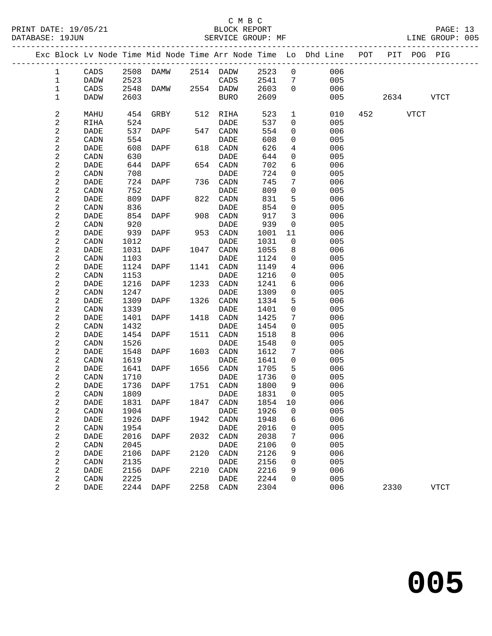### C M B C<br>BLOCK REPORT

PAGE: 13<br>LINE GROUP: 005

|                                | Exc Block Lv Node Time Mid Node Time Arr Node Time Lo Dhd Line POT |              |             |      |                 |              |                |                       |           | PIT POG PIG |
|--------------------------------|--------------------------------------------------------------------|--------------|-------------|------|-----------------|--------------|----------------|-----------------------|-----------|-------------|
| $\mathbf{1}$                   | $\mathtt{CADS}$                                                    |              | 2508 DAMW   |      | 2514 DADW       | 2523         |                | $\overline{0}$<br>006 |           |             |
| $\mathbf{1}$                   | DADW                                                               | 2523         |             |      | CADS            | 2541         | 7              | 005                   |           |             |
| $\mathbf 1$                    | CADS                                                               |              | 2548 DAMW   |      | 2554 DADW       | 2603         | $\mathbf 0$    | 006                   |           |             |
| 1                              | <b>DADW</b>                                                        | 2603         |             |      | BURO            | 2609         |                | 005                   | 2634 VTCT |             |
|                                |                                                                    |              |             |      |                 |              |                |                       |           |             |
| $\boldsymbol{2}$               | MAHU                                                               | 454          | GRBY        | 512  | RIHA            | 523          | $\mathbf 1$    | 010                   | 452 VTCT  |             |
| $\sqrt{2}$                     | RIHA                                                               | 524          |             |      | DADE            | 537          | $\overline{0}$ | 005                   |           |             |
| $\sqrt{2}$                     | DADE                                                               | 537          | DAPF        | 547  | CADN            | 554          | 0              | 006                   |           |             |
| $\boldsymbol{2}$               | CADN                                                               | 554          |             |      | DADE            | 608          | 0              | 005                   |           |             |
| $\sqrt{2}$                     | DADE                                                               | 608          | DAPF        | 618  | CADN            | 626          | 4              | 006                   |           |             |
| $\sqrt{2}$                     | CADN                                                               | 630          |             |      | DADE            | 644          | $\mathbf 0$    | 005                   |           |             |
| $\sqrt{2}$                     | <b>DADE</b>                                                        | 644          | DAPF        | 654  | CADN            | 702          | 6              | 006                   |           |             |
| 2                              | CADN                                                               | 708          |             |      | DADE            | 724          | 0              | 005                   |           |             |
| $\sqrt{2}$                     | DADE                                                               | 724          | DAPF        | 736  | CADN            | 745          | 7              | 006                   |           |             |
| $\sqrt{2}$                     | CADN                                                               | 752          |             |      | DADE            | 809          | 0              | 005                   |           |             |
| $\boldsymbol{2}$               | DADE                                                               | 809          | DAPF        | 822  | CADN            | 831          | 5              | 006                   |           |             |
| $\overline{\mathbf{c}}$        | CADN                                                               | 836          |             |      | DADE            | 854          | $\mathbf 0$    | 005                   |           |             |
| $\sqrt{2}$                     | DADE                                                               | 854          | <b>DAPF</b> | 908  | CADN            | 917          | 3              | 006                   |           |             |
| $\overline{\mathbf{c}}$        | CADN                                                               | 920          |             |      | DADE            | 939          | 0              | 005                   |           |             |
| $\overline{c}$                 | DADE                                                               | 939          | DAPF        | 953  | CADN            | 1001         | 11             | 006                   |           |             |
| $\boldsymbol{2}$               | CADN                                                               | 1012         |             |      | DADE            | 1031         | $\mathbf 0$    | 005                   |           |             |
| $\boldsymbol{2}$               | DADE                                                               | 1031         | DAPF        | 1047 | CADN            | 1055         | 8              | 006                   |           |             |
| $\overline{\mathbf{c}}$        | CADN                                                               | 1103         |             |      | DADE            | 1124         | 0              | 005                   |           |             |
| $\boldsymbol{2}$               | DADE                                                               | 1124         | <b>DAPF</b> | 1141 | CADN            | 1149         | 4              | 006                   |           |             |
| $\boldsymbol{2}$               | CADN                                                               | 1153         |             |      | DADE            | 1216         | 0              | 005                   |           |             |
| $\boldsymbol{2}$               | DADE                                                               | 1216         | DAPF        | 1233 | CADN            | 1241         | 6              | 006                   |           |             |
| $\mathbf 2$                    | CADN                                                               | 1247         |             |      | DADE            | 1309         | 0              | 005                   |           |             |
| $\sqrt{2}$                     | DADE                                                               | 1309         | DAPF        | 1326 | CADN            | 1334         | 5              | 006                   |           |             |
| $\boldsymbol{2}$<br>$\sqrt{2}$ | CADN                                                               | 1339<br>1401 |             | 1418 | DADE            | 1401<br>1425 | 0<br>7         | 005<br>006            |           |             |
| $\overline{\mathbf{c}}$        | DADE<br>CADN                                                       | 1432         | DAPF        |      | CADN<br>DADE    | 1454         | $\mathbf 0$    | 005                   |           |             |
| $\overline{\mathbf{c}}$        | DADE                                                               | 1454         | DAPF        | 1511 | CADN            | 1518         | 8              | 006                   |           |             |
| $\boldsymbol{2}$               | CADN                                                               | 1526         |             |      | <b>DADE</b>     | 1548         | 0              | 005                   |           |             |
| $\boldsymbol{2}$               | DADE                                                               | 1548         | DAPF        | 1603 | CADN            | 1612         | 7              | 006                   |           |             |
| $\sqrt{2}$                     | CADN                                                               | 1619         |             |      | DADE            | 1641         | $\mathbf 0$    | 005                   |           |             |
| $\sqrt{2}$                     | DADE                                                               | 1641         | DAPF        | 1656 | CADN            | 1705         | 5              | 006                   |           |             |
| $\overline{c}$                 | CADN                                                               | 1710         |             |      | DADE            | 1736         | 0              | 005                   |           |             |
| $\boldsymbol{2}$               | DADE                                                               | 1736         | DAPF        | 1751 | $\mathtt{CADN}$ | 1800         | 9              | 006                   |           |             |
| $\overline{c}$                 | CADN                                                               | 1809         |             |      | DADE            | 1831         | 0              | 005                   |           |             |
| $\sqrt{2}$                     | DADE                                                               |              | 1831 DAPF   |      | 1847 CADN       | 1854 10      |                | 006                   |           |             |
| 2                              | CADN                                                               | 1904         |             |      | DADE            | 1926         | 0              | 005                   |           |             |
| 2                              | DADE                                                               | 1926         | DAPF        | 1942 | CADN            | 1948         | 6              | 006                   |           |             |
| $\sqrt{2}$                     | CADN                                                               | 1954         |             |      | DADE            | 2016         | 0              | 005                   |           |             |
| $\overline{\mathbf{c}}$        | DADE                                                               | 2016         | DAPF        | 2032 | CADN            | 2038         | 7              | 006                   |           |             |
| $\boldsymbol{2}$               | CADN                                                               | 2045         |             |      | DADE            | 2106         | 0              | 005                   |           |             |
| 2                              | DADE                                                               | 2106         | <b>DAPF</b> | 2120 | CADN            | 2126         | 9              | 006                   |           |             |
| $\sqrt{2}$                     | CADN                                                               | 2135         |             |      | DADE            | 2156         | 0              | 005                   |           |             |
| $\sqrt{2}$                     | DADE                                                               | 2156         | DAPF        | 2210 | CADN            | 2216         | 9              | 006                   |           |             |
| $\boldsymbol{2}$               | CADN                                                               | 2225         |             |      | DADE            | 2244         | 0              | 005                   |           |             |
| 2                              | DADE                                                               | 2244         | DAPF        | 2258 | CADN            | 2304         |                | 006                   | 2330      | <b>VTCT</b> |
|                                |                                                                    |              |             |      |                 |              |                |                       |           |             |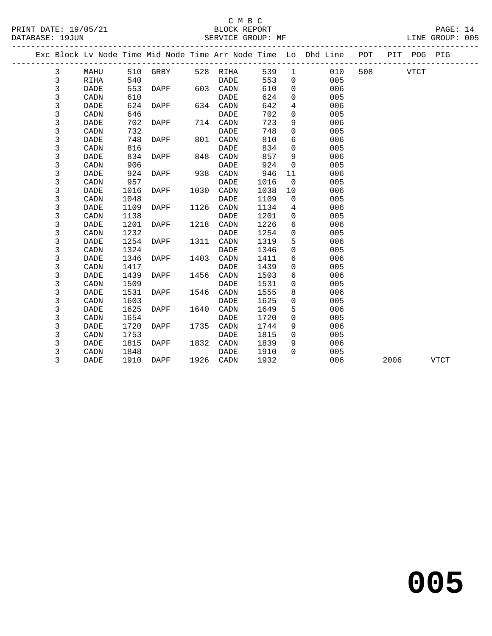### C M B C<br>BLOCK REPORT

| PRINT DATE: 19/05/21<br>DATABASE: 19JUN |                |                        |      |             |      | BLOCK REPORT | SERVICE GROUP: MF |                |                                                                                |        |             | PAGE: 14<br>LINE GROUP: 005 |  |
|-----------------------------------------|----------------|------------------------|------|-------------|------|--------------|-------------------|----------------|--------------------------------------------------------------------------------|--------|-------------|-----------------------------|--|
|                                         |                |                        |      |             |      |              |                   |                | Exc Block Lv Node Time Mid Node Time Arr Node Time Lo Dhd Line POT PIT POG PIG |        |             |                             |  |
|                                         | $\mathbf{3}$   | MAHU                   |      | 510 GRBY    |      | 528 RIHA     | 539               | $\mathbf{1}$   | 010                                                                            | 508 30 | <b>VTCT</b> |                             |  |
|                                         | 3              | RIHA                   | 540  |             |      | DADE         | 553               | $\Omega$       | 005                                                                            |        |             |                             |  |
|                                         | 3              | DADE                   | 553  | DAPF        | 603  | CADN         | 610               | $\mathbf 0$    | 006                                                                            |        |             |                             |  |
|                                         | $\mathsf 3$    | CADN                   | 610  |             |      | DADE         | 624               | 0              | 005                                                                            |        |             |                             |  |
|                                         | $\mathfrak{Z}$ | DADE                   | 624  | DAPF        | 634  | CADN         | 642               | $\overline{4}$ | 006                                                                            |        |             |                             |  |
|                                         | $\mathsf 3$    | CADN                   | 646  |             |      | <b>DADE</b>  | 702               | $\Omega$       | 005                                                                            |        |             |                             |  |
|                                         | $\mathsf{3}$   | DADE                   | 702  | DAPF        | 714  | CADN         | 723               | 9              | 006                                                                            |        |             |                             |  |
|                                         | $\mathsf{3}$   | CADN                   | 732  |             |      | DADE         | 748               | $\mathbf 0$    | 005                                                                            |        |             |                             |  |
|                                         | $\mathfrak{Z}$ | <b>DADE</b>            | 748  | DAPF        | 801  | CADN         | 810               | 6              | 006                                                                            |        |             |                             |  |
|                                         | 3              | $\texttt{CADN}\xspace$ | 816  |             |      | DADE         | 834               | $\mathbf 0$    | 005                                                                            |        |             |                             |  |
|                                         | $\mathfrak{Z}$ | DADE                   | 834  | DAPF        | 848  | CADN         | 857               | 9              | 006                                                                            |        |             |                             |  |
|                                         | $\mathsf 3$    | CADN                   | 906  |             |      | <b>DADE</b>  | 924               | $\mathbf 0$    | 005                                                                            |        |             |                             |  |
|                                         | 3              | DADE                   | 924  | DAPF        | 938  | CADN         | 946               | 11             | 006                                                                            |        |             |                             |  |
|                                         | 3              | CADN                   | 957  |             |      | <b>DADE</b>  | 1016              | $\overline{0}$ | 005                                                                            |        |             |                             |  |
|                                         | $\mathsf 3$    | <b>DADE</b>            | 1016 | DAPF        | 1030 | CADN         | 1038              | 10             | 006                                                                            |        |             |                             |  |
|                                         | $\mathsf{3}$   | CADN                   | 1048 |             |      | <b>DADE</b>  | 1109              | $\mathbf 0$    | 005                                                                            |        |             |                             |  |
|                                         | $\mathfrak{Z}$ | DADE                   | 1109 | DAPF        | 1126 | CADN         | 1134              | 4              | 006                                                                            |        |             |                             |  |
|                                         | $\mathfrak{Z}$ | CADN                   | 1138 |             |      | <b>DADE</b>  | 1201              | $\mathbf 0$    | 005                                                                            |        |             |                             |  |
|                                         | $\mathsf 3$    | <b>DADE</b>            | 1201 | DAPF        | 1218 | CADN         | 1226              | 6              | 006                                                                            |        |             |                             |  |
|                                         | $\mathsf 3$    | CADN                   | 1232 |             |      | DADE         | 1254              | $\mathbf 0$    | 005                                                                            |        |             |                             |  |
|                                         | 3              | DADE                   | 1254 | DAPF        | 1311 | CADN         | 1319              | 5              | 006                                                                            |        |             |                             |  |
|                                         | 3              | CADN                   | 1324 |             |      | <b>DADE</b>  | 1346              | $\mathbf 0$    | 005                                                                            |        |             |                             |  |
|                                         | $\mathsf 3$    | DADE                   | 1346 | DAPF        | 1403 | CADN         | 1411              | 6              | 006                                                                            |        |             |                             |  |
|                                         | $\mathfrak{Z}$ | CADN                   | 1417 |             |      | <b>DADE</b>  | 1439              | $\Omega$       | 005                                                                            |        |             |                             |  |
|                                         | 3              | DADE                   | 1439 | DAPF        | 1456 | CADN         | 1503              | 6              | 006                                                                            |        |             |                             |  |
|                                         | $\mathfrak{Z}$ | CADN                   | 1509 |             |      | <b>DADE</b>  | 1531              | $\mathbf 0$    | 005                                                                            |        |             |                             |  |
|                                         | $\mathsf 3$    | <b>DADE</b>            | 1531 | <b>DAPF</b> | 1546 | CADN         | 1555              | 8              | 006                                                                            |        |             |                             |  |
|                                         | $\mathsf 3$    | CADN                   | 1603 |             |      | <b>DADE</b>  | 1625              | $\mathsf{O}$   | 005                                                                            |        |             |                             |  |
|                                         | 3              | <b>DADE</b>            | 1625 | DAPF        | 1640 | CADN         | 1649              | 5              | 006                                                                            |        |             |                             |  |
|                                         | $\mathbf{3}$   | CADN                   | 1654 |             |      | <b>DADE</b>  | 1720              | $\mathbf 0$    | 005                                                                            |        |             |                             |  |
|                                         | $\mathsf 3$    | <b>DADE</b>            | 1720 | DAPF        | 1735 | CADN         | 1744              | 9              | 006                                                                            |        |             |                             |  |
|                                         | $\mathfrak{Z}$ | CADN                   | 1753 |             |      | <b>DADE</b>  | 1815              | $\mathbf 0$    | 005                                                                            |        |             |                             |  |
|                                         | 3              | DADE                   | 1815 | DAPF        | 1832 | CADN         | 1839              | 9              | 006                                                                            |        |             |                             |  |
|                                         | 3              | CADN                   | 1848 |             |      | <b>DADE</b>  | 1910              | $\Omega$       | 005                                                                            |        |             |                             |  |
|                                         | 3              | <b>DADE</b>            | 1910 | DAPF        | 1926 | CADN         | 1932              |                | 006                                                                            | 2006   |             | <b>VTCT</b>                 |  |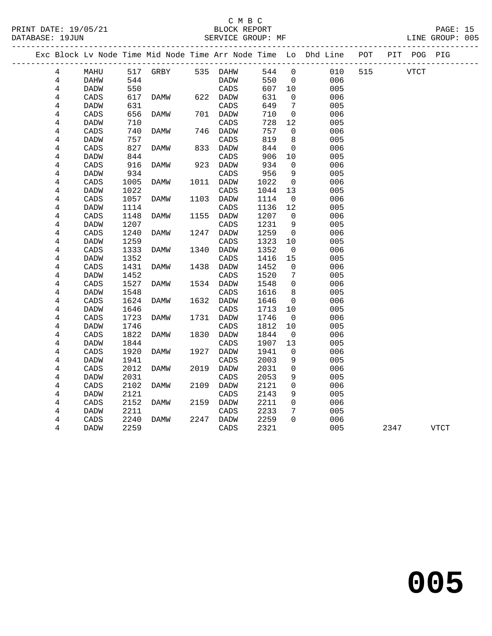| DATABASE: 19JUN     |                     |              |          |      | SERVICE GROUP: MF                |              |              |                                                                    |                        |      |             | LINE GROUP: 005 |  |
|---------------------|---------------------|--------------|----------|------|----------------------------------|--------------|--------------|--------------------------------------------------------------------|------------------------|------|-------------|-----------------|--|
|                     |                     |              |          |      | ________________________________ |              |              | Exc Block Lv Node Time Mid Node Time Arr Node Time Lo Dhd Line POT | ---------------------- |      | PIT POG PIG |                 |  |
| 4                   | MAHU                |              | 517 GRBY |      | 535 DAHW                         | 544          | $\mathbf{0}$ | 010                                                                | 515                    |      | VTCT        |                 |  |
| 4                   | DAHW                | 544          |          |      | <b>DADW</b>                      | 550          | $\mathbf 0$  | 006                                                                |                        |      |             |                 |  |
| 4                   | <b>DADW</b>         | 550          |          |      | CADS                             | 607          | 10           | 005                                                                |                        |      |             |                 |  |
| $\,4$               | CADS                | 617          | DAMW     | 622  | DADW                             | 631          | 0            | 006                                                                |                        |      |             |                 |  |
| 4                   | <b>DADW</b>         | 631          |          |      | CADS                             | 649          | 7            | 005                                                                |                        |      |             |                 |  |
| $\overline{4}$      | $\mathtt{CADS}$     | 656          | DAMW     |      | 701 DADW                         | 710          | $\mathbf 0$  | 006                                                                |                        |      |             |                 |  |
| 4                   | DADW                | 710          |          |      | CADS                             | 728          | 12           | 005                                                                |                        |      |             |                 |  |
| 4                   | CADS                | 740          | DAMW     | 746  | DADW                             | 757          | $\mathbf 0$  | 006                                                                |                        |      |             |                 |  |
| $\overline{4}$      | DADW                | 757          |          |      | CADS                             | 819          | 8            | 005                                                                |                        |      |             |                 |  |
| 4                   | CADS                | 827          | DAMW     | 833  | DADW                             | 844          | $\mathbf 0$  | 006                                                                |                        |      |             |                 |  |
| 4                   | <b>DADW</b>         | 844          |          |      | CADS                             | 906          | 10           | 005                                                                |                        |      |             |                 |  |
| 4                   | CADS                | 916          | DAMW     | 923  | DADW                             | 934          | 0            | 006                                                                |                        |      |             |                 |  |
| 4                   | <b>DADW</b>         | 934          |          |      | CADS                             | 956          | 9            | 005                                                                |                        |      |             |                 |  |
| 4                   | CADS                | 1005         | DAMW     | 1011 | DADW                             | 1022         | 0            | 006                                                                |                        |      |             |                 |  |
| 4                   | <b>DADW</b>         | 1022         |          |      | CADS                             | 1044         | 13           | 005                                                                |                        |      |             |                 |  |
| $\overline{4}$      | CADS                | 1057         | DAMW     | 1103 | <b>DADW</b>                      | 1114         | $\mathbf 0$  | 006                                                                |                        |      |             |                 |  |
| 4                   | <b>DADW</b>         | 1114         |          |      | CADS                             | 1136         | 12           | 005                                                                |                        |      |             |                 |  |
| 4                   | CADS                | 1148         | DAMW     | 1155 | DADW                             | 1207         | 0            | 006                                                                |                        |      |             |                 |  |
| 4                   | <b>DADW</b>         | 1207         |          |      | CADS                             | 1231         | 9            | 005                                                                |                        |      |             |                 |  |
| 4                   | CADS                | 1240         | DAMW     | 1247 | DADW                             | 1259         | 0            | 006                                                                |                        |      |             |                 |  |
| $\overline{4}$      | <b>DADW</b>         | 1259         |          |      | CADS                             | 1323         | 10           | 005                                                                |                        |      |             |                 |  |
| 4                   | CADS                | 1333         | DAMW     | 1340 | DADW                             | 1352         | 0            | 006                                                                |                        |      |             |                 |  |
| 4                   | DADW                | 1352         |          |      | CADS                             | 1416         | 15           | 005                                                                |                        |      |             |                 |  |
| 4                   | CADS                | 1431         | DAMW     | 1438 | DADW                             | 1452         | 0            | 006                                                                |                        |      |             |                 |  |
| 4                   | <b>DADW</b>         | 1452         |          |      | CADS                             | 1520         | 7            | 005                                                                |                        |      |             |                 |  |
| $\overline{4}$      | CADS                | 1527         | DAMW     | 1534 | DADW                             | 1548         | $\mathbf 0$  | 006                                                                |                        |      |             |                 |  |
| 4                   | <b>DADW</b>         | 1548         |          |      | CADS                             | 1616         | 8            | 005                                                                |                        |      |             |                 |  |
| 4                   | CADS                | 1624         | DAMW     | 1632 | DADW                             | 1646         | 0            | 006                                                                |                        |      |             |                 |  |
| 4                   | <b>DADW</b>         | 1646         |          |      | CADS                             | 1713         | 10           | 005                                                                |                        |      |             |                 |  |
| 4                   | CADS                | 1723         | DAMW     | 1731 | <b>DADW</b>                      | 1746         | $\mathbf 0$  | 006                                                                |                        |      |             |                 |  |
| 4                   | <b>DADW</b>         | 1746         |          |      | CADS                             | 1812         | 10           | 005                                                                |                        |      |             |                 |  |
| 4<br>$\overline{4}$ | CADS<br><b>DADW</b> | 1822<br>1844 | DAMW     | 1830 | DADW<br>CADS                     | 1844<br>1907 | 0<br>13      | 006<br>005                                                         |                        |      |             |                 |  |
| 4                   | CADS                | 1920         | DAMW     | 1927 | DADW                             | 1941         | 0            | 006                                                                |                        |      |             |                 |  |
| 4                   | <b>DADW</b>         | 1941         |          |      | CADS                             | 2003         | 9            | 005                                                                |                        |      |             |                 |  |
| 4                   | CADS                | 2012         | DAMW     | 2019 | DADW                             | 2031         | 0            | 006                                                                |                        |      |             |                 |  |
| 4                   | DADW                | 2031         |          |      | CADS                             | 2053         | 9            | 005                                                                |                        |      |             |                 |  |
| 4                   | CADS                | 2102         | DAMW     | 2109 | DADW                             | 2121         | 0            | 006                                                                |                        |      |             |                 |  |
| 4                   | <b>DADW</b>         | 2121         |          |      | CADS                             | 2143         | 9            | 005                                                                |                        |      |             |                 |  |
| 4                   | CADS                | 2152         | DAMW     | 2159 | DADW                             | 2211         | $\mathbf 0$  | 006                                                                |                        |      |             |                 |  |
| 4                   | <b>DADW</b>         | 2211         |          |      | CADS                             | 2233         | 7            | 005                                                                |                        |      |             |                 |  |
| 4                   | CADS                | 2240         | DAMW     | 2247 | DADW                             | 2259         | $\Omega$     | 006                                                                |                        |      |             |                 |  |
| 4                   | <b>DADW</b>         | 2259         |          |      | CADS                             | 2321         |              | 005                                                                |                        | 2347 |             | VTCT            |  |
|                     |                     |              |          |      |                                  |              |              |                                                                    |                        |      |             |                 |  |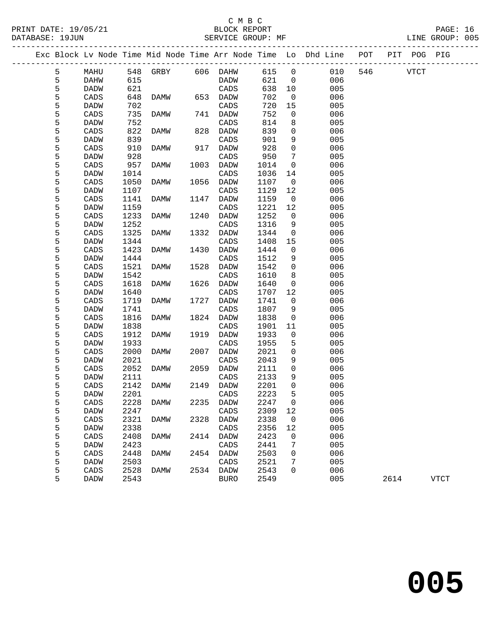### C M B C<br>BLOCK REPORT

PAGE: 16<br>LINE GROUP: 005

|   |             |      |                   |      |             |      |                | Exc Block Lv Node Time Mid Node Time Arr Node Time Lo Dhd Line | POT |             | PIT POG PIG |             |
|---|-------------|------|-------------------|------|-------------|------|----------------|----------------------------------------------------------------|-----|-------------|-------------|-------------|
| 5 | MAHU        |      | 548 GRBY 606 DAHW |      |             | 615  | $\overline{0}$ | 010                                                            | 546 | <b>VTCT</b> |             |             |
| 5 | DAHW        | 615  |                   |      | DADW        | 621  | $\mathbf 0$    | 006                                                            |     |             |             |             |
| 5 | DADW        | 621  |                   |      | CADS        | 638  | 10             | 005                                                            |     |             |             |             |
| 5 | CADS        | 648  | DAMW              |      | 653 DADW    | 702  | $\overline{0}$ | 006                                                            |     |             |             |             |
| 5 | DADW        | 702  |                   |      | CADS        | 720  | 15             | 005                                                            |     |             |             |             |
| 5 | CADS        | 735  | DAMW              |      | 741 DADW    | 752  | 0              | 006                                                            |     |             |             |             |
| 5 | DADW        | 752  |                   |      | CADS        | 814  | 8              | 005                                                            |     |             |             |             |
| 5 | CADS        | 822  | DAMW              | 828  | DADW        | 839  | $\mathbf 0$    | 006                                                            |     |             |             |             |
| 5 | <b>DADW</b> | 839  |                   |      | CADS        | 901  | 9              | 005                                                            |     |             |             |             |
| 5 | CADS        | 910  | DAMW              | 917  | DADW        | 928  | $\mathbf 0$    | 006                                                            |     |             |             |             |
| 5 | <b>DADW</b> | 928  |                   |      | CADS        | 950  | 7              | 005                                                            |     |             |             |             |
| 5 | CADS        | 957  | DAMW              | 1003 | DADW        | 1014 | $\mathbf 0$    | 006                                                            |     |             |             |             |
| 5 | DADW        | 1014 |                   |      | CADS        | 1036 | 14             | 005                                                            |     |             |             |             |
| 5 | CADS        | 1050 | DAMW              | 1056 | DADW        | 1107 | $\overline{0}$ | 006                                                            |     |             |             |             |
| 5 | <b>DADW</b> | 1107 |                   |      | CADS        | 1129 | 12             | 005                                                            |     |             |             |             |
| 5 | CADS        | 1141 | <b>DAMW</b>       | 1147 | DADW        | 1159 | $\overline{0}$ | 006                                                            |     |             |             |             |
| 5 | DADW        | 1159 |                   |      | CADS        | 1221 | 12             | 005                                                            |     |             |             |             |
| 5 | CADS        | 1233 | DAMW              | 1240 | DADW        | 1252 | $\overline{0}$ | 006                                                            |     |             |             |             |
| 5 | DADW        | 1252 |                   |      | CADS        | 1316 | 9              | 005                                                            |     |             |             |             |
| 5 | CADS        | 1325 | DAMW              | 1332 | <b>DADW</b> | 1344 | $\mathbf 0$    | 006                                                            |     |             |             |             |
| 5 | DADW        | 1344 |                   |      | CADS        | 1408 | 15             | 005                                                            |     |             |             |             |
| 5 | CADS        | 1423 | DAMW              | 1430 | DADW        | 1444 | $\mathbf 0$    | 006                                                            |     |             |             |             |
| 5 | DADW        | 1444 |                   |      | CADS        | 1512 | 9              | 005                                                            |     |             |             |             |
| 5 | CADS        | 1521 | DAMW              | 1528 | DADW        | 1542 | $\mathbf 0$    | 006                                                            |     |             |             |             |
| 5 | DADW        | 1542 |                   |      | CADS        | 1610 | 8              | 005                                                            |     |             |             |             |
| 5 | CADS        | 1618 | DAMW              | 1626 | DADW        | 1640 | $\mathsf{O}$   | 006                                                            |     |             |             |             |
| 5 | DADW        | 1640 |                   |      | CADS        | 1707 | 12             | 005                                                            |     |             |             |             |
| 5 | CADS        | 1719 | DAMW              | 1727 | DADW        | 1741 | $\overline{0}$ | 006                                                            |     |             |             |             |
| 5 | DADW        | 1741 |                   |      | CADS        | 1807 | 9              | 005                                                            |     |             |             |             |
| 5 | CADS        | 1816 | DAMW              |      | 1824 DADW   | 1838 | $\overline{0}$ | 006                                                            |     |             |             |             |
| 5 | DADW        | 1838 |                   |      | CADS        | 1901 | 11             | 005                                                            |     |             |             |             |
| 5 | CADS        | 1912 | DAMW              | 1919 | DADW        | 1933 | $\overline{0}$ | 006                                                            |     |             |             |             |
| 5 | DADW        | 1933 |                   |      | CADS        | 1955 | 5              | 005                                                            |     |             |             |             |
| 5 | CADS        | 2000 | DAMW              | 2007 | DADW        | 2021 | $\mathsf{O}$   | 006                                                            |     |             |             |             |
| 5 | DADW        | 2021 |                   |      | CADS        | 2043 | 9              | 005                                                            |     |             |             |             |
| 5 | CADS        | 2052 | DAMW              | 2059 | DADW        | 2111 | $\overline{0}$ | 006                                                            |     |             |             |             |
| 5 | DADW        | 2111 |                   |      | CADS        | 2133 | 9              | 005                                                            |     |             |             |             |
| 5 | CADS        | 2142 | DAMW              |      | 2149 DADW   | 2201 | $\mathbf 0$    | 006                                                            |     |             |             |             |
| 5 | <b>DADW</b> | 2201 |                   |      | CADS        | 2223 | 5              | 005                                                            |     |             |             |             |
| 5 | CADS        |      | 2228 DAMW         |      | 2235 DADW   | 2247 | $\overline{0}$ | 006                                                            |     |             |             |             |
| 5 | DADW        | 2247 |                   |      | CADS        | 2309 | 12             | 005                                                            |     |             |             |             |
| 5 | CADS        | 2321 | DAMW              | 2328 | DADW        | 2338 | 0              | 006                                                            |     |             |             |             |
| 5 | <b>DADW</b> | 2338 |                   |      | CADS        | 2356 | 12             | 005                                                            |     |             |             |             |
| 5 | CADS        | 2408 | DAMW              | 2414 | DADW        | 2423 | 0              | 006                                                            |     |             |             |             |
| 5 | <b>DADW</b> | 2423 |                   |      | CADS        | 2441 | 7              | 005                                                            |     |             |             |             |
| 5 | CADS        | 2448 | DAMW              | 2454 | DADW        | 2503 | 0              | 006                                                            |     |             |             |             |
| 5 | <b>DADW</b> | 2503 |                   |      | CADS        | 2521 | 7              | 005                                                            |     |             |             |             |
| 5 | CADS        | 2528 | DAMW              | 2534 | DADW        | 2543 | 0              | 006                                                            |     |             |             |             |
| 5 | DADW        | 2543 |                   |      | <b>BURO</b> | 2549 |                | 005                                                            |     | 2614        |             | <b>VTCT</b> |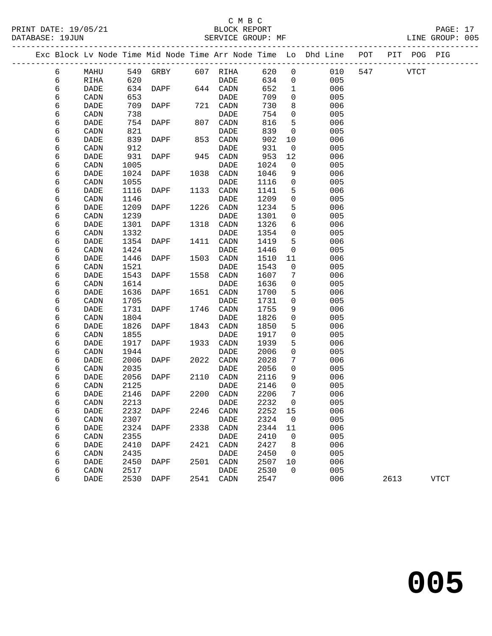|  |        |              |              |             |      |              |              |                 | Exc Block Lv Node Time Mid Node Time Arr Node Time Lo Dhd Line | POT |             | PIT POG PIG |             |
|--|--------|--------------|--------------|-------------|------|--------------|--------------|-----------------|----------------------------------------------------------------|-----|-------------|-------------|-------------|
|  | 6      | MAHU         |              | 549 GRBY    |      | 607 RIHA     | 620          | $\mathbf 0$     | 010                                                            | 547 | <b>VTCT</b> |             |             |
|  | 6      | RIHA         | 620          |             |      | DADE         | 634          | $\overline{0}$  | 005                                                            |     |             |             |             |
|  | 6      | DADE         | 634          | DAPF        |      | 644 CADN     | 652          | $\mathbf{1}$    | 006                                                            |     |             |             |             |
|  | 6      | CADN         | 653          |             |      | DADE         | 709          | $\mathbf 0$     | 005                                                            |     |             |             |             |
|  | 6      | DADE         | 709          | DAPF        |      | 721 CADN     | 730          | 8               | 006                                                            |     |             |             |             |
|  | 6      | CADN         | 738          |             |      | DADE         | 754          | $\mathsf{O}$    | 005                                                            |     |             |             |             |
|  | 6      | DADE         | 754          | DAPF        | 807  | CADN         | 816          | 5               | 006                                                            |     |             |             |             |
|  | 6      | CADN         | 821          |             |      | DADE         | 839          | $\mathbf 0$     | 005                                                            |     |             |             |             |
|  | 6      | DADE         | 839          | DAPF        | 853  | CADN         | 902          | 10              | 006                                                            |     |             |             |             |
|  | 6      | CADN         | 912          |             |      | <b>DADE</b>  | 931          | $\overline{0}$  | 005                                                            |     |             |             |             |
|  | 6      | DADE         | 931          | DAPF        | 945  | CADN         | 953          | 12              | 006                                                            |     |             |             |             |
|  | 6      | CADN         | 1005         |             |      | DADE         | 1024         | 0               | 005                                                            |     |             |             |             |
|  | 6      | DADE         | 1024         | DAPF        | 1038 | CADN         | 1046         | 9               | 006                                                            |     |             |             |             |
|  | 6      | CADN         | 1055         |             |      | DADE         | 1116         | $\mathsf{O}$    | 005                                                            |     |             |             |             |
|  | 6      | DADE         | 1116         | DAPF        | 1133 | CADN         | 1141         | 5               | 006                                                            |     |             |             |             |
|  | 6      | CADN         | 1146         |             |      | DADE         | 1209         | 0               | 005                                                            |     |             |             |             |
|  | 6      | <b>DADE</b>  | 1209         | DAPF        | 1226 | CADN         | 1234         | 5               | 006                                                            |     |             |             |             |
|  | 6      | CADN         | 1239         |             |      | DADE         | 1301         | $\mathsf{O}$    | 005                                                            |     |             |             |             |
|  | 6      | DADE         | 1301         | DAPF        | 1318 | CADN         | 1326         | 6               | 006                                                            |     |             |             |             |
|  | 6      | CADN         | 1332         |             |      | DADE         | 1354         | 0               | 005                                                            |     |             |             |             |
|  | 6      | DADE         | 1354         | DAPF        | 1411 | CADN         | 1419         | 5               | 006                                                            |     |             |             |             |
|  | 6      | CADN         | 1424         |             |      | DADE         | 1446         | $\mathbf 0$     | 005                                                            |     |             |             |             |
|  | 6      | DADE         | 1446         | DAPF        | 1503 | CADN         | 1510         | 11              | 006                                                            |     |             |             |             |
|  | 6      | CADN         | 1521         |             |      | DADE         | 1543         | 0               | 005                                                            |     |             |             |             |
|  | 6      | DADE         | 1543         | DAPF        | 1558 | CADN         | 1607         | 7               | 006                                                            |     |             |             |             |
|  | 6      | CADN         | 1614         |             |      | DADE         | 1636         | 0               | 005                                                            |     |             |             |             |
|  | 6      | DADE         | 1636         | DAPF        | 1651 | CADN         | 1700         | 5               | 006                                                            |     |             |             |             |
|  | 6      | CADN         | 1705         |             |      | DADE         | 1731         | 0               | 005                                                            |     |             |             |             |
|  | 6      | DADE         | 1731         | DAPF        | 1746 | CADN         | 1755         | 9               | 006                                                            |     |             |             |             |
|  | 6      | CADN         | 1804         |             |      | DADE         | 1826         | 0               | 005                                                            |     |             |             |             |
|  | 6      | DADE         | 1826         | DAPF        | 1843 | CADN         | 1850         | 5               | 006                                                            |     |             |             |             |
|  | 6      | CADN         | 1855         |             | 1933 | DADE         | 1917         | 0<br>5          | 005<br>006                                                     |     |             |             |             |
|  | 6      | DADE<br>CADN | 1917         | DAPF        |      | CADN         | 1939<br>2006 | 0               |                                                                |     |             |             |             |
|  | 6<br>6 | DADE         | 1944<br>2006 | DAPF        | 2022 | DADE<br>CADN | 2028         | 7               | 005<br>006                                                     |     |             |             |             |
|  | 6      | CADN         | 2035         |             |      | DADE         | 2056         | 0               | 005                                                            |     |             |             |             |
|  | 6      | DADE         | 2056         | DAPF        | 2110 | CADN         | 2116         | 9               | 006                                                            |     |             |             |             |
|  | 6      | CADN         | 2125         |             |      | DADE         | 2146         | $\mathbf 0$     | 005                                                            |     |             |             |             |
|  | 6      | DADE         |              | 2146 DAPF   |      | 2200 CADN    | 2206         | $7\phantom{.0}$ | 006                                                            |     |             |             |             |
|  | 6      | CADN         | 2213         |             |      | DADE         | 2232         | $\overline{0}$  | 005                                                            |     |             |             |             |
|  | 6      | DADE         | 2232         | DAPF        | 2246 | CADN         | 2252         | 15              | 006                                                            |     |             |             |             |
|  | 6      | CADN         | 2307         |             |      | DADE         | 2324         | $\overline{0}$  | 005                                                            |     |             |             |             |
|  | 6      | DADE         | 2324         | DAPF        | 2338 | CADN         | 2344         | 11              | 006                                                            |     |             |             |             |
|  | 6      | CADN         | 2355         |             |      | DADE         | 2410         | 0               | 005                                                            |     |             |             |             |
|  | 6      | DADE         | 2410         | <b>DAPF</b> | 2421 | CADN         | 2427         | 8               | 006                                                            |     |             |             |             |
|  | 6      | CADN         | 2435         |             |      | DADE         | 2450         | 0               | 005                                                            |     |             |             |             |
|  | 6      | DADE         | 2450         | DAPF        | 2501 | CADN         | 2507         | 10              | 006                                                            |     |             |             |             |
|  | 6      | CADN         | 2517         |             |      | DADE         | 2530         | 0               | 005                                                            |     |             |             |             |
|  | 6      | DADE         | 2530         | DAPF        | 2541 | CADN         | 2547         |                 | 006                                                            |     | 2613        |             | <b>VTCT</b> |
|  |        |              |              |             |      |              |              |                 |                                                                |     |             |             |             |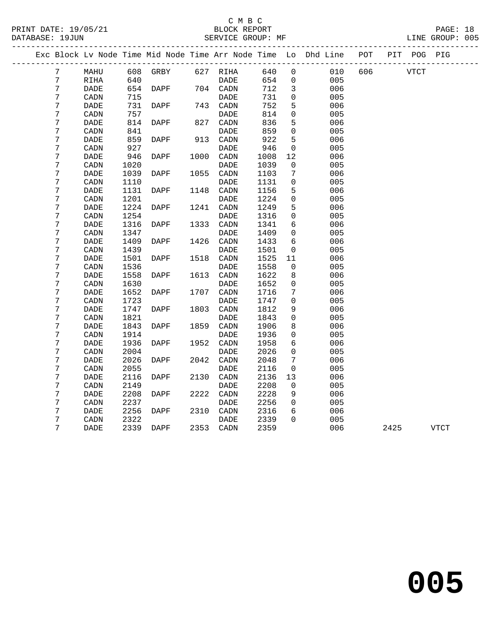## C M B C<br>BLOCK REPORT

PAGE: 18<br>LINE GROUP: 005

|  |                  |                              |      |          |      |                              |      |                | Exc Block Lv Node Time Mid Node Time Arr Node Time Lo Dhd Line | POT |      | PIT POG PIG |             |
|--|------------------|------------------------------|------|----------|------|------------------------------|------|----------------|----------------------------------------------------------------|-----|------|-------------|-------------|
|  | 7                | MAHU                         |      | 608 GRBY |      | 627 RIHA                     | 640  | $\Omega$       | 010                                                            | 606 | VTCT |             |             |
|  | $7\phantom{.}$   | RIHA                         | 640  |          |      | DADE                         | 654  | $\overline{0}$ | 005                                                            |     |      |             |             |
|  | $\overline{7}$   | <b>DADE</b>                  | 654  | DAPF     |      | 704 CADN                     | 712  | $\overline{3}$ | 006                                                            |     |      |             |             |
|  | 7                | CADN                         | 715  |          |      | DADE                         | 731  | $\Omega$       | 005                                                            |     |      |             |             |
|  | 7                | $\ensuremath{\mathsf{DADE}}$ | 731  | DAPF     |      | 743 CADN                     | 752  | 5              | 006                                                            |     |      |             |             |
|  | 7                | CADN                         | 757  |          |      | DADE                         | 814  | 0              | 005                                                            |     |      |             |             |
|  | 7                | DADE                         | 814  | DAPF     | 827  | CADN                         | 836  | 5              | 006                                                            |     |      |             |             |
|  | $\boldsymbol{7}$ | CADN                         | 841  |          |      | DADE                         | 859  | $\mathsf{O}$   | 005                                                            |     |      |             |             |
|  | 7                | DADE                         | 859  | DAPF     | 913  | CADN                         | 922  | 5              | 006                                                            |     |      |             |             |
|  | 7                | CADN                         | 927  |          |      | DADE                         | 946  | $\mathbf 0$    | 005                                                            |     |      |             |             |
|  | 7                | <b>DADE</b>                  | 946  | DAPF     | 1000 | CADN                         | 1008 | 12             | 006                                                            |     |      |             |             |
|  | 7                | CADN                         | 1020 |          |      | DADE                         | 1039 | 0              | 005                                                            |     |      |             |             |
|  | 7                | DADE                         | 1039 | DAPF     | 1055 | CADN                         | 1103 | 7              | 006                                                            |     |      |             |             |
|  | 7                | $\texttt{CADN}\xspace$       | 1110 |          |      | $\ensuremath{\mathsf{DADE}}$ | 1131 | $\mathbf 0$    | 005                                                            |     |      |             |             |
|  | 7                | DADE                         | 1131 | DAPF     | 1148 | CADN                         | 1156 | 5              | 006                                                            |     |      |             |             |
|  | 7                | $\texttt{CADN}\xspace$       | 1201 |          |      | DADE                         | 1224 | $\mathbf 0$    | 005                                                            |     |      |             |             |
|  | 7                | DADE                         | 1224 | DAPF     | 1241 | CADN                         | 1249 | 5              | 006                                                            |     |      |             |             |
|  | 7                | CADN                         | 1254 |          |      | <b>DADE</b>                  | 1316 | $\mathbf 0$    | 005                                                            |     |      |             |             |
|  | 7                | DADE                         | 1316 | DAPF     | 1333 | CADN                         | 1341 | 6              | 006                                                            |     |      |             |             |
|  | 7                | CADN                         | 1347 |          |      | DADE                         | 1409 | $\mathbf 0$    | 005                                                            |     |      |             |             |
|  | 7                | <b>DADE</b>                  | 1409 | DAPF     | 1426 | CADN                         | 1433 | 6              | 006                                                            |     |      |             |             |
|  | 7                | CADN                         | 1439 |          |      | DADE                         | 1501 | 0              | 005                                                            |     |      |             |             |
|  | 7                | $\ensuremath{\mathsf{DADE}}$ | 1501 | DAPF     | 1518 | CADN                         | 1525 | 11             | 006                                                            |     |      |             |             |
|  | 7                | CADN                         | 1536 |          |      | <b>DADE</b>                  | 1558 | 0              | 005                                                            |     |      |             |             |
|  | 7                | DADE                         | 1558 | DAPF     | 1613 | CADN                         | 1622 | 8              | 006                                                            |     |      |             |             |
|  | 7                | CADN                         | 1630 |          |      | <b>DADE</b>                  | 1652 | $\mathbf 0$    | 005                                                            |     |      |             |             |
|  | 7                | DADE                         | 1652 | DAPF     | 1707 | CADN                         | 1716 | 7              | 006                                                            |     |      |             |             |
|  | 7                | CADN                         | 1723 |          |      | DADE                         | 1747 | $\mathbf 0$    | 005                                                            |     |      |             |             |
|  | 7                | <b>DADE</b>                  | 1747 | DAPF     | 1803 | CADN                         | 1812 | 9              | 006                                                            |     |      |             |             |
|  | 7                | CADN                         | 1821 |          |      | DADE                         | 1843 | $\Omega$       | 005                                                            |     |      |             |             |
|  | 7                | DADE                         | 1843 | DAPF     | 1859 | CADN                         | 1906 | 8              | 006                                                            |     |      |             |             |
|  | 7                | CADN                         | 1914 |          |      | DADE                         | 1936 | 0              | 005                                                            |     |      |             |             |
|  | 7                | DADE                         | 1936 | DAPF     | 1952 | CADN                         | 1958 | 6              | 006                                                            |     |      |             |             |
|  | 7                | $\texttt{CADN}\xspace$       | 2004 |          |      | DADE                         | 2026 | $\mathbf 0$    | 005                                                            |     |      |             |             |
|  | 7                | <b>DADE</b>                  | 2026 | DAPF     | 2042 | CADN                         | 2048 | 7              | 006                                                            |     |      |             |             |
|  | 7                | CADN                         | 2055 |          |      | <b>DADE</b>                  | 2116 | $\overline{0}$ | 005                                                            |     |      |             |             |
|  | 7                | <b>DADE</b>                  | 2116 | DAPF     | 2130 | CADN                         | 2136 | 13             | 006                                                            |     |      |             |             |
|  | 7                | CADN                         | 2149 |          |      | DADE                         | 2208 | $\overline{0}$ | 005                                                            |     |      |             |             |
|  | 7                | <b>DADE</b>                  | 2208 | DAPF     | 2222 | CADN                         | 2228 | 9              | 006                                                            |     |      |             |             |
|  | 7                | CADN                         | 2237 |          |      | <b>DADE</b>                  | 2256 | $\mathbf 0$    | 005                                                            |     |      |             |             |
|  | 7                | DADE                         | 2256 | DAPF     | 2310 | CADN                         | 2316 | 6              | 006                                                            |     |      |             |             |
|  | 7                | CADN                         | 2322 |          |      | <b>DADE</b>                  | 2339 | $\Omega$       | 005                                                            |     |      |             |             |
|  | 7                | DADE                         | 2339 | DAPF     | 2353 | CADN                         | 2359 |                | 006                                                            |     | 2425 |             | <b>VTCT</b> |
|  |                  |                              |      |          |      |                              |      |                |                                                                |     |      |             |             |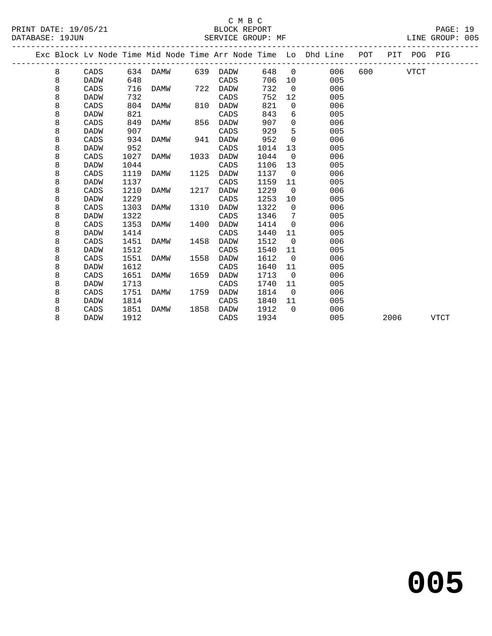## C M B C<br>BLOCK REPORT

PAGE: 19<br>LINE GROUP: 005

|  |   |             |      |      |      |             |      |                | Exc Block Lv Node Time Mid Node Time Arr Node Time Lo Dhd Line | POT |      | PIT POG PIG |             |
|--|---|-------------|------|------|------|-------------|------|----------------|----------------------------------------------------------------|-----|------|-------------|-------------|
|  | 8 | CADS        | 634  | DAMW | 639  | DADW        | 648  | $\Omega$       | 006                                                            | 600 |      | <b>VTCT</b> |             |
|  | 8 | <b>DADW</b> | 648  |      |      | CADS        | 706  | 10             | 005                                                            |     |      |             |             |
|  | 8 | CADS        | 716  | DAMW | 722  | <b>DADW</b> | 732  | $\mathbf 0$    | 006                                                            |     |      |             |             |
|  | 8 | <b>DADW</b> | 732  |      |      | CADS        | 752  | 12             | 005                                                            |     |      |             |             |
|  | 8 | CADS        | 804  | DAMW | 810  | DADW        | 821  | 0              | 006                                                            |     |      |             |             |
|  | 8 | DADW        | 821  |      |      | CADS        | 843  | 6              | 005                                                            |     |      |             |             |
|  | 8 | CADS        | 849  | DAMW | 856  | DADW        | 907  | 0              | 006                                                            |     |      |             |             |
|  | 8 | DADW        | 907  |      |      | CADS        | 929  | 5              | 005                                                            |     |      |             |             |
|  | 8 | CADS        | 934  | DAMW | 941  | DADW        | 952  | 0              | 006                                                            |     |      |             |             |
|  | 8 | DADW        | 952  |      |      | CADS        | 1014 | 13             | 005                                                            |     |      |             |             |
|  | 8 | CADS        | 1027 | DAMW | 1033 | <b>DADW</b> | 1044 | $\Omega$       | 006                                                            |     |      |             |             |
|  | 8 | DADW        | 1044 |      |      | CADS        | 1106 | 13             | 005                                                            |     |      |             |             |
|  | 8 | CADS        | 1119 | DAMW | 1125 | DADW        | 1137 | $\mathbf 0$    | 006                                                            |     |      |             |             |
|  | 8 | DADW        | 1137 |      |      | CADS        | 1159 | 11             | 005                                                            |     |      |             |             |
|  | 8 | CADS        | 1210 | DAMW | 1217 | DADW        | 1229 | $\Omega$       | 006                                                            |     |      |             |             |
|  | 8 | <b>DADW</b> | 1229 |      |      | CADS        | 1253 | 10             | 005                                                            |     |      |             |             |
|  | 8 | CADS        | 1303 | DAMW | 1310 | DADW        | 1322 | $\Omega$       | 006                                                            |     |      |             |             |
|  | 8 | DADW        | 1322 |      |      | CADS        | 1346 | 7              | 005                                                            |     |      |             |             |
|  | 8 | CADS        | 1353 | DAMW | 1400 | DADW        | 1414 | $\mathbf 0$    | 006                                                            |     |      |             |             |
|  | 8 | DADW        | 1414 |      |      | CADS        | 1440 | 11             | 005                                                            |     |      |             |             |
|  | 8 | CADS        | 1451 | DAMW | 1458 | DADW        | 1512 | $\overline{0}$ | 006                                                            |     |      |             |             |
|  | 8 | DADW        | 1512 |      |      | CADS        | 1540 | 11             | 005                                                            |     |      |             |             |
|  | 8 | CADS        | 1551 | DAMW | 1558 | DADW        | 1612 | $\Omega$       | 006                                                            |     |      |             |             |
|  | 8 | <b>DADW</b> | 1612 |      |      | CADS        | 1640 | 11             | 005                                                            |     |      |             |             |
|  | 8 | CADS        | 1651 | DAMW | 1659 | DADW        | 1713 | $\overline{0}$ | 006                                                            |     |      |             |             |
|  | 8 | DADW        | 1713 |      |      | CADS        | 1740 | 11             | 005                                                            |     |      |             |             |
|  | 8 | CADS        | 1751 | DAMW | 1759 | <b>DADW</b> | 1814 | $\Omega$       | 006                                                            |     |      |             |             |
|  | 8 | DADW        | 1814 |      |      | CADS        | 1840 | 11             | 005                                                            |     |      |             |             |
|  | 8 | CADS        | 1851 | DAMW | 1858 | DADW        | 1912 | $\Omega$       | 006                                                            |     |      |             |             |
|  | 8 | DADW        | 1912 |      |      | CADS        | 1934 |                | 005                                                            |     | 2006 |             | <b>VTCT</b> |
|  |   |             |      |      |      |             |      |                |                                                                |     |      |             |             |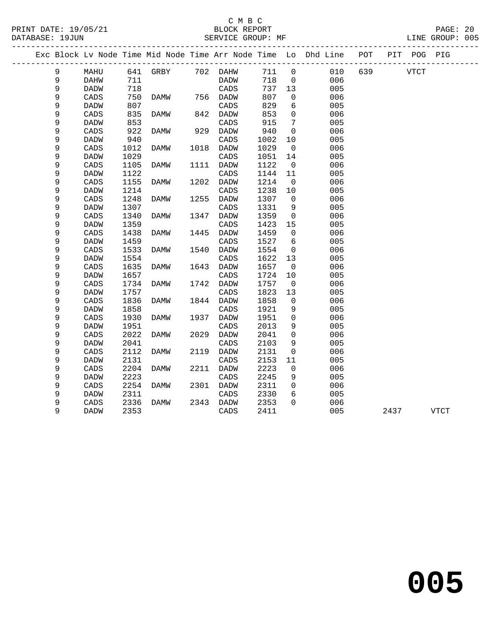### C M B C<br>BLOCK REPORT

PAGE: 20<br>LINE GROUP: 005

|   |             |      |                   |      |             |      |                 | Exc Block Lv Node Time Mid Node Time Arr Node Time Lo Dhd Line POT |     |             | PIT POG PIG |      |  |
|---|-------------|------|-------------------|------|-------------|------|-----------------|--------------------------------------------------------------------|-----|-------------|-------------|------|--|
| 9 | MAHU        |      | 641 GRBY 702 DAHW |      |             | 711  | $\mathsf{O}$    | 010                                                                | 639 | <b>VTCT</b> |             |      |  |
| 9 | DAHW        | 711  |                   |      | DADW        | 718  | $\mathbf{0}$    | 006                                                                |     |             |             |      |  |
| 9 | DADW        | 718  |                   |      | CADS        | 737  | 13              | 005                                                                |     |             |             |      |  |
| 9 | CADS        | 750  | DAMW              |      | 756 DADW    | 807  | 0               | 006                                                                |     |             |             |      |  |
| 9 | <b>DADW</b> | 807  |                   |      | CADS        | 829  | 6               | 005                                                                |     |             |             |      |  |
| 9 | CADS        | 835  | DAMW              |      | 842 DADW    | 853  | $\mathbf 0$     | 006                                                                |     |             |             |      |  |
| 9 | <b>DADW</b> | 853  |                   |      | CADS        | 915  | 7               | 005                                                                |     |             |             |      |  |
| 9 | CADS        | 922  | DAMW              | 929  | DADW        | 940  | $\Omega$        | 006                                                                |     |             |             |      |  |
| 9 | <b>DADW</b> | 940  |                   |      | CADS        | 1002 | 10              | 005                                                                |     |             |             |      |  |
| 9 | CADS        | 1012 | DAMW              | 1018 | DADW        | 1029 | 0               | 006                                                                |     |             |             |      |  |
| 9 | <b>DADW</b> | 1029 |                   |      | CADS        | 1051 | 14              | 005                                                                |     |             |             |      |  |
| 9 | CADS        | 1105 | DAMW              | 1111 | DADW        | 1122 | 0               | 006                                                                |     |             |             |      |  |
| 9 | <b>DADW</b> | 1122 |                   |      | CADS        | 1144 | 11              | 005                                                                |     |             |             |      |  |
| 9 | CADS        | 1155 | DAMW              | 1202 | DADW        | 1214 | $\overline{0}$  | 006                                                                |     |             |             |      |  |
| 9 | <b>DADW</b> | 1214 |                   |      | CADS        | 1238 | 10              | 005                                                                |     |             |             |      |  |
| 9 | CADS        | 1248 | DAMW              | 1255 | DADW        | 1307 | $\mathbf 0$     | 006                                                                |     |             |             |      |  |
| 9 | <b>DADW</b> | 1307 |                   |      | CADS        | 1331 | 9               | 005                                                                |     |             |             |      |  |
| 9 | CADS        | 1340 | DAMW              | 1347 | DADW        | 1359 | $\mathbf 0$     | 006                                                                |     |             |             |      |  |
| 9 | <b>DADW</b> | 1359 |                   |      | CADS        | 1423 | 15              | 005                                                                |     |             |             |      |  |
| 9 | CADS        | 1438 | DAMW              | 1445 | <b>DADW</b> | 1459 | $\mathbf 0$     | 006                                                                |     |             |             |      |  |
| 9 | <b>DADW</b> | 1459 |                   |      | CADS        | 1527 | $6\overline{6}$ | 005                                                                |     |             |             |      |  |
| 9 | CADS        | 1533 | DAMW              | 1540 | DADW        | 1554 | 0               | 006                                                                |     |             |             |      |  |
| 9 | <b>DADW</b> | 1554 |                   |      | CADS        | 1622 | 13              | 005                                                                |     |             |             |      |  |
| 9 | CADS        | 1635 | DAMW              | 1643 | DADW        | 1657 | $\mathbf 0$     | 006                                                                |     |             |             |      |  |
| 9 | <b>DADW</b> | 1657 |                   |      | CADS        | 1724 | 10              | 005                                                                |     |             |             |      |  |
| 9 | CADS        | 1734 | DAMW              | 1742 | DADW        | 1757 | $\overline{0}$  | 006                                                                |     |             |             |      |  |
| 9 | <b>DADW</b> | 1757 |                   |      | CADS        | 1823 | 13              | 005                                                                |     |             |             |      |  |
| 9 | CADS        | 1836 | DAMW              | 1844 | DADW        | 1858 | $\mathbf 0$     | 006                                                                |     |             |             |      |  |
| 9 | <b>DADW</b> | 1858 |                   |      | CADS        | 1921 | 9               | 005                                                                |     |             |             |      |  |
| 9 | CADS        | 1930 | DAMW              | 1937 | DADW        | 1951 | $\mathbf 0$     | 006                                                                |     |             |             |      |  |
| 9 | <b>DADW</b> | 1951 |                   |      | CADS        | 2013 | 9               | 005                                                                |     |             |             |      |  |
| 9 | CADS        | 2022 | DAMW              | 2029 | <b>DADW</b> | 2041 | $\Omega$        | 006                                                                |     |             |             |      |  |
| 9 | DADW        | 2041 |                   |      | CADS        | 2103 | 9               | 005                                                                |     |             |             |      |  |
| 9 | CADS        | 2112 | DAMW              | 2119 | DADW        | 2131 | 0               | 006                                                                |     |             |             |      |  |
| 9 | <b>DADW</b> | 2131 |                   |      | CADS        | 2153 | 11              | 005                                                                |     |             |             |      |  |
| 9 | CADS        | 2204 | DAMW              | 2211 | DADW        | 2223 | $\mathbf 0$     | 006                                                                |     |             |             |      |  |
| 9 | DADW        | 2223 |                   |      | CADS        | 2245 | 9               | 005                                                                |     |             |             |      |  |
| 9 | CADS        | 2254 | DAMW              | 2301 | <b>DADW</b> | 2311 | $\mathbf 0$     | 006                                                                |     |             |             |      |  |
| 9 | DADW        | 2311 |                   |      | CADS        | 2330 | 6               | 005                                                                |     |             |             |      |  |
| 9 | CADS        | 2336 | DAMW              | 2343 | DADW        | 2353 | $\Omega$        | 006                                                                |     |             |             |      |  |
| 9 | DADW        | 2353 |                   |      | CADS        | 2411 |                 | 005                                                                |     | 2437        |             | VTCT |  |
|   |             |      |                   |      |             |      |                 |                                                                    |     |             |             |      |  |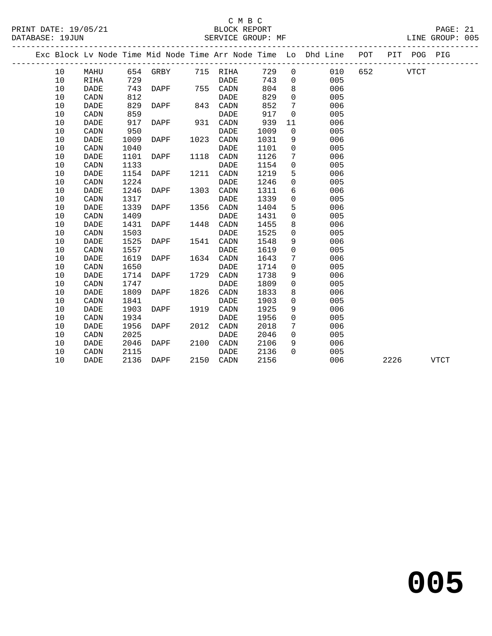## C M B C<br>BLOCK REPORT

| PRINT DATE: 19/05/21<br>DATABASE: 19JUN |      |             |      | /21 BLOCK REPORT SERVICE GROUP: |      | SERVICE GROUP: MF |      |                       |                                                                                |     |             | PAGE: 21<br>LINE GROUP: 005 |  |
|-----------------------------------------|------|-------------|------|---------------------------------|------|-------------------|------|-----------------------|--------------------------------------------------------------------------------|-----|-------------|-----------------------------|--|
|                                         |      |             |      |                                 |      |                   |      |                       | Exc Block Lv Node Time Mid Node Time Arr Node Time Lo Dhd Line POT PIT POG PIG |     |             |                             |  |
|                                         | 10   | MAHU        |      | 654 GRBY                        |      | 715 RIHA          |      | 729<br>$\overline{0}$ | 010                                                                            | 652 | <b>VTCT</b> |                             |  |
|                                         | 10   | RIHA        | 729  |                                 |      | <b>DADE</b>       |      | 743<br>$\Omega$       | 005                                                                            |     |             |                             |  |
|                                         | 10   | <b>DADE</b> | 743  | DAPF                            | 755  | CADN              |      | 804<br>8              | 006                                                                            |     |             |                             |  |
|                                         | 10   | CADN        | 812  |                                 |      | <b>DADE</b>       |      | 829<br>$\mathbf 0$    | 005                                                                            |     |             |                             |  |
|                                         | 10   | <b>DADE</b> | 829  | DAPF                            | 843  | CADN              |      | 852<br>7              | 006                                                                            |     |             |                             |  |
|                                         | 10   | CADN        | 859  |                                 |      | DADE              |      | 917<br>$\mathbf 0$    | 005                                                                            |     |             |                             |  |
|                                         | 10   | <b>DADE</b> | 917  | <b>DAPF</b>                     | 931  | CADN              |      | 939<br>11             | 006                                                                            |     |             |                             |  |
|                                         | 10   | CADN        | 950  |                                 |      | <b>DADE</b>       | 1009 | $\mathsf{O}$          | 005                                                                            |     |             |                             |  |
|                                         | 10   | <b>DADE</b> | 1009 | <b>DAPF</b>                     | 1023 | CADN              | 1031 | 9                     | 006                                                                            |     |             |                             |  |
|                                         | 10   | CADN        | 1040 |                                 |      | DADE              | 1101 | $\mathbf 0$           | 005                                                                            |     |             |                             |  |
|                                         | 10   | <b>DADE</b> | 1101 | DAPF                            | 1118 | CADN              | 1126 | 7                     | 006                                                                            |     |             |                             |  |
|                                         | 10   | CADN        | 1133 |                                 |      | <b>DADE</b>       | 1154 | $\mathbf 0$           | 005                                                                            |     |             |                             |  |
|                                         | 10   | <b>DADE</b> | 1154 | DAPF                            | 1211 | CADN              | 1219 | 5                     | 006                                                                            |     |             |                             |  |
|                                         | $10$ | CADN        | 1224 |                                 |      | <b>DADE</b>       | 1246 | 0                     | 005                                                                            |     |             |                             |  |
|                                         | 10   | <b>DADE</b> | 1246 | DAPF                            | 1303 | CADN              | 1311 | 6                     | 006                                                                            |     |             |                             |  |
|                                         | 10   | CADN        | 1317 |                                 |      | <b>DADE</b>       | 1339 | $\mathbf 0$           | 005                                                                            |     |             |                             |  |
|                                         | 10   | DADE        | 1339 | DAPF                            | 1356 | CADN              | 1404 | 5                     | 006                                                                            |     |             |                             |  |
|                                         | 10   | CADN        | 1409 |                                 |      | <b>DADE</b>       | 1431 | $\mathbf 0$           | 005                                                                            |     |             |                             |  |
|                                         | 10   | <b>DADE</b> | 1431 | DAPF                            | 1448 | CADN              | 1455 | 8                     | 006                                                                            |     |             |                             |  |
|                                         | 10   | CADN        | 1503 |                                 |      | <b>DADE</b>       | 1525 | $\mathbf 0$           | 005                                                                            |     |             |                             |  |
|                                         | 10   | <b>DADE</b> | 1525 | <b>DAPF</b>                     | 1541 | CADN              | 1548 | 9                     | 006                                                                            |     |             |                             |  |
|                                         | 10   | CADN        | 1557 |                                 |      | <b>DADE</b>       | 1619 | $\mathbf 0$           | 005                                                                            |     |             |                             |  |
|                                         | 10   | <b>DADE</b> | 1619 | <b>DAPF</b>                     | 1634 | CADN              | 1643 | 7                     | 006                                                                            |     |             |                             |  |
|                                         | 10   | CADN        | 1650 |                                 |      | <b>DADE</b>       | 1714 | $\Omega$              | 005                                                                            |     |             |                             |  |
|                                         | 10   | <b>DADE</b> | 1714 | <b>DAPF</b>                     | 1729 | CADN              | 1738 | 9                     | 006                                                                            |     |             |                             |  |
|                                         | 10   | CADN        | 1747 |                                 |      | DADE              | 1809 | $\Omega$              | 005                                                                            |     |             |                             |  |
|                                         | $10$ | <b>DADE</b> | 1809 | DAPF                            | 1826 | CADN              | 1833 | 8                     | 006                                                                            |     |             |                             |  |
|                                         | 10   | CADN        | 1841 |                                 |      | <b>DADE</b>       | 1903 | 0                     | 005                                                                            |     |             |                             |  |
|                                         | 10   | <b>DADE</b> | 1903 | DAPF                            | 1919 | CADN              | 1925 | 9                     | 006                                                                            |     |             |                             |  |
|                                         | 10   | CADN        | 1934 |                                 |      | <b>DADE</b>       | 1956 | 0                     | 005                                                                            |     |             |                             |  |
|                                         | 10   | <b>DADE</b> | 1956 | DAPF                            | 2012 | CADN              | 2018 | 7                     | 006                                                                            |     |             |                             |  |
|                                         | 10   | CADN        | 2025 |                                 |      | DADE              | 2046 | 0                     | 005                                                                            |     |             |                             |  |
|                                         | 10   | <b>DADE</b> | 2046 | DAPF                            | 2100 | CADN              | 2106 | 9                     | 006                                                                            |     |             |                             |  |
|                                         | 10   | CADN        | 2115 |                                 |      | <b>DADE</b>       | 2136 | $\Omega$              | 005                                                                            |     |             |                             |  |

10 DADE 2136 DAPF 2150 CADN 2156 006 2226 VTCT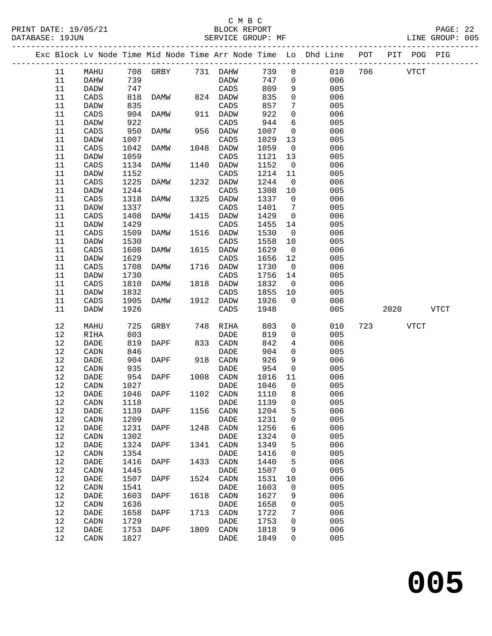### C M B C

Exc Block Lv Node Time Mid Node Time Arr Node Time Lo Dhd Line POT PIT POG PIG

PRINT DATE: 19/05/21 BLOCK REPORT PAGE: 22 DATABASE: 19JUN SERVICE GROUP: MF LINE GROUP: 005 -------------------------------------------------------------------------------------------------

------------------------------------------------------------------------------------------------- 11 MAHU 708 GRBY 731 DAHW 739 0 010 706 VTCT 11 DAHW 739 DADW 747 0 006 11 DADW 747 CADS 809 9 005 11 CADS 818 DAMW 824 DADW 835 0 006 11 DADW 835 CADS 857 7 005 11 CADS 904 DAMW 911 DADW 922 0 006 11 DADW 922 CADS 944 6 005 11 CADS 950 DAMW 956 DADW 1007 0 006 11 DADW 1007 CADS 1029 13 005 11 CADS 1042 DAMW 1048 DADW 1059 0 006 11 DADW 1059 CADS 1121 13 005 11 CADS 1042 DAMW 1048 DADW 1059 0 006<br>11 DADW 1059 CADS 1121 13 005<br>11 CADS 1134 DAMW 1140 DADW 1152 0 006<br>11 DADW 1152 CADS 1214 11 005 11 CADS 1134 DAMW 1140 DADW 1152 0 006<br>11 DADW 1152 CADS 1214 11 005<br>11 CADS 1225 DAMW 1232 DADW 1244 0 006 11 CADS 1225 DAMW 1232 DADW 1244 0 006 11 CADS 1225 DAMW 1232 DADW 1244 0<br>11 DADW 1244 CADS 1308 10<br>11 CADS 1318 DAMW 1325 DADW 1337 0 11 CADS 1318 DAMW 1325 DADW 1337 0 006 11 DADW 1337 CADS 1401 7 005 11 CADS 1408 DAMW 1415 DADW 1429 0 006<br>11 DADW 1429 CADS 1455 14 005 11 DADW 1429 CADS 1455 14 005 11 CADS 1509 DAMW 1516 DADW 1530 0 006

| TT.    | CADS            | 1509 | DAMW        | TPT0 | DADW        | 1530 | U                   | <b>UU6</b> |     |      |             |             |  |
|--------|-----------------|------|-------------|------|-------------|------|---------------------|------------|-----|------|-------------|-------------|--|
| 11     | <b>DADW</b>     | 1530 |             |      | CADS        | 1558 | 10                  | 005        |     |      |             |             |  |
| 11     | CADS            | 1608 | <b>DAMW</b> | 1615 | <b>DADW</b> | 1629 | $\mathbf 0$         | 006        |     |      |             |             |  |
| 11     | <b>DADW</b>     | 1629 |             |      | CADS        | 1656 | 12                  | 005        |     |      |             |             |  |
| 11     | CADS            | 1708 | <b>DAMW</b> | 1716 | <b>DADW</b> | 1730 | $\mathsf{O}$        | 006        |     |      |             |             |  |
| 11     | <b>DADW</b>     | 1730 |             |      | CADS        | 1756 | 14                  | 005        |     |      |             |             |  |
| 11     | CADS            | 1810 | <b>DAMW</b> | 1818 | <b>DADW</b> | 1832 | $\mathbf 0$         | 006        |     |      |             |             |  |
| 11     | <b>DADW</b>     | 1832 |             |      | CADS        | 1855 | 10                  | 005        |     |      |             |             |  |
| 11     | $\mathtt{CADS}$ | 1905 | <b>DAMW</b> | 1912 | <b>DADW</b> | 1926 | $\mathbf 0$         | 006        |     |      |             |             |  |
| 11     | DADW            | 1926 |             |      | CADS        | 1948 |                     | 005        |     | 2020 |             | <b>VTCT</b> |  |
|        |                 |      |             |      |             |      |                     |            |     |      |             |             |  |
| 12     | MAHU            | 725  | <b>GRBY</b> | 748  | <b>RIHA</b> | 803  | 0                   | 010        | 723 |      | <b>VTCT</b> |             |  |
| 12     | <b>RIHA</b>     | 803  |             |      | <b>DADE</b> | 819  | 0                   | 005        |     |      |             |             |  |
| $12\,$ | DADE            | 819  | DAPF        | 833  | CADN        | 842  | 4                   | 006        |     |      |             |             |  |
| $12\,$ | CADN            | 846  |             |      | <b>DADE</b> | 904  | 0                   | 005        |     |      |             |             |  |
| $12$   | DADE            | 904  | <b>DAPF</b> | 918  | CADN        | 926  | 9                   | 006        |     |      |             |             |  |
| $1\,2$ | CADN            | 935  |             |      | DADE        | 954  | 0                   | 005        |     |      |             |             |  |
| $1\,2$ | DADE            | 954  | <b>DAPF</b> | 1008 | CADN        | 1016 | 11                  | 006        |     |      |             |             |  |
| $1\,2$ | CADN            | 1027 |             |      | <b>DADE</b> | 1046 | 0                   | 005        |     |      |             |             |  |
| $12\,$ | DADE            | 1046 | DAPF        | 1102 | CADN        | 1110 | 8                   | 006        |     |      |             |             |  |
| $12\,$ | CADN            | 1118 |             |      | <b>DADE</b> | 1139 | $\mathsf{O}\xspace$ | 005        |     |      |             |             |  |
| $12$   | DADE            | 1139 | <b>DAPF</b> | 1156 | CADN        | 1204 | 5                   | 006        |     |      |             |             |  |
| $1\,2$ | CADN            | 1209 |             |      | DADE        | 1231 | $\mathsf{O}\xspace$ | 005        |     |      |             |             |  |
| $1\,2$ | DADE            | 1231 | <b>DAPF</b> | 1248 | CADN        | 1256 | 6                   | 006        |     |      |             |             |  |
| $1\,2$ | CADN            | 1302 |             |      | <b>DADE</b> | 1324 | $\mathsf 0$         | 005        |     |      |             |             |  |
| $1\,2$ | <b>DADE</b>     | 1324 | <b>DAPF</b> | 1341 | CADN        | 1349 | 5                   | 006        |     |      |             |             |  |
| $12\,$ | CADN            | 1354 |             |      | <b>DADE</b> | 1416 | $\mathsf{O}\xspace$ | 005        |     |      |             |             |  |
| $12$   | DADE            | 1416 | DAPF        | 1433 | CADN        | 1440 | 5                   | 006        |     |      |             |             |  |
| $12$   | CADN            | 1445 |             |      | <b>DADE</b> | 1507 | $\mathsf 0$         | 005        |     |      |             |             |  |
| $1\,2$ | <b>DADE</b>     | 1507 | <b>DAPF</b> | 1524 | CADN        | 1531 | 10                  | 006        |     |      |             |             |  |
| $1\,2$ | CADN            | 1541 |             |      | <b>DADE</b> | 1603 | $\mathsf 0$         | 005        |     |      |             |             |  |
| $1\,2$ | <b>DADE</b>     | 1603 | <b>DAPF</b> | 1618 | CADN        | 1627 | 9                   | 006        |     |      |             |             |  |
| $12\,$ | CADN            | 1636 |             |      | <b>DADE</b> | 1658 | $\mathsf{O}\xspace$ | 005        |     |      |             |             |  |
| 12     | <b>DADE</b>     | 1658 | DAPF        | 1713 | CADN        | 1722 | 7                   | 006        |     |      |             |             |  |
| 12     | CADN            | 1729 |             |      | <b>DADE</b> | 1753 | 0                   | 005        |     |      |             |             |  |
| $12$   | <b>DADE</b>     | 1753 | DAPF        | 1809 | CADN        | 1818 | 9                   | 006        |     |      |             |             |  |
| 12     | CADN            | 1827 |             |      | <b>DADE</b> | 1849 | $\Omega$            | 005        |     |      |             |             |  |
|        |                 |      |             |      |             |      |                     |            |     |      |             |             |  |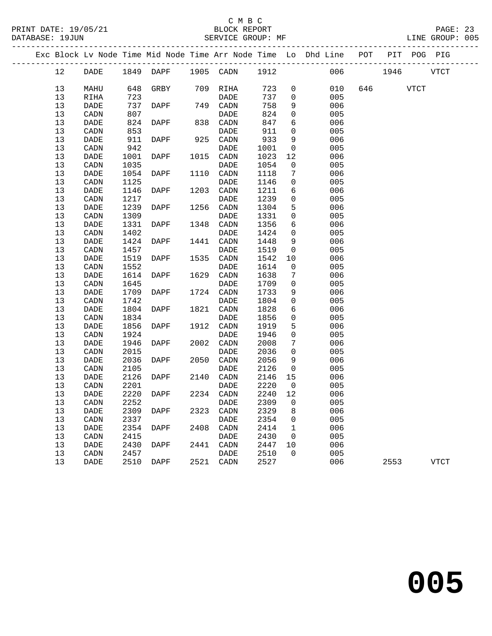### C M B C<br>BLOCK REPORT

PAGE: 23<br>LINE GROUP: 005

|  |    |      |      |                          |      |             |         |                | Exc Block Lv Node Time Mid Node Time Arr Node Time Lo Dhd Line POT PIT POG PIG |      |          |             |
|--|----|------|------|--------------------------|------|-------------|---------|----------------|--------------------------------------------------------------------------------|------|----------|-------------|
|  | 12 | DADE |      | 1849 DAPF 1905 CADN 1912 |      |             |         |                | 006                                                                            | 1946 |          | <b>VTCT</b> |
|  | 13 | MAHU |      | 648 GRBY                 |      | 709 RIHA    | 723     | $\mathsf{O}$   | 010                                                                            |      | 646 VTCT |             |
|  | 13 | RIHA | 723  |                          |      | DADE        | 737     | $\mathsf{O}$   | 005                                                                            |      |          |             |
|  | 13 | DADE | 737  | DAPF                     |      | 749 CADN    | 758     | 9              | 006                                                                            |      |          |             |
|  | 13 | CADN | 807  |                          |      | DADE        | 824     | $\mathsf{O}$   | 005                                                                            |      |          |             |
|  | 13 | DADE | 824  | DAPF                     |      | 838 CADN    | 847     | 6              | 006                                                                            |      |          |             |
|  | 13 | CADN | 853  |                          |      | DADE        | 911     | $\mathbf 0$    | 005                                                                            |      |          |             |
|  | 13 | DADE | 911  | DAPF                     |      | 925 CADN    | 933     | 9              | 006                                                                            |      |          |             |
|  | 13 | CADN | 942  |                          |      | DADE        | 1001    | $\overline{0}$ | 005                                                                            |      |          |             |
|  | 13 | DADE | 1001 | DAPF                     | 1015 | CADN        | 1023    | 12             | 006                                                                            |      |          |             |
|  | 13 | CADN | 1035 |                          |      | DADE        | 1054    | 0              | 005                                                                            |      |          |             |
|  | 13 | DADE | 1054 | DAPF                     |      | 1110 CADN   | 1118    | 7              | 006                                                                            |      |          |             |
|  | 13 | CADN | 1125 |                          |      | DADE        | 1146    | $\mathsf{O}$   | 005                                                                            |      |          |             |
|  | 13 | DADE | 1146 | DAPF                     | 1203 | CADN        | 1211    | 6              | 006                                                                            |      |          |             |
|  | 13 | CADN | 1217 |                          |      | DADE        | 1239    | $\mathbf 0$    | 005                                                                            |      |          |             |
|  | 13 | DADE | 1239 | DAPF                     | 1256 | CADN        | 1304    | 5              | 006                                                                            |      |          |             |
|  | 13 | CADN | 1309 |                          |      | DADE        | 1331    | $\mathsf{O}$   | 005                                                                            |      |          |             |
|  | 13 | DADE | 1331 | DAPF                     | 1348 | CADN        | 1356    | 6              | 006                                                                            |      |          |             |
|  | 13 | CADN | 1402 |                          |      | DADE        | 1424    | $\mathbf 0$    | 005                                                                            |      |          |             |
|  | 13 | DADE | 1424 | DAPF                     | 1441 | CADN        | 1448    | 9              | 006                                                                            |      |          |             |
|  | 13 | CADN | 1457 |                          |      | DADE        | 1519    | $\overline{0}$ | 005                                                                            |      |          |             |
|  | 13 | DADE | 1519 | DAPF                     |      | 1535 CADN   | 1542    | 10             | 006                                                                            |      |          |             |
|  | 13 | CADN | 1552 |                          |      | DADE        | 1614    | $\mathsf{O}$   | 005                                                                            |      |          |             |
|  | 13 | DADE | 1614 | DAPF                     |      | 1629 CADN   | 1638    | 7              | 006                                                                            |      |          |             |
|  | 13 | CADN | 1645 |                          |      | DADE        | 1709    | $\mathsf{O}$   | 005                                                                            |      |          |             |
|  | 13 | DADE | 1709 | DAPF                     |      | 1724 CADN   | 1733    | 9              | 006                                                                            |      |          |             |
|  | 13 | CADN | 1742 |                          |      | DADE        | 1804    | $\mathbf 0$    | 005                                                                            |      |          |             |
|  | 13 | DADE | 1804 | DAPF                     | 1821 | CADN        | 1828    | 6              | 006                                                                            |      |          |             |
|  | 13 | CADN | 1834 |                          |      | <b>DADE</b> | 1856    | $\mathsf{O}$   | 005                                                                            |      |          |             |
|  | 13 | DADE | 1856 | DAPF                     |      | 1912 CADN   | 1919    | 5              | 006                                                                            |      |          |             |
|  | 13 | CADN | 1924 |                          |      | <b>DADE</b> | 1946    | $\mathbf 0$    | 005                                                                            |      |          |             |
|  | 13 | DADE | 1946 | DAPF                     | 2002 | CADN        | 2008    | 7              | 006                                                                            |      |          |             |
|  | 13 | CADN | 2015 |                          |      | <b>DADE</b> | 2036    | $\mathbf 0$    | 005                                                                            |      |          |             |
|  | 13 | DADE | 2036 | <b>DAPF</b>              |      | 2050 CADN   | 2056    | 9              | 006                                                                            |      |          |             |
|  | 13 | CADN | 2105 |                          |      | DADE        | 2126    | $\overline{0}$ | 005                                                                            |      |          |             |
|  | 13 | DADE | 2126 | DAPF                     |      | 2140 CADN   | 2146    | 15             | 006                                                                            |      |          |             |
|  | 13 | CADN | 2201 |                          |      | DADE        | 2220    | $\overline{0}$ | 005                                                                            |      |          |             |
|  | 13 | DADE | 2220 | DAPF                     |      | 2234 CADN   | 2240 12 |                | 006                                                                            |      |          |             |
|  | 13 | CADN | 2252 |                          |      | <b>DADE</b> | 2309 0  |                | 005                                                                            |      |          |             |
|  | 13 | DADE | 2309 | DAPF                     | 2323 | CADN        | 2329    | 8              | 006                                                                            |      |          |             |
|  | 13 | CADN | 2337 |                          |      | DADE        | 2354    | 0              | 005                                                                            |      |          |             |
|  | 13 | DADE | 2354 | DAPF                     |      | 2408 CADN   | 2414    | $\mathbf 1$    | 006                                                                            |      |          |             |
|  | 13 | CADN | 2415 |                          |      | <b>DADE</b> | 2430    | 0              | 005                                                                            |      |          |             |
|  | 13 | DADE | 2430 | DAPF                     | 2441 | CADN        | 2447    | 10             | 006                                                                            |      |          |             |
|  | 13 | CADN | 2457 |                          |      | DADE        | 2510    | $\mathbf 0$    | 005                                                                            |      |          |             |
|  | 13 | DADE | 2510 | DAPF                     |      | 2521 CADN   | 2527    |                | 006                                                                            |      | 2553     | VTCT        |
|  |    |      |      |                          |      |             |         |                |                                                                                |      |          |             |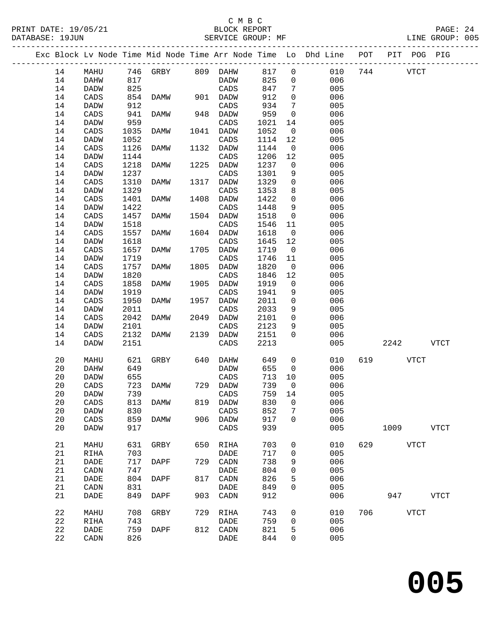### C M B C<br>BLOCK REPORT

|  |    |                 |      |                       |      |                 |        |                         | Exc Block Lv Node Time Mid Node Time Arr Node Time Lo Dhd Line POT PIT POG PIG |              |      |             |             |  |
|--|----|-----------------|------|-----------------------|------|-----------------|--------|-------------------------|--------------------------------------------------------------------------------|--------------|------|-------------|-------------|--|
|  | 14 | MAHU            |      | 746 GRBY 809 DAHW 817 |      |                 |        | $\overline{0}$          |                                                                                | 010 744 VTCT |      |             |             |  |
|  | 14 | DAHW            | 817  |                       |      | DADW            | 825    |                         | 006<br>$\overline{0}$                                                          |              |      |             |             |  |
|  | 14 | <b>DADW</b>     | 825  |                       |      | CADS            | 847    |                         | 7<br>005                                                                       |              |      |             |             |  |
|  | 14 | CADS            | 854  | DAMW 901 DADW         |      |                 | 912    | $\overline{0}$          | 006                                                                            |              |      |             |             |  |
|  | 14 | DADW            | 912  |                       |      | CADS            | 934    | $7\overline{ }$         | 005                                                                            |              |      |             |             |  |
|  | 14 | CADS            | 941  | DAMW                  |      | 948 DADW        | 959    | $\overline{0}$          | 006                                                                            |              |      |             |             |  |
|  | 14 | DADW            | 959  |                       |      | CADS            | 1021   | 14                      | 005                                                                            |              |      |             |             |  |
|  | 14 | CADS            | 1035 | DAMW                  | 1041 | DADW            | 1052   | $\overline{0}$          | 006                                                                            |              |      |             |             |  |
|  | 14 | DADW            | 1052 |                       |      | CADS            | 1114   | 12                      | 005                                                                            |              |      |             |             |  |
|  | 14 | CADS            | 1126 | DAMW                  | 1132 | DADW            | 1144   | $\overline{0}$          | 006                                                                            |              |      |             |             |  |
|  | 14 | DADW            | 1144 |                       |      | CADS            | 1206   | 12                      | 005                                                                            |              |      |             |             |  |
|  | 14 | CADS            | 1218 | DAMW                  | 1225 | DADW            | 1237   | $\mathsf{O}$            | 006                                                                            |              |      |             |             |  |
|  | 14 | DADW            | 1237 |                       |      | CADS            | 1301   | 9                       | 005                                                                            |              |      |             |             |  |
|  | 14 | $\mathtt{CADS}$ | 1310 | DAMW                  | 1317 | DADW            | 1329   | $\overline{0}$          | 006                                                                            |              |      |             |             |  |
|  | 14 | <b>DADW</b>     | 1329 |                       |      | CADS            | 1353   | 8                       | 005                                                                            |              |      |             |             |  |
|  | 14 | CADS            | 1401 | DAMW                  | 1408 | DADW            | 1422   | $\overline{0}$          | 006                                                                            |              |      |             |             |  |
|  | 14 | DADW            | 1422 |                       |      | CADS            | 1448   | 9                       | 005                                                                            |              |      |             |             |  |
|  | 14 | CADS            | 1457 | DAMW                  | 1504 | DADW            | 1518   | $\overline{\mathbf{0}}$ | 006                                                                            |              |      |             |             |  |
|  | 14 | DADW            | 1518 |                       |      | CADS            | 1546   | 11                      | 005                                                                            |              |      |             |             |  |
|  | 14 | CADS            | 1557 | DAMW                  | 1604 | DADW            | 1618   | $\overline{0}$          | 006                                                                            |              |      |             |             |  |
|  | 14 | <b>DADW</b>     | 1618 |                       |      | CADS            | 1645   | 12                      | 005                                                                            |              |      |             |             |  |
|  | 14 | CADS            | 1657 | DAMW                  | 1705 | DADW            | 1719   | $\overline{0}$          | 006                                                                            |              |      |             |             |  |
|  | 14 | DADW            | 1719 |                       |      | CADS            | 1746   | 11                      | 005                                                                            |              |      |             |             |  |
|  | 14 | CADS            | 1757 | DAMW                  | 1805 | DADW            | 1820   | $\mathbf 0$             | 006                                                                            |              |      |             |             |  |
|  | 14 | DADW            | 1820 |                       |      | CADS            | 1846   | 12                      | 005                                                                            |              |      |             |             |  |
|  | 14 | CADS            | 1858 | DAMW                  | 1905 | DADW            | 1919   | $\overline{0}$          | 006                                                                            |              |      |             |             |  |
|  | 14 | DADW            | 1919 |                       |      | CADS            | 1941   | 9                       | 005                                                                            |              |      |             |             |  |
|  | 14 | CADS            | 1950 | DAMW                  | 1957 | DADW            | 2011   | $\overline{0}$          | 006                                                                            |              |      |             |             |  |
|  | 14 | DADW            | 2011 |                       |      | CADS            | 2033   | 9                       | 005                                                                            |              |      |             |             |  |
|  | 14 | CADS            | 2042 | DAMW                  | 2049 | DADW            | 2101   | $\overline{0}$          | 006                                                                            |              |      |             |             |  |
|  | 14 | DADW            | 2101 |                       |      | CADS            | 2123   | 9                       | 005                                                                            |              |      |             |             |  |
|  | 14 | CADS            | 2132 | DAMW                  | 2139 | DADW            | 2151   | $\Omega$                | 006                                                                            |              |      |             |             |  |
|  | 14 | DADW            | 2151 |                       |      | CADS            | 2213   |                         | 005                                                                            |              |      | 2242        | VTCT        |  |
|  | 20 | MAHU            | 621  | GRBY 640              |      | DAHW            | 649    |                         | $0 \qquad \qquad$<br>010                                                       | 619          | VTCT |             |             |  |
|  | 20 | DAHW            | 649  |                       |      | DADW            | 655    |                         | 006<br>$\overline{0}$                                                          |              |      |             |             |  |
|  | 20 | DADW            | 655  |                       |      | CADS            | 713    | 10                      | 005                                                                            |              |      |             |             |  |
|  | 20 | CADS            | 723  | DAMW 729 DADW         |      |                 | 739    | $\overline{0}$          | 006                                                                            |              |      |             |             |  |
|  | 20 | DADW            | 739  | <b>CADS</b>           |      |                 | 759 14 |                         | 005                                                                            |              |      |             |             |  |
|  | 20 | CADS            | 813  | DAMW                  | 819  | DADW            | 830    | 0                       | 006                                                                            |              |      |             |             |  |
|  | 20 | DADW            | 830  |                       |      | $\mathtt{CADS}$ | 852    | 7                       | 005                                                                            |              |      |             |             |  |
|  | 20 | CADS            | 859  | DAMW                  |      | 906 DADW        | 917    | 0                       | 006                                                                            |              |      |             |             |  |
|  | 20 | DADW            | 917  |                       |      | $\mathtt{CADS}$ | 939    |                         | 005                                                                            |              |      | 1009 VTCT   |             |  |
|  | 21 | MAHU            | 631  | GRBY                  | 650  | RIHA            | 703    | 0                       | 010                                                                            | 629          |      | <b>VTCT</b> |             |  |
|  | 21 | RIHA            | 703  |                       |      | DADE            | 717    | 0                       | 005                                                                            |              |      |             |             |  |
|  | 21 | DADE            | 717  | <b>DAPF</b>           | 729  | CADN            | 738    | 9                       | 006                                                                            |              |      |             |             |  |
|  | 21 | CADN            | 747  |                       |      | DADE            | 804    | 0                       | 005                                                                            |              |      |             |             |  |
|  | 21 | DADE            | 804  | DAPF                  | 817  | CADN            | 826    | 5                       | 006                                                                            |              |      |             |             |  |
|  | 21 | CADN            | 831  |                       |      | DADE            | 849    | 0                       | 005                                                                            |              |      |             |             |  |
|  | 21 | DADE            | 849  | DAPF                  |      | 903 CADN        | 912    |                         | 006                                                                            |              | 947  |             | <b>VTCT</b> |  |

22 MAHU 708 GRBY 729 RIHA 743 0 010 706 VTCT

 $821$  5<br>844 0

22 RIHA 743 DADE 759 0 005

22 DADE 759 DAPF 812 CADN 821 5 006

**005**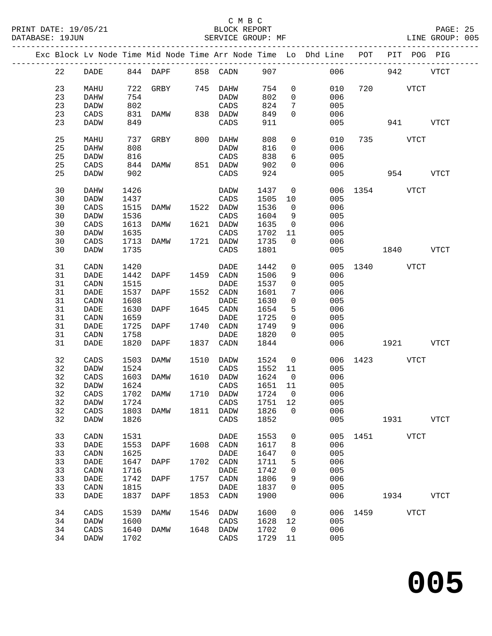### C M B C<br>BLOCK REPORT

PAGE: 25<br>LINE GROUP: 005

|  |          |                     |              |                   |      |                     |              |                | Exc Block Lv Node Time Mid Node Time Arr Node Time Lo Dhd Line POT PIT POG PIG |               |             |             |             |
|--|----------|---------------------|--------------|-------------------|------|---------------------|--------------|----------------|--------------------------------------------------------------------------------|---------------|-------------|-------------|-------------|
|  | 22       | DADE                |              | 844 DAPF 858 CADN |      |                     | 907          |                |                                                                                | 006 700       | 942         |             | <b>VTCT</b> |
|  | 23       | MAHU                |              | 722 GRBY 745 DAHW |      |                     | 754          | $\overline{0}$ | 010                                                                            | 720           | VTCT        |             |             |
|  | 23       |                     | 754          |                   |      | DADW                | 802          | $\overline{0}$ |                                                                                |               |             |             |             |
|  |          | DAHW                |              |                   |      |                     |              |                | 006                                                                            |               |             |             |             |
|  | 23       | <b>DADW</b>         | 802          |                   |      | CADS                | 824          | 7              | 005                                                                            |               |             |             |             |
|  | 23       | CADS                | 831          | DAMW 838 DADW     |      |                     | 849          | $\Omega$       | 006                                                                            |               |             |             |             |
|  | 23       | DADW                | 849          |                   |      | CADS                | 911          |                | 005                                                                            |               | 941 — 10    |             | VTCT        |
|  | 25       | MAHU                | 737          | GRBY              | 800  | DAHW                | 808          | 0              | 010                                                                            |               | 735 VTCT    |             |             |
|  | 25       | DAHW                | 808          |                   |      | DADW                | 816          | $\overline{0}$ | 006                                                                            |               |             |             |             |
|  | 25       | DADW                | 816          |                   |      | $\mathtt{CADS}$     | 838          | 6              | 005                                                                            |               |             |             |             |
|  | 25       | CADS                | 844          | DAMW              |      | 851 DADW            | 902          | $\Omega$       | 006                                                                            |               |             |             |             |
|  | 25       | DADW                | 902          |                   |      | CADS                | 924          |                | 005                                                                            |               | 954 VTCT    |             |             |
|  | 30       | DAHW                | 1426         |                   |      | DADW                | 1437         | $\overline{0}$ | 006                                                                            | 1354 VTCT     |             |             |             |
|  | 30       | DADW                | 1437         |                   |      | CADS                | 1505         | 10             | 005                                                                            |               |             |             |             |
|  | 30       | CADS                | 1515         | DAMW              |      | 1522 DADW           | 1536         | $\overline{0}$ | 006                                                                            |               |             |             |             |
|  | 30       |                     |              |                   |      | CADS                |              |                | 005                                                                            |               |             |             |             |
|  |          | DADW                | 1536         |                   |      |                     | 1604         | 9              |                                                                                |               |             |             |             |
|  | 30       | CADS                | 1613         | DAMW              |      | 1621 DADW           | 1635         | $\overline{0}$ | 006                                                                            |               |             |             |             |
|  | 30       | DADW                | 1635         |                   |      | CADS                | 1702         | 11             | 005                                                                            |               |             |             |             |
|  | 30       | CADS                | 1713         | DAMW              |      | 1721 DADW           | 1735         | $\mathbf{0}$   | 006                                                                            |               |             |             |             |
|  | 30       | DADW                | 1735         |                   |      | CADS                | 1801         |                | 005                                                                            |               | 1840 VTCT   |             |             |
|  | 31       | CADN                | 1420         |                   |      | DADE                | 1442         | $\mathsf{O}$   |                                                                                | 005 1340 VTCT |             |             |             |
|  | 31       | <b>DADE</b>         | 1442         | DAPF              | 1459 | CADN                | 1506         | 9              | 006                                                                            |               |             |             |             |
|  | 31       | CADN                | 1515         |                   |      | DADE                | 1537         | 0              | 005                                                                            |               |             |             |             |
|  | 31       | <b>DADE</b>         | 1537         | DAPF              |      | 1552 CADN           | 1601         | 7              | 006                                                                            |               |             |             |             |
|  | 31       | CADN                | 1608         |                   |      | DADE                | 1630         | $\mathbf 0$    | 005                                                                            |               |             |             |             |
|  | 31       | DADE                | 1630         | DAPF              | 1645 | CADN                | 1654         | 5              | 006                                                                            |               |             |             |             |
|  | 31       | CADN                | 1659         |                   |      | DADE                | 1725         | $\mathbf 0$    | 005                                                                            |               |             |             |             |
|  | 31       |                     | 1725         |                   | 1740 |                     |              | 9              | 006                                                                            |               |             |             |             |
|  |          | DADE                |              | DAPF              |      | CADN                | 1749         |                |                                                                                |               |             |             |             |
|  | 31<br>31 | CADN<br><b>DADE</b> | 1758<br>1820 | DAPF              | 1837 | <b>DADE</b><br>CADN | 1820<br>1844 | $\Omega$       | 005<br>006                                                                     |               |             |             | <b>VTCT</b> |
|  |          |                     |              |                   |      |                     |              |                |                                                                                |               |             |             |             |
|  | 32       | CADS                | 1503         | DAMW              | 1510 | DADW                | 1524         | $\overline{0}$ | 006                                                                            |               | 1423 VTCT   |             |             |
|  | 32       | DADW                | 1524         |                   |      | CADS                | 1552         | 11             | 005                                                                            |               |             |             |             |
|  | 32       | CADS                | 1603         | DAMW              |      | 1610 DADW           | 1624         | $\overline{0}$ | 006                                                                            |               |             |             |             |
|  | 32       | DADW                | 1624         |                   |      | CADS                | 1651         | 11             | 005                                                                            |               |             |             |             |
|  | 32       | CADS                | 1702         | DAMW              |      | 1710 DADW           | 1724         | $\overline{0}$ | 006                                                                            |               |             |             |             |
|  | 32       | <b>DADW</b>         | 1724         |                   |      | CADS 1751 12        |              |                | 005                                                                            |               |             |             |             |
|  | 32       | CADS                | 1803         | DAMW              | 1811 | DADW                | 1826         | 0              | 006                                                                            |               |             |             |             |
|  | 32       | <b>DADW</b>         | 1826         |                   |      | CADS                | 1852         |                | 005                                                                            |               | 1931        |             | <b>VTCT</b> |
|  | 33       | CADN                | 1531         |                   |      | DADE                | 1553         | 0              | 005                                                                            | 1451          | <b>VTCT</b> |             |             |
|  | 33       | DADE                | 1553         | DAPF              | 1608 | CADN                | 1617         | 8              | 006                                                                            |               |             |             |             |
|  |          |                     |              |                   |      |                     |              |                |                                                                                |               |             |             |             |
|  | 33       | CADN                | 1625         |                   |      | <b>DADE</b>         | 1647         | 0              | 005                                                                            |               |             |             |             |
|  | 33       | DADE                | 1647         | DAPF              | 1702 | CADN                | 1711         | 5              | 006                                                                            |               |             |             |             |
|  | 33       | CADN                | 1716         |                   |      | <b>DADE</b>         | 1742         | 0              | 005                                                                            |               |             |             |             |
|  | 33       | DADE                | 1742         | DAPF              | 1757 | CADN                | 1806         | 9              | 006                                                                            |               |             |             |             |
|  | 33       | CADN                | 1815         |                   |      | <b>DADE</b>         | 1837         | 0              | 005                                                                            |               |             |             |             |
|  | 33       | DADE                | 1837         | DAPF              | 1853 | CADN                | 1900         |                | 006                                                                            |               | 1934        |             | <b>VTCT</b> |
|  | 34       | CADS                | 1539         | DAMW              | 1546 | <b>DADW</b>         | 1600         | $\mathsf{O}$   | 006                                                                            | 1459          |             | <b>VTCT</b> |             |
|  | 34       | DADW                | 1600         |                   |      | CADS                | 1628         | 12             | 005                                                                            |               |             |             |             |
|  | 34       | CADS                | 1640         | <b>DAMW</b>       | 1648 | DADW                | 1702         | $\mathsf{O}$   | 006                                                                            |               |             |             |             |
|  | 34       | DADW                | 1702         |                   |      | CADS                | 1729         | 11             | 005                                                                            |               |             |             |             |
|  |          |                     |              |                   |      |                     |              |                |                                                                                |               |             |             |             |

**005**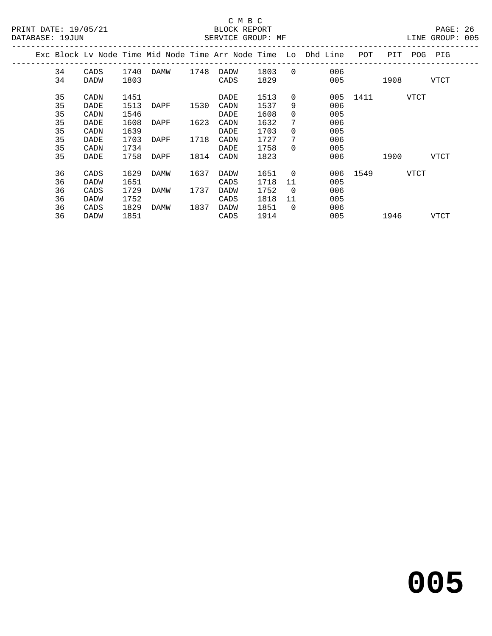## C M B C<br>BLOCK REPORT

|  |    |             |      |      |      |             |      |                | Exc Block Lv Node Time Mid Node Time Arr Node Time Lo Dhd Line | POT  | PIT  | POG  | PIG  |  |
|--|----|-------------|------|------|------|-------------|------|----------------|----------------------------------------------------------------|------|------|------|------|--|
|  | 34 | CADS        | 1740 | DAMW | 1748 | DADW        | 1803 | $\Omega$       | 006                                                            |      |      |      |      |  |
|  | 34 | <b>DADW</b> | 1803 |      |      | CADS        | 1829 |                | 005                                                            |      | 1908 |      | VTCT |  |
|  | 35 | CADN        | 1451 |      |      | DADE        | 1513 | $\Omega$       | 005                                                            | 1411 |      | VTCT |      |  |
|  | 35 | DADE        | 1513 | DAPF | 1530 | CADN        | 1537 | 9              | 006                                                            |      |      |      |      |  |
|  | 35 | CADN        | 1546 |      |      | DADE        | 1608 | $\Omega$       | 005                                                            |      |      |      |      |  |
|  | 35 | DADE        | 1608 | DAPF | 1623 | CADN        | 1632 | 7              | 006                                                            |      |      |      |      |  |
|  | 35 | CADN        | 1639 |      |      | DADE        | 1703 | $\Omega$       | 005                                                            |      |      |      |      |  |
|  | 35 | DADE        | 1703 | DAPF | 1718 | CADN        | 1727 | 7              | 006                                                            |      |      |      |      |  |
|  | 35 | CADN        | 1734 |      |      | DADE        | 1758 | $\Omega$       | 005                                                            |      |      |      |      |  |
|  | 35 | DADE        | 1758 | DAPF | 1814 | CADN        | 1823 |                | 006                                                            |      | 1900 |      | VTCT |  |
|  | 36 | CADS        | 1629 | DAMW | 1637 | DADW        | 1651 | $\overline{0}$ | 006                                                            | 1549 |      | VTCT |      |  |
|  | 36 | <b>DADW</b> | 1651 |      |      | CADS        | 1718 | 11             | 005                                                            |      |      |      |      |  |
|  | 36 | CADS        | 1729 | DAMW | 1737 | <b>DADW</b> | 1752 | $\Omega$       | 006                                                            |      |      |      |      |  |
|  | 36 | <b>DADW</b> | 1752 |      |      | CADS        | 1818 | 11             | 005                                                            |      |      |      |      |  |
|  | 36 | CADS        | 1829 | DAMW | 1837 | DADW        | 1851 | $\overline{0}$ | 006                                                            |      |      |      |      |  |
|  | 36 | <b>DADW</b> | 1851 |      |      | CADS        | 1914 |                | 005                                                            |      | 1946 |      | VTCT |  |
|  |    |             |      |      |      |             |      |                |                                                                |      |      |      |      |  |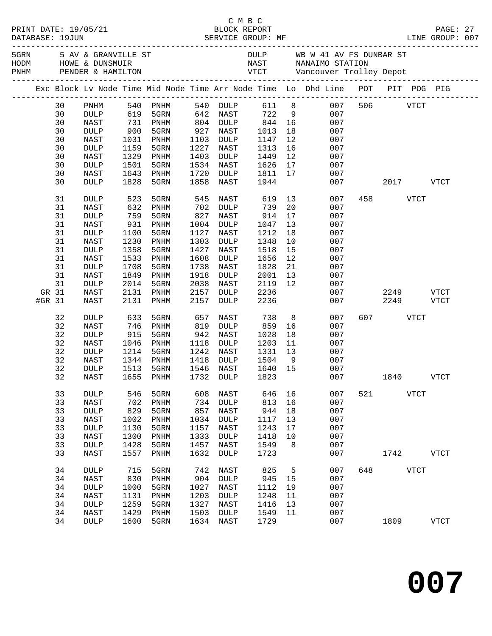| PRINT DATE: 19/05/21<br>DATABASE: 19JUN |                 |            |                              |      |                 |       |                |                                                                                                                                                                                                        |     |           |             |             |  |
|-----------------------------------------|-----------------|------------|------------------------------|------|-----------------|-------|----------------|--------------------------------------------------------------------------------------------------------------------------------------------------------------------------------------------------------|-----|-----------|-------------|-------------|--|
|                                         |                 |            |                              |      |                 |       |                | 5 AV & GRANVILLE ST AND BULLE FOR THE ME WAS TRIDUNE A ST AND HOWE & DUNSMUIR<br>FRIM THE READ PENDER & HAMILTON ARST MANAIMO STATION<br>FRIM TENDER & HAMILTON TEREST AND THE VANCOUVER TO LIEY DEPOT |     |           |             |             |  |
|                                         |                 |            |                              |      |                 |       |                | Exc Block Lv Node Time Mid Node Time Arr Node Time Lo Dhd Line POT PIT POG PIG                                                                                                                         |     |           |             |             |  |
| 30                                      | PNHM            | 540        | PNHM                         |      | 540 DULP        | 611 8 |                | 007                                                                                                                                                                                                    | 506 |           | VTCT        |             |  |
| 30                                      | <b>DULP</b>     | 619        | 5GRN                         |      | 642 NAST        | 722   | 9              | 007                                                                                                                                                                                                    |     |           |             |             |  |
| 30                                      | NAST            | 731<br>900 | PNHM                         |      | 804 DULP        | 844   | 16             | 007                                                                                                                                                                                                    |     |           |             |             |  |
| 30                                      | <b>DULP</b>     |            | 5GRN                         | 927  | NAST            | 1013  | 18             | 007                                                                                                                                                                                                    |     |           |             |             |  |
| 30                                      | NAST            | 1031       | PNHM                         | 1103 | DULP            | 1147  | 12             | 007                                                                                                                                                                                                    |     |           |             |             |  |
| 30                                      | <b>DULP</b>     | 1159       | 5GRN                         | 1227 | NAST            | 1313  | 16             | 007                                                                                                                                                                                                    |     |           |             |             |  |
| 30                                      | NAST            | 1329       | PNHM                         | 1403 | DULP            | 1449  | 12             | 007                                                                                                                                                                                                    |     |           |             |             |  |
| 30                                      | <b>DULP</b>     | 1501       | 5GRN                         | 1534 | NAST            | 1626  | 17             | 007                                                                                                                                                                                                    |     |           |             |             |  |
| 30                                      | NAST            | 1643       | PNHM                         | 1720 | DULP            | 1811  | 17             | 007                                                                                                                                                                                                    |     |           |             |             |  |
| 30                                      | DULP            | 1828       | 5GRN                         | 1858 | NAST            | 1944  |                | 007                                                                                                                                                                                                    |     |           | 2017        | <b>VTCT</b> |  |
| 31                                      | <b>DULP</b>     | 523        | 5GRN                         | 545  | NAST            | 619   | 13             | 007                                                                                                                                                                                                    | 458 |           | <b>VTCT</b> |             |  |
| 31                                      | NAST            | 632        | PNHM                         | 702  | DULP            | 739   | 20             | 007                                                                                                                                                                                                    |     |           |             |             |  |
| 31                                      | <b>DULP</b>     | 759        | 5GRN                         | 827  | NAST            | 914   | 17             | 007                                                                                                                                                                                                    |     |           |             |             |  |
| 31                                      | NAST            | 931        | PNHM                         | 1004 | DULP            | 1047  | 13             | 007                                                                                                                                                                                                    |     |           |             |             |  |
| 31                                      | <b>DULP</b>     | 1100       | 5GRN                         | 1127 | NAST            | 1212  | 18             | 007                                                                                                                                                                                                    |     |           |             |             |  |
| 31                                      | NAST            | 1230       | PNHM                         | 1303 | DULP            | 1348  | 10             | 007                                                                                                                                                                                                    |     |           |             |             |  |
| 31                                      | <b>DULP</b>     | 1358       | 5GRN                         | 1427 | NAST            | 1518  | 15             | 007                                                                                                                                                                                                    |     |           |             |             |  |
| 31                                      | NAST            | 1533       | PNHM                         | 1608 | <b>DULP</b>     | 1656  | 12             | 007                                                                                                                                                                                                    |     |           |             |             |  |
| 31                                      | <b>DULP</b>     | 1708       | 5GRN                         | 1738 | NAST            | 1828  | 21             | 007                                                                                                                                                                                                    |     |           |             |             |  |
| 31                                      | NAST            | 1849       | PNHM                         | 1918 | DULP            | 2001  | 13             | 007                                                                                                                                                                                                    |     |           |             |             |  |
| 31                                      | <b>DULP</b>     | 2014       | 5GRN                         | 2038 | NAST            | 2119  | 12             | 007                                                                                                                                                                                                    |     |           |             |             |  |
| GR 31                                   | NAST            | 2131       | PNHM                         | 2157 | <b>DULP</b>     | 2236  |                | 007                                                                                                                                                                                                    |     | 2249      |             | <b>VTCT</b> |  |
| #GR 31                                  | NAST            | 2131       | PNHM                         | 2157 | <b>DULP</b>     | 2236  |                | 007                                                                                                                                                                                                    |     | 2249      |             | <b>VTCT</b> |  |
| 32                                      | <b>DULP</b>     | 633        | 5GRN                         | 657  | NAST            | 738   | 8 <sup>8</sup> | 007                                                                                                                                                                                                    |     | 607 — 100 | VTCT        |             |  |
| 32                                      | <b>NAST</b>     | 746        | PNHM                         | 819  | <b>DULP</b>     | 859   | 16             | 007                                                                                                                                                                                                    |     |           |             |             |  |
| 32                                      | <b>DULP</b>     | 915        | 5GRN                         | 942  | NAST            | 1028  | 18             | 007                                                                                                                                                                                                    |     |           |             |             |  |
| 32                                      | NAST            | 1046       | PNHM                         | 1118 | DULP            | 1203  | 11             | 007                                                                                                                                                                                                    |     |           |             |             |  |
| 32                                      | <b>DULP</b>     | 1214       | 5GRN                         | 1242 | NAST            | 1331  | 13             | 007                                                                                                                                                                                                    |     |           |             |             |  |
| 32                                      | NAST            | 1344       | PNHM                         | 1418 | DULP            | 1504  | - 9            | 007                                                                                                                                                                                                    |     |           |             |             |  |
| 32                                      | <b>DULP</b>     | 1513       | 5GRN                         | 1546 | NAST            | 1640  | 15             | 007                                                                                                                                                                                                    |     |           |             |             |  |
| 32                                      | NAST            | 1655       | PNHM                         |      | 1732 DULP       | 1823  |                | 007                                                                                                                                                                                                    |     | 1840      |             | VTCT        |  |
| 33                                      | <b>DULP</b>     | 546        | 5GRN                         | 608  | <b>NAST</b>     | 646   | 16             | 007                                                                                                                                                                                                    | 521 |           | <b>VTCT</b> |             |  |
| 33                                      | NAST            | 702        | PNHM                         | 734  | <b>DULP</b>     | 813   | 16             | 007                                                                                                                                                                                                    |     |           |             |             |  |
| 33                                      | <b>DULP</b>     | 829        | 5GRN                         | 857  | NAST            | 944   | 18             | 007                                                                                                                                                                                                    |     |           |             |             |  |
| 33                                      | NAST            | 1002       | $\mathop{\rm PNHM}\nolimits$ | 1034 | $\texttt{DULP}$ | 1117  | 13             | 007                                                                                                                                                                                                    |     |           |             |             |  |
| 33                                      | DULP            | 1130       | 5GRN                         | 1157 | NAST            | 1243  | 17             | 007                                                                                                                                                                                                    |     |           |             |             |  |
| 33                                      | <b>NAST</b>     | 1300       | $\mathop{\rm PNHM}\nolimits$ | 1333 | $\texttt{DULP}$ | 1418  | 10             | 007                                                                                                                                                                                                    |     |           |             |             |  |
| 33                                      | $\texttt{DULP}$ | 1428       | 5GRN                         | 1457 | NAST            | 1549  | 8              | 007                                                                                                                                                                                                    |     |           |             |             |  |
| 33                                      | NAST            | 1557       | PNHM                         | 1632 | <b>DULP</b>     | 1723  |                | 007                                                                                                                                                                                                    |     | 1742      |             | <b>VTCT</b> |  |
| 34                                      | <b>DULP</b>     | 715        | 5GRN                         | 742  | NAST            | 825   | 5              | 007                                                                                                                                                                                                    | 648 |           | <b>VTCT</b> |             |  |
| 34                                      | NAST            | 830        | PNHM                         | 904  | $\texttt{DULP}$ | 945   | 15             | 007                                                                                                                                                                                                    |     |           |             |             |  |
| 34                                      | $\texttt{DULP}$ | 1000       | 5GRN                         | 1027 | NAST            | 1112  | 19             | 007                                                                                                                                                                                                    |     |           |             |             |  |
| 34                                      | NAST            | 1131       | $\mathop{\rm PNHM}\nolimits$ | 1203 | $\texttt{DULP}$ | 1248  | 11             | 007                                                                                                                                                                                                    |     |           |             |             |  |
| 34                                      | <b>DULP</b>     | 1259       | 5GRN                         | 1327 | NAST            | 1416  | 13             | 007                                                                                                                                                                                                    |     |           |             |             |  |
| 34                                      | NAST            | 1429       | PNHM                         | 1503 | $\texttt{DULP}$ | 1549  | 11             | 007                                                                                                                                                                                                    |     |           |             |             |  |
| 34                                      | DULP            | 1600       | 5GRN                         | 1634 | NAST            | 1729  |                | 007                                                                                                                                                                                                    |     | 1809      |             | <b>VTCT</b> |  |
|                                         |                 |            |                              |      |                 |       |                |                                                                                                                                                                                                        |     |           |             |             |  |

# C M B C<br>C M B C<br>PLOCK PEDOPT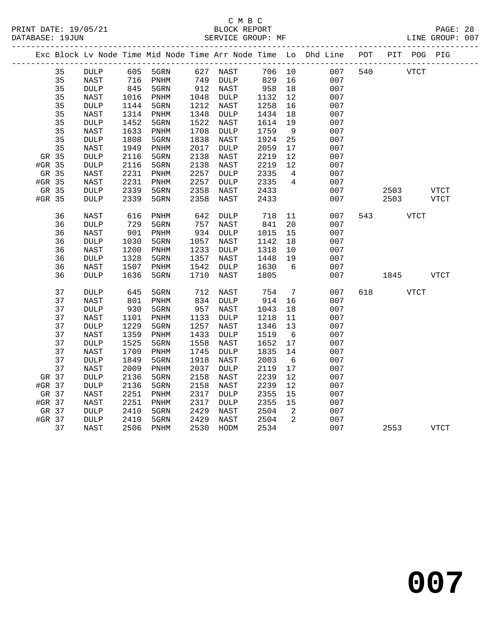## C M B C<br>BLOCK REPORT

PAGE: 28<br>LINE GROUP: 007

| 35 | DULP                                                                                                                                                                                                                                                           |                                                                                                                                                                                                                                                                                                                                                                                                                                           |                                                                                                                                                                                                                                                                                        |                                                                                                                                                                                                                                                                                                                         |                                                                                                                                              |                                                                                                                                                                                                                                                                                                                                                                                                                                                                                                             |                                                                                                                                                                                                                                                                                   | 007                                                                                                                                                                                                                  | 540                                                                                                                                                                                                                                 |                                                                                                    |                                                   |
|----|----------------------------------------------------------------------------------------------------------------------------------------------------------------------------------------------------------------------------------------------------------------|-------------------------------------------------------------------------------------------------------------------------------------------------------------------------------------------------------------------------------------------------------------------------------------------------------------------------------------------------------------------------------------------------------------------------------------------|----------------------------------------------------------------------------------------------------------------------------------------------------------------------------------------------------------------------------------------------------------------------------------------|-------------------------------------------------------------------------------------------------------------------------------------------------------------------------------------------------------------------------------------------------------------------------------------------------------------------------|----------------------------------------------------------------------------------------------------------------------------------------------|-------------------------------------------------------------------------------------------------------------------------------------------------------------------------------------------------------------------------------------------------------------------------------------------------------------------------------------------------------------------------------------------------------------------------------------------------------------------------------------------------------------|-----------------------------------------------------------------------------------------------------------------------------------------------------------------------------------------------------------------------------------------------------------------------------------|----------------------------------------------------------------------------------------------------------------------------------------------------------------------------------------------------------------------|-------------------------------------------------------------------------------------------------------------------------------------------------------------------------------------------------------------------------------------|----------------------------------------------------------------------------------------------------|---------------------------------------------------|
| 35 | NAST                                                                                                                                                                                                                                                           |                                                                                                                                                                                                                                                                                                                                                                                                                                           | PNHM                                                                                                                                                                                                                                                                                   |                                                                                                                                                                                                                                                                                                                         | <b>DULP</b>                                                                                                                                  | 829                                                                                                                                                                                                                                                                                                                                                                                                                                                                                                         | 16                                                                                                                                                                                                                                                                                | 007                                                                                                                                                                                                                  |                                                                                                                                                                                                                                     |                                                                                                    |                                                   |
|    | $\texttt{DULP}$                                                                                                                                                                                                                                                |                                                                                                                                                                                                                                                                                                                                                                                                                                           | 5GRN                                                                                                                                                                                                                                                                                   |                                                                                                                                                                                                                                                                                                                         |                                                                                                                                              |                                                                                                                                                                                                                                                                                                                                                                                                                                                                                                             |                                                                                                                                                                                                                                                                                   | 007                                                                                                                                                                                                                  |                                                                                                                                                                                                                                     |                                                                                                    |                                                   |
|    | NAST                                                                                                                                                                                                                                                           | 1016                                                                                                                                                                                                                                                                                                                                                                                                                                      | PNHM                                                                                                                                                                                                                                                                                   |                                                                                                                                                                                                                                                                                                                         | DULP                                                                                                                                         | 1132                                                                                                                                                                                                                                                                                                                                                                                                                                                                                                        | 12                                                                                                                                                                                                                                                                                | 007                                                                                                                                                                                                                  |                                                                                                                                                                                                                                     |                                                                                                    |                                                   |
|    | <b>DULP</b>                                                                                                                                                                                                                                                    |                                                                                                                                                                                                                                                                                                                                                                                                                                           |                                                                                                                                                                                                                                                                                        |                                                                                                                                                                                                                                                                                                                         | NAST                                                                                                                                         |                                                                                                                                                                                                                                                                                                                                                                                                                                                                                                             |                                                                                                                                                                                                                                                                                   |                                                                                                                                                                                                                      |                                                                                                                                                                                                                                     |                                                                                                    |                                                   |
| 35 | NAST                                                                                                                                                                                                                                                           | 1314                                                                                                                                                                                                                                                                                                                                                                                                                                      | PNHM                                                                                                                                                                                                                                                                                   |                                                                                                                                                                                                                                                                                                                         | DULP                                                                                                                                         | 1434                                                                                                                                                                                                                                                                                                                                                                                                                                                                                                        | 18                                                                                                                                                                                                                                                                                | 007                                                                                                                                                                                                                  |                                                                                                                                                                                                                                     |                                                                                                    |                                                   |
|    |                                                                                                                                                                                                                                                                |                                                                                                                                                                                                                                                                                                                                                                                                                                           |                                                                                                                                                                                                                                                                                        |                                                                                                                                                                                                                                                                                                                         |                                                                                                                                              |                                                                                                                                                                                                                                                                                                                                                                                                                                                                                                             |                                                                                                                                                                                                                                                                                   | 007                                                                                                                                                                                                                  |                                                                                                                                                                                                                                     |                                                                                                    |                                                   |
|    | NAST                                                                                                                                                                                                                                                           |                                                                                                                                                                                                                                                                                                                                                                                                                                           |                                                                                                                                                                                                                                                                                        |                                                                                                                                                                                                                                                                                                                         | DULP                                                                                                                                         |                                                                                                                                                                                                                                                                                                                                                                                                                                                                                                             |                                                                                                                                                                                                                                                                                   |                                                                                                                                                                                                                      |                                                                                                                                                                                                                                     |                                                                                                    |                                                   |
|    |                                                                                                                                                                                                                                                                |                                                                                                                                                                                                                                                                                                                                                                                                                                           |                                                                                                                                                                                                                                                                                        |                                                                                                                                                                                                                                                                                                                         | NAST                                                                                                                                         |                                                                                                                                                                                                                                                                                                                                                                                                                                                                                                             |                                                                                                                                                                                                                                                                                   |                                                                                                                                                                                                                      |                                                                                                                                                                                                                                     |                                                                                                    |                                                   |
|    |                                                                                                                                                                                                                                                                |                                                                                                                                                                                                                                                                                                                                                                                                                                           |                                                                                                                                                                                                                                                                                        |                                                                                                                                                                                                                                                                                                                         |                                                                                                                                              |                                                                                                                                                                                                                                                                                                                                                                                                                                                                                                             |                                                                                                                                                                                                                                                                                   |                                                                                                                                                                                                                      |                                                                                                                                                                                                                                     |                                                                                                    |                                                   |
|    |                                                                                                                                                                                                                                                                |                                                                                                                                                                                                                                                                                                                                                                                                                                           |                                                                                                                                                                                                                                                                                        |                                                                                                                                                                                                                                                                                                                         |                                                                                                                                              |                                                                                                                                                                                                                                                                                                                                                                                                                                                                                                             |                                                                                                                                                                                                                                                                                   |                                                                                                                                                                                                                      |                                                                                                                                                                                                                                     |                                                                                                    |                                                   |
|    |                                                                                                                                                                                                                                                                |                                                                                                                                                                                                                                                                                                                                                                                                                                           |                                                                                                                                                                                                                                                                                        |                                                                                                                                                                                                                                                                                                                         |                                                                                                                                              |                                                                                                                                                                                                                                                                                                                                                                                                                                                                                                             |                                                                                                                                                                                                                                                                                   |                                                                                                                                                                                                                      |                                                                                                                                                                                                                                     |                                                                                                    |                                                   |
|    |                                                                                                                                                                                                                                                                |                                                                                                                                                                                                                                                                                                                                                                                                                                           |                                                                                                                                                                                                                                                                                        |                                                                                                                                                                                                                                                                                                                         |                                                                                                                                              |                                                                                                                                                                                                                                                                                                                                                                                                                                                                                                             |                                                                                                                                                                                                                                                                                   |                                                                                                                                                                                                                      |                                                                                                                                                                                                                                     |                                                                                                    |                                                   |
|    |                                                                                                                                                                                                                                                                |                                                                                                                                                                                                                                                                                                                                                                                                                                           |                                                                                                                                                                                                                                                                                        |                                                                                                                                                                                                                                                                                                                         |                                                                                                                                              |                                                                                                                                                                                                                                                                                                                                                                                                                                                                                                             |                                                                                                                                                                                                                                                                                   |                                                                                                                                                                                                                      |                                                                                                                                                                                                                                     |                                                                                                    |                                                   |
|    |                                                                                                                                                                                                                                                                |                                                                                                                                                                                                                                                                                                                                                                                                                                           |                                                                                                                                                                                                                                                                                        |                                                                                                                                                                                                                                                                                                                         |                                                                                                                                              |                                                                                                                                                                                                                                                                                                                                                                                                                                                                                                             |                                                                                                                                                                                                                                                                                   |                                                                                                                                                                                                                      |                                                                                                                                                                                                                                     |                                                                                                    | <b>VTCT</b>                                       |
|    |                                                                                                                                                                                                                                                                |                                                                                                                                                                                                                                                                                                                                                                                                                                           |                                                                                                                                                                                                                                                                                        |                                                                                                                                                                                                                                                                                                                         |                                                                                                                                              |                                                                                                                                                                                                                                                                                                                                                                                                                                                                                                             |                                                                                                                                                                                                                                                                                   |                                                                                                                                                                                                                      |                                                                                                                                                                                                                                     |                                                                                                    | VTCT                                              |
| 36 | NAST                                                                                                                                                                                                                                                           | 616                                                                                                                                                                                                                                                                                                                                                                                                                                       | PNHM                                                                                                                                                                                                                                                                                   | 642                                                                                                                                                                                                                                                                                                                     | DULP                                                                                                                                         | 718                                                                                                                                                                                                                                                                                                                                                                                                                                                                                                         | 11                                                                                                                                                                                                                                                                                | 007                                                                                                                                                                                                                  | 543                                                                                                                                                                                                                                 |                                                                                                    |                                                   |
|    |                                                                                                                                                                                                                                                                |                                                                                                                                                                                                                                                                                                                                                                                                                                           |                                                                                                                                                                                                                                                                                        |                                                                                                                                                                                                                                                                                                                         |                                                                                                                                              |                                                                                                                                                                                                                                                                                                                                                                                                                                                                                                             |                                                                                                                                                                                                                                                                                   |                                                                                                                                                                                                                      |                                                                                                                                                                                                                                     |                                                                                                    |                                                   |
|    |                                                                                                                                                                                                                                                                |                                                                                                                                                                                                                                                                                                                                                                                                                                           |                                                                                                                                                                                                                                                                                        |                                                                                                                                                                                                                                                                                                                         |                                                                                                                                              |                                                                                                                                                                                                                                                                                                                                                                                                                                                                                                             |                                                                                                                                                                                                                                                                                   |                                                                                                                                                                                                                      |                                                                                                                                                                                                                                     |                                                                                                    |                                                   |
|    |                                                                                                                                                                                                                                                                |                                                                                                                                                                                                                                                                                                                                                                                                                                           |                                                                                                                                                                                                                                                                                        |                                                                                                                                                                                                                                                                                                                         |                                                                                                                                              |                                                                                                                                                                                                                                                                                                                                                                                                                                                                                                             |                                                                                                                                                                                                                                                                                   |                                                                                                                                                                                                                      |                                                                                                                                                                                                                                     |                                                                                                    |                                                   |
|    |                                                                                                                                                                                                                                                                |                                                                                                                                                                                                                                                                                                                                                                                                                                           |                                                                                                                                                                                                                                                                                        |                                                                                                                                                                                                                                                                                                                         |                                                                                                                                              |                                                                                                                                                                                                                                                                                                                                                                                                                                                                                                             |                                                                                                                                                                                                                                                                                   |                                                                                                                                                                                                                      |                                                                                                                                                                                                                                     |                                                                                                    |                                                   |
|    |                                                                                                                                                                                                                                                                |                                                                                                                                                                                                                                                                                                                                                                                                                                           |                                                                                                                                                                                                                                                                                        |                                                                                                                                                                                                                                                                                                                         |                                                                                                                                              |                                                                                                                                                                                                                                                                                                                                                                                                                                                                                                             |                                                                                                                                                                                                                                                                                   |                                                                                                                                                                                                                      |                                                                                                                                                                                                                                     |                                                                                                    |                                                   |
|    |                                                                                                                                                                                                                                                                |                                                                                                                                                                                                                                                                                                                                                                                                                                           |                                                                                                                                                                                                                                                                                        |                                                                                                                                                                                                                                                                                                                         |                                                                                                                                              |                                                                                                                                                                                                                                                                                                                                                                                                                                                                                                             |                                                                                                                                                                                                                                                                                   |                                                                                                                                                                                                                      |                                                                                                                                                                                                                                     |                                                                                                    |                                                   |
|    |                                                                                                                                                                                                                                                                |                                                                                                                                                                                                                                                                                                                                                                                                                                           |                                                                                                                                                                                                                                                                                        |                                                                                                                                                                                                                                                                                                                         |                                                                                                                                              |                                                                                                                                                                                                                                                                                                                                                                                                                                                                                                             |                                                                                                                                                                                                                                                                                   |                                                                                                                                                                                                                      |                                                                                                                                                                                                                                     |                                                                                                    | <b>VTCT</b>                                       |
| 37 | <b>DULP</b>                                                                                                                                                                                                                                                    |                                                                                                                                                                                                                                                                                                                                                                                                                                           | 5GRN                                                                                                                                                                                                                                                                                   |                                                                                                                                                                                                                                                                                                                         | NAST                                                                                                                                         | 754                                                                                                                                                                                                                                                                                                                                                                                                                                                                                                         | $7\overline{ }$                                                                                                                                                                                                                                                                   | 007                                                                                                                                                                                                                  | 618                                                                                                                                                                                                                                 |                                                                                                    |                                                   |
|    |                                                                                                                                                                                                                                                                |                                                                                                                                                                                                                                                                                                                                                                                                                                           |                                                                                                                                                                                                                                                                                        |                                                                                                                                                                                                                                                                                                                         |                                                                                                                                              |                                                                                                                                                                                                                                                                                                                                                                                                                                                                                                             |                                                                                                                                                                                                                                                                                   |                                                                                                                                                                                                                      |                                                                                                                                                                                                                                     |                                                                                                    |                                                   |
|    |                                                                                                                                                                                                                                                                |                                                                                                                                                                                                                                                                                                                                                                                                                                           |                                                                                                                                                                                                                                                                                        |                                                                                                                                                                                                                                                                                                                         |                                                                                                                                              |                                                                                                                                                                                                                                                                                                                                                                                                                                                                                                             |                                                                                                                                                                                                                                                                                   |                                                                                                                                                                                                                      |                                                                                                                                                                                                                                     |                                                                                                    |                                                   |
|    |                                                                                                                                                                                                                                                                |                                                                                                                                                                                                                                                                                                                                                                                                                                           |                                                                                                                                                                                                                                                                                        |                                                                                                                                                                                                                                                                                                                         |                                                                                                                                              |                                                                                                                                                                                                                                                                                                                                                                                                                                                                                                             |                                                                                                                                                                                                                                                                                   |                                                                                                                                                                                                                      |                                                                                                                                                                                                                                     |                                                                                                    |                                                   |
|    |                                                                                                                                                                                                                                                                |                                                                                                                                                                                                                                                                                                                                                                                                                                           |                                                                                                                                                                                                                                                                                        |                                                                                                                                                                                                                                                                                                                         |                                                                                                                                              |                                                                                                                                                                                                                                                                                                                                                                                                                                                                                                             |                                                                                                                                                                                                                                                                                   |                                                                                                                                                                                                                      |                                                                                                                                                                                                                                     |                                                                                                    |                                                   |
|    |                                                                                                                                                                                                                                                                |                                                                                                                                                                                                                                                                                                                                                                                                                                           |                                                                                                                                                                                                                                                                                        |                                                                                                                                                                                                                                                                                                                         |                                                                                                                                              |                                                                                                                                                                                                                                                                                                                                                                                                                                                                                                             |                                                                                                                                                                                                                                                                                   |                                                                                                                                                                                                                      |                                                                                                                                                                                                                                     |                                                                                                    |                                                   |
|    |                                                                                                                                                                                                                                                                |                                                                                                                                                                                                                                                                                                                                                                                                                                           |                                                                                                                                                                                                                                                                                        |                                                                                                                                                                                                                                                                                                                         |                                                                                                                                              |                                                                                                                                                                                                                                                                                                                                                                                                                                                                                                             |                                                                                                                                                                                                                                                                                   |                                                                                                                                                                                                                      |                                                                                                                                                                                                                                     |                                                                                                    |                                                   |
|    |                                                                                                                                                                                                                                                                |                                                                                                                                                                                                                                                                                                                                                                                                                                           |                                                                                                                                                                                                                                                                                        |                                                                                                                                                                                                                                                                                                                         |                                                                                                                                              |                                                                                                                                                                                                                                                                                                                                                                                                                                                                                                             |                                                                                                                                                                                                                                                                                   |                                                                                                                                                                                                                      |                                                                                                                                                                                                                                     |                                                                                                    |                                                   |
|    |                                                                                                                                                                                                                                                                |                                                                                                                                                                                                                                                                                                                                                                                                                                           |                                                                                                                                                                                                                                                                                        |                                                                                                                                                                                                                                                                                                                         |                                                                                                                                              |                                                                                                                                                                                                                                                                                                                                                                                                                                                                                                             |                                                                                                                                                                                                                                                                                   |                                                                                                                                                                                                                      |                                                                                                                                                                                                                                     |                                                                                                    |                                                   |
|    |                                                                                                                                                                                                                                                                |                                                                                                                                                                                                                                                                                                                                                                                                                                           |                                                                                                                                                                                                                                                                                        |                                                                                                                                                                                                                                                                                                                         |                                                                                                                                              |                                                                                                                                                                                                                                                                                                                                                                                                                                                                                                             |                                                                                                                                                                                                                                                                                   |                                                                                                                                                                                                                      |                                                                                                                                                                                                                                     |                                                                                                    |                                                   |
|    |                                                                                                                                                                                                                                                                |                                                                                                                                                                                                                                                                                                                                                                                                                                           |                                                                                                                                                                                                                                                                                        |                                                                                                                                                                                                                                                                                                                         |                                                                                                                                              |                                                                                                                                                                                                                                                                                                                                                                                                                                                                                                             |                                                                                                                                                                                                                                                                                   |                                                                                                                                                                                                                      |                                                                                                                                                                                                                                     |                                                                                                    |                                                   |
|    |                                                                                                                                                                                                                                                                |                                                                                                                                                                                                                                                                                                                                                                                                                                           |                                                                                                                                                                                                                                                                                        |                                                                                                                                                                                                                                                                                                                         |                                                                                                                                              |                                                                                                                                                                                                                                                                                                                                                                                                                                                                                                             |                                                                                                                                                                                                                                                                                   |                                                                                                                                                                                                                      |                                                                                                                                                                                                                                     |                                                                                                    |                                                   |
|    |                                                                                                                                                                                                                                                                |                                                                                                                                                                                                                                                                                                                                                                                                                                           |                                                                                                                                                                                                                                                                                        |                                                                                                                                                                                                                                                                                                                         |                                                                                                                                              |                                                                                                                                                                                                                                                                                                                                                                                                                                                                                                             |                                                                                                                                                                                                                                                                                   |                                                                                                                                                                                                                      |                                                                                                                                                                                                                                     |                                                                                                    |                                                   |
|    |                                                                                                                                                                                                                                                                |                                                                                                                                                                                                                                                                                                                                                                                                                                           |                                                                                                                                                                                                                                                                                        |                                                                                                                                                                                                                                                                                                                         |                                                                                                                                              |                                                                                                                                                                                                                                                                                                                                                                                                                                                                                                             |                                                                                                                                                                                                                                                                                   |                                                                                                                                                                                                                      |                                                                                                                                                                                                                                     |                                                                                                    |                                                   |
|    |                                                                                                                                                                                                                                                                |                                                                                                                                                                                                                                                                                                                                                                                                                                           |                                                                                                                                                                                                                                                                                        |                                                                                                                                                                                                                                                                                                                         |                                                                                                                                              |                                                                                                                                                                                                                                                                                                                                                                                                                                                                                                             |                                                                                                                                                                                                                                                                                   |                                                                                                                                                                                                                      |                                                                                                                                                                                                                                     |                                                                                                    |                                                   |
|    |                                                                                                                                                                                                                                                                |                                                                                                                                                                                                                                                                                                                                                                                                                                           |                                                                                                                                                                                                                                                                                        |                                                                                                                                                                                                                                                                                                                         |                                                                                                                                              |                                                                                                                                                                                                                                                                                                                                                                                                                                                                                                             |                                                                                                                                                                                                                                                                                   |                                                                                                                                                                                                                      |                                                                                                                                                                                                                                     |                                                                                                    |                                                   |
|    |                                                                                                                                                                                                                                                                |                                                                                                                                                                                                                                                                                                                                                                                                                                           |                                                                                                                                                                                                                                                                                        |                                                                                                                                                                                                                                                                                                                         |                                                                                                                                              |                                                                                                                                                                                                                                                                                                                                                                                                                                                                                                             |                                                                                                                                                                                                                                                                                   |                                                                                                                                                                                                                      |                                                                                                                                                                                                                                     |                                                                                                    | VTCT                                              |
|    | 35<br>35<br>35<br>35<br>35<br>35<br>35<br>GR 35<br>#GR 35<br>GR 35<br>#GR 35<br>GR 35<br>#GR 35<br>36<br>36<br>36<br>36<br>36<br>36<br>36<br>37<br>37<br>37<br>37<br>37<br>37<br>37<br>37<br>37<br>GR 37<br>#GR 37<br>GR 37<br>#GR 37<br>GR 37<br>#GR 37<br>37 | $\texttt{DULP}$<br>$\texttt{DULP}$<br>NAST<br>$\texttt{DULP}$<br>DULP<br>NAST<br>NAST<br>$\texttt{DULP}$<br><b>DULP</b><br><b>DULP</b><br>NAST<br>$\texttt{DULP}$<br>NAST<br>$\texttt{DULP}$<br>NAST<br><b>DULP</b><br>NAST<br><b>DULP</b><br>NAST<br>$\texttt{DULP}$<br>NAST<br><b>DULP</b><br>NAST<br><b>DULP</b><br><b>NAST</b><br><b>DULP</b><br>$\texttt{DULP}$<br>NAST<br><b>NAST</b><br>$\texttt{DULP}$<br>$\texttt{DULP}$<br>NAST | 845<br>1144<br>1452<br>1633<br>1808<br>1949<br>2116<br>2116<br>2231<br>2231<br>2339<br>2339<br>729<br>901<br>1030<br>1200<br>1328<br>1507<br>1636<br>645<br>801<br>930<br>1101<br>1229<br>1359<br>1525<br>1709<br>1849<br>2009<br>2136<br>2136<br>2251<br>2251<br>2410<br>2410<br>2506 | 605 5GRN<br>716<br>5GRN<br>5GRN<br>PNHM<br>5GRN<br>PNHM<br>5GRN<br>5GRN<br>PNHM<br>PNHM<br>5GRN<br>5GRN<br>5GRN<br>PNHM<br>5GRN<br>PNHM<br>5GRN<br>PNHM<br>5GRN<br>PNHM<br>5GRN<br>PNHM<br>5GRN<br>PNHM<br>5GRN<br>PNHM<br>5GRN<br>PNHM<br>5GRN<br>5GRN<br>$\mathop{\rm PNHM}\nolimits$<br>PNHM<br>5GRN<br>5GRN<br>PNHM | 1522<br>1838<br>2138<br>2138<br>2358<br>2358<br>1233<br>1542<br>1710<br>1433<br>1558<br>1745<br>1918<br>2158<br>2158<br>2429<br>2429<br>2530 | 627 NAST<br>749<br>$912$ NAST<br>1048<br>1212<br>1348<br>NAST<br>1708<br>2017<br>DULP<br>NAST<br>NAST<br>2257<br>DULP<br>2257<br>DULP<br>NAST<br>NAST<br>757<br>NAST<br>934<br>$\texttt{DULP}{}$<br>1057<br>NAST<br>$\texttt{DULP}$<br>1357<br>NAST<br>DULP<br>NAST<br>712<br>834<br>DULP<br>957<br>NAST<br>1133<br>$\texttt{DULP}$<br>1257<br>NAST<br><b>DULP</b><br>NAST<br>$\texttt{DULP}$<br>NAST<br>2037<br><b>DULP</b><br>NAST<br>NAST<br>2317<br>DULP<br>2317<br><b>DULP</b><br>NAST<br>NAST<br>HODM | 958<br>1258<br>1614<br>1759<br>1924<br>2059<br>2219<br>2219<br>2335<br>2335<br>2433<br>2433<br>841<br>1015<br>1142<br>1318<br>1448<br>1630<br>1805<br>914<br>1043<br>1218<br>1346<br>1519<br>1652<br>1835<br>2003<br>2119<br>2239<br>2239<br>2355<br>2355<br>2504<br>2504<br>2534 | 706 10<br>18<br>16<br>19<br>9<br>25<br>17<br>12<br>12<br>$4\overline{4}$<br>4<br>20<br>15<br>18<br>10<br>19<br>6<br>16<br>18<br>11<br>13<br>6<br>17<br>14<br>$6\overline{6}$<br>17<br>12<br>12<br>15<br>15<br>2<br>2 | 007<br>007<br>007<br>007<br>007<br>007<br>007<br>007<br>007<br>007<br>007<br>007<br>007<br>007<br>007<br>007<br>007<br>007<br>007<br>007<br>007<br>007<br>007<br>007<br>007<br>007<br>007<br>007<br>007<br>007<br>007<br>007<br>007 | Exc Block Lv Node Time Mid Node Time Arr Node Time Lo Dhd Line POT<br>2503<br>2503<br>1845<br>2553 | PIT POG PIG<br><b>VTCT</b><br>VTCT<br><b>VTCT</b> |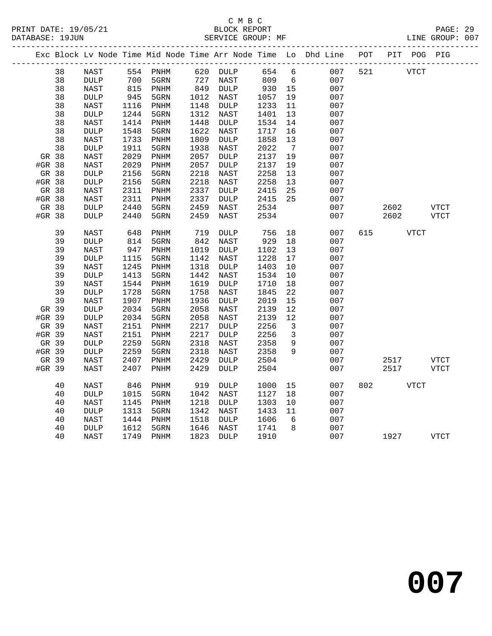## C M B C<br>BLOCK REPORT

PAGE: 29<br>LINE GROUP: 007

|        |    |                 |      |                              |      |                 |      |                         | Exc Block Lv Node Time Mid Node Time Arr Node Time Lo Dhd Line POT PIT POG PIG |     |             |             |
|--------|----|-----------------|------|------------------------------|------|-----------------|------|-------------------------|--------------------------------------------------------------------------------|-----|-------------|-------------|
|        | 38 | NAST            |      | 554 PNHM                     |      | 620 DULP        | 654  | 6                       | 007                                                                            | 521 | <b>VTCT</b> |             |
|        | 38 | <b>DULP</b>     | 700  | 5GRN                         |      |                 | 809  | $6\overline{6}$         | 007                                                                            |     |             |             |
|        | 38 | NAST            | 815  | PNHM                         |      | $849$ DULP      | 930  | 15                      | 007                                                                            |     |             |             |
|        | 38 | $\texttt{DULP}$ | 945  | 5GRN                         | 1012 | NAST            | 1057 | 19                      | 007                                                                            |     |             |             |
|        | 38 | NAST            | 1116 | PNHM                         | 1148 | DULP            | 1233 | 11                      | 007                                                                            |     |             |             |
|        | 38 | <b>DULP</b>     | 1244 | 5GRN                         | 1312 | NAST            | 1401 | 13                      | 007                                                                            |     |             |             |
|        | 38 | NAST            | 1414 | PNHM                         | 1448 | DULP            | 1534 | 14                      | 007                                                                            |     |             |             |
|        | 38 | $\texttt{DULP}$ | 1548 | 5GRN                         | 1622 | NAST            | 1717 | 16                      | 007                                                                            |     |             |             |
|        | 38 | NAST            | 1733 | PNHM                         | 1809 | $\texttt{DULP}$ | 1858 | 13                      | 007                                                                            |     |             |             |
|        | 38 | <b>DULP</b>     | 1911 | 5GRN                         | 1938 | NAST            | 2022 | $\overline{7}$          | 007                                                                            |     |             |             |
| GR 38  |    | NAST            | 2029 | PNHM                         | 2057 | <b>DULP</b>     | 2137 | 19                      | 007                                                                            |     |             |             |
| #GR 38 |    | NAST            | 2029 | $\mathop{\rm PNHM}\nolimits$ | 2057 | $\texttt{DULP}$ | 2137 | 19                      | 007                                                                            |     |             |             |
| GR 38  |    | $\texttt{DULP}$ | 2156 | 5GRN                         | 2218 | NAST            | 2258 | 13                      | 007                                                                            |     |             |             |
| #GR 38 |    | $\texttt{DULP}$ | 2156 | 5GRN                         | 2218 | NAST            | 2258 | 13                      | 007                                                                            |     |             |             |
| GR 38  |    | <b>NAST</b>     | 2311 | PNHM                         | 2337 | <b>DULP</b>     | 2415 | 25                      | 007                                                                            |     |             |             |
| #GR 38 |    | NAST            | 2311 | PNHM                         | 2337 | <b>DULP</b>     | 2415 | 25                      | 007                                                                            |     |             |             |
| GR 38  |    | <b>DULP</b>     | 2440 | 5GRN                         | 2459 | NAST            | 2534 |                         | 007                                                                            |     | 2602        | <b>VTCT</b> |
| #GR 38 |    | <b>DULP</b>     | 2440 | 5GRN                         | 2459 | NAST            | 2534 |                         | 007                                                                            |     | 2602        | VTCT        |
|        | 39 | NAST            | 648  | $\mathop{\rm PNHM}\nolimits$ | 719  | DULP            | 756  | 18                      | 007                                                                            | 615 | <b>VTCT</b> |             |
|        | 39 | <b>DULP</b>     | 814  | 5GRN                         | 842  | NAST            | 929  | 18                      | 007                                                                            |     |             |             |
|        | 39 | <b>NAST</b>     | 947  | PNHM                         | 1019 | <b>DULP</b>     | 1102 | 13                      | 007                                                                            |     |             |             |
|        | 39 | $\texttt{DULP}$ | 1115 | 5GRN                         | 1142 | NAST            | 1228 | 17                      | 007                                                                            |     |             |             |
|        | 39 | NAST            | 1245 | PNHM                         | 1318 | DULP            | 1403 | 10                      | 007                                                                            |     |             |             |
|        | 39 | <b>DULP</b>     | 1413 | 5GRN                         | 1442 | NAST            | 1534 | 10                      | 007                                                                            |     |             |             |
|        | 39 | NAST            | 1544 | PNHM                         | 1619 | <b>DULP</b>     | 1710 | 18                      | 007                                                                            |     |             |             |
|        | 39 | $\texttt{DULP}$ | 1728 | 5GRN                         | 1758 | NAST            | 1845 | 22                      | 007                                                                            |     |             |             |
|        | 39 | NAST            | 1907 | PNHM                         | 1936 | $\texttt{DULP}$ | 2019 | 15                      | 007                                                                            |     |             |             |
| GR 39  |    | <b>DULP</b>     | 2034 | 5GRN                         | 2058 | NAST            | 2139 | 12                      | 007                                                                            |     |             |             |
| #GR 39 |    | <b>DULP</b>     | 2034 | 5GRN                         | 2058 | NAST            | 2139 | 12                      | 007                                                                            |     |             |             |
| GR 39  |    | NAST            | 2151 | PNHM                         | 2217 | <b>DULP</b>     | 2256 | $\overline{\mathbf{3}}$ | 007                                                                            |     |             |             |
| #GR 39 |    | NAST            | 2151 | PNHM                         | 2217 | <b>DULP</b>     | 2256 | 3                       | 007                                                                            |     |             |             |
| GR 39  |    | $\texttt{DULP}$ | 2259 | 5GRN                         | 2318 | NAST            | 2358 | 9                       | 007                                                                            |     |             |             |
| #GR 39 |    | DULP            | 2259 | 5GRN                         | 2318 | NAST            | 2358 | $\mathsf{Q}$            | 007                                                                            |     |             |             |
| GR 39  |    | NAST            | 2407 | PNHM                         | 2429 | DULP            | 2504 |                         | 007                                                                            |     | 2517        | VTCT        |
| #GR 39 |    | NAST            | 2407 | PNHM                         | 2429 | DULP            | 2504 |                         | 007                                                                            |     | 2517        | VTCT        |
|        | 40 | NAST            | 846  | PNHM                         | 919  | DULP            | 1000 | 15                      | 007                                                                            | 802 | VTCT        |             |
|        | 40 | <b>DULP</b>     | 1015 | 5GRN                         | 1042 | NAST            | 1127 | 18                      | 007                                                                            |     |             |             |
|        | 40 | NAST            | 1145 | PNHM                         | 1218 | $\texttt{DULP}$ | 1303 | 10                      | 007                                                                            |     |             |             |
|        | 40 | $\texttt{DULP}$ | 1313 | 5GRN                         | 1342 | NAST            | 1433 | 11                      | 007                                                                            |     |             |             |
|        | 40 | NAST            | 1444 | PNHM                         | 1518 | DULP            | 1606 | 6                       | 007                                                                            |     |             |             |
|        | 40 | $\texttt{DULP}$ | 1612 | 5GRN                         | 1646 | NAST            | 1741 | 8                       | 007                                                                            |     |             |             |
|        | 40 | NAST            | 1749 | PNHM                         | 1823 | <b>DULP</b>     | 1910 |                         | 007                                                                            |     | 1927        | VTCT        |
|        |    |                 |      |                              |      |                 |      |                         |                                                                                |     |             |             |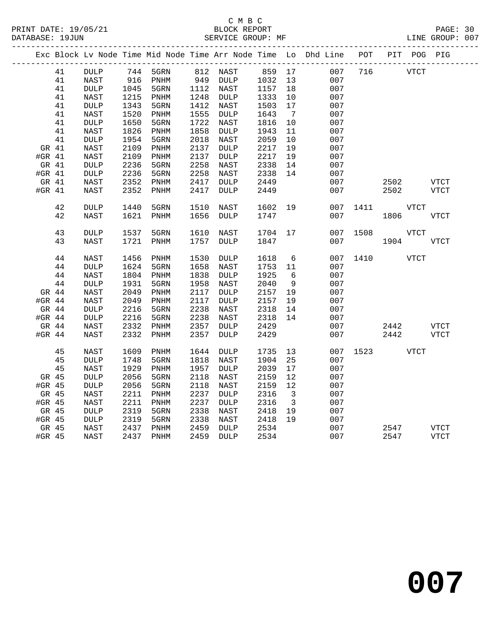## C M B C<br>BLOCK REPORT

PAGE: 30<br>LINE GROUP: 007

|          |    | -----           |      |                              |      | _________________________ |      |                         | Exc Block Lv Node Time Mid Node Time Arr Node Time Lo Dhd Line<br>------------ | POT<br>________________ | PIT POG PIG |             |
|----------|----|-----------------|------|------------------------------|------|---------------------------|------|-------------------------|--------------------------------------------------------------------------------|-------------------------|-------------|-------------|
|          | 41 | <b>DULP</b>     | 744  | 5GRN                         |      | 812 NAST                  | 859  | 17                      | 007                                                                            | 716                     | <b>VTCT</b> |             |
|          | 41 | NAST            | 916  | PNHM                         | 949  | $\texttt{DULP}$           | 1032 | 13                      | 007                                                                            |                         |             |             |
|          | 41 | <b>DULP</b>     | 1045 | 5GRN                         | 1112 | NAST                      | 1157 | 18                      | 007                                                                            |                         |             |             |
|          | 41 | NAST            | 1215 | PNHM                         | 1248 | <b>DULP</b>               | 1333 | 10                      | 007                                                                            |                         |             |             |
|          | 41 | $\texttt{DULP}$ | 1343 | 5GRN                         | 1412 | NAST                      | 1503 | 17                      | 007                                                                            |                         |             |             |
|          | 41 | NAST            | 1520 | PNHM                         | 1555 | DULP                      | 1643 | $\overline{7}$          | 007                                                                            |                         |             |             |
|          | 41 | <b>DULP</b>     | 1650 | 5GRN                         | 1722 | NAST                      | 1816 | 10                      | 007                                                                            |                         |             |             |
|          | 41 | <b>NAST</b>     | 1826 | $\mathop{\rm PNHM}\nolimits$ | 1858 | DULP                      | 1943 | 11                      | 007                                                                            |                         |             |             |
|          | 41 | <b>DULP</b>     | 1954 | 5GRN                         | 2018 | NAST                      | 2059 | 10                      | 007                                                                            |                         |             |             |
| GR 41    |    | <b>NAST</b>     | 2109 | PNHM                         | 2137 | <b>DULP</b>               | 2217 | 19                      | 007                                                                            |                         |             |             |
| #GR 41   |    | NAST            | 2109 | PNHM                         | 2137 | <b>DULP</b>               | 2217 | 19                      | 007                                                                            |                         |             |             |
| GR 41    |    | <b>DULP</b>     | 2236 | 5GRN                         | 2258 | NAST                      | 2338 | 14                      | 007                                                                            |                         |             |             |
| #GR $41$ |    | <b>DULP</b>     | 2236 | 5GRN                         | 2258 | NAST                      | 2338 | 14                      | 007                                                                            |                         |             |             |
| GR 41    |    | NAST            | 2352 | $\mathop{\rm PNHM}\nolimits$ | 2417 | $\texttt{DULP}$           | 2449 |                         | 007                                                                            |                         | 2502        | <b>VTCT</b> |
| #GR 41   |    | <b>NAST</b>     | 2352 | PNHM                         | 2417 | <b>DULP</b>               | 2449 |                         | 007                                                                            |                         | 2502        | <b>VTCT</b> |
|          | 42 | <b>DULP</b>     | 1440 | 5GRN                         | 1510 | NAST                      | 1602 | 19                      | 007                                                                            | 1411                    | <b>VTCT</b> |             |
|          | 42 | NAST            | 1621 | PNHM                         | 1656 | <b>DULP</b>               | 1747 |                         | 007                                                                            |                         | 1806        | VTCT        |
|          | 43 | <b>DULP</b>     | 1537 | 5GRN                         | 1610 | NAST                      | 1704 | 17                      | 007                                                                            | 1508                    | <b>VTCT</b> |             |
|          | 43 | NAST            | 1721 | PNHM                         | 1757 | <b>DULP</b>               | 1847 |                         | 007                                                                            |                         | 1904        | <b>VTCT</b> |
|          | 44 | NAST            | 1456 | $\mathop{\rm PNHM}\nolimits$ | 1530 | DULP                      | 1618 | 6                       | 007                                                                            | 1410                    | <b>VTCT</b> |             |
|          | 44 | <b>DULP</b>     | 1624 | 5GRN                         | 1658 | NAST                      | 1753 | 11                      | 007                                                                            |                         |             |             |
|          | 44 | NAST            | 1804 | $\mathop{\rm PNHM}\nolimits$ | 1838 | $\texttt{DULP}$           | 1925 | 6                       | 007                                                                            |                         |             |             |
|          | 44 | <b>DULP</b>     | 1931 | 5GRN                         | 1958 | NAST                      | 2040 | 9                       | 007                                                                            |                         |             |             |
| GR 44    |    | NAST            | 2049 | PNHM                         | 2117 | $\texttt{DULP}$           | 2157 | 19                      | 007                                                                            |                         |             |             |
| #GR 44   |    | NAST            | 2049 | PNHM                         | 2117 | <b>DULP</b>               | 2157 | 19                      | 007                                                                            |                         |             |             |
| GR 44    |    | <b>DULP</b>     | 2216 | 5GRN                         | 2238 | NAST                      | 2318 | 14                      | 007                                                                            |                         |             |             |
| #GR 44   |    | <b>DULP</b>     | 2216 | 5GRN                         | 2238 | NAST                      | 2318 | 14                      | 007                                                                            |                         |             |             |
| GR 44    |    | NAST            | 2332 | $\mathop{\rm PNHM}\nolimits$ | 2357 | DULP                      | 2429 |                         | 007                                                                            |                         | 2442        | VTCT        |
| #GR $44$ |    | NAST            | 2332 | PNHM                         | 2357 | DULP                      | 2429 |                         | 007                                                                            |                         | 2442        | VTCT        |
|          | 45 | NAST            | 1609 | PNHM                         | 1644 | DULP                      | 1735 | 13                      | 007                                                                            | 1523                    | VTCT        |             |
|          | 45 | <b>DULP</b>     | 1748 | 5GRN                         | 1818 | NAST                      | 1904 | 25                      | 007                                                                            |                         |             |             |
|          | 45 | NAST            | 1929 | $\mathop{\rm PNHM}\nolimits$ | 1957 | <b>DULP</b>               | 2039 | 17                      | 007                                                                            |                         |             |             |
| GR 45    |    | <b>DULP</b>     | 2056 | 5GRN                         | 2118 | NAST                      | 2159 | 12                      | 007                                                                            |                         |             |             |
| #GR 45   |    | $\texttt{DULP}$ | 2056 | 5GRN                         | 2118 | NAST                      | 2159 | 12                      | 007                                                                            |                         |             |             |
| GR 45    |    | NAST            | 2211 | PNHM                         | 2237 | <b>DULP</b>               | 2316 | $\overline{\mathbf{3}}$ | 007                                                                            |                         |             |             |
| #GR 45   |    | NAST            | 2211 | PNHM                         | 2237 | <b>DULP</b>               | 2316 | $\overline{\mathbf{3}}$ | 007                                                                            |                         |             |             |
| GR 45    |    | <b>DULP</b>     | 2319 | 5GRN                         | 2338 | NAST                      | 2418 | 19                      | 007                                                                            |                         |             |             |
| #GR 45   |    | <b>DULP</b>     | 2319 | 5GRN                         | 2338 | NAST                      | 2418 | 19                      | 007                                                                            |                         |             |             |
| GR 45    |    | NAST            | 2437 | PNHM                         | 2459 | <b>DULP</b>               | 2534 |                         | 007                                                                            |                         | 2547        | <b>VTCT</b> |
| #GR 45   |    | NAST            | 2437 | PNHM                         | 2459 | <b>DULP</b>               | 2534 |                         | 007                                                                            |                         | 2547        | <b>VTCT</b> |
|          |    |                 |      |                              |      |                           |      |                         |                                                                                |                         |             |             |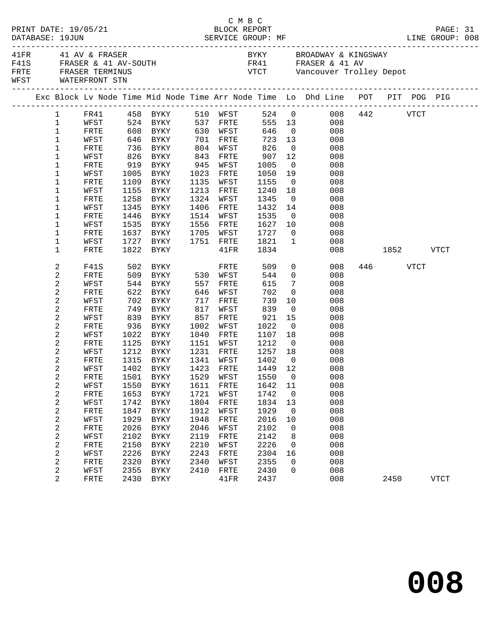| PRINT DATE: 19/05/21<br>DATABASE: 19JUN |              |                                                                    |            |                           |            |                   | C M B C<br>BLOCK REPORT |                          |                                                                                                                                                               |               |          | PAGE: 31    |  |
|-----------------------------------------|--------------|--------------------------------------------------------------------|------------|---------------------------|------------|-------------------|-------------------------|--------------------------|---------------------------------------------------------------------------------------------------------------------------------------------------------------|---------------|----------|-------------|--|
|                                         |              | 41FR 41 AV & FRASER<br>FRTE FRASER TERMINUS<br>WFST WATERFRONT STN |            | F41S FRASER & 41 AV-SOUTH |            |                   |                         |                          | BYKY BROADWAY & KINGSWAY<br>FR41 FRASER & 41 AV<br>VTCT Vancouver Trolley Depot                                                                               |               |          |             |  |
|                                         |              |                                                                    |            |                           |            |                   |                         |                          | Exc Block Lv Node Time Mid Node Time Arr Node Time Lo Dhd Line POT PIT POG PIG                                                                                |               |          |             |  |
|                                         |              |                                                                    |            |                           |            |                   |                         |                          | $\begin{tabular}{lcccccc} 1 & FRA1 & 458 & BYKY & 510 WFST & 524 & 0 & 008 & 442 & VTCT \\ 1 & WFST & 524 & BYKY & 537 FRTE & 555 & 13 & 008 & \end{tabular}$ |               |          |             |  |
|                                         |              |                                                                    |            |                           |            |                   |                         |                          |                                                                                                                                                               |               |          |             |  |
|                                         | $\mathbf{1}$ | FRTE                                                               |            | 608 BYKY 630 WFST 646 0   |            |                   |                         |                          | 008                                                                                                                                                           |               |          |             |  |
|                                         | $\mathbf 1$  | WFST                                                               |            | 646 BYKY 701              |            | FRTE              | 723                     | 13                       | 008                                                                                                                                                           |               |          |             |  |
|                                         | $\mathbf{1}$ | FRTE                                                               |            | 736 BYKY<br>826 BYKY      |            | WFST              |                         | $\overline{0}$           | 008                                                                                                                                                           |               |          |             |  |
|                                         | 1            | WFST                                                               |            |                           | 804<br>843 | FRTE              | 826<br>907              | 12                       | 008                                                                                                                                                           |               |          |             |  |
|                                         | 1            | FRTE                                                               |            | 919 BYKY                  | 945        | WFST              | 1005                    | $\overline{0}$           | 008                                                                                                                                                           |               |          |             |  |
|                                         | 1            | WFST                                                               | 1005       | BYKY                      | 1023       | FRTE              | 1050                    | 19                       | 008                                                                                                                                                           |               |          |             |  |
|                                         | 1            | FRTE                                                               |            | 1109 BYKY                 | 1135       | WFST              | 1155                    | $\overline{0}$           | 008                                                                                                                                                           |               |          |             |  |
|                                         | 1            | WFST                                                               |            | 1155 BYKY                 | 1213       | FRTE              | 1240                    | 18                       | 008                                                                                                                                                           |               |          |             |  |
|                                         | 1            | FRTE                                                               |            | 1258 BYKY                 | 1324       | WFST              | 1345                    | $\overline{0}$           | 008                                                                                                                                                           |               |          |             |  |
|                                         | 1            | WFST                                                               | 1345       | BYKY                      | 1406       | FRTE              | 1432                    | 14                       | 008                                                                                                                                                           |               |          |             |  |
|                                         | 1            | FRTE                                                               | 1446       | BYKY                      | 1514       | WFST              | 1535                    | $\overline{\mathbf{0}}$  | 008                                                                                                                                                           |               |          |             |  |
|                                         | 1            | WFST                                                               | 1535       | BYKY                      |            | 1556 FRTE         | 1627                    | 10                       | 008                                                                                                                                                           |               |          |             |  |
|                                         | 1            | FRTE                                                               |            | 1637 BYKY                 |            | 1705 WFST         | 1727                    |                          | $\overline{0}$<br>008                                                                                                                                         |               |          |             |  |
|                                         | 1            | WFST                                                               |            | 1727 BYKY                 |            | 1751 FRTE         | 1821                    | $\overline{1}$           | 008                                                                                                                                                           |               |          |             |  |
|                                         | 1            | <b>FRTE</b>                                                        | 1822       | BYKY                      |            | $41\mathrm{FR}$   | 1834                    |                          |                                                                                                                                                               | 008 1852 VTCT |          |             |  |
|                                         | 2            | F41S                                                               |            | 502 BYKY                  |            | FRTE              | 509                     |                          | $\overline{0}$<br>008                                                                                                                                         |               | 446 VTCT |             |  |
|                                         | 2            | FRTE                                                               |            | 509 BYKY 530 WFST         |            |                   | 544                     |                          | $\overline{0}$<br>008                                                                                                                                         |               |          |             |  |
|                                         | 2            | WFST                                                               | 544        | BYKY                      | 557        | FRTE              | 615                     | $7\overline{ }$          | 008                                                                                                                                                           |               |          |             |  |
|                                         | 2            | FRTE                                                               | 622<br>702 | BYKY                      | 646        | WFST              | 702                     | $\overline{0}$           | 008                                                                                                                                                           |               |          |             |  |
|                                         | 2            | WFST                                                               | 702        | BYKY                      | 717        | FRTE              | 739                     | 10                       | 008                                                                                                                                                           |               |          |             |  |
|                                         | 2            | FRTE                                                               |            | 749 BYKY                  | 817        | WFST              | 839                     | $\overline{0}$           | 008                                                                                                                                                           |               |          |             |  |
|                                         | 2            | WFST                                                               | 839        | BYKY                      | 857        | FRTE              | 921                     | 15                       | 008                                                                                                                                                           |               |          |             |  |
|                                         | 2            | FRTE                                                               | 936        | BYKY                      | 1002       | WFST              | 1022                    | $\overline{0}$           | 008                                                                                                                                                           |               |          |             |  |
|                                         | 2            | WFST                                                               |            | 1022 BYKY                 | 1040       | FRTE              | 1107                    | 18                       | 008                                                                                                                                                           |               |          |             |  |
|                                         | 2            | FRTE                                                               |            | 1125 BYKY                 | 1151       | WFST              | 1212                    | $\overline{0}$           | 008                                                                                                                                                           |               |          |             |  |
|                                         | 2            | WFST                                                               | 1212       | BYKY                      | 1231       | FRTE              | 1257                    | 18                       | 008                                                                                                                                                           |               |          |             |  |
|                                         | 2            | FRTE                                                               | 1315       | BYKY<br>1402 BYKY         | 1341       | WFST<br>1423 FRTE | $1402$<br>$1440$        | $\overline{0}$           | 008                                                                                                                                                           |               |          |             |  |
|                                         | 2            | WFST                                                               |            |                           |            |                   | 1449 12                 |                          | 008<br>FRTE 1501 BYKY 1529 WFST 1550 0 008                                                                                                                    |               |          |             |  |
|                                         | 2<br>2       | WFST                                                               | 1550       | BYKY                      | 1611       | FRTE              | 1642                    | 11                       | 008                                                                                                                                                           |               |          |             |  |
|                                         | 2            | FRTE                                                               | 1653       | BYKY                      | 1721       | WFST              | 1742                    | $\overline{\phantom{0}}$ | 008                                                                                                                                                           |               |          |             |  |
|                                         | 2            | WFST                                                               | 1742       | BYKY                      | 1804       | FRTE              | 1834                    | 13                       | 008                                                                                                                                                           |               |          |             |  |
|                                         | 2            | FRTE                                                               | 1847       | BYKY                      | 1912       | WFST              | 1929                    | $\overline{0}$           | 008                                                                                                                                                           |               |          |             |  |
|                                         | 2            | WFST                                                               | 1929       | <b>BYKY</b>               | 1948       | FRTE              | 2016                    | 10                       | 008                                                                                                                                                           |               |          |             |  |
|                                         | 2            | FRTE                                                               | 2026       | BYKY                      | 2046       | WFST              | 2102                    | 0                        | 008                                                                                                                                                           |               |          |             |  |
|                                         | 2            | WFST                                                               | 2102       | <b>BYKY</b>               | 2119       | FRTE              | 2142                    | 8                        | 008                                                                                                                                                           |               |          |             |  |
|                                         | 2            | FRTE                                                               | 2150       | BYKY                      | 2210       | WFST              | 2226                    | $\mathbf 0$              | 008                                                                                                                                                           |               |          |             |  |
|                                         | 2            | WFST                                                               | 2226       | <b>BYKY</b>               | 2243       | ${\tt FRTE}$      | 2304                    | 16                       | 008                                                                                                                                                           |               |          |             |  |
|                                         | 2            | FRTE                                                               | 2320       | BYKY                      | 2340       | WFST              | 2355                    | 0                        | 008                                                                                                                                                           |               |          |             |  |
|                                         | 2            | WFST                                                               | 2355       | BYKY                      | 2410       | FRTE              | 2430                    | 0                        | 008                                                                                                                                                           |               |          |             |  |
|                                         | 2            | FRTE                                                               |            | 2430 BYKY                 |            | 41FR              | 2437                    |                          | 008                                                                                                                                                           |               | 2450     | <b>VTCT</b> |  |
|                                         |              |                                                                    |            |                           |            |                   |                         |                          |                                                                                                                                                               |               |          |             |  |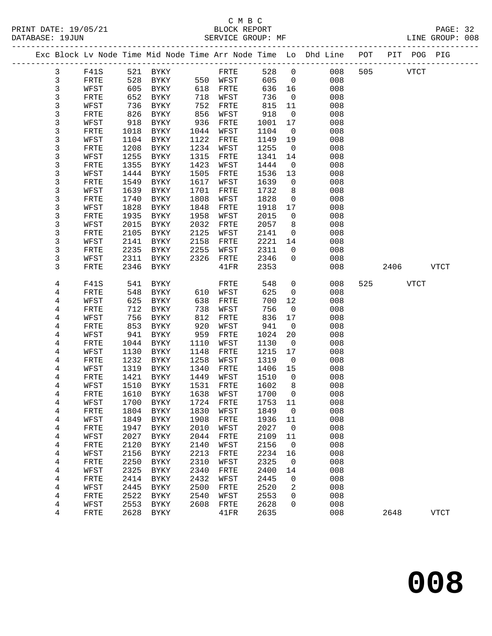## C M B C N B C N B C N B C C M B C

| DATABASE: 19JUN |      |      | SERVICE GROUP: MF          |      |           |       |                | LINE GROUP: 008                                                                |     |          |           |             |  |
|-----------------|------|------|----------------------------|------|-----------|-------|----------------|--------------------------------------------------------------------------------|-----|----------|-----------|-------------|--|
|                 |      |      |                            |      |           |       |                | Exc Block Lv Node Time Mid Node Time Arr Node Time Lo Dhd Line POT PIT POG PIG |     |          |           |             |  |
| $\mathbf{3}$    |      |      | F41S 521 BYKY              |      | FRTE      | 528 0 |                | 008                                                                            |     | 505 VTCT |           |             |  |
| 3               | FRTE | 528  | <b>BYKY</b>                |      | 550 WFST  | 605 0 |                | 008                                                                            |     |          |           |             |  |
| 3               | WFST | 605  | BYKY                       |      | 618 FRTE  | 636   | 16             | 008                                                                            |     |          |           |             |  |
| 3               | FRTE | 652  | BYKY                       |      | 718 WFST  | 736   | $\overline{0}$ | 008                                                                            |     |          |           |             |  |
| 3               | WFST | 736  | BYKY                       | 752  | FRTE      | 815   | 11             | 008                                                                            |     |          |           |             |  |
| 3               | FRTE | 826  | BYKY                       | 856  | WFST      | 918   | $\overline{0}$ | 008                                                                            |     |          |           |             |  |
| 3               | WFST | 918  | BYKY                       | 936  | FRTE      | 1001  | 17             | 008                                                                            |     |          |           |             |  |
| 3               | FRTE | 1018 | BYKY                       | 1044 | WFST      | 1104  | $\overline{0}$ | 008                                                                            |     |          |           |             |  |
| 3               | WFST | 1104 | BYKY                       | 1122 | FRTE      | 1149  | 19             | 008                                                                            |     |          |           |             |  |
| 3               | FRTE | 1208 | BYKY                       | 1234 | WFST      | 1255  | $\overline{0}$ | 008                                                                            |     |          |           |             |  |
| 3               | WFST | 1255 | BYKY                       | 1315 | FRTE      | 1341  | 14             | 008                                                                            |     |          |           |             |  |
| 3               | FRTE | 1355 | BYKY                       | 1423 | WFST      | 1444  | $\overline{0}$ | 008                                                                            |     |          |           |             |  |
| 3               | WFST | 1444 | BYKY                       | 1505 | FRTE      | 1536  | 13             | 008                                                                            |     |          |           |             |  |
| 3               | FRTE | 1549 | BYKY                       | 1617 | WFST      | 1639  | $\overline{0}$ | 008                                                                            |     |          |           |             |  |
| 3               | WFST | 1639 | BYKY                       | 1701 | FRTE      | 1732  | 8              | 008                                                                            |     |          |           |             |  |
| 3               | FRTE | 1740 | BYKY                       | 1808 | WFST      | 1828  | $\overline{0}$ | 008                                                                            |     |          |           |             |  |
| 3               | WFST | 1828 | BYKY                       | 1848 | FRTE      | 1918  | 17             | 008                                                                            |     |          |           |             |  |
| 3               | FRTE | 1935 | BYKY                       | 1958 | WFST      | 2015  | $\overline{0}$ | 008                                                                            |     |          |           |             |  |
| 3               | WFST | 2015 | BYKY                       | 2032 | FRTE      | 2057  | 8              | 008                                                                            |     |          |           |             |  |
| 3               | FRTE | 2105 | BYKY                       | 2125 | WFST      | 2141  | $\overline{0}$ | 008                                                                            |     |          |           |             |  |
| 3               | WFST | 2141 | BYKY                       | 2158 | FRTE      | 2221  | 14             | 008                                                                            |     |          |           |             |  |
| 3               | FRTE | 2235 | BYKY                       | 2255 | WFST      | 2311  | $\overline{0}$ | 008                                                                            |     |          |           |             |  |
| 3               | WFST | 2311 | BYKY                       | 2326 | FRTE      | 2346  | $\mathbf{0}$   | 008                                                                            |     |          |           |             |  |
| 3               | FRTE | 2346 | BYKY                       |      | 41FR      | 2353  |                | 008                                                                            |     |          | 2406 VTCT |             |  |
| 4               | F41S | 541  | BYKY                       |      | FRTE      | 548   | $\mathsf{O}$   | 008                                                                            | 525 | VTCT     |           |             |  |
| 4               | FRTE | 548  | BYKY                       |      | 610 WFST  | 625   | $\mathsf{O}$   | 008                                                                            |     |          |           |             |  |
| 4               | WFST | 625  | BYKY                       | 638  | FRTE      | 700   | 12             | 008                                                                            |     |          |           |             |  |
| 4               | FRTE | 712  | BYKY                       | 738  | WFST      | 756   | $\overline{0}$ | 008                                                                            |     |          |           |             |  |
| 4               | WFST | 756  | BYKY                       | 812  | FRTE      | 836   | 17             | 008                                                                            |     |          |           |             |  |
| 4               | FRTE | 853  | BYKY                       | 920  | WFST      | 941   | $\overline{0}$ | 008                                                                            |     |          |           |             |  |
| 4               | WFST | 941  | BYKY                       | 959  | FRTE      | 1024  | 20             | 008                                                                            |     |          |           |             |  |
| 4               | FRTE | 1044 | BYKY                       | 1110 | WFST      | 1130  | $\overline{0}$ | 008                                                                            |     |          |           |             |  |
| 4               | WFST | 1130 | BYKY                       | 1148 | FRTE      | 1215  | 17             | 008                                                                            |     |          |           |             |  |
| 4               | FRTE | 1232 | BYKY                       | 1258 | WFST      | 1319  | $\overline{0}$ | 008                                                                            |     |          |           |             |  |
| 4               | WFST | 1319 | BYKY                       | 1340 | FRTE      | 1406  | 15             | 008                                                                            |     |          |           |             |  |
| 4               | FRTE | 1421 | BYKY                       | 1449 | WFST      | 1510  | $\overline{0}$ | 008                                                                            |     |          |           |             |  |
| 4               | WFST | 1510 | BYKY                       |      | 1531 FRTE | 1602  | 8              | 008                                                                            |     |          |           |             |  |
| 4               | FRTE |      | 1610 BYKY 1638 WFST 1700 0 |      |           |       |                | 008                                                                            |     |          |           |             |  |
| 4               | WFST | 1700 | BYKY                       | 1724 | FRTE      | 1753  | 11             | 008                                                                            |     |          |           |             |  |
| 4               | FRTE | 1804 | BYKY                       | 1830 | WFST      | 1849  | $\overline{0}$ | 008                                                                            |     |          |           |             |  |
| 4               | WFST | 1849 | BYKY                       | 1908 | FRTE      | 1936  | 11             | 008                                                                            |     |          |           |             |  |
| 4               | FRTE | 1947 | <b>BYKY</b>                | 2010 | WFST      | 2027  | $\overline{0}$ | 008                                                                            |     |          |           |             |  |
| 4               | WFST | 2027 | BYKY                       | 2044 | FRTE      | 2109  | 11             | 008                                                                            |     |          |           |             |  |
| 4               | FRTE | 2120 | <b>BYKY</b>                | 2140 | WFST      | 2156  | $\overline{0}$ | 008                                                                            |     |          |           |             |  |
| 4               | WFST | 2156 | BYKY                       | 2213 | FRTE      | 2234  | 16             | 008                                                                            |     |          |           |             |  |
| 4               | FRTE | 2250 | <b>BYKY</b>                | 2310 | WFST      | 2325  | $\mathbf 0$    | 008                                                                            |     |          |           |             |  |
| 4               | WFST | 2325 | BYKY                       | 2340 | FRTE      | 2400  | 14             | 008                                                                            |     |          |           |             |  |
| 4               | FRTE | 2414 | BYKY                       | 2432 | WFST      | 2445  | 0              | 008                                                                            |     |          |           |             |  |
| 4               | WFST | 2445 | BYKY                       | 2500 | FRTE      | 2520  | 2              | 008                                                                            |     |          |           |             |  |
| 4               | FRTE | 2522 | BYKY                       | 2540 | WFST      | 2553  | $\mathbf 0$    | 008                                                                            |     |          |           |             |  |
| 4               | WFST | 2553 | BYKY                       | 2608 | FRTE      | 2628  | 0              | 008                                                                            |     |          |           |             |  |
| 4               | FRTE | 2628 | BYKY                       |      | 41FR      | 2635  |                | 008                                                                            |     | 2648     |           | <b>VTCT</b> |  |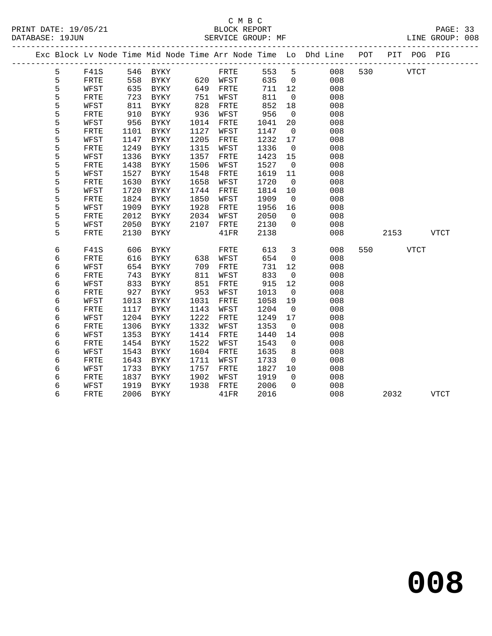## C M B C<br>BLOCK REPORT

PAGE: 33<br>LINE GROUP: 008

|  |   |              |      |             |      |          |      |                          | Exc Block Lv Node Time Mid Node Time Arr Node Time Lo Dhd Line POT |     |      | PIT POG PIG |             |
|--|---|--------------|------|-------------|------|----------|------|--------------------------|--------------------------------------------------------------------|-----|------|-------------|-------------|
|  | 5 | F41S         |      | 546 BYKY    |      | FRTE     | 553  | 5                        | 008                                                                | 530 |      | <b>VTCT</b> |             |
|  | 5 | FRTE         | 558  | BYKY        |      | 620 WFST | 635  | $\overline{0}$           | 008                                                                |     |      |             |             |
|  | 5 | WFST         | 635  | BYKY        | 649  | FRTE     | 711  | 12                       | 008                                                                |     |      |             |             |
|  | 5 | ${\tt FRTE}$ | 723  | BYKY        | 751  | WFST     | 811  | $\overline{0}$           | 008                                                                |     |      |             |             |
|  | 5 | WFST         | 811  | BYKY        | 828  | FRTE     | 852  | 18                       | 008                                                                |     |      |             |             |
|  | 5 | FRTE         | 910  | BYKY        | 936  | WFST     | 956  | $\overline{0}$           | 008                                                                |     |      |             |             |
|  | 5 | WFST         | 956  | <b>BYKY</b> | 1014 | FRTE     | 1041 | 20                       | 008                                                                |     |      |             |             |
|  | 5 | FRTE         | 1101 | BYKY        | 1127 | WFST     | 1147 | $\overline{0}$           | 008                                                                |     |      |             |             |
|  | 5 | WFST         | 1147 | BYKY        | 1205 | FRTE     | 1232 | 17                       | 008                                                                |     |      |             |             |
|  | 5 | FRTE         | 1249 | <b>BYKY</b> | 1315 | WFST     | 1336 | $\overline{0}$           | 008                                                                |     |      |             |             |
|  | 5 | WFST         | 1336 | <b>BYKY</b> | 1357 | FRTE     | 1423 | 15                       | 008                                                                |     |      |             |             |
|  | 5 | FRTE         | 1438 | <b>BYKY</b> | 1506 | WFST     | 1527 | $\overline{0}$           | 008                                                                |     |      |             |             |
|  | 5 | WFST         | 1527 | BYKY        | 1548 | FRTE     | 1619 | 11                       | 008                                                                |     |      |             |             |
|  | 5 | FRTE         | 1630 | <b>BYKY</b> | 1658 | WFST     | 1720 | $\overline{0}$           | 008                                                                |     |      |             |             |
|  | 5 | WFST         | 1720 | BYKY        | 1744 | FRTE     | 1814 | 10                       | 008                                                                |     |      |             |             |
|  | 5 | FRTE         | 1824 | <b>BYKY</b> | 1850 | WFST     | 1909 | $\overline{0}$           | 008                                                                |     |      |             |             |
|  | 5 | WFST         | 1909 | BYKY        | 1928 | FRTE     | 1956 | 16                       | 008                                                                |     |      |             |             |
|  | 5 | FRTE         | 2012 | BYKY        | 2034 | WFST     | 2050 | $\overline{0}$           | 008                                                                |     |      |             |             |
|  | 5 | WFST         | 2050 | <b>BYKY</b> | 2107 | FRTE     | 2130 | $\Omega$                 | 008                                                                |     |      |             |             |
|  | 5 | FRTE         | 2130 | BYKY        |      | 41FR     | 2138 |                          | 008                                                                |     | 2153 |             | <b>VTCT</b> |
|  |   |              |      |             |      |          |      |                          |                                                                    |     |      |             |             |
|  | б | F41S         | 606  | BYKY        |      | FRTE     | 613  | $\overline{3}$           | 008                                                                | 550 |      | <b>VTCT</b> |             |
|  | 6 | FRTE         | 616  | BYKY        | 638  | WFST     | 654  | $\mathbf 0$              | 008                                                                |     |      |             |             |
|  | 6 | WFST         | 654  | BYKY        | 709  | FRTE     | 731  | 12                       | 008                                                                |     |      |             |             |
|  | б | FRTE         | 743  | <b>BYKY</b> | 811  | WFST     | 833  | $\overline{0}$           | 008                                                                |     |      |             |             |
|  | б | WFST         | 833  | BYKY        | 851  | FRTE     | 915  | 12                       | 008                                                                |     |      |             |             |
|  | 6 | FRTE         | 927  | BYKY        | 953  | WFST     | 1013 | $\overline{0}$           | 008                                                                |     |      |             |             |
|  | 6 | WFST         | 1013 | BYKY        | 1031 | FRTE     | 1058 | 19                       | 008                                                                |     |      |             |             |
|  | б | FRTE         | 1117 | <b>BYKY</b> | 1143 | WFST     | 1204 | $\overline{\phantom{0}}$ | 008                                                                |     |      |             |             |
|  | б | WFST         | 1204 | BYKY        | 1222 | FRTE     | 1249 | 17                       | 008                                                                |     |      |             |             |
|  | б | FRTE         | 1306 | <b>BYKY</b> | 1332 | WFST     | 1353 | $\overline{0}$           | 008                                                                |     |      |             |             |
|  | 6 | WFST         | 1353 | <b>BYKY</b> | 1414 | FRTE     | 1440 | 14                       | 008                                                                |     |      |             |             |
|  | 6 | FRTE         | 1454 | BYKY        | 1522 | WFST     | 1543 | 0                        | 008                                                                |     |      |             |             |
|  | б | WFST         | 1543 | <b>BYKY</b> | 1604 | FRTE     | 1635 | 8                        | 008                                                                |     |      |             |             |
|  | б | FRTE         | 1643 | <b>BYKY</b> | 1711 | WFST     | 1733 | $\mathbf 0$              | 008                                                                |     |      |             |             |
|  | 6 | WFST         | 1733 | BYKY        | 1757 | FRTE     | 1827 | 10                       | 008                                                                |     |      |             |             |
|  | 6 | FRTE         | 1837 | <b>BYKY</b> | 1902 | WFST     | 1919 | $\overline{0}$           | 008                                                                |     |      |             |             |
|  | б | WFST         | 1919 | <b>BYKY</b> | 1938 | FRTE     | 2006 | $\Omega$                 | 008                                                                |     |      |             |             |
|  | 6 | FRTE         | 2006 | BYKY        |      | 41FR     | 2016 |                          | 008                                                                |     | 2032 |             | <b>VTCT</b> |
|  |   |              |      |             |      |          |      |                          |                                                                    |     |      |             |             |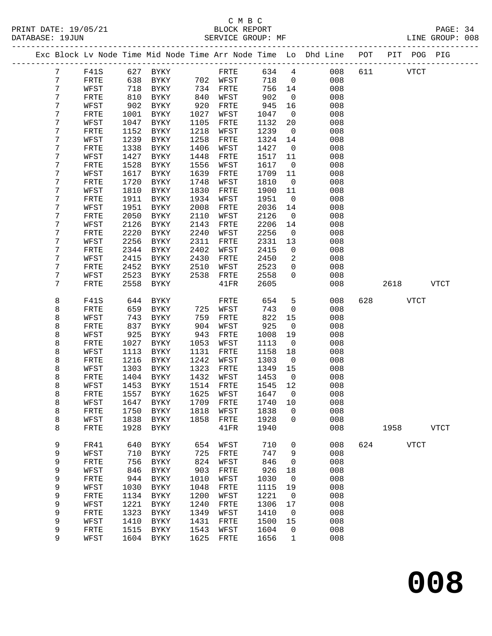| Exc Block Lv Node Time Mid Node Time Arr Node Time Lo Dhd Line POT<br>PIT POG PIG<br>$7\phantom{.}$<br>627 BYKY<br>634<br>$4\overline{4}$<br>008<br>611<br>F41S<br>FRTE<br><b>VTCT</b><br>7<br>638<br>718<br>008<br>FRTE<br>BYKY<br>702 WFST<br>$\overline{0}$<br>7<br>718<br>734<br>756<br>008<br>WFST<br>BYKY<br>FRTE<br>14<br>7<br>810<br>902<br>FRTE<br>BYKY<br>840<br>WFST<br>$\mathsf{O}$<br>008<br>7<br>902<br>945<br>WFST<br>BYKY<br>920<br>FRTE<br>16<br>008<br>7<br>008<br>FRTE<br>1001<br>BYKY<br>1027<br>WFST<br>1047<br>$\overline{0}$<br>7<br>1047<br>008<br>WFST<br>BYKY<br>1105<br>FRTE<br>1132<br>20<br>7<br>1218<br>1239<br>FRTE<br>1152<br>BYKY<br>WFST<br>$\overline{0}$<br>008<br>7<br>1239<br>1258<br>WFST<br>BYKY<br>FRTE<br>1324<br>14<br>008<br>7<br>1338<br>1406<br>1427<br>FRTE<br>BYKY<br>WFST<br>008<br>$\overline{\phantom{0}}$<br>7<br>1427<br>WFST<br>BYKY<br>1448<br>1517<br>11<br>008<br>FRTE<br>7<br>1528<br>BYKY<br>1556<br>1617<br>$\overline{0}$<br>008<br>FRTE<br>WFST<br>7<br>WFST<br>1617<br>BYKY<br>1639<br>FRTE<br>1709<br>11<br>008<br>7<br>1720<br>BYKY<br>1748<br>1810<br>$\overline{0}$<br>008<br>FRTE<br>WFST<br>7<br>1810<br>1830<br>1900<br>008<br>WFST<br>BYKY<br>FRTE<br>11<br>7<br>1934<br>008<br>1911<br>BYKY<br>WFST<br>1951<br>$\overline{0}$<br>FRTE<br>7<br>WFST<br>1951<br>BYKY<br>2008<br>FRTE<br>2036<br>14<br>008<br>7<br>FRTE<br>2050<br>BYKY<br>2110<br>WFST<br>2126<br>$\overline{0}$<br>008<br>7<br>WFST<br>2126<br>BYKY<br>2143<br>2206<br>14<br>008<br>FRTE<br>7<br>2220<br>BYKY<br>2240<br>2256<br>$\mathsf{O}$<br>008<br>FRTE<br>WFST<br>7<br>2256<br>WFST<br>BYKY<br>2311<br>FRTE<br>2331<br>13<br>008<br>2344<br>2402<br>008<br>7<br>FRTE<br>BYKY<br>WFST<br>2415<br>$\mathbf 0$<br>7<br>2415<br>2450<br>$\overline{2}$<br>008<br>WFST<br>BYKY<br>2430<br>FRTE<br>7<br>2452<br>2523<br>008<br>FRTE<br>BYKY<br>2510<br>WFST<br>$\mathbf{0}$<br>7<br>2523<br>2538<br>2558<br>WFST<br>BYKY<br>FRTE<br>$\Omega$<br>008<br>7<br>2558<br>2605<br>FRTE<br>BYKY<br>41FR<br>008<br>2618<br>VTCT<br>8<br>654<br>F41S<br>644<br>BYKY<br>FRTE<br>5<br>008<br>628<br>VTCT<br>8<br>659<br>743<br>BYKY<br>725<br>WFST<br>$\mathsf{O}$<br>008<br>FRTE<br>8<br>743<br>822<br>008<br>WFST<br>BYKY<br>759<br>FRTE<br>15<br>8<br>837<br>904<br>925<br>008<br>FRTE<br>BYKY<br>WFST<br>$\overline{0}$<br>8<br>925<br>008<br>WFST<br>BYKY<br>943<br>FRTE<br>1008<br>19<br>8<br>1027<br>BYKY<br>1053<br>1113<br>008<br>FRTE<br>WFST<br>$\overline{0}$<br>8<br>WFST<br>1113<br>BYKY<br>1131<br>FRTE<br>1158<br>18<br>008<br>8<br>1216<br>1242<br>BYKY<br>WFST<br>1303<br>008<br>FRTE<br>$\overline{\phantom{0}}$<br>8<br>1303<br>WFST<br>BYKY<br>1323<br>1349<br>15<br>008<br>FRTE<br>8<br>1404<br>BYKY<br>1432<br>1453<br>008<br>FRTE<br>WFST<br>$\overline{\phantom{0}}$<br>8<br>WFST<br>1453<br>BYKY<br>1514<br>FRTE<br>1545<br>12<br>008<br>8<br>FRTE<br>1557<br>BYKY<br>1625<br>WFST<br>1647<br>$\overline{0}$<br>008<br>8<br>WFST<br>1647 BYKY<br>1709 FRTE<br>1740 10<br>008<br>8<br>1750<br>1818<br>1838<br>0<br>008<br>FRTE<br>BYKY<br>WFST<br>8<br>1838<br>1858<br>008<br>WFST<br>BYKY<br>FRTE<br>1928<br>0<br>8<br>008<br>FRTE<br>1928<br>BYKY<br>41FR<br>1940<br>1958<br><b>VTCT</b><br>9<br>640<br>710<br>FR41<br>${\tt BYKY}$<br>654<br>WFST<br>$\mathbf 0$<br>008<br>624<br><b>VTCT</b><br>9<br>710<br>725<br>747<br>9<br>008<br>WFST<br>BYKY<br>FRTE<br>9<br>756<br>824<br>846<br>008<br>FRTE<br>BYKY<br>WFST<br>0<br>9<br>846<br>903<br>926<br>008<br>WFST<br>BYKY<br>FRTE<br>18<br>9<br>944<br>1010<br>1030<br>008<br>FRTE<br>BYKY<br>WFST<br>0<br>9<br>1030<br>008<br>WFST<br>BYKY<br>1048<br>FRTE<br>1115<br>19<br>9<br>1200<br>1221<br>008<br>FRTE<br>1134<br><b>BYKY</b><br>WFST<br>$\mathbf 0$<br>9<br>1221<br>008<br>1240<br>1306<br>WFST<br>BYKY<br>FRTE<br>17<br>9<br>008<br>1323<br>1349<br>1410<br>FRTE<br><b>BYKY</b><br>WFST<br>0<br>9<br>1410<br>1431<br>008<br>WFST<br>BYKY<br>FRTE<br>1500<br>15<br>9<br>1543<br>008<br>FRTE<br>1515<br>WFST<br>1604<br>BYKY<br>0<br>9<br>1604<br>1625<br>1656<br>008<br>WFST<br>BYKY<br>FRTE<br>$\mathbf 1$ |  |  |  |  |  |  |  |  |
|------------------------------------------------------------------------------------------------------------------------------------------------------------------------------------------------------------------------------------------------------------------------------------------------------------------------------------------------------------------------------------------------------------------------------------------------------------------------------------------------------------------------------------------------------------------------------------------------------------------------------------------------------------------------------------------------------------------------------------------------------------------------------------------------------------------------------------------------------------------------------------------------------------------------------------------------------------------------------------------------------------------------------------------------------------------------------------------------------------------------------------------------------------------------------------------------------------------------------------------------------------------------------------------------------------------------------------------------------------------------------------------------------------------------------------------------------------------------------------------------------------------------------------------------------------------------------------------------------------------------------------------------------------------------------------------------------------------------------------------------------------------------------------------------------------------------------------------------------------------------------------------------------------------------------------------------------------------------------------------------------------------------------------------------------------------------------------------------------------------------------------------------------------------------------------------------------------------------------------------------------------------------------------------------------------------------------------------------------------------------------------------------------------------------------------------------------------------------------------------------------------------------------------------------------------------------------------------------------------------------------------------------------------------------------------------------------------------------------------------------------------------------------------------------------------------------------------------------------------------------------------------------------------------------------------------------------------------------------------------------------------------------------------------------------------------------------------------------------------------------------------------------------------------------------------------------------------------------------------------------------------------------------------------------------------------------------------------------------------------------------------------------------------------------------------------------------------------------------------------------------------------------------------------------------------------------------------------------------------------------------------------------------------------------------------------------------------------------------------------------------------------------------------------------------------------------------------------------------------------------------------------------------------------------------------------------------------------------------------------------------------------------------------------------------------------------------------------------------------------------------|--|--|--|--|--|--|--|--|
|                                                                                                                                                                                                                                                                                                                                                                                                                                                                                                                                                                                                                                                                                                                                                                                                                                                                                                                                                                                                                                                                                                                                                                                                                                                                                                                                                                                                                                                                                                                                                                                                                                                                                                                                                                                                                                                                                                                                                                                                                                                                                                                                                                                                                                                                                                                                                                                                                                                                                                                                                                                                                                                                                                                                                                                                                                                                                                                                                                                                                                                                                                                                                                                                                                                                                                                                                                                                                                                                                                                                                                                                                                                                                                                                                                                                                                                                                                                                                                                                                                                                                                                              |  |  |  |  |  |  |  |  |
|                                                                                                                                                                                                                                                                                                                                                                                                                                                                                                                                                                                                                                                                                                                                                                                                                                                                                                                                                                                                                                                                                                                                                                                                                                                                                                                                                                                                                                                                                                                                                                                                                                                                                                                                                                                                                                                                                                                                                                                                                                                                                                                                                                                                                                                                                                                                                                                                                                                                                                                                                                                                                                                                                                                                                                                                                                                                                                                                                                                                                                                                                                                                                                                                                                                                                                                                                                                                                                                                                                                                                                                                                                                                                                                                                                                                                                                                                                                                                                                                                                                                                                                              |  |  |  |  |  |  |  |  |
|                                                                                                                                                                                                                                                                                                                                                                                                                                                                                                                                                                                                                                                                                                                                                                                                                                                                                                                                                                                                                                                                                                                                                                                                                                                                                                                                                                                                                                                                                                                                                                                                                                                                                                                                                                                                                                                                                                                                                                                                                                                                                                                                                                                                                                                                                                                                                                                                                                                                                                                                                                                                                                                                                                                                                                                                                                                                                                                                                                                                                                                                                                                                                                                                                                                                                                                                                                                                                                                                                                                                                                                                                                                                                                                                                                                                                                                                                                                                                                                                                                                                                                                              |  |  |  |  |  |  |  |  |
|                                                                                                                                                                                                                                                                                                                                                                                                                                                                                                                                                                                                                                                                                                                                                                                                                                                                                                                                                                                                                                                                                                                                                                                                                                                                                                                                                                                                                                                                                                                                                                                                                                                                                                                                                                                                                                                                                                                                                                                                                                                                                                                                                                                                                                                                                                                                                                                                                                                                                                                                                                                                                                                                                                                                                                                                                                                                                                                                                                                                                                                                                                                                                                                                                                                                                                                                                                                                                                                                                                                                                                                                                                                                                                                                                                                                                                                                                                                                                                                                                                                                                                                              |  |  |  |  |  |  |  |  |
|                                                                                                                                                                                                                                                                                                                                                                                                                                                                                                                                                                                                                                                                                                                                                                                                                                                                                                                                                                                                                                                                                                                                                                                                                                                                                                                                                                                                                                                                                                                                                                                                                                                                                                                                                                                                                                                                                                                                                                                                                                                                                                                                                                                                                                                                                                                                                                                                                                                                                                                                                                                                                                                                                                                                                                                                                                                                                                                                                                                                                                                                                                                                                                                                                                                                                                                                                                                                                                                                                                                                                                                                                                                                                                                                                                                                                                                                                                                                                                                                                                                                                                                              |  |  |  |  |  |  |  |  |
|                                                                                                                                                                                                                                                                                                                                                                                                                                                                                                                                                                                                                                                                                                                                                                                                                                                                                                                                                                                                                                                                                                                                                                                                                                                                                                                                                                                                                                                                                                                                                                                                                                                                                                                                                                                                                                                                                                                                                                                                                                                                                                                                                                                                                                                                                                                                                                                                                                                                                                                                                                                                                                                                                                                                                                                                                                                                                                                                                                                                                                                                                                                                                                                                                                                                                                                                                                                                                                                                                                                                                                                                                                                                                                                                                                                                                                                                                                                                                                                                                                                                                                                              |  |  |  |  |  |  |  |  |
|                                                                                                                                                                                                                                                                                                                                                                                                                                                                                                                                                                                                                                                                                                                                                                                                                                                                                                                                                                                                                                                                                                                                                                                                                                                                                                                                                                                                                                                                                                                                                                                                                                                                                                                                                                                                                                                                                                                                                                                                                                                                                                                                                                                                                                                                                                                                                                                                                                                                                                                                                                                                                                                                                                                                                                                                                                                                                                                                                                                                                                                                                                                                                                                                                                                                                                                                                                                                                                                                                                                                                                                                                                                                                                                                                                                                                                                                                                                                                                                                                                                                                                                              |  |  |  |  |  |  |  |  |
|                                                                                                                                                                                                                                                                                                                                                                                                                                                                                                                                                                                                                                                                                                                                                                                                                                                                                                                                                                                                                                                                                                                                                                                                                                                                                                                                                                                                                                                                                                                                                                                                                                                                                                                                                                                                                                                                                                                                                                                                                                                                                                                                                                                                                                                                                                                                                                                                                                                                                                                                                                                                                                                                                                                                                                                                                                                                                                                                                                                                                                                                                                                                                                                                                                                                                                                                                                                                                                                                                                                                                                                                                                                                                                                                                                                                                                                                                                                                                                                                                                                                                                                              |  |  |  |  |  |  |  |  |
|                                                                                                                                                                                                                                                                                                                                                                                                                                                                                                                                                                                                                                                                                                                                                                                                                                                                                                                                                                                                                                                                                                                                                                                                                                                                                                                                                                                                                                                                                                                                                                                                                                                                                                                                                                                                                                                                                                                                                                                                                                                                                                                                                                                                                                                                                                                                                                                                                                                                                                                                                                                                                                                                                                                                                                                                                                                                                                                                                                                                                                                                                                                                                                                                                                                                                                                                                                                                                                                                                                                                                                                                                                                                                                                                                                                                                                                                                                                                                                                                                                                                                                                              |  |  |  |  |  |  |  |  |
|                                                                                                                                                                                                                                                                                                                                                                                                                                                                                                                                                                                                                                                                                                                                                                                                                                                                                                                                                                                                                                                                                                                                                                                                                                                                                                                                                                                                                                                                                                                                                                                                                                                                                                                                                                                                                                                                                                                                                                                                                                                                                                                                                                                                                                                                                                                                                                                                                                                                                                                                                                                                                                                                                                                                                                                                                                                                                                                                                                                                                                                                                                                                                                                                                                                                                                                                                                                                                                                                                                                                                                                                                                                                                                                                                                                                                                                                                                                                                                                                                                                                                                                              |  |  |  |  |  |  |  |  |
|                                                                                                                                                                                                                                                                                                                                                                                                                                                                                                                                                                                                                                                                                                                                                                                                                                                                                                                                                                                                                                                                                                                                                                                                                                                                                                                                                                                                                                                                                                                                                                                                                                                                                                                                                                                                                                                                                                                                                                                                                                                                                                                                                                                                                                                                                                                                                                                                                                                                                                                                                                                                                                                                                                                                                                                                                                                                                                                                                                                                                                                                                                                                                                                                                                                                                                                                                                                                                                                                                                                                                                                                                                                                                                                                                                                                                                                                                                                                                                                                                                                                                                                              |  |  |  |  |  |  |  |  |
|                                                                                                                                                                                                                                                                                                                                                                                                                                                                                                                                                                                                                                                                                                                                                                                                                                                                                                                                                                                                                                                                                                                                                                                                                                                                                                                                                                                                                                                                                                                                                                                                                                                                                                                                                                                                                                                                                                                                                                                                                                                                                                                                                                                                                                                                                                                                                                                                                                                                                                                                                                                                                                                                                                                                                                                                                                                                                                                                                                                                                                                                                                                                                                                                                                                                                                                                                                                                                                                                                                                                                                                                                                                                                                                                                                                                                                                                                                                                                                                                                                                                                                                              |  |  |  |  |  |  |  |  |
|                                                                                                                                                                                                                                                                                                                                                                                                                                                                                                                                                                                                                                                                                                                                                                                                                                                                                                                                                                                                                                                                                                                                                                                                                                                                                                                                                                                                                                                                                                                                                                                                                                                                                                                                                                                                                                                                                                                                                                                                                                                                                                                                                                                                                                                                                                                                                                                                                                                                                                                                                                                                                                                                                                                                                                                                                                                                                                                                                                                                                                                                                                                                                                                                                                                                                                                                                                                                                                                                                                                                                                                                                                                                                                                                                                                                                                                                                                                                                                                                                                                                                                                              |  |  |  |  |  |  |  |  |
|                                                                                                                                                                                                                                                                                                                                                                                                                                                                                                                                                                                                                                                                                                                                                                                                                                                                                                                                                                                                                                                                                                                                                                                                                                                                                                                                                                                                                                                                                                                                                                                                                                                                                                                                                                                                                                                                                                                                                                                                                                                                                                                                                                                                                                                                                                                                                                                                                                                                                                                                                                                                                                                                                                                                                                                                                                                                                                                                                                                                                                                                                                                                                                                                                                                                                                                                                                                                                                                                                                                                                                                                                                                                                                                                                                                                                                                                                                                                                                                                                                                                                                                              |  |  |  |  |  |  |  |  |
|                                                                                                                                                                                                                                                                                                                                                                                                                                                                                                                                                                                                                                                                                                                                                                                                                                                                                                                                                                                                                                                                                                                                                                                                                                                                                                                                                                                                                                                                                                                                                                                                                                                                                                                                                                                                                                                                                                                                                                                                                                                                                                                                                                                                                                                                                                                                                                                                                                                                                                                                                                                                                                                                                                                                                                                                                                                                                                                                                                                                                                                                                                                                                                                                                                                                                                                                                                                                                                                                                                                                                                                                                                                                                                                                                                                                                                                                                                                                                                                                                                                                                                                              |  |  |  |  |  |  |  |  |
|                                                                                                                                                                                                                                                                                                                                                                                                                                                                                                                                                                                                                                                                                                                                                                                                                                                                                                                                                                                                                                                                                                                                                                                                                                                                                                                                                                                                                                                                                                                                                                                                                                                                                                                                                                                                                                                                                                                                                                                                                                                                                                                                                                                                                                                                                                                                                                                                                                                                                                                                                                                                                                                                                                                                                                                                                                                                                                                                                                                                                                                                                                                                                                                                                                                                                                                                                                                                                                                                                                                                                                                                                                                                                                                                                                                                                                                                                                                                                                                                                                                                                                                              |  |  |  |  |  |  |  |  |
|                                                                                                                                                                                                                                                                                                                                                                                                                                                                                                                                                                                                                                                                                                                                                                                                                                                                                                                                                                                                                                                                                                                                                                                                                                                                                                                                                                                                                                                                                                                                                                                                                                                                                                                                                                                                                                                                                                                                                                                                                                                                                                                                                                                                                                                                                                                                                                                                                                                                                                                                                                                                                                                                                                                                                                                                                                                                                                                                                                                                                                                                                                                                                                                                                                                                                                                                                                                                                                                                                                                                                                                                                                                                                                                                                                                                                                                                                                                                                                                                                                                                                                                              |  |  |  |  |  |  |  |  |
|                                                                                                                                                                                                                                                                                                                                                                                                                                                                                                                                                                                                                                                                                                                                                                                                                                                                                                                                                                                                                                                                                                                                                                                                                                                                                                                                                                                                                                                                                                                                                                                                                                                                                                                                                                                                                                                                                                                                                                                                                                                                                                                                                                                                                                                                                                                                                                                                                                                                                                                                                                                                                                                                                                                                                                                                                                                                                                                                                                                                                                                                                                                                                                                                                                                                                                                                                                                                                                                                                                                                                                                                                                                                                                                                                                                                                                                                                                                                                                                                                                                                                                                              |  |  |  |  |  |  |  |  |
|                                                                                                                                                                                                                                                                                                                                                                                                                                                                                                                                                                                                                                                                                                                                                                                                                                                                                                                                                                                                                                                                                                                                                                                                                                                                                                                                                                                                                                                                                                                                                                                                                                                                                                                                                                                                                                                                                                                                                                                                                                                                                                                                                                                                                                                                                                                                                                                                                                                                                                                                                                                                                                                                                                                                                                                                                                                                                                                                                                                                                                                                                                                                                                                                                                                                                                                                                                                                                                                                                                                                                                                                                                                                                                                                                                                                                                                                                                                                                                                                                                                                                                                              |  |  |  |  |  |  |  |  |
|                                                                                                                                                                                                                                                                                                                                                                                                                                                                                                                                                                                                                                                                                                                                                                                                                                                                                                                                                                                                                                                                                                                                                                                                                                                                                                                                                                                                                                                                                                                                                                                                                                                                                                                                                                                                                                                                                                                                                                                                                                                                                                                                                                                                                                                                                                                                                                                                                                                                                                                                                                                                                                                                                                                                                                                                                                                                                                                                                                                                                                                                                                                                                                                                                                                                                                                                                                                                                                                                                                                                                                                                                                                                                                                                                                                                                                                                                                                                                                                                                                                                                                                              |  |  |  |  |  |  |  |  |
|                                                                                                                                                                                                                                                                                                                                                                                                                                                                                                                                                                                                                                                                                                                                                                                                                                                                                                                                                                                                                                                                                                                                                                                                                                                                                                                                                                                                                                                                                                                                                                                                                                                                                                                                                                                                                                                                                                                                                                                                                                                                                                                                                                                                                                                                                                                                                                                                                                                                                                                                                                                                                                                                                                                                                                                                                                                                                                                                                                                                                                                                                                                                                                                                                                                                                                                                                                                                                                                                                                                                                                                                                                                                                                                                                                                                                                                                                                                                                                                                                                                                                                                              |  |  |  |  |  |  |  |  |
|                                                                                                                                                                                                                                                                                                                                                                                                                                                                                                                                                                                                                                                                                                                                                                                                                                                                                                                                                                                                                                                                                                                                                                                                                                                                                                                                                                                                                                                                                                                                                                                                                                                                                                                                                                                                                                                                                                                                                                                                                                                                                                                                                                                                                                                                                                                                                                                                                                                                                                                                                                                                                                                                                                                                                                                                                                                                                                                                                                                                                                                                                                                                                                                                                                                                                                                                                                                                                                                                                                                                                                                                                                                                                                                                                                                                                                                                                                                                                                                                                                                                                                                              |  |  |  |  |  |  |  |  |
|                                                                                                                                                                                                                                                                                                                                                                                                                                                                                                                                                                                                                                                                                                                                                                                                                                                                                                                                                                                                                                                                                                                                                                                                                                                                                                                                                                                                                                                                                                                                                                                                                                                                                                                                                                                                                                                                                                                                                                                                                                                                                                                                                                                                                                                                                                                                                                                                                                                                                                                                                                                                                                                                                                                                                                                                                                                                                                                                                                                                                                                                                                                                                                                                                                                                                                                                                                                                                                                                                                                                                                                                                                                                                                                                                                                                                                                                                                                                                                                                                                                                                                                              |  |  |  |  |  |  |  |  |
|                                                                                                                                                                                                                                                                                                                                                                                                                                                                                                                                                                                                                                                                                                                                                                                                                                                                                                                                                                                                                                                                                                                                                                                                                                                                                                                                                                                                                                                                                                                                                                                                                                                                                                                                                                                                                                                                                                                                                                                                                                                                                                                                                                                                                                                                                                                                                                                                                                                                                                                                                                                                                                                                                                                                                                                                                                                                                                                                                                                                                                                                                                                                                                                                                                                                                                                                                                                                                                                                                                                                                                                                                                                                                                                                                                                                                                                                                                                                                                                                                                                                                                                              |  |  |  |  |  |  |  |  |
|                                                                                                                                                                                                                                                                                                                                                                                                                                                                                                                                                                                                                                                                                                                                                                                                                                                                                                                                                                                                                                                                                                                                                                                                                                                                                                                                                                                                                                                                                                                                                                                                                                                                                                                                                                                                                                                                                                                                                                                                                                                                                                                                                                                                                                                                                                                                                                                                                                                                                                                                                                                                                                                                                                                                                                                                                                                                                                                                                                                                                                                                                                                                                                                                                                                                                                                                                                                                                                                                                                                                                                                                                                                                                                                                                                                                                                                                                                                                                                                                                                                                                                                              |  |  |  |  |  |  |  |  |
|                                                                                                                                                                                                                                                                                                                                                                                                                                                                                                                                                                                                                                                                                                                                                                                                                                                                                                                                                                                                                                                                                                                                                                                                                                                                                                                                                                                                                                                                                                                                                                                                                                                                                                                                                                                                                                                                                                                                                                                                                                                                                                                                                                                                                                                                                                                                                                                                                                                                                                                                                                                                                                                                                                                                                                                                                                                                                                                                                                                                                                                                                                                                                                                                                                                                                                                                                                                                                                                                                                                                                                                                                                                                                                                                                                                                                                                                                                                                                                                                                                                                                                                              |  |  |  |  |  |  |  |  |
|                                                                                                                                                                                                                                                                                                                                                                                                                                                                                                                                                                                                                                                                                                                                                                                                                                                                                                                                                                                                                                                                                                                                                                                                                                                                                                                                                                                                                                                                                                                                                                                                                                                                                                                                                                                                                                                                                                                                                                                                                                                                                                                                                                                                                                                                                                                                                                                                                                                                                                                                                                                                                                                                                                                                                                                                                                                                                                                                                                                                                                                                                                                                                                                                                                                                                                                                                                                                                                                                                                                                                                                                                                                                                                                                                                                                                                                                                                                                                                                                                                                                                                                              |  |  |  |  |  |  |  |  |
|                                                                                                                                                                                                                                                                                                                                                                                                                                                                                                                                                                                                                                                                                                                                                                                                                                                                                                                                                                                                                                                                                                                                                                                                                                                                                                                                                                                                                                                                                                                                                                                                                                                                                                                                                                                                                                                                                                                                                                                                                                                                                                                                                                                                                                                                                                                                                                                                                                                                                                                                                                                                                                                                                                                                                                                                                                                                                                                                                                                                                                                                                                                                                                                                                                                                                                                                                                                                                                                                                                                                                                                                                                                                                                                                                                                                                                                                                                                                                                                                                                                                                                                              |  |  |  |  |  |  |  |  |
|                                                                                                                                                                                                                                                                                                                                                                                                                                                                                                                                                                                                                                                                                                                                                                                                                                                                                                                                                                                                                                                                                                                                                                                                                                                                                                                                                                                                                                                                                                                                                                                                                                                                                                                                                                                                                                                                                                                                                                                                                                                                                                                                                                                                                                                                                                                                                                                                                                                                                                                                                                                                                                                                                                                                                                                                                                                                                                                                                                                                                                                                                                                                                                                                                                                                                                                                                                                                                                                                                                                                                                                                                                                                                                                                                                                                                                                                                                                                                                                                                                                                                                                              |  |  |  |  |  |  |  |  |
|                                                                                                                                                                                                                                                                                                                                                                                                                                                                                                                                                                                                                                                                                                                                                                                                                                                                                                                                                                                                                                                                                                                                                                                                                                                                                                                                                                                                                                                                                                                                                                                                                                                                                                                                                                                                                                                                                                                                                                                                                                                                                                                                                                                                                                                                                                                                                                                                                                                                                                                                                                                                                                                                                                                                                                                                                                                                                                                                                                                                                                                                                                                                                                                                                                                                                                                                                                                                                                                                                                                                                                                                                                                                                                                                                                                                                                                                                                                                                                                                                                                                                                                              |  |  |  |  |  |  |  |  |
|                                                                                                                                                                                                                                                                                                                                                                                                                                                                                                                                                                                                                                                                                                                                                                                                                                                                                                                                                                                                                                                                                                                                                                                                                                                                                                                                                                                                                                                                                                                                                                                                                                                                                                                                                                                                                                                                                                                                                                                                                                                                                                                                                                                                                                                                                                                                                                                                                                                                                                                                                                                                                                                                                                                                                                                                                                                                                                                                                                                                                                                                                                                                                                                                                                                                                                                                                                                                                                                                                                                                                                                                                                                                                                                                                                                                                                                                                                                                                                                                                                                                                                                              |  |  |  |  |  |  |  |  |
|                                                                                                                                                                                                                                                                                                                                                                                                                                                                                                                                                                                                                                                                                                                                                                                                                                                                                                                                                                                                                                                                                                                                                                                                                                                                                                                                                                                                                                                                                                                                                                                                                                                                                                                                                                                                                                                                                                                                                                                                                                                                                                                                                                                                                                                                                                                                                                                                                                                                                                                                                                                                                                                                                                                                                                                                                                                                                                                                                                                                                                                                                                                                                                                                                                                                                                                                                                                                                                                                                                                                                                                                                                                                                                                                                                                                                                                                                                                                                                                                                                                                                                                              |  |  |  |  |  |  |  |  |
|                                                                                                                                                                                                                                                                                                                                                                                                                                                                                                                                                                                                                                                                                                                                                                                                                                                                                                                                                                                                                                                                                                                                                                                                                                                                                                                                                                                                                                                                                                                                                                                                                                                                                                                                                                                                                                                                                                                                                                                                                                                                                                                                                                                                                                                                                                                                                                                                                                                                                                                                                                                                                                                                                                                                                                                                                                                                                                                                                                                                                                                                                                                                                                                                                                                                                                                                                                                                                                                                                                                                                                                                                                                                                                                                                                                                                                                                                                                                                                                                                                                                                                                              |  |  |  |  |  |  |  |  |
|                                                                                                                                                                                                                                                                                                                                                                                                                                                                                                                                                                                                                                                                                                                                                                                                                                                                                                                                                                                                                                                                                                                                                                                                                                                                                                                                                                                                                                                                                                                                                                                                                                                                                                                                                                                                                                                                                                                                                                                                                                                                                                                                                                                                                                                                                                                                                                                                                                                                                                                                                                                                                                                                                                                                                                                                                                                                                                                                                                                                                                                                                                                                                                                                                                                                                                                                                                                                                                                                                                                                                                                                                                                                                                                                                                                                                                                                                                                                                                                                                                                                                                                              |  |  |  |  |  |  |  |  |
|                                                                                                                                                                                                                                                                                                                                                                                                                                                                                                                                                                                                                                                                                                                                                                                                                                                                                                                                                                                                                                                                                                                                                                                                                                                                                                                                                                                                                                                                                                                                                                                                                                                                                                                                                                                                                                                                                                                                                                                                                                                                                                                                                                                                                                                                                                                                                                                                                                                                                                                                                                                                                                                                                                                                                                                                                                                                                                                                                                                                                                                                                                                                                                                                                                                                                                                                                                                                                                                                                                                                                                                                                                                                                                                                                                                                                                                                                                                                                                                                                                                                                                                              |  |  |  |  |  |  |  |  |
|                                                                                                                                                                                                                                                                                                                                                                                                                                                                                                                                                                                                                                                                                                                                                                                                                                                                                                                                                                                                                                                                                                                                                                                                                                                                                                                                                                                                                                                                                                                                                                                                                                                                                                                                                                                                                                                                                                                                                                                                                                                                                                                                                                                                                                                                                                                                                                                                                                                                                                                                                                                                                                                                                                                                                                                                                                                                                                                                                                                                                                                                                                                                                                                                                                                                                                                                                                                                                                                                                                                                                                                                                                                                                                                                                                                                                                                                                                                                                                                                                                                                                                                              |  |  |  |  |  |  |  |  |
|                                                                                                                                                                                                                                                                                                                                                                                                                                                                                                                                                                                                                                                                                                                                                                                                                                                                                                                                                                                                                                                                                                                                                                                                                                                                                                                                                                                                                                                                                                                                                                                                                                                                                                                                                                                                                                                                                                                                                                                                                                                                                                                                                                                                                                                                                                                                                                                                                                                                                                                                                                                                                                                                                                                                                                                                                                                                                                                                                                                                                                                                                                                                                                                                                                                                                                                                                                                                                                                                                                                                                                                                                                                                                                                                                                                                                                                                                                                                                                                                                                                                                                                              |  |  |  |  |  |  |  |  |
|                                                                                                                                                                                                                                                                                                                                                                                                                                                                                                                                                                                                                                                                                                                                                                                                                                                                                                                                                                                                                                                                                                                                                                                                                                                                                                                                                                                                                                                                                                                                                                                                                                                                                                                                                                                                                                                                                                                                                                                                                                                                                                                                                                                                                                                                                                                                                                                                                                                                                                                                                                                                                                                                                                                                                                                                                                                                                                                                                                                                                                                                                                                                                                                                                                                                                                                                                                                                                                                                                                                                                                                                                                                                                                                                                                                                                                                                                                                                                                                                                                                                                                                              |  |  |  |  |  |  |  |  |
|                                                                                                                                                                                                                                                                                                                                                                                                                                                                                                                                                                                                                                                                                                                                                                                                                                                                                                                                                                                                                                                                                                                                                                                                                                                                                                                                                                                                                                                                                                                                                                                                                                                                                                                                                                                                                                                                                                                                                                                                                                                                                                                                                                                                                                                                                                                                                                                                                                                                                                                                                                                                                                                                                                                                                                                                                                                                                                                                                                                                                                                                                                                                                                                                                                                                                                                                                                                                                                                                                                                                                                                                                                                                                                                                                                                                                                                                                                                                                                                                                                                                                                                              |  |  |  |  |  |  |  |  |
|                                                                                                                                                                                                                                                                                                                                                                                                                                                                                                                                                                                                                                                                                                                                                                                                                                                                                                                                                                                                                                                                                                                                                                                                                                                                                                                                                                                                                                                                                                                                                                                                                                                                                                                                                                                                                                                                                                                                                                                                                                                                                                                                                                                                                                                                                                                                                                                                                                                                                                                                                                                                                                                                                                                                                                                                                                                                                                                                                                                                                                                                                                                                                                                                                                                                                                                                                                                                                                                                                                                                                                                                                                                                                                                                                                                                                                                                                                                                                                                                                                                                                                                              |  |  |  |  |  |  |  |  |
|                                                                                                                                                                                                                                                                                                                                                                                                                                                                                                                                                                                                                                                                                                                                                                                                                                                                                                                                                                                                                                                                                                                                                                                                                                                                                                                                                                                                                                                                                                                                                                                                                                                                                                                                                                                                                                                                                                                                                                                                                                                                                                                                                                                                                                                                                                                                                                                                                                                                                                                                                                                                                                                                                                                                                                                                                                                                                                                                                                                                                                                                                                                                                                                                                                                                                                                                                                                                                                                                                                                                                                                                                                                                                                                                                                                                                                                                                                                                                                                                                                                                                                                              |  |  |  |  |  |  |  |  |
|                                                                                                                                                                                                                                                                                                                                                                                                                                                                                                                                                                                                                                                                                                                                                                                                                                                                                                                                                                                                                                                                                                                                                                                                                                                                                                                                                                                                                                                                                                                                                                                                                                                                                                                                                                                                                                                                                                                                                                                                                                                                                                                                                                                                                                                                                                                                                                                                                                                                                                                                                                                                                                                                                                                                                                                                                                                                                                                                                                                                                                                                                                                                                                                                                                                                                                                                                                                                                                                                                                                                                                                                                                                                                                                                                                                                                                                                                                                                                                                                                                                                                                                              |  |  |  |  |  |  |  |  |
|                                                                                                                                                                                                                                                                                                                                                                                                                                                                                                                                                                                                                                                                                                                                                                                                                                                                                                                                                                                                                                                                                                                                                                                                                                                                                                                                                                                                                                                                                                                                                                                                                                                                                                                                                                                                                                                                                                                                                                                                                                                                                                                                                                                                                                                                                                                                                                                                                                                                                                                                                                                                                                                                                                                                                                                                                                                                                                                                                                                                                                                                                                                                                                                                                                                                                                                                                                                                                                                                                                                                                                                                                                                                                                                                                                                                                                                                                                                                                                                                                                                                                                                              |  |  |  |  |  |  |  |  |
|                                                                                                                                                                                                                                                                                                                                                                                                                                                                                                                                                                                                                                                                                                                                                                                                                                                                                                                                                                                                                                                                                                                                                                                                                                                                                                                                                                                                                                                                                                                                                                                                                                                                                                                                                                                                                                                                                                                                                                                                                                                                                                                                                                                                                                                                                                                                                                                                                                                                                                                                                                                                                                                                                                                                                                                                                                                                                                                                                                                                                                                                                                                                                                                                                                                                                                                                                                                                                                                                                                                                                                                                                                                                                                                                                                                                                                                                                                                                                                                                                                                                                                                              |  |  |  |  |  |  |  |  |
|                                                                                                                                                                                                                                                                                                                                                                                                                                                                                                                                                                                                                                                                                                                                                                                                                                                                                                                                                                                                                                                                                                                                                                                                                                                                                                                                                                                                                                                                                                                                                                                                                                                                                                                                                                                                                                                                                                                                                                                                                                                                                                                                                                                                                                                                                                                                                                                                                                                                                                                                                                                                                                                                                                                                                                                                                                                                                                                                                                                                                                                                                                                                                                                                                                                                                                                                                                                                                                                                                                                                                                                                                                                                                                                                                                                                                                                                                                                                                                                                                                                                                                                              |  |  |  |  |  |  |  |  |
|                                                                                                                                                                                                                                                                                                                                                                                                                                                                                                                                                                                                                                                                                                                                                                                                                                                                                                                                                                                                                                                                                                                                                                                                                                                                                                                                                                                                                                                                                                                                                                                                                                                                                                                                                                                                                                                                                                                                                                                                                                                                                                                                                                                                                                                                                                                                                                                                                                                                                                                                                                                                                                                                                                                                                                                                                                                                                                                                                                                                                                                                                                                                                                                                                                                                                                                                                                                                                                                                                                                                                                                                                                                                                                                                                                                                                                                                                                                                                                                                                                                                                                                              |  |  |  |  |  |  |  |  |
|                                                                                                                                                                                                                                                                                                                                                                                                                                                                                                                                                                                                                                                                                                                                                                                                                                                                                                                                                                                                                                                                                                                                                                                                                                                                                                                                                                                                                                                                                                                                                                                                                                                                                                                                                                                                                                                                                                                                                                                                                                                                                                                                                                                                                                                                                                                                                                                                                                                                                                                                                                                                                                                                                                                                                                                                                                                                                                                                                                                                                                                                                                                                                                                                                                                                                                                                                                                                                                                                                                                                                                                                                                                                                                                                                                                                                                                                                                                                                                                                                                                                                                                              |  |  |  |  |  |  |  |  |
|                                                                                                                                                                                                                                                                                                                                                                                                                                                                                                                                                                                                                                                                                                                                                                                                                                                                                                                                                                                                                                                                                                                                                                                                                                                                                                                                                                                                                                                                                                                                                                                                                                                                                                                                                                                                                                                                                                                                                                                                                                                                                                                                                                                                                                                                                                                                                                                                                                                                                                                                                                                                                                                                                                                                                                                                                                                                                                                                                                                                                                                                                                                                                                                                                                                                                                                                                                                                                                                                                                                                                                                                                                                                                                                                                                                                                                                                                                                                                                                                                                                                                                                              |  |  |  |  |  |  |  |  |
|                                                                                                                                                                                                                                                                                                                                                                                                                                                                                                                                                                                                                                                                                                                                                                                                                                                                                                                                                                                                                                                                                                                                                                                                                                                                                                                                                                                                                                                                                                                                                                                                                                                                                                                                                                                                                                                                                                                                                                                                                                                                                                                                                                                                                                                                                                                                                                                                                                                                                                                                                                                                                                                                                                                                                                                                                                                                                                                                                                                                                                                                                                                                                                                                                                                                                                                                                                                                                                                                                                                                                                                                                                                                                                                                                                                                                                                                                                                                                                                                                                                                                                                              |  |  |  |  |  |  |  |  |
|                                                                                                                                                                                                                                                                                                                                                                                                                                                                                                                                                                                                                                                                                                                                                                                                                                                                                                                                                                                                                                                                                                                                                                                                                                                                                                                                                                                                                                                                                                                                                                                                                                                                                                                                                                                                                                                                                                                                                                                                                                                                                                                                                                                                                                                                                                                                                                                                                                                                                                                                                                                                                                                                                                                                                                                                                                                                                                                                                                                                                                                                                                                                                                                                                                                                                                                                                                                                                                                                                                                                                                                                                                                                                                                                                                                                                                                                                                                                                                                                                                                                                                                              |  |  |  |  |  |  |  |  |
|                                                                                                                                                                                                                                                                                                                                                                                                                                                                                                                                                                                                                                                                                                                                                                                                                                                                                                                                                                                                                                                                                                                                                                                                                                                                                                                                                                                                                                                                                                                                                                                                                                                                                                                                                                                                                                                                                                                                                                                                                                                                                                                                                                                                                                                                                                                                                                                                                                                                                                                                                                                                                                                                                                                                                                                                                                                                                                                                                                                                                                                                                                                                                                                                                                                                                                                                                                                                                                                                                                                                                                                                                                                                                                                                                                                                                                                                                                                                                                                                                                                                                                                              |  |  |  |  |  |  |  |  |
|                                                                                                                                                                                                                                                                                                                                                                                                                                                                                                                                                                                                                                                                                                                                                                                                                                                                                                                                                                                                                                                                                                                                                                                                                                                                                                                                                                                                                                                                                                                                                                                                                                                                                                                                                                                                                                                                                                                                                                                                                                                                                                                                                                                                                                                                                                                                                                                                                                                                                                                                                                                                                                                                                                                                                                                                                                                                                                                                                                                                                                                                                                                                                                                                                                                                                                                                                                                                                                                                                                                                                                                                                                                                                                                                                                                                                                                                                                                                                                                                                                                                                                                              |  |  |  |  |  |  |  |  |
|                                                                                                                                                                                                                                                                                                                                                                                                                                                                                                                                                                                                                                                                                                                                                                                                                                                                                                                                                                                                                                                                                                                                                                                                                                                                                                                                                                                                                                                                                                                                                                                                                                                                                                                                                                                                                                                                                                                                                                                                                                                                                                                                                                                                                                                                                                                                                                                                                                                                                                                                                                                                                                                                                                                                                                                                                                                                                                                                                                                                                                                                                                                                                                                                                                                                                                                                                                                                                                                                                                                                                                                                                                                                                                                                                                                                                                                                                                                                                                                                                                                                                                                              |  |  |  |  |  |  |  |  |
|                                                                                                                                                                                                                                                                                                                                                                                                                                                                                                                                                                                                                                                                                                                                                                                                                                                                                                                                                                                                                                                                                                                                                                                                                                                                                                                                                                                                                                                                                                                                                                                                                                                                                                                                                                                                                                                                                                                                                                                                                                                                                                                                                                                                                                                                                                                                                                                                                                                                                                                                                                                                                                                                                                                                                                                                                                                                                                                                                                                                                                                                                                                                                                                                                                                                                                                                                                                                                                                                                                                                                                                                                                                                                                                                                                                                                                                                                                                                                                                                                                                                                                                              |  |  |  |  |  |  |  |  |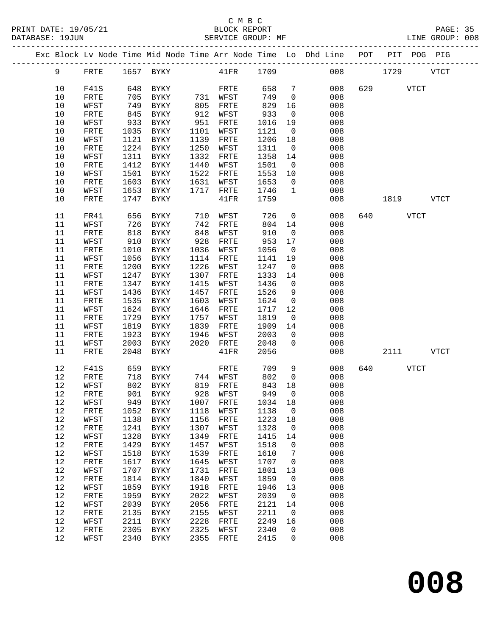#### C M B C<br>BLOCK REPORT SERVICE GROUP: MF

|  |      |              |      |                            |      |          |         |                 | Exc Block Lv Node Time Mid Node Time Arr Node Time Lo Dhd Line POT |     |             |      | PIT POG PIG |
|--|------|--------------|------|----------------------------|------|----------|---------|-----------------|--------------------------------------------------------------------|-----|-------------|------|-------------|
|  | 9    | FRTE         |      | 1657 BYKY 41FR 1709        |      |          |         |                 | 008                                                                |     | 1729        |      | <b>VTCT</b> |
|  | 10   | F41S         | 648  | BYKY                       |      | FRTE     | 658     | $7\phantom{.0}$ | 008                                                                |     | 629 VTCT    |      |             |
|  | 10   | FRTE         | 705  | BYKY                       |      | 731 WFST | 749     | $\overline{0}$  | 008                                                                |     |             |      |             |
|  | 10   | WFST         | 749  | BYKY                       | 805  | FRTE     | 829     | 16              | 008                                                                |     |             |      |             |
|  | $10$ | ${\tt FRTE}$ | 845  | BYKY                       | 912  | WFST     | 933     | $\overline{0}$  | 008                                                                |     |             |      |             |
|  | $10$ | WFST         | 933  | BYKY                       | 951  | FRTE     | 1016    | 19              | 008                                                                |     |             |      |             |
|  | 10   | FRTE         | 1035 | BYKY                       | 1101 | WFST     | 1121    | $\overline{0}$  | 008                                                                |     |             |      |             |
|  | $10$ | WFST         | 1121 | BYKY                       | 1139 | FRTE     | 1206    | 18              | 008                                                                |     |             |      |             |
|  | $10$ | ${\tt FRTE}$ | 1224 | BYKY                       | 1250 | WFST     | 1311    | $\overline{0}$  | 008                                                                |     |             |      |             |
|  | $10$ | WFST         | 1311 | BYKY                       | 1332 | FRTE     | 1358    | 14              | 008                                                                |     |             |      |             |
|  | $10$ | FRTE         | 1412 | BYKY                       | 1440 | WFST     | 1501    | $\overline{0}$  | 008                                                                |     |             |      |             |
|  | 10   | WFST         | 1501 | BYKY                       | 1522 | FRTE     | 1553    | 10              | 008                                                                |     |             |      |             |
|  | $10$ | FRTE         | 1603 | BYKY                       | 1631 | WFST     | 1653    | $\overline{0}$  | 008                                                                |     |             |      |             |
|  | 10   | WFST         | 1653 | BYKY                       | 1717 | FRTE     | 1746    | $\mathbf{1}$    | 008                                                                |     |             |      |             |
|  | 10   | FRTE         | 1747 | BYKY                       |      | 41FR     | 1759    |                 | 008                                                                |     | 1819        |      | <b>VTCT</b> |
|  |      |              |      |                            |      |          |         |                 |                                                                    |     |             |      |             |
|  | 11   | FR41         | 656  | BYKY                       | 710  | WFST     | 726     | $\overline{0}$  | 008                                                                |     |             | VTCT |             |
|  | 11   | WFST         | 726  | BYKY                       | 742  | FRTE     | 804     | 14              | 008                                                                |     |             |      |             |
|  | 11   | FRTE         | 818  | BYKY                       | 848  | WFST     | 910     | $\overline{0}$  | 008                                                                |     |             |      |             |
|  | 11   | WFST         | 910  | BYKY                       | 928  | FRTE     | 953     | 17              | 008                                                                |     |             |      |             |
|  | 11   | FRTE         | 1010 | BYKY                       | 1036 | WFST     | 1056    | $\overline{0}$  | 008                                                                |     |             |      |             |
|  | 11   | WFST         | 1056 | BYKY                       | 1114 | FRTE     | 1141    | 19              | 008                                                                |     |             |      |             |
|  | 11   | ${\tt FRTE}$ | 1200 | BYKY                       | 1226 | WFST     | 1247    | $\overline{0}$  | 008                                                                |     |             |      |             |
|  | 11   | WFST         | 1247 | BYKY                       | 1307 | FRTE     | 1333    | 14              | 008                                                                |     |             |      |             |
|  | 11   | FRTE         | 1347 | BYKY                       | 1415 | WFST     | 1436    | $\overline{0}$  | 008                                                                |     |             |      |             |
|  | 11   | WFST         | 1436 | BYKY                       | 1457 | FRTE     | 1526    | 9               | 008                                                                |     |             |      |             |
|  | 11   | FRTE         | 1535 | BYKY                       | 1603 | WFST     | 1624    | $\overline{0}$  | 008                                                                |     |             |      |             |
|  | 11   | WFST         | 1624 | BYKY                       | 1646 | FRTE     | 1717    | 12              | 008                                                                |     |             |      |             |
|  | 11   | FRTE         | 1729 | BYKY                       | 1757 | WFST     | 1819    | $\overline{0}$  | 008                                                                |     |             |      |             |
|  | 11   | WFST         | 1819 | BYKY                       | 1839 | FRTE     | 1909    | 14              | 008                                                                |     |             |      |             |
|  | 11   | ${\tt FRTE}$ | 1923 | BYKY                       | 1946 | WFST     | 2003    | $\overline{0}$  | 008                                                                |     |             |      |             |
|  | 11   | WFST         | 2003 | BYKY                       | 2020 | FRTE     | 2048    | $\overline{0}$  | 008                                                                |     |             |      |             |
|  | 11   | FRTE         | 2048 | BYKY                       |      | 41FR     | 2056    |                 | 008                                                                |     | 2111        |      | <b>VTCT</b> |
|  | 12   | F41S         | 659  | BYKY                       |      | FRTE     | 709     | 9               | 008                                                                | 640 | <b>VTCT</b> |      |             |
|  | 12   | FRTE         | 718  | BYKY                       |      | 744 WFST | 802     | $\overline{0}$  | 008                                                                |     |             |      |             |
|  | 12   | WFST         | 802  | BYKY                       |      | 819 FRTE | 843     | 18              | 008                                                                |     |             |      |             |
|  | 12   | FRTE         | 901  | BYKY                       |      | 928 WFST | 949     | $\overline{0}$  | 008                                                                |     |             |      |             |
|  |      |              |      | 12 WFST 949 BYKY 1007 FRTE |      |          | 1034 18 |                 | 008                                                                |     |             |      |             |
|  | 12   | FRTE         | 1052 | BYKY                       | 1118 | WFST     | 1138    | $\mathbf 0$     | 008                                                                |     |             |      |             |
|  | 12   | WFST         | 1138 | BYKY                       | 1156 | FRTE     | 1223    | 18              | 008                                                                |     |             |      |             |
|  | 12   | FRTE         | 1241 | BYKY                       | 1307 | WFST     | 1328    | $\overline{0}$  | 008                                                                |     |             |      |             |
|  | 12   | WFST         | 1328 | BYKY                       | 1349 | FRTE     | 1415    | 14              | 008                                                                |     |             |      |             |
|  | 12   | FRTE         | 1429 | BYKY                       | 1457 | WFST     | 1518    | $\mathsf{O}$    | 008                                                                |     |             |      |             |
|  | 12   | WFST         | 1518 | BYKY                       | 1539 | FRTE     | 1610    | 7               | 008                                                                |     |             |      |             |
|  | 12   | FRTE         | 1617 | BYKY                       | 1645 | WFST     | 1707    | $\mathsf{O}$    | 008                                                                |     |             |      |             |
|  | 12   | WFST         | 1707 | BYKY                       | 1731 | FRTE     | 1801    | 13              | 008                                                                |     |             |      |             |
|  | 12   | FRTE         | 1814 | BYKY                       | 1840 | WFST     | 1859    | $\mathsf{O}$    | 008                                                                |     |             |      |             |
|  | 12   | WFST         | 1859 | BYKY                       | 1918 | FRTE     | 1946    | 13              | 008                                                                |     |             |      |             |
|  | 12   | FRTE         | 1959 | <b>BYKY</b>                | 2022 | WFST     | 2039    | $\overline{0}$  | 008                                                                |     |             |      |             |
|  | 12   | WFST         | 2039 | BYKY                       | 2056 | FRTE     | 2121    | 14              | 008                                                                |     |             |      |             |
|  | 12   | FRTE         | 2135 | BYKY                       | 2155 | WFST     | 2211    | $\mathbf 0$     | 008                                                                |     |             |      |             |
|  | 12   | WFST         | 2211 | BYKY                       | 2228 | FRTE     | 2249    | 16              | 008                                                                |     |             |      |             |
|  | 12   | FRTE         | 2305 | BYKY                       | 2325 | WFST     | 2340    | $\mathbf 0$     | 008                                                                |     |             |      |             |
|  |      |              |      |                            |      |          |         |                 |                                                                    |     |             |      |             |

12 WFST 2340 BYKY 2355 FRTE 2415 0 008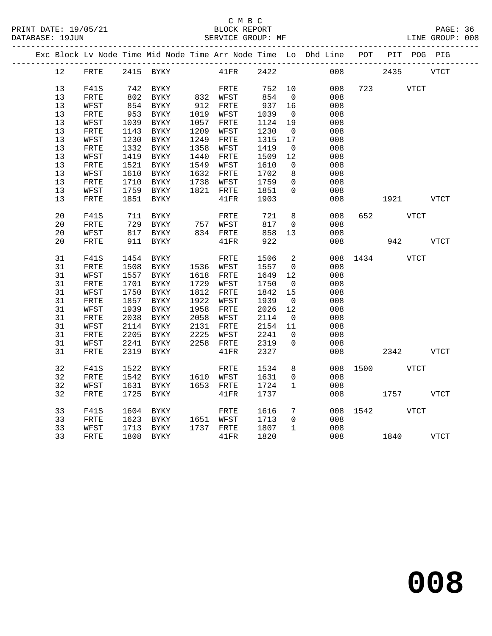## C M B C<br>BLOCK REPORT

PAGE: 36<br>LINE GROUP: 008

|  |          |              |      |                   |      |                   |              |                          | Exc Block Lv Node Time Mid Node Time Arr Node Time Lo Dhd Line POT PIT POG PIG |          |      |             |             |
|--|----------|--------------|------|-------------------|------|-------------------|--------------|--------------------------|--------------------------------------------------------------------------------|----------|------|-------------|-------------|
|  | 12       | FRTE         |      | 2415 BYKY         |      | $41\mathrm{FR}$   | 2422         |                          | 008                                                                            |          | 2435 |             | <b>VTCT</b> |
|  | 13       | F41S         |      | 742 BYKY          |      | FRTE              | 752          | 10                       | 008                                                                            | 723      |      | VTCT        |             |
|  | 13       | FRTE         |      | 802 BYKY          |      | 832 WFST          | 854          | $\overline{0}$           | 008                                                                            |          |      |             |             |
|  | 13       | WFST         |      | 854 BYKY          |      | 912 FRTE          | 937          | 16                       | 008                                                                            |          |      |             |             |
|  | 13       | FRTE         | 953  | BYKY              |      | 1019 WFST         | 1039         | $\overline{0}$           | 008                                                                            |          |      |             |             |
|  | 13       | WFST         | 1039 | BYKY              |      | 1057 FRTE         | 1124         | 19                       | 008                                                                            |          |      |             |             |
|  | 13       | FRTE         | 1143 | BYKY              | 1209 | WFST              | 1230         | $\overline{0}$           | 008                                                                            |          |      |             |             |
|  | 13       | WFST         | 1230 | BYKY              | 1249 | FRTE              | 1315         | 17                       | 008                                                                            |          |      |             |             |
|  | 13       | FRTE         | 1332 | BYKY              | 1358 | WFST              | 1419         | $\overline{\phantom{0}}$ | 008                                                                            |          |      |             |             |
|  | 13       | WFST         | 1419 | BYKY              | 1440 | FRTE              | 1509         | 12                       | 008                                                                            |          |      |             |             |
|  | 13       | FRTE         | 1521 | BYKY              |      | 1549 WFST         | 1610         | $\overline{0}$           | 008                                                                            |          |      |             |             |
|  | 13       | WFST         | 1610 | BYKY              |      | 1632 FRTE         | 1702         | 8                        | 008                                                                            |          |      |             |             |
|  | 13       | FRTE         | 1710 | BYKY              |      | 1738 WFST         | 1759         | $\overline{0}$           | 008                                                                            |          |      |             |             |
|  | 13       | WFST         | 1759 | <b>BYKY</b>       |      | 1821 FRTE         | 1851         | $\Omega$                 | 008                                                                            |          |      |             |             |
|  | 13       | ${\tt FRTE}$ | 1851 | BYKY              |      | 41FR              | 1903         |                          | 008                                                                            |          |      |             | VTCT        |
|  |          |              |      |                   |      |                   |              |                          |                                                                                |          |      |             |             |
|  | 20       | F41S         | 711  | BYKY              |      | FRTE              | 721          | 8                        | 008                                                                            | 652      |      | VTCT        |             |
|  | 20       | FRTE         |      | 729 BYKY          |      | $757$ WFST        | 817          | $\mathbf 0$              | 008                                                                            |          |      |             |             |
|  | 20       | WFST         | 817  | BYKY              |      | 834 FRTE          | 858          | 13                       | 008                                                                            |          |      |             |             |
|  | 20       | ${\tt FRTE}$ | 911  | BYKY              |      | 41FR              | 922          |                          | 008                                                                            |          | 942  |             | <b>VTCT</b> |
|  |          |              |      |                   |      |                   |              |                          |                                                                                |          |      |             |             |
|  | 31       | F41S         | 1454 | BYKY              |      | FRTE              | 1506         | $\overline{a}$           |                                                                                | 008 1434 |      | VTCT        |             |
|  | 31       | FRTE         | 1508 | BYKY              |      | 1536 WFST         | 1557         | $\mathbf 0$              | 008                                                                            |          |      |             |             |
|  | 31       | WFST         | 1557 | BYKY              |      | 1618 FRTE         | 1649         | 12                       | 008                                                                            |          |      |             |             |
|  | 31       | FRTE         | 1701 | BYKY              |      | 1729 WFST         | 1750         | $\overline{\phantom{0}}$ | 008                                                                            |          |      |             |             |
|  | 31       | WFST         | 1750 | BYKY              | 1812 | FRTE              | 1842         | 15                       | 008                                                                            |          |      |             |             |
|  | 31       | ${\tt FRTE}$ | 1857 | BYKY              | 1922 | WFST              | 1939         | $\overline{0}$           | 008                                                                            |          |      |             |             |
|  | 31       | WFST         | 1939 | <b>BYKY</b>       | 1958 | FRTE              | 2026         | 12                       | 008                                                                            |          |      |             |             |
|  | 31<br>31 | FRTE         | 2038 | BYKY              | 2058 | WFST<br>2131 FRTE | 2114         | $\overline{0}$           | 008                                                                            |          |      |             |             |
|  | 31       | WFST<br>FRTE | 2205 | 2114 BYKY<br>BYKY | 2225 | WFST              | 2154<br>2241 | 11<br>$\Omega$           | 008<br>008                                                                     |          |      |             |             |
|  | 31       | WFST         | 2241 | BYKY              |      | 2258 FRTE         | 2319         | $\mathbf 0$              | 008                                                                            |          |      |             |             |
|  | 31       | FRTE         | 2319 | BYKY              |      | 41FR              | 2327         |                          | 008                                                                            |          | 2342 |             | <b>VTCT</b> |
|  |          |              |      |                   |      |                   |              |                          |                                                                                |          |      |             |             |
|  | 32       | F41S         | 1522 | BYKY              |      | FRTE              | 1534         | 8                        | 008                                                                            | 1500     |      | <b>VTCT</b> |             |
|  | 32       | FRTE         |      | 1542 BYKY         |      | 1610 WFST         | 1631         | $\overline{0}$           | 008                                                                            |          |      |             |             |
|  | 32       | WFST         |      | 1631 BYKY         |      | 1653 FRTE         | 1724         | $\mathbf{1}$             | 008                                                                            |          |      |             |             |
|  | 32       | FRTE         | 1725 | BYKY              |      | 41FR              | 1737         |                          | 008                                                                            |          | 1757 |             | <b>VTCT</b> |
|  |          |              |      |                   |      |                   |              |                          |                                                                                |          |      |             |             |
|  | 33       | F41S         | 1604 | BYKY              |      | FRTE              | 1616         | $7\phantom{.0}$          | 008                                                                            | 1542     |      | <b>VTCT</b> |             |
|  | 33       | FRTE         | 1623 | <b>BYKY</b>       |      | 1651 WFST         | 1713         | $\overline{0}$           | 008                                                                            |          |      |             |             |
|  | 33       | WFST         | 1713 | BYKY              |      | 1737 FRTE         | 1807         | $\mathbf{1}$             | 008                                                                            |          |      |             |             |
|  | 33       | FRTE         |      | 1808 BYKY         |      | 41FR              | 1820         |                          | 008                                                                            | 1840     |      |             | VTCT        |
|  |          |              |      |                   |      |                   |              |                          |                                                                                |          |      |             |             |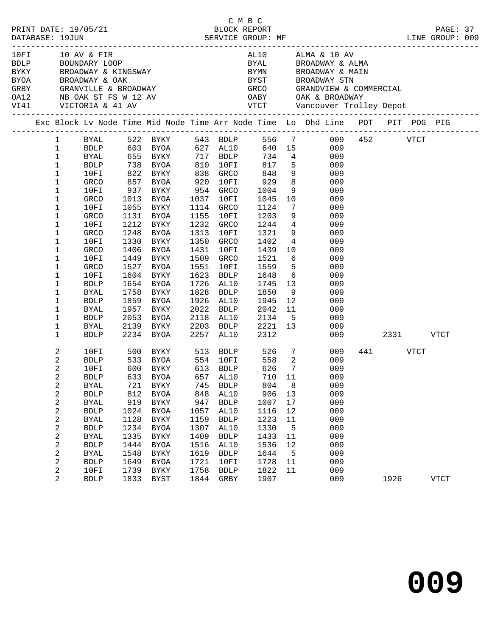|  |                                                                                                                                                                                                                                                                         |                                                                                                                                                                                           |                                                                                    | 10FI 10 AV & FIR<br>BDLP BOUNDARY LOOP<br>BYKY BROADWAY & KINGSWAY                                                                                                                                                                                                                                                                                            |                                                                                    |                                                                                                                                                                                  |                                                                                                                             |                                                                                               | AL10 ALMA & 10 AV<br>BYAL BROADWAY & ALMA<br>BYMN BROADWAY & MAIN<br>BYOR BROADWAY & OAK BYST BROADWAY STN GRBY GRANVILLE & BROADWAY GRCO GRANDVIEW & COMMERCIAL OA12 NB OAK ST FS W 12 AV OABY OAK & BROADWAY STN VICTORIA & 41 AV VTCT Vancouver Trolley Depot                                                                                                                                              |         |                  |             |  |
|--|-------------------------------------------------------------------------------------------------------------------------------------------------------------------------------------------------------------------------------------------------------------------------|-------------------------------------------------------------------------------------------------------------------------------------------------------------------------------------------|------------------------------------------------------------------------------------|---------------------------------------------------------------------------------------------------------------------------------------------------------------------------------------------------------------------------------------------------------------------------------------------------------------------------------------------------------------|------------------------------------------------------------------------------------|----------------------------------------------------------------------------------------------------------------------------------------------------------------------------------|-----------------------------------------------------------------------------------------------------------------------------|-----------------------------------------------------------------------------------------------|---------------------------------------------------------------------------------------------------------------------------------------------------------------------------------------------------------------------------------------------------------------------------------------------------------------------------------------------------------------------------------------------------------------|---------|------------------|-------------|--|
|  |                                                                                                                                                                                                                                                                         |                                                                                                                                                                                           |                                                                                    |                                                                                                                                                                                                                                                                                                                                                               |                                                                                    |                                                                                                                                                                                  |                                                                                                                             |                                                                                               | Exc Block Lv Node Time Mid Node Time Arr Node Time Lo Dhd Line POT PIT POG PIG                                                                                                                                                                                                                                                                                                                                |         |                  |             |  |
|  | $\mathbf{1}$<br>$\mathbf{1}$<br>$\mathbf{1}$<br>$\mathbf{1}$<br>$\mathbf 1$<br>$\mathbf 1$<br>$\mathbf 1$<br>$\mathbf 1$<br>1<br>$\mathbf 1$<br>$\mathbf 1$<br>$\mathbf{1}$<br>1<br>$\mathbf 1$<br>1<br>$\mathbf{1}$<br>$\mathbf 1$<br>$\mathbf 1$<br>1<br>$\mathbf{1}$ | BYAL<br>BDLP<br>10FI<br>GRCO<br>10FI<br>GRCO<br>10FI<br>GRCO<br>10FI<br>GRCO<br>10FI<br>GRCO<br>10FI<br>GRCO<br>10FI<br>BDLP<br>BYAL<br><b>BDLP</b><br>BYAL                               | 1758<br>1859                                                                       | 655 BYKY        717   BDLP         734     4<br>738   BYOA        810   10FI        817     5<br>822   BYKY         838   GRCO         848     9<br>857 BYOA<br>937 BYKY 954 GRCO<br>1013 BYOA<br>1055 BYKY<br>1131 BYOA<br>1212 BYKY<br>1248 BYOA<br>1330 BYKY<br>1406 BYOA<br>1449 BYKY<br>1527 BYOA<br>1604 BYKY<br>1654 BYOA<br>BYKY<br>BYOA<br>1957 BYKY | 920<br>1431<br>1551                                                                | 10FI<br>1037 10FI<br>1114 GRCO<br>1155 10FI<br>1232 GRCO<br>1313 10FI<br>1350 GRCO<br>10FI<br>1509 GRCO<br>10FI<br>1623 BDLP<br>1726 AL10<br>1828 BDLP<br>1926 AL10<br>2022 BDLP | 929<br>1004<br>1045<br>1124<br>1203<br>1244<br>1321<br>1402<br>1439<br>1521<br>1559<br>1648<br>1745<br>1850<br>1945<br>2042 | 8 <sup>8</sup><br>9<br>5 <sub>5</sub><br>12                                                   | 1 BYAL 522 BYKY 543 BDLP 556 7 009 452 VTCT<br>BDLP 603 BYOA 627 AL10 640 15 009<br>009<br>009<br>009<br>009<br>$\begin{array}{c} 9 \\ 10 \end{array}$<br>009<br>009<br>$7\overline{ }$<br>009<br>009<br>$\begin{array}{c} 4 \\ 9 \end{array}$<br>009<br>009<br>$4\overline{ }$<br>009<br>10<br>009<br>$6\overline{6}$<br>009<br>009<br>$6\overline{6}$<br>009<br>13<br>009<br>9<br>009<br>009<br>$11$<br>009 |         |                  |             |  |
|  | $\mathbf{1}$<br>$\mathbf 1$<br>$\mathbf 1$                                                                                                                                                                                                                              | BDLP<br>BYAL<br>BDLP                                                                                                                                                                      |                                                                                    | 2053 BYOA<br>2139 BYKY<br>2234 BYOA                                                                                                                                                                                                                                                                                                                           |                                                                                    | 2118 AL10<br>2203 BDLP<br>2257 AL10                                                                                                                                              | 2134<br>2221 13<br>2312                                                                                                     |                                                                                               | 5 <sub>1</sub><br>009<br>009                                                                                                                                                                                                                                                                                                                                                                                  | 009 000 | 2331 VTCT        |             |  |
|  | 2<br>2<br>2<br>$\overline{c}$<br>2<br>2<br>2<br>2<br>2<br>2<br>2<br>2<br>2<br>2<br>2<br>2                                                                                                                                                                               | BDLP<br>10FI<br><b>BDLP</b><br><b>BDLP</b><br><b>BYAL</b><br><b>BDLP</b><br><b>BYAL</b><br><b>BDLP</b><br><b>BYAL</b><br><b>BDLP</b><br><b>BYAL</b><br><b>BDLP</b><br>10FI<br><b>BDLP</b> | 812<br>919<br>1024<br>1128<br>1234<br>1335<br>1444<br>1548<br>1649<br>1739<br>1833 | 10FI 500 BYKY 513 BDLP 526 7<br>533 BYOA 554 10FI<br>600 BYKY       613   BDLP<br>633   BYOA         657   AL10<br><b>BYOA</b><br><b>BYKY</b><br>BYOA<br>BYKY<br><b>BYOA</b><br>BYKY<br><b>BYOA</b><br>BYKY<br><b>BYOA</b><br>BYKY<br>BYST                                                                                                                    | 848<br>947<br>1057<br>1159<br>1307<br>1409<br>1516<br>1619<br>1721<br>1758<br>1844 | AL10<br><b>BDLP</b><br>AL10<br><b>BDLP</b><br>AL10<br><b>BDLP</b><br>AL10<br><b>BDLP</b><br>10FI<br><b>BDLP</b><br>GRBY                                                          | 558 2<br>626<br>906<br>1007<br>1116<br>1223<br>1330<br>1433<br>1536<br>1644<br>1728<br>1822<br>1907                         | $7\overline{ }$<br>710 11<br>13<br>17<br>12<br>11<br>5<br>11<br>12<br>$5^{\circ}$<br>11<br>11 | 009<br>009<br>009<br>009<br>BYAL 721 BYKY 745 BDLP 804 8 009<br>009<br>009<br>009<br>009<br>009<br>009<br>009<br>009<br>009<br>009<br>009                                                                                                                                                                                                                                                                     |         | 441 VTCT<br>1926 | <b>VTCT</b> |  |
|  |                                                                                                                                                                                                                                                                         |                                                                                                                                                                                           |                                                                                    |                                                                                                                                                                                                                                                                                                                                                               |                                                                                    |                                                                                                                                                                                  |                                                                                                                             |                                                                                               |                                                                                                                                                                                                                                                                                                                                                                                                               |         |                  |             |  |

C M B C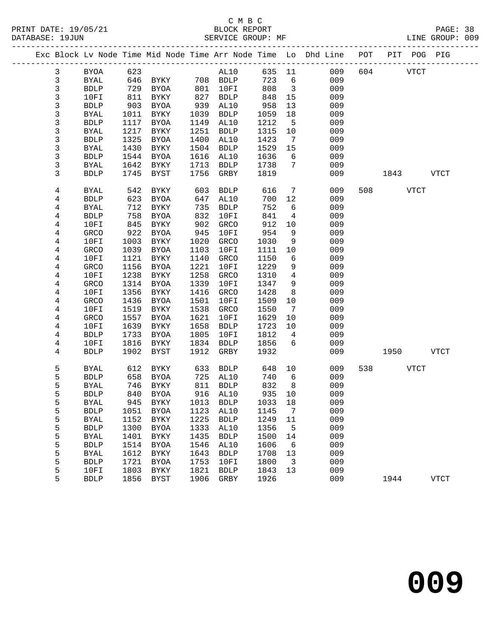#### C M B C<br>BLOCK REPORT PRINT DATE: 19/05/21 BLOCK REPORT PAGE: 38 SERVICE GROUP: MF

|                         |             |      |                                |      |             |         |                         | Exc Block Lv Node Time Mid Node Time Arr Node Time Lo Dhd Line POT |     |          | PIT POG PIG |             |
|-------------------------|-------------|------|--------------------------------|------|-------------|---------|-------------------------|--------------------------------------------------------------------|-----|----------|-------------|-------------|
| $\mathbf{3}$            | <b>BYOA</b> | 623  |                                |      | AL10        | 635 11  |                         | 009                                                                | 604 |          | <b>VTCT</b> |             |
| 3                       | <b>BYAL</b> | 646  | BYKY 708 BDLP<br>RYOA 801 10FT |      |             | 723     | 6                       | 009                                                                |     |          |             |             |
| 3                       | <b>BDLP</b> | 729  | BYOA                           | 801  | 10FI        | 808     | $\overline{\mathbf{3}}$ | 009                                                                |     |          |             |             |
| 3                       | 10FI        | 811  | BYKY                           | 827  | <b>BDLP</b> | 848     | 15                      | 009                                                                |     |          |             |             |
| 3                       | <b>BDLP</b> | 903  | BYOA                           | 939  | AL10        | 958     | 13                      | 009                                                                |     |          |             |             |
| 3                       | <b>BYAL</b> | 1011 | BYKY                           | 1039 | <b>BDLP</b> | 1059    | 18                      | 009                                                                |     |          |             |             |
| 3                       | <b>BDLP</b> | 1117 | BYOA                           | 1149 | AL10        | 1212    | $5\overline{5}$         | 009                                                                |     |          |             |             |
| 3                       | <b>BYAL</b> | 1217 | BYKY                           | 1251 | <b>BDLP</b> | 1315    | 10                      | 009                                                                |     |          |             |             |
| 3                       | <b>BDLP</b> | 1325 | <b>BYOA</b>                    | 1400 | AL10        | 1423    | 7                       | 009                                                                |     |          |             |             |
| 3                       | <b>BYAL</b> | 1430 | BYKY                           | 1504 | <b>BDLP</b> | 1529    | 15                      | 009                                                                |     |          |             |             |
| 3                       | <b>BDLP</b> | 1544 | BYOA                           | 1616 | AL10        | 1636    | 6                       | 009                                                                |     |          |             |             |
| 3                       | BYAL        | 1642 | BYKY                           | 1713 | <b>BDLP</b> | 1738    | $7\overline{ }$         | 009                                                                |     |          |             |             |
| 3                       | <b>BDLP</b> | 1745 | BYST                           | 1756 | GRBY        | 1819    |                         | 009                                                                |     | 1843     |             | VTCT        |
|                         |             |      |                                |      |             |         |                         |                                                                    |     |          |             |             |
| 4                       | <b>BYAL</b> | 542  | BYKY                           | 603  | <b>BDLP</b> | 616     | 7                       | 009                                                                |     | 508 VTCT |             |             |
| 4                       | <b>BDLP</b> | 623  | BYOA                           | 647  | AL10        | 700     | 12                      | 009                                                                |     |          |             |             |
| 4                       | <b>BYAL</b> | 712  | BYKY                           | 735  | <b>BDLP</b> | 752     | 6                       | 009                                                                |     |          |             |             |
| 4                       | <b>BDLP</b> | 758  | BYOA                           | 832  | 10FI        | 841     | 4                       | 009                                                                |     |          |             |             |
| $\overline{\mathbf{4}}$ | 10FI        | 845  | BYKY                           | 902  | GRCO        | 912     | 10                      | 009                                                                |     |          |             |             |
| 4                       | GRCO        | 922  | BYOA                           | 945  | 10FI        | 954     | 9                       | 009                                                                |     |          |             |             |
| 4                       | 10FI        | 1003 | BYKY                           | 1020 | GRCO        | 1030    | 9                       | 009                                                                |     |          |             |             |
| 4                       | GRCO        | 1039 | BYOA                           | 1103 | 10FI        | 1111    | 10                      | 009                                                                |     |          |             |             |
| 4                       | 10FI        | 1121 | BYKY                           | 1140 | GRCO        | 1150    | 6                       | 009                                                                |     |          |             |             |
| 4                       | GRCO        | 1156 | BYOA                           | 1221 | 10FI        | 1229    | 9                       | 009                                                                |     |          |             |             |
| 4                       | 10FI        | 1238 | BYKY                           | 1258 | GRCO        | 1310    | $\overline{4}$          | 009                                                                |     |          |             |             |
| 4                       | GRCO        | 1314 | BYOA                           | 1339 | 10FI        | 1347    | 9                       | 009                                                                |     |          |             |             |
| $\overline{4}$          | 10FI        | 1356 | BYKY                           | 1416 | GRCO        | 1428    | 8                       | 009                                                                |     |          |             |             |
| 4                       | GRCO        | 1436 | BYOA                           | 1501 | 10FI        | 1509    | 10                      | 009                                                                |     |          |             |             |
| 4                       | 10FI        | 1519 | BYKY                           | 1538 | GRCO        | 1550    | $\overline{7}$          | 009                                                                |     |          |             |             |
| 4                       | GRCO        | 1557 | <b>BYOA</b>                    | 1621 | 10FI        | 1629    | 10                      | 009                                                                |     |          |             |             |
| 4                       | 10FI        | 1639 | BYKY                           | 1658 | <b>BDLP</b> | 1723    | 10                      | 009                                                                |     |          |             |             |
| 4                       | <b>BDLP</b> | 1733 | BYOA                           | 1805 | 10FI        | 1812    | $\overline{4}$          | 009                                                                |     |          |             |             |
| 4                       | 10FI        | 1816 | BYKY                           | 1834 | BDLP        | 1856    | 6                       | 009                                                                |     |          |             |             |
| 4                       | <b>BDLP</b> | 1902 | BYST                           | 1912 | GRBY        | 1932    |                         | 009                                                                |     | 1950     |             | <b>VTCT</b> |
| 5                       | BYAL        | 612  | BYKY                           | 633  | BDLP        | 648     | 10                      | 009                                                                | 538 |          | <b>VTCT</b> |             |
| 5                       | <b>BDLP</b> | 658  | BYOA                           |      | 725 AL10    | 740     | 6                       | 009                                                                |     |          |             |             |
| 5                       | <b>BYAL</b> | 746  | BYKY                           | 811  | <b>BDLP</b> | 832     | 8 <sup>8</sup>          | 009                                                                |     |          |             |             |
| 5                       | <b>BDLP</b> | 840  | BYOA                           |      | 916 AL10    | 935     | 10                      | 009                                                                |     |          |             |             |
| 5                       | <b>BYAL</b> |      | 945 BYKY 1013 BDLP             |      |             | 1033 18 |                         | 009                                                                |     |          |             |             |
| 5                       | <b>BDLP</b> | 1051 | BYOA                           | 1123 | AL10        | 1145    | 7                       | 009                                                                |     |          |             |             |
| 5                       | <b>BYAL</b> | 1152 | BYKY                           | 1225 | <b>BDLP</b> | 1249    | 11                      | 009                                                                |     |          |             |             |
| 5                       | <b>BDLP</b> | 1300 | <b>BYOA</b>                    | 1333 | AL10        | 1356    | 5                       | 009                                                                |     |          |             |             |
| 5                       | <b>BYAL</b> | 1401 | BYKY                           | 1435 | <b>BDLP</b> | 1500    | 14                      | 009                                                                |     |          |             |             |
| 5                       | <b>BDLP</b> | 1514 | <b>BYOA</b>                    | 1546 | AL10        | 1606    | 6                       | 009                                                                |     |          |             |             |
| 5                       | <b>BYAL</b> | 1612 | BYKY                           | 1643 | <b>BDLP</b> | 1708    | 13                      | 009                                                                |     |          |             |             |
| 5                       | <b>BDLP</b> | 1721 | <b>BYOA</b>                    | 1753 | 10FI        | 1800    | $\overline{3}$          | 009                                                                |     |          |             |             |
| 5                       | 10FI        | 1803 | BYKY                           | 1821 | <b>BDLP</b> | 1843    | 13                      | 009                                                                |     |          |             |             |
| 5                       | <b>BDLP</b> | 1856 | BYST                           | 1906 | GRBY        | 1926    |                         | 009                                                                |     | 1944     |             | <b>VTCT</b> |
|                         |             |      |                                |      |             |         |                         |                                                                    |     |          |             |             |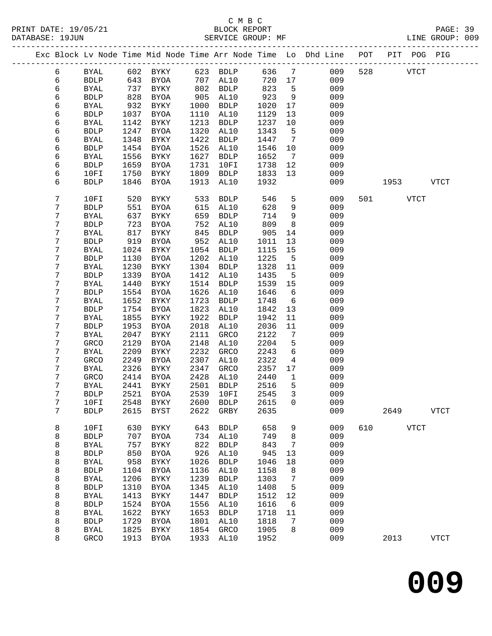|  |   |              |      |                            |      |             |        |                 | Exc Block Lv Node Time Mid Node Time Arr Node Time Lo Dhd Line POT |     |         | PIT POG PIG |              |
|--|---|--------------|------|----------------------------|------|-------------|--------|-----------------|--------------------------------------------------------------------|-----|---------|-------------|--------------|
|  | 6 | BYAL         |      | 602 BYKY                   |      | 623 BDLP    | 636    | $7\phantom{.0}$ | 009                                                                | 528 |         | <b>VTCT</b> |              |
|  | 6 | <b>BDLP</b>  | 643  | BYOA                       | 707  | AL10        | 720 17 |                 | 009                                                                |     |         |             |              |
|  | 6 | <b>BYAL</b>  | 737  | BYKY                       | 802  | <b>BDLP</b> | 823    | $-5$            | 009                                                                |     |         |             |              |
|  | 6 | <b>BDLP</b>  | 828  | BYOA                       | 905  | AL10        | 923    | 9               | 009                                                                |     |         |             |              |
|  | 6 | BYAL         | 932  | BYKY                       | 1000 | <b>BDLP</b> | 1020   | 17              | 009                                                                |     |         |             |              |
|  | 6 | <b>BDLP</b>  | 1037 | <b>BYOA</b>                | 1110 | AL10        | 1129   | 13              | 009                                                                |     |         |             |              |
|  | 6 | <b>BYAL</b>  | 1142 | BYKY                       | 1213 | <b>BDLP</b> | 1237   | 10              | 009                                                                |     |         |             |              |
|  | 6 | <b>BDLP</b>  | 1247 | BYOA                       | 1320 | AL10        | 1343   | $5\overline{5}$ | 009                                                                |     |         |             |              |
|  | 6 | BYAL         | 1348 | BYKY                       | 1422 | <b>BDLP</b> | 1447   | $\overline{7}$  | 009                                                                |     |         |             |              |
|  | 6 | <b>BDLP</b>  | 1454 | BYOA                       | 1526 | AL10        | 1546   | 10              | 009                                                                |     |         |             |              |
|  | 6 | <b>BYAL</b>  | 1556 | BYKY                       | 1627 | BDLP        | 1652   | $\overline{7}$  | 009                                                                |     |         |             |              |
|  | 6 | <b>BDLP</b>  | 1659 | BYOA                       | 1731 | 10FI        | 1738   | 12              | 009                                                                |     |         |             |              |
|  | 6 | 10FI         | 1750 | BYKY                       | 1809 | BDLP        | 1833   | 13              | 009                                                                |     |         |             |              |
|  | 6 | <b>BDLP</b>  | 1846 | BYOA                       | 1913 | AL10        | 1932   |                 | 009                                                                |     | 1953    |             | <b>VTCT</b>  |
|  | 7 | 10FI         | 520  | BYKY                       | 533  | BDLP        | 546    | 5               | 009                                                                |     | 501 700 | VTCT        |              |
|  | 7 | <b>BDLP</b>  | 551  | BYOA                       | 615  | AL10        | 628    | 9               | 009                                                                |     |         |             |              |
|  | 7 | <b>BYAL</b>  | 637  | BYKY                       | 659  | <b>BDLP</b> | 714    | 9               | 009                                                                |     |         |             |              |
|  | 7 | <b>BDLP</b>  | 723  | BYOA                       | 752  | AL10        | 809    | 8               | 009                                                                |     |         |             |              |
|  | 7 | <b>BYAL</b>  | 817  | BYKY                       | 845  | <b>BDLP</b> | 905    | 14              | 009                                                                |     |         |             |              |
|  | 7 | <b>BDLP</b>  | 919  | BYOA                       | 952  | AL10        | 1011   | 13              | 009                                                                |     |         |             |              |
|  | 7 | <b>BYAL</b>  | 1024 | BYKY                       | 1054 | BDLP        | 1115   | 15              | 009                                                                |     |         |             |              |
|  | 7 | <b>BDLP</b>  | 1130 | BYOA                       | 1202 | AL10        | 1225   | $5^{\circ}$     | 009                                                                |     |         |             |              |
|  | 7 | <b>BYAL</b>  | 1230 | BYKY                       | 1304 | <b>BDLP</b> | 1328   | 11              | 009                                                                |     |         |             |              |
|  | 7 | <b>BDLP</b>  | 1339 | BYOA                       | 1412 | AL10        | 1435   | $5^{\circ}$     | 009                                                                |     |         |             |              |
|  | 7 | <b>BYAL</b>  | 1440 | BYKY                       | 1514 | <b>BDLP</b> | 1539   | 15              | 009                                                                |     |         |             |              |
|  | 7 | <b>BDLP</b>  | 1554 | BYOA                       | 1626 | AL10        | 1646   | 6               | 009                                                                |     |         |             |              |
|  | 7 | <b>BYAL</b>  | 1652 | BYKY                       | 1723 | <b>BDLP</b> | 1748   | $6\overline{6}$ | 009                                                                |     |         |             |              |
|  | 7 | <b>BDLP</b>  | 1754 | BYOA                       | 1823 | AL10        | 1842   | 13              | 009                                                                |     |         |             |              |
|  | 7 | <b>BYAL</b>  | 1855 | BYKY                       | 1922 | <b>BDLP</b> | 1942   | 11              | 009                                                                |     |         |             |              |
|  | 7 | <b>BDLP</b>  | 1953 | BYOA                       | 2018 | AL10        | 2036   | 11              | 009                                                                |     |         |             |              |
|  | 7 | <b>BYAL</b>  | 2047 | BYKY                       | 2111 | GRCO        | 2122   | 7               | 009                                                                |     |         |             |              |
|  | 7 | GRCO         | 2129 | <b>BYOA</b>                | 2148 | AL10        | 2204   | 5               | 009                                                                |     |         |             |              |
|  | 7 | <b>BYAL</b>  | 2209 | BYKY                       | 2232 | GRCO        | 2243   | 6               | 009                                                                |     |         |             |              |
|  | 7 | GRCO         | 2249 | <b>BYOA</b>                | 2307 | AL10        | 2322   | 4               | 009                                                                |     |         |             |              |
|  | 7 | BYAL         | 2326 | BYKY                       | 2347 | GRCO        | 2357   | 17              | 009                                                                |     |         |             |              |
|  | 7 | GRCO         | 2414 | BYOA                       | 2428 | AL10        | 2440   | $\mathbf{1}$    | 009                                                                |     |         |             |              |
|  | 7 | BYAL         | 2441 | BYKY                       | 2501 | BDLP        | 2516   | 5               | 009                                                                |     |         |             |              |
|  | 7 | <b>BDLP</b>  |      | 2521 BYOA                  |      | 2539 10FI   | 2545   | $\overline{3}$  | 009                                                                |     |         |             |              |
|  | 7 | 10FI         |      | 2548 BYKY 2600 BDLP 2615 0 |      |             |        |                 | 009                                                                |     |         |             |              |
|  | 7 | <b>BDLP</b>  | 2615 | <b>BYST</b>                | 2622 | GRBY        | 2635   |                 | 009                                                                |     | 2649    |             | <b>VTCT</b>  |
|  | 8 | 10FI         | 630  | <b>BYKY</b>                | 643  | <b>BDLP</b> | 658    | 9               | 009                                                                | 610 |         | <b>VTCT</b> |              |
|  | 8 | <b>BDLP</b>  | 707  | <b>BYOA</b>                | 734  | AL10        | 749    | 8               | 009                                                                |     |         |             |              |
|  | 8 | <b>BYAL</b>  | 757  | ${\tt BYKY}$               | 822  | <b>BDLP</b> | 843    | 7               | 009                                                                |     |         |             |              |
|  | 8 | ${\tt BDLP}$ | 850  | <b>BYOA</b>                | 926  | AL10        | 945    | 13              | 009                                                                |     |         |             |              |
|  | 8 | <b>BYAL</b>  | 958  | <b>BYKY</b>                | 1026 | <b>BDLP</b> | 1046   | 18              | 009                                                                |     |         |             |              |
|  | 8 | ${\tt BDLP}$ | 1104 | <b>BYOA</b>                | 1136 | AL10        | 1158   | 8               | 009                                                                |     |         |             |              |
|  | 8 | <b>BYAL</b>  | 1206 | ${\tt BYKY}$               | 1239 | <b>BDLP</b> | 1303   | 7               | 009                                                                |     |         |             |              |
|  | 8 | ${\tt BDLP}$ | 1310 | <b>BYOA</b>                | 1345 | AL10        | 1408   | 5               | 009                                                                |     |         |             |              |
|  | 8 | <b>BYAL</b>  | 1413 | BYKY                       | 1447 | <b>BDLP</b> | 1512   | 12              | 009                                                                |     |         |             |              |
|  | 8 | <b>BDLP</b>  | 1524 | <b>BYOA</b>                | 1556 | AL10        | 1616   | 6               | 009                                                                |     |         |             |              |
|  | 8 | <b>BYAL</b>  | 1622 | <b>BYKY</b>                | 1653 | <b>BDLP</b> | 1718   | 11              | 009                                                                |     |         |             |              |
|  | 8 | ${\tt BDLP}$ | 1729 | <b>BYOA</b>                | 1801 | AL10        | 1818   | 7               | 009                                                                |     |         |             |              |
|  | 8 | <b>BYAL</b>  | 1825 | <b>BYKY</b>                | 1854 | GRCO        | 1905   | 8               | 009                                                                |     |         |             |              |
|  | 8 | GRCO         | 1913 | BYOA                       | 1933 | AL10        | 1952   |                 | 009                                                                |     | 2013    |             | ${\tt VTCT}$ |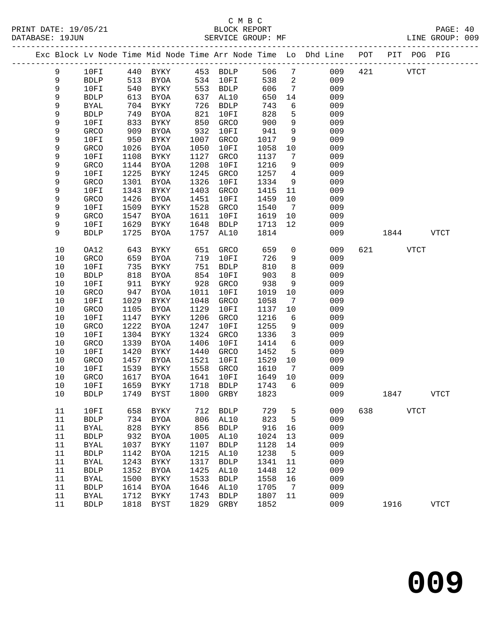# C M B C<br>BLOCK REPORT SERVICE GROUP: MF

|          |                             |              |                            |              |                     |              |                     | Exc Block Lv Node Time Mid Node Time Arr Node Time Lo Dhd Line POT |     |           | PIT POG PIG |      |
|----------|-----------------------------|--------------|----------------------------|--------------|---------------------|--------------|---------------------|--------------------------------------------------------------------|-----|-----------|-------------|------|
| 9        | 10FI                        |              | 440 BYKY 453 BDLP          |              |                     | 506          |                     | $7\overline{ }$<br>009                                             |     | 421       | <b>VTCT</b> |      |
| 9        | ${\tt BDLP}$                | 513          | BYOA                       |              | 534 10FI            | 538          | $\overline{a}$      | 009                                                                |     |           |             |      |
| 9        | 10FI                        | 540          | BYKY                       | 553          | BDLP                | 606          | $\overline{7}$      | 009                                                                |     |           |             |      |
| 9        | <b>BDLP</b>                 | 613          | BYOA                       | 637          | AL10                | 650          | 14                  | 009                                                                |     |           |             |      |
| 9        | <b>BYAL</b>                 | 704          | BYKY                       | 726          | <b>BDLP</b>         | 743          | 6                   | 009                                                                |     |           |             |      |
| 9        | ${\tt BDLP}$                | 749          | BYOA                       | 821          | 10FI                | 828          | 5                   | 009                                                                |     |           |             |      |
| 9        | 10FI                        | 833          | BYKY                       | 850          | GRCO                | 900          | 9                   | 009                                                                |     |           |             |      |
| 9        | GRCO                        | 909          | BYOA                       | 932          | 10FI                | 941          | 9                   | 009                                                                |     |           |             |      |
| 9        | 10FI                        | 950          | <b>BYKY</b>                | 1007         | GRCO                | 1017         | 9                   | 009                                                                |     |           |             |      |
| 9        | GRCO                        | 1026         | BYOA                       | 1050         | 10FI                | 1058         | 10                  | 009                                                                |     |           |             |      |
| 9        | 10FI                        | 1108         | BYKY                       | 1127         | GRCO                | 1137         | $7\overline{ }$     | 009                                                                |     |           |             |      |
| 9        | GRCO                        | 1144         | BYOA                       | 1208         | 10FI                | 1216         | 9                   | 009                                                                |     |           |             |      |
| 9<br>9   | 10FI<br>GRCO                | 1225<br>1301 | BYKY<br>BYOA               | 1245<br>1326 | GRCO<br>10FI        | 1257<br>1334 | $\overline{4}$<br>9 | 009<br>009                                                         |     |           |             |      |
| 9        | 10FI                        | 1343         | BYKY                       | 1403         | GRCO                | 1415         | 11                  | 009                                                                |     |           |             |      |
| 9        | GRCO                        | 1426         | BYOA                       | 1451         | 10FI                | 1459         | 10                  | 009                                                                |     |           |             |      |
| 9        | 10FI                        | 1509         | BYKY                       | 1528         | GRCO                | 1540         | $\overline{7}$      | 009                                                                |     |           |             |      |
| 9        | GRCO                        | 1547         | BYOA                       | 1611         | 10FI                | 1619         | 10                  | 009                                                                |     |           |             |      |
| 9        | 10FI                        | 1629         | BYKY                       | 1648         | <b>BDLP</b>         | 1713         | 12                  | 009                                                                |     |           |             |      |
| 9        | <b>BDLP</b>                 | 1725         | BYOA                       | 1757         | AL10                | 1814         |                     | 009                                                                |     | 1844 VTCT |             |      |
|          |                             |              |                            |              |                     |              |                     |                                                                    |     |           |             |      |
| 10       | OA12                        | 643          | BYKY                       | 651          | GRCO                | 659          | $\overline{0}$      | 009                                                                | 621 | VTCT      |             |      |
| 10       | GRCO                        | 659          | BYOA                       | 719          | 10FI                | 726          | 9                   | 009                                                                |     |           |             |      |
| 10       | 10FI                        | 735          | BYKY                       | 751          | <b>BDLP</b>         | 810          | 8                   | 009                                                                |     |           |             |      |
| 10       | <b>BDLP</b>                 | 818          | BYOA                       | 854          | 10FI                | 903          | 8                   | 009                                                                |     |           |             |      |
| 10       | 10FI                        | 911          | BYKY                       | 928          | GRCO                | 938          | 9                   | 009                                                                |     |           |             |      |
| 10       | GRCO                        | 947          | BYOA                       | 1011         | 10FI                | 1019         | 10                  | 009                                                                |     |           |             |      |
| 10       | 10FI                        | 1029         | BYKY                       | 1048         | GRCO                | 1058         | $\overline{7}$      | 009                                                                |     |           |             |      |
| 10       | GRCO                        | 1105         | BYOA                       | 1129         | 10FI                | 1137         | 10                  | 009                                                                |     |           |             |      |
| 10<br>10 | 10FI<br>GRCO                | 1147<br>1222 | BYKY<br><b>BYOA</b>        | 1206<br>1247 | GRCO<br>10FI        | 1216<br>1255 | 6<br>9              | 009<br>009                                                         |     |           |             |      |
| $10$     | 10FI                        | 1304         | BYKY                       | 1324         | GRCO                | 1336         | $\overline{3}$      | 009                                                                |     |           |             |      |
| 10       | GRCO                        | 1339         | BYOA                       | 1406         | 10FI                | 1414         | 6                   | 009                                                                |     |           |             |      |
| $10$     | 10FI                        | 1420         | BYKY                       | 1440         | GRCO                | 1452         | 5                   | 009                                                                |     |           |             |      |
| 10       | GRCO                        | 1457         | BYOA                       | 1521         | 10FI                | 1529         | 10                  | 009                                                                |     |           |             |      |
| 10       | 10FI                        | 1539         | BYKY                       | 1558         | GRCO                | 1610         | $7\overline{ }$     | 009                                                                |     |           |             |      |
| 10       | GRCO                        | 1617         | BYOA                       | 1641         | 10FI                | 1649         | 10                  | 009                                                                |     |           |             |      |
| 10       | 10FI                        | 1659         | BYKY                       | 1718         | <b>BDLP</b>         | 1743         | 6                   | 009                                                                |     |           |             |      |
| 10       | <b>BDLP</b>                 | 1749         | BYST                       | 1800         | GRBY                | 1823         |                     | 009                                                                |     | 1847      |             | VTCT |
|          |                             |              |                            |              |                     |              |                     |                                                                    |     |           |             |      |
| 11       | 10FI                        | 658          | <b>BYKY</b>                | 712          | <b>BDLP</b>         | 729          | 5                   | 009                                                                | 638 |           | <b>VTCT</b> |      |
| 11       | <b>BDLP</b>                 | 734          | <b>BYOA</b>                | 806          | AL10                | 823          | 5                   | 009                                                                |     |           |             |      |
| 11       | <b>BYAL</b>                 | 828          | <b>BYKY</b>                | 856          | <b>BDLP</b>         | 916          | 16                  | 009                                                                |     |           |             |      |
| 11       | ${\tt BDLP}$                | 932          | <b>BYOA</b>                | 1005         | AL10                | 1024         | 13                  | 009                                                                |     |           |             |      |
| 11       | BYAL                        | 1037         | BYKY                       | 1107         | <b>BDLP</b>         | 1128         | 14                  | 009                                                                |     |           |             |      |
| $11\,$   | <b>BDLP</b>                 | 1142         | <b>BYOA</b>                | 1215         | AL10                | 1238         | 5                   | 009                                                                |     |           |             |      |
| 11<br>11 | <b>BYAL</b><br>${\tt BDLP}$ | 1243<br>1352 | <b>BYKY</b><br><b>BYOA</b> | 1317<br>1425 | <b>BDLP</b><br>AL10 | 1341<br>1448 | 11<br>12            | 009<br>009                                                         |     |           |             |      |
| 11       | BYAL                        | 1500         | BYKY                       | 1533         | <b>BDLP</b>         | 1558         | 16                  | 009                                                                |     |           |             |      |
| 11       | <b>BDLP</b>                 | 1614         | BYOA                       | 1646         | AL10                | 1705         | 7                   | 009                                                                |     |           |             |      |
| $11\,$   | <b>BYAL</b>                 | 1712         | <b>BYKY</b>                | 1743         | ${\tt BDLP}$        | 1807         | 11                  | 009                                                                |     |           |             |      |
|          |                             |              |                            |              |                     |              |                     |                                                                    |     |           |             |      |

11 BDLP 1818 BYST 1829 GRBY 1852 009 1916 VTCT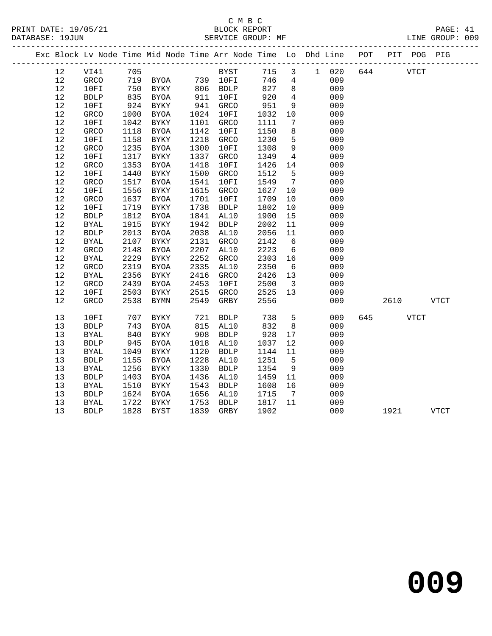|      |              |      | Exc Block Lv Node Time Mid Node Time Arr Node Time Lo Dhd Line POT |      |              |      |                         |         |     |             | PIT POG PIG |             |  |
|------|--------------|------|--------------------------------------------------------------------|------|--------------|------|-------------------------|---------|-----|-------------|-------------|-------------|--|
| 12   | VI41 705     |      |                                                                    |      | BYST<br>10FT | 715  |                         | 3 1 020 | 644 |             | <b>VTCT</b> |             |  |
| 12   | GRCO         |      | 719 BYOA 739 10FI                                                  |      |              | 746  | $\overline{4}$          | 009     |     |             |             |             |  |
| 12   | 10FI         | 750  | BYKY                                                               |      | 806 BDLP     | 827  | 8                       | 009     |     |             |             |             |  |
| 12   | <b>BDLP</b>  | 835  | BYOA                                                               | 911  | 10FI         | 920  | $\overline{4}$          | 009     |     |             |             |             |  |
| 12   | 10FI         | 924  | BYKY                                                               | 941  | GRCO         | 951  | $\overline{9}$          | 009     |     |             |             |             |  |
| 12   | GRCO         | 1000 | BYOA                                                               | 1024 | 10FI         | 1032 | 10                      | 009     |     |             |             |             |  |
| 12   | 10FI         | 1042 | BYKY                                                               | 1101 | GRCO         | 1111 | 7                       | 009     |     |             |             |             |  |
| $12$ | GRCO         | 1118 | BYOA                                                               | 1142 | 10FI         | 1150 | 8                       | 009     |     |             |             |             |  |
| 12   | 10FI         | 1158 | BYKY                                                               | 1218 | GRCO         | 1230 | 5                       | 009     |     |             |             |             |  |
| 12   | <b>GRCO</b>  | 1235 | BYOA                                                               | 1300 | 10FI         | 1308 | 9                       | 009     |     |             |             |             |  |
| 12   | 10FI         | 1317 | BYKY                                                               | 1337 | GRCO         | 1349 | $4\overline{ }$         | 009     |     |             |             |             |  |
| 12   | GRCO         | 1353 | BYOA                                                               | 1418 | 10FI         | 1426 | 14                      | 009     |     |             |             |             |  |
| 12   | 10FI         | 1440 | BYKY                                                               | 1500 | GRCO         | 1512 | 5                       | 009     |     |             |             |             |  |
| 12   | GRCO         | 1517 | BYOA                                                               | 1541 | 10FI         | 1549 | $\overline{7}$          | 009     |     |             |             |             |  |
| 12   | 10FI         | 1556 | BYKY                                                               | 1615 | GRCO         | 1627 | 10                      | 009     |     |             |             |             |  |
| $12$ | GRCO         | 1637 | BYOA                                                               | 1701 | 10FI         | 1709 | 10                      | 009     |     |             |             |             |  |
| 12   | 10FI         | 1719 | BYKY                                                               | 1738 | <b>BDLP</b>  | 1802 | 10                      | 009     |     |             |             |             |  |
| $12$ | ${\tt BDLP}$ | 1812 | BYOA                                                               | 1841 | AL10         | 1900 | 15                      | 009     |     |             |             |             |  |
| 12   | BYAL         | 1915 | BYKY                                                               | 1942 | <b>BDLP</b>  | 2002 | 11                      | 009     |     |             |             |             |  |
| 12   | <b>BDLP</b>  | 2013 | BYOA                                                               | 2038 | AL10         | 2056 | 11                      | 009     |     |             |             |             |  |
| 12   | <b>BYAL</b>  | 2107 | BYKY                                                               | 2131 | GRCO         | 2142 | $6\overline{6}$         | 009     |     |             |             |             |  |
| 12   | GRCO         | 2148 | BYOA                                                               | 2207 | AL10         | 2223 | $6\overline{6}$         | 009     |     |             |             |             |  |
| 12   | <b>BYAL</b>  | 2229 | <b>BYKY</b>                                                        | 2252 | GRCO         | 2303 | 16                      | 009     |     |             |             |             |  |
| 12   | GRCO         | 2319 | <b>BYOA</b>                                                        | 2335 | AL10         | 2350 | $6\overline{6}$         | 009     |     |             |             |             |  |
| 12   | <b>BYAL</b>  | 2356 | BYKY                                                               | 2416 | GRCO         | 2426 | 13                      | 009     |     |             |             |             |  |
| $12$ | GRCO         | 2439 | BYOA                                                               | 2453 | 10FI         | 2500 | $\overline{\mathbf{3}}$ | 009     |     |             |             |             |  |
| 12   | 10FI         | 2503 | BYKY                                                               | 2515 | GRCO         | 2525 | 13                      | 009     |     |             |             |             |  |
| 12   | <b>GRCO</b>  | 2538 | BYMN                                                               | 2549 | GRBY         | 2556 |                         | 009     |     | 2610        |             | <b>VTCT</b> |  |
| 13   | 10FI         | 707  | BYKY                                                               | 721  | <b>BDLP</b>  | 738  | 5                       | 009     | 645 | <b>VTCT</b> |             |             |  |
| 13   | ${\tt BDLP}$ | 743  | BYOA                                                               | 815  | AL10         | 832  | 8                       | 009     |     |             |             |             |  |
| 13   | <b>BYAL</b>  | 840  | BYKY                                                               | 908  | <b>BDLP</b>  | 928  | 17                      | 009     |     |             |             |             |  |
| 13   | <b>BDLP</b>  | 945  | BYOA                                                               | 1018 | AL10         | 1037 | 12                      | 009     |     |             |             |             |  |
| 13   | <b>BYAL</b>  | 1049 | BYKY                                                               | 1120 | <b>BDLP</b>  | 1144 | 11                      | 009     |     |             |             |             |  |
| 13   | <b>BDLP</b>  | 1155 | BYOA                                                               | 1228 | AL10         | 1251 | $5^{\circ}$             | 009     |     |             |             |             |  |
| 13   | <b>BYAL</b>  | 1256 | BYKY                                                               | 1330 | <b>BDLP</b>  | 1354 | 9                       | 009     |     |             |             |             |  |
| 13   | ${\tt BDLP}$ | 1403 | BYOA                                                               | 1436 | AL10         | 1459 | 11                      | 009     |     |             |             |             |  |
| 13   | <b>BYAL</b>  | 1510 | BYKY                                                               | 1543 | <b>BDLP</b>  | 1608 | 16                      | 009     |     |             |             |             |  |
| 13   | ${\tt BDLP}$ | 1624 | BYOA                                                               | 1656 | AL10         | 1715 | $7\overline{ }$         | 009     |     |             |             |             |  |
| 13   | <b>BYAL</b>  | 1722 | BYKY                                                               | 1753 | <b>BDLP</b>  | 1817 | 11                      | 009     |     |             |             |             |  |
| 13   | <b>BDLP</b>  | 1828 | BYST                                                               | 1839 | GRBY         | 1902 |                         | 009     |     | 1921        |             | <b>VTCT</b> |  |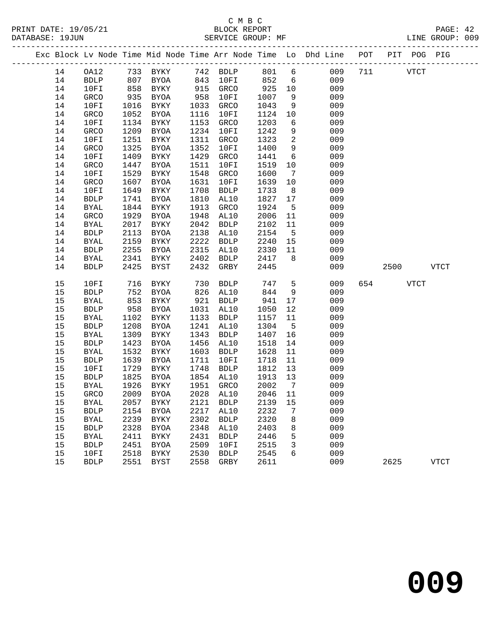PRINT DATE: 19/05/21 BLOCK REPORT PAGE: 42 DATABASE: 19JUN

# C M B C

|    |             |      |             |      |             |      |                | Exc Block Lv Node Time Mid Node Time Arr Node Time Lo Dhd Line POT PIT POG PIG |     |      |             |             |
|----|-------------|------|-------------|------|-------------|------|----------------|--------------------------------------------------------------------------------|-----|------|-------------|-------------|
| 14 | OA12        |      | 733 BYKY    |      | 742 BDLP    | 801  | 6              | 009                                                                            | 711 |      | <b>VTCT</b> |             |
| 14 | BDLP        | 807  | BYOA        | 843  | 10FI        | 852  | 6              | 009                                                                            |     |      |             |             |
| 14 | 10FI        | 858  | BYKY        | 915  | GRCO        | 925  | 10             | 009                                                                            |     |      |             |             |
| 14 | GRCO        | 935  | BYOA        | 958  | 10FI        | 1007 | 9              | 009                                                                            |     |      |             |             |
| 14 | 10FI        | 1016 | BYKY        | 1033 | GRCO        | 1043 | 9              | 009                                                                            |     |      |             |             |
| 14 | GRCO        | 1052 | BYOA        | 1116 | 10FI        | 1124 | 10             | 009                                                                            |     |      |             |             |
| 14 | 10FI        | 1134 | BYKY        | 1153 | GRCO        | 1203 | 6              | 009                                                                            |     |      |             |             |
| 14 | GRCO        | 1209 | BYOA        | 1234 | 10FI        | 1242 | 9              | 009                                                                            |     |      |             |             |
| 14 | 10FI        | 1251 | BYKY        | 1311 | GRCO        | 1323 | $\overline{2}$ | 009                                                                            |     |      |             |             |
| 14 | GRCO        | 1325 | BYOA        | 1352 | 10FI        | 1400 | 9              | 009                                                                            |     |      |             |             |
| 14 | 10FI        | 1409 | BYKY        | 1429 | GRCO        | 1441 | 6              | 009                                                                            |     |      |             |             |
| 14 | GRCO        | 1447 | BYOA        | 1511 | 10FI        | 1519 | 10             | 009                                                                            |     |      |             |             |
| 14 | 10FI        | 1529 | BYKY        | 1548 | GRCO        | 1600 | $\overline{7}$ | 009                                                                            |     |      |             |             |
| 14 | GRCO        | 1607 | BYOA        | 1631 | 10FI        | 1639 | 10             | 009                                                                            |     |      |             |             |
| 14 | 10FI        | 1649 | BYKY        | 1708 | <b>BDLP</b> | 1733 | 8 <sup>8</sup> | 009                                                                            |     |      |             |             |
| 14 | <b>BDLP</b> | 1741 | BYOA        | 1810 | AL10        | 1827 | 17             | 009                                                                            |     |      |             |             |
| 14 | BYAL        | 1844 | BYKY        | 1913 | GRCO        | 1924 | $5^{\circ}$    | 009                                                                            |     |      |             |             |
| 14 | GRCO        | 1929 | BYOA        | 1948 | AL10        | 2006 | 11             | 009                                                                            |     |      |             |             |
| 14 | <b>BYAL</b> | 2017 | BYKY        | 2042 | <b>BDLP</b> | 2102 | 11             | 009                                                                            |     |      |             |             |
| 14 | <b>BDLP</b> | 2113 | BYOA        | 2138 | AL10        | 2154 | $5^{\circ}$    | 009                                                                            |     |      |             |             |
| 14 | BYAL        | 2159 | BYKY        | 2222 | <b>BDLP</b> | 2240 | 15             | 009                                                                            |     |      |             |             |
| 14 | <b>BDLP</b> | 2255 | BYOA        | 2315 | AL10        | 2330 | 11             | 009                                                                            |     |      |             |             |
| 14 | BYAL        | 2341 | BYKY        | 2402 | <b>BDLP</b> | 2417 | 8              | 009                                                                            |     |      |             |             |
| 14 | <b>BDLP</b> | 2425 | BYST        | 2432 | GRBY        | 2445 |                | 009                                                                            |     | 2500 |             | <b>VTCT</b> |
| 15 | 10FI        | 716  | BYKY        | 730  | <b>BDLP</b> | 747  | 5              | 009                                                                            | 654 |      | <b>VTCT</b> |             |
| 15 | <b>BDLP</b> | 752  | <b>BYOA</b> | 826  | AL10        | 844  | $\overline{9}$ | 009                                                                            |     |      |             |             |
| 15 | <b>BYAL</b> | 853  | <b>BYKY</b> | 921  | <b>BDLP</b> | 941  | 17             | 009                                                                            |     |      |             |             |
| 15 | <b>BDLP</b> | 958  | <b>BYOA</b> | 1031 | AL10        | 1050 | 12             | 009                                                                            |     |      |             |             |
| 15 | BYAL        | 1102 | BYKY        | 1133 | <b>BDLP</b> | 1157 | 11             | 009                                                                            |     |      |             |             |
| 15 | <b>BDLP</b> | 1208 | BYOA        | 1241 | AL10        | 1304 | $-5$           | 009                                                                            |     |      |             |             |
| 15 | BYAL        | 1309 | BYKY        | 1343 | <b>BDLP</b> | 1407 | 16             | 009                                                                            |     |      |             |             |
| 15 | <b>BDLP</b> | 1423 | BYOA        | 1456 | AL10        | 1518 | 14             | 009                                                                            |     |      |             |             |
| 15 | BYAL        | 1532 | BYKY        | 1603 | <b>BDLP</b> | 1628 | 11             | 009                                                                            |     |      |             |             |

 15 BYAL 1532 BYKY 1603 BDLP 1628 11 009 15 BDLP 1639 BYOA 1711 10FI 1718 11 009

 15 BYAL 1926 BYKY 1951 GRCO 2002 7 009 15 GRCO 2009 BYOA 2028 AL10 2046 11 009

 15 BYAL 2239 BYKY 2302 BDLP 2320 8 009 15 BDLP 2328 BYOA 2348 AL10 2403 8 009 15 BYAL 2411 BYKY 2431 BDLP 2446 5 009 15 BDLP 2451 BYOA 2509 10FI 2515 3 009

 15 10FI 1729 BYKY 1748 BDLP 1812 13 009 15 BDLP 1825 BYOA 1854 AL10 1913 13 009

 15 BYAL 2057 BYKY 2121 BDLP 2139 15 009 15 BDLP 2154 BYOA 2217 AL10 2232 7 009

15 10FI 2518 BYKY 2530 BDLP 2545 6 009

15 BDLP 2551 BYST 2558 GRBY 2611 009 2625 VTCT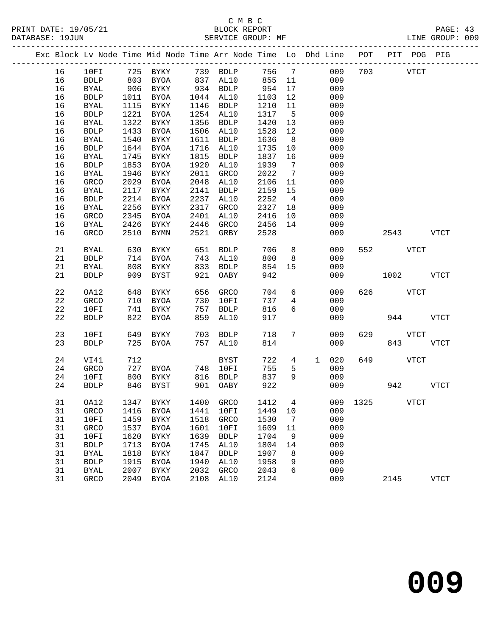|  |    |              |      |              |      | Exc Block Lv Node Time Mid Node Time Arr Node Time Lo Dhd Line POT |      |                 |              |     |     |             | PIT POG PIG |             |
|--|----|--------------|------|--------------|------|--------------------------------------------------------------------|------|-----------------|--------------|-----|-----|-------------|-------------|-------------|
|  | 16 | 10FI         | 725  | <b>BYKY</b>  |      | 739 BDLP                                                           | 756  | $7\phantom{.0}$ |              | 009 | 703 |             | <b>VTCT</b> |             |
|  | 16 | <b>BDLP</b>  | 803  | BYOA         | 837  | AL10                                                               | 855  | 11              |              | 009 |     |             |             |             |
|  | 16 | <b>BYAL</b>  | 906  | BYKY         | 934  | <b>BDLP</b>                                                        | 954  | 17              |              | 009 |     |             |             |             |
|  | 16 | ${\tt BDLP}$ | 1011 | BYOA         | 1044 | AL10                                                               | 1103 | 12              |              | 009 |     |             |             |             |
|  | 16 | <b>BYAL</b>  | 1115 | BYKY         | 1146 | <b>BDLP</b>                                                        | 1210 | 11              |              | 009 |     |             |             |             |
|  | 16 | <b>BDLP</b>  | 1221 | <b>BYOA</b>  | 1254 | AL10                                                               | 1317 | $5^{\circ}$     |              | 009 |     |             |             |             |
|  | 16 | <b>BYAL</b>  | 1322 | BYKY         | 1356 | <b>BDLP</b>                                                        | 1420 | 13              |              | 009 |     |             |             |             |
|  | 16 | <b>BDLP</b>  | 1433 | <b>BYOA</b>  | 1506 | AL10                                                               | 1528 | $12$            |              | 009 |     |             |             |             |
|  | 16 | <b>BYAL</b>  | 1540 | BYKY         | 1611 | <b>BDLP</b>                                                        | 1636 | 8               |              | 009 |     |             |             |             |
|  | 16 | <b>BDLP</b>  | 1644 | BYOA         | 1716 | AL10                                                               | 1735 | 10              |              | 009 |     |             |             |             |
|  | 16 | <b>BYAL</b>  | 1745 | BYKY         | 1815 | <b>BDLP</b>                                                        | 1837 | 16              |              | 009 |     |             |             |             |
|  | 16 | <b>BDLP</b>  | 1853 | <b>BYOA</b>  | 1920 | AL10                                                               | 1939 | $7\overline{ }$ |              | 009 |     |             |             |             |
|  | 16 | <b>BYAL</b>  | 1946 | BYKY         | 2011 | GRCO                                                               | 2022 | $7\phantom{.0}$ |              | 009 |     |             |             |             |
|  | 16 | GRCO         | 2029 | <b>BYOA</b>  | 2048 | AL10                                                               | 2106 | 11              |              | 009 |     |             |             |             |
|  | 16 | <b>BYAL</b>  | 2117 | BYKY         | 2141 | <b>BDLP</b>                                                        | 2159 | 15              |              | 009 |     |             |             |             |
|  | 16 | <b>BDLP</b>  | 2214 | <b>BYOA</b>  | 2237 | AL10                                                               | 2252 | $\overline{4}$  |              | 009 |     |             |             |             |
|  | 16 | BYAL         | 2256 | BYKY         | 2317 | GRCO                                                               | 2327 | 18              |              | 009 |     |             |             |             |
|  | 16 | GRCO         | 2345 | BYOA         | 2401 | AL10                                                               | 2416 | 10              |              | 009 |     |             |             |             |
|  | 16 | BYAL         | 2426 | BYKY         | 2446 | GRCO                                                               | 2456 | 14              |              | 009 |     |             |             |             |
|  | 16 | GRCO         | 2510 | BYMN         | 2521 | GRBY                                                               | 2528 |                 |              | 009 |     | 2543        |             | <b>VTCT</b> |
|  |    |              |      |              |      |                                                                    |      |                 |              |     |     |             |             |             |
|  | 21 | <b>BYAL</b>  | 630  | BYKY         | 651  | <b>BDLP</b>                                                        | 706  | 8               |              | 009 | 552 | <b>VTCT</b> |             |             |
|  | 21 | <b>BDLP</b>  | 714  | BYOA         | 743  | AL10                                                               | 800  | 8               |              | 009 |     |             |             |             |
|  | 21 | <b>BYAL</b>  | 808  | BYKY         | 833  | <b>BDLP</b>                                                        | 854  | 15              |              | 009 |     |             |             |             |
|  | 21 | <b>BDLP</b>  | 909  | BYST         | 921  | OABY                                                               | 942  |                 |              | 009 |     | 1002        |             | <b>VTCT</b> |
|  |    |              |      |              |      |                                                                    |      |                 |              |     |     |             |             |             |
|  | 22 | OA12         | 648  | BYKY         | 656  | GRCO                                                               | 704  | 6               |              | 009 | 626 |             | <b>VTCT</b> |             |
|  | 22 | GRCO         | 710  | BYOA         | 730  | 10FI                                                               | 737  | $\overline{4}$  |              | 009 |     |             |             |             |
|  | 22 | 10FI         | 741  | BYKY         | 757  | <b>BDLP</b>                                                        | 816  | 6               |              | 009 |     |             |             |             |
|  | 22 | <b>BDLP</b>  | 822  | BYOA         | 859  | AL10                                                               | 917  |                 |              | 009 |     | 944         |             | <b>VTCT</b> |
|  | 23 | 10FI         | 649  | BYKY         | 703  | <b>BDLP</b>                                                        | 718  | 7               |              | 009 | 629 |             | <b>VTCT</b> |             |
|  | 23 | <b>BDLP</b>  | 725  | BYOA         | 757  | AL10                                                               | 814  |                 |              | 009 |     | 843         |             | <b>VTCT</b> |
|  |    |              |      |              |      |                                                                    |      |                 |              |     |     |             |             |             |
|  | 24 | VI41         | 712  |              |      | <b>BYST</b>                                                        | 722  | 4               | $\mathbf{1}$ | 020 | 649 |             | <b>VTCT</b> |             |
|  | 24 | <b>GRCO</b>  | 727  | BYOA         | 748  | 10FI                                                               | 755  | 5               |              | 009 |     |             |             |             |
|  | 24 | 10FI         | 800  | BYKY         | 816  | <b>BDLP</b>                                                        | 837  | 9               |              | 009 |     |             |             |             |
|  | 24 | <b>BDLP</b>  | 846  | BYST         | 901  | OABY                                                               | 922  |                 |              | 009 |     | 942         |             | <b>VTCT</b> |
|  | 31 | OA12         |      | 1347 BYKY    |      | 1400 GRCO 1412 4 009 1325 VTCT                                     |      |                 |              |     |     |             |             |             |
|  | 31 | <b>GRCO</b>  | 1416 | <b>BYOA</b>  | 1441 | 10FI                                                               | 1449 | 10              |              | 009 |     |             |             |             |
|  | 31 | 10FI         | 1459 | <b>BYKY</b>  | 1518 | <b>GRCO</b>                                                        | 1530 | 7               |              | 009 |     |             |             |             |
|  | 31 | GRCO         | 1537 | <b>BYOA</b>  | 1601 | 10FI                                                               | 1609 | 11              |              | 009 |     |             |             |             |
|  | 31 | 10FI         | 1620 | BYKY         | 1639 | <b>BDLP</b>                                                        | 1704 | 9               |              | 009 |     |             |             |             |
|  | 31 | ${\tt BDLP}$ | 1713 | <b>BYOA</b>  | 1745 | AL10                                                               | 1804 | 14              |              | 009 |     |             |             |             |
|  | 31 | <b>BYAL</b>  | 1818 | <b>BYKY</b>  | 1847 | <b>BDLP</b>                                                        | 1907 | 8               |              | 009 |     |             |             |             |
|  | 31 | <b>BDLP</b>  | 1915 | <b>BYOA</b>  | 1940 | AL10                                                               | 1958 | 9               |              | 009 |     |             |             |             |
|  | 31 | <b>BYAL</b>  | 2007 | ${\tt BYKY}$ | 2032 | GRCO                                                               | 2043 | 6               |              | 009 |     |             |             |             |
|  | 31 | GRCO         | 2049 | <b>BYOA</b>  | 2108 | AL10                                                               | 2124 |                 |              | 009 |     | 2145        |             | <b>VTCT</b> |
|  |    |              |      |              |      |                                                                    |      |                 |              |     |     |             |             |             |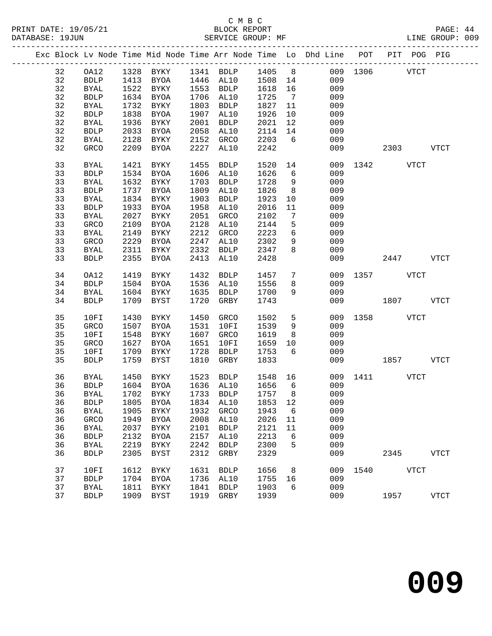|  |    |              |      |                     |      |                            |           |                 | Exc Block Lv Node Time Mid Node Time Arr Node Time Lo Dhd Line POT PIT POG PIG |               |             |             |
|--|----|--------------|------|---------------------|------|----------------------------|-----------|-----------------|--------------------------------------------------------------------------------|---------------|-------------|-------------|
|  | 32 | OA12         |      |                     |      | 1328 BYKY 1341 BDLP 1405 8 |           |                 |                                                                                | 009 1306 VTCT |             |             |
|  | 32 | BDLP         |      | 1413 BYOA 1446 AL10 |      |                            | $1508$ 14 |                 | 009                                                                            |               |             |             |
|  | 32 | BYAL         |      | 1522 BYKY           |      | 1553 BDLP                  | 1618      | 16              | 009                                                                            |               |             |             |
|  | 32 | <b>BDLP</b>  | 1634 | BYOA                |      | 1706 AL10                  | 1725      | $7\overline{ }$ | 009                                                                            |               |             |             |
|  | 32 | BYAL         | 1732 | BYKY                |      | 1803 BDLP                  | 1827      | 11              | 009                                                                            |               |             |             |
|  | 32 | ${\tt BDLP}$ | 1838 | BYOA                |      | 1907 AL10                  | 1926      | 10              | 009                                                                            |               |             |             |
|  | 32 | BYAL         | 1936 | BYKY                | 2001 | BDLP                       | 2021      | 12              | 009                                                                            |               |             |             |
|  | 32 | <b>BDLP</b>  | 2033 | BYOA                | 2058 | AL10                       | 2114      | 14              | 009                                                                            |               |             |             |
|  | 32 | BYAL         | 2128 | BYKY                | 2152 | GRCO                       | 2203      | 6               | 009                                                                            |               |             |             |
|  | 32 | GRCO         | 2209 | BYOA                | 2227 | AL10                       | 2242      |                 | 009                                                                            |               | 2303        | VTCT        |
|  | 33 | <b>BYAL</b>  | 1421 | BYKY                | 1455 | <b>BDLP</b>                | 1520      | 14              |                                                                                | 009 1342 VTCT |             |             |
|  | 33 | ${\tt BDLP}$ | 1534 | BYOA                | 1606 | AL10                       | 1626      | 6               | 009                                                                            |               |             |             |
|  | 33 | <b>BYAL</b>  | 1632 | BYKY                | 1703 | BDLP                       | 1728      | 9               | 009                                                                            |               |             |             |
|  | 33 | <b>BDLP</b>  | 1737 | BYOA                | 1809 | AL10                       | 1826      | 8 <sup>8</sup>  | 009                                                                            |               |             |             |
|  | 33 | <b>BYAL</b>  | 1834 | BYKY                | 1903 | BDLP                       | 1923      | 10              | 009                                                                            |               |             |             |
|  | 33 | <b>BDLP</b>  | 1933 | BYOA                | 1958 | AL10                       | 2016      | 11              | 009                                                                            |               |             |             |
|  | 33 | <b>BYAL</b>  | 2027 | BYKY                | 2051 | GRCO                       | 2102      | $7\phantom{.0}$ | 009                                                                            |               |             |             |
|  | 33 | GRCO         | 2109 | BYOA                | 2128 | AL10                       | 2144      | 5               | 009                                                                            |               |             |             |
|  | 33 | <b>BYAL</b>  | 2149 | BYKY                |      | 2212 GRCO                  | 2223      | $6\overline{6}$ | 009                                                                            |               |             |             |
|  | 33 | GRCO         | 2229 | BYOA                | 2247 | AL10                       | 2302      | 9               | 009                                                                            |               |             |             |
|  | 33 | <b>BYAL</b>  | 2311 | BYKY                | 2332 | BDLP                       | 2347      | 8               | 009                                                                            |               |             |             |
|  | 33 | <b>BDLP</b>  | 2355 | BYOA                | 2413 | AL10                       | 2428      |                 | 009                                                                            |               | 2447        | <b>VTCT</b> |
|  | 34 | OA12         | 1419 | BYKY                | 1432 | <b>BDLP</b>                | 1457      | $7\phantom{.0}$ | 009                                                                            |               | 1357 VTCT   |             |
|  | 34 | <b>BDLP</b>  | 1504 | <b>BYOA</b>         |      | 1536 AL10                  | 1556      | 8               | 009                                                                            |               |             |             |
|  | 34 | BYAL         |      | 1604 BYKY           |      | 1635 BDLP                  | 1700      | $\overline{9}$  | 009                                                                            |               |             |             |
|  | 34 | <b>BDLP</b>  |      | 1709 BYST           | 1720 | GRBY                       | 1743      |                 | 009                                                                            |               | 1807 VTCT   |             |
|  |    |              |      |                     |      |                            |           |                 |                                                                                |               |             |             |
|  | 35 | 10FI         | 1430 | BYKY                |      | 1450 GRCO                  | 1502      | $5\overline{)}$ |                                                                                | 009 1358 VTCT |             |             |
|  | 35 | GRCO         | 1507 | BYOA                | 1531 | 10FI                       | 1539      | 9               | 009                                                                            |               |             |             |
|  | 35 | 10FI         | 1548 | BYKY                |      | 1607 GRCO                  | 1619      | 8 <sup>8</sup>  | 009                                                                            |               |             |             |
|  | 35 | GRCO         | 1627 | BYOA                | 1651 | 10FI                       | 1659      | 10              | 009                                                                            |               |             |             |
|  | 35 | 10FI         | 1709 | BYKY                | 1728 | BDLP                       | 1753      | 6               | 009                                                                            |               |             |             |
|  | 35 | <b>BDLP</b>  | 1759 | BYST                | 1810 | GRBY                       | 1833      |                 | 009                                                                            |               | 1857        | VTCT        |
|  | 36 | BYAL         | 1450 | BYKY                |      | 1523 BDLP                  | 1548      | 16              |                                                                                | 009 1411 VTCT |             |             |
|  | 36 | <b>BDLP</b>  |      | 1604 BYOA           |      | 1636 AL10<br>1733 BDLP     | 1656      | $6\overline{6}$ | 009                                                                            |               |             |             |
|  | 36 | BYAL         |      | 1702 BYKY           |      |                            | 1757      | 8 <sup>8</sup>  | 009                                                                            |               |             |             |
|  |    |              |      |                     |      |                            |           |                 | 36 BDLP 1805 BYOA 1834 AL10 1853 12 009                                        |               |             |             |
|  | 36 | <b>BYAL</b>  | 1905 | BYKY                |      | 1932 GRCO                  | 1943      | 6               | 009                                                                            |               |             |             |
|  | 36 | GRCO         | 1949 | BYOA                | 2008 | AL10                       | 2026      | 11              | 009                                                                            |               |             |             |
|  | 36 | <b>BYAL</b>  | 2037 | BYKY                | 2101 | <b>BDLP</b>                | 2121      | 11              | 009                                                                            |               |             |             |
|  | 36 | ${\tt BDLP}$ | 2132 | BYOA                | 2157 | AL10                       | 2213      | 6               | 009                                                                            |               |             |             |
|  | 36 | <b>BYAL</b>  | 2219 | BYKY                | 2242 | <b>BDLP</b>                | 2300      | 5               | 009                                                                            |               |             |             |
|  | 36 | <b>BDLP</b>  | 2305 | BYST                | 2312 | GRBY                       | 2329      |                 | 009                                                                            |               | 2345        | <b>VTCT</b> |
|  | 37 | 10FI         | 1612 | BYKY                | 1631 | <b>BDLP</b>                | 1656      | 8 <sup>8</sup>  | 009                                                                            | 1540          | <b>VTCT</b> |             |
|  | 37 | <b>BDLP</b>  | 1704 | BYOA                | 1736 | AL10                       | 1755      | 16              | 009                                                                            |               |             |             |
|  | 37 | <b>BYAL</b>  | 1811 | BYKY                | 1841 | <b>BDLP</b>                | 1903      | 6               | 009                                                                            |               |             |             |
|  | 37 | <b>BDLP</b>  | 1909 | BYST                |      | 1919 GRBY                  | 1939      |                 | 009                                                                            |               | 1957        | <b>VTCT</b> |
|  |    |              |      |                     |      |                            |           |                 |                                                                                |               |             |             |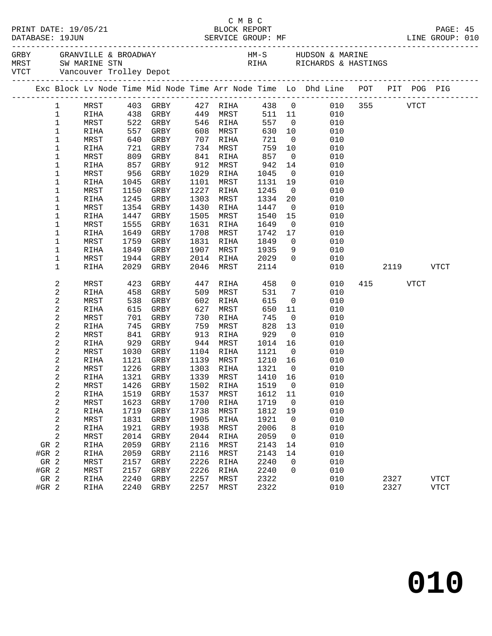|              |             |      |                            |      |           |         |                | PAGE: 45<br>LINE GROUP: 010                                                    |     |              |      |             |  |
|--------------|-------------|------|----------------------------|------|-----------|---------|----------------|--------------------------------------------------------------------------------|-----|--------------|------|-------------|--|
|              |             |      |                            |      |           |         |                |                                                                                |     |              |      |             |  |
|              |             |      |                            |      |           |         |                | Exc Block Lv Node Time Mid Node Time Arr Node Time Lo Dhd Line POT PIT POG PIG |     |              |      |             |  |
| $\mathbf{1}$ | MRST        |      | 403 GRBY                   |      | 427 RIHA  |         | 438 0          |                                                                                |     | 010 355 VTCT |      |             |  |
| $\mathbf{1}$ | RIHA        |      | 438 GRBY                   |      | 449 MRST  |         | 511 11         | 010                                                                            |     |              |      |             |  |
| $\mathbf 1$  | MRST        | 522  | GRBY                       |      | 546 RIHA  | 557     | $\overline{0}$ | 010                                                                            |     |              |      |             |  |
| $\mathbf 1$  | RIHA        | 557  | GRBY                       | 608  | MRST      | 630     | 10             | 010                                                                            |     |              |      |             |  |
| $\mathbf 1$  | MRST        | 640  | GRBY                       | 707  | RIHA      | 721     | $\overline{0}$ | 010                                                                            |     |              |      |             |  |
| 1            | RIHA        | 721  | GRBY                       | 734  | MRST      | 759     | 10             | 010                                                                            |     |              |      |             |  |
| 1            | MRST        | 809  | GRBY                       | 841  | RIHA      | 857     | $\overline{0}$ | 010                                                                            |     |              |      |             |  |
| 1            | RIHA        | 857  | GRBY                       | 912  | MRST      | 942     | 14             | 010                                                                            |     |              |      |             |  |
| 1            | MRST        | 956  | GRBY                       | 1029 | RIHA      | 1045    | $\overline{0}$ | 010                                                                            |     |              |      |             |  |
| 1            | RIHA        | 1045 | GRBY                       | 1101 | MRST      | 1131    | 19             | 010                                                                            |     |              |      |             |  |
| 1            | MRST        | 1150 | GRBY                       | 1227 | RIHA      | 1245    | $\overline{0}$ | 010                                                                            |     |              |      |             |  |
| 1            | RIHA        | 1245 | GRBY                       | 1303 | MRST      | 1334    | 20             | 010                                                                            |     |              |      |             |  |
| 1            | MRST        | 1354 | GRBY                       | 1430 | RIHA      | 1447    | $\overline{0}$ | 010                                                                            |     |              |      |             |  |
| 1            | RIHA        | 1447 | GRBY                       | 1505 | MRST      | 1540    | 15             | 010                                                                            |     |              |      |             |  |
| 1            | MRST        | 1555 | GRBY                       | 1631 | RIHA      | 1649    | $\overline{0}$ | 010                                                                            |     |              |      |             |  |
| 1            | RIHA        | 1649 | GRBY                       | 1708 | MRST      | 1742    | 17             | 010                                                                            |     |              |      |             |  |
| 1            | MRST        | 1759 | GRBY                       | 1831 | RIHA      | 1849    | $\overline{0}$ | 010                                                                            |     |              |      |             |  |
| 1            | RIHA        | 1849 | GRBY                       | 1907 | MRST      | 1935    | 9              | 010                                                                            |     |              |      |             |  |
| 1            | MRST        | 1944 | GRBY                       | 2014 | RIHA      | 2029    | $\mathbf 0$    | 010                                                                            |     |              |      |             |  |
| 1            | RIHA        | 2029 | GRBY                       | 2046 | MRST      | 2114    |                | 010                                                                            |     | 2119         |      | <b>VTCT</b> |  |
| 2            | MRST        | 423  | GRBY                       | 447  | RIHA      | 458     | $\overline{0}$ | 010                                                                            | 415 |              | VTCT |             |  |
| $\sqrt{2}$   | RIHA        | 458  | GRBY                       | 509  | MRST      | 531     | $\overline{7}$ | 010                                                                            |     |              |      |             |  |
| 2            | MRST        | 538  | GRBY                       | 602  | RIHA      | 615     | $\overline{0}$ | 010                                                                            |     |              |      |             |  |
| $\sqrt{2}$   | RIHA        | 615  | GRBY                       | 627  | MRST      | 650     | 11             | 010                                                                            |     |              |      |             |  |
| 2            | MRST        | 701  | GRBY                       | 730  | RIHA      | 745     | $\overline{0}$ | 010                                                                            |     |              |      |             |  |
| 2            | RIHA        | 745  | GRBY                       | 759  | MRST      | 828     | 13             | 010                                                                            |     |              |      |             |  |
| 2            | MRST        | 841  | GRBY                       | 913  | RIHA      | 929     | $\overline{0}$ | 010                                                                            |     |              |      |             |  |
| $\sqrt{2}$   | RIHA        | 929  | GRBY                       | 944  | MRST      | 1014    | 16             | 010                                                                            |     |              |      |             |  |
| $\sqrt{2}$   | MRST        | 1030 | GRBY                       | 1104 | RIHA      | 1121    | $\overline{0}$ | 010                                                                            |     |              |      |             |  |
| 2            | RIHA        | 1121 | GRBY                       | 1139 | MRST      | 1210 16 |                | 010                                                                            |     |              |      |             |  |
| $\sqrt{2}$   | MRST        | 1226 | GRBY                       |      | 1303 RIHA | 1321    | $\overline{0}$ | 010                                                                            |     |              |      |             |  |
| 2            | RIHA        | 1321 | GRBY                       |      | 1339 MRST | 1410 16 |                | 010                                                                            |     |              |      |             |  |
| $\sqrt{2}$   | MRST        |      | 1426 GRBY 1502 RIHA 1519 0 |      |           |         |                | 010                                                                            |     |              |      |             |  |
| 2            | <b>RIHA</b> | 1519 | GRBY                       | 1537 | MRST      | 1612    | 11             | 010                                                                            |     |              |      |             |  |
| $\sqrt{2}$   | MRST        | 1623 | GRBY                       | 1700 | RIHA      | 1719    | 0              | 010                                                                            |     |              |      |             |  |
| 2            | RIHA        | 1719 | GRBY                       | 1738 | MRST      | 1812    | 19             | 010                                                                            |     |              |      |             |  |
| $\sqrt{2}$   | MRST        | 1831 | GRBY                       | 1905 | RIHA      | 1921    | 0              | 010                                                                            |     |              |      |             |  |
| 2            | <b>RIHA</b> | 1921 | GRBY                       | 1938 | MRST      | 2006    | 8              | 010                                                                            |     |              |      |             |  |
| 2            | MRST        | 2014 | GRBY                       | 2044 | RIHA      | 2059    | 0              | 010                                                                            |     |              |      |             |  |
| GR 2         | RIHA        | 2059 | GRBY                       | 2116 | MRST      | 2143    | 14             | 010                                                                            |     |              |      |             |  |
| $#GR$ 2      | RIHA        | 2059 | GRBY                       | 2116 | MRST      | 2143    | 14             | 010                                                                            |     |              |      |             |  |
| GR 2         | MRST        | 2157 | GRBY                       | 2226 | RIHA      | 2240    | 0              | 010                                                                            |     |              |      |             |  |
| $#GR$ 2      | MRST        | 2157 | GRBY                       | 2226 | RIHA      | 2240    | 0              | 010                                                                            |     |              |      |             |  |
| GR 2         | RIHA        | 2240 | GRBY                       | 2257 | MRST      | 2322    |                | 010                                                                            |     | 2327         |      | <b>VTCT</b> |  |
| #GR 2        | RIHA        | 2240 | GRBY                       | 2257 | MRST      | 2322    |                | 010                                                                            |     | 2327         |      | <b>VTCT</b> |  |

C M B C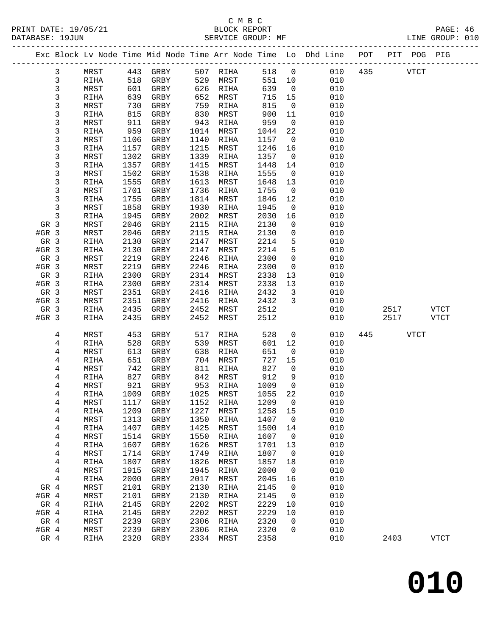|               |                         |                       |              |                      |              |                     |              |                          | Exc Block Lv Node Time Mid Node Time Arr Node Time Lo Dhd Line POT |     |      | PIT POG PIG |               |
|---------------|-------------------------|-----------------------|--------------|----------------------|--------------|---------------------|--------------|--------------------------|--------------------------------------------------------------------|-----|------|-------------|---------------|
|               | 3                       | MRST                  | 443          | GRBY                 | 507          | RIHA                | 518          | $\overline{0}$           | 010                                                                | 435 |      | <b>VTCT</b> |               |
|               | 3                       | RIHA                  | 518          | GRBY                 | 529          | MRST                | 551          | 10                       | 010                                                                |     |      |             |               |
|               | 3                       | MRST                  | 601          | GRBY                 | 626          | RIHA                | 639          | $\overline{0}$           | 010                                                                |     |      |             |               |
|               | 3<br>3                  | RIHA                  | 639<br>730   | GRBY                 | 652          | MRST                | 715<br>815   | 15<br>$\overline{0}$     | 010                                                                |     |      |             |               |
|               | 3                       | MRST<br>RIHA          | 815          | GRBY<br>GRBY         | 759<br>830   | RIHA<br>MRST        | 900          | 11                       | 010<br>010                                                         |     |      |             |               |
|               | 3                       | MRST                  | 911          | GRBY                 | 943          | RIHA                | 959          | $\overline{0}$           | 010                                                                |     |      |             |               |
|               | 3                       | RIHA                  | 959          | GRBY                 | 1014         | MRST                | 1044         | 22                       | 010                                                                |     |      |             |               |
|               | 3                       | MRST                  | 1106         | GRBY                 | 1140         | RIHA                | 1157         | $\overline{0}$           | 010                                                                |     |      |             |               |
|               | 3                       | RIHA                  | 1157         | GRBY                 | 1215         | MRST                | 1246         | 16                       | 010                                                                |     |      |             |               |
|               | 3                       | MRST                  | 1302         | GRBY                 | 1339         | RIHA                | 1357         | $\overline{\phantom{0}}$ | 010                                                                |     |      |             |               |
|               | 3                       | RIHA                  | 1357         | GRBY                 | 1415         | MRST                | 1448         | 14                       | 010                                                                |     |      |             |               |
|               | 3                       | MRST                  | 1502         | GRBY                 | 1538         | RIHA                | 1555         | $\overline{0}$           | 010                                                                |     |      |             |               |
|               | 3                       | RIHA                  | 1555         | GRBY                 | 1613         | MRST                | 1648         | 13                       | 010                                                                |     |      |             |               |
|               | 3                       | MRST                  | 1701         | GRBY                 | 1736         | RIHA                | 1755         | $\overline{0}$           | 010                                                                |     |      |             |               |
|               | 3                       | RIHA                  | 1755         | GRBY                 | 1814         | MRST                | 1846         | 12                       | 010                                                                |     |      |             |               |
|               | 3                       | MRST                  | 1858         | GRBY                 | 1930         | RIHA                | 1945         | $\mathsf{O}$             | 010                                                                |     |      |             |               |
|               | 3                       | RIHA                  | 1945         | GRBY                 | 2002         | MRST                | 2030         | 16                       | 010                                                                |     |      |             |               |
| GR 3          |                         | MRST                  | 2046         | GRBY                 | 2115         | RIHA                | 2130         | 0                        | 010                                                                |     |      |             |               |
| $#GR$ 3       |                         | MRST                  | 2046         | GRBY                 | 2115         | RIHA                | 2130         | $\mathbf 0$              | 010                                                                |     |      |             |               |
| GR 3          |                         | RIHA                  | 2130         | GRBY                 | 2147         | MRST                | 2214         | 5                        | 010                                                                |     |      |             |               |
| $#GR$ 3       |                         | RIHA                  | 2130         | GRBY                 | 2147         | MRST                | 2214         | 5                        | 010                                                                |     |      |             |               |
| GR 3          |                         | MRST                  | 2219         | GRBY                 | 2246         | RIHA                | 2300         | $\mathsf{O}$             | 010                                                                |     |      |             |               |
| $#GR$ 3       |                         | MRST                  | 2219         | GRBY                 | 2246         | RIHA                | 2300         | $\mathsf{O}$             | 010                                                                |     |      |             |               |
| GR 3          |                         | RIHA                  | 2300         | GRBY                 | 2314         | MRST                | 2338         | 13                       | 010                                                                |     |      |             |               |
| $#GR$ 3       |                         | RIHA                  | 2300         | GRBY                 | 2314         | MRST                | 2338         | 13                       | 010                                                                |     |      |             |               |
| GR 3          |                         | MRST                  | 2351         | GRBY                 | 2416         | RIHA                | 2432         | 3                        | 010                                                                |     |      |             |               |
| $#GR$ 3       |                         | MRST                  | 2351         | GRBY                 | 2416         | RIHA                | 2432         | 3                        | 010                                                                |     |      |             |               |
| GR 3          |                         | RIHA                  | 2435         | GRBY                 | 2452         | MRST                | 2512         |                          | 010                                                                |     | 2517 |             | <b>VTCT</b>   |
| $#GR$ 3       |                         | RIHA                  | 2435         | GRBY                 | 2452         | MRST                | 2512         |                          | 010                                                                |     | 2517 |             | <b>VTCT</b>   |
|               | 4                       | MRST                  | 453          | GRBY                 | 517          | RIHA                | 528          | $\mathsf{O}$             | 010                                                                | 445 |      | <b>VTCT</b> |               |
|               | 4                       | RIHA                  | 528          | GRBY                 | 539          | MRST                | 601          | 12                       | 010                                                                |     |      |             |               |
|               | 4                       | MRST                  | 613          | GRBY                 | 638          | RIHA                | 651          | $\mathsf{O}$             | 010                                                                |     |      |             |               |
|               | 4                       | RIHA                  | 651          | GRBY                 | 704          | MRST                | 727          | 15                       | 010                                                                |     |      |             |               |
|               | 4                       | MRST                  | 742          | GRBY                 | 811          | RIHA                | 827          | 0                        | 010                                                                |     |      |             |               |
|               | 4                       | RIHA                  | 827          | GRBY                 | 842          | MRST                | 912          | 9                        | 010                                                                |     |      |             |               |
|               | 4                       | MRST                  | 921          | GRBY                 | 953          | RIHA                | 1009         | $\overline{0}$           | 010                                                                |     |      |             |               |
|               | 4                       | RIHA                  | 1009         | GRBY                 | 1025         | MRST                | 1055         | 22                       | 010                                                                |     |      |             |               |
|               | 4                       | MRST                  | 1117         | GRBY                 | 1152         | RIHA                | 1209         | 0                        | 010                                                                |     |      |             |               |
|               | 4                       | RIHA                  | 1209         | GRBY                 | 1227         | MRST                | 1258         | 15                       | 010                                                                |     |      |             |               |
|               | $\overline{\mathbf{4}}$ | MRST                  | 1313         | ${\tt GRBY}$         | 1350         | RIHA                | 1407         | 0                        | 010                                                                |     |      |             |               |
|               | 4                       | RIHA                  | 1407         | GRBY                 | 1425         | MRST                | 1500         | 14                       | 010                                                                |     |      |             |               |
|               | 4                       | MRST                  | 1514         | ${\tt GRBY}$         | 1550         | RIHA                | 1607         | 0                        | 010                                                                |     |      |             |               |
|               | 4                       | RIHA                  | 1607         | ${\tt GRBY}$         | 1626         | MRST                | 1701         | 13                       | 010                                                                |     |      |             |               |
|               | $\overline{\mathbf{4}}$ | MRST                  | 1714         | ${\tt GRBY}$         | 1749         | <b>RIHA</b>         | 1807         | 0                        | 010                                                                |     |      |             |               |
|               | 4                       | RIHA                  | 1807         | ${\tt GRBY}$         | 1826         | MRST                | 1857         | 18                       | 010                                                                |     |      |             |               |
|               | 4                       | MRST                  | 1915         | GRBY                 | 1945         | RIHA                | 2000         | 0                        | 010                                                                |     |      |             |               |
|               | 4                       | RIHA                  | 2000         | ${\tt GRBY}$         | 2017         | MRST                | 2045         | 16                       | 010                                                                |     |      |             |               |
| GR 4          |                         | MRST                  | 2101         | ${\tt GRBY}$         | 2130         | RIHA                | 2145         | 0                        | 010                                                                |     |      |             |               |
| #GR 4         |                         | MRST                  | 2101         | GRBY                 | 2130         | RIHA                | 2145         | 0                        | 010                                                                |     |      |             |               |
| GR 4          |                         | RIHA                  | 2145         | GRBY                 | 2202         | MRST                | 2229         | 10                       | 010                                                                |     |      |             |               |
| #GR 4         |                         | RIHA                  | 2145         | GRBY                 | 2202         | MRST                | 2229         | 10                       | 010                                                                |     |      |             |               |
|               | GR 4                    | MRST                  | 2239         | GRBY                 | 2306         | RIHA                | 2320         | 0                        | 010                                                                |     |      |             |               |
|               |                         |                       |              |                      |              |                     |              |                          |                                                                    |     |      |             |               |
| #GR 4<br>GR 4 |                         | MRST<br>$\verb RIHA $ | 2239<br>2320 | ${\tt GRBY}$<br>GRBY | 2306<br>2334 | <b>RIHA</b><br>MRST | 2320<br>2358 | 0                        | 010<br>010                                                         |     | 2403 |             | $_{\rm VTCT}$ |

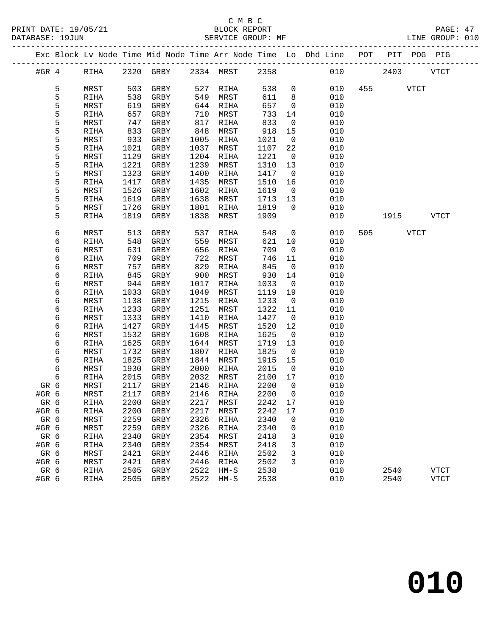#### C M B C<br>BLOCK REPORT SERVICE GROUP: MF

|               |   |              |              |              |              |              |              |                            | Exc Block Lv Node Time Mid Node Time Arr Node Time Lo Dhd Line POT |     |      |             | PIT POG PIG |  |
|---------------|---|--------------|--------------|--------------|--------------|--------------|--------------|----------------------------|--------------------------------------------------------------------|-----|------|-------------|-------------|--|
| #GR $4$       |   | RIHA         |              | 2320 GRBY    |              | 2334 MRST    | 2358         |                            | 010                                                                |     | 2403 |             | <b>VTCT</b> |  |
|               | 5 | MRST         | 503          | GRBY         | 527          | RIHA         | 538          | $\overline{0}$             | 010                                                                | 455 |      | <b>VTCT</b> |             |  |
|               | 5 | RIHA         | 538          | GRBY         | 549          | MRST         | 611          | 8                          | 010                                                                |     |      |             |             |  |
|               | 5 | MRST         | 619          | GRBY         | 644          | RIHA         | 657          | $\mathsf{O}$               | 010                                                                |     |      |             |             |  |
|               | 5 | RIHA         | 657          | GRBY         | 710          | MRST         | 733          | 14                         | 010                                                                |     |      |             |             |  |
|               | 5 | MRST         | 747          | GRBY         | 817          | RIHA         | 833          | $\overline{0}$             | 010                                                                |     |      |             |             |  |
|               | 5 | RIHA         | 833          | GRBY         | 848          | MRST         | 918          | 15                         | 010                                                                |     |      |             |             |  |
|               | 5 | MRST         | 933          | GRBY         | 1005         | RIHA         | 1021         | $\mathsf{O}$               | 010                                                                |     |      |             |             |  |
|               | 5 | RIHA         | 1021         | GRBY         | 1037         | MRST         | 1107         | 22                         | 010                                                                |     |      |             |             |  |
|               | 5 | MRST         | 1129         | GRBY         | 1204         | RIHA         | 1221         | $\mathsf{O}$               | 010                                                                |     |      |             |             |  |
|               | 5 | RIHA         | 1221         | GRBY         | 1239         | MRST         | 1310         | 13                         | 010                                                                |     |      |             |             |  |
|               | 5 | MRST         | 1323         | GRBY         | 1400         | RIHA         | 1417         | $\overline{0}$             | 010                                                                |     |      |             |             |  |
|               | 5 | RIHA         | 1417         | GRBY         | 1435         | MRST         | 1510         | 16                         | 010                                                                |     |      |             |             |  |
|               | 5 | MRST         | 1526         | GRBY         | 1602         | RIHA         | 1619         | $\overline{0}$             | 010                                                                |     |      |             |             |  |
|               | 5 | RIHA         | 1619         | GRBY         | 1638         | MRST         | 1713         | 13                         | 010                                                                |     |      |             |             |  |
|               | 5 | MRST         | 1726         | GRBY         | 1801         | RIHA         | 1819         | $\Omega$                   | 010                                                                |     |      |             |             |  |
|               | 5 | RIHA         | 1819         | GRBY         | 1838         | MRST         | 1909         |                            | 010                                                                |     | 1915 |             | <b>VTCT</b> |  |
|               | 6 | MRST         | 513          | GRBY         | 537          | RIHA         | 548          | $\mathsf{O}$               | 010                                                                | 505 |      | <b>VTCT</b> |             |  |
|               | 6 | RIHA         | 548          | GRBY         | 559          | MRST         | 621          | 10                         | 010                                                                |     |      |             |             |  |
|               | 6 | MRST         | 631          | GRBY         | 656          | RIHA         | 709          | $\mathbf 0$                | 010                                                                |     |      |             |             |  |
|               | 6 | RIHA         | 709          | GRBY         | 722          | MRST         | 746          | 11                         | 010                                                                |     |      |             |             |  |
|               | 6 | MRST         | 757          | GRBY         | 829          | RIHA         | 845          | $\overline{0}$             | 010                                                                |     |      |             |             |  |
|               | 6 | RIHA         | 845          | GRBY         | 900          | MRST         | 930          | 14                         | 010                                                                |     |      |             |             |  |
|               | 6 | MRST         | 944          | GRBY         | 1017         | RIHA         | 1033         | $\overline{0}$             | 010                                                                |     |      |             |             |  |
|               | 6 | RIHA         | 1033         | GRBY         | 1049         | MRST         | 1119         | 19                         | 010                                                                |     |      |             |             |  |
|               | 6 | MRST         | 1138         | GRBY         | 1215         | RIHA         | 1233         | $\overline{\phantom{0}}$   | 010                                                                |     |      |             |             |  |
|               | 6 | RIHA         | 1233         | GRBY         | 1251         | MRST         | 1322         | 11                         | 010                                                                |     |      |             |             |  |
|               | 6 | MRST         | 1333         | GRBY         | 1410         | RIHA         | 1427         | $\mathsf{O}$               | 010                                                                |     |      |             |             |  |
|               | 6 | RIHA         | 1427         | GRBY         | 1445         | MRST         | 1520         | 12                         | 010                                                                |     |      |             |             |  |
|               | 6 | MRST         | 1532         | GRBY         | 1608         | RIHA         | 1625         | $\overline{0}$             | 010                                                                |     |      |             |             |  |
|               | 6 | RIHA         | 1625         | GRBY         | 1644         | MRST         | 1719         | 13                         | 010                                                                |     |      |             |             |  |
|               | 6 | MRST         | 1732         | GRBY         | 1807         | RIHA         | 1825         | $\overline{0}$             | 010                                                                |     |      |             |             |  |
|               | 6 | RIHA         | 1825         | GRBY         | 1844         | MRST         | 1915         | 15                         | 010                                                                |     |      |             |             |  |
|               | 6 | MRST         | 1930         | GRBY         | 2000         | RIHA         | 2015         | $\overline{\phantom{0}}$   | 010                                                                |     |      |             |             |  |
|               | 6 | RIHA         | 2015         | GRBY         | 2032         | MRST         | 2100         | 17                         | 010                                                                |     |      |             |             |  |
| GR 6<br>#GR 6 |   | MRST         | 2117<br>2117 | GRBY         | 2146<br>2146 | RIHA         | 2200<br>2200 | $\overline{0}$<br>$\Omega$ | 010<br>010                                                         |     |      |             |             |  |
|               |   | MRST         |              | GRBY         |              | RIHA         | 2242 17      |                            | 010                                                                |     |      |             |             |  |
| GR 6          |   | <b>RIHA</b>  | 2200         | ${\tt GRBY}$ | 2217         | MRST         |              | 17                         |                                                                    |     |      |             |             |  |
| #GR 6<br>GR 6 |   | RIHA<br>MRST | 2200<br>2259 | GRBY<br>GRBY | 2217<br>2326 | MRST<br>RIHA | 2242<br>2340 | 0                          | 010<br>010                                                         |     |      |             |             |  |
| #GR 6         |   | MRST         | 2259         | GRBY         | 2326         | RIHA         | 2340         | 0                          | 010                                                                |     |      |             |             |  |
| GR 6          |   | RIHA         | 2340         | ${\tt GRBY}$ | 2354         | MRST         | 2418         | 3                          | 010                                                                |     |      |             |             |  |
| #GR 6         |   | <b>RIHA</b>  | 2340         | GRBY         | 2354         | MRST         | 2418         | 3                          | 010                                                                |     |      |             |             |  |
| GR 6          |   | MRST         | 2421         | GRBY         | 2446         | RIHA         | 2502         | 3                          | 010                                                                |     |      |             |             |  |
| #GR 6         |   | MRST         | 2421         | GRBY         | 2446         | <b>RIHA</b>  | 2502         | 3                          | 010                                                                |     |      |             |             |  |
|               |   |              |              |              |              |              |              |                            |                                                                    |     |      |             |             |  |

 GR 6 RIHA 2505 GRBY 2522 HM-S 2538 010 2540 VTCT #GR 6 RIHA 2505 GRBY 2522 HM-S 2538 010 2540 VTCT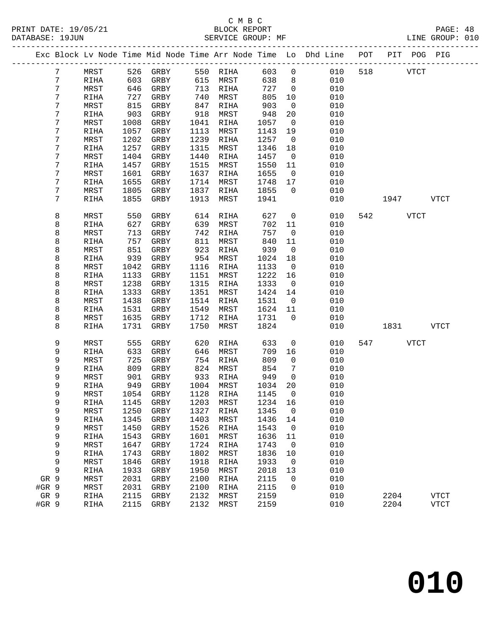|       |                |             |      |              |      |           |         |                          | Exc Block Lv Node Time Mid Node Time Arr Node Time Lo Dhd Line | POT | PIT  | POG PIG     |             |  |
|-------|----------------|-------------|------|--------------|------|-----------|---------|--------------------------|----------------------------------------------------------------|-----|------|-------------|-------------|--|
|       | $7\phantom{.}$ | MRST        | 526  | GRBY         |      | 550 RIHA  | 603     | $\mathsf 0$              | 010                                                            | 518 |      | <b>VTCT</b> |             |  |
|       | 7              | RIHA        | 603  | GRBY         | 615  | MRST      | 638     | 8                        | 010                                                            |     |      |             |             |  |
|       | 7              | MRST        | 646  | GRBY         | 713  | RIHA      | 727     | $\overline{0}$           | 010                                                            |     |      |             |             |  |
|       | 7              | RIHA        | 727  | GRBY         | 740  | MRST      | 805     | 10                       | 010                                                            |     |      |             |             |  |
|       | 7              | MRST        | 815  | GRBY         | 847  | RIHA      | 903     | $\overline{0}$           | 010                                                            |     |      |             |             |  |
|       | 7              | RIHA        | 903  | GRBY         | 918  | MRST      | 948     | 20                       | 010                                                            |     |      |             |             |  |
|       | 7              | MRST        | 1008 | GRBY         | 1041 | RIHA      | 1057    | $\overline{0}$           | 010                                                            |     |      |             |             |  |
|       | 7              | RIHA        | 1057 | GRBY         | 1113 | MRST      | 1143    | 19                       | 010                                                            |     |      |             |             |  |
|       | 7              | MRST        | 1202 | GRBY         | 1239 | RIHA      | 1257    | $\overline{\phantom{0}}$ | 010                                                            |     |      |             |             |  |
|       | 7              | RIHA        | 1257 | GRBY         | 1315 | MRST      | 1346    | 18                       | 010                                                            |     |      |             |             |  |
|       | 7              | MRST        | 1404 | GRBY         | 1440 | RIHA      | 1457    | $\overline{0}$           | 010                                                            |     |      |             |             |  |
|       | 7              | RIHA        | 1457 | GRBY         | 1515 | MRST      | 1550    | 11                       | 010                                                            |     |      |             |             |  |
|       | 7              | MRST        | 1601 | GRBY         | 1637 | RIHA      | 1655    | $\overline{\phantom{0}}$ | 010                                                            |     |      |             |             |  |
|       | 7              | RIHA        | 1655 | GRBY         | 1714 | MRST      | 1748    | 17                       | 010                                                            |     |      |             |             |  |
|       | 7              | MRST        | 1805 | GRBY         | 1837 | RIHA      | 1855    | $\overline{0}$           | 010                                                            |     |      |             |             |  |
|       | 7              | RIHA        | 1855 | GRBY         | 1913 | MRST      | 1941    |                          | 010                                                            |     | 1947 |             | <b>VTCT</b> |  |
|       |                |             |      |              |      |           |         |                          |                                                                |     |      |             |             |  |
|       | 8              | MRST        | 550  | GRBY         | 614  | RIHA      | 627     | $\overline{0}$           | 010                                                            | 542 |      | <b>VTCT</b> |             |  |
|       | 8              | RIHA        | 627  | GRBY         | 639  | MRST      | 702     | 11                       | 010                                                            |     |      |             |             |  |
|       | 8              | MRST        | 713  | GRBY         | 742  | RIHA      | 757     | $\mathsf{O}$             | 010                                                            |     |      |             |             |  |
|       | 8              | <b>RIHA</b> | 757  | GRBY         | 811  | MRST      | 840     | 11                       | 010                                                            |     |      |             |             |  |
|       | 8              | MRST        | 851  | GRBY         | 923  | RIHA      | 939     | $\overline{0}$           | 010                                                            |     |      |             |             |  |
|       | 8              | RIHA        | 939  | GRBY         | 954  | MRST      | 1024    | 18                       | 010                                                            |     |      |             |             |  |
|       | 8              | MRST        | 1042 | GRBY         | 1116 | RIHA      | 1133    | $\overline{0}$           | 010                                                            |     |      |             |             |  |
|       | 8              | RIHA        | 1133 | GRBY         | 1151 | MRST      | 1222    | 16                       | 010                                                            |     |      |             |             |  |
|       | 8              | MRST        | 1238 | GRBY         | 1315 | RIHA      | 1333    | $\overline{0}$           | 010                                                            |     |      |             |             |  |
|       | 8              | RIHA        | 1333 | GRBY         | 1351 | MRST      | 1424    | 14                       | 010                                                            |     |      |             |             |  |
|       | 8              | MRST        | 1438 | GRBY         | 1514 | RIHA      | 1531    | $\overline{0}$           | 010                                                            |     |      |             |             |  |
|       | 8              | RIHA        | 1531 | GRBY         | 1549 | MRST      | 1624    | 11                       | 010                                                            |     |      |             |             |  |
|       | 8              | MRST        | 1635 | GRBY         | 1712 | RIHA      | 1731    | $\Omega$                 | 010                                                            |     |      |             |             |  |
|       | 8              | RIHA        | 1731 | GRBY         | 1750 | MRST      | 1824    |                          | 010                                                            |     | 1831 |             | <b>VTCT</b> |  |
|       | 9              | MRST        | 555  | GRBY         | 620  | RIHA      | 633     | 0                        | 010                                                            | 547 |      | VTCT        |             |  |
|       | 9              | RIHA        | 633  | GRBY         | 646  | MRST      | 709     | 16                       | 010                                                            |     |      |             |             |  |
|       | 9              | MRST        | 725  | GRBY         | 754  | RIHA      | 809     | $\overline{0}$           | 010                                                            |     |      |             |             |  |
|       | 9              | RIHA        | 809  | GRBY         | 824  | MRST      | 854     | $7\phantom{.0}$          | 010                                                            |     |      |             |             |  |
|       | 9              | MRST        | 901  | GRBY         | 933  | RIHA      | 949     | $\overline{0}$           | 010                                                            |     |      |             |             |  |
|       | 9              | RIHA        | 949  | GRBY         | 1004 | MRST      | 1034    | 20                       | 010                                                            |     |      |             |             |  |
|       | 9              | MRST        | 1054 | GRBY         | 1128 | RIHA      | 1145    | $\overline{0}$           | 010                                                            |     |      |             |             |  |
|       | 9              | RIHA        |      | 1145 GRBY    |      | 1203 MRST | 1234 16 |                          | 010                                                            |     |      |             |             |  |
|       | 9              | MRST        | 1250 | GRBY         | 1327 | RIHA      | 1345    | 0                        | 010                                                            |     |      |             |             |  |
|       | 9              | RIHA        | 1345 | GRBY         | 1403 | MRST      | 1436    | 14                       | 010                                                            |     |      |             |             |  |
|       | 9              | MRST        | 1450 | GRBY         | 1526 | RIHA      | 1543    | $\mathbf 0$              | 010                                                            |     |      |             |             |  |
|       | 9              | RIHA        | 1543 | GRBY         | 1601 | MRST      | 1636    | 11                       | 010                                                            |     |      |             |             |  |
|       | 9              | MRST        | 1647 | GRBY         | 1724 | RIHA      | 1743    | 0                        | 010                                                            |     |      |             |             |  |
|       | 9              | RIHA        | 1743 | GRBY         | 1802 | MRST      | 1836    | 10                       | 010                                                            |     |      |             |             |  |
|       | 9              | MRST        | 1846 | GRBY         | 1918 | RIHA      | 1933    | 0                        | 010                                                            |     |      |             |             |  |
|       | 9              | RIHA        | 1933 | GRBY         | 1950 | MRST      | 2018    | 13                       | 010                                                            |     |      |             |             |  |
| GR 9  |                | MRST        | 2031 | GRBY         | 2100 | RIHA      | 2115    | 0                        | 010                                                            |     |      |             |             |  |
| #GR 9 |                | MRST        | 2031 | ${\tt GRBY}$ | 2100 | RIHA      | 2115    | 0                        | 010                                                            |     |      |             |             |  |
| GR 9  |                | RIHA        | 2115 | GRBY         | 2132 | MRST      | 2159    |                          | 010                                                            |     | 2204 |             | VTCT        |  |
| #GR 9 |                | RIHA        | 2115 | GRBY         | 2132 | MRST      | 2159    |                          | 010                                                            |     | 2204 |             | <b>VTCT</b> |  |
|       |                |             |      |              |      |           |         |                          |                                                                |     |      |             |             |  |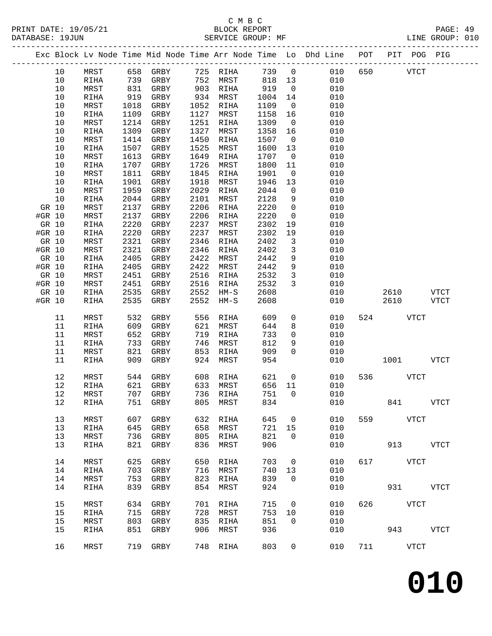# C M B C<br>BLOCK REPORT DATABASE: 19JUN SERVICE GROUP: MF LINE GROUP: 010

-------------------------------------------------------------------------------------------------

|        |      |               |      |              |      |               |      |              | Exc Block Lv Node Time Mid Node Time Arr Node Time Lo Dhd Line | POT | PIT  | POG PIG     |             |
|--------|------|---------------|------|--------------|------|---------------|------|--------------|----------------------------------------------------------------|-----|------|-------------|-------------|
|        | 10   | MRST          | 658  | GRBY         |      | 725 RIHA      | 739  | $\mathsf{O}$ | 010                                                            | 650 |      | <b>VTCT</b> |             |
|        | 10   | RIHA          | 739  | GRBY         | 752  | MRST          | 818  | 13           | 010                                                            |     |      |             |             |
|        | $10$ | MRST          | 831  | GRBY         | 903  | RIHA          | 919  | 0            | 010                                                            |     |      |             |             |
|        | 10   | RIHA          | 919  | GRBY         | 934  | MRST          | 1004 | 14           | 010                                                            |     |      |             |             |
|        | 10   | MRST          | 1018 | GRBY         | 1052 | RIHA          | 1109 | 0            | 010                                                            |     |      |             |             |
|        | 10   | RIHA          | 1109 | GRBY         | 1127 | MRST          | 1158 | 16           | 010                                                            |     |      |             |             |
|        | $10$ | MRST          | 1214 | GRBY         | 1251 | RIHA          | 1309 | $\mathsf{O}$ | 010                                                            |     |      |             |             |
|        | 10   | RIHA          | 1309 | GRBY         | 1327 | MRST          | 1358 | 16           | 010                                                            |     |      |             |             |
|        | 10   | MRST          | 1414 | GRBY         | 1450 | RIHA          | 1507 | 0            | 010                                                            |     |      |             |             |
|        | 10   | RIHA          | 1507 | GRBY         | 1525 | MRST          | 1600 | 13           | 010                                                            |     |      |             |             |
|        | 10   | MRST          | 1613 | GRBY         | 1649 | RIHA          | 1707 | 0            | 010                                                            |     |      |             |             |
|        | 10   | RIHA          | 1707 | GRBY         | 1726 | MRST          | 1800 | 11           | 010                                                            |     |      |             |             |
|        | 10   | MRST          | 1811 | GRBY         | 1845 | RIHA          | 1901 | 0            | 010                                                            |     |      |             |             |
|        | $10$ |               | 1901 |              | 1918 |               |      |              | 010                                                            |     |      |             |             |
|        |      | RIHA          |      | GRBY         |      | MRST          | 1946 | 13           |                                                                |     |      |             |             |
|        | $10$ | MRST          | 1959 | GRBY         | 2029 | RIHA          | 2044 | $\mathbf 0$  | 010                                                            |     |      |             |             |
|        | $10$ | RIHA          | 2044 | GRBY         | 2101 | MRST          | 2128 | 9            | 010                                                            |     |      |             |             |
| GR 10  |      | MRST          | 2137 | GRBY         | 2206 | RIHA          | 2220 | 0            | 010                                                            |     |      |             |             |
| #GR 10 |      | MRST          | 2137 | GRBY         | 2206 | RIHA          | 2220 | 0            | 010                                                            |     |      |             |             |
| GR 10  |      | RIHA          | 2220 | GRBY         | 2237 | MRST          | 2302 | 19           | 010                                                            |     |      |             |             |
| #GR 10 |      | RIHA          | 2220 | GRBY         | 2237 | MRST          | 2302 | 19           | 010                                                            |     |      |             |             |
| GR 10  |      | MRST          | 2321 | GRBY         | 2346 | RIHA          | 2402 | 3            | 010                                                            |     |      |             |             |
| #GR 10 |      | MRST          | 2321 | GRBY         | 2346 | RIHA          | 2402 | 3            | 010                                                            |     |      |             |             |
| GR 10  |      | $\verb RIHA $ | 2405 | GRBY         | 2422 | MRST          | 2442 | 9            | 010                                                            |     |      |             |             |
| #GR 10 |      | RIHA          | 2405 | GRBY         | 2422 | MRST          | 2442 | 9            | 010                                                            |     |      |             |             |
| GR 10  |      | MRST          | 2451 | GRBY         | 2516 | RIHA          | 2532 | 3            | 010                                                            |     |      |             |             |
| #GR 10 |      | MRST          | 2451 | GRBY         | 2516 | RIHA          | 2532 | 3            | 010                                                            |     |      |             |             |
| GR 10  |      | RIHA          | 2535 | GRBY         | 2552 | $HM-S$        | 2608 |              | 010                                                            |     | 2610 |             | <b>VTCT</b> |
| #GR 10 |      | RIHA          | 2535 | GRBY         | 2552 | $HM-S$        | 2608 |              | 010                                                            |     | 2610 |             | VTCT        |
|        | 11   | MRST          | 532  | ${\tt GRBY}$ | 556  | RIHA          | 609  | 0            | 010                                                            | 524 |      | <b>VTCT</b> |             |
|        | 11   | RIHA          | 609  | GRBY         | 621  | MRST          | 644  | 8            | 010                                                            |     |      |             |             |
|        | 11   | MRST          | 652  | GRBY         | 719  | $\verb RIHA $ | 733  | 0            | 010                                                            |     |      |             |             |
|        | 11   | RIHA          | 733  | GRBY         | 746  | MRST          | 812  | 9            | 010                                                            |     |      |             |             |
|        | 11   | MRST          | 821  | GRBY         | 853  | RIHA          | 909  | $\Omega$     | 010                                                            |     |      |             |             |
|        | 11   | RIHA          | 909  | GRBY         | 924  | MRST          | 954  |              | 010                                                            |     | 1001 |             | VTCT        |
|        | 12   | MRST          | 544  | GRBY         | 608  | RIHA          | 621  | 0            | 010                                                            | 536 |      | <b>VTCT</b> |             |
|        | 12   | RIHA          | 621  | GRBY         | 633  | MRST          | 656  | 11           | 010                                                            |     |      |             |             |
|        | 12   | MRST          | 707  | GRBY         | 736  | RIHA          | 751  | 0            | 010                                                            |     |      |             |             |
|        | 12   | RIHA          | 751  | GRBY         | 805  | MRST          | 834  |              | 010                                                            |     | 841  |             | VTCT        |
|        |      |               |      |              |      |               |      |              |                                                                |     |      |             |             |
|        | 13   | MRST          | 607  | GRBY         | 632  | RIHA          | 645  | 0            | 010                                                            | 559 |      | <b>VTCT</b> |             |
|        | 13   | RIHA          | 645  | GRBY         | 658  | MRST          | 721  | 15           | 010                                                            |     |      |             |             |
|        | 13   | MRST          | 736  | GRBY         | 805  | RIHA          | 821  | 0            | 010                                                            |     |      |             |             |
|        | 13   | RIHA          | 821  | GRBY         | 836  | MRST          | 906  |              | 010                                                            |     | 913  |             | <b>VTCT</b> |
|        | 14   | MRST          | 625  | GRBY         | 650  | RIHA          | 703  | 0            | 010                                                            | 617 |      | VTCT        |             |
|        | 14   | RIHA          | 703  | GRBY         | 716  | MRST          | 740  | 13           | 010                                                            |     |      |             |             |
|        | 14   | MRST          | 753  | GRBY         | 823  | RIHA          | 839  | 0            | 010                                                            |     |      |             |             |
|        | 14   | RIHA          | 839  | GRBY         | 854  | MRST          | 924  |              | 010                                                            |     | 931  |             | <b>VTCT</b> |
|        | 15   | MRST          | 634  | GRBY         | 701  | RIHA          | 715  | 0            | 010                                                            | 626 |      | VTCT        |             |
|        | 15   | RIHA          | 715  | GRBY         | 728  | MRST          | 753  | 10           | 010                                                            |     |      |             |             |
|        | 15   | MRST          | 803  | GRBY         | 835  | RIHA          | 851  | 0            | 010                                                            |     |      |             |             |
|        |      |               |      |              |      |               |      |              |                                                                |     |      |             |             |

15 RIHA 851 GRBY 906 MRST 936 010 943 VTCT

16 MRST 719 GRBY 748 RIHA 803 0 010 711 VTCT

**010**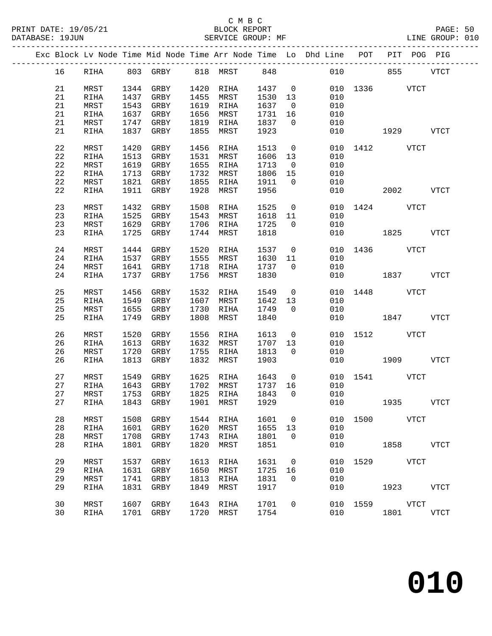|  |    |             |      |                       |      |           |         |                         | Exc Block Lv Node Time Mid Node Time Arr Node Time Lo Dhd Line POT |               |             | PIT POG PIG |
|--|----|-------------|------|-----------------------|------|-----------|---------|-------------------------|--------------------------------------------------------------------|---------------|-------------|-------------|
|  | 16 | RIHA        |      | 803 GRBY 818 MRST 848 |      |           |         |                         |                                                                    | 010 00        | 855         | <b>VTCT</b> |
|  | 21 | MRST        |      | 1344 GRBY             | 1420 | RIHA      | 1437    | $\overline{0}$          |                                                                    | 010 1336 VTCT |             |             |
|  | 21 | RIHA        | 1437 | GRBY                  | 1455 | MRST      | 1530 13 |                         | 010                                                                |               |             |             |
|  | 21 | MRST        | 1543 | GRBY                  |      | 1619 RIHA | 1637    | $\overline{\mathbf{0}}$ | 010                                                                |               |             |             |
|  | 21 | RIHA        | 1637 | GRBY                  | 1656 | MRST      | 1731    | 16                      | 010                                                                |               |             |             |
|  | 21 | MRST        | 1747 | GRBY                  | 1819 | RIHA      | 1837    | $\overline{0}$          | 010                                                                |               |             |             |
|  | 21 | RIHA        | 1837 | GRBY                  | 1855 | MRST      | 1923    |                         | 010                                                                |               | 1929 VTCT   |             |
|  |    |             |      |                       |      |           |         |                         |                                                                    |               |             |             |
|  | 22 | MRST        | 1420 | GRBY                  | 1456 | RIHA      | 1513    | $\overline{0}$          |                                                                    | 010 1412 VTCT |             |             |
|  | 22 | RIHA        | 1513 | GRBY                  | 1531 | MRST      | 1606    | 13                      | 010                                                                |               |             |             |
|  | 22 | MRST        | 1619 | GRBY                  |      | 1655 RIHA | 1713    | $\overline{0}$          | 010                                                                |               |             |             |
|  | 22 | RIHA        | 1713 | GRBY                  | 1732 | MRST      | 1806    | 15                      | 010                                                                |               |             |             |
|  | 22 | MRST        | 1821 | GRBY                  | 1855 | RIHA      | 1911    | $\overline{0}$          | 010                                                                |               |             |             |
|  | 22 | RIHA        |      | 1911 GRBY             | 1928 | MRST      | 1956    |                         | 010                                                                |               | 2002        | VTCT        |
|  | 23 | MRST        | 1432 | GRBY                  | 1508 | RIHA      | 1525    | $\overline{0}$          | 010                                                                | 1424 VTCT     |             |             |
|  | 23 | RIHA        | 1525 | GRBY                  |      | 1543 MRST | 1618    | 11                      | 010                                                                |               |             |             |
|  | 23 | MRST        | 1629 | GRBY                  |      | 1706 RIHA | 1725    | $\overline{0}$          | 010                                                                |               |             |             |
|  | 23 | RIHA        | 1725 | GRBY                  | 1744 | MRST      | 1818    |                         | 010                                                                | 1825 VTCT     |             |             |
|  |    |             |      |                       |      |           |         |                         |                                                                    |               |             |             |
|  | 24 | MRST        | 1444 | GRBY                  | 1520 | RIHA      | 1537    | $\overline{0}$          |                                                                    | 010 1436 VTCT |             |             |
|  | 24 | RIHA        | 1537 | GRBY                  | 1555 | MRST      | 1630    | 11                      | 010                                                                |               |             |             |
|  | 24 | MRST        | 1641 | GRBY                  | 1718 | RIHA      | 1737    | $\overline{0}$          | 010                                                                |               |             |             |
|  | 24 | RIHA        | 1737 | GRBY                  | 1756 | MRST      | 1830    |                         | 010                                                                | 1837          |             | VTCT        |
|  | 25 | MRST        | 1456 | GRBY                  | 1532 | RIHA      | 1549    |                         | $\overline{0}$                                                     | 010 1448 VTCT |             |             |
|  | 25 | RIHA        | 1549 | GRBY                  | 1607 | MRST      | 1642    | 13                      | 010                                                                |               |             |             |
|  | 25 | MRST        | 1655 | GRBY                  | 1730 | RIHA      | 1749    | $\overline{0}$          | 010                                                                |               |             |             |
|  | 25 | RIHA        | 1749 | GRBY                  | 1808 | MRST      | 1840    |                         | 010                                                                | 1847 VTCT     |             |             |
|  |    |             |      |                       |      |           |         |                         |                                                                    |               |             |             |
|  | 26 | MRST        | 1520 | GRBY                  | 1556 | RIHA      | 1613    | $\overline{0}$          | 010                                                                |               | 1512 VTCT   |             |
|  | 26 | RIHA        | 1613 | GRBY                  |      | 1632 MRST | 1707    | 13                      | 010                                                                |               |             |             |
|  | 26 | MRST        | 1720 | GRBY                  | 1755 | RIHA      | 1813    | $\Omega$                | 010                                                                |               |             |             |
|  | 26 | RIHA        | 1813 | GRBY                  | 1832 | MRST      | 1903    |                         |                                                                    | 010           | 1909 - 1909 | VTCT        |
|  | 27 | MRST        | 1549 | GRBY                  |      | 1625 RIHA | 1643    | $\overline{0}$          |                                                                    | 010 1541 VTCT |             |             |
|  | 27 | RIHA        | 1643 | GRBY                  | 1702 | MRST      | 1737 16 |                         | 010                                                                |               |             |             |
|  | 27 | MRST        | 1753 | GRBY                  |      | 1825 RIHA | 1843    | $\overline{0}$          | 010                                                                |               |             |             |
|  |    |             |      |                       |      |           |         |                         | 27 RIHA 1843 GRBY 1901 MRST 1929 010 1935                          |               |             | <b>VTCT</b> |
|  | 28 | MRST        | 1508 | GRBY                  | 1544 | RIHA      | 1601    | $\overline{\mathbf{0}}$ | 010                                                                | 1500          | VTCT        |             |
|  | 28 | RIHA        | 1601 | GRBY                  | 1620 | MRST      | 1655    | 13                      | 010                                                                |               |             |             |
|  | 28 | MRST        | 1708 | GRBY                  | 1743 | RIHA      | 1801    | $\Omega$                | 010                                                                |               |             |             |
|  | 28 | RIHA        | 1801 | GRBY                  | 1820 | MRST      | 1851    |                         | 010                                                                |               | 1858   1900 | VTCT        |
|  |    |             |      |                       |      |           |         |                         |                                                                    |               |             |             |
|  | 29 | MRST        | 1537 | GRBY                  | 1613 | RIHA      | 1631    | $\overline{0}$          | 010                                                                |               | 1529 VTCT   |             |
|  | 29 | RIHA        | 1631 | GRBY                  | 1650 | MRST      | 1725    | 16                      | 010                                                                |               |             |             |
|  | 29 | MRST        | 1741 | GRBY                  | 1813 | RIHA      | 1831    | $\overline{0}$          | 010                                                                |               |             |             |
|  | 29 | <b>RIHA</b> | 1831 | GRBY                  | 1849 | MRST      | 1917    |                         | 010                                                                |               | 1923 VTCT   |             |
|  |    |             |      |                       |      |           |         |                         |                                                                    |               |             |             |
|  | 30 | MRST        | 1607 | GRBY                  | 1643 | RIHA      | 1701    | $\overline{0}$          | 010                                                                |               | 1559 VTCT   |             |
|  | 30 | RIHA        | 1701 | GRBY                  | 1720 | MRST      | 1754    |                         | 010                                                                |               | 1801        | <b>VTCT</b> |
|  |    |             |      |                       |      |           |         |                         |                                                                    |               |             |             |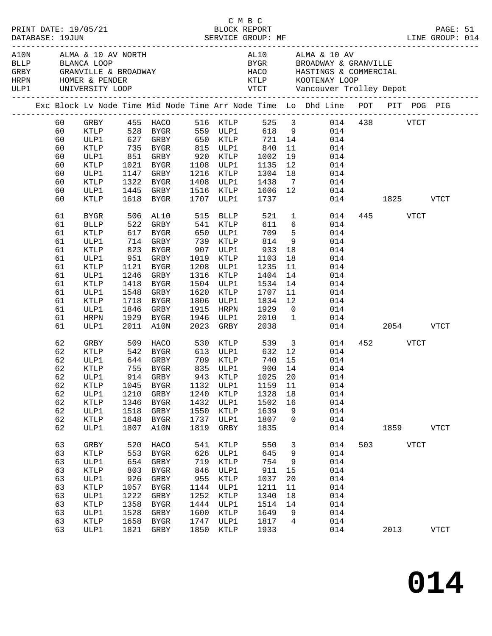|  |                                                                                                                                  |                                                                                                                                                                             |                                                                                 |                                                                                                                                                                                                                                            |                                                                                                   |                                                                                                                                                                                                       |                                                                                                                                                                      |                                                                                                                                | : PRINT DATE: 19/05/21 BLOCK REPORT<br>DATABASE: 19JUN SERVICE GROUP: MF LINE GROUP: LINE GROUP:                                                                                                                  |          |                                            |             | PAGE: 51<br>LINE GROUP: 014 |  |
|--|----------------------------------------------------------------------------------------------------------------------------------|-----------------------------------------------------------------------------------------------------------------------------------------------------------------------------|---------------------------------------------------------------------------------|--------------------------------------------------------------------------------------------------------------------------------------------------------------------------------------------------------------------------------------------|---------------------------------------------------------------------------------------------------|-------------------------------------------------------------------------------------------------------------------------------------------------------------------------------------------------------|----------------------------------------------------------------------------------------------------------------------------------------------------------------------|--------------------------------------------------------------------------------------------------------------------------------|-------------------------------------------------------------------------------------------------------------------------------------------------------------------------------------------------------------------|----------|--------------------------------------------|-------------|-----------------------------|--|
|  |                                                                                                                                  | $\begin{tabular}{lllllll} \bf{HRPN} & \tt{HOMER} & \& & \tt{PENDER} \end{tabular}$<br>ULP1 UNIVERSITY LOOP                                                                  |                                                                                 | A10N ALMA & 10 AV NORTH<br>BLLP BLANCA LOOP<br>GRBY GRANVILLE & BROADWAY                                                                                                                                                                   |                                                                                                   |                                                                                                                                                                                                       |                                                                                                                                                                      |                                                                                                                                | AL10 ALMA & 10 AV<br>BYGR BROADWAY & GRANVILLE<br>HACO HASTINGS & COMMERCIAL                                                                                                                                      |          |                                            |             |                             |  |
|  |                                                                                                                                  |                                                                                                                                                                             |                                                                                 |                                                                                                                                                                                                                                            |                                                                                                   |                                                                                                                                                                                                       |                                                                                                                                                                      |                                                                                                                                | Exc Block Lv Node Time Mid Node Time Arr Node Time Lo Dhd Line POT PIT POG PIG                                                                                                                                    |          |                                            |             |                             |  |
|  | 60<br>60<br>60<br>60<br>60                                                                                                       | KTLP<br>ULP1                                                                                                                                                                |                                                                                 | 735 BYGR 815 ULP1<br>אטום -<br>851 GRBY<br>היים 1071                                                                                                                                                                                       |                                                                                                   | 920 KTLP                                                                                                                                                                                              | 840<br>1002<br>1135                                                                                                                                                  | 11<br>19                                                                                                                       | GRBY 455 HACO 516 KTLP 525 3 014 438 VTCT<br>KTLP 528 BYGR 559 ULP1 618 9 014<br>ULP1 627 GRBY 650 KTLP 721 14 014<br>014<br>014                                                                                  |          |                                            |             |                             |  |
|  | 60<br>60<br>60<br>60<br>60                                                                                                       | KTLP<br>ULP1<br>KTLP<br>ULP1<br>KTLP                                                                                                                                        | 1618                                                                            | 1021 BYGR<br>1147 GRBY<br>1322 BYGR<br>1445 GRBY<br>BYGR                                                                                                                                                                                   |                                                                                                   | 1108 ULP1<br>1216 KTLP<br>1408 ULP1<br>1516 KTLP<br>1707 ULP1                                                                                                                                         | 1304<br>1438<br>1606<br>1737                                                                                                                                         | 12<br>18<br>$\overline{7}$<br>12                                                                                               | 014<br>014<br>014<br>014                                                                                                                                                                                          | 014 1825 |                                            |             | <b>VTCT</b>                 |  |
|  | 61<br>61<br>61<br>61<br>61<br>61<br>61<br>61<br>61<br>61<br>61<br>61<br>61<br>61<br>62<br>62<br>62<br>62<br>62<br>62<br>62<br>62 | BYGR<br><b>BLLP</b><br>KTLP<br>ULP1<br>KTLP<br>ULP1<br>KTLP<br>ULP1<br>KTLP<br>ULP1<br>KTLP<br>ULP1<br>HRPN<br>ULP1<br>GRBY<br>KTLP<br>ULP1<br>KTLP<br>ULP1<br>ULP1<br>KTLP | 522<br>951<br>1121<br>1548<br>1718<br>1210<br>1346                              | 506 AL10<br>GRBY<br>617 BYGR<br>714 GRBY<br>823 BYGR<br>GRBY<br>BYGR<br>1246 GRBY<br>1418 BYGR<br>GRBY<br>BYGR<br>1846 GRBY<br>1929 BYGR<br>2011 A10N<br>509 HACO<br>542 BYGR<br>644 GRBY 709 KTLP<br>755 BYGR<br>914 GRBY<br>GRBY<br>BYGR | 541<br>650<br>907<br>1019<br>1208<br>1316<br>1620<br>1806<br>1915<br>1946<br>2023<br>1240<br>1432 | 515 BLLP<br>KTLP<br>ULP1<br>739 KTLP<br>ULP1<br>KTLP<br>ULP1<br>KTLP<br>1504 ULP1<br>KTLP<br>ULP1<br>HRPN<br>ULP1<br>GRBY<br>530 KTLP<br>613 ULP1<br>835 ULP1<br>943 KTLP<br>943 KTLP<br>KTLP<br>ULP1 | 521<br>611<br>709<br>814<br>933<br>1103<br>1235<br>1404<br>1534<br>1707<br>1834<br>1929<br>2010<br>2038<br>539<br>632<br>740<br>$900$ + 1<br>1025 20<br>1328<br>1502 | 6<br>5 <sup>5</sup><br>9<br>18<br>18<br>11<br>14<br>14<br>11<br>12<br>$\overline{0}$<br>$\overline{1}$<br>12<br>15<br>18<br>16 | $\mathbf 1$<br>014<br>014<br>014<br>014<br>014<br>014<br>014<br>014<br>014<br>014<br>014<br>014<br>014<br>3 <sup>1</sup><br>014<br>014<br>014<br>014<br>014<br>KTLP 1045 BYGR 1132 ULP1 1159 11 014<br>014<br>014 | 014      | 445 VTCT<br>2054<br>452 and $\overline{a}$ | <b>VTCT</b> | <b>VTCT</b>                 |  |
|  | 62<br>62<br>62                                                                                                                   | ULP1<br>$\texttt{KTLP}$<br>ULP1                                                                                                                                             | 1518<br>1648<br>1807                                                            | GRBY<br>BYGR<br>A10N                                                                                                                                                                                                                       | 1550<br>1737<br>1819                                                                              | KTLP<br>ULP1<br>GRBY                                                                                                                                                                                  | 1639<br>1807<br>1835                                                                                                                                                 | 9<br>$\overline{0}$                                                                                                            | 014<br>014<br>014                                                                                                                                                                                                 |          | 1859                                       |             | VTCT                        |  |
|  | 63<br>63<br>63<br>63<br>63<br>63<br>63<br>63<br>63<br>63<br>63                                                                   | GRBY<br>KTLP<br>ULP1<br>KTLP<br>ULP1<br>$\texttt{KTLP}$<br>ULP1<br>KTLP<br>ULP1<br>KTLP<br>ULP1                                                                             | 520<br>553<br>654<br>803<br>926<br>1057<br>1222<br>1358<br>1528<br>1658<br>1821 | HACO<br>BYGR<br>GRBY<br>BYGR<br>GRBY<br>BYGR<br>GRBY<br>BYGR<br>GRBY<br>BYGR<br>GRBY                                                                                                                                                       | 541<br>626<br>719<br>846<br>955<br>1144<br>1252<br>1444<br>1600<br>1747<br>1850                   | KTLP<br>ULP1<br><b>KTLP</b><br>ULP1<br>KTLP<br>ULP1<br>KTLP<br>ULP1<br>KTLP<br>ULP1<br>KTLP                                                                                                           | 550<br>645<br>754<br>911<br>1037<br>1211<br>1340<br>1514<br>1649<br>1817<br>1933                                                                                     | 3<br>9<br>9<br>15<br>20<br>11<br>18<br>14<br>9<br>$\overline{4}$                                                               | 014<br>014<br>014<br>014<br>014<br>014<br>014<br>014<br>014<br>014<br>014                                                                                                                                         | 503      | 2013                                       | VTCT        | VTCT                        |  |

C M B C

**014**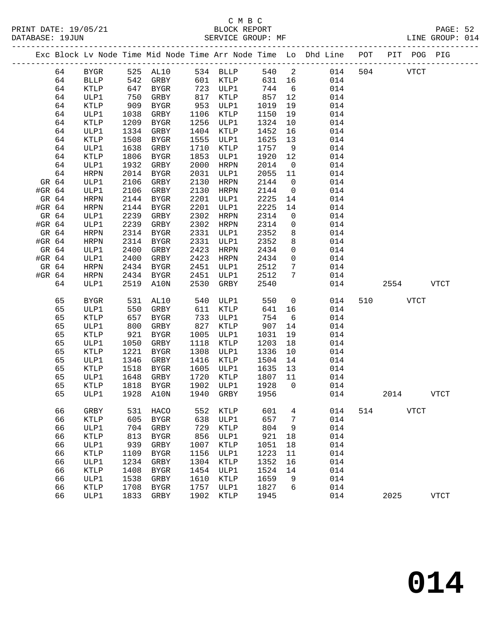|        |    |             |      |                   |      |                 |        |                 | Exc Block Lv Node Time Mid Node Time Arr Node Time Lo Dhd Line POT PIT POG PIG |     |             |             |             |
|--------|----|-------------|------|-------------------|------|-----------------|--------|-----------------|--------------------------------------------------------------------------------|-----|-------------|-------------|-------------|
|        | 64 | BYGR        |      | 525 AL10 534 BLLP |      |                 | 540 2  |                 | 014                                                                            | 504 | <b>VTCT</b> |             |             |
|        | 64 | <b>BLLP</b> |      | 542 GRBY          |      | 601 KTLP        | 631 16 |                 | 014                                                                            |     |             |             |             |
|        | 64 | KTLP        | 647  | BYGR              |      | 723 ULP1        | 744    | 6               | 014                                                                            |     |             |             |             |
|        | 64 | ULP1        | 750  | GRBY              |      | 817 KTLP        | 857    | 12              | 014                                                                            |     |             |             |             |
|        | 64 | KTLP        | 909  | BYGR              | 953  | ULP1            | 1019   | 19              | 014                                                                            |     |             |             |             |
|        | 64 | ULP1        | 1038 | GRBY              | 1106 | KTLP            | 1150   | 19              | 014                                                                            |     |             |             |             |
|        | 64 | KTLP        | 1209 | BYGR              | 1256 | ULP1            | 1324   | 10              | 014                                                                            |     |             |             |             |
|        | 64 | ULP1        | 1334 | GRBY              | 1404 | KTLP            | 1452   | 16              | 014                                                                            |     |             |             |             |
|        | 64 | KTLP        | 1508 | BYGR              | 1555 | ULP1            | 1625   | 13              | 014                                                                            |     |             |             |             |
|        | 64 | ULP1        | 1638 | GRBY              | 1710 | KTLP            | 1757   | 9               | 014                                                                            |     |             |             |             |
|        | 64 | KTLP        | 1806 | BYGR              | 1853 | ULP1            | 1920   | 12              | 014                                                                            |     |             |             |             |
|        | 64 | ULP1        | 1932 | GRBY              | 2000 | HRPN            | 2014   | $\overline{0}$  | 014                                                                            |     |             |             |             |
|        | 64 | HRPN        | 2014 | BYGR              | 2031 | ULP1            | 2055   | 11              | 014                                                                            |     |             |             |             |
| GR 64  |    | ULP1        | 2106 | GRBY              | 2130 | HRPN            | 2144   | $\overline{0}$  | 014                                                                            |     |             |             |             |
| #GR 64 |    | ULP1        | 2106 | GRBY              | 2130 | HRPN            | 2144   | $\overline{0}$  | 014                                                                            |     |             |             |             |
| GR 64  |    | HRPN        | 2144 | BYGR              | 2201 | ULP1            | 2225   | 14              | 014                                                                            |     |             |             |             |
| #GR 64 |    | HRPN        | 2144 | BYGR              | 2201 | ULP1            | 2225   | 14              | 014                                                                            |     |             |             |             |
| GR 64  |    | ULP1        | 2239 | GRBY              | 2302 | HRPN            | 2314   | $\overline{0}$  | 014                                                                            |     |             |             |             |
| #GR 64 |    | ULP1        | 2239 | GRBY              | 2302 | HRPN            | 2314   | $\overline{0}$  | 014                                                                            |     |             |             |             |
| GR 64  |    | HRPN        | 2314 | BYGR              | 2331 | ULP1            | 2352   | 8               | 014                                                                            |     |             |             |             |
| #GR 64 |    | HRPN        | 2314 | BYGR              | 2331 | ULP1            | 2352   | 8               | 014                                                                            |     |             |             |             |
| GR 64  |    | ULP1        | 2400 | GRBY              | 2423 | HRPN            | 2434   | $\mathbf 0$     | 014                                                                            |     |             |             |             |
| #GR 64 |    | ULP1        | 2400 | GRBY              | 2423 | HRPN            | 2434   | $\overline{0}$  | 014                                                                            |     |             |             |             |
| GR 64  |    | HRPN        | 2434 | BYGR              | 2451 | ULP1            | 2512   | $7\phantom{.0}$ | 014                                                                            |     |             |             |             |
| #GR 64 |    | HRPN        | 2434 | BYGR              | 2451 | ULP1            | 2512   | $7\overline{ }$ | 014                                                                            |     |             |             |             |
|        | 64 | ULP1        | 2519 | A10N              | 2530 | GRBY            | 2540   |                 | 014                                                                            |     | 2554        |             | VTCT        |
|        | 65 | <b>BYGR</b> |      | 531 AL10          |      | 540 ULP1        | 550    | $\overline{0}$  | 014                                                                            | 510 | VTCT        |             |             |
|        | 65 | ULP1        | 550  | GRBY              | 611  | KTLP            | 641    | 16              | 014                                                                            |     |             |             |             |
|        | 65 | <b>KTLP</b> | 657  | BYGR              | 733  | ULP1            | 754    | 6               | 014                                                                            |     |             |             |             |
|        | 65 | ULP1        | 800  | GRBY              | 827  | KTLP            | 907    | 14              | 014                                                                            |     |             |             |             |
|        | 65 | KTLP        | 921  | BYGR              | 1005 | ULP1            | 1031   | 19              | 014                                                                            |     |             |             |             |
|        | 65 | ULP1        | 1050 | GRBY              | 1118 | KTLP            | 1203   | 18              | 014                                                                            |     |             |             |             |
|        | 65 | KTLP        | 1221 | BYGR              | 1308 | ULP1            | 1336   | 10              | 014                                                                            |     |             |             |             |
|        | 65 | ULP1        | 1346 | GRBY              | 1416 | KTLP            | 1504   | 14              | 014                                                                            |     |             |             |             |
|        | 65 | KTLP        | 1518 | BYGR              | 1605 | ULP1            | 1635   | 13              | 014                                                                            |     |             |             |             |
|        | 65 | ULP1        | 1648 | GRBY              | 1720 | KTLP            | 1807   | 11              | 014                                                                            |     |             |             |             |
|        | 65 | KTLP        | 1818 | BYGR              | 1902 | ULP1            | 1928   | $\overline{0}$  | 014                                                                            |     |             |             |             |
|        | 65 | ULP1        |      | 1928 A10N         |      | 1940 GRBY       | 1956   |                 | 014                                                                            |     | 2014        |             | <b>VTCT</b> |
|        | 66 | GRBY        | 531  | HACO              | 552  | KTLP            | 601    | 4               | 014                                                                            | 514 |             | <b>VTCT</b> |             |
|        | 66 | KTLP        | 605  | ${\tt BYGR}$      | 638  | ULP1            | 657    | 7               | 014                                                                            |     |             |             |             |
|        | 66 | ULP1        | 704  | GRBY              | 729  | KTLP            | 804    | 9               | 014                                                                            |     |             |             |             |
|        | 66 | KTLP        | 813  | ${\tt BYGR}$      | 856  | ULP1            | 921    | 18              | 014                                                                            |     |             |             |             |
|        | 66 | ULP1        | 939  | ${\tt GRBY}$      | 1007 | $\texttt{KTLP}$ | 1051   | 18              | 014                                                                            |     |             |             |             |
|        | 66 | KTLP        | 1109 | <b>BYGR</b>       | 1156 | ULP1            | 1223   | 11              | 014                                                                            |     |             |             |             |
|        | 66 | ULP1        | 1234 | ${\tt GRBY}$      | 1304 | KTLP            | 1352   | 16              | 014                                                                            |     |             |             |             |
|        | 66 | KTLP        | 1408 | <b>BYGR</b>       | 1454 | ULP1            | 1524   | 14              | 014                                                                            |     |             |             |             |
|        | 66 | ULP1        | 1538 | ${\tt GRBY}$      | 1610 | KTLP            | 1659   | 9               | 014                                                                            |     |             |             |             |
|        | 66 | KTLP        | 1708 | ${\tt BYGR}$      | 1757 | ULP1            | 1827   | 6               | 014                                                                            |     |             |             |             |
|        | 66 | ULP1        | 1833 | GRBY              | 1902 | <b>KTLP</b>     | 1945   |                 | 014                                                                            |     | 2025        |             | <b>VTCT</b> |
|        |    |             |      |                   |      |                 |        |                 |                                                                                |     |             |             |             |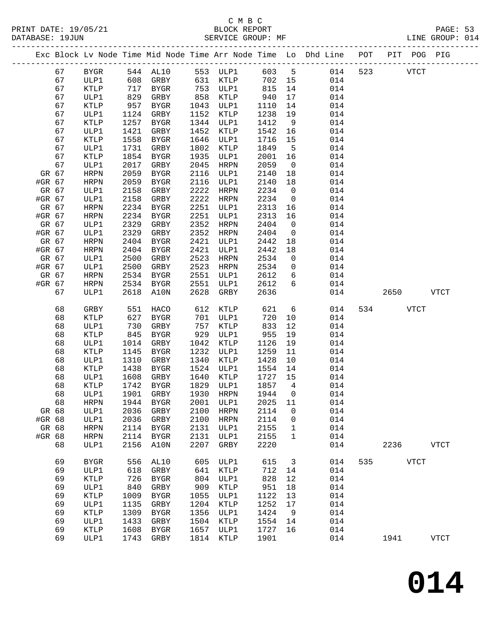# C M B C<br>
PRINT DATE: 19/05/21 BLOCK REPOR

|        |       |              |            |                                    |      |             |         |                 | PRINT DATE: 19/05/21                             BLOCK REPORT<br>DATABASE: 19JUN |     |           |             | PAGE: 53<br>LINE GROUP: 014 |  |
|--------|-------|--------------|------------|------------------------------------|------|-------------|---------|-----------------|----------------------------------------------------------------------------------|-----|-----------|-------------|-----------------------------|--|
|        |       |              |            |                                    |      |             |         |                 | Exc Block Lv Node Time Mid Node Time Arr Node Time Lo Dhd Line POT PIT POG PIG   |     |           |             |                             |  |
|        | 67    | BYGR         |            |                                    |      |             |         |                 | 544 AL10 553 ULP1 603 5 014 523 VTCT                                             |     |           |             |                             |  |
|        | 67    | ULP1         |            | 608 GRBY 631 KTLP                  |      |             |         |                 | 702 15 014                                                                       |     |           |             |                             |  |
|        | 67    | KTLP         | 717        | <b>BYGR</b>                        |      | 753 ULP1    | 815 14  |                 | 014                                                                              |     |           |             |                             |  |
|        | 67    | ULP1         |            | GRBY                               |      | 858 KTLP    | 940 17  |                 | 014                                                                              |     |           |             |                             |  |
|        | 67    | KTLP         | 829<br>957 | BYGR                               | 1043 | ULP1        | 1110 14 |                 | 014                                                                              |     |           |             |                             |  |
|        | 67    | ULP1         | 1124       | GRBY                               | 1152 | KTLP        | 1238 19 |                 | 014                                                                              |     |           |             |                             |  |
|        | 67    | KTLP         | 1257       | BYGR                               | 1344 | ULP1        | 1412    | $\overline{9}$  | 014                                                                              |     |           |             |                             |  |
|        | 67    | ULP1         | 1421       | GRBY                               | 1452 | KTLP        | 1542 16 |                 | 014                                                                              |     |           |             |                             |  |
|        | 67    | KTLP         | 1558       | BYGR                               | 1646 | ULP1        | 1716    | 15              | 014                                                                              |     |           |             |                             |  |
|        | 67    | ULP1         | 1731       | GRBY                               | 1802 | KTLP        | 1849 5  |                 | 014                                                                              |     |           |             |                             |  |
|        | 67    | KTLP         | 1854       | BYGR                               | 1935 | ULP1        | 2001 16 |                 | 014                                                                              |     |           |             |                             |  |
|        | 67    | ULP1         | 2017       | GRBY                               | 2045 | HRPN        | 2059    | $\overline{0}$  | 014                                                                              |     |           |             |                             |  |
|        | GR 67 | HRPN         | 2059       | BYGR                               | 2116 | ULP1        | 2140 18 |                 | 014                                                                              |     |           |             |                             |  |
| #GR 67 |       | HRPN         | 2059       | BYGR                               | 2116 | ULP1        | 2140    | 18              | 014                                                                              |     |           |             |                             |  |
|        | GR 67 | ULP1         | 2158       | GRBY                               | 2222 | HRPN        | 2234    | $\overline{0}$  | 014                                                                              |     |           |             |                             |  |
| #GR 67 |       | ULP1         | 2158       | GRBY                               | 2222 | HRPN        | 2234    | $\overline{0}$  | 014                                                                              |     |           |             |                             |  |
| GR 67  |       | HRPN         | 2234       | BYGR                               | 2251 | ULP1        | 2313    | 16              | 014                                                                              |     |           |             |                             |  |
| #GR 67 |       | HRPN         | 2234       | BYGR                               | 2251 | ULP1        | 2313 16 |                 | 014                                                                              |     |           |             |                             |  |
| GR 67  |       | ULP1         | 2329       | GRBY                               | 2352 | HRPN        | 2404    | $\overline{0}$  | 014                                                                              |     |           |             |                             |  |
| #GR 67 |       | ULP1         | 2329       | GRBY                               | 2352 | HRPN        | 2404    | $\overline{0}$  | 014                                                                              |     |           |             |                             |  |
|        | GR 67 | HRPN         | 2404       | BYGR                               | 2421 | ULP1        | 2442    | 18              | 014                                                                              |     |           |             |                             |  |
| #GR 67 |       | HRPN         | 2404       | BYGR                               | 2421 | ULP1        | 2442    | 18              | 014                                                                              |     |           |             |                             |  |
|        | GR 67 | ULP1         | 2500       | GRBY                               | 2523 | HRPN        | 2534    | $\overline{0}$  | 014                                                                              |     |           |             |                             |  |
| #GR 67 |       | ULP1         | 2500       | GRBY                               | 2523 | HRPN        | 2534    | $\overline{0}$  | 014                                                                              |     |           |             |                             |  |
|        | GR 67 | HRPN         | 2534       | BYGR                               | 2551 | ULP1        | 2612 6  |                 | 014                                                                              |     |           |             |                             |  |
| #GR 67 |       | HRPN         | 2534       | BYGR                               | 2551 | ULP1        | 2612 6  |                 | 014                                                                              |     |           |             |                             |  |
|        | 67    | ULP1         | 2618       | A10N                               | 2628 | GRBY        | 2636    |                 | 014                                                                              |     | 2650 VTCT |             |                             |  |
|        | 68    | GRBY         | 551        | HACO                               |      | 612 KTLP    | 621     | $6\overline{6}$ | 014                                                                              |     | 534 VTCT  |             |                             |  |
|        | 68    | KTLP         | 627        | BYGR                               |      | 701 ULP1    | 720     | 10              | 014                                                                              |     |           |             |                             |  |
|        | 68    | ULP1         | 730        | GRBY                               | 757  | KTLP        | 833     | 12              | 014                                                                              |     |           |             |                             |  |
|        | 68    | KTLP         | 845        | BYGR                               | 929  | ULP1        | 955 19  |                 | 014                                                                              |     |           |             |                             |  |
|        | 68    | ULP1         | 1014       | GRBY                               | 1042 | KTLP        | 1126 19 |                 | 014                                                                              |     |           |             |                             |  |
|        | 68    | KTLP         | 1145       | BYGR                               | 1232 | ULP1        | 1259 11 |                 | 014                                                                              |     |           |             |                             |  |
|        | 68    | ULP1         | 1310       | GRBY                               |      | 1340 KTLP   | 1428 10 |                 | 014                                                                              |     |           |             |                             |  |
|        | 68    | KTLP         | 1438       | BYGR                               |      | 1524 ULP1   | 1554 14 |                 | 014                                                                              |     |           |             |                             |  |
|        | 68    | ULP1         |            | 1608 GRBY                          |      | 1640 KTLP   | 1727 15 |                 | 014                                                                              |     |           |             |                             |  |
|        |       |              |            | 68 KTLP 1742 BYGR 1829 ULP1 1857 4 |      |             |         |                 | 014                                                                              |     |           |             |                             |  |
|        | 68    | ULP1         | 1901       | GRBY                               | 1930 | <b>HRPN</b> | 1944    | 0               | 014                                                                              |     |           |             |                             |  |
|        | 68    | <b>HRPN</b>  | 1944       | <b>BYGR</b>                        | 2001 | ULP1        | 2025    | 11              | 014                                                                              |     |           |             |                             |  |
| GR 68  |       | ULP1         | 2036       | GRBY                               | 2100 | <b>HRPN</b> | 2114    | 0               | 014                                                                              |     |           |             |                             |  |
| #GR 68 |       | ULP1         | 2036       | GRBY                               | 2100 | <b>HRPN</b> | 2114    | 0               | 014                                                                              |     |           |             |                             |  |
| GR 68  |       | ${\tt HRPN}$ | 2114       | BYGR                               | 2131 | ULP1        | 2155    | $\mathbf{1}$    | 014                                                                              |     |           |             |                             |  |
| #GR 68 |       | <b>HRPN</b>  | 2114       | <b>BYGR</b>                        | 2131 | ULP1        | 2155    | 1               | 014                                                                              |     |           |             |                             |  |
|        | 68    | ULP1         | 2156       | A10N                               | 2207 | GRBY        | 2220    |                 | 014                                                                              |     | 2236      |             | <b>VTCT</b>                 |  |
|        | 69    | <b>BYGR</b>  | 556        | AL10                               | 605  | ULP1        | 615     | $\overline{3}$  | 014                                                                              | 535 |           | <b>VTCT</b> |                             |  |
|        | 69    | ULP1         | 618        | GRBY                               | 641  | KTLP        | 712     | 14              | 014                                                                              |     |           |             |                             |  |
|        | 69    | KTLP         | 726        | <b>BYGR</b>                        | 804  | ULP1        | 828     | 12              | 014                                                                              |     |           |             |                             |  |
|        | 69    | ULP1         | 840        | GRBY                               | 909  | KTLP        | 951     | 18              | 014                                                                              |     |           |             |                             |  |
|        | 69    | KTLP         | 1009       | ${\tt BYGR}$                       | 1055 | ULP1        | 1122    | 13              | 014                                                                              |     |           |             |                             |  |
|        | 69    | ULP1         | 1135       | GRBY                               | 1204 | KTLP        | 1252    | 17              | 014                                                                              |     |           |             |                             |  |
|        | 69    | KTLP         | 1309       | <b>BYGR</b>                        | 1356 | ULP1        | 1424    | 9               | 014                                                                              |     |           |             |                             |  |
|        | 69    | ULP1         | 1433       | GRBY                               | 1504 | KTLP        | 1554    | 14              | 014                                                                              |     |           |             |                             |  |
|        | 69    | KTLP         | 1608       | <b>BYGR</b>                        | 1657 | ULP1        | 1727    | 16              | 014                                                                              |     |           |             |                             |  |
|        | 69    | ULP1         | 1743       | GRBY                               | 1814 | KTLP        | 1901    |                 | 014                                                                              |     | 1941      |             | ${\tt VTCT}$                |  |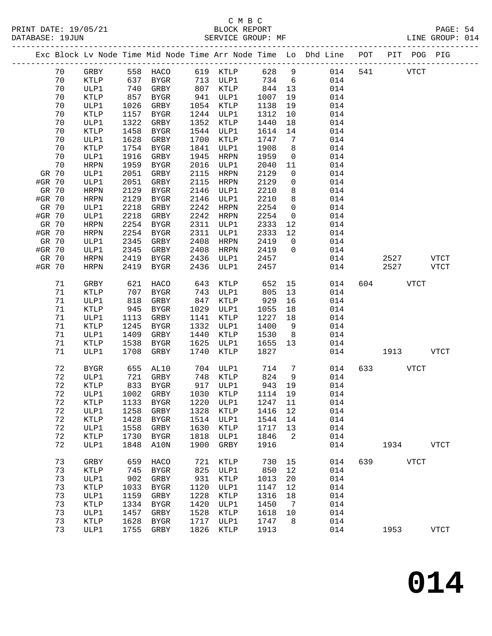## C M B C<br>BLOCK REPORT SERVICE GROUP: MF

PRINT DATE: 19/05/21 BLOCK REPORT PAGE: 54

|        |          |                     |              |                             |              |              |              |                | Exc Block Lv Node Time Mid Node Time Arr Node Time Lo Dhd Line POT PIT POG PIG |        |              |                     |
|--------|----------|---------------------|--------------|-----------------------------|--------------|--------------|--------------|----------------|--------------------------------------------------------------------------------|--------|--------------|---------------------|
|        | 70       | GRBY                |              | 558 HACO 619 KTLP           |              |              | 628 9        |                | 014                                                                            |        | 541 VTCT     |                     |
|        | 70       | KTLP                | 637          | BYGR                        |              | 713 ULP1     | 734 6        |                | 014                                                                            |        |              |                     |
|        | 70       | ULP1                | 740          | GRBY                        |              | 807 KTLP     | 844 13       |                | 014                                                                            |        |              |                     |
|        | 70       | <b>KTLP</b>         | 857          | BYGR                        | 941          | ULP1         | 1007         | 19             | 014                                                                            |        |              |                     |
|        | 70       | ULP1                | 1026         | GRBY                        |              | 1054 KTLP    | 1138         | 19             | 014                                                                            |        |              |                     |
|        | 70       | KTLP                | 1157         | BYGR                        |              | 1244 ULP1    | 1312         | 10             | 014                                                                            |        |              |                     |
|        | 70       | ULP1                | 1322         | GRBY                        | 1352         | KTLP         | 1440         | 18             | 014                                                                            |        |              |                     |
|        | 70       | KTLP                | 1458         | BYGR                        | 1544         | ULP1         | 1614         | 14             | 014                                                                            |        |              |                     |
|        | 70       | ULP1                | 1628         | GRBY                        | 1700         | KTLP         | 1747         | $\overline{7}$ | 014                                                                            |        |              |                     |
|        | 70       | KTLP                | 1754         | BYGR                        | 1841         | ULP1         | 1908         | 8 <sup>8</sup> | 014                                                                            |        |              |                     |
|        | 70       | ULP1                | 1916         | GRBY                        | 1945         | HRPN         | 1959         | $\overline{0}$ | 014                                                                            |        |              |                     |
|        | 70       | HRPN                | 1959         | BYGR                        | 2016         | ULP1         | 2040         | 11             | 014                                                                            |        |              |                     |
| GR 70  |          | ULP1                | 2051         | GRBY                        | 2115         | HRPN         | 2129         | $\overline{0}$ | 014                                                                            |        |              |                     |
| #GR 70 |          | ULP1                | 2051         | GRBY                        | 2115         | HRPN         | 2129         | $\mathsf{O}$   | 014                                                                            |        |              |                     |
| GR 70  |          | HRPN                | 2129         | BYGR                        | 2146         | ULP1         | 2210         | 8              | 014                                                                            |        |              |                     |
| #GR 70 |          | HRPN                | 2129         | BYGR                        | 2146         | ULP1         | 2210         | 8              | 014                                                                            |        |              |                     |
| GR 70  |          | ULP1                | 2218         | GRBY                        | 2242         | HRPN         | 2254         | $\overline{0}$ | 014                                                                            |        |              |                     |
| #GR 70 |          | ULP1                | 2218         | GRBY                        | 2242         | HRPN         | 2254         | $\overline{0}$ | 014                                                                            |        |              |                     |
| GR 70  |          | HRPN                | 2254         | BYGR                        | 2311         | ULP1         | 2333         | 12             | 014                                                                            |        |              |                     |
| #GR 70 |          | HRPN                | 2254         | BYGR                        | 2311         | ULP1         | 2333         | 12             | 014                                                                            |        |              |                     |
| GR 70  |          | ULP1                | 2345         | GRBY                        | 2408         | HRPN         | 2419         | $\overline{0}$ | 014                                                                            |        |              |                     |
| #GR 70 |          | ULP1                | 2345         | GRBY                        | 2408         | HRPN         | 2419         | $\overline{0}$ | 014                                                                            |        |              |                     |
| GR 70  |          | HRPN<br><b>HRPN</b> | 2419<br>2419 | BYGR                        | 2436<br>2436 | ULP1         | 2457<br>2457 |                | 014<br>014                                                                     |        | 2527<br>2527 | VTCT<br><b>VTCT</b> |
| #GR 70 |          |                     |              | BYGR                        |              | ULP1         |              |                |                                                                                |        |              |                     |
|        | 71       | GRBY                | 621          | HACO                        | 643          | KTLP         | 652          | 15             | 014                                                                            | 604 60 | VTCT         |                     |
|        | 71       | KTLP                | 707          | BYGR                        | 743          | ULP1         | 805          | 13             | 014                                                                            |        |              |                     |
|        | 71       | ULP1                | 818          | GRBY                        | 847          | KTLP         | 929          | 16             | 014                                                                            |        |              |                     |
|        | 71       | KTLP                | 945          | BYGR                        | 1029         | ULP1         | 1055         | 18             | 014                                                                            |        |              |                     |
|        | 71<br>71 | ULP1                | 1113<br>1245 | GRBY                        | 1141<br>1332 | KTLP         | 1227<br>1400 | 18<br>9        | 014<br>014                                                                     |        |              |                     |
|        | 71       | KTLP<br>ULP1        | 1409         | BYGR<br>GRBY                | 1440         | ULP1<br>KTLP | 1530         | 8 <sup>8</sup> | 014                                                                            |        |              |                     |
|        | 71       | KTLP                | 1538         | BYGR                        | 1625         | ULP1         | 1655         | 13             | 014                                                                            |        |              |                     |
|        | 71       | ULP1                | 1708         | GRBY                        | 1740         | KTLP         | 1827         |                | 014                                                                            |        | 1913         | VTCT                |
|        |          |                     |              |                             |              |              |              |                |                                                                                |        |              |                     |
|        | 72       | BYGR                | 655          | AL10                        |              | 704 ULP1     | 714          | $\overline{7}$ | 014                                                                            | 633    | VTCT         |                     |
|        | 72       | ULP1                | 721          | GRBY                        |              | 748 KTLP     | 824          | 9              | 014                                                                            |        |              |                     |
|        | 72       | <b>KTLP</b>         | 833          | BYGR                        |              | 917 ULP1     | 943          | 19             | 014                                                                            |        |              |                     |
|        | 72       | ULP1                |              | 1002 GRBY                   |              | 1030 KTLP    | 1114 19      |                | 014                                                                            |        |              |                     |
|        | 72       | $\texttt{KTLP}$     |              | 1133 BYGR 1220 ULP1 1247 11 |              |              |              |                | 014                                                                            |        |              |                     |
|        | 72       | ULP1                | 1258         | GRBY                        | 1328         | KTLP         | 1416         | 12             | 014                                                                            |        |              |                     |
|        | 72       | KTLP                | 1428         | BYGR                        | 1514         | ULP1         | 1544         | 14             | 014                                                                            |        |              |                     |
|        | 72       | ULP1                | 1558         | GRBY                        | 1630         | KTLP         | 1717         | 13             | 014                                                                            |        |              |                     |
|        | 72<br>72 | KTLP<br>ULP1        | 1730<br>1848 | BYGR<br>A10N                | 1818<br>1900 | ULP1<br>GRBY | 1846<br>1916 | 2              | 014<br>014                                                                     |        | 1934         | VTCT                |
|        |          |                     |              |                             |              |              |              |                |                                                                                |        |              |                     |
|        | 73       | GRBY                | 659          | HACO                        | 721          | KTLP         | 730          | 15             | 014                                                                            | 639    | <b>VTCT</b>  |                     |
|        | 73       | KTLP                | 745          | BYGR                        | 825          | ULP1         | 850          | 12             | 014                                                                            |        |              |                     |
|        | 73       | ULP1                | 902          | GRBY                        | 931          | KTLP         | 1013         | 20             | 014                                                                            |        |              |                     |
|        | 73       | KTLP                | 1033         | BYGR                        | 1120         | ULP1         | 1147         | 12             | 014                                                                            |        |              |                     |
|        | 73       | ULP1                | 1159         | GRBY                        | 1228         | KTLP         | 1316         | 18             | 014                                                                            |        |              |                     |
|        | 73       | KTLP                | 1334         | BYGR                        | 1420         | ULP1         | 1450         | $\overline{7}$ | 014                                                                            |        |              |                     |
|        | 73       | ULP1                | 1457         | GRBY                        | 1528         | KTLP         | 1618         | 10             | 014                                                                            |        |              |                     |
|        | 73       | KTLP                | 1628         | BYGR                        | 1717         | ULP1         | 1747         | 8              | 014                                                                            |        |              |                     |
|        | 73       | ULP1                | 1755         | GRBY                        | 1826         | KTLP         | 1913         |                | 014                                                                            |        | 1953         | <b>VTCT</b>         |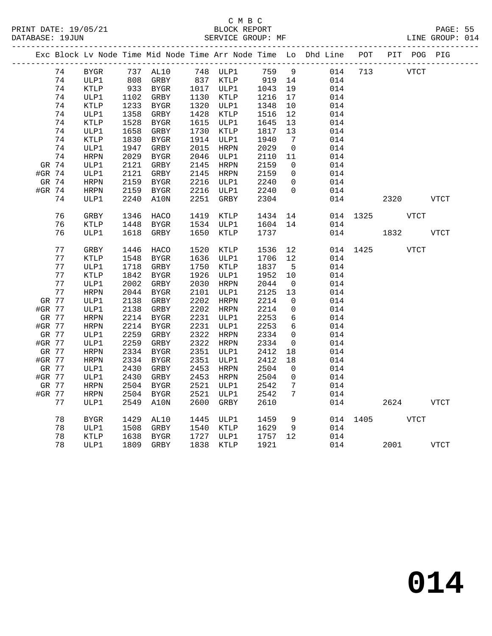## C M B C<br>BLOCK REPORT SERVICE GROUP: MF

|        |       |              |      |             |      |           |         |                              | Exc Block Lv Node Time Mid Node Time Arr Node Time Lo Dhd Line POT PIT POG PIG |          |      |             |              |
|--------|-------|--------------|------|-------------|------|-----------|---------|------------------------------|--------------------------------------------------------------------------------|----------|------|-------------|--------------|
|        | 74    | BYGR         |      | 737 AL10    |      | 748 ULP1  | 759     | 9                            | 014                                                                            | 713      |      | <b>VTCT</b> |              |
|        | 74    | ULP1         |      | 808 GRBY    |      | 837 KTLP  | 919     | 14                           | 014                                                                            |          |      |             |              |
|        | 74    | KTLP         |      | 933 BYGR    |      | 1017 ULP1 | 1043    | 19                           | 014                                                                            |          |      |             |              |
|        | 74    | ULP1         | 1102 | GRBY        |      | 1130 KTLP | 1216    | 17                           | 014                                                                            |          |      |             |              |
|        | 74    | KTLP         | 1233 | BYGR        |      | 1320 ULP1 | 1348    | 10                           | 014                                                                            |          |      |             |              |
|        | 74    | ULP1         | 1358 | GRBY        | 1428 | KTLP      | 1516    | 12                           | 014                                                                            |          |      |             |              |
|        | 74    | KTLP         | 1528 | BYGR        |      | 1615 ULP1 | 1645    | 13                           | 014                                                                            |          |      |             |              |
|        | 74    | ULP1         | 1658 | GRBY        | 1730 | KTLP      | 1817    | 13                           | 014                                                                            |          |      |             |              |
|        | 74    | <b>KTLP</b>  | 1830 | BYGR        |      | 1914 ULP1 | 1940    | $7\phantom{.0}\phantom{.0}7$ | 014                                                                            |          |      |             |              |
|        | 74    | ULP1         | 1947 | GRBY        | 2015 | HRPN      | 2029    | $\overline{0}$               | 014                                                                            |          |      |             |              |
|        | 74    | <b>HRPN</b>  | 2029 | BYGR        |      | 2046 ULP1 | 2110    | 11                           | 014                                                                            |          |      |             |              |
| GR 74  |       | ULP1         | 2121 | GRBY        |      | 2145 HRPN | 2159    | $\overline{0}$               | 014                                                                            |          |      |             |              |
| #GR 74 |       | ULP1         | 2121 | GRBY        |      | 2145 HRPN | 2159    | $\overline{0}$               | 014                                                                            |          |      |             |              |
|        | GR 74 | HRPN         | 2159 | <b>BYGR</b> |      | 2216 ULP1 | 2240    | $\mathsf{O}$                 | 014                                                                            |          |      |             |              |
| #GR 74 |       | HRPN         | 2159 | <b>BYGR</b> | 2216 | ULP1      | 2240    | $\overline{0}$               | 014                                                                            |          |      |             |              |
|        | 74    | ULP1         | 2240 | A10N        | 2251 | GRBY      | 2304    |                              | 014                                                                            |          | 2320 |             | <b>VTCT</b>  |
|        |       |              |      |             |      |           |         |                              |                                                                                |          |      |             |              |
|        | 76    | GRBY         | 1346 | HACO        | 1419 | KTLP      | 1434    | 14                           |                                                                                | 014 1325 |      | <b>VTCT</b> |              |
|        | 76    | KTLP         | 1448 | BYGR        | 1534 | ULP1      | 1604    | 14                           | 014                                                                            |          |      |             |              |
|        | 76    | ULP1         | 1618 | GRBY        | 1650 | KTLP      | 1737    |                              | 014                                                                            |          | 1832 |             | <b>VTCT</b>  |
|        | 77    | GRBY         | 1446 | HACO        | 1520 | KTLP      | 1536    | 12                           |                                                                                | 014 1425 |      | <b>VTCT</b> |              |
|        | 77    | <b>KTLP</b>  | 1548 | BYGR        |      | 1636 ULP1 | 1706    | 12                           | 014                                                                            |          |      |             |              |
|        | 77    | ULP1         | 1718 | GRBY        | 1750 | KTLP      | 1837    | $5^{\circ}$                  | 014                                                                            |          |      |             |              |
|        | 77    | KTLP         | 1842 | BYGR        | 1926 | ULP1      | 1952    | 10                           | 014                                                                            |          |      |             |              |
|        | 77    | ULP1         | 2002 | GRBY        | 2030 | HRPN      | 2044    | $\overline{0}$               | 014                                                                            |          |      |             |              |
|        | 77    | <b>HRPN</b>  | 2044 | BYGR        | 2101 | ULP1      | 2125    | 13                           | 014                                                                            |          |      |             |              |
| GR 77  |       | ULP1         | 2138 | GRBY        | 2202 | HRPN      | 2214    | $\overline{0}$               | 014                                                                            |          |      |             |              |
| #GR 77 |       | ULP1         | 2138 | GRBY        |      | 2202 HRPN | 2214    | 0                            | 014                                                                            |          |      |             |              |
| GR 77  |       | ${\tt HRPN}$ | 2214 | BYGR        |      | 2231 ULP1 | 2253    | 6                            | 014                                                                            |          |      |             |              |
| #GR 77 |       | HRPN         | 2214 | BYGR        |      | 2231 ULP1 | 2253    | 6                            | 014                                                                            |          |      |             |              |
| GR 77  |       | ULP1         | 2259 | GRBY        | 2322 | HRPN      | 2334    | $\mathbf 0$                  | 014                                                                            |          |      |             |              |
| #GR 77 |       | ULP1         | 2259 | GRBY        | 2322 | HRPN      | 2334    | $\overline{0}$               | 014                                                                            |          |      |             |              |
| GR 77  |       | <b>HRPN</b>  | 2334 | BYGR        |      | 2351 ULP1 | 2412    | 18                           | 014                                                                            |          |      |             |              |
| #GR 77 |       | HRPN         | 2334 | BYGR        | 2351 | ULP1      | 2412    | 18                           | 014                                                                            |          |      |             |              |
| GR 77  |       | ULP1         | 2430 | GRBY        | 2453 | HRPN      | 2504    | $\overline{0}$               | 014                                                                            |          |      |             |              |
| #GR 77 |       | ULP1         | 2430 | GRBY        | 2453 | HRPN      | 2504    | $\mathbf 0$                  | 014                                                                            |          |      |             |              |
| GR 77  |       | HRPN         | 2504 | BYGR        | 2521 | ULP1      | 2542    | $7\phantom{.0}$              | 014                                                                            |          |      |             |              |
| #GR 77 |       | HRPN         | 2504 | BYGR        | 2521 | ULP1      | 2542    | 7                            | 014                                                                            |          |      |             |              |
|        | 77    | ULP1         | 2549 | A10N        | 2600 | GRBY      | 2610    |                              | 014                                                                            |          | 2624 |             | ${\tt VTCT}$ |
|        |       |              |      |             |      |           |         |                              |                                                                                |          |      |             |              |
|        | 78    | <b>BYGR</b>  | 1429 | AL10        |      | 1445 ULP1 | 1459    | 9                            |                                                                                | 014 1405 |      | VTCT        |              |
|        | 78    | ULP1         | 1508 | GRBY        |      | 1540 KTLP | 1629    | - 9                          | 014                                                                            |          |      |             |              |
|        | 78    | KTLP         | 1638 | BYGR        |      | 1727 ULP1 | 1757 12 |                              | 014                                                                            |          |      |             |              |
|        | 78    | ULP1         |      | 1809 GRBY   | 1838 | KTLP      | 1921    |                              |                                                                                | 014      | 2001 |             | <b>VTCT</b>  |

**014**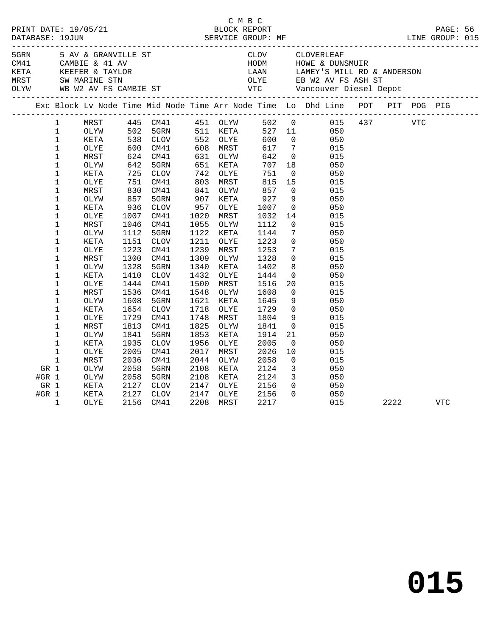|         |                            |              |              |                                  |              |                      |              |                                 | C M B C<br>PRINT DATE: 19/05/21 BLOCK REPORT<br>DATABASE: 19JUN SERVICE GROUP: MF LINE GROUP: 015                                                                                                                                        |      |     |            |  |
|---------|----------------------------|--------------|--------------|----------------------------------|--------------|----------------------|--------------|---------------------------------|------------------------------------------------------------------------------------------------------------------------------------------------------------------------------------------------------------------------------------------|------|-----|------------|--|
|         |                            |              |              |                                  |              |                      |              |                                 |                                                                                                                                                                                                                                          |      |     |            |  |
|         |                            |              |              |                                  |              |                      |              |                                 |                                                                                                                                                                                                                                          |      |     |            |  |
|         |                            |              |              |                                  |              |                      |              |                                 |                                                                                                                                                                                                                                          |      |     |            |  |
|         |                            |              |              |                                  |              |                      |              |                                 |                                                                                                                                                                                                                                          |      |     |            |  |
|         |                            |              |              |                                  |              |                      |              |                                 | EXAMPLE SAV & GRANVILLE ST<br>CAMBIE & 41 AV HODM HOWE & DUNSMUIR<br>KETA KEEFER & TAYLOR LAAN LAMEY'S MILL RD & ANDERSON<br>MRST SW MARINE STN OLYE EB W2 AV FS ASH ST<br>CAMBIE ST VTC Vancouver Diesel Depot<br>CLYW WB W2 AV FS CAMB |      |     |            |  |
|         |                            |              |              |                                  |              |                      |              |                                 | Exc Block Lv Node Time Mid Node Time Arr Node Time Lo Dhd Line POT PIT POG PIG                                                                                                                                                           |      |     |            |  |
|         |                            |              |              |                                  |              |                      |              |                                 |                                                                                                                                                                                                                                          |      |     |            |  |
|         | $\mathbf{1}$               | MRST         |              | 445 CM41<br>502 5GRN<br>538 CLOV |              |                      |              |                                 | 451 OLYW 502 0 015 437                                                                                                                                                                                                                   |      | VTC |            |  |
|         | $\mathbf{1}$               | OLYW         |              |                                  |              | 511 KETA<br>552 OLYE |              |                                 | 527 11<br>050                                                                                                                                                                                                                            |      |     |            |  |
|         | $\mathbf 1$                | KETA         |              |                                  |              | 552 OLYE             | 600          |                                 | $\overline{0}$<br>050                                                                                                                                                                                                                    |      |     |            |  |
|         | $\mathbf{1}$               | OLYE         | 600<br>624   | CM41                             | 608          | MRST                 | 617          | $7\overline{ }$                 | 015                                                                                                                                                                                                                                      |      |     |            |  |
|         | $\mathbf{1}$               | MRST         | 624          | CM41                             |              | 631 OLYW             | 642          | $\overline{0}$                  | 015                                                                                                                                                                                                                                      |      |     |            |  |
|         | 1                          | OLYW         | 642          | 5GRN                             | 651          | KETA                 | 707          | 18                              | 050                                                                                                                                                                                                                                      |      |     |            |  |
|         | $\mathbf 1$                | KETA         | 725          | CLOV                             | 742          | OLYE                 | 751          | $\overline{0}$                  | 050                                                                                                                                                                                                                                      |      |     |            |  |
|         | $\mathbf 1$                | OLYE         | 751          | CM41                             | 803          | MRST                 | 815          | 15                              | 015                                                                                                                                                                                                                                      |      |     |            |  |
|         | $\mathbf 1$                | MRST         | 830          | CM41                             | 841          | OLYW                 | 857          | $\overline{0}$                  | 015                                                                                                                                                                                                                                      |      |     |            |  |
|         | 1                          | OLYW         | 857          | 5GRN                             | 907          | KETA                 | 927          | 9                               | 050                                                                                                                                                                                                                                      |      |     |            |  |
|         | $\mathbf 1$                | KETA         | 936          | <b>CLOV</b>                      | 957          | OLYE                 | 1007         | $\overline{0}$                  | 050                                                                                                                                                                                                                                      |      |     |            |  |
|         | $\mathbf 1$                | OLYE         | 1007         | CM41                             | 1020         | MRST                 | 1032         | 14                              | 015                                                                                                                                                                                                                                      |      |     |            |  |
|         | $\mathbf 1$                | MRST         | 1046         | CM41                             | 1055         | OLYW                 | 1112         | $\overline{0}$                  | 015                                                                                                                                                                                                                                      |      |     |            |  |
|         | $\mathbf 1$                | OLYW         | 1112         | 5GRN                             | 1122         | KETA                 | 1144         | $7\phantom{.0}$                 | 050                                                                                                                                                                                                                                      |      |     |            |  |
|         | 1                          | KETA         | 1151         | $\mathtt{CLOV}$                  | 1211         | OLYE                 | 1223         | $\mathsf{O}$<br>$7\overline{ }$ | 050                                                                                                                                                                                                                                      |      |     |            |  |
|         | $\mathbf 1$                | OLYE         | 1223         | CM41                             | 1239         | MRST                 | 1253         |                                 | 015                                                                                                                                                                                                                                      |      |     |            |  |
|         | $\mathbf 1$                | MRST         | 1300         | CM41                             | 1309         | OLYW                 | 1328         | $\mathbf 0$                     | 015                                                                                                                                                                                                                                      |      |     |            |  |
|         | $\mathbf 1$<br>$\mathbf 1$ | OLYW         | 1328         | 5GRN                             | 1340<br>1432 | KETA                 | 1402         | 8<br>$\overline{0}$             | 050                                                                                                                                                                                                                                      |      |     |            |  |
|         | $\mathbf 1$                | KETA         | 1410         | $\mathtt{CLOV}$                  | 1500         | OLYE                 | 1444         | 20                              | 050                                                                                                                                                                                                                                      |      |     |            |  |
|         | $\mathbf 1$                | OLYE         | 1444<br>1536 | CM41                             | 1548         | MRST                 | 1516         | $\mathbf 0$                     | 015                                                                                                                                                                                                                                      |      |     |            |  |
|         | 1                          | MRST         |              | CM41<br>5GRN                     | 1621         | OLYW<br>KETA         | 1608<br>1645 | 9                               | 015<br>050                                                                                                                                                                                                                               |      |     |            |  |
|         | 1                          | OLYW<br>KETA | 1608<br>1654 | <b>CLOV</b>                      | 1718         | OLYE                 | 1729         | $\overline{0}$                  | 050                                                                                                                                                                                                                                      |      |     |            |  |
|         | $\mathbf 1$                | OLYE         | 1729         | CM41                             | 1748         | MRST                 | 1804         | 9                               | 015                                                                                                                                                                                                                                      |      |     |            |  |
|         | $\mathbf 1$                | MRST         | 1813         | CM41                             | 1825         | OLYW                 | 1841         | $\overline{0}$                  | 015                                                                                                                                                                                                                                      |      |     |            |  |
|         | $\mathbf 1$                | OLYW         | 1841         | 5GRN                             | 1853         | KETA                 | 1914         | 21                              | 050                                                                                                                                                                                                                                      |      |     |            |  |
|         | $\mathbf 1$                | KETA         | 1935         | <b>CLOV</b>                      | 1956         | OLYE                 | 2005         | $\overline{0}$                  | 050                                                                                                                                                                                                                                      |      |     |            |  |
|         | $\mathbf 1$                | OLYE         | 2005         | CM41                             | 2017         | MRST                 | 2026         | 10                              | 015                                                                                                                                                                                                                                      |      |     |            |  |
|         | $\mathbf 1$                | MRST         | 2036         | CM41                             | 2044         | OLYW                 | 2058         | $\overline{0}$                  | 015                                                                                                                                                                                                                                      |      |     |            |  |
| GR 1    |                            | OLYW         | 2058         | 5GRN                             | 2108         | KETA                 | 2124         | $\overline{3}$                  | 050                                                                                                                                                                                                                                      |      |     |            |  |
| $#GR$ 1 |                            | OLYW         | 2058         | 5GRN                             | 2108         | KETA                 | 2124         | $\mathbf{3}$                    | 050                                                                                                                                                                                                                                      |      |     |            |  |
| GR 1    |                            | KETA         | 2127         | CLOV                             | 2147         | OLYE                 | 2156         | $\overline{0}$                  | 050                                                                                                                                                                                                                                      |      |     |            |  |
| $#GR$ 1 |                            | KETA         | 2127         | CLOV                             | 2147         | OLYE                 | 2156         | $\Omega$                        | 050                                                                                                                                                                                                                                      |      |     |            |  |
|         | $\mathbf{1}$               | OLYE         | 2156         | CM41                             | 2208         | MRST                 | 2217         |                                 | 015                                                                                                                                                                                                                                      | 2222 |     | <b>VTC</b> |  |
|         |                            |              |              |                                  |              |                      |              |                                 |                                                                                                                                                                                                                                          |      |     |            |  |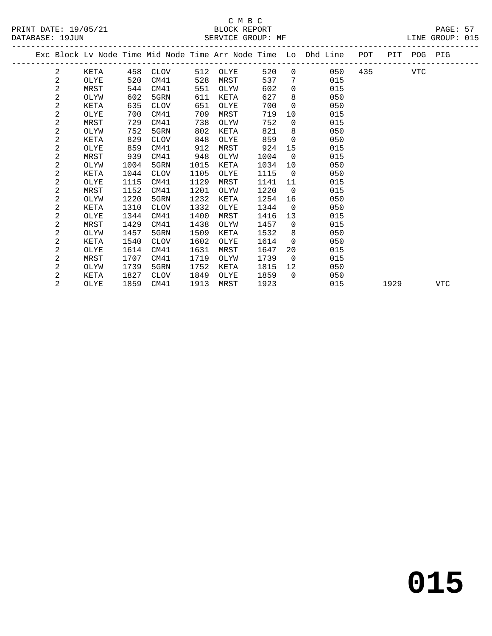# C M B C<br>BLOCK REPORT SERVICE GROUP: MF

|  |   |      |      |             |      |      |      |                         | Exc Block Lv Node Time Mid Node Time Arr Node Time Lo Dhd Line POT |     |      | PIT POG PIG |     |
|--|---|------|------|-------------|------|------|------|-------------------------|--------------------------------------------------------------------|-----|------|-------------|-----|
|  | 2 | KETA | 458  | CLOV        | 512  | OLYE | 520  | $\overline{0}$          | 050                                                                | 435 |      | VTC         |     |
|  | 2 | OLYE | 520  | CM41        | 528  | MRST | 537  | $7\phantom{.0}$         | 015                                                                |     |      |             |     |
|  | 2 | MRST | 544  | CM41        | 551  | OLYW | 602  | $\Omega$                | 015                                                                |     |      |             |     |
|  | 2 | OLYW | 602  | 5GRN        | 611  | KETA | 627  | 8                       | 050                                                                |     |      |             |     |
|  | 2 | KETA | 635  | <b>CLOV</b> | 651  | OLYE | 700  | $\mathbf 0$             | 050                                                                |     |      |             |     |
|  | 2 | OLYE | 700  | CM41        | 709  | MRST | 719  | 10                      | 015                                                                |     |      |             |     |
|  | 2 | MRST | 729  | CM41        | 738  | OLYW | 752  | $\mathbf 0$             | 015                                                                |     |      |             |     |
|  | 2 | OLYW | 752  | 5GRN        | 802  | KETA | 821  | 8                       | 050                                                                |     |      |             |     |
|  | 2 | KETA | 829  | <b>CLOV</b> | 848  | OLYE | 859  | $\Omega$                | 050                                                                |     |      |             |     |
|  | 2 | OLYE | 859  | CM41        | 912  | MRST | 924  | 15                      | 015                                                                |     |      |             |     |
|  | 2 | MRST | 939  | CM41        | 948  | OLYW | 1004 | $\overline{0}$          | 015                                                                |     |      |             |     |
|  | 2 | OLYW | 1004 | 5GRN        | 1015 | KETA | 1034 | 10                      | 050                                                                |     |      |             |     |
|  | 2 | KETA | 1044 | CLOV        | 1105 | OLYE | 1115 | $\overline{0}$          | 050                                                                |     |      |             |     |
|  | 2 | OLYE | 1115 | CM41        | 1129 | MRST | 1141 | 11                      | 015                                                                |     |      |             |     |
|  | 2 | MRST | 1152 | CM41        | 1201 | OLYW | 1220 | $\overline{0}$          | 015                                                                |     |      |             |     |
|  | 2 | OLYW | 1220 | 5GRN        | 1232 | KETA | 1254 | 16                      | 050                                                                |     |      |             |     |
|  | 2 | KETA | 1310 | <b>CLOV</b> | 1332 | OLYE | 1344 | $\Omega$                | 050                                                                |     |      |             |     |
|  | 2 | OLYE | 1344 | CM41        | 1400 | MRST | 1416 | 13                      | 015                                                                |     |      |             |     |
|  | 2 | MRST | 1429 | CM41        | 1438 | OLYW | 1457 | $\overline{0}$          | 015                                                                |     |      |             |     |
|  | 2 | OLYW | 1457 | 5GRN        | 1509 | KETA | 1532 | 8                       | 050                                                                |     |      |             |     |
|  | 2 | KETA | 1540 | <b>CLOV</b> | 1602 | OLYE | 1614 | $\Omega$                | 050                                                                |     |      |             |     |
|  | 2 | OLYE | 1614 | CM41        | 1631 | MRST | 1647 | 20                      | 015                                                                |     |      |             |     |
|  | 2 | MRST | 1707 | CM41        | 1719 | OLYW | 1739 | $\overline{\mathbf{0}}$ | 015                                                                |     |      |             |     |
|  | 2 | OLYW | 1739 | 5GRN        | 1752 | KETA | 1815 | 12                      | 050                                                                |     |      |             |     |
|  | 2 | KETA | 1827 | CLOV        | 1849 | OLYE | 1859 | $\Omega$                | 050                                                                |     |      |             |     |
|  | 2 | OLYE | 1859 | CM41        | 1913 | MRST | 1923 |                         | 015                                                                |     | 1929 |             | VTC |

**015**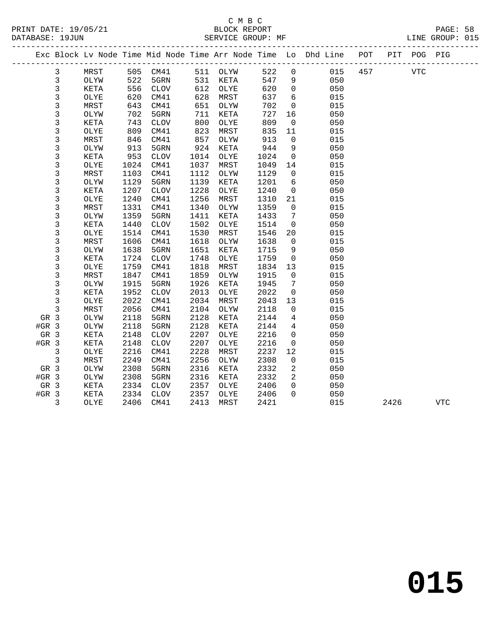|         |              |      |      |                 |              |          |      |                            | Exc Block Lv Node Time Mid Node Time Arr Node Time Lo Dhd Line POT |     |      | PIT POG PIG |            |
|---------|--------------|------|------|-----------------|--------------|----------|------|----------------------------|--------------------------------------------------------------------|-----|------|-------------|------------|
|         | 3            | MRST |      | 505 CM41        |              | 511 OLYW | 522  | $\mathbf 0$                | 015                                                                | 457 |      | VTC         |            |
|         | 3            | OLYW | 522  | 5GRN            | 531          | KETA     | 547  | 9                          | 050                                                                |     |      |             |            |
|         | 3            | KETA | 556  | CLOV            | 612          | OLYE     | 620  | $\overline{0}$             | 050                                                                |     |      |             |            |
|         | 3            | OLYE | 620  | CM41            | 628          | MRST     | 637  | 6                          | 015                                                                |     |      |             |            |
|         | $\mathsf 3$  | MRST | 643  | CM41            | 651          | OLYW     | 702  | $\mathbf 0$                | 015                                                                |     |      |             |            |
|         | 3            | OLYW | 702  | 5GRN            | 711          | KETA     | 727  | 16                         | 050                                                                |     |      |             |            |
|         | 3            | KETA | 743  | CLOV            | 800          | OLYE     | 809  | $\overline{0}$             | 050                                                                |     |      |             |            |
|         | 3            | OLYE | 809  | CM41            | 823          | MRST     | 835  | 11                         | 015                                                                |     |      |             |            |
|         | $\mathsf 3$  | MRST | 846  | CM41            | 857          | OLYW     | 913  | $\overline{0}$             | 015                                                                |     |      |             |            |
|         | 3            | OLYW | 913  | 5GRN            | 924          | KETA     | 944  | 9                          | 050                                                                |     |      |             |            |
|         | 3            | KETA | 953  | $\mathtt{CLOV}$ | 1014         | OLYE     | 1024 | $\overline{0}$             | 050                                                                |     |      |             |            |
|         | 3            | OLYE | 1024 | CM41            | 1037         | MRST     | 1049 | 14                         | 015                                                                |     |      |             |            |
|         | 3            | MRST | 1103 | CM41            | 1112         | OLYW     | 1129 | $\overline{0}$             | 015                                                                |     |      |             |            |
|         | 3            | OLYW | 1129 | 5GRN            | 1139         | KETA     | 1201 | 6                          | 050                                                                |     |      |             |            |
|         | 3            | KETA | 1207 | CLOV            | 1228         | OLYE     | 1240 | $\mathbf 0$                | 050                                                                |     |      |             |            |
|         | 3            | OLYE | 1240 | CM41            | 1256         | MRST     | 1310 | 21                         | 015                                                                |     |      |             |            |
|         | 3            | MRST | 1331 | CM41            | 1340         | OLYW     | 1359 | $\overline{0}$             | 015                                                                |     |      |             |            |
|         | 3            | OLYW | 1359 | 5GRN            | 1411         | KETA     | 1433 | 7                          | 050                                                                |     |      |             |            |
|         | 3            | KETA | 1440 | CLOV            | 1502         | OLYE     | 1514 | $\mathbf 0$                | 050                                                                |     |      |             |            |
|         | 3            | OLYE | 1514 | CM41            | 1530         | MRST     | 1546 | 20                         | 015                                                                |     |      |             |            |
|         | 3            | MRST | 1606 | CM41            | 1618         | OLYW     | 1638 | $\overline{0}$             | 015                                                                |     |      |             |            |
|         | 3            | OLYW | 1638 | 5GRN            | 1651         | KETA     | 1715 | 9                          | 050                                                                |     |      |             |            |
|         | 3            | KETA | 1724 | $\mathtt{CLOV}$ | 1748         | OLYE     | 1759 | $\overline{0}$             | 050                                                                |     |      |             |            |
|         | 3            | OLYE | 1759 | CM41            | 1818         | MRST     | 1834 | 13                         | 015                                                                |     |      |             |            |
|         | 3            | MRST | 1847 | CM41            | 1859         | OLYW     | 1915 | $\overline{0}$             | 015                                                                |     |      |             |            |
|         | 3            | OLYW | 1915 | 5GRN            | 1926         | KETA     | 1945 | 7                          | 050                                                                |     |      |             |            |
|         | 3            | KETA | 1952 | $\mathtt{CLOV}$ | 2013         | OLYE     | 2022 | $\mathbf 0$                | 050                                                                |     |      |             |            |
|         | 3            | OLYE | 2022 | CM41            | 2034         | MRST     | 2043 | 13                         | 015                                                                |     |      |             |            |
|         | 3            | MRST | 2056 | CM41            | 2104         | OLYW     | 2118 | $\mathbf 0$                | 015                                                                |     |      |             |            |
| GR 3    |              | OLYW | 2118 | 5GRN            | 2128         | KETA     | 2144 | 4                          | 050                                                                |     |      |             |            |
| $#GR$ 3 |              | OLYW | 2118 | 5GRN            | 2128         | KETA     | 2144 | $\overline{4}$             | 050                                                                |     |      |             |            |
| GR 3    |              | KETA | 2148 | <b>CLOV</b>     | 2207         | OLYE     | 2216 | $\mathbf 0$                | 050                                                                |     |      |             |            |
| $#GR$ 3 |              | KETA | 2148 | $\mathtt{CLOV}$ | 2207         | OLYE     | 2216 | $\mathsf{O}$               | 050                                                                |     |      |             |            |
|         | 3            | OLYE | 2216 | CM41            | 2228         | MRST     | 2237 | 12                         | 015                                                                |     |      |             |            |
|         | $\mathbf{3}$ | MRST | 2249 | CM41            | 2256         | OLYW     | 2308 | $\mathbf 0$                | 015                                                                |     |      |             |            |
| GR 3    |              | OLYW | 2308 | 5GRN            | 2316         | KETA     | 2332 | 2                          | 050                                                                |     |      |             |            |
| $#GR$ 3 |              | OLYW | 2308 | 5GRN            | 2316         | KETA     | 2332 | $\overline{2}$             | 050                                                                |     |      |             |            |
| GR 3    |              | KETA | 2334 | CLOV            | 2357<br>2357 | OLYE     | 2406 | $\overline{0}$<br>$\Omega$ | 050                                                                |     |      |             |            |
| $#GR$ 3 |              | KETA | 2334 | CLOV            |              | OLYE     | 2406 |                            | 050<br>015                                                         |     |      |             |            |
|         | 3            | OLYE | 2406 | CM41            | 2413         | MRST     | 2421 |                            |                                                                    |     | 2426 |             | <b>VTC</b> |
|         |              |      |      |                 |              |          |      |                            |                                                                    |     |      |             |            |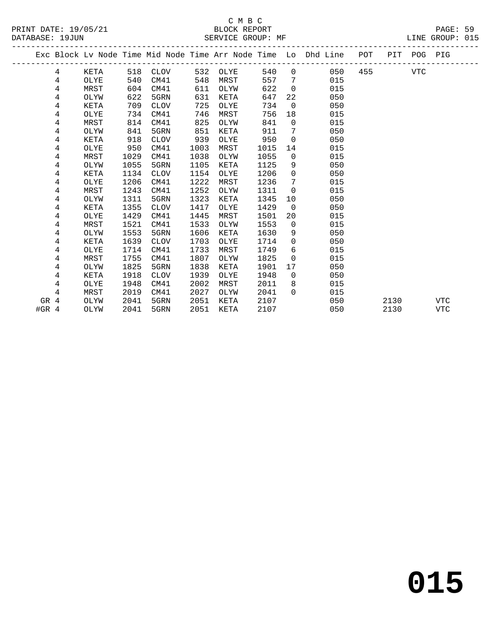|         |      |      |      |      |      |      |                | Exc Block Lv Node Time Mid Node Time Arr Node Time Lo Dhd Line POT |     |      | PIT POG PIG |            |
|---------|------|------|------|------|------|------|----------------|--------------------------------------------------------------------|-----|------|-------------|------------|
| 4       | KETA | 518  | CLOV | 532  | OLYE | 540  |                | $0 \qquad \qquad$<br>050                                           | 455 |      | <b>VTC</b>  |            |
| 4       | OLYE | 540  | CM41 | 548  | MRST | 557  | $\overline{7}$ | 015                                                                |     |      |             |            |
| 4       | MRST | 604  | CM41 | 611  | OLYW | 622  | $\overline{0}$ | 015                                                                |     |      |             |            |
| 4       | OLYW | 622  | 5GRN | 631  | KETA | 647  | 22             | 050                                                                |     |      |             |            |
| 4       | KETA | 709  | CLOV | 725  | OLYE | 734  | $\Omega$       | 050                                                                |     |      |             |            |
| 4       | OLYE | 734  | CM41 | 746  | MRST | 756  | 18             | 015                                                                |     |      |             |            |
| 4       | MRST | 814  | CM41 | 825  | OLYW | 841  | $\Omega$       | 015                                                                |     |      |             |            |
| 4       | OLYW | 841  | 5GRN | 851  | KETA | 911  | 7              | 050                                                                |     |      |             |            |
| 4       | KETA | 918  | CLOV | 939  | OLYE | 950  | $\overline{0}$ | 050                                                                |     |      |             |            |
| 4       | OLYE | 950  | CM41 | 1003 | MRST | 1015 | 14             | 015                                                                |     |      |             |            |
| 4       | MRST | 1029 | CM41 | 1038 | OLYW | 1055 | $\overline{0}$ | 015                                                                |     |      |             |            |
| 4       | OLYW | 1055 | 5GRN | 1105 | KETA | 1125 | 9              | 050                                                                |     |      |             |            |
| 4       | KETA | 1134 | CLOV | 1154 | OLYE | 1206 | $\overline{0}$ | 050                                                                |     |      |             |            |
| 4       | OLYE | 1206 | CM41 | 1222 | MRST | 1236 | 7              | 015                                                                |     |      |             |            |
| 4       | MRST | 1243 | CM41 | 1252 | OLYW | 1311 | $\overline{0}$ | 015                                                                |     |      |             |            |
| 4       | OLYW | 1311 | 5GRN | 1323 | KETA | 1345 | 10             | 050                                                                |     |      |             |            |
| 4       | KETA | 1355 | CLOV | 1417 | OLYE | 1429 | $\overline{0}$ | 050                                                                |     |      |             |            |
| 4       | OLYE | 1429 | CM41 | 1445 | MRST | 1501 | 20             | 015                                                                |     |      |             |            |
| 4       | MRST | 1521 | CM41 | 1533 | OLYW | 1553 | $\Omega$       | 015                                                                |     |      |             |            |
| 4       | OLYW | 1553 | 5GRN | 1606 | KETA | 1630 | 9              | 050                                                                |     |      |             |            |
| 4       | KETA | 1639 | CLOV | 1703 | OLYE | 1714 | $\overline{0}$ | 050                                                                |     |      |             |            |
| 4       | OLYE | 1714 | CM41 | 1733 | MRST | 1749 | 6              | 015                                                                |     |      |             |            |
| 4       | MRST | 1755 | CM41 | 1807 | OLYW | 1825 | $\Omega$       | 015                                                                |     |      |             |            |
| 4       | OLYW | 1825 | 5GRN | 1838 | KETA | 1901 | 17             | 050                                                                |     |      |             |            |
| 4       | KETA | 1918 | CLOV | 1939 | OLYE | 1948 | $\Omega$       | 050                                                                |     |      |             |            |
| 4       | OLYE | 1948 | CM41 | 2002 | MRST | 2011 | 8              | 015                                                                |     |      |             |            |
| 4       | MRST | 2019 | CM41 | 2027 | OLYW | 2041 | $\Omega$       | 015                                                                |     |      |             |            |
| 4<br>GR | OLYW | 2041 | 5GRN | 2051 | KETA | 2107 |                | 050                                                                |     | 2130 |             | <b>VTC</b> |
| $#GR$ 4 | OLYW | 2041 | 5GRN | 2051 | KETA | 2107 |                | 050                                                                |     | 2130 |             | <b>VTC</b> |
|         |      |      |      |      |      |      |                |                                                                    |     |      |             |            |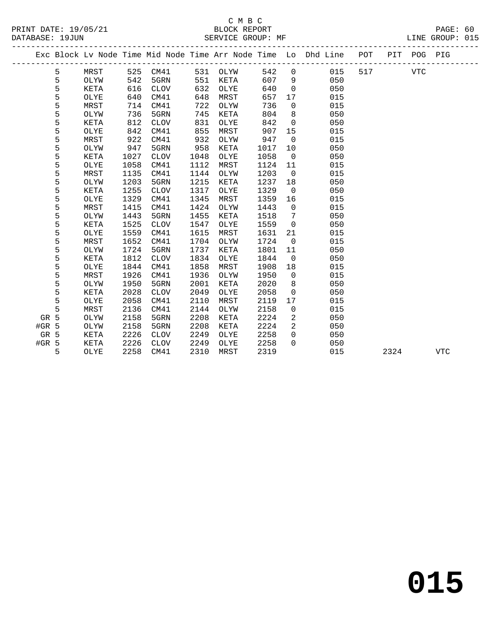|         |   |             |      |             |      |          |      |                | Exc Block Lv Node Time Mid Node Time Arr Node Time Lo Dhd Line POT |     | PIT  | POG PIG    |            |
|---------|---|-------------|------|-------------|------|----------|------|----------------|--------------------------------------------------------------------|-----|------|------------|------------|
|         | 5 | MRST        | 525  | CM41        |      | 531 OLYW | 542  | $\mathbf 0$    | 015                                                                | 517 |      | <b>VTC</b> |            |
|         | 5 | OLYW        | 542  | 5GRN        | 551  | KETA     | 607  | 9              | 050                                                                |     |      |            |            |
|         | 5 | KETA        | 616  | <b>CLOV</b> | 632  | OLYE     | 640  | $\mathbf 0$    | 050                                                                |     |      |            |            |
|         | 5 | OLYE        | 640  | CM41        | 648  | MRST     | 657  | 17             | 015                                                                |     |      |            |            |
|         | 5 | MRST        | 714  | CM41        | 722  | OLYW     | 736  | $\mathbf 0$    | 015                                                                |     |      |            |            |
|         | 5 | OLYW        | 736  | 5GRN        | 745  | KETA     | 804  | 8              | 050                                                                |     |      |            |            |
|         | 5 | KETA        | 812  | <b>CLOV</b> | 831  | OLYE     | 842  | $\mathbf 0$    | 050                                                                |     |      |            |            |
|         | 5 | OLYE        | 842  | CM41        | 855  | MRST     | 907  | 15             | 015                                                                |     |      |            |            |
|         | 5 | MRST        | 922  | CM41        | 932  | OLYW     | 947  | $\mathbf 0$    | 015                                                                |     |      |            |            |
|         | 5 | OLYW        | 947  | 5GRN        | 958  | KETA     | 1017 | 10             | 050                                                                |     |      |            |            |
|         | 5 | KETA        | 1027 | CLOV        | 1048 | OLYE     | 1058 | $\mathbf 0$    | 050                                                                |     |      |            |            |
|         | 5 | OLYE        | 1058 | CM41        | 1112 | MRST     | 1124 | 11             | 015                                                                |     |      |            |            |
|         | 5 | MRST        | 1135 | CM41        | 1144 | OLYW     | 1203 | $\overline{0}$ | 015                                                                |     |      |            |            |
|         | 5 | OLYW        | 1203 | 5GRN        | 1215 | KETA     | 1237 | 18             | 050                                                                |     |      |            |            |
|         | 5 | <b>KETA</b> | 1255 | <b>CLOV</b> | 1317 | OLYE     | 1329 | $\overline{0}$ | 050                                                                |     |      |            |            |
|         | 5 | OLYE        | 1329 | CM41        | 1345 | MRST     | 1359 | 16             | 015                                                                |     |      |            |            |
|         | 5 | MRST        | 1415 | CM41        | 1424 | OLYW     | 1443 | $\Omega$       | 015                                                                |     |      |            |            |
|         | 5 | OLYW        | 1443 | 5GRN        | 1455 | KETA     | 1518 | 7              | 050                                                                |     |      |            |            |
|         | 5 | KETA        | 1525 | <b>CLOV</b> | 1547 | OLYE     | 1559 | $\mathbf 0$    | 050                                                                |     |      |            |            |
|         | 5 | OLYE        | 1559 | CM41        | 1615 | MRST     | 1631 | 21             | 015                                                                |     |      |            |            |
|         | 5 | MRST        | 1652 | CM41        | 1704 | OLYW     | 1724 | $\mathbf 0$    | 015                                                                |     |      |            |            |
|         | 5 | OLYW        | 1724 | 5GRN        | 1737 | KETA     | 1801 | 11             | 050                                                                |     |      |            |            |
|         | 5 | KETA        | 1812 | <b>CLOV</b> | 1834 | OLYE     | 1844 | $\mathbf 0$    | 050                                                                |     |      |            |            |
|         | 5 | OLYE        | 1844 | CM41        | 1858 | MRST     | 1908 | 18             | 015                                                                |     |      |            |            |
|         | 5 | MRST        | 1926 | CM41        | 1936 | OLYW     | 1950 | $\overline{0}$ | 015                                                                |     |      |            |            |
|         | 5 | OLYW        | 1950 | 5GRN        | 2001 | KETA     | 2020 | 8              | 050                                                                |     |      |            |            |
|         | 5 | KETA        | 2028 | <b>CLOV</b> | 2049 | OLYE     | 2058 | $\mathbf 0$    | 050                                                                |     |      |            |            |
|         | 5 | OLYE        | 2058 | CM41        | 2110 | MRST     | 2119 | 17             | 015                                                                |     |      |            |            |
|         | 5 | MRST        | 2136 | CM41        | 2144 | OLYW     | 2158 | 0              | 015                                                                |     |      |            |            |
| GR 5    |   | OLYW        | 2158 | 5GRN        | 2208 | KETA     | 2224 | 2              | 050                                                                |     |      |            |            |
| #GR 5   |   | OLYW        | 2158 | 5GRN        | 2208 | KETA     | 2224 | 2              | 050                                                                |     |      |            |            |
| GR 5    |   | <b>KETA</b> | 2226 | <b>CLOV</b> | 2249 | OLYE     | 2258 | $\Omega$       | 050                                                                |     |      |            |            |
| $#GR$ 5 |   | KETA        | 2226 | <b>CLOV</b> | 2249 | OLYE     | 2258 | $\Omega$       | 050                                                                |     |      |            |            |
|         | 5 | OLYE        | 2258 | CM41        | 2310 | MRST     | 2319 |                | 015                                                                |     | 2324 |            | <b>VTC</b> |
|         |   |             |      |             |      |          |      |                |                                                                    |     |      |            |            |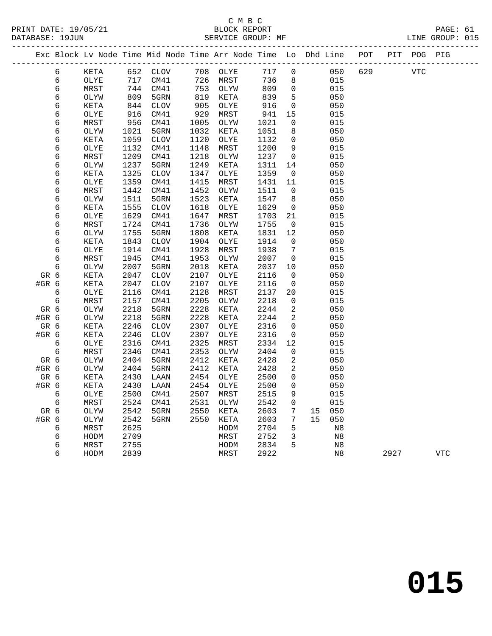|         |   |             |      | Exc Block Lv Node Time Mid Node Time Arr Node Time Lo Dhd Line POT |      |      |      |                          |    |     |     |      | PIT POG PIG |            |
|---------|---|-------------|------|--------------------------------------------------------------------|------|------|------|--------------------------|----|-----|-----|------|-------------|------------|
|         | 6 | KETA        | 652  | CLOV                                                               | 708  | OLYE | 717  | 0                        |    | 050 | 629 |      | <b>VTC</b>  |            |
|         | 6 | OLYE        | 717  | CM41                                                               | 726  | MRST | 736  | 8                        |    | 015 |     |      |             |            |
|         | 6 | MRST        | 744  | CM41                                                               | 753  | OLYW | 809  | $\mathsf{O}$             |    | 015 |     |      |             |            |
|         | 6 | OLYW        | 809  | 5GRN                                                               | 819  | KETA | 839  | 5                        |    | 050 |     |      |             |            |
|         | 6 | KETA        | 844  | CLOV                                                               | 905  | OLYE | 916  | $\overline{\phantom{0}}$ |    | 050 |     |      |             |            |
|         | 6 | OLYE        | 916  | CM41                                                               | 929  | MRST | 941  | 15                       |    | 015 |     |      |             |            |
|         | 6 | MRST        | 956  | CM41                                                               | 1005 | OLYW | 1021 | $\mathbf 0$              |    | 015 |     |      |             |            |
|         | 6 | OLYW        | 1021 | 5GRN                                                               | 1032 | KETA | 1051 | 8                        |    | 050 |     |      |             |            |
|         | 6 | KETA        | 1059 | <b>CLOV</b>                                                        | 1120 | OLYE | 1132 | $\mathsf{O}$             |    | 050 |     |      |             |            |
|         | 6 | OLYE        | 1132 | CM41                                                               | 1148 | MRST | 1200 | 9                        |    | 015 |     |      |             |            |
|         | 6 | MRST        | 1209 | CM41                                                               | 1218 | OLYW | 1237 | $\overline{0}$           |    | 015 |     |      |             |            |
|         | 6 | OLYW        | 1237 | 5GRN                                                               | 1249 | KETA | 1311 | 14                       |    | 050 |     |      |             |            |
|         | 6 | KETA        | 1325 | <b>CLOV</b>                                                        | 1347 | OLYE | 1359 | $\overline{0}$           |    | 050 |     |      |             |            |
|         | 6 | OLYE        | 1359 | CM41                                                               | 1415 | MRST | 1431 | 11                       |    | 015 |     |      |             |            |
|         | 6 | MRST        | 1442 | CM41                                                               | 1452 | OLYW | 1511 | $\Omega$                 |    | 015 |     |      |             |            |
|         | 6 | OLYW        | 1511 | 5GRN                                                               | 1523 | KETA | 1547 | 8                        |    | 050 |     |      |             |            |
|         | 6 | KETA        | 1555 | <b>CLOV</b>                                                        | 1618 | OLYE | 1629 | 0                        |    | 050 |     |      |             |            |
|         | 6 | OLYE        | 1629 | CM41                                                               | 1647 | MRST | 1703 | 21                       |    | 015 |     |      |             |            |
|         | 6 | MRST        | 1724 | CM41                                                               | 1736 | OLYW | 1755 | 0                        |    | 015 |     |      |             |            |
|         | 6 | OLYW        | 1755 | 5GRN                                                               | 1808 | KETA | 1831 | 12                       |    | 050 |     |      |             |            |
|         | 6 | KETA        | 1843 | <b>CLOV</b>                                                        | 1904 | OLYE | 1914 | 0                        |    | 050 |     |      |             |            |
|         | 6 | OLYE        | 1914 | CM41                                                               | 1928 | MRST | 1938 | 7                        |    | 015 |     |      |             |            |
|         | 6 | MRST        | 1945 | CM41                                                               | 1953 | OLYW | 2007 | $\overline{0}$           |    | 015 |     |      |             |            |
|         | 6 | OLYW        | 2007 | 5GRN                                                               | 2018 | KETA | 2037 | 10                       |    | 050 |     |      |             |            |
| GR 6    |   | <b>KETA</b> | 2047 | <b>CLOV</b>                                                        | 2107 | OLYE | 2116 | $\mathbf 0$              |    | 050 |     |      |             |            |
| #GR 6   |   | KETA        | 2047 | <b>CLOV</b>                                                        | 2107 | OLYE | 2116 | $\mathsf{O}$             |    | 050 |     |      |             |            |
|         | 6 | OLYE        | 2116 | CM41                                                               | 2128 | MRST | 2137 | 20                       |    | 015 |     |      |             |            |
|         | 6 | MRST        | 2157 | CM41                                                               | 2205 | OLYW | 2218 | $\mathbf 0$              |    | 015 |     |      |             |            |
| GR 6    |   | OLYW        | 2218 | 5GRN                                                               | 2228 | KETA | 2244 | 2                        |    | 050 |     |      |             |            |
| #GR 6   |   | OLYW        | 2218 | 5GRN                                                               | 2228 | KETA | 2244 | 2                        |    | 050 |     |      |             |            |
| GR 6    |   | KETA        | 2246 | <b>CLOV</b>                                                        | 2307 | OLYE | 2316 | $\mathsf{O}$             |    | 050 |     |      |             |            |
| $#GR$ 6 |   | KETA        | 2246 | CLOV                                                               | 2307 | OLYE | 2316 | 0                        |    | 050 |     |      |             |            |
|         | 6 | OLYE        | 2316 | CM41                                                               | 2325 | MRST | 2334 | 12                       |    | 015 |     |      |             |            |
|         | 6 | MRST        | 2346 | CM41                                                               | 2353 | OLYW | 2404 | $\mathbf 0$              |    | 015 |     |      |             |            |
| GR 6    |   | OLYW        | 2404 | 5GRN                                                               | 2412 | KETA | 2428 | 2                        |    | 050 |     |      |             |            |
| $#GR$ 6 |   | OLYW        | 2404 | 5GRN                                                               | 2412 | KETA | 2428 | $\overline{a}$           |    | 050 |     |      |             |            |
| GR 6    |   | KETA        | 2430 | LAAN                                                               | 2454 | OLYE | 2500 | $\mathbf 0$              |    | 050 |     |      |             |            |
| #GR 6   |   | KETA        | 2430 | LAAN                                                               | 2454 | OLYE | 2500 | 0                        |    | 050 |     |      |             |            |
|         | 6 | OLYE        | 2500 | CM41                                                               | 2507 | MRST | 2515 | 9                        |    | 015 |     |      |             |            |
|         | 6 | MRST        | 2524 | CM41                                                               | 2531 | OLYW | 2542 | $\mathbf 0$              |    | 015 |     |      |             |            |
| GR 6    |   | OLYW        | 2542 | 5GRN                                                               | 2550 | KETA | 2603 | $7\phantom{.}$           | 15 | 050 |     |      |             |            |
| #GR 6   |   | OLYW        | 2542 | 5GRN                                                               | 2550 | KETA | 2603 | 7                        | 15 | 050 |     |      |             |            |
|         | 6 | MRST        | 2625 |                                                                    |      | HODM | 2704 | $5\phantom{.0}$          |    | N8  |     |      |             |            |
|         | 6 | HODM        | 2709 |                                                                    |      | MRST | 2752 | 3                        |    | N8  |     |      |             |            |
|         | 6 | MRST        | 2755 |                                                                    |      | HODM | 2834 | 5                        |    | N8  |     |      |             |            |
|         | 6 | HODM        | 2839 |                                                                    |      | MRST | 2922 |                          |    | N8  |     | 2927 |             | <b>VTC</b> |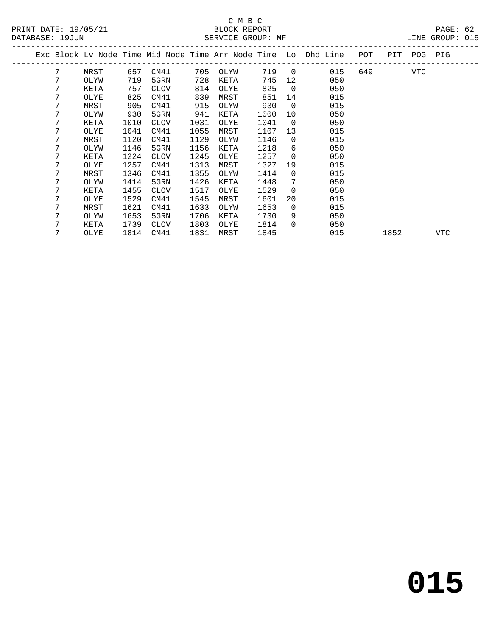|  |   |      |      |             |      |             |      |                | Exc Block Lv Node Time Mid Node Time Arr Node Time Lo Dhd Line | POT | PIT  | POG | PIG |
|--|---|------|------|-------------|------|-------------|------|----------------|----------------------------------------------------------------|-----|------|-----|-----|
|  | 7 | MRST | 657  | CM41        | 705  | OLYW        | 719  | $\overline{0}$ | 015                                                            | 649 |      | VTC |     |
|  | 7 | OLYW | 719  | 5GRN        | 728  | KETA        | 745  | 12             | 050                                                            |     |      |     |     |
|  | 7 | KETA | 757  | <b>CLOV</b> | 814  | OLYE        | 825  | $\Omega$       | 050                                                            |     |      |     |     |
|  | 7 | OLYE | 825  | CM41        | 839  | MRST        | 851  | 14             | 015                                                            |     |      |     |     |
|  | 7 | MRST | 905  | CM41        | 915  | OLYW        | 930  | $\overline{0}$ | 015                                                            |     |      |     |     |
|  | 7 | OLYW | 930  | 5GRN        | 941  | KETA        | 1000 | 10             | 050                                                            |     |      |     |     |
|  | 7 | KETA | 1010 | CLOV        | 1031 | OLYE        | 1041 | $\overline{0}$ | 050                                                            |     |      |     |     |
|  | 7 | OLYE | 1041 | CM41        | 1055 | MRST        | 1107 | 13             | 015                                                            |     |      |     |     |
|  | 7 | MRST | 1120 | CM41        | 1129 | OLYW        | 1146 | $\Omega$       | 015                                                            |     |      |     |     |
|  | 7 | OLYW | 1146 | 5GRN        | 1156 | <b>KETA</b> | 1218 | 6              | 050                                                            |     |      |     |     |
|  | 7 | KETA | 1224 | <b>CLOV</b> | 1245 | OLYE        | 1257 | 0              | 050                                                            |     |      |     |     |
|  | 7 | OLYE | 1257 | CM41        | 1313 | MRST        | 1327 | 19             | 015                                                            |     |      |     |     |
|  | 7 | MRST | 1346 | CM41        | 1355 | OLYW        | 1414 | 0              | 015                                                            |     |      |     |     |
|  | 7 | OLYW | 1414 | 5GRN        | 1426 | KETA        | 1448 | 7              | 050                                                            |     |      |     |     |
|  | 7 | KETA | 1455 | <b>CLOV</b> | 1517 | OLYE        | 1529 | $\overline{0}$ | 050                                                            |     |      |     |     |
|  | 7 | OLYE | 1529 | CM41        | 1545 | MRST        | 1601 | 20             | 015                                                            |     |      |     |     |
|  | 7 | MRST | 1621 | CM41        | 1633 | OLYW        | 1653 | $\Omega$       | 015                                                            |     |      |     |     |
|  | 7 | OLYW | 1653 | 5GRN        | 1706 | KETA        | 1730 | 9              | 050                                                            |     |      |     |     |
|  | 7 | KETA | 1739 | <b>CLOV</b> | 1803 | OLYE        | 1814 | $\mathbf 0$    | 050                                                            |     |      |     |     |
|  | 7 | OLYE | 1814 | CM41        | 1831 | MRST        | 1845 |                | 015                                                            |     | 1852 |     | VTC |
|  |   |      |      |             |      |             |      |                |                                                                |     |      |     |     |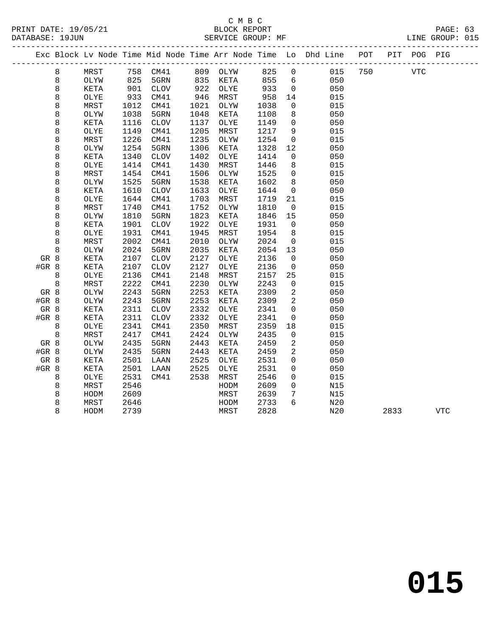|         |         |      |      |             |      |          |      |                | Exc Block Lv Node Time Mid Node Time Arr Node Time Lo Dhd Line POT |     |      | PIT POG PIG |            |
|---------|---------|------|------|-------------|------|----------|------|----------------|--------------------------------------------------------------------|-----|------|-------------|------------|
|         | 8       | MRST |      | 758 CM41    |      | 809 OLYW | 825  | $\mathbf 0$    | 015                                                                | 750 |      | <b>VTC</b>  |            |
|         | $\,8\,$ | OLYW | 825  | 5GRN        | 835  | KETA     | 855  | 6              | 050                                                                |     |      |             |            |
|         | 8       | KETA | 901  | <b>CLOV</b> | 922  | OLYE     | 933  | $\overline{0}$ | 050                                                                |     |      |             |            |
|         | 8       | OLYE | 933  | CM41        | 946  | MRST     | 958  | 14             | 015                                                                |     |      |             |            |
|         | 8       | MRST | 1012 | CM41        | 1021 | OLYW     | 1038 | 0              | 015                                                                |     |      |             |            |
|         | 8       | OLYW | 1038 | 5GRN        | 1048 | KETA     | 1108 | 8              | 050                                                                |     |      |             |            |
|         | 8       | KETA | 1116 | <b>CLOV</b> | 1137 | OLYE     | 1149 | $\mathbf 0$    | 050                                                                |     |      |             |            |
|         | 8       | OLYE | 1149 | CM41        | 1205 | MRST     | 1217 | 9              | 015                                                                |     |      |             |            |
|         | 8       | MRST | 1226 | CM41        | 1235 | OLYW     | 1254 | 0              | 015                                                                |     |      |             |            |
|         | 8       | OLYW | 1254 | 5GRN        | 1306 | KETA     | 1328 | 12             | 050                                                                |     |      |             |            |
|         | 8       | KETA | 1340 | <b>CLOV</b> | 1402 | OLYE     | 1414 | 0              | 050                                                                |     |      |             |            |
|         | 8       | OLYE | 1414 | CM41        | 1430 | MRST     | 1446 | 8              | 015                                                                |     |      |             |            |
|         | 8       | MRST | 1454 | CM41        | 1506 | OLYW     | 1525 | $\mathbf 0$    | 015                                                                |     |      |             |            |
|         | 8       | OLYW | 1525 | 5GRN        | 1538 | KETA     | 1602 | 8              | 050                                                                |     |      |             |            |
|         | 8       | KETA | 1610 | <b>CLOV</b> | 1633 | OLYE     | 1644 | 0              | 050                                                                |     |      |             |            |
|         | 8       | OLYE | 1644 | CM41        | 1703 | MRST     | 1719 | 21             | 015                                                                |     |      |             |            |
|         | 8       | MRST | 1740 | CM41        | 1752 | OLYW     | 1810 | $\mathbf 0$    | 015                                                                |     |      |             |            |
|         | 8       | OLYW | 1810 | 5GRN        | 1823 | KETA     | 1846 | 15             | 050                                                                |     |      |             |            |
|         | 8       | KETA | 1901 | <b>CLOV</b> | 1922 | OLYE     | 1931 | $\overline{0}$ | 050                                                                |     |      |             |            |
|         | 8       | OLYE | 1931 | CM41        | 1945 | MRST     | 1954 | 8              | 015                                                                |     |      |             |            |
|         | 8       | MRST | 2002 | CM41        | 2010 | OLYW     | 2024 | $\mathbf 0$    | 015                                                                |     |      |             |            |
|         | 8       | OLYW | 2024 | 5GRN        | 2035 | KETA     | 2054 | 13             | 050                                                                |     |      |             |            |
| GR 8    |         | KETA | 2107 | <b>CLOV</b> | 2127 | OLYE     | 2136 | $\mathbf 0$    | 050                                                                |     |      |             |            |
| $#GR$ 8 |         | KETA | 2107 | <b>CLOV</b> | 2127 | OLYE     | 2136 | 0              | 050                                                                |     |      |             |            |
|         | 8       | OLYE | 2136 | CM41        | 2148 | MRST     | 2157 | 25             | 015                                                                |     |      |             |            |
|         | 8       | MRST | 2222 | CM41        | 2230 | OLYW     | 2243 | $\mathbf 0$    | 015                                                                |     |      |             |            |
| GR 8    |         | OLYW | 2243 | 5GRN        | 2253 | KETA     | 2309 | 2              | 050                                                                |     |      |             |            |
| #GR 8   |         | OLYW | 2243 | 5GRN        | 2253 | KETA     | 2309 | 2              | 050                                                                |     |      |             |            |
| GR 8    |         | KETA | 2311 | <b>CLOV</b> | 2332 | OLYE     | 2341 | $\mathbf 0$    | 050                                                                |     |      |             |            |
| #GR 8   |         | KETA | 2311 | <b>CLOV</b> | 2332 | OLYE     | 2341 | $\mathbf 0$    | 050                                                                |     |      |             |            |
|         | 8       | OLYE | 2341 | CM41        | 2350 | MRST     | 2359 | 18             | 015                                                                |     |      |             |            |
|         | $\,8\,$ | MRST | 2417 | CM41        | 2424 | OLYW     | 2435 | 0              | 015                                                                |     |      |             |            |
| GR 8    |         | OLYW | 2435 | 5GRN        | 2443 | KETA     | 2459 | 2              | 050                                                                |     |      |             |            |
| #GR 8   |         | OLYW | 2435 | 5GRN        | 2443 | KETA     | 2459 | 2              | 050                                                                |     |      |             |            |
| GR 8    |         | KETA | 2501 | LAAN        | 2525 | OLYE     | 2531 | 0              | 050                                                                |     |      |             |            |
| #GR 8   |         | KETA | 2501 | LAAN        | 2525 | OLYE     | 2531 | 0              | 050                                                                |     |      |             |            |
|         | 8       | OLYE | 2531 | CM41        | 2538 | MRST     | 2546 | $\mathbf 0$    | 015                                                                |     |      |             |            |
|         | 8       | MRST | 2546 |             |      | HODM     | 2609 | $\mathbf 0$    | N15                                                                |     |      |             |            |
|         | 8       | HODM | 2609 |             |      | MRST     | 2639 | 7              | N15                                                                |     |      |             |            |
|         | 8       | MRST | 2646 |             |      | HODM     | 2733 | 6              | N20                                                                |     |      |             |            |
|         | 8       | HODM | 2739 |             |      | MRST     | 2828 |                | N20                                                                |     | 2833 |             | <b>VTC</b> |
|         |         |      |      |             |      |          |      |                |                                                                    |     |      |             |            |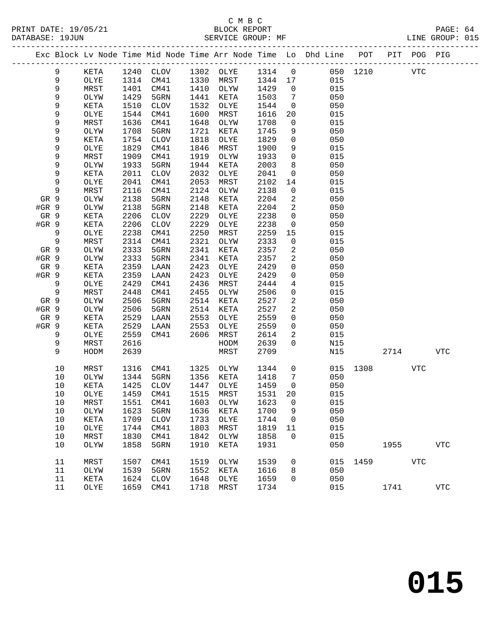|       |             |      |      |                            |      |                  |         |                 | Exc Block Lv Node Time Mid Node Time Arr Node Time Lo Dhd Line POT PIT POG PIG |          |            |     |            |
|-------|-------------|------|------|----------------------------|------|------------------|---------|-----------------|--------------------------------------------------------------------------------|----------|------------|-----|------------|
|       | 9           | KETA |      | 1240 CLOV 1302 OLYE 1314 0 |      |                  |         |                 | 050 1210                                                                       |          | <b>VTC</b> |     |            |
|       | $\mathsf 9$ | OLYE | 1314 | CM41                       |      | 1330 MRST        | 1344 17 |                 | 015                                                                            |          |            |     |            |
|       | 9           | MRST | 1401 | CM41                       |      | 1410 OLYW        | 1429    | $\overline{0}$  | 015                                                                            |          |            |     |            |
|       | 9           | OLYW | 1429 | 5GRN                       | 1441 | KETA             | 1503    | $\overline{7}$  | 050                                                                            |          |            |     |            |
|       | 9           | KETA | 1510 | CLOV                       | 1532 | OLYE             | 1544    | $\overline{0}$  | 050                                                                            |          |            |     |            |
|       | 9           | OLYE | 1544 | CM41                       | 1600 | MRST             | 1616    | 20              | 015                                                                            |          |            |     |            |
|       | 9           | MRST | 1636 | CM41                       | 1648 | OLYW             | 1708    | $\mathbf 0$     | 015                                                                            |          |            |     |            |
|       | 9           | OLYW | 1708 | 5GRN                       | 1721 | KETA             | 1745    | 9               | 050                                                                            |          |            |     |            |
|       | 9           | KETA | 1754 | CLOV                       | 1818 | OLYE             | 1829    | $\mathsf{O}$    | 050                                                                            |          |            |     |            |
|       | 9           | OLYE | 1829 | CM41                       | 1846 | MRST             | 1900    | 9               | 015                                                                            |          |            |     |            |
|       | 9           | MRST | 1909 | CM41                       | 1919 | OLYW             | 1933    | $\overline{0}$  | 015                                                                            |          |            |     |            |
|       | 9           | OLYW | 1933 | 5GRN                       | 1944 | KETA             | 2003    | 8               | 050                                                                            |          |            |     |            |
|       | 9           | KETA | 2011 | CLOV                       | 2032 | OLYE             | 2041    | $\overline{0}$  | 050                                                                            |          |            |     |            |
|       | $\mathsf 9$ | OLYE | 2041 | CM41                       | 2053 | MRST             | 2102    | 14              | 015                                                                            |          |            |     |            |
|       | 9           | MRST | 2116 | CM41                       | 2124 | OLYW             | 2138    | $\overline{0}$  | 015                                                                            |          |            |     |            |
| GR 9  |             | OLYW | 2138 | 5GRN                       | 2148 | KETA             | 2204    | $\overline{a}$  | 050                                                                            |          |            |     |            |
| #GR 9 |             | OLYW | 2138 | 5GRN                       | 2148 | KETA             | 2204    | $\overline{a}$  | 050                                                                            |          |            |     |            |
| GR 9  |             | KETA | 2206 | CLOV                       | 2229 | OLYE             | 2238    | $\overline{0}$  | 050                                                                            |          |            |     |            |
| #GR 9 |             | KETA | 2206 | CLOV                       | 2229 | OLYE             | 2238    | $\mathbf{0}$    | 050                                                                            |          |            |     |            |
|       | 9           | OLYE | 2238 | CM41                       | 2250 | MRST             | 2259    | 15              | 015                                                                            |          |            |     |            |
|       | $\,9$       | MRST | 2314 | CM41                       | 2321 | OLYW             | 2333    | 0               | 015                                                                            |          |            |     |            |
| GR 9  |             | OLYW | 2333 | 5GRN                       | 2341 | KETA             | 2357    | $\overline{a}$  | 050                                                                            |          |            |     |            |
| #GR 9 |             | OLYW | 2333 | 5GRN                       | 2341 | KETA             | 2357    | $\overline{2}$  | 050                                                                            |          |            |     |            |
| GR 9  |             | KETA | 2359 | LAAN                       | 2423 | OLYE             | 2429    | 0               | 050                                                                            |          |            |     |            |
| #GR 9 |             | KETA | 2359 | LAAN                       | 2423 | OLYE             | 2429    | 0               | 050                                                                            |          |            |     |            |
|       | 9           | OLYE | 2429 | CM41                       | 2436 | MRST             | 2444    | $\overline{4}$  | 015                                                                            |          |            |     |            |
|       | $\,9$       | MRST | 2448 | CM41                       | 2455 | OLYW             | 2506    | 0               | 015                                                                            |          |            |     |            |
| GR 9  |             | OLYW | 2506 | 5GRN                       | 2514 | KETA             | 2527    | $\overline{a}$  | 050                                                                            |          |            |     |            |
| #GR 9 |             | OLYW | 2506 | 5GRN                       | 2514 | KETA             | 2527    | 2               | 050                                                                            |          |            |     |            |
| GR 9  |             | KETA | 2529 | LAAN                       | 2553 | OLYE             | 2559    | 0               | 050                                                                            |          |            |     |            |
| #GR 9 |             | KETA | 2529 | LAAN                       | 2553 | OLYE             | 2559    | $\overline{0}$  | 050                                                                            |          |            |     |            |
|       | 9           | OLYE | 2559 | CM41                       | 2606 | MRST             | 2614    | $\overline{a}$  | 015                                                                            |          |            |     |            |
|       | 9           | MRST | 2616 |                            |      | HODM             | 2639    | $\overline{0}$  | N15                                                                            |          |            |     |            |
|       | 9           | HODM | 2639 |                            |      | MRST             | 2709    |                 | N15                                                                            |          | 2714       |     | VTC        |
|       | 10          | MRST | 1316 | CM41                       | 1325 | OLYW             | 1344    | $\overline{0}$  |                                                                                | 015 1308 |            | VTC |            |
|       | 10          | OLYW | 1344 | 5GRN                       | 1356 | KETA             | 1418    | $7\phantom{.0}$ | 050                                                                            |          |            |     |            |
|       | 10          | KETA | 1425 | CLOV                       | 1447 | OLYE             | 1459    | $\overline{0}$  | 050                                                                            |          |            |     |            |
|       | 10          | OLYE | 1459 | CM41                       |      | 1515 MRST        | 1531    | 20              | 015                                                                            |          |            |     |            |
|       | 10          | MRST |      | 1551 CM41                  |      | 1603 OLYW 1623 0 |         |                 | 015                                                                            |          |            |     |            |
|       | 10          | OLYW | 1623 | 5GRN                       | 1636 | KETA             | 1700    | 9               | 050                                                                            |          |            |     |            |
|       | 10          | KETA | 1709 | CLOV                       | 1733 | OLYE             | 1744    | $\overline{0}$  | 050                                                                            |          |            |     |            |
|       | 10          | OLYE | 1744 | CM41                       | 1803 | MRST             | 1819    | 11              | 015                                                                            |          |            |     |            |
|       | 10          | MRST | 1830 | CM41                       | 1842 | OLYW             | 1858    | 0               | 015                                                                            |          |            |     |            |
|       | 10          | OLYW | 1858 | 5GRN                       | 1910 | KETA             | 1931    |                 | 050                                                                            |          | 1955       |     | <b>VTC</b> |
|       | 11          | MRST | 1507 | CM41                       | 1519 | OLYW             | 1539    | 0               | 015                                                                            | 1459     |            | VTC |            |
|       | 11          | OLYW | 1539 | 5GRN                       | 1552 | KETA             | 1616    | 8               | 050                                                                            |          |            |     |            |
|       | 11          | KETA | 1624 | CLOV                       | 1648 | OLYE             | 1659    | 0               | 050                                                                            |          |            |     |            |
|       | 11          | OLYE | 1659 | CM41                       | 1718 | MRST             | 1734    |                 | 015                                                                            |          | 1741       |     | <b>VTC</b> |
|       |             |      |      |                            |      |                  |         |                 |                                                                                |          |            |     |            |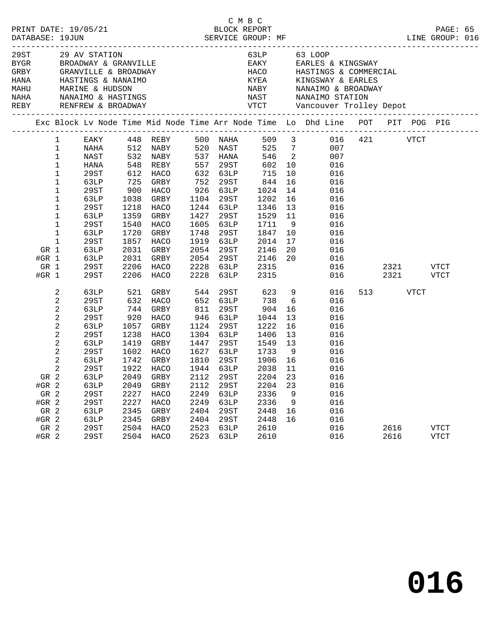| 29ST<br>BYGR<br>GRBY<br>HANA<br>MAHU<br>NAHA |                                                                        |                                                                                                                                                              | 29 AV STATION<br>GRANVILLE & BROADW <i>I</i><br>HASTINGS & NANAIMO<br>MARINE & HUDSON<br>NANAIMO & HASTINGS                                  |                                                                                                                                          | BROADWAY & GRANVILLE<br>GRANVILLE & BROADWAY<br>HASTINGS & NANAIMO<br>MARINE & HUDSON<br>NANAIMO & HASTINGS                                         |                                                                                                                                          |                                                                                                                                              | 63LP | EAKY<br>HACO<br>HACO<br><sup>WVFA</sup><br>NAST                                                                                           |                                                                                                                                               | 63 LOOP<br>EARLES & KINGSWAY<br>HASTINGS & COMMERCIAL<br>KINGSWAY & EARLES<br>NABY NANAIMO & BROADI<br>NAST NANAIMO STATION<br>NANAIMO & BROADWAY |         |              |             |                     |  |
|----------------------------------------------|------------------------------------------------------------------------|--------------------------------------------------------------------------------------------------------------------------------------------------------------|----------------------------------------------------------------------------------------------------------------------------------------------|------------------------------------------------------------------------------------------------------------------------------------------|-----------------------------------------------------------------------------------------------------------------------------------------------------|------------------------------------------------------------------------------------------------------------------------------------------|----------------------------------------------------------------------------------------------------------------------------------------------|------|-------------------------------------------------------------------------------------------------------------------------------------------|-----------------------------------------------------------------------------------------------------------------------------------------------|---------------------------------------------------------------------------------------------------------------------------------------------------|---------|--------------|-------------|---------------------|--|
|                                              |                                                                        |                                                                                                                                                              |                                                                                                                                              |                                                                                                                                          |                                                                                                                                                     |                                                                                                                                          |                                                                                                                                              |      |                                                                                                                                           |                                                                                                                                               | Exc Block Lv Node Time Mid Node Time Arr Node Time Lo Dhd Line POT                                                                                |         |              |             | PIT POG PIG         |  |
|                                              | GR 1<br>#GR $1$<br>GR 1                                                | $\mathbf{1}$<br>1<br>$1\,$<br>$\mathbf 1$<br>1<br>$\mathbf 1$<br>$\mathbf 1$<br>1<br>$\mathbf 1$<br>$\mathbf 1$<br>$\mathbf 1$<br>$\mathbf 1$<br>$\mathbf 1$ | EAKY<br>NAHA<br>NAST<br>HANA<br>29ST<br>63LP<br>29ST<br>63LP<br>29ST<br>63LP<br>29ST<br>63LP<br>29ST<br>63LP<br>63LP<br>29ST                 | 532<br>548<br>612<br>725<br>900<br>1038<br>1218<br>1359<br>1540<br>1720<br>1857<br>2031<br>2031<br>2206                                  | 448 REBY<br>512 NABY<br>NABY<br>REBY<br>HACO<br>GRBY<br>HACO<br>GRBY<br>HACO<br>GRBY<br>HACO<br>GRBY<br>HACO<br>GRBY<br>GRBY<br>HACO                | 557<br>752<br>926<br>1104<br>1244<br>1427<br>1605<br>1748<br>1919<br>2054<br>2054<br>2228                                                | 500 NAHA<br>520 NAST<br>537 HANA<br>29ST<br>632 63LP<br>29ST<br>63LP<br>29ST<br>63LP<br>29ST<br>63LP<br>29ST<br>63LP<br>29ST<br>29ST<br>63LP |      | 509<br>525<br>546<br>602<br>715<br>844<br>1024<br>1202<br>1346<br>1529<br>1711<br>1847<br>2014<br>2146<br>2146<br>2315                    | $\overline{\mathbf{3}}$<br>$7\overline{ }$<br>$\overline{\phantom{a}}$<br>10<br>10<br>16<br>14<br>16<br>13<br>11<br>9<br>10<br>17<br>20<br>20 | 007<br>007<br>016<br>016<br>016<br>016<br>016<br>016<br>016<br>016<br>016<br>016<br>016<br>016<br>016                                             | 016 421 | 2321         | <b>VTCT</b> | <b>VTCT</b>         |  |
|                                              | #GR $1$<br>GR 2<br>#GR 2<br>GR 2<br>$#GR$ 2<br>GR 2<br>$#GR$ 2<br>GR 2 | 2<br>2<br>$\sqrt{2}$<br>2<br>$\sqrt{2}$<br>$\sqrt{2}$<br>$\sqrt{2}$<br>2<br>2<br>2                                                                           | 29ST<br>63LP<br>29ST<br>63LP<br>29ST<br>63LP<br>29ST<br>63LP<br>29ST<br>63LP<br>29ST<br>63LP<br>63LP<br>29ST<br>29ST<br>63LP<br>63LP<br>29ST | 2206<br>521<br>632<br>744<br>920<br>1057<br>1238<br>1419<br>1602<br>1742<br>1922<br>2049<br>2049<br>2227<br>2227<br>2345<br>2345<br>2504 | HACO<br>GRBY<br>HACO<br>GRBY<br>HACO<br>GRBY<br>HACO<br>GRBY<br>HACO<br>GRBY<br><b>HACO</b><br>GRBY<br>GRBY<br>HACO<br>HACO<br>GRBY<br>GRBY<br>HACO | 2228<br>544<br>652<br>811<br>946<br>1124<br>1304<br>1447<br>1627<br>1810<br>1944<br>2112<br>2112<br>2249<br>2249<br>2404<br>2404<br>2523 | 63LP<br>29ST<br>63LP<br>29ST<br>63LP<br>29ST<br>63LP<br>29ST<br>63LP<br>29ST<br>63LP<br>29ST<br>29ST<br>63LP<br>63LP<br>29ST<br>29ST<br>63LP |      | 2315<br>623<br>738<br>904<br>1044<br>1222<br>1406<br>1549<br>1733<br>1906<br>2038<br>2204<br>2204<br>2336<br>2336<br>2448<br>2448<br>2610 | 9<br>6<br>16<br>13<br>16<br>13<br>13<br>- 9<br>16<br>11<br>23<br>23<br>9<br>9<br>16<br>16                                                     | 016<br>016<br>016<br>016<br>016<br>016<br>016<br>016<br>016<br>016<br>016<br>016<br>016<br>016<br>016<br>016<br>016<br>016                        | 513     | 2321<br>2616 | VTCT        | VTCT<br><b>VTCT</b> |  |
|                                              | $#GR$ 2                                                                |                                                                                                                                                              | 29ST                                                                                                                                         | 2504                                                                                                                                     | HACO                                                                                                                                                | 2523                                                                                                                                     | 63LP                                                                                                                                         |      | 2610                                                                                                                                      |                                                                                                                                               | 016                                                                                                                                               |         | 2616         |             | <b>VTCT</b>         |  |

**016**

C M B C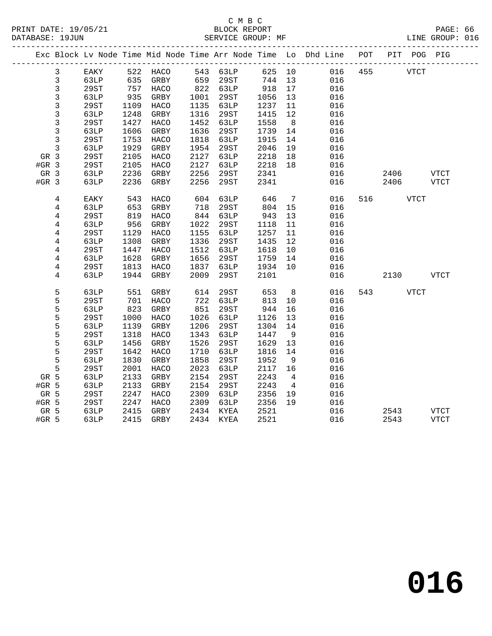# C M B C<br>BLOCK REPORT SERVICE GROUP: MF

|         |                |      |      |                   |      |           |        |                | Exc Block Lv Node Time Mid Node Time Arr Node Time Lo Dhd Line POT<br>.cooperate at a construction of the construction of the construction of the construction of the construction o |         |             |      | PIT POG PIG |
|---------|----------------|------|------|-------------------|------|-----------|--------|----------------|--------------------------------------------------------------------------------------------------------------------------------------------------------------------------------------|---------|-------------|------|-------------|
|         | $\mathbf{3}$   | EAKY |      | 522 HACO 543 63LP |      |           |        |                | 625 10                                                                                                                                                                               | 016 455 | <b>VTCT</b> |      |             |
|         | $\mathbf{3}$   | 63LP | 635  | GRBY              | 659  | 29ST      | 744 13 |                | 016                                                                                                                                                                                  |         |             |      |             |
|         | $\mathbf{3}$   | 29ST | 757  | HACO              |      | 822 63LP  | 918    | 17             | 016                                                                                                                                                                                  |         |             |      |             |
|         | $\mathsf{3}$   | 63LP | 935  | GRBY              | 1001 | 29ST      | 1056   | 13             | 016                                                                                                                                                                                  |         |             |      |             |
|         | 3              | 29ST | 1109 | HACO              | 1135 | 63LP      | 1237   | 11             | 016                                                                                                                                                                                  |         |             |      |             |
|         | 3              | 63LP | 1248 | GRBY              | 1316 | 29ST      | 1415   | 12             | 016                                                                                                                                                                                  |         |             |      |             |
|         | 3              | 29ST | 1427 | HACO              | 1452 | 63LP      | 1558   | 8 <sup>8</sup> | 016                                                                                                                                                                                  |         |             |      |             |
|         | $\mathsf{3}$   | 63LP | 1606 | GRBY              | 1636 | 29ST      | 1739   | 14             | 016                                                                                                                                                                                  |         |             |      |             |
|         | $\mathbf{3}$   | 29ST | 1753 | HACO              | 1818 | 63LP      | 1915   | 14             | 016                                                                                                                                                                                  |         |             |      |             |
|         | $\mathbf{3}$   | 63LP | 1929 | GRBY              | 1954 | 29ST      | 2046   | 19             | 016                                                                                                                                                                                  |         |             |      |             |
| GR 3    |                | 29ST | 2105 | HACO              | 2127 | 63LP      | 2218   | 18             | 016                                                                                                                                                                                  |         |             |      |             |
| $#GR$ 3 |                | 29ST | 2105 | HACO              | 2127 | 63LP      | 2218   | 18             | 016                                                                                                                                                                                  |         |             |      |             |
| GR 3    |                | 63LP | 2236 | GRBY              | 2256 | 29ST      | 2341   |                | 016                                                                                                                                                                                  |         | 2406        |      | VTCT        |
| $#GR$ 3 |                | 63LP | 2236 | GRBY              | 2256 | 29ST      | 2341   |                | 016                                                                                                                                                                                  |         | 2406        |      | <b>VTCT</b> |
|         | 4              | EAKY | 543  | HACO              | 604  | 63LP      | 646    | $\overline{7}$ | 016                                                                                                                                                                                  |         | 516 — 10    | VTCT |             |
|         | 4              | 63LP | 653  | GRBY              | 718  | 29ST      | 804    | 15             | 016                                                                                                                                                                                  |         |             |      |             |
|         | $\overline{4}$ | 29ST | 819  | HACO              | 844  | 63LP      | 943    | 13             | 016                                                                                                                                                                                  |         |             |      |             |
|         | 4              | 63LP | 956  | GRBY              | 1022 | 29ST      | 1118   | 11             | 016                                                                                                                                                                                  |         |             |      |             |
|         | 4              | 29ST | 1129 | HACO              | 1155 | 63LP      | 1257   | 11             | 016                                                                                                                                                                                  |         |             |      |             |
|         | $\overline{4}$ | 63LP | 1308 | GRBY              | 1336 | 29ST      | 1435   | 12             | 016                                                                                                                                                                                  |         |             |      |             |
|         | 4              | 29ST | 1447 | HACO              | 1512 | 63LP      | 1618   | 10             | 016                                                                                                                                                                                  |         |             |      |             |
|         | 4              | 63LP | 1628 | GRBY              | 1656 | 29ST      | 1759   | 14             | 016                                                                                                                                                                                  |         |             |      |             |
|         | 4              | 29ST | 1813 | HACO              | 1837 | 63LP      | 1934   | 10             | 016                                                                                                                                                                                  |         |             |      |             |
|         | 4              | 63LP | 1944 | GRBY              | 2009 | 29ST      | 2101   |                | 016                                                                                                                                                                                  |         | 2130 VTCT   |      |             |
|         | 5              | 63LP | 551  | GRBY              | 614  | 29ST      | 653    | 8 <sup>8</sup> | 016                                                                                                                                                                                  |         | 543 VTCT    |      |             |
|         | 5              | 29ST | 701  | HACO              | 722  | 63LP      | 813    | 10             | 016                                                                                                                                                                                  |         |             |      |             |
|         | 5              | 63LP | 823  | GRBY              | 851  | 29ST      | 944    | 16             | 016                                                                                                                                                                                  |         |             |      |             |
|         | 5              | 29ST | 1000 | HACO              | 1026 | 63LP      | 1126   | 13             | 016                                                                                                                                                                                  |         |             |      |             |
|         | 5              | 63LP | 1139 | GRBY              | 1206 | 29ST      | 1304   | 14             | 016                                                                                                                                                                                  |         |             |      |             |
|         | 5              | 29ST | 1318 | HACO              | 1343 | 63LP      | 1447   | - 9            | 016                                                                                                                                                                                  |         |             |      |             |
|         | 5              | 63LP | 1456 | GRBY              | 1526 | 29ST      | 1629   | 13             | 016                                                                                                                                                                                  |         |             |      |             |
|         | 5              | 29ST | 1642 | HACO              | 1710 | 63LP      | 1816   | 14             | 016                                                                                                                                                                                  |         |             |      |             |
|         | 5              | 63LP | 1830 | GRBY              | 1858 | 29ST      | 1952   | 9              | 016                                                                                                                                                                                  |         |             |      |             |
|         | 5              | 29ST | 2001 | HACO              | 2023 | 63LP      | 2117   | 16             | 016                                                                                                                                                                                  |         |             |      |             |
| GR 5    |                | 63LP | 2133 | GRBY              | 2154 | 29ST      | 2243   | $\overline{4}$ | 016                                                                                                                                                                                  |         |             |      |             |
| #GR 5   |                | 63LP | 2133 | GRBY              | 2154 | 29ST      | 2243   | $\overline{4}$ | 016                                                                                                                                                                                  |         |             |      |             |
| GR 5    |                | 29ST | 2247 | HACO              | 2309 | 63LP      | 2356   | 19             | 016                                                                                                                                                                                  |         |             |      |             |
| $#GR$ 5 |                | 29ST | 2247 | HACO              | 2309 | 63LP      | 2356   | 19             | 016                                                                                                                                                                                  |         |             |      |             |
| GR 5    |                | 63LP | 2415 | GRBY              |      | 2434 KYEA | 2521   |                | 016                                                                                                                                                                                  |         | 2543        |      | VTCT        |
| #GR 5   |                | 63LP |      | 2415 GRBY         |      | 2434 KYEA | 2521   |                | 016                                                                                                                                                                                  |         | 2543        |      | VTCT        |

**016**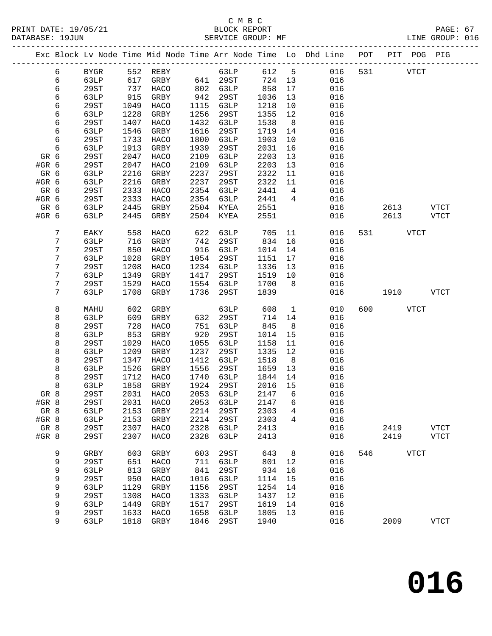# C M B C

|                 |                |                     |              |              |              | ب سیر ب      |              |                 | PRINT DATE: 19/05/21<br>BLOCK REPORT BLOCK PERES BOOT PAGE: 67<br>SERVICE GROUP: MF SERVICE GROUP: MF LINE GROUP: 016 |     |             |             |             |  |
|-----------------|----------------|---------------------|--------------|--------------|--------------|--------------|--------------|-----------------|-----------------------------------------------------------------------------------------------------------------------|-----|-------------|-------------|-------------|--|
| --------------- |                |                     |              |              |              |              |              |                 | Exc Block Lv Node Time Mid Node Time Arr Node Time Lo Dhd Line POT PIT POG PIG                                        |     |             |             |             |  |
|                 | 6              | BYGR                |              | 552 REBY     |              | 63LP         |              |                 | 612 5 016                                                                                                             |     | 531 000     | VTCT        |             |  |
|                 | 6              | 63LP                |              |              |              |              |              |                 | $\begin{array}{cccc} 724 & 13 & & 016 \\ 858 & 17 & & 016 \\ 1036 & 13 & & 016 \end{array}$                           |     |             |             |             |  |
|                 | 6              | 29ST                |              |              |              |              |              |                 |                                                                                                                       |     |             |             |             |  |
|                 | б              | 63LP                |              |              | 942          |              | 1036         | 13              | 016                                                                                                                   |     |             |             |             |  |
|                 | б              | 29ST                | 1049         | HACO         | 1115         | 63LP         | 1218         | 10              | 016                                                                                                                   |     |             |             |             |  |
|                 | б              | 63LP                | 1228         | GRBY         | 1256         | 29ST         | 1355         | 12              | 016                                                                                                                   |     |             |             |             |  |
|                 | 6              | 29ST                | 1407         | HACO         | 1432         | 63LP         | 1538         | 8 <sup>8</sup>  | 016                                                                                                                   |     |             |             |             |  |
|                 | 6              | 63LP                | 1546         | GRBY         | 1616         | 29ST         | 1719         | 14              | 016                                                                                                                   |     |             |             |             |  |
|                 | 6              | 29ST                | 1733         | HACO         | 1800         | 63LP         | 1903         | 10              | 016                                                                                                                   |     |             |             |             |  |
|                 | 6              | 63LP                | 1913         | GRBY         | 1939         | 29ST         | 2031         | 16              | 016                                                                                                                   |     |             |             |             |  |
| GR 6            |                | 29ST                | 2047         | HACO         | 2109         | 63LP         | 2203         | 13              | 016                                                                                                                   |     |             |             |             |  |
| #GR 6           |                | 29ST                | 2047         | HACO         | 2109         | 63LP         | 2203         | 13              | 016                                                                                                                   |     |             |             |             |  |
| GR 6            |                | 63LP                | 2216         | GRBY         | 2237         | 29ST         | 2322         | 11              | 016                                                                                                                   |     |             |             |             |  |
| #GR 6           |                | 63LP                | 2216         | GRBY         | 2237         | 29ST         | 2322         | 11              | 016                                                                                                                   |     |             |             |             |  |
| GR 6            |                | 29ST                | 2333         | HACO         | 2354         | 63LP         | 2441         | $4\overline{4}$ | 016                                                                                                                   |     |             |             |             |  |
| #GR 6           |                | 29ST                | 2333         | HACO         | 2354         | 63LP         | 2441         | $4\overline{4}$ | 016                                                                                                                   |     |             |             |             |  |
| GR 6            |                | 63LP                | 2445         | GRBY         |              | 2504 KYEA    | 2551         |                 | 016                                                                                                                   |     | 2613 VTCT   |             |             |  |
| #GR 6           |                | 63LP                | 2445         | GRBY         | 2504         | KYEA         | 2551         |                 | 016                                                                                                                   |     | 2613 VTCT   |             |             |  |
|                 | 7              | EAKY                | 558          | HACO         | 622          | 63LP         | 705          |                 | 11<br>016                                                                                                             |     | 531 VTCT    |             |             |  |
|                 | $\overline{7}$ | 63LP                | 716          | GRBY         | 742          | 29ST         | 834          | 16              | 016                                                                                                                   |     |             |             |             |  |
|                 | 7              | 29ST                | 850          | HACO         | 916          | 63LP         | 1014         | 14              | 016                                                                                                                   |     |             |             |             |  |
|                 | 7              | 63LP                | 1028         | GRBY         | 1054         | 29ST         | 1151         | 17              | 016                                                                                                                   |     |             |             |             |  |
|                 | 7              | 29ST                | 1208         | HACO         |              | 1234 63LP    | 1336         | 13              | 016                                                                                                                   |     |             |             |             |  |
|                 | 7              | 63LP                | 1349         | GRBY         | 1417         | 29ST         | 1519         | 10              | 016                                                                                                                   |     |             |             |             |  |
|                 | 7              | 29ST                | 1529         | HACO         | 1554         | 63LP         | 1700         | 8 <sup>8</sup>  | 016                                                                                                                   |     |             |             |             |  |
|                 | 7              | 63LP                | 1708         | GRBY         | 1736         | 29ST         | 1839         |                 | 016                                                                                                                   |     | 1910 VTCT   |             |             |  |
|                 | 8              | MAHU                | 602          | GRBY         |              | 63LP         | 608          | $\overline{1}$  | 010                                                                                                                   | 600 | <b>VTCT</b> |             |             |  |
|                 | 8              | 63LP                | 609          | GRBY         | 632          | 29ST         | 714          | 14              | 016                                                                                                                   |     |             |             |             |  |
|                 | 8              | 29ST                | 728          | HACO         | 751          | 63LP         | 845          | 8               | 016                                                                                                                   |     |             |             |             |  |
|                 | 8              | 63LP                | 853          | GRBY         | 920          | 29ST         | 1014         | 15              | 016                                                                                                                   |     |             |             |             |  |
|                 | 8              | 29ST                | 1029         | HACO         | 1055         | 63LP         | 1158         | 11              | 016                                                                                                                   |     |             |             |             |  |
|                 | 8              | 63LP                | 1209         | GRBY         | 1237         | 29ST         | 1335         | 12              | 016                                                                                                                   |     |             |             |             |  |
|                 | 8              | 29ST                | 1347         | HACO         | 1412         | 63LP         | 1518         | 8 <sup>8</sup>  | 016                                                                                                                   |     |             |             |             |  |
|                 | 8              | 63LP                | 1526         | GRBY         | 1556         | 29ST         | 1659 13      |                 | 016                                                                                                                   |     |             |             |             |  |
|                 | 8              | 29ST                |              | 1712 HACO    |              | 1740 63LP    | 1844 14      |                 | 016                                                                                                                   |     |             |             |             |  |
| GR 8            | 8              | 63LP                | 1858         | ${\tt GRBY}$ | 1924<br>2053 | <b>29ST</b>  | 2016<br>2147 | 15              | 016                                                                                                                   |     |             |             |             |  |
| #GR 8           |                | 29ST<br><b>29ST</b> | 2031<br>2031 | HACO<br>HACO | 2053         | 63LP<br>63LP | 2147         | 6               | 016<br>016                                                                                                            |     |             |             |             |  |
| GR 8            |                | 63LP                | 2153         | GRBY         | 2214         | 29ST         | 2303         | 6               | 016                                                                                                                   |     |             |             |             |  |
| #GR 8           |                | 63LP                | 2153         | <b>GRBY</b>  | 2214         | 29ST         | 2303         | 4<br>4          | 016                                                                                                                   |     |             |             |             |  |
| GR 8            |                | <b>29ST</b>         | 2307         | HACO         | 2328         | 63LP         | 2413         |                 | 016                                                                                                                   |     | 2419        |             | <b>VTCT</b> |  |
| #GR 8           |                | <b>29ST</b>         | 2307         | HACO         | 2328         | 63LP         | 2413         |                 | 016                                                                                                                   |     | 2419        |             | <b>VTCT</b> |  |
|                 | 9              | GRBY                | 603          | GRBY         | 603          | 29ST         | 643          | 8               | 016                                                                                                                   | 546 |             | <b>VTCT</b> |             |  |
|                 | 9              | <b>29ST</b>         | 651          | HACO         | 711          | 63LP         | 801          | 12              | 016                                                                                                                   |     |             |             |             |  |
|                 | 9              | 63LP                | 813          | GRBY         | 841          | 29ST         | 934          | 16              | 016                                                                                                                   |     |             |             |             |  |
|                 | 9              | 29ST                | 950          | HACO         | 1016         | 63LP         | 1114         | 15              | 016                                                                                                                   |     |             |             |             |  |
|                 | 9              | 63LP                | 1129         | GRBY         | 1156         | 29ST         | 1254         | 14              | 016                                                                                                                   |     |             |             |             |  |
|                 | 9              | 29ST                | 1308         | HACO         | 1333         | 63LP         | 1437         | 12              | 016                                                                                                                   |     |             |             |             |  |
|                 | 9              | 63LP                | 1449         | GRBY         | 1517         | 29ST         | 1619         | 14              | 016                                                                                                                   |     |             |             |             |  |
|                 | 9              | <b>29ST</b>         | 1633         | HACO         | 1658         | 63LP         | 1805         | 13              | 016                                                                                                                   |     |             |             |             |  |
|                 | 9              | 63LP                | 1818         | GRBY         | 1846         | 29ST         | 1940         |                 | 016                                                                                                                   |     | 2009        |             | <b>VTCT</b> |  |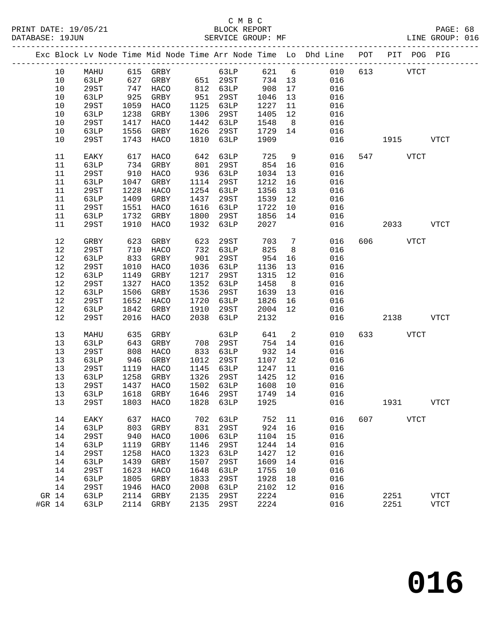|        |       |      |      | Exc Block Lv Node Time Mid Node Time Arr Node Time Lo Dhd Line POT |      |          |         |                |       |            |             | PIT POG PIG |             |
|--------|-------|------|------|--------------------------------------------------------------------|------|----------|---------|----------------|-------|------------|-------------|-------------|-------------|
|        | 10    | MAHU |      | $615$ GRBY                                                         |      | 63LP     |         |                | 621 6 | 010<br>613 |             | <b>VTCT</b> |             |
|        | 10    | 63LP | 627  | GRBY                                                               |      | 651 29ST | 734 13  |                |       | 016        |             |             |             |
|        | 10    | 29ST | 747  | HACO                                                               |      | 812 63LP | 908     | 17             | 016   |            |             |             |             |
|        | 10    | 63LP | 925  | GRBY                                                               | 951  | 29ST     | 1046    | 13             | 016   |            |             |             |             |
|        | 10    | 29ST | 1059 | HACO                                                               | 1125 | 63LP     | 1227    | 11             | 016   |            |             |             |             |
|        | 10    | 63LP | 1238 | GRBY                                                               | 1306 | 29ST     | 1405    | 12             | 016   |            |             |             |             |
|        | 10    | 29ST | 1417 | HACO                                                               | 1442 | 63LP     | 1548    | 8 <sup>8</sup> | 016   |            |             |             |             |
|        | 10    | 63LP | 1556 | GRBY                                                               | 1626 | 29ST     | 1729    | 14             |       | 016        |             |             |             |
|        | 10    | 29ST | 1743 | HACO                                                               | 1810 | 63LP     | 1909    |                |       | 016        | 1915        |             | <b>VTCT</b> |
|        | 11    | EAKY | 617  | HACO                                                               | 642  | 63LP     | 725     | 9              |       | 016        | 547 VTCT    |             |             |
|        | 11    | 63LP | 734  | GRBY                                                               | 801  | 29ST     | 854     | 16             |       | 016        |             |             |             |
|        | 11    | 29ST | 910  | HACO                                                               | 936  | 63LP     | 1034    | 13             | 016   |            |             |             |             |
|        | 11    | 63LP | 1047 | GRBY                                                               | 1114 | 29ST     | 1212    | 16             | 016   |            |             |             |             |
|        | 11    | 29ST | 1228 | HACO                                                               | 1254 | 63LP     | 1356    | 13             | 016   |            |             |             |             |
|        | 11    | 63LP | 1409 | GRBY                                                               | 1437 | 29ST     | 1539    | 12             | 016   |            |             |             |             |
|        | 11    | 29ST | 1551 | HACO                                                               | 1616 | 63LP     | 1722    | 10             |       | 016        |             |             |             |
|        | 11    | 63LP | 1732 | GRBY                                                               | 1800 | 29ST     | 1856    | 14             |       | 016        |             |             |             |
|        | 11    | 29ST | 1910 | HACO                                                               | 1932 | 63LP     | 2027    |                |       | 016        | 2033        |             | VTCT        |
|        | $12$  | GRBY | 623  | GRBY                                                               | 623  | 29ST     | 703     | $\overline{7}$ |       | 606<br>016 | <b>VTCT</b> |             |             |
|        | 12    | 29ST | 710  | HACO                                                               | 732  | 63LP     | 825     | 8 <sup>8</sup> | 016   |            |             |             |             |
|        | 12    | 63LP | 833  | GRBY                                                               | 901  | 29ST     | 954     | 16             |       | 016        |             |             |             |
|        | 12    |      |      |                                                                    | 1036 |          | 1136    |                | 016   |            |             |             |             |
|        |       | 29ST | 1010 | HACO                                                               | 1217 | 63LP     |         | 13             |       |            |             |             |             |
|        | $12$  | 63LP | 1149 | GRBY                                                               |      | 29ST     | 1315    | 12             | 016   |            |             |             |             |
|        | $12$  | 29ST | 1327 | HACO                                                               | 1352 | 63LP     | 1458    | 8 <sup>8</sup> | 016   |            |             |             |             |
|        | 12    | 63LP | 1506 | GRBY                                                               | 1536 | 29ST     | 1639    | 13             | 016   |            |             |             |             |
|        | 12    | 29ST | 1652 | HACO                                                               | 1720 | 63LP     | 1826    | 16             | 016   |            |             |             |             |
|        | 12    | 63LP | 1842 | GRBY                                                               | 1910 | 29ST     | 2004    | 12             |       | 016        |             |             |             |
|        | 12    | 29ST | 2016 | HACO                                                               | 2038 | 63LP     | 2132    |                |       | 016        | 2138        |             | VTCT        |
|        | 13    | MAHU | 635  | GRBY                                                               |      | 63LP     | 641     | $\overline{2}$ |       | 010        | 633 VTCT    |             |             |
|        | 13    | 63LP | 643  | GRBY                                                               | 708  | 29ST     | 754     | 14             |       | 016        |             |             |             |
|        | 13    | 29ST | 808  | HACO                                                               | 833  | 63LP     | 932     | 14             | 016   |            |             |             |             |
|        | 13    | 63LP | 946  | GRBY                                                               | 1012 | 29ST     | 1107    | 12             | 016   |            |             |             |             |
|        | 13    | 29ST | 1119 | HACO                                                               | 1145 | 63LP     | 1247    | 11             | 016   |            |             |             |             |
|        | 13    | 63LP | 1258 | GRBY                                                               | 1326 | 29ST     | 1425    | 12             | 016   |            |             |             |             |
|        | 13    | 29ST | 1437 | HACO                                                               | 1502 | 63LP     | 1608    | 10             | 016   |            |             |             |             |
|        | 13    | 63LP | 1618 | GRBY                                                               | 1646 | 29ST     | 1749 14 |                | 016   |            |             |             |             |
|        | 13    | 29ST |      | 1803 HACO 1828 63LP 1925 016                                       |      |          |         |                |       |            | 1931        |             | <b>VTCT</b> |
|        |       |      |      |                                                                    |      |          |         |                |       |            |             |             |             |
|        | 14    | EAKY | 637  | HACO                                                               | 702  | 63LP     | 752     | 11             |       | 016<br>607 |             | <b>VTCT</b> |             |
|        | 14    | 63LP | 803  | GRBY                                                               | 831  | 29ST     | 924     | 16             |       | 016        |             |             |             |
|        | 14    | 29ST | 940  | HACO                                                               | 1006 | 63LP     | 1104    | 15             |       | 016        |             |             |             |
|        | 14    | 63LP | 1119 | GRBY                                                               | 1146 | 29ST     | 1244    | 14             |       | 016        |             |             |             |
|        | 14    | 29ST | 1258 | HACO                                                               | 1323 | 63LP     | 1427    | 12             |       | 016        |             |             |             |
|        | 14    | 63LP | 1439 | GRBY                                                               | 1507 | 29ST     | 1609    | 14             |       | 016        |             |             |             |
|        | 14    | 29ST | 1623 | HACO                                                               | 1648 | 63LP     | 1755    | 10             |       | 016        |             |             |             |
|        | 14    | 63LP | 1805 | GRBY                                                               | 1833 | 29ST     | 1928    | 18             |       | 016        |             |             |             |
|        | 14    | 29ST | 1946 | HACO                                                               | 2008 | 63LP     | 2102    | 12             |       | 016        |             |             |             |
|        | GR 14 | 63LP | 2114 | GRBY                                                               | 2135 | 29ST     | 2224    |                |       | 016        | 2251        |             | <b>VTCT</b> |
| #GR 14 |       | 63LP | 2114 | GRBY                                                               | 2135 | 29ST     | 2224    |                |       | 016        | 2251        |             | <b>VTCT</b> |
|        |       |      |      |                                                                    |      |          |         |                |       |            |             |             |             |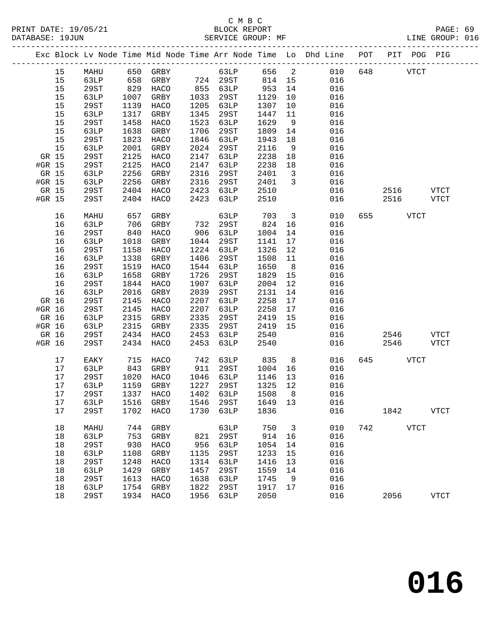|        |       |      |      |                             |      |          |      |                         | Exc Block Lv Node Time Mid Node Time Arr Node Time Lo Dhd Line POT |     | PIT POG PIG |              |             |
|--------|-------|------|------|-----------------------------|------|----------|------|-------------------------|--------------------------------------------------------------------|-----|-------------|--------------|-------------|
|        | 15    | MAHU | 650  | GRBY                        |      | 63LP     | 656  | $\overline{a}$          | 010                                                                | 648 |             | ${\tt VTCT}$ |             |
|        | 15    | 63LP | 658  | GRBY                        |      | 724 29ST | 814  | 15                      | 016                                                                |     |             |              |             |
|        | 15    | 29ST | 829  | HACO                        | 855  | 63LP     | 953  | 14                      | 016                                                                |     |             |              |             |
|        | 15    | 63LP | 1007 | GRBY                        | 1033 | 29ST     | 1129 | 10                      | 016                                                                |     |             |              |             |
|        | 15    | 29ST | 1139 | HACO                        | 1205 | 63LP     | 1307 | 10                      | 016                                                                |     |             |              |             |
|        | 15    | 63LP | 1317 | GRBY                        | 1345 | 29ST     | 1447 | 11                      | 016                                                                |     |             |              |             |
|        | 15    | 29ST | 1458 | HACO                        | 1523 | 63LP     | 1629 | 9                       | 016                                                                |     |             |              |             |
|        | 15    | 63LP | 1638 | GRBY                        | 1706 | 29ST     | 1809 | 14                      | 016                                                                |     |             |              |             |
|        | 15    | 29ST | 1823 | HACO                        | 1846 | 63LP     | 1943 | 18                      | 016                                                                |     |             |              |             |
|        | 15    | 63LP | 2001 | GRBY                        | 2024 | 29ST     | 2116 | $\overline{9}$          | 016                                                                |     |             |              |             |
|        | GR 15 | 29ST | 2125 | HACO                        | 2147 | 63LP     | 2238 | 18                      | 016                                                                |     |             |              |             |
| #GR 15 |       | 29ST | 2125 | HACO                        | 2147 | 63LP     | 2238 | 18                      | 016                                                                |     |             |              |             |
|        | GR 15 | 63LP | 2256 | GRBY                        | 2316 | 29ST     | 2401 | $\overline{\mathbf{3}}$ | 016                                                                |     |             |              |             |
| #GR 15 |       | 63LP | 2256 | GRBY                        | 2316 | 29ST     | 2401 | 3                       | 016                                                                |     |             |              |             |
|        | GR 15 | 29ST | 2404 | HACO                        | 2423 | 63LP     | 2510 |                         | 016                                                                |     | 2516        |              | <b>VTCT</b> |
| #GR 15 |       | 29ST | 2404 | HACO                        | 2423 | 63LP     | 2510 |                         | 016                                                                |     | 2516        |              | VTCT        |
|        | 16    | MAHU | 657  | GRBY                        |      | 63LP     | 703  | $\overline{3}$          | 010                                                                | 655 |             | <b>VTCT</b>  |             |
|        | 16    | 63LP | 706  | GRBY                        | 732  | 29ST     | 824  | 16                      | 016                                                                |     |             |              |             |
|        | 16    | 29ST | 840  | HACO                        | 906  | 63LP     | 1004 | 14                      | 016                                                                |     |             |              |             |
|        | 16    | 63LP | 1018 | GRBY                        | 1044 | 29ST     | 1141 | 17                      | 016                                                                |     |             |              |             |
|        | 16    | 29ST | 1158 | HACO                        | 1224 | 63LP     | 1326 | 12                      | 016                                                                |     |             |              |             |
|        | 16    | 63LP | 1338 | GRBY                        | 1406 | 29ST     | 1508 | 11                      | 016                                                                |     |             |              |             |
|        | 16    | 29ST | 1519 | HACO                        | 1544 | 63LP     | 1650 | 8 <sup>8</sup>          | 016                                                                |     |             |              |             |
|        | 16    | 63LP | 1658 | GRBY                        | 1726 | 29ST     | 1829 | 15                      | 016                                                                |     |             |              |             |
|        | 16    | 29ST | 1844 | HACO                        | 1907 | 63LP     | 2004 | 12                      | 016                                                                |     |             |              |             |
|        | 16    | 63LP | 2016 | GRBY                        | 2039 | 29ST     | 2131 | 14                      | 016                                                                |     |             |              |             |
|        | GR 16 | 29ST | 2145 | HACO                        | 2207 | 63LP     | 2258 | 17                      | 016                                                                |     |             |              |             |
| #GR 16 |       | 29ST | 2145 | HACO                        | 2207 | 63LP     | 2258 | 17                      | 016                                                                |     |             |              |             |
| GR 16  |       | 63LP | 2315 | GRBY                        | 2335 | 29ST     | 2419 | 15                      | 016                                                                |     |             |              |             |
| #GR 16 |       | 63LP | 2315 | GRBY                        | 2335 | 29ST     | 2419 | 15                      | 016                                                                |     |             |              |             |
| GR 16  |       | 29ST | 2434 | HACO                        | 2453 | 63LP     | 2540 |                         | 016                                                                |     | 2546        |              | <b>VTCT</b> |
| #GR 16 |       | 29ST | 2434 | HACO                        | 2453 | 63LP     | 2540 |                         | 016                                                                |     | 2546        |              | <b>VTCT</b> |
|        | 17    | EAKY | 715  | HACO                        | 742  | 63LP     | 835  | 8                       | 016                                                                | 645 |             | <b>VTCT</b>  |             |
|        | 17    | 63LP | 843  | GRBY                        | 911  | 29ST     | 1004 | 16                      | 016                                                                |     |             |              |             |
|        | 17    | 29ST | 1020 | HACO                        | 1046 | 63LP     | 1146 | 13                      | 016                                                                |     |             |              |             |
|        | 17    | 63LP | 1159 | GRBY                        | 1227 | 29ST     | 1325 | 12                      | 016                                                                |     |             |              |             |
|        | 17    | 29ST | 1337 | HACO                        | 1402 | 63LP     | 1508 | 8                       | 016                                                                |     |             |              |             |
|        | 17    | 63LP |      | 1516 GRBY 1546 29ST 1649 13 |      |          |      |                         | 016                                                                |     |             |              |             |
|        | 17    | 29ST | 1702 | HACO                        | 1730 | 63LP     | 1836 |                         | 016                                                                |     | 1842        |              | <b>VTCT</b> |
|        | 18    | MAHU | 744  | GRBY                        |      | 63LP     | 750  | 3                       | 010                                                                | 742 |             | ${\tt VTCT}$ |             |
|        | 18    | 63LP | 753  | GRBY                        | 821  | 29ST     | 914  | 16                      | 016                                                                |     |             |              |             |
|        | 18    | 29ST | 930  | HACO                        | 956  | 63LP     | 1054 | 14                      | 016                                                                |     |             |              |             |
|        | $18$  | 63LP | 1108 | GRBY                        | 1135 | 29ST     | 1233 | 15                      | 016                                                                |     |             |              |             |
|        | 18    | 29ST | 1248 | HACO                        | 1314 | 63LP     | 1416 | 13                      | 016                                                                |     |             |              |             |
|        | 18    | 63LP | 1429 | GRBY                        | 1457 | 29ST     | 1559 | 14                      | 016                                                                |     |             |              |             |
|        | 18    | 29ST | 1613 | HACO                        | 1638 | 63LP     | 1745 | 9                       | 016                                                                |     |             |              |             |
|        | 18    | 63LP | 1754 | GRBY                        | 1822 | 29ST     | 1917 | 17                      | 016                                                                |     |             |              |             |
|        | 18    | 29ST | 1934 | HACO                        | 1956 | 63LP     | 2050 |                         | 016                                                                |     | 2056        |              | <b>VTCT</b> |
|        |       |      |      |                             |      |          |      |                         |                                                                    |     |             |              |             |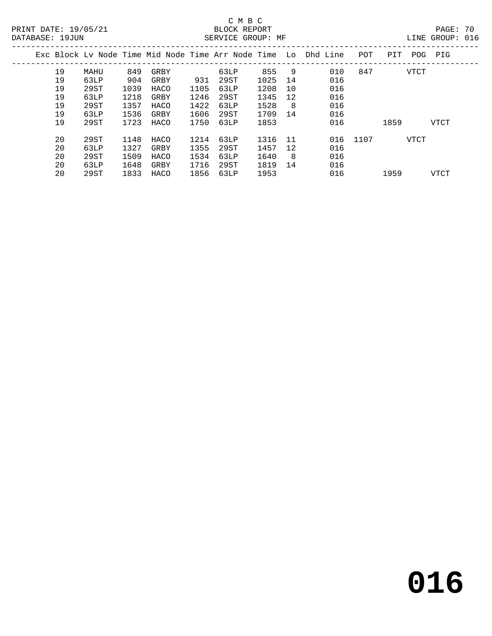# C M B C

19 63LP 1218 GRBY 1246 29ST 1345 12<br>
19 29ST 1357 HACO 1422 63LP 1528 8 016<br>
19 63LP 1536 GRBY 1606 29ST 1709 14 016<br>
19 29ST 1723 HACO 1750 63LP 1853 016 1859 VTCT

20 29ST 1148 HACO 1214 63LP 1316 11 016 1107 VTCT<br>20 63LP 1327 GRBY 1355 29ST 1457 12 016<br>20 29ST 1509 HACO 1534 63LP 1640 8 016

20 29ST 1833 HACO 1856 63LP 1953 016 1959 VTCT

LINE GROUP: 016

| DAIABASL 1900N |    |      |      |      |     | DAKVICA GKUUF. MF |         |                                                                                |     |      | TINE GKANR. ATO |  |
|----------------|----|------|------|------|-----|-------------------|---------|--------------------------------------------------------------------------------|-----|------|-----------------|--|
|                |    |      |      |      |     |                   |         | Exc Block Lv Node Time Mid Node Time Arr Node Time Lo Dhd Line POT PIT POG PIG |     |      |                 |  |
|                | 19 | MAHU | 849  | GRBY |     | 63LP              | 855 9   | 010                                                                            | 847 | VTCT |                 |  |
|                | 19 | 63LP | 904  | GRBY | 931 | 29.ST             | 1025 14 | 016                                                                            |     |      |                 |  |
|                | 19 | 29ST | 1039 | HACO |     | 1105 63LP         | 1208 10 | 016                                                                            |     |      |                 |  |

 19 63LP 1218 GRBY 1246 29ST 1345 12 016 19 29ST 1357 HACO 1422 63LP 1528 8 016 19 63LP 1536 GRBY 1606 29ST 1709 14 016

 20 63LP 1327 GRBY 1355 29ST 1457 12 016 20 29ST 1509 HACO 1534 63LP 1640 8 016 20 63LP 1648 GRBY 1716 29ST 1819 14 016

**016**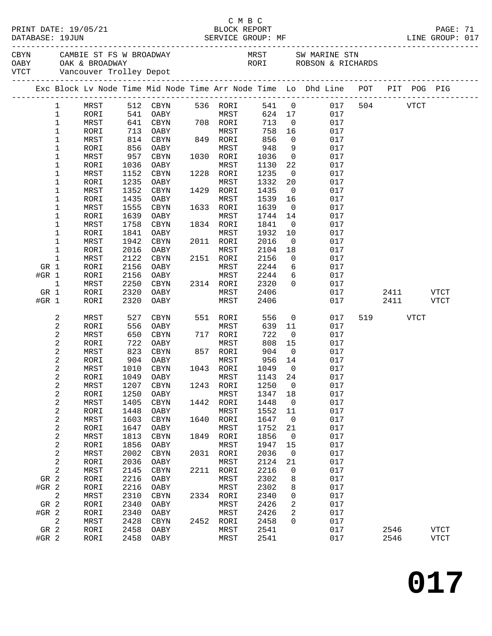|         | DATABASE: 19JUN            | PRINT DATE: 19/05/21        |              | SERVICE GROUP: MF            |      | C M B C<br>BLOCK REPORT |               |                               |                                                                                                                   |          |           | PAGE: 71<br>LINE GROUP: 017 |  |
|---------|----------------------------|-----------------------------|--------------|------------------------------|------|-------------------------|---------------|-------------------------------|-------------------------------------------------------------------------------------------------------------------|----------|-----------|-----------------------------|--|
|         |                            |                             |              | VICT Vancouver Trolley Depot |      |                         |               |                               | CBYN CAMBIE ST FS W BROADWAY MRST SW MARINE STN OABY OAK & BROADWAY CARPENDALL CORPORT CONTROLL ROBSON & RICHARDS |          |           |                             |  |
|         |                            | --------------------------- |              |                              |      |                         |               |                               | Exc Block Lv Node Time Mid Node Time Arr Node Time Lo Dhd Line POT PIT POG PIG                                    |          |           |                             |  |
|         |                            |                             |              |                              |      |                         |               |                               |                                                                                                                   |          |           |                             |  |
|         | $\mathbf{1}$               | MRST                        |              | 512 CBYN 536 RORI            |      |                         |               |                               | 541 0 017                                                                                                         | 504 VTCT |           |                             |  |
|         | $\mathbf 1$                | RORI                        | 541          | OABY                         |      | MRST                    |               | 624 17                        | 017                                                                                                               |          |           |                             |  |
|         | $\mathbf 1$<br>$\mathbf 1$ | MRST<br>RORI                | 641          | CBYN<br>OABY                 |      | 708 RORI<br>MRST        | 713<br>758    | $\overline{0}$<br>16          | 017<br>017                                                                                                        |          |           |                             |  |
|         | $\mathbf 1$                | MRST                        | 713<br>814   | CBYN                         |      | 849 RORI                | 856           | $\overline{0}$                | 017                                                                                                               |          |           |                             |  |
|         | $\mathbf 1$                | RORI                        | 856          | OABY                         |      | MRST                    | 948           | $\overline{9}$                | 017                                                                                                               |          |           |                             |  |
|         | 1                          | MRST                        | 957          | CBYN                         |      | 1030 RORI               | 1036          | $\overline{0}$                | 017                                                                                                               |          |           |                             |  |
|         | 1                          | RORI                        | 1036         | OABY                         |      | MRST                    | 1130          | 22                            | 017                                                                                                               |          |           |                             |  |
|         | 1                          | MRST                        | 1152         | CBYN                         |      | 1228 RORI               | 1235          | $\overline{0}$                | 017                                                                                                               |          |           |                             |  |
|         | 1                          | RORI                        | 1235         | OABY                         |      | MRST                    | 1332          | 20                            | 017                                                                                                               |          |           |                             |  |
|         | 1                          | MRST                        | 1352         | CBYN                         |      | 1429 RORI               | 1435          | $\overline{\mathbf{0}}$       | 017                                                                                                               |          |           |                             |  |
|         | 1                          | RORI                        | 1435         | OABY                         |      | MRST                    | 1539          | 16                            | 017                                                                                                               |          |           |                             |  |
|         | $\mathbf 1$                | MRST                        | 1555         | CBYN                         |      | 1633 RORI               | 1639          | $\overline{0}$                | 017                                                                                                               |          |           |                             |  |
|         | 1<br>1                     | RORI<br>MRST                | 1639<br>1758 | OABY<br>CBYN                 |      | MRST<br>1834 RORI       | 1744<br>1841  | 14<br>$\overline{\mathbf{0}}$ | 017<br>017                                                                                                        |          |           |                             |  |
|         | 1                          | RORI                        | 1841         | OABY                         |      | MRST                    | 1932          | 10                            | 017                                                                                                               |          |           |                             |  |
|         | $\mathbf 1$                | MRST                        | 1942         | CBYN                         |      | 2011 RORI               | 2016          | $\overline{0}$                | 017                                                                                                               |          |           |                             |  |
|         | 1                          | RORI                        | 2016         | OABY                         |      | MRST                    | 2104          | 18                            | 017                                                                                                               |          |           |                             |  |
|         | 1                          | MRST                        | 2122         | CBYN                         |      | 2151 RORI               | 2156          | $\overline{0}$                | 017                                                                                                               |          |           |                             |  |
| GR 1    |                            | RORI                        | 2156         | OABY                         |      | MRST                    | 2244          | 6                             | 017                                                                                                               |          |           |                             |  |
| #GR 1   |                            | RORI                        | 2156         | OABY                         |      | MRST                    | 2244          | 6                             | 017                                                                                                               |          |           |                             |  |
|         | $\mathbf{1}$               | MRST                        | 2250         | CBYN                         |      | 2314 RORI               | 2320          | $\overline{0}$                | 017                                                                                                               |          |           |                             |  |
| GR 1    |                            | RORI                        | 2320         | OABY                         |      | MRST                    | 2406          |                               | 017                                                                                                               |          | 2411 VTCT |                             |  |
| #GR 1   |                            | RORI                        | 2320         | OABY                         |      | MRST                    | 2406          |                               | 017                                                                                                               | 2411     |           | VTCT                        |  |
|         | 2                          | MRST                        | 527          | CBYN                         |      | 551 RORI                | 556           | $\overline{0}$                | 017                                                                                                               | 519      | VTCT      |                             |  |
|         | $\overline{c}$             | RORI                        | 556          | OABY                         |      | MRST                    | 639           | 11                            | 017                                                                                                               |          |           |                             |  |
|         | 2                          | MRST                        | 650          | CBYN                         |      | 717 RORI                | 722           | $\overline{\phantom{0}}$      | 017                                                                                                               |          |           |                             |  |
|         | 2                          | RORI                        | 722          | OABY                         |      | MRST                    | 808           | 15                            | 017                                                                                                               |          |           |                             |  |
|         | 2                          | MRST<br>RORI                | 823          | CBYN<br>OABY                 |      | 857 RORI<br>MRST        | 904<br>956 14 | $\overline{0}$                | 017<br>017                                                                                                        |          |           |                             |  |
|         | 2<br>2                     | MRST                        | 904<br>1010  | CBYN                         |      | 1043 RORI               | 1049          | $\overline{0}$                | 017                                                                                                               |          |           |                             |  |
|         | 2                          | RORI                        |              | 1049 OABY                    |      | MRST 1143 24            |               |                               | 017                                                                                                               |          |           |                             |  |
|         | 2                          | MRST                        | 1207         | CBYN                         | 1243 | RORI                    | 1250          | 0                             | 017                                                                                                               |          |           |                             |  |
|         | 2                          | RORI                        | 1250         | OABY                         |      | MRST                    | 1347          | 18                            | 017                                                                                                               |          |           |                             |  |
|         | 2                          | MRST                        | 1405         | CBYN                         | 1442 | RORI                    | 1448          | 0                             | 017                                                                                                               |          |           |                             |  |
|         | $\boldsymbol{2}$           | RORI                        | 1448         | OABY                         |      | MRST                    | 1552          | 11                            | 017                                                                                                               |          |           |                             |  |
|         | $\boldsymbol{2}$           | MRST                        | 1603         | CBYN                         | 1640 | RORI                    | 1647          | $\mathbf 0$                   | 017                                                                                                               |          |           |                             |  |
|         | $\boldsymbol{2}$           | RORI                        | 1647         | OABY                         |      | MRST                    | 1752          | 21                            | 017                                                                                                               |          |           |                             |  |
|         | 2                          | MRST                        | 1813         | <b>CBYN</b>                  | 1849 | RORI                    | 1856          | 0                             | 017                                                                                                               |          |           |                             |  |
|         | $\boldsymbol{2}$<br>2      | RORI                        | 1856<br>2002 | OABY                         |      | MRST                    | 1947<br>2036  | 15<br>$\mathbf 0$             | 017<br>017                                                                                                        |          |           |                             |  |
|         | 2                          | MRST<br>RORI                | 2036         | CBYN<br>OABY                 | 2031 | RORI<br>MRST            | 2124          | 21                            | 017                                                                                                               |          |           |                             |  |
|         | 2                          | MRST                        | 2145         | CBYN                         | 2211 | RORI                    | 2216          | 0                             | 017                                                                                                               |          |           |                             |  |
| GR 2    |                            | RORI                        | 2216         | OABY                         |      | MRST                    | 2302          | 8                             | 017                                                                                                               |          |           |                             |  |
| #GR 2   |                            | RORI                        | 2216         | OABY                         |      | MRST                    | 2302          | 8                             | 017                                                                                                               |          |           |                             |  |
|         | 2                          | MRST                        | 2310         | CBYN                         | 2334 | RORI                    | 2340          | 0                             | 017                                                                                                               |          |           |                             |  |
| GR 2    |                            | RORI                        | 2340         | OABY                         |      | MRST                    | 2426          | 2                             | 017                                                                                                               |          |           |                             |  |
| $#GR$ 2 |                            | RORI                        | 2340         | OABY                         |      | MRST                    | 2426          | 2                             | 017                                                                                                               |          |           |                             |  |
|         | 2                          | MRST                        | 2428         | CBYN                         | 2452 | RORI                    | 2458          | 0                             | 017                                                                                                               |          |           |                             |  |
| GR 2    |                            | RORI                        | 2458         | OABY                         |      | MRST                    | 2541          |                               | 017                                                                                                               | 2546     |           | <b>VTCT</b>                 |  |
| #GR 2   |                            | RORI                        | 2458         | OABY                         |      | MRST                    | 2541          |                               | 017                                                                                                               | 2546     |           | ${\tt VTCT}$                |  |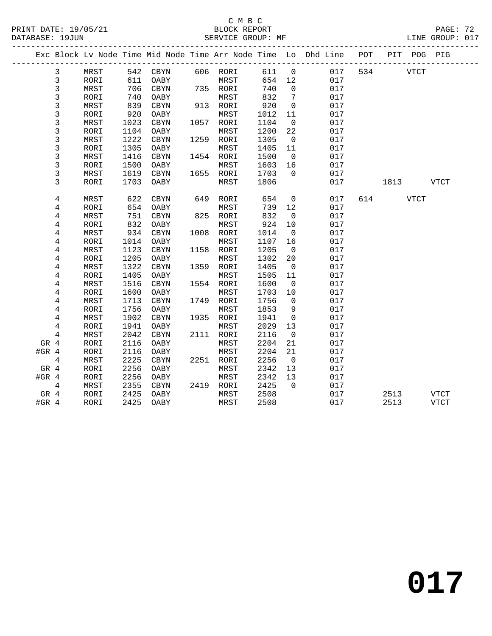#### C M B C<br>BLOCK REPORT PRINT DATE: 19/05/21 BLOCK REPORT PAGE: 72 SERVICE GROUP: MF

|         |                |      |      |          |      |           |      |                | Exc Block Lv Node Time Mid Node Time Arr Node Time Lo Dhd Line | POT |      | PIT POG PIG |             |  |
|---------|----------------|------|------|----------|------|-----------|------|----------------|----------------------------------------------------------------|-----|------|-------------|-------------|--|
|         | 3              | MRST |      | 542 CBYN |      | 606 RORI  | 611  | $\overline{0}$ | 017                                                            | 534 |      | VTCT        |             |  |
|         | 3              | RORI | 611  | OABY     |      | MRST      | 654  | 12             | 017                                                            |     |      |             |             |  |
|         | 3              | MRST | 706  | CBYN     |      | 735 RORI  | 740  | $\mathbf 0$    | 017                                                            |     |      |             |             |  |
|         | $\mathfrak{Z}$ | RORI | 740  | OABY     |      | MRST      | 832  | 7              | 017                                                            |     |      |             |             |  |
|         | 3              | MRST | 839  | CBYN     |      | 913 RORI  | 920  | $\mathbf{0}$   | 017                                                            |     |      |             |             |  |
|         | 3              | RORI | 920  | OABY     |      | MRST      | 1012 | 11             | 017                                                            |     |      |             |             |  |
|         | 3              | MRST | 1023 | CBYN     | 1057 | RORI      | 1104 | 0              | 017                                                            |     |      |             |             |  |
|         | 3              | RORI | 1104 | OABY     |      | MRST      | 1200 | 22             | 017                                                            |     |      |             |             |  |
|         | 3              | MRST | 1222 | CBYN     |      | 1259 RORI | 1305 | $\overline{0}$ | 017                                                            |     |      |             |             |  |
|         | 3              | RORI | 1305 | OABY     |      | MRST      | 1405 | 11             | 017                                                            |     |      |             |             |  |
|         | 3              | MRST | 1416 | CBYN     |      | 1454 RORI | 1500 | $\overline{0}$ | 017                                                            |     |      |             |             |  |
|         | 3              | RORI | 1500 | OABY     |      | MRST      | 1603 | 16             | 017                                                            |     |      |             |             |  |
|         | 3              | MRST | 1619 | CBYN     |      | 1655 RORI | 1703 | $\mathbf 0$    | 017                                                            |     |      |             |             |  |
|         | 3              | RORI | 1703 | OABY     |      | MRST      | 1806 |                | 017                                                            |     | 1813 |             | <b>VTCT</b> |  |
|         | $\overline{4}$ | MRST | 622  | CBYN     | 649  | RORI      | 654  | $\overline{0}$ | 017                                                            | 614 |      | VTCT        |             |  |
|         | 4              | RORI | 654  | OABY     |      | MRST      | 739  | 12             | 017                                                            |     |      |             |             |  |
|         | 4              | MRST | 751  | CBYN     | 825  | RORI      | 832  | $\mathbf 0$    | 017                                                            |     |      |             |             |  |
|         | 4              | RORI | 832  | OABY     |      | MRST      | 924  | 10             | 017                                                            |     |      |             |             |  |
|         | 4              | MRST | 934  | CBYN     |      | 1008 RORI | 1014 | $\overline{0}$ | 017                                                            |     |      |             |             |  |
|         | 4              | RORI | 1014 | OABY     |      | MRST      | 1107 | 16             | 017                                                            |     |      |             |             |  |
|         | 4              | MRST | 1123 | CBYN     |      | 1158 RORI | 1205 | $\overline{0}$ | 017                                                            |     |      |             |             |  |
|         | 4              | RORI | 1205 | OABY     |      | MRST      | 1302 | 20             | 017                                                            |     |      |             |             |  |
|         | 4              | MRST | 1322 | CBYN     |      | 1359 RORI | 1405 | $\overline{0}$ | 017                                                            |     |      |             |             |  |
|         | 4              | RORI | 1405 | OABY     |      | MRST      | 1505 | 11             | 017                                                            |     |      |             |             |  |
|         | 4              | MRST | 1516 | CBYN     |      | 1554 RORI | 1600 | $\overline{0}$ | 017                                                            |     |      |             |             |  |
|         | 4              | RORI | 1600 | OABY     |      | MRST      | 1703 | 10             | 017                                                            |     |      |             |             |  |
|         | $\overline{4}$ | MRST | 1713 | CBYN     |      | 1749 RORI | 1756 | $\overline{0}$ | 017                                                            |     |      |             |             |  |
|         | 4              | RORI | 1756 | OABY     |      | MRST      | 1853 | 9              | 017                                                            |     |      |             |             |  |
|         | 4              | MRST | 1902 | CBYN     | 1935 | RORI      | 1941 | $\mathbf 0$    | 017                                                            |     |      |             |             |  |
|         | 4              | RORI | 1941 | OABY     |      | MRST      | 2029 | 13             | 017                                                            |     |      |             |             |  |
|         | 4              | MRST | 2042 | CBYN     |      | 2111 RORI | 2116 | $\overline{0}$ | 017                                                            |     |      |             |             |  |
| GR 4    |                | RORI | 2116 | OABY     |      | MRST      | 2204 | 21             | 017                                                            |     |      |             |             |  |
| #GR $4$ |                | RORI | 2116 | OABY     |      | MRST      | 2204 | 21             | 017                                                            |     |      |             |             |  |
|         | $\overline{4}$ | MRST | 2225 | CBYN     |      | 2251 RORI | 2256 | $\overline{0}$ | 017                                                            |     |      |             |             |  |
| GR 4    |                | RORI | 2256 | OABY     |      | MRST      | 2342 | 13             | 017                                                            |     |      |             |             |  |
| #GR $4$ |                | RORI | 2256 | OABY     |      | MRST      | 2342 | 13             | 017                                                            |     |      |             |             |  |
|         | 4              | MRST | 2355 | CBYN     |      | 2419 RORI | 2425 | $\Omega$       | 017                                                            |     |      |             |             |  |
| GR 4    |                | RORI | 2425 | OABY     |      | MRST      | 2508 |                | 017                                                            |     | 2513 |             | <b>VTCT</b> |  |
| #GR $4$ |                | RORI | 2425 | OABY     |      | MRST      | 2508 |                | 017                                                            |     | 2513 |             | <b>VTCT</b> |  |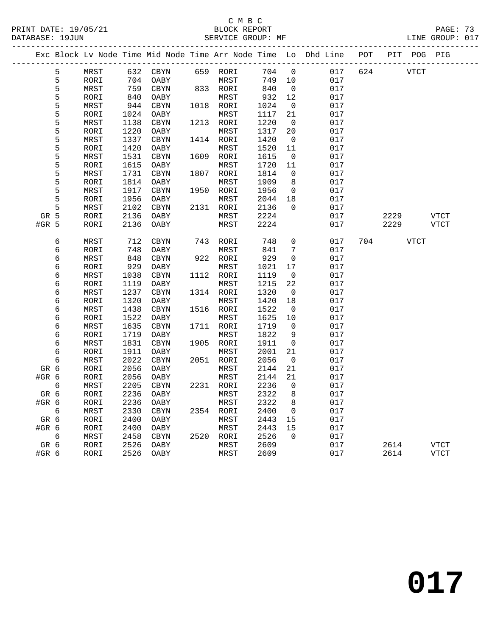#### C M B C<br>BLOCK REPORT PRINT DATE: 19/05/21 BLOCK REPORT BATABASE: 19JUN

PAGE: 73<br>LINE GROUP: 017

|         |   |      |      |            |      |           |      |                          | Exc Block Lv Node Time Mid Node Time Arr Node Time Lo Dhd Line POT |     | PIT POG PIG |             |
|---------|---|------|------|------------|------|-----------|------|--------------------------|--------------------------------------------------------------------|-----|-------------|-------------|
|         | 5 | MRST | 632  | CBYN       |      | 659 RORI  | 704  | $\mathsf{O}$             | 017                                                                | 624 | <b>VTCT</b> |             |
|         | 5 | RORI | 704  | OABY       |      | MRST      | 749  | 10                       | 017                                                                |     |             |             |
|         | 5 | MRST | 759  | CBYN       |      | 833 RORI  | 840  | $\overline{\phantom{0}}$ | 017                                                                |     |             |             |
|         | 5 | RORI | 840  | OABY       |      | MRST      | 932  | 12                       | 017                                                                |     |             |             |
|         | 5 | MRST | 944  | CBYN       |      | 1018 RORI | 1024 | $\overline{0}$           | 017                                                                |     |             |             |
|         | 5 | RORI | 1024 | OABY       |      | MRST      | 1117 | 21                       | 017                                                                |     |             |             |
|         | 5 | MRST | 1138 | CBYN       |      | 1213 RORI | 1220 | $\overline{0}$           | 017                                                                |     |             |             |
|         | 5 | RORI | 1220 | OABY       |      | MRST      | 1317 | 20                       | 017                                                                |     |             |             |
|         | 5 | MRST | 1337 | CBYN       |      | 1414 RORI | 1420 | $\overline{0}$           | 017                                                                |     |             |             |
|         | 5 | RORI | 1420 | OABY       |      | MRST      | 1520 | 11                       | 017                                                                |     |             |             |
|         | 5 | MRST | 1531 | CBYN       | 1609 | RORI      | 1615 | $\overline{0}$           | 017                                                                |     |             |             |
|         | 5 | RORI | 1615 | OABY       |      | MRST      | 1720 | 11                       | 017                                                                |     |             |             |
|         | 5 | MRST | 1731 | CBYN       | 1807 | RORI      | 1814 | $\mathbf 0$              | 017                                                                |     |             |             |
|         | 5 | RORI | 1814 | OABY       |      | MRST      | 1909 | 8                        | 017                                                                |     |             |             |
|         | 5 | MRST | 1917 | CBYN       |      | 1950 RORI | 1956 | $\mathsf{O}$             | 017                                                                |     |             |             |
|         | 5 | RORI | 1956 | OABY       |      | MRST      | 2044 | 18                       | 017                                                                |     |             |             |
|         | 5 | MRST | 2102 | CBYN       |      | 2131 RORI | 2136 | $\Omega$                 | 017                                                                |     |             |             |
| GR 5    |   | RORI | 2136 | OABY       |      | MRST      | 2224 |                          | 017                                                                |     | 2229        | <b>VTCT</b> |
| $#GR$ 5 |   | RORI | 2136 | OABY       |      | MRST      | 2224 |                          | 017                                                                |     | 2229        | VTCT        |
|         |   |      |      |            |      |           |      |                          |                                                                    |     |             |             |
|         | 6 | MRST | 712  | CBYN       |      | 743 RORI  | 748  | $\mathbf 0$              | 017                                                                | 704 | VTCT        |             |
|         | 6 | RORI | 748  | OABY       |      | MRST      | 841  | $7\phantom{.0}$          | 017                                                                |     |             |             |
|         | 6 | MRST | 848  | CBYN       |      | 922 RORI  | 929  | 0                        | 017                                                                |     |             |             |
|         | 6 | RORI | 929  | OABY       |      | MRST      | 1021 | 17                       | 017                                                                |     |             |             |
|         | 6 | MRST | 1038 | CBYN       |      | 1112 RORI | 1119 | $\mathbf 0$              | 017                                                                |     |             |             |
|         | 6 | RORI | 1119 | OABY       |      | MRST      | 1215 | 22                       | 017                                                                |     |             |             |
|         | 6 | MRST | 1237 | CBYN       |      | 1314 RORI | 1320 | $\overline{0}$           | 017                                                                |     |             |             |
|         | 6 | RORI | 1320 | OABY       |      | MRST      | 1420 | 18                       | 017                                                                |     |             |             |
|         | 6 | MRST | 1438 | $\rm CBYN$ |      | 1516 RORI | 1522 | $\overline{0}$           | 017                                                                |     |             |             |
|         | 6 | RORI | 1522 | OABY       |      | MRST      | 1625 | 10                       | 017                                                                |     |             |             |
|         | 6 | MRST | 1635 | CBYN       |      | 1711 RORI | 1719 | $\mathbf 0$              | 017                                                                |     |             |             |
|         | 6 | RORI | 1719 | OABY       |      | MRST      | 1822 | 9                        | 017                                                                |     |             |             |
|         | 6 | MRST | 1831 | $\rm CBYN$ |      | 1905 RORI | 1911 | $\overline{0}$           | 017                                                                |     |             |             |
|         | 6 | RORI | 1911 | OABY       |      | MRST      | 2001 | 21                       | 017                                                                |     |             |             |
|         | 6 | MRST | 2022 | CBYN       |      | 2051 RORI | 2056 | 0                        | 017                                                                |     |             |             |
| GR 6    |   | RORI | 2056 | OABY       |      | MRST      | 2144 | 21                       | 017                                                                |     |             |             |
| #GR 6   |   | RORI | 2056 | OABY       |      | MRST      | 2144 | 21                       | 017                                                                |     |             |             |
|         | 6 | MRST | 2205 | CBYN       |      | 2231 RORI | 2236 | $\mathbf 0$              | 017                                                                |     |             |             |
| GR 6    |   | RORI | 2236 | OABY       |      | MRST      | 2322 | 8                        | 017                                                                |     |             |             |
| $#GR$ 6 |   | RORI | 2236 | OABY       |      | MRST      | 2322 | 8                        | 017                                                                |     |             |             |
|         | 6 | MRST | 2330 | CBYN       |      | 2354 RORI | 2400 | $\overline{0}$           | 017                                                                |     |             |             |
| GR 6    |   | RORI | 2400 | OABY       |      | MRST      | 2443 | 15                       | 017                                                                |     |             |             |
| #GR 6   |   | RORI | 2400 | OABY       |      | MRST      | 2443 | 15                       | 017                                                                |     |             |             |
|         | 6 | MRST | 2458 | CBYN       |      | 2520 RORI | 2526 | $\Omega$                 | 017                                                                |     |             |             |
| GR 6    |   | RORI | 2526 | OABY       |      | MRST      | 2609 |                          | 017                                                                |     | 2614        | <b>VTCT</b> |
| #GR 6   |   | RORI | 2526 | OABY       |      | MRST      | 2609 |                          | 017                                                                |     | 2614        | <b>VTCT</b> |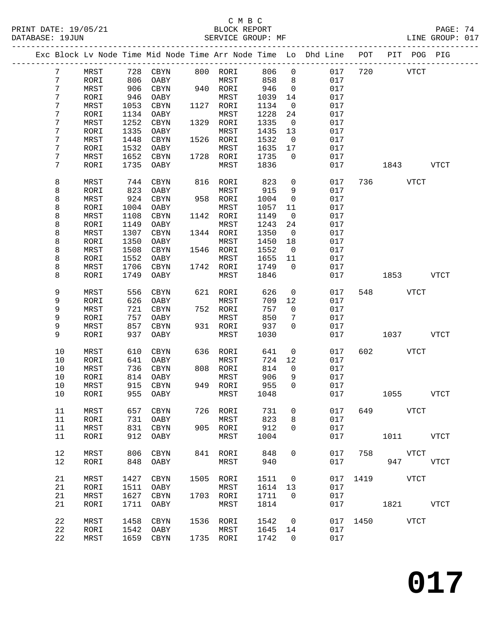| PRINT DATE: 19/05/21<br>DATABASE: 19JUN |                                                                                |      |                     |           | C M B C<br>BLOCK REPORT<br>SERVICE GROUP: MF |        |                | --------------------------------- |     |          |             | PAGE: 74<br>LINE GROUP: 017 |  |
|-----------------------------------------|--------------------------------------------------------------------------------|------|---------------------|-----------|----------------------------------------------|--------|----------------|-----------------------------------|-----|----------|-------------|-----------------------------|--|
|                                         | Exc Block Lv Node Time Mid Node Time Arr Node Time Lo Dhd Line POT PIT POG PIG |      |                     | --------- |                                              |        |                |                                   |     |          |             |                             |  |
| 7                                       | MRST                                                                           | 728  | CBYN                |           | 800 RORI                                     | 806    | $\mathbf{0}$   | 017                               | 720 |          | VTCT        |                             |  |
| 7                                       | RORI                                                                           | 806  | OABY                |           | MRST                                         | 858    | 8              | 017                               |     |          |             |                             |  |
| 7                                       | MRST                                                                           | 906  | CBYN                |           | 940 RORI                                     | 946    | $\overline{0}$ | 017                               |     |          |             |                             |  |
| 7                                       | RORI                                                                           | 946  | OABY                |           | MRST                                         | 1039   | 14             | 017                               |     |          |             |                             |  |
| 7                                       | MRST                                                                           | 1053 | CBYN                |           | 1127 RORI                                    | 1134   | $\overline{0}$ | 017                               |     |          |             |                             |  |
| 7                                       | RORI                                                                           | 1134 | OABY                |           | MRST                                         | 1228   | 24             | 017                               |     |          |             |                             |  |
| 7                                       | MRST                                                                           | 1252 | CBYN                |           | 1329 RORI                                    | 1335   | $\overline{0}$ | 017                               |     |          |             |                             |  |
| 7                                       | RORI                                                                           | 1335 | OABY                |           | MRST                                         | 1435   | 13             | 017                               |     |          |             |                             |  |
| 7                                       | MRST                                                                           | 1448 | CBYN                |           | 1526 RORI                                    | 1532   | $\overline{0}$ | 017                               |     |          |             |                             |  |
| 7                                       | RORI                                                                           | 1532 | OABY                |           | MRST                                         | 1635   | 17             | 017                               |     |          |             |                             |  |
| 7                                       | MRST                                                                           | 1652 | CBYN                |           | 1728 RORI                                    | 1735   | $\overline{0}$ | 017                               |     |          |             |                             |  |
| 7                                       | RORI                                                                           | 1735 | OABY                |           | MRST                                         | 1836   |                | 017                               |     | 1843     |             | VTCT                        |  |
| 8                                       | MRST                                                                           | 744  | CBYN                |           | 816 RORI                                     | 823    | $\mathbf{0}$   | 017                               |     | 736 — 17 | VTCT        |                             |  |
| 8                                       | RORI                                                                           | 823  | OABY                |           | MRST                                         | 915    | 9              | 017                               |     |          |             |                             |  |
| 8                                       | MRST                                                                           | 924  | CBYN                |           | 958 RORI                                     | 1004   | $\overline{0}$ | 017                               |     |          |             |                             |  |
| 8                                       | RORI                                                                           | 1004 | OABY                |           | MRST                                         | 1057   | 11             | 017                               |     |          |             |                             |  |
| 8                                       | MRST                                                                           | 1108 | CBYN                |           | 1142 RORI                                    | 1149   | $\overline{0}$ | 017                               |     |          |             |                             |  |
| 8                                       | RORI                                                                           | 1149 | OABY                |           | MRST                                         | 1243   | 24             | 017                               |     |          |             |                             |  |
| 8                                       | MRST                                                                           | 1307 | CBYN                |           | 1344 RORI                                    | 1350   | $\overline{0}$ | 017                               |     |          |             |                             |  |
| 8                                       | RORI                                                                           | 1350 | OABY                |           | MRST                                         | 1450   | 18             | 017                               |     |          |             |                             |  |
| 8                                       | MRST                                                                           | 1508 | CBYN                |           | 1546 RORI                                    | 1552   | $\overline{0}$ | 017                               |     |          |             |                             |  |
| 8                                       | RORI                                                                           | 1552 | OABY                |           | MRST                                         | 1655   | 11             | 017                               |     |          |             |                             |  |
| 8                                       | MRST                                                                           | 1706 | CBYN                |           | 1742 RORI                                    | 1749   | $\overline{0}$ | 017                               |     |          |             |                             |  |
| 8                                       | RORI                                                                           | 1749 | OABY                |           | MRST                                         | 1846   |                | 017                               |     |          | 1853 VTCT   |                             |  |
| 9                                       | MRST                                                                           | 556  | CBYN                |           | 621 RORI                                     | 626    | $\overline{0}$ | 017                               | 548 | VTCT     |             |                             |  |
| 9                                       | RORI                                                                           | 626  | OABY                |           | MRST                                         | 709    | 12             | 017                               |     |          |             |                             |  |
| 9                                       | MRST                                                                           | 721  | CBYN                |           | 752 RORI                                     | 757    | $\overline{0}$ | 017                               |     |          |             |                             |  |
| 9                                       | RORI                                                                           | 757  | OABY                |           | MRST                                         | 850    | 7              | 017                               |     |          |             |                             |  |
| 9                                       | MRST                                                                           | 857  | CBYN                |           | 931 RORI                                     | 937    | $\mathbf 0$    | 017                               |     |          |             |                             |  |
| 9                                       | RORI                                                                           | 937  | OABY                |           | MRST                                         | 1030   |                | 017                               |     | 1037     |             | VTCT                        |  |
| 10                                      | MRST                                                                           | 610  | CBYN                |           | 636 RORI                                     | 641    | $\overline{0}$ | 017                               | 602 |          | VTCT        |                             |  |
| 10                                      | RORI                                                                           | 641  | OABY                |           | MRST                                         | 724 12 |                | 017                               |     |          |             |                             |  |
| 10                                      | MRST                                                                           | 736  | CBYN                |           | 808 RORI                                     | 814    | $\overline{0}$ | 017                               |     |          |             |                             |  |
| 10                                      | RORI                                                                           |      | 814 OABY MRST 906 9 |           |                                              |        |                | 017                               |     |          |             |                             |  |
| 10                                      | MRST                                                                           | 915  | CBYN                |           | 949 RORI                                     | 955    | 0              | 017                               |     |          |             |                             |  |
| 10                                      | RORI                                                                           | 955  | OABY                |           | MRST                                         | 1048   |                | 017                               |     |          | 1055 VTCT   |                             |  |
| 11                                      | MRST                                                                           | 657  | CBYN                |           | 726 RORI                                     | 731    | 0              | 017                               |     | 649 VTCT |             |                             |  |
| 11                                      | RORI                                                                           | 731  | OABY                |           | MRST                                         | 823    | 8              | 017                               |     |          |             |                             |  |
| 11                                      | MRST                                                                           | 831  | CBYN                |           | 905 RORI                                     | 912    | 0              | 017                               |     |          |             |                             |  |
| 11                                      | RORI                                                                           | 912  | OABY                |           | MRST                                         | 1004   |                | 017                               |     |          | 1011 VTCT   |                             |  |
| 12                                      | MRST                                                                           | 806  | CBYN                |           | 841 RORI                                     | 848    | 0              | 017                               | 758 |          | <b>VTCT</b> |                             |  |
| 12                                      | RORI                                                                           | 848  | OABY                |           | MRST                                         | 940    |                | 017                               |     |          | 947         | <b>VTCT</b>                 |  |
|                                         |                                                                                |      |                     |           |                                              |        |                |                                   |     |          |             |                             |  |

21 MRST 1427 CBYN 1505 RORI 1511 0 017 1419 VTCT<br>21 RORI 1511 OABY MRST 1614 13 017<br>21 MRST 1627 CBYN 1703 RORI 1711 0 017

22 MRST 1458 CBYN 1536 RORI 1542 0 017 1450 VTCT

21 RORI 1711 OABY MRST 1814 017 1821 VTCT

 21 RORI 1511 OABY MRST 1614 13 017 21 MRST 1627 CBYN 1703 RORI 1711 0 017

 22 RORI 1542 OABY MRST 1645 14 017 22 MRST 1659 CBYN 1735 RORI 1742 0 017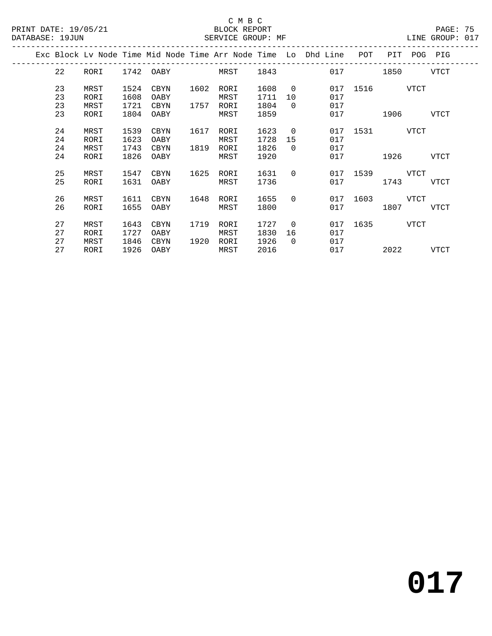### C M B C<br>BLOCK REPORT

| PRINT DATE: 19/05/21 |                      |                              |                              | DATABASE: 19JUN                    |              | BLOCK REPORT<br>SERVICE GROUP: MF |                              |                                  |                                                                                |     |                             | PAGE: 75<br>LINE GROUP: 017 |  |
|----------------------|----------------------|------------------------------|------------------------------|------------------------------------|--------------|-----------------------------------|------------------------------|----------------------------------|--------------------------------------------------------------------------------|-----|-----------------------------|-----------------------------|--|
|                      |                      |                              |                              | ---------------------------------- |              |                                   |                              |                                  | Exc Block Lv Node Time Mid Node Time Arr Node Time Lo Dhd Line POT PIT POG PIG |     |                             |                             |  |
|                      | 22                   |                              |                              |                                    |              | RORI 1742 OABY MRST 1843          |                              |                                  |                                                                                |     | 017 1850                    | VTCT                        |  |
|                      | 23<br>23<br>23<br>23 | MRST<br>RORI<br>MRST<br>RORI | 1524<br>1608<br>1721<br>1804 | CBYN<br>OABY<br>CBYN<br>OABY       | 1602         | RORI<br>MRST<br>1757 RORI<br>MRST | 1608<br>1711<br>1804<br>1859 | 10<br>$\Omega$                   | $\overline{0}$<br>017<br>017                                                   | 017 | 017 1516 VTCT<br>1906 - 190 | VTCT                        |  |
|                      | 24<br>24<br>24<br>24 | MRST<br>RORI<br>MRST<br>RORI | 1539<br>1623<br>1743<br>1826 | CBYN<br>OABY<br>CBYN<br>OABY       | 1617         | RORI<br>MRST<br>1819 RORI<br>MRST | 1623<br>1728<br>1826<br>1920 | $\overline{0}$<br>15<br>$\Omega$ | 017<br>017                                                                     | 017 | 017 1531 VTCT<br>1926 - 192 | VTCT                        |  |
|                      | 25<br>25             | MRST<br>RORI                 | 1547<br>1631                 | CBYN<br>OABY                       | 1625         | RORI<br>MRST                      | 1631<br>1736                 | $\Omega$                         |                                                                                | 017 | 017 1539 VTCT<br>1743       | VTCT                        |  |
|                      | 26<br>26             | MRST<br>RORI                 | 1611<br>1655                 | CBYN<br>OABY                       | 1648         | RORI<br>MRST                      | 1655<br>1800                 | $\Omega$                         |                                                                                | 017 | 017 1603 VTCT<br>1807       | VTCT                        |  |
|                      | 27<br>27<br>27<br>27 | MRST<br>RORI<br>MRST<br>RORI | 1643<br>1727<br>1846         | CBYN<br>OABY<br>CBYN<br>1926 OABY  | 1719<br>1920 | RORI<br>MRST<br>RORI<br>MRST      | 1727<br>1830<br>1926<br>2016 | $\Omega$<br>16<br>$\Omega$       | 017<br>017                                                                     | 017 | 017 1635 VTCT<br>2022 2023  | VTCT                        |  |

**017**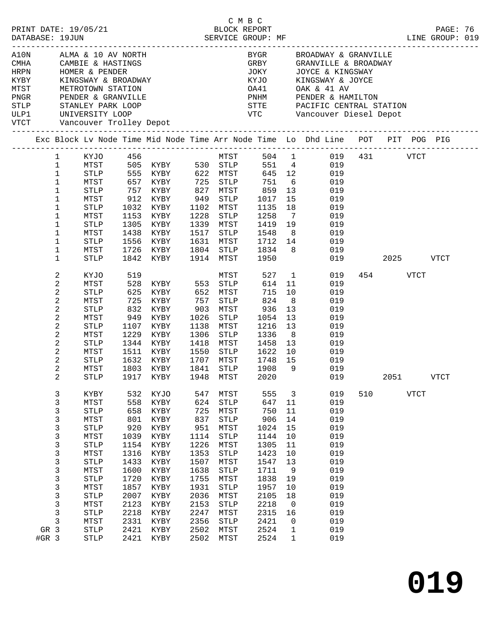|                                      |       | PRINT DATE: 19/05/21<br>DATABASE: 19JUN                                            |              |                     | 5/21                                                                                                                                               |      | BLOCK REPORT<br>SERVICE GROUP: MF |            |                |                                           |     |                                                                                                                                                                         |           |             | PAGE: 76<br>LINE GROUP: 019 |  |
|--------------------------------------|-------|------------------------------------------------------------------------------------|--------------|---------------------|----------------------------------------------------------------------------------------------------------------------------------------------------|------|-----------------------------------|------------|----------------|-------------------------------------------|-----|-------------------------------------------------------------------------------------------------------------------------------------------------------------------------|-----------|-------------|-----------------------------|--|
| MTST<br>PNGR<br>STLP<br>ULP1<br>VTCT |       | METROTOWN STAILON<br>PENDER & GRANVILLE<br>STANLEY PARK LOOP<br>PENDER & GRANVILLE |              |                     | AlON ALMA & 10 AV NORTH<br>CMHA CAMBIE & HASTINGS<br>HRPN HOMER & PENDER<br>KYBY KINGSWAY & BROADWAY<br>UNIVERSITY LOOP<br>Vancouver Trolley Depot |      |                                   |            |                | KYJO KINGSWAY & JOYCE<br>OA41 OAK & 41 AV |     | BYGR BROADWAY & GRANVILLE<br>GRBY GRANVILLE & BROADWAY<br>JOKY JOYCE & KINGSWAY<br>PNHM PENDER & HAMILTON<br>STTE PACIFIC CENTRAL STATION<br>VTC Vancouver Diesel Depot |           |             |                             |  |
|                                      |       |                                                                                    |              |                     | Exc Block Lv Node Time Mid Node Time Arr Node Time Lo Dhd Line POT PIT POG PIG                                                                     |      |                                   |            |                |                                           |     |                                                                                                                                                                         |           |             |                             |  |
|                                      |       | 1                                                                                  |              |                     | KYJO 456                                                                                                                                           |      |                                   |            |                |                                           |     | MTST 504 1 019 431 VTCT                                                                                                                                                 |           |             |                             |  |
|                                      |       | $\mathbf 1$                                                                        | MTST         |                     |                                                                                                                                                    |      |                                   | $551 \t 4$ |                |                                           | 019 |                                                                                                                                                                         |           |             |                             |  |
|                                      |       | $\mathbf{1}$                                                                       | STLP         |                     |                                                                                                                                                    |      |                                   | 645 12     |                |                                           | 019 |                                                                                                                                                                         |           |             |                             |  |
|                                      |       | $\mathbf{1}$                                                                       | MTST         |                     | 657 KYBY 725 STLP                                                                                                                                  |      |                                   | 751        |                | $6\overline{6}$                           | 019 |                                                                                                                                                                         |           |             |                             |  |
|                                      |       | $\mathbf 1$                                                                        | STLP         | 757                 | KYBY                                                                                                                                               | 827  | MTST                              | 859        | 13             |                                           | 019 |                                                                                                                                                                         |           |             |                             |  |
|                                      |       | $\mathbf 1$                                                                        | MTST         |                     | KYBY                                                                                                                                               | 949  | STLP                              | 1017       | 15             |                                           | 019 |                                                                                                                                                                         |           |             |                             |  |
|                                      |       | 1                                                                                  | STLP         | 912<br>1032<br>1032 | KYBY                                                                                                                                               | 1102 | MTST                              | 1135       | 18             |                                           | 019 |                                                                                                                                                                         |           |             |                             |  |
|                                      |       | 1                                                                                  | MTST         | 1153                | KYBY                                                                                                                                               | 1228 | STLP                              | 1258       | $\overline{7}$ |                                           | 019 |                                                                                                                                                                         |           |             |                             |  |
|                                      |       | 1                                                                                  |              |                     |                                                                                                                                                    |      |                                   |            |                |                                           | 019 |                                                                                                                                                                         |           |             |                             |  |
|                                      |       |                                                                                    | STLP         | 1305                | KYBY                                                                                                                                               | 1339 | MTST                              | 1419 19    |                |                                           |     |                                                                                                                                                                         |           |             |                             |  |
|                                      |       | $\mathbf 1$                                                                        | MTST         | 1438                | KYBY                                                                                                                                               | 1517 | STLP                              | 1548       | 8 <sup>8</sup> |                                           | 019 |                                                                                                                                                                         |           |             |                             |  |
|                                      |       | 1                                                                                  | STLP         | 1556                | KYBY                                                                                                                                               |      | 1631 MTST<br>1804 STLP 1834       | 1712 14    |                |                                           | 019 |                                                                                                                                                                         |           |             |                             |  |
|                                      |       | 1                                                                                  | MTST         | 1726                | KYBY                                                                                                                                               |      |                                   |            | 8              |                                           | 019 |                                                                                                                                                                         |           |             |                             |  |
|                                      |       | $\mathbf 1$                                                                        | STLP         |                     | 1842 KYBY                                                                                                                                          |      | 1914 MTST                         | 1950       |                |                                           |     | 019                                                                                                                                                                     | 2025 2020 |             | VTCT                        |  |
|                                      |       | 2                                                                                  | KYJO         | 519                 |                                                                                                                                                    |      | MTST                              |            |                | 527 1                                     | 019 |                                                                                                                                                                         | 454       | VTCT        |                             |  |
|                                      |       | 2                                                                                  | MTST         |                     | 528 KYBY 553 STLP                                                                                                                                  |      |                                   | 614 11     |                |                                           | 019 |                                                                                                                                                                         |           |             |                             |  |
|                                      |       | 2                                                                                  | STLP         | 625                 | KYBY 652 MTST                                                                                                                                      |      |                                   | 715        | 10             |                                           | 019 |                                                                                                                                                                         |           |             |                             |  |
|                                      |       | 2                                                                                  | MTST         | 725                 | KYBY                                                                                                                                               | 757  | STLP                              | 824        | 8 <sup>8</sup> |                                           | 019 |                                                                                                                                                                         |           |             |                             |  |
|                                      |       | $\mathbf{2}$                                                                       | <b>STLP</b>  | 832                 | KYBY                                                                                                                                               | 903  | MTST                              | 936        | 13             |                                           | 019 |                                                                                                                                                                         |           |             |                             |  |
|                                      |       | 2                                                                                  | MTST         | 949                 | KYBY                                                                                                                                               | 1026 | STLP                              | 1054       | 13             |                                           | 019 |                                                                                                                                                                         |           |             |                             |  |
|                                      |       | $\mathbf{2}$                                                                       | <b>STLP</b>  | 1107                | KYBY                                                                                                                                               | 1138 | MTST                              | 1216       | 13             |                                           | 019 |                                                                                                                                                                         |           |             |                             |  |
|                                      |       | 2                                                                                  | MTST         | 1229                | KYBY                                                                                                                                               | 1306 | STLP                              | 1336       | 8 <sup>8</sup> |                                           | 019 |                                                                                                                                                                         |           |             |                             |  |
|                                      |       | $\mathbf{2}$                                                                       | STLP         | 1344                | KYBY                                                                                                                                               | 1418 | MTST                              | 1458       | 13             |                                           | 019 |                                                                                                                                                                         |           |             |                             |  |
|                                      |       | 2                                                                                  | MTST         | 1511                | KYBY                                                                                                                                               | 1550 | STLP                              | 1622       | 10             |                                           | 019 |                                                                                                                                                                         |           |             |                             |  |
|                                      |       | 2                                                                                  | STLP         | 1632                | KYBY                                                                                                                                               | 1707 | MTST                              | 1748 15    |                |                                           | 019 |                                                                                                                                                                         |           |             |                             |  |
|                                      |       | 2                                                                                  | MTST         | 1803                | KYBY                                                                                                                                               | 1841 | STLP                              | 1908       | 9              |                                           | 019 |                                                                                                                                                                         |           |             |                             |  |
|                                      |       | $\overline{2}$                                                                     | STLP         |                     | 1917 KYBY                                                                                                                                          |      | 1948 MTST                         | 2020       |                |                                           |     | 019                                                                                                                                                                     | 2051 VTCT |             |                             |  |
|                                      |       |                                                                                    | KYBY         | 532                 |                                                                                                                                                    | 547  | MTST                              | 555        | 3              |                                           | 019 | 510                                                                                                                                                                     |           | <b>VTCT</b> |                             |  |
|                                      |       | 3                                                                                  |              | 558                 | KYJO                                                                                                                                               | 624  |                                   | 647        |                |                                           | 019 |                                                                                                                                                                         |           |             |                             |  |
|                                      |       | 3                                                                                  | MTST         |                     | KYBY                                                                                                                                               |      | ${\tt STLP}$                      |            | 11             |                                           |     |                                                                                                                                                                         |           |             |                             |  |
|                                      |       | 3                                                                                  | <b>STLP</b>  | 658                 | KYBY                                                                                                                                               | 725  | MTST                              | 750        | 11             |                                           | 019 |                                                                                                                                                                         |           |             |                             |  |
|                                      |       | 3                                                                                  | ${\tt MTST}$ | 801                 | KYBY                                                                                                                                               | 837  | STLP                              | 906        | 14             |                                           | 019 |                                                                                                                                                                         |           |             |                             |  |
|                                      |       | 3                                                                                  | <b>STLP</b>  | 920                 | KYBY                                                                                                                                               | 951  | ${\tt MTST}$                      | 1024       | 15             |                                           | 019 |                                                                                                                                                                         |           |             |                             |  |
|                                      |       | 3                                                                                  | MTST         | 1039                | KYBY                                                                                                                                               | 1114 | ${\tt STLP}$                      | 1144       | 10             |                                           | 019 |                                                                                                                                                                         |           |             |                             |  |
|                                      |       | 3                                                                                  | <b>STLP</b>  | 1154                | KYBY                                                                                                                                               | 1226 | ${\tt MTST}$                      | 1305       | 11             |                                           | 019 |                                                                                                                                                                         |           |             |                             |  |
|                                      |       | 3                                                                                  | MTST         | 1316                | KYBY                                                                                                                                               | 1353 | STLP                              | 1423       | $10$           |                                           | 019 |                                                                                                                                                                         |           |             |                             |  |
|                                      |       | 3                                                                                  | ${\tt STLP}$ | 1433                | KYBY                                                                                                                                               | 1507 | MTST                              | 1547       | 13             |                                           | 019 |                                                                                                                                                                         |           |             |                             |  |
|                                      |       | 3                                                                                  | MTST         | 1600                | KYBY                                                                                                                                               | 1638 | <b>STLP</b>                       | 1711       | 9              |                                           | 019 |                                                                                                                                                                         |           |             |                             |  |
|                                      |       | 3                                                                                  | <b>STLP</b>  | 1720                | KYBY                                                                                                                                               | 1755 | MTST                              | 1838       | 19             |                                           | 019 |                                                                                                                                                                         |           |             |                             |  |
|                                      |       | 3                                                                                  | MTST         | 1857                | KYBY                                                                                                                                               | 1931 | <b>STLP</b>                       | 1957       | 10             |                                           | 019 |                                                                                                                                                                         |           |             |                             |  |
|                                      |       | 3                                                                                  | <b>STLP</b>  | 2007                | KYBY                                                                                                                                               | 2036 | MTST                              | 2105       | 18             |                                           | 019 |                                                                                                                                                                         |           |             |                             |  |
|                                      |       | 3                                                                                  | MTST         | 2123                | KYBY                                                                                                                                               | 2153 | <b>STLP</b>                       | 2218       | 0              |                                           | 019 |                                                                                                                                                                         |           |             |                             |  |
|                                      |       | 3                                                                                  | <b>STLP</b>  | 2218                | KYBY                                                                                                                                               | 2247 | MTST                              | 2315       | 16             |                                           | 019 |                                                                                                                                                                         |           |             |                             |  |
|                                      |       | 3                                                                                  | MTST         | 2331                | KYBY                                                                                                                                               | 2356 | ${\tt STLP}$                      | 2421       | 0              |                                           | 019 |                                                                                                                                                                         |           |             |                             |  |
|                                      | GR 3  |                                                                                    | <b>STLP</b>  | 2421                | KYBY                                                                                                                                               | 2502 | ${\tt MTST}$                      | 2524       | 1              |                                           | 019 |                                                                                                                                                                         |           |             |                             |  |
|                                      | #GR 3 |                                                                                    | STLP         | 2421                | KYBY                                                                                                                                               | 2502 | ${\tt MTST}$                      | 2524       | $\mathbf 1$    |                                           | 019 |                                                                                                                                                                         |           |             |                             |  |
|                                      |       |                                                                                    |              |                     |                                                                                                                                                    |      |                                   |            |                |                                           |     |                                                                                                                                                                         |           |             |                             |  |

C M B C

**019**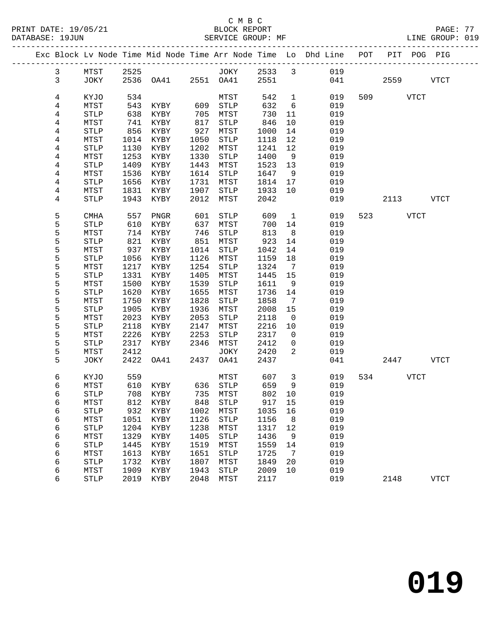|  |              |                       |             | Exc Block Lv Node Time Mid Node Time Arr Node Time Lo Dhd Line POT |              |              |              |                              |                 |                          | PIT POG PIG |             |
|--|--------------|-----------------------|-------------|--------------------------------------------------------------------|--------------|--------------|--------------|------------------------------|-----------------|--------------------------|-------------|-------------|
|  | $\mathbf{3}$ | MTST                  | 2525        |                                                                    |              |              |              |                              | JOKY 2533 3 019 |                          |             |             |
|  | $\mathbf{3}$ | JOKY                  |             | 2536   0A41   2551   0A41   2551                                   |              |              |              |                              | 041             | 2559                     |             | VTCT        |
|  |              |                       |             |                                                                    |              |              |              |                              |                 |                          |             |             |
|  | 4            | KYJO                  | 534         |                                                                    |              | MTST         | 542          | $\mathbf{1}$                 | 019             | 509 VTCT                 |             |             |
|  | 4            | MTST                  | 543         | KYBY                                                               | 609          | STLP         | 632          | 6                            | 019             |                          |             |             |
|  | 4            | $\operatorname{STLP}$ | 638         | KYBY                                                               | 705          | MTST         | 730          | 11                           | 019             |                          |             |             |
|  | 4            | MTST                  | 741         | KYBY                                                               | 817          | STLP         | 846          | 10                           | 019             |                          |             |             |
|  | 4            | STLP                  | 856         | KYBY                                                               | 927          | MTST         | 1000         | 14                           | 019             |                          |             |             |
|  | 4            | MTST                  | 1014        | KYBY                                                               | 1050         | STLP         | 1118         | 12                           | 019             |                          |             |             |
|  | 4            | <b>STLP</b>           | 1130        | KYBY                                                               | 1202         | MTST         | 1241         | 12                           | 019             |                          |             |             |
|  | 4            | MTST                  | 1253        | KYBY                                                               | 1330         | STLP         | 1400         | 9                            | 019             |                          |             |             |
|  | 4            | <b>STLP</b>           | 1409        | KYBY                                                               | 1443         | MTST         | 1523         | 13                           | 019             |                          |             |             |
|  | 4            | MTST                  | 1536        | KYBY                                                               | 1614         | STLP         | 1647         | 9                            | 019             |                          |             |             |
|  | 4            | <b>STLP</b>           | 1656        | KYBY                                                               | 1731         | MTST         | 1814         | 17                           | 019             |                          |             |             |
|  | 4            | MTST                  | 1831        | KYBY                                                               | 1907         | STLP         | 1933         | 10                           | 019             |                          |             |             |
|  | 4            | <b>STLP</b>           | 1943        | KYBY                                                               | 2012         | MTST         | 2042         |                              | 019             | 2113                     |             | VTCT        |
|  |              |                       |             |                                                                    |              |              |              |                              |                 |                          |             |             |
|  | 5            | CMHA                  | 557         | PNGR                                                               | 601          | STLP         | 609          | $\overline{1}$               | 019             | 523 and $\overline{523}$ | VTCT        |             |
|  | 5            | <b>STLP</b>           | 610         | KYBY                                                               | 637          | MTST         | 700          | 14                           | 019             |                          |             |             |
|  | 5            | MTST                  | 714         | KYBY                                                               | 746          | STLP         | 813          | 8 <sup>8</sup>               | 019             |                          |             |             |
|  | 5            | <b>STLP</b>           | 821         | KYBY                                                               | 851          | MTST         | 923          | 14                           | 019             |                          |             |             |
|  | 5            | MTST                  | 937         | KYBY                                                               | 1014         | STLP         | 1042         | 14                           | 019             |                          |             |             |
|  | 5            | <b>STLP</b>           | 1056        | KYBY                                                               | 1126         | MTST         | 1159         | 18                           | 019             |                          |             |             |
|  | 5            | MTST                  | 1217        | KYBY                                                               | 1254         | STLP         | 1324         | 7                            | 019             |                          |             |             |
|  | 5            | <b>STLP</b>           | 1331        | KYBY                                                               | 1405         | MTST         | 1445         | 15                           | 019             |                          |             |             |
|  | 5            | MTST                  | 1500        | KYBY                                                               | 1539         | STLP         | 1611         | 9                            | 019             |                          |             |             |
|  | 5            | <b>STLP</b>           | 1620        | KYBY                                                               | 1655         | MTST         | 1736         | 14                           | 019             |                          |             |             |
|  | 5            | MTST                  | 1750        | KYBY                                                               | 1828         | STLP         | 1858         | $7\phantom{.0}\phantom{.0}7$ | 019             |                          |             |             |
|  | 5            | $\operatorname{STLP}$ | 1905        | KYBY                                                               | 1936         | MTST         | 2008         | 15                           | 019             |                          |             |             |
|  | 5            | MTST                  | 2023        | KYBY                                                               | 2053         | STLP         | 2118         | $\overline{0}$               | 019             |                          |             |             |
|  | 5            | $\operatorname{STLP}$ | 2118        | KYBY                                                               | 2147         | MTST         | 2216         | 10                           | 019             |                          |             |             |
|  | 5            | MTST                  | 2226        | KYBY                                                               | 2253         | STLP         | 2317         | $\overline{0}$               | 019             |                          |             |             |
|  | 5            | STLP                  | 2317        | KYBY                                                               | 2346         | MTST         | 2412         | $\mathsf{O}$                 | 019             |                          |             |             |
|  | 5            | MTST                  | 2412        |                                                                    |              | JOKY         | 2420         | 2                            | 019             |                          |             |             |
|  | 5            | JOKY                  | 2422        | OA41                                                               | 2437         | OA41         | 2437         |                              | 041             | 2447                     |             | VTCT        |
|  | 6            |                       | 559         |                                                                    |              | MTST         | 607          |                              | 019             | 534 VTCT                 |             |             |
|  | 6            | KYJO<br>MTST          | 610         |                                                                    |              | 636 STLP     | 659          | $\overline{\mathbf{3}}$<br>9 | 019             |                          |             |             |
|  | 6            | <b>STLP</b>           | 708         | KYBY<br>KYBY                                                       |              | 735 MTST     | 802          | 10                           | 019             |                          |             |             |
|  |              |                       |             |                                                                    |              |              |              |                              |                 |                          |             |             |
|  | 6            | ${\tt MTST}$          |             | 812 KYBY 848 STLP 917 15                                           |              |              |              |                              | 019             |                          |             |             |
|  | 6<br>6       | STLP<br>MTST          | 932<br>1051 | KYBY<br>KYBY                                                       | 1002<br>1126 | MTST<br>STLP | 1035<br>1156 | 16<br>8                      | 019<br>019      |                          |             |             |
|  | 6            | <b>STLP</b>           | 1204        | KYBY                                                               | 1238         | MTST         | 1317         | 12                           | 019             |                          |             |             |
|  | 6            | MTST                  | 1329        | KYBY                                                               | 1405         | STLP         | 1436         | 9                            | 019             |                          |             |             |
|  | 6            | <b>STLP</b>           | 1445        | KYBY                                                               | 1519         | MTST         | 1559         | 14                           | 019             |                          |             |             |
|  | 6            | MTST                  | 1613        | KYBY                                                               | 1651         | STLP         | 1725         | 7                            | 019             |                          |             |             |
|  | 6            | <b>STLP</b>           | 1732        | KYBY                                                               | 1807         | MTST         | 1849         | 20                           | 019             |                          |             |             |
|  | 6            | MTST                  | 1909        | KYBY                                                               | 1943         | STLP         | 2009         | 10                           | 019             |                          |             |             |
|  | 6            | STLP                  | 2019        | KYBY                                                               | 2048         | MTST         | 2117         |                              | 019             | 2148                     |             | <b>VTCT</b> |
|  |              |                       |             |                                                                    |              |              |              |                              |                 |                          |             |             |
|  |              |                       |             |                                                                    |              |              |              |                              |                 |                          |             |             |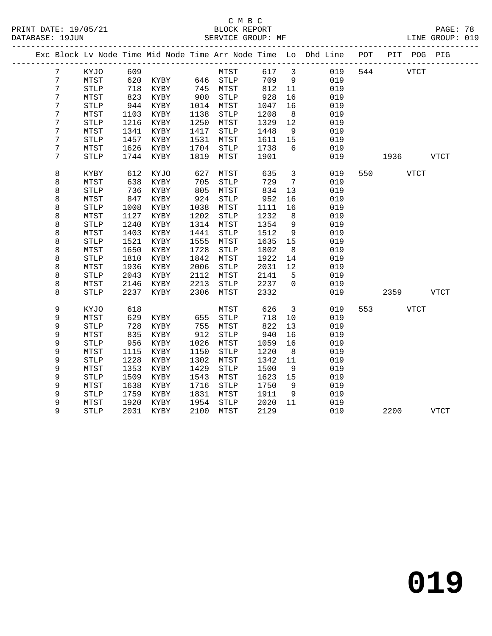#### C M B C<br>BLOCK REPORT PRINT DATE: 19/05/21 BLOCK REPORT PAGE: 78 SERVICE GROUP: MF

|                 |                       |      |               |      |                       |      |                         | Exc Block Lv Node Time Mid Node Time Arr Node Time Lo Dhd Line POT |     |             |             | PIT POG PIG |
|-----------------|-----------------------|------|---------------|------|-----------------------|------|-------------------------|--------------------------------------------------------------------|-----|-------------|-------------|-------------|
| $7\phantom{.}$  | KYJO                  | 609  |               |      | MTST                  | 617  | $\overline{\mathbf{3}}$ | 019                                                                |     | 544         | VTCT        |             |
| $7\overline{ }$ | MTST                  | 620  | KYBY 646 STLP |      |                       | 709  | 9                       | 019                                                                |     |             |             |             |
| 7               | <b>STLP</b>           | 718  | KYBY          | 745  | MTST                  | 812  | 11                      | 019                                                                |     |             |             |             |
| 7               | MTST                  | 823  | KYBY          | 900  | STLP                  | 928  | 16                      | 019                                                                |     |             |             |             |
| 7               | $\operatorname{STLP}$ | 944  | KYBY          | 1014 | MTST                  | 1047 | 16                      | 019                                                                |     |             |             |             |
| 7               | MTST                  | 1103 | KYBY          | 1138 | STLP                  | 1208 | 8                       | 019                                                                |     |             |             |             |
| 7               | $\operatorname{STLP}$ | 1216 | KYBY          | 1250 | MTST                  | 1329 | 12                      | 019                                                                |     |             |             |             |
| $\overline{7}$  | MTST                  | 1341 | KYBY          | 1417 | ${\tt STLP}$          | 1448 | 9                       | 019                                                                |     |             |             |             |
| 7               | <b>STLP</b>           | 1457 | KYBY          | 1531 | MTST                  | 1611 | 15                      | 019                                                                |     |             |             |             |
| 7               | MTST                  | 1626 | KYBY          | 1704 | <b>STLP</b>           | 1738 | 6                       | 019                                                                |     |             |             |             |
| 7               | <b>STLP</b>           | 1744 | KYBY          | 1819 | MTST                  | 1901 |                         | 019                                                                |     | 1936        |             | VTCT        |
| 8               | KYBY                  | 612  | KYJO          | 627  | MTST                  | 635  | $\mathbf{3}$            | 019                                                                | 550 |             | <b>VTCT</b> |             |
| 8               | MTST                  | 638  | KYBY          | 705  | <b>STLP</b>           | 729  | $7\overline{ }$         | 019                                                                |     |             |             |             |
| 8               | <b>STLP</b>           | 736  | KYBY          | 805  | MTST                  | 834  | 13                      | 019                                                                |     |             |             |             |
| 8               | MTST                  | 847  | KYBY          | 924  | <b>STLP</b>           | 952  | 16                      | 019                                                                |     |             |             |             |
| 8               | <b>STLP</b>           | 1008 | KYBY          | 1038 | MTST                  | 1111 | 16                      | 019                                                                |     |             |             |             |
| 8               | MTST                  | 1127 | KYBY          | 1202 | STLP                  | 1232 | 8                       | 019                                                                |     |             |             |             |
| 8               | $\operatorname{STLP}$ | 1240 | KYBY          | 1314 | MTST                  | 1354 | 9                       | 019                                                                |     |             |             |             |
| 8               | MTST                  | 1403 | KYBY          | 1441 | ${\tt STLP}$          | 1512 | 9                       | 019                                                                |     |             |             |             |
| 8               | <b>STLP</b>           | 1521 | KYBY          | 1555 | MTST                  | 1635 | 15                      | 019                                                                |     |             |             |             |
| 8               | MTST                  | 1650 | KYBY          | 1728 | <b>STLP</b>           | 1802 | 8                       | 019                                                                |     |             |             |             |
| 8               | <b>STLP</b>           | 1810 | KYBY          | 1842 | MTST                  | 1922 | 14                      | 019                                                                |     |             |             |             |
| 8               | MTST                  | 1936 | KYBY          | 2006 | <b>STLP</b>           | 2031 | 12                      | 019                                                                |     |             |             |             |
| 8               | <b>STLP</b>           | 2043 | KYBY          | 2112 | MTST                  | 2141 | 5                       | 019                                                                |     |             |             |             |
| 8               | MTST                  | 2146 | KYBY          | 2213 | STLP                  | 2237 | $\Omega$                | 019                                                                |     |             |             |             |
| 8               | <b>STLP</b>           | 2237 | KYBY          | 2306 | MTST                  | 2332 |                         | 019                                                                |     | 2359        |             | VTCT        |
| 9               | KYJO                  | 618  |               |      | MTST                  | 626  | $\mathbf{3}$            | 019                                                                | 553 | <b>VTCT</b> |             |             |
| 9               | MTST                  | 629  | KYBY          | 655  | STLP                  | 718  | 10                      | 019                                                                |     |             |             |             |
| 9               | $\operatorname{STLP}$ | 728  | KYBY          | 755  | MTST                  | 822  | 13                      | 019                                                                |     |             |             |             |
| 9               | MTST                  | 835  | KYBY          | 912  | $\operatorname{STLP}$ | 940  | 16                      | 019                                                                |     |             |             |             |
| 9               | <b>STLP</b>           | 956  | KYBY          | 1026 | MTST                  | 1059 | 16                      | 019                                                                |     |             |             |             |
| 9               | MTST                  | 1115 | KYBY          | 1150 | <b>STLP</b>           | 1220 | 8                       | 019                                                                |     |             |             |             |
| 9               | <b>STLP</b>           | 1228 | KYBY          | 1302 | MTST                  | 1342 | 11                      | 019                                                                |     |             |             |             |
| 9               | MTST                  | 1353 | KYBY          | 1429 | <b>STLP</b>           | 1500 | 9                       | 019                                                                |     |             |             |             |
| 9               | <b>STLP</b>           | 1509 | KYBY          | 1543 | MTST                  | 1623 | 15                      | 019                                                                |     |             |             |             |
| 9               | MTST                  | 1638 | KYBY          | 1716 | STLP                  | 1750 | 9                       | 019                                                                |     |             |             |             |
| 9               | <b>STLP</b>           | 1759 | KYBY          | 1831 | MTST                  | 1911 | 9                       | 019                                                                |     |             |             |             |
| 9               | MTST                  | 1920 | KYBY          | 1954 | STLP                  | 2020 | 11                      | 019                                                                |     |             |             |             |
| 9               | <b>STLP</b>           | 2031 | KYBY          | 2100 | MTST                  | 2129 |                         | 019                                                                |     | 2200        |             | VTCT        |
|                 |                       |      |               |      |                       |      |                         |                                                                    |     |             |             |             |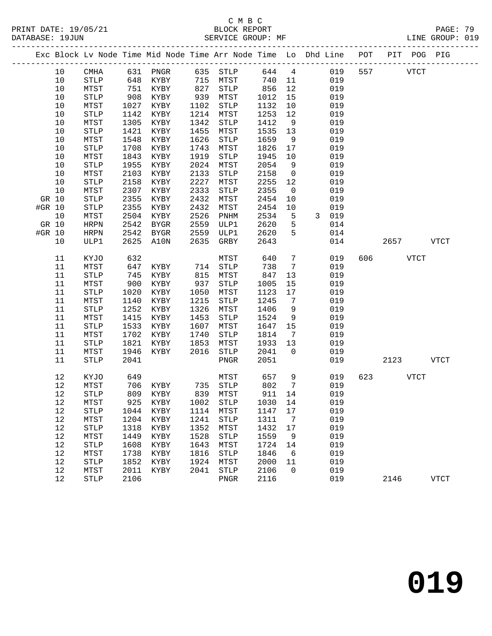# C M B C<br>BLOCK REPORT

| PRINT DATE: 19/05/21<br>DATABASE: 19JUN |        |                       |      | BLOCK REPORT<br>SERVICE GROUP:                                     |      | SERVICE GROUP: MF     |      |                       |   |            |     |      |             | PAGE: 79<br>LINE GROUP: 019 |  |
|-----------------------------------------|--------|-----------------------|------|--------------------------------------------------------------------|------|-----------------------|------|-----------------------|---|------------|-----|------|-------------|-----------------------------|--|
|                                         |        |                       |      | Exc Block Lv Node Time Mid Node Time Arr Node Time Lo Dhd Line POT |      |                       |      |                       |   |            |     |      | PIT POG PIG |                             |  |
|                                         | 10     | CMHA                  |      | 631 PNGR                                                           | 635  | STLP                  | 644  | $\overline{4}$        |   | 019        | 557 |      | <b>VTCT</b> |                             |  |
|                                         | 10     | <b>STLP</b>           | 648  | KYBY                                                               | 715  | MTST                  | 740  | 11                    |   | 019        |     |      |             |                             |  |
|                                         | 10     | MTST                  | 751  | KYBY                                                               | 827  | $\operatorname{STLP}$ | 856  | 12                    |   | 019        |     |      |             |                             |  |
|                                         | 10     | $\operatorname{STLP}$ | 908  | KYBY                                                               | 939  | MTST                  | 1012 | 15                    |   | 019        |     |      |             |                             |  |
|                                         | 10     | MTST                  | 1027 | KYBY                                                               | 1102 | STLP                  | 1132 | 10                    |   | 019        |     |      |             |                             |  |
|                                         | 10     | <b>STLP</b>           | 1142 | KYBY                                                               | 1214 | MTST                  | 1253 | 12                    |   | 019        |     |      |             |                             |  |
|                                         | 10     | MTST                  | 1305 | KYBY                                                               | 1342 | <b>STLP</b>           | 1412 | 9                     |   | 019        |     |      |             |                             |  |
|                                         | 10     | <b>STLP</b>           | 1421 | KYBY                                                               | 1455 | MTST                  | 1535 | 13                    |   | 019        |     |      |             |                             |  |
|                                         | 10     | MTST                  | 1548 | KYBY                                                               | 1626 | <b>STLP</b>           | 1659 | - 9                   |   | 019        |     |      |             |                             |  |
|                                         | $10$   | ${\tt STLP}$          | 1708 | KYBY                                                               | 1743 | MTST                  | 1826 | 17                    |   | 019        |     |      |             |                             |  |
|                                         | $10$   | MTST                  | 1843 | KYBY                                                               | 1919 | STLP                  | 1945 | 10                    |   | 019        |     |      |             |                             |  |
|                                         | 10     | ${\tt STLP}$          | 1955 | KYBY                                                               | 2024 | MTST                  | 2054 | $\overline{9}$        |   | 019        |     |      |             |                             |  |
|                                         | $10$   | MTST                  | 2103 | KYBY                                                               | 2133 | $\operatorname{STLP}$ | 2158 | $\mathsf{O}$          |   | 019        |     |      |             |                             |  |
|                                         | 10     | ${\tt STLP}$          | 2158 | KYBY                                                               | 2227 | MTST                  | 2255 | 12                    |   | 019        |     |      |             |                             |  |
|                                         | 10     | MTST                  | 2307 | KYBY                                                               | 2333 | STLP                  | 2355 | $\overline{0}$        |   | 019        |     |      |             |                             |  |
|                                         | GR 10  | <b>STLP</b>           | 2355 | KYBY                                                               | 2432 | MTST                  | 2454 | 10                    |   | 019        |     |      |             |                             |  |
| #GR 10                                  |        | <b>STLP</b>           | 2355 | KYBY                                                               | 2432 | MTST                  | 2454 | 10                    |   | 019        |     |      |             |                             |  |
|                                         | 10     | MTST                  | 2504 | KYBY                                                               | 2526 | PNHM                  | 2534 | 5                     | 3 | 019        |     |      |             |                             |  |
|                                         | GR 10  | <b>HRPN</b>           | 2542 | <b>BYGR</b>                                                        | 2559 | ULP1                  | 2620 | 5                     |   | 014        |     |      |             |                             |  |
| #GR 10                                  |        | HRPN                  | 2542 | <b>BYGR</b>                                                        | 2559 | ULP1                  | 2620 | 5                     |   | 014        |     |      |             |                             |  |
|                                         | 10     | ULP1                  | 2625 | A10N                                                               | 2635 | GRBY                  | 2643 |                       |   | 014        |     | 2657 |             | VTCT                        |  |
|                                         | 11     | KYJO                  | 632  |                                                                    |      | MTST                  | 640  | $\overline{7}$        |   | 019        | 606 |      | <b>VTCT</b> |                             |  |
|                                         | 11     | MTST                  | 647  | KYBY                                                               | 714  | <b>STLP</b>           | 738  | 7                     |   | 019        |     |      |             |                             |  |
|                                         | 11     | <b>STLP</b>           | 745  | KYBY                                                               | 815  | MTST                  | 847  | 13                    |   | 019        |     |      |             |                             |  |
|                                         | 11     | MTST                  | 900  | KYBY                                                               | 937  | <b>STLP</b>           | 1005 | 15                    |   | 019        |     |      |             |                             |  |
|                                         | 11     | <b>STLP</b>           | 1020 | KYBY                                                               | 1050 | MTST                  | 1123 | 17                    |   | 019        |     |      |             |                             |  |
|                                         | 11     | MTST                  | 1140 | KYBY                                                               | 1215 | <b>STLP</b>           | 1245 | $7\phantom{.0}$       |   | 019        |     |      |             |                             |  |
|                                         | 11     | STLP                  | 1252 | KYBY                                                               | 1326 | MTST                  | 1406 | 9                     |   | 019        |     |      |             |                             |  |
|                                         | 11     | MTST                  | 1415 | KYBY                                                               | 1453 | STLP                  | 1524 | 9                     |   | 019        |     |      |             |                             |  |
|                                         | 11     | <b>STLP</b>           | 1533 | KYBY                                                               | 1607 | MTST                  | 1647 | 15                    |   | 019        |     |      |             |                             |  |
|                                         | 11     | MTST                  | 1702 | KYBY                                                               | 1740 | <b>STLP</b>           | 1814 | $7\phantom{.0}$<br>13 |   | 019<br>019 |     |      |             |                             |  |
|                                         | 11     | <b>STLP</b>           | 1821 | KYBY                                                               | 1853 | MTST                  | 1933 | $\Omega$              |   |            |     |      |             |                             |  |
|                                         | $11\,$ | MTST                  | 1946 | KYBY                                                               | 2016 | $\operatorname{STLP}$ | 2041 |                       |   | 019        |     |      |             |                             |  |
|                                         | 11     | <b>STLP</b>           | 2041 |                                                                    |      | PNGR                  | 2051 |                       |   | 019        |     | 2123 |             | <b>VTCT</b>                 |  |
|                                         | 12     | KYJO                  | 649  |                                                                    |      | MTST                  | 657  | 9                     |   | 019        | 623 |      | <b>VTCT</b> |                             |  |
|                                         | $12$   | MTST                  | 706  | KYBY                                                               | 735  | STLP                  | 802  | $7\phantom{.0}$       |   | 019        |     |      |             |                             |  |
|                                         | 12     | STLP                  | 809  | KYBY                                                               | 839  | MTST                  | 911  | 14                    |   | 019        |     |      |             |                             |  |
|                                         | 12     | MTST                  | 925  | KYBY                                                               | 1002 | <b>STLP</b>           | 1030 | 14                    |   | 019        |     |      |             |                             |  |
|                                         | 12     | <b>STLP</b>           | 1044 | KYBY                                                               | 1114 | MTST                  | 1147 | 17                    |   | 019        |     |      |             |                             |  |

12 STLP 2106 PNGR 2116 019 2146 VTCT

 12 MTST 1204 KYBY 1241 STLP 1311 7 019 12 STLP 1318 KYBY 1352 MTST 1432 17 019 12 MTST 1449 KYBY 1528 STLP 1559 9 019 12 STLP 1608 KYBY 1643 MTST 1724 14 019 12 MTST 1738 KYBY 1816 STLP 1846 6 019 12 STLP 1852 KYBY 1924 MTST 2000 11 019 12 MTST 2011 KYBY 2041 STLP 2106 0 019

**019**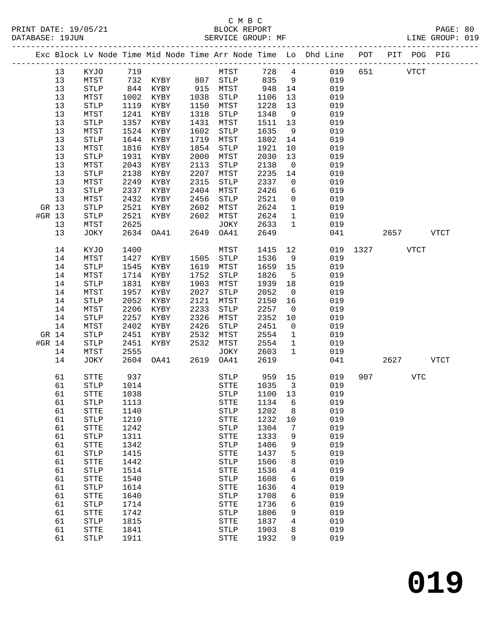#### C M B C<br>BLOCK REPORT SERVICE GROUP: MF

-------------------------------------------------------------------------------------------------

PRINT DATE: 19/05/21 BLOCK REPORT PAGE: 80

|        |    |                       |      |      |      |                       |              |                         | Exc Block Lv Node Time Mid Node Time Arr Node Time Lo Dhd Line | POT  | PIT  |             | POG PIG     |
|--------|----|-----------------------|------|------|------|-----------------------|--------------|-------------------------|----------------------------------------------------------------|------|------|-------------|-------------|
|        | 13 | KYJO                  | 719  |      |      | MTST                  | 728          | $\overline{4}$          | 019                                                            | 651  |      | <b>VTCT</b> |             |
|        | 13 | MTST                  | 732  | KYBY | 807  | <b>STLP</b>           | 835          | 9                       | 019                                                            |      |      |             |             |
|        | 13 | $\operatorname{STLP}$ | 844  | KYBY | 915  | ${\tt MTST}$          | 948          | 14                      | 019                                                            |      |      |             |             |
|        | 13 | MTST                  | 1002 | KYBY | 1038 | STLP                  | 1106         | 13                      | 019                                                            |      |      |             |             |
|        | 13 | ${\tt STLP}$          | 1119 | KYBY | 1150 | MTST                  | 1228         | 13                      | 019                                                            |      |      |             |             |
|        | 13 | MTST                  | 1241 | KYBY | 1318 | STLP                  | 1348         | 9                       | 019                                                            |      |      |             |             |
|        | 13 | <b>STLP</b>           | 1357 | KYBY | 1431 | ${\tt MTST}$          | 1511         | 13                      | 019                                                            |      |      |             |             |
|        | 13 | MTST                  | 1524 | KYBY | 1602 | <b>STLP</b>           | 1635         | 9                       | 019                                                            |      |      |             |             |
|        | 13 | $\operatorname{STLP}$ | 1644 | KYBY | 1719 | MTST                  | 1802         | 14                      | 019                                                            |      |      |             |             |
|        | 13 | MTST                  | 1816 | KYBY | 1854 | STLP                  | 1921         | 10                      | 019                                                            |      |      |             |             |
|        |    |                       |      |      |      |                       |              |                         |                                                                |      |      |             |             |
|        | 13 | <b>STLP</b>           | 1931 | KYBY | 2000 | ${\tt MTST}$          | 2030<br>2138 | 13                      | 019                                                            |      |      |             |             |
|        | 13 | MTST                  | 2043 | KYBY | 2113 | STLP                  |              | $\mathsf{O}$            | 019                                                            |      |      |             |             |
|        | 13 | <b>STLP</b>           | 2138 | KYBY | 2207 | MTST                  | 2235         | 14                      | 019                                                            |      |      |             |             |
|        | 13 | MTST                  | 2249 | KYBY | 2315 | STLP                  | 2337         | 0                       | 019                                                            |      |      |             |             |
|        | 13 | <b>STLP</b>           | 2337 | KYBY | 2404 | MTST                  | 2426         | 6                       | 019                                                            |      |      |             |             |
|        | 13 | MTST                  | 2432 | KYBY | 2456 | STLP                  | 2521         | $\mathsf{O}$            | 019                                                            |      |      |             |             |
| GR 13  |    | ${\tt STLP}$          | 2521 | KYBY | 2602 | MTST                  | 2624         | $\mathbf{1}$            | 019                                                            |      |      |             |             |
| #GR 13 |    | <b>STLP</b>           | 2521 | KYBY | 2602 | MTST                  | 2624         | $\mathbf{1}$            | 019                                                            |      |      |             |             |
|        | 13 | MTST                  | 2625 |      |      | JOKY                  | 2633         | $\mathbf 1$             | 019                                                            |      |      |             |             |
|        | 13 | JOKY                  | 2634 | OA41 | 2649 | OA41                  | 2649         |                         | 041                                                            |      | 2657 |             | <b>VTCT</b> |
|        | 14 | KYJO                  | 1400 |      |      | ${\tt MTST}$          | 1415         | 12                      | 019                                                            | 1327 |      | <b>VTCT</b> |             |
|        | 14 | MTST                  | 1427 | KYBY | 1505 | STLP                  | 1536         | 9                       | 019                                                            |      |      |             |             |
|        | 14 | <b>STLP</b>           | 1545 | KYBY | 1619 | MTST                  | 1659         | 15                      | 019                                                            |      |      |             |             |
|        | 14 | MTST                  | 1714 | KYBY | 1752 | <b>STLP</b>           | 1826         | 5                       | 019                                                            |      |      |             |             |
|        | 14 | ${\tt STLP}$          | 1831 | KYBY | 1903 | MTST                  | 1939         | 18                      | 019                                                            |      |      |             |             |
|        | 14 | MTST                  | 1957 | KYBY | 2027 | ${\tt STLP}$          | 2052         | $\mathsf{O}$            | 019                                                            |      |      |             |             |
|        | 14 | <b>STLP</b>           | 2052 | KYBY | 2121 | ${\tt MTST}$          | 2150         | 16                      | 019                                                            |      |      |             |             |
|        | 14 | MTST                  | 2206 | KYBY | 2233 | STLP                  | 2257         | $\overline{0}$          | 019                                                            |      |      |             |             |
|        | 14 | ${\tt STLP}$          | 2257 | KYBY | 2326 | MTST                  | 2352         | 10                      | 019                                                            |      |      |             |             |
|        | 14 | MTST                  | 2402 | KYBY | 2426 | STLP                  | 2451         | $\mathbf 0$             | 019                                                            |      |      |             |             |
| GR 14  |    | <b>STLP</b>           | 2451 | KYBY | 2532 | ${\tt MTST}$          | 2554         | $\mathbf{1}$            | 019                                                            |      |      |             |             |
| #GR 14 |    | <b>STLP</b>           | 2451 | KYBY | 2532 | MTST                  | 2554         | $\mathbf 1$             | 019                                                            |      |      |             |             |
|        | 14 | MTST                  | 2555 |      |      | JOKY                  | 2603         | $\mathbf 1$             | 019                                                            |      |      |             |             |
|        | 14 | JOKY                  | 2604 | OA41 | 2619 | OA41                  | 2619         |                         | 041                                                            |      | 2627 |             | <b>VTCT</b> |
|        |    |                       |      |      |      |                       |              |                         |                                                                |      |      |             |             |
|        | 61 | STTE                  | 937  |      |      | <b>STLP</b>           | 959          | 15                      | 019                                                            | 907  |      | VTC         |             |
|        | 61 | ${\tt STLP}$          | 1014 |      |      | ${\tt STTE}$          | 1035         | $\overline{\mathbf{3}}$ | 019                                                            |      |      |             |             |
|        | 61 | STTE                  | 1038 |      |      | STLP                  | 1100         | 13                      | 019                                                            |      |      |             |             |
|        | 61 | <b>STLP</b>           | 1113 |      |      | ${\tt STTE}$          | 1134         | 6                       | 019                                                            |      |      |             |             |
|        | 61 | <b>STTE</b>           | 1140 |      |      | STLP                  | 1202 8       |                         | 019                                                            |      |      |             |             |
|        | 61 | <b>STLP</b>           | 1210 |      |      | STTE                  | 1232         | 10                      | 019                                                            |      |      |             |             |
|        | 61 | ${\tt STTE}$          | 1242 |      |      | STLP                  | 1304         | 7                       | 019                                                            |      |      |             |             |
|        | 61 | <b>STLP</b>           | 1311 |      |      | STTE                  | 1333         | 9                       | 019                                                            |      |      |             |             |
|        | 61 | ${\tt STTE}$          | 1342 |      |      | STLP                  | 1406         | 9                       | 019                                                            |      |      |             |             |
|        | 61 | STLP                  | 1415 |      |      | ${\tt STTE}$          | 1437         | 5                       | 019                                                            |      |      |             |             |
|        | 61 | <b>STTE</b>           | 1442 |      |      | $\operatorname{STLP}$ | 1506         | 8                       | 019                                                            |      |      |             |             |
|        | 61 | STLP                  | 1514 |      |      | ${\tt STTE}$          | 1536         | 4                       | 019                                                            |      |      |             |             |
|        | 61 | STTE                  | 1540 |      |      | STLP                  | 1608         | 6                       | 019                                                            |      |      |             |             |
|        | 61 | <b>STLP</b>           | 1614 |      |      | ${\tt STTE}$          | 1636         | 4                       | 019                                                            |      |      |             |             |
|        | 61 | ${\tt STTE}$          | 1640 |      |      | STLP                  | 1708         | 6                       | 019                                                            |      |      |             |             |
|        | 61 | <b>STLP</b>           | 1714 |      |      | <b>STTE</b>           | 1736         | 6                       | 019                                                            |      |      |             |             |
|        | 61 | <b>STTE</b>           | 1742 |      |      | <b>STLP</b>           | 1806         | 9                       | 019                                                            |      |      |             |             |
|        | 61 | <b>STLP</b>           | 1815 |      |      | STTE                  | 1837         | $\overline{4}$          | 019                                                            |      |      |             |             |
|        | 61 | <b>STTE</b>           | 1841 |      |      | $\operatorname{STLP}$ | 1903         | 8                       | 019                                                            |      |      |             |             |
|        | 61 | $\operatorname{STLP}$ | 1911 |      |      | ${\tt STTE}$          | 1932         | 9                       | 019                                                            |      |      |             |             |
|        |    |                       |      |      |      |                       |              |                         |                                                                |      |      |             |             |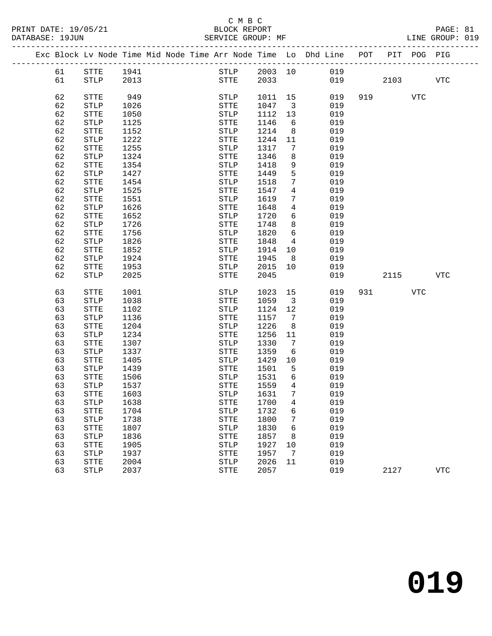|  |    | Exc Block Lv Node Time Mid Node Time Arr Node Time Lo Dhd Line POT |      |  |              |      |              |                         |     |     |      | PIT POG PIG |            |
|--|----|--------------------------------------------------------------------|------|--|--------------|------|--------------|-------------------------|-----|-----|------|-------------|------------|
|  | 61 | STTE                                                               | 1941 |  |              |      | STLP 2003 10 |                         | 019 |     |      |             |            |
|  | 61 | STLP                                                               | 2013 |  |              | STTE | 2033         |                         | 019 |     | 2103 |             | <b>VTC</b> |
|  |    |                                                                    |      |  |              |      |              |                         |     |     |      |             |            |
|  | 62 | STTE                                                               | 949  |  | STLP         |      | 1011 15      |                         | 019 | 919 |      | <b>VTC</b>  |            |
|  | 62 | <b>STLP</b>                                                        | 1026 |  | STTE         |      | 1047         | $\overline{\mathbf{3}}$ | 019 |     |      |             |            |
|  | 62 | ${\tt STTE}$                                                       | 1050 |  | STLP         |      | 1112         | 13                      | 019 |     |      |             |            |
|  | 62 | STLP                                                               | 1125 |  | STTE         |      | 1146         | 6                       | 019 |     |      |             |            |
|  | 62 | ${\tt STTE}$                                                       | 1152 |  | STLP         |      | 1214         | 8 <sup>8</sup>          | 019 |     |      |             |            |
|  | 62 | <b>STLP</b>                                                        | 1222 |  | STTE         |      | 1244         | 11                      | 019 |     |      |             |            |
|  | 62 | ${\tt STTE}$                                                       | 1255 |  | STLP         |      | 1317         | $7\overline{ }$         | 019 |     |      |             |            |
|  | 62 | STLP                                                               | 1324 |  | STTE         |      | 1346         | 8                       | 019 |     |      |             |            |
|  | 62 | STTE                                                               | 1354 |  | STLP         |      | 1418         | 9                       | 019 |     |      |             |            |
|  | 62 | <b>STLP</b>                                                        | 1427 |  | STTE         |      | 1449         | 5                       | 019 |     |      |             |            |
|  | 62 | ${\tt STTE}$                                                       | 1454 |  | STLP         |      | 1518         | 7                       | 019 |     |      |             |            |
|  | 62 | <b>STLP</b>                                                        | 1525 |  | STTE         |      | 1547         | $\overline{4}$          | 019 |     |      |             |            |
|  | 62 | ${\tt STTE}$                                                       | 1551 |  | STLP         |      | 1619         | 7                       | 019 |     |      |             |            |
|  | 62 | <b>STLP</b>                                                        | 1626 |  | STTE         |      | 1648         | $\overline{4}$          | 019 |     |      |             |            |
|  | 62 | ${\tt STTE}$                                                       | 1652 |  | STLP         |      | 1720         | 6                       | 019 |     |      |             |            |
|  | 62 | <b>STLP</b>                                                        | 1726 |  | STTE         |      | 1748         | 8                       | 019 |     |      |             |            |
|  | 62 | STTE                                                               | 1756 |  | STLP         |      | 1820         | 6                       | 019 |     |      |             |            |
|  | 62 | <b>STLP</b>                                                        | 1826 |  | STTE         |      | 1848         | $\overline{4}$          | 019 |     |      |             |            |
|  | 62 | STTE                                                               | 1852 |  | STLP         |      | 1914         | 10                      | 019 |     |      |             |            |
|  | 62 | ${\tt STLP}$                                                       | 1924 |  | STTE         |      | 1945         | 8                       | 019 |     |      |             |            |
|  | 62 | STTE                                                               | 1953 |  | STLP         |      | 2015         | 10                      | 019 |     |      |             |            |
|  | 62 | <b>STLP</b>                                                        | 2025 |  | STTE         |      | 2045         |                         | 019 |     | 2115 |             | <b>VTC</b> |
|  | 63 | ${\tt STTE}$                                                       | 1001 |  | STLP         |      | 1023         | 15                      | 019 | 931 |      | <b>VTC</b>  |            |
|  | 63 | STLP                                                               | 1038 |  | STTE         |      | 1059         | $\overline{\mathbf{3}}$ | 019 |     |      |             |            |
|  | 63 | STTE                                                               | 1102 |  | STLP         |      | 1124         | 12                      | 019 |     |      |             |            |
|  | 63 | <b>STLP</b>                                                        | 1136 |  | STTE         |      | 1157         | $\overline{7}$          | 019 |     |      |             |            |
|  | 63 | ${\tt STTE}$                                                       | 1204 |  | STLP         |      | 1226         | 8                       | 019 |     |      |             |            |
|  | 63 | STLP                                                               | 1234 |  | STTE         |      | 1256         | 11                      | 019 |     |      |             |            |
|  | 63 | STTE                                                               | 1307 |  | STLP         |      | 1330         | 7                       | 019 |     |      |             |            |
|  | 63 | <b>STLP</b>                                                        | 1337 |  | STTE         |      | 1359         | 6                       | 019 |     |      |             |            |
|  | 63 | STTE                                                               | 1405 |  | STLP         |      | 1429         | 10                      | 019 |     |      |             |            |
|  | 63 | STLP                                                               | 1439 |  | STTE         |      | 1501         | 5                       | 019 |     |      |             |            |
|  | 63 | STTE                                                               | 1506 |  | STLP         |      | 1531         | 6                       | 019 |     |      |             |            |
|  | 63 | <b>STLP</b>                                                        | 1537 |  | <b>STTE</b>  |      | 1559         | $\overline{4}$          | 019 |     |      |             |            |
|  | 63 | STTE                                                               | 1603 |  | <b>STLP</b>  |      | 1631         | 7                       | 019 |     |      |             |            |
|  | 63 | $\operatorname{STLP}$                                              | 1638 |  |              |      | STTE 1700    | $\overline{4}$          | 019 |     |      |             |            |
|  | 63 | STTE                                                               | 1704 |  | STLP         |      | 1732         | 6                       | 019 |     |      |             |            |
|  | 63 | <b>STLP</b>                                                        | 1738 |  | STTE         |      | 1800         | 7                       | 019 |     |      |             |            |
|  | 63 | STTE                                                               | 1807 |  | STLP         |      | 1830         | 6                       | 019 |     |      |             |            |
|  | 63 | <b>STLP</b>                                                        | 1836 |  | STTE         |      | 1857         | 8                       | 019 |     |      |             |            |
|  | 63 | STTE                                                               | 1905 |  | STLP         |      | 1927         | 10                      | 019 |     |      |             |            |
|  | 63 | <b>STLP</b>                                                        | 1937 |  | ${\tt STTE}$ |      | 1957         | 7                       | 019 |     |      |             |            |
|  | 63 | STTE                                                               | 2004 |  | STLP         |      | 2026         | 11                      | 019 |     |      |             |            |
|  | 63 | STLP                                                               | 2037 |  | <b>STTE</b>  |      | 2057         |                         | 019 |     | 2127 |             | <b>VTC</b> |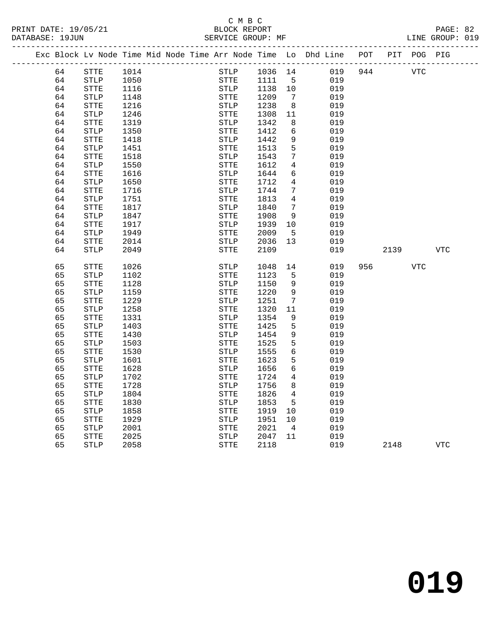PRINT DATE: 19/05/21 BLOCK REPORT PAGE: 82 DATABASE: 19JUN

# C M B C

|  | DAIADASL 1900N |                                                                                |      |  |             | OPVATCP GVOOL. ML |                 |     |     |          |            | TIME GROUP. ATA |
|--|----------------|--------------------------------------------------------------------------------|------|--|-------------|-------------------|-----------------|-----|-----|----------|------------|-----------------|
|  |                | Exc Block Lv Node Time Mid Node Time Arr Node Time Lo Dhd Line POT PIT POG PIG |      |  |             |                   |                 |     |     |          |            |                 |
|  | 64             | STTE                                                                           | 1014 |  | STLP        | 1036 14           |                 | 019 |     | 944      | <b>VTC</b> |                 |
|  | 64             | STLP                                                                           | 1050 |  | STTE        | 1111              | -5              | 019 |     |          |            |                 |
|  | 64             | STTE                                                                           | 1116 |  | STLP        | 1138              | 10              | 019 |     |          |            |                 |
|  | 64             | <b>STLP</b>                                                                    | 1148 |  | <b>STTE</b> | 1209              | 7               | 019 |     |          |            |                 |
|  | 64             | STTE                                                                           | 1216 |  | STLP        | 1238              | 8               | 019 |     |          |            |                 |
|  | 64             | STLP                                                                           | 1246 |  | STTE        | 1308              | 11              | 019 |     |          |            |                 |
|  | 64             | STTE                                                                           | 1319 |  | STLP        | 1342              | 8               | 019 |     |          |            |                 |
|  | 64             | <b>STLP</b>                                                                    | 1350 |  | STTE        | 1412              | 6               | 019 |     |          |            |                 |
|  | 64             | STTE                                                                           | 1418 |  | STLP        | 1442              | 9               | 019 |     |          |            |                 |
|  | 64             | STLP                                                                           | 1451 |  | STTE        | 1513              | 5               | 019 |     |          |            |                 |
|  | 64             | STTE                                                                           | 1518 |  | STLP        | 1543              | 7               | 019 |     |          |            |                 |
|  | 64             | <b>STLP</b>                                                                    | 1550 |  | STTE        | 1612              | $\overline{4}$  | 019 |     |          |            |                 |
|  | 64             | STTE                                                                           | 1616 |  | STLP        | 1644              | 6               | 019 |     |          |            |                 |
|  | 64             | STLP                                                                           | 1650 |  | STTE        | 1712              | $4\overline{ }$ | 019 |     |          |            |                 |
|  | 64             | STTE                                                                           | 1716 |  | STLP        | 1744              | $7\overline{ }$ | 019 |     |          |            |                 |
|  | 64             | <b>STLP</b>                                                                    | 1751 |  | STTE        | 1813              | $\overline{4}$  | 019 |     |          |            |                 |
|  | 64             | STTE                                                                           | 1817 |  | STLP        | 1840              | $7\phantom{.0}$ | 019 |     |          |            |                 |
|  | 64             | <b>STLP</b>                                                                    | 1847 |  | <b>STTE</b> | 1908              | 9               | 019 |     |          |            |                 |
|  | 64             | STTE                                                                           | 1917 |  | STLP        | 1939              | 10              | 019 |     |          |            |                 |
|  | 64             | STLP                                                                           | 1949 |  | STTE        | 2009              | 5               | 019 |     |          |            |                 |
|  | 64             | STTE                                                                           | 2014 |  | STLP        | 2036              | 13              | 019 |     |          |            |                 |
|  | 64             | STLP                                                                           | 2049 |  | STTE        | 2109              |                 | 019 |     | 2139 VTC |            |                 |
|  | 65             | STTE                                                                           | 1026 |  | STLP        | 1048              | 14              | 019 | 956 | VTC      |            |                 |
|  | 65             | <b>STLP</b>                                                                    | 1102 |  | STTE        | 1123              | 5               | 019 |     |          |            |                 |
|  | 65             | STTE                                                                           | 1128 |  | STLP        | 1150              | 9               | 019 |     |          |            |                 |
|  | 65             | STLP                                                                           | 1159 |  | STTE        | 1220              | 9               | 019 |     |          |            |                 |
|  | 65             | STTE                                                                           | 1229 |  | STLP        | 1251              | 7               | 019 |     |          |            |                 |
|  | 65             | <b>STLP</b>                                                                    | 1258 |  | STTE        | 1320              | 11              | 019 |     |          |            |                 |
|  | 65             | STTE                                                                           | 1331 |  | STLP        | 1354              | 9               | 019 |     |          |            |                 |
|  | 65             | STLP                                                                           | 1403 |  | STTE        | 1425              | 5               | 019 |     |          |            |                 |
|  | 65             | STTE                                                                           | 1430 |  | STLP        | 1454              | 9               | 019 |     |          |            |                 |
|  | 65             | <b>STLP</b>                                                                    | 1503 |  | <b>STTE</b> | 1525              | 5               | 019 |     |          |            |                 |
|  |                |                                                                                |      |  |             |                   |                 |     |     |          |            |                 |

 65 STTE 1530 STLP 1555 6 019 65 STLP 1601 STTE 1623 5 019 65 STTE 1628 STLP 1656 6 019 65 STLP 1702 STTE 1724 4 019 65 STTE 1728 STLP 1756 8 019 65 STLP 1804 STTE 1826 4 019 65 STTE 1830 STLP 1853 5 019

65 STLP 2001 STTE 2021 4 019

 65 STLP 1858 STTE 1919 10 019 65 STTE 1929 STLP 1951 10 019

65 STTE 2025 STLP 2047 11 019

65 STLP 2058 STTE 2118 019 2148 VTC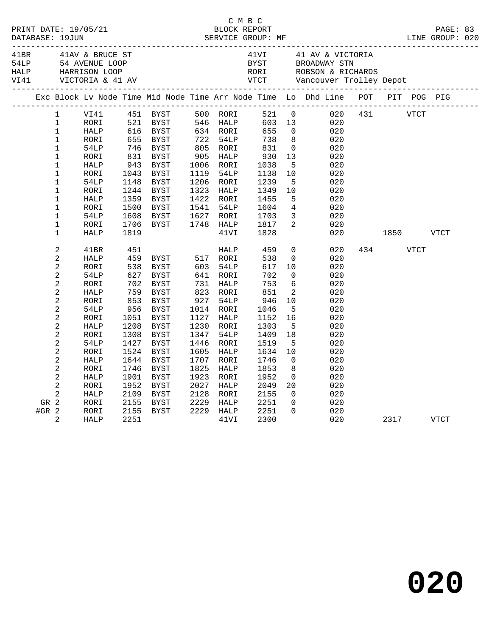|      |                |                 |              |                                                                   |      |                      |                             |                         | C M B C<br>PRINT DATE: 19/05/21 BLOCK REPORT<br>DATABASE: 19JUN SERVICE GROUP: MF LINE GROUP: 020                                                                                                                                               |     |           |             |      |  |
|------|----------------|-----------------|--------------|-------------------------------------------------------------------|------|----------------------|-----------------------------|-------------------------|-------------------------------------------------------------------------------------------------------------------------------------------------------------------------------------------------------------------------------------------------|-----|-----------|-------------|------|--|
| 41BR |                | 41AV & BRUCE ST |              |                                                                   |      |                      |                             |                         | 41VI 41 AV & VICTORIA<br>ARRISA TRAVERSION STRAIN TRAVERSION CORRESPONDING THE CONTROLL OF THE SAME BROADWAY STRAIN TRACK THE MARRISON LOOP<br>THALP HARRISON LOOP RORI ROBSON & RICHARDS<br>VI41 VICTORIA & 41 AV VICT Vancouver Trolley Depot |     |           |             |      |  |
|      |                |                 |              |                                                                   |      |                      |                             |                         | Exc Block Lv Node Time Mid Node Time Arr Node Time Lo Dhd Line POT PIT POG PIG                                                                                                                                                                  |     |           |             |      |  |
|      | $\mathbf{1}$   | VI41            |              | 451   BYST         500    RORI<br>521    BYST         546    HALP |      |                      | 521 0                       |                         | $521$ 0<br>603 13<br>020                                                                                                                                                                                                                        | 431 |           | <b>VTCT</b> |      |  |
|      | $\mathbf{1}$   | RORI            |              |                                                                   |      |                      |                             |                         | 020                                                                                                                                                                                                                                             |     |           |             |      |  |
|      | $\mathbf 1$    | HALP            | 616<br>655   | BYST                                                              |      | 634 RORI<br>722 54LP | 655                         | $\overline{0}$          | 020                                                                                                                                                                                                                                             |     |           |             |      |  |
|      | $\mathbf{1}$   | RORI            |              | BYST                                                              |      |                      | 738                         | 8 <sup>8</sup>          | 020                                                                                                                                                                                                                                             |     |           |             |      |  |
|      | $\mathbf 1$    | 54LP            | $746$<br>831 | BYST                                                              |      | 805 RORI             | 831                         | $\overline{0}$          | 020                                                                                                                                                                                                                                             |     |           |             |      |  |
|      | $\mathbf{1}$   | RORI            |              | BYST                                                              |      | 905 HALP             | 930<br>1038                 | 13                      | 020                                                                                                                                                                                                                                             |     |           |             |      |  |
|      | $\mathbf 1$    | HALP            | 943          | BYST                                                              |      | 1006 RORI            |                             | $5^{\circ}$             | 020                                                                                                                                                                                                                                             |     |           |             |      |  |
|      | 1              | RORI            | 1043         | BYST                                                              | 1119 | 54LP                 | 1138                        | 10                      | 020                                                                                                                                                                                                                                             |     |           |             |      |  |
|      | $\mathbf 1$    | 54LP            | 1148         | BYST                                                              |      | 1206 RORI            | 1239                        | 5                       | 020                                                                                                                                                                                                                                             |     |           |             |      |  |
|      | $\mathbf 1$    | RORI            | 1244         | BYST                                                              | 1323 | HALP                 | 1349<br>1455                | 10                      | 020                                                                                                                                                                                                                                             |     |           |             |      |  |
|      | $\mathbf 1$    | HALP            | 1359         | BYST                                                              |      | 1422 RORI            |                             | $5\overline{)}$         | 020                                                                                                                                                                                                                                             |     |           |             |      |  |
|      | $\mathbf{1}$   | RORI            | 1500         | BYST                                                              | 1541 | 54LP                 | 1604<br>1703                | $\overline{4}$          | 020                                                                                                                                                                                                                                             |     |           |             |      |  |
|      | $\mathbf 1$    | 54LP            | 1608         | BYST                                                              |      | 1627 RORI            |                             | $\overline{\mathbf{3}}$ | 020                                                                                                                                                                                                                                             |     |           |             |      |  |
|      | $\mathbf 1$    | RORI            | 1706         | BYST                                                              |      |                      | 1748 HALP 1817<br>41VI 1828 | $\overline{2}$          | 020                                                                                                                                                                                                                                             |     |           |             |      |  |
|      | $\mathbf{1}$   | HALP            | 1819         |                                                                   |      |                      |                             |                         | 020                                                                                                                                                                                                                                             |     | 1850 VTCT |             |      |  |
|      | $\overline{c}$ | 41BR            | 451          |                                                                   |      | HALP                 | 459                         |                         | 0<br>020                                                                                                                                                                                                                                        |     | 434 VTCT  |             |      |  |
|      | $\overline{a}$ | HALP            | 459          | BYST 517 RORI                                                     |      |                      | 538                         | $\overline{0}$          | 020                                                                                                                                                                                                                                             |     |           |             |      |  |
|      | $\overline{c}$ | RORI            | 538          | BYST                                                              |      | 603 54LP             | 617                         | 10                      | 020                                                                                                                                                                                                                                             |     |           |             |      |  |
|      | 2              | 54LP            | 627          | BYST                                                              |      | 641 RORI             | 702                         | $\overline{0}$          | 020                                                                                                                                                                                                                                             |     |           |             |      |  |
|      | 2              | RORI            | 702<br>759   | BYST                                                              | 731  | HALP                 | 753                         | 6                       | 020                                                                                                                                                                                                                                             |     |           |             |      |  |
|      | 2              | HALP            |              | BYST                                                              |      | 823 RORI             | 851                         | 2                       | 020                                                                                                                                                                                                                                             |     |           |             |      |  |
|      | $\overline{c}$ | RORI            | 853<br>956   | BYST                                                              | 927  | 54LP                 | 946                         | 10                      | 020                                                                                                                                                                                                                                             |     |           |             |      |  |
|      | $\overline{c}$ | 54LP            |              | BYST                                                              |      | 1014 RORI            | 1046                        | $5^{\circ}$             | 020                                                                                                                                                                                                                                             |     |           |             |      |  |
|      | $\overline{a}$ | RORI            | 1051         | BYST                                                              | 1127 | HALP                 | 1152                        | 16                      | 020                                                                                                                                                                                                                                             |     |           |             |      |  |
|      | $\overline{a}$ | HALP            | 1208         | BYST                                                              |      | 1230 RORI            | 1303                        | $-5$                    | 020                                                                                                                                                                                                                                             |     |           |             |      |  |
|      | 2              | RORI            | 1308         | BYST                                                              | 1347 | 54LP                 | 1409                        | 18                      | 020                                                                                                                                                                                                                                             |     |           |             |      |  |
|      | 2              | 54LP            | 1427         | BYST                                                              | 1446 | RORI                 | 1519                        | $-5$                    | 020                                                                                                                                                                                                                                             |     |           |             |      |  |
|      | $\overline{a}$ | RORI            | 1524         | BYST                                                              | 1605 | HALP                 | 1634                        | 10                      | 020                                                                                                                                                                                                                                             |     |           |             |      |  |
|      | $\mathbf{2}$   | HALP            | 1644         | BYST                                                              | 1707 | RORI                 | 1746                        | $\overline{0}$          | 020                                                                                                                                                                                                                                             |     |           |             |      |  |
|      | 2              | RORI            | 1746         | BYST                                                              | 1825 | HALP                 | 1853                        | 8                       | 020                                                                                                                                                                                                                                             |     |           |             |      |  |
|      | 2              | HALP            | 1901         | BYST                                                              | 1923 | RORI                 | 1952                        | $\overline{0}$          | 020                                                                                                                                                                                                                                             |     |           |             |      |  |
|      | $\overline{2}$ | RORI            | 1952         | BYST                                                              | 2027 | HALP                 | 2049                        | 20                      | 020                                                                                                                                                                                                                                             |     |           |             |      |  |
|      | $\overline{a}$ | HALP            | 2109         | BYST                                                              | 2128 | RORI                 | 2155                        | $\Omega$                | 020                                                                                                                                                                                                                                             |     |           |             |      |  |
|      | GR 2           | RORI            | 2155         | BYST                                                              | 2229 | HALP                 | 2251                        | $\overline{0}$          | 020                                                                                                                                                                                                                                             |     |           |             |      |  |
|      | #GR $2$        | RORI            | 2155         | BYST                                                              |      | 2229 HALP            | 2251                        | $\Omega$                | 020                                                                                                                                                                                                                                             |     |           |             |      |  |
|      | 2              | HALP            | 2251         |                                                                   |      | 41VI                 | 2300                        |                         | 020                                                                                                                                                                                                                                             |     | 2317      |             | VTCT |  |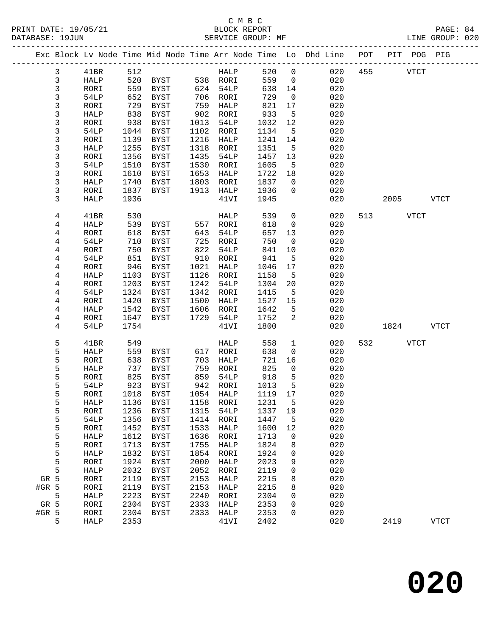# C M B C N B C N B C N B C N B C N B C N B C N B C N B C N B C N B C N B C N B C C N B C C N B C C N B C C N B C C N B C C N B C C N B C C N B C C N B C C N B C C N B C C N B C C N B C C N B C C N B C C N B C C N B C C N B

| DATABASE: 19JUN |                |              |              | SERVICE GROUP: MF                |              |                      |              |                   | LINE GROUP: 020                                                                |          |           |             |  |
|-----------------|----------------|--------------|--------------|----------------------------------|--------------|----------------------|--------------|-------------------|--------------------------------------------------------------------------------|----------|-----------|-------------|--|
|                 |                |              |              |                                  |              |                      |              |                   | Exc Block Lv Node Time Mid Node Time Arr Node Time Lo Dhd Line POT PIT POG PIG |          |           |             |  |
|                 | 3              | 41BR         | 512          |                                  |              | <b>HALP</b>          | 520 0        |                   | 020                                                                            | 455 VTCT |           |             |  |
|                 | $\mathbf{3}$   | HALP         |              | 520 BYST 538 RORI                |              |                      | 559          | $\overline{0}$    | 020                                                                            |          |           |             |  |
|                 | $\mathsf{3}$   | RORI         | 559          | BYST 624 54LP                    |              |                      | 638          | 14                | 020                                                                            |          |           |             |  |
|                 | $\mathfrak{Z}$ | 54LP         | 652          | BYST                             |              | 706 RORI             | 729          | $\overline{0}$    | 020                                                                            |          |           |             |  |
|                 | 3              | RORI         | 729          | BYST                             | 759          | HALP                 | 821          | 17                | 020                                                                            |          |           |             |  |
|                 | 3              | HALP         | 838          | BYST                             |              | 902 RORI             | 933          | 5                 | 020                                                                            |          |           |             |  |
|                 | 3              | RORI         | 938          | BYST                             | 1013         | 54LP                 | 1032         | 12                | 020                                                                            |          |           |             |  |
|                 | 3              | 54LP         | 1044         | BYST                             | 1102         | RORI                 | 1134         | $-5$              | 020                                                                            |          |           |             |  |
|                 | 3              | RORI         | 1139         | BYST                             | 1216         | HALP                 | 1241         | 14                | 020                                                                            |          |           |             |  |
|                 | 3              | HALP         | 1255         | BYST                             | 1318         | RORI                 | 1351         | $5^{\circ}$       | 020                                                                            |          |           |             |  |
|                 | 3              | RORI         | 1356         | BYST                             | 1435         | 54LP                 | 1457         | 13                | 020                                                                            |          |           |             |  |
|                 | 3              | 54LP         | 1510         | BYST                             | 1530         | RORI                 | 1605         | $5^{\circ}$       | 020                                                                            |          |           |             |  |
|                 | 3              | RORI         | 1610         | BYST                             | 1653         | HALP                 | 1722         | 18                | 020                                                                            |          |           |             |  |
|                 | 3              | HALP         | 1740         | BYST                             | 1803         | RORI                 | 1837         | $\overline{0}$    | 020                                                                            |          |           |             |  |
|                 | 3              | RORI         | 1837         | BYST                             |              | 1913 HALP            | 1936         | $\overline{0}$    | 020                                                                            |          |           |             |  |
|                 | 3              | HALP         | 1936         |                                  |              | 41VI                 | 1945         |                   | 020                                                                            |          | 2005 VTCT |             |  |
|                 | 4              | 41BR         | 530          |                                  |              | HALP                 | 539          | $\overline{0}$    | 020                                                                            | 513 VTCT |           |             |  |
|                 | 4              | HALP         | 539          | <b>BYST</b>                      |              | 557 RORI             | 618          | $\overline{0}$    | 020                                                                            |          |           |             |  |
|                 | 4              | RORI         | 618          | BYST                             | 643          | 54LP                 | 657          | 13                | 020                                                                            |          |           |             |  |
|                 | $\overline{4}$ | 54LP         | 710          | BYST                             | 725          | RORI                 | 750          | $\overline{0}$    | 020                                                                            |          |           |             |  |
|                 | 4              | RORI         | 750          | BYST                             | 822          | 54LP                 | 841          | 10                | 020                                                                            |          |           |             |  |
|                 | 4              | 54LP         | 851          | BYST                             | 910          | RORI                 | 941          | 5                 | 020                                                                            |          |           |             |  |
|                 | 4<br>4         | RORI<br>HALP | 946<br>1103  | BYST<br>BYST                     | 1021<br>1126 | HALP<br>RORI         | 1046<br>1158 | 17<br>$5^{\circ}$ | 020<br>020                                                                     |          |           |             |  |
|                 | 4              | RORI         | 1203         | BYST                             | 1242         | 54LP                 | 1304         | 20                | 020                                                                            |          |           |             |  |
|                 | 4              | 54LP         | 1324         | BYST                             | 1342         | RORI                 | 1415         | $5^{\circ}$       | 020                                                                            |          |           |             |  |
|                 | 4              | RORI         | 1420         | BYST                             | 1500         | HALP                 | 1527         | 15                | 020                                                                            |          |           |             |  |
|                 | 4              | HALP         | 1542         | BYST                             | 1606         | RORI                 | 1642         | 5                 | 020                                                                            |          |           |             |  |
|                 | 4              | RORI         | 1647         | BYST                             |              | 1729 54LP            | 1752         | 2                 | 020                                                                            |          |           |             |  |
|                 | 4              | 54LP         | 1754         |                                  |              | 41VI                 | 1800         |                   | 020                                                                            |          | 1824      | VTCT        |  |
|                 | 5              | 41BR         | 549          |                                  |              | HALP                 | 558          | $\mathbf{1}$      | 020                                                                            | 532 VTCT |           |             |  |
|                 | 5              | HALP         |              | 559 BYST                         |              | 617 RORI             | 638          | $\overline{0}$    | 020                                                                            |          |           |             |  |
|                 | 5              | RORI         | 638          | BYST                             | 703          | HALP                 | 721          | 16                | 020                                                                            |          |           |             |  |
|                 | 5              | HALP         | 737          | BYST                             | 759          | RORI                 | 825          | $\overline{0}$    | 020                                                                            |          |           |             |  |
|                 | 5              | RORI         | 825          | BYST                             |              | 859 54LP<br>942 RORT | 918          | $5^{\circ}$       | 020                                                                            |          |           |             |  |
|                 | 5              | 54LP         |              | 923 BYST                         |              | 942 RORI             | 1013         | 5                 | 020                                                                            |          |           |             |  |
|                 | 5              |              |              | RORI 1018 BYST 1054 HALP 1119 17 |              |                      |              |                   | 020                                                                            |          |           |             |  |
|                 | 5              | HALP         | 1136         | BYST                             | 1158         | RORI                 | 1231         | 5                 | 020                                                                            |          |           |             |  |
|                 | 5              | RORI         | 1236         | <b>BYST</b>                      | 1315         | 54LP                 | 1337         | 19                | 020                                                                            |          |           |             |  |
|                 | 5              | 54LP         | 1356         | BYST                             | 1414         | RORI                 | 1447         | 5                 | 020                                                                            |          |           |             |  |
|                 | 5              | RORI         | 1452         | <b>BYST</b>                      | 1533         | HALP                 | 1600         | 12                | 020                                                                            |          |           |             |  |
|                 | 5              | HALP         | 1612         | <b>BYST</b>                      | 1636         | RORI                 | 1713         | 0                 | 020                                                                            |          |           |             |  |
|                 | 5              | RORI         | 1713         | <b>BYST</b>                      | 1755         | HALP                 | 1824         | 8                 | 020                                                                            |          |           |             |  |
|                 | 5              | HALP         | 1832         | <b>BYST</b>                      | 1854         | RORI                 | 1924         | 0                 | 020                                                                            |          |           |             |  |
|                 | 5              | RORI         | 1924         | <b>BYST</b>                      | 2000         | HALP                 | 2023         | 9                 | 020                                                                            |          |           |             |  |
|                 | 5              | HALP         | 2032         | <b>BYST</b>                      | 2052         | RORI                 | 2119         | 0                 | 020                                                                            |          |           |             |  |
| GR 5            |                | RORI         | 2119         | BYST                             | 2153         | HALP                 | 2215         | 8                 | 020                                                                            |          |           |             |  |
| #GR 5           |                | RORI         | 2119         | <b>BYST</b>                      | 2153         | HALP                 | 2215         | 8                 | 020                                                                            |          |           |             |  |
|                 | 5              | HALP         | 2223         | BYST                             | 2240         | RORI                 | 2304         | 0                 | 020                                                                            |          |           |             |  |
| GR 5            |                | RORI         | 2304         | BYST                             | 2333         | HALP                 | 2353         | 0                 | 020                                                                            |          |           |             |  |
| #GR 5           | 5              | RORI<br>HALP | 2304<br>2353 | BYST                             | 2333         | HALP<br>41VI         | 2353<br>2402 | 0                 | 020<br>020                                                                     | 2419     |           | <b>VTCT</b> |  |
|                 |                |              |              |                                  |              |                      |              |                   |                                                                                |          |           |             |  |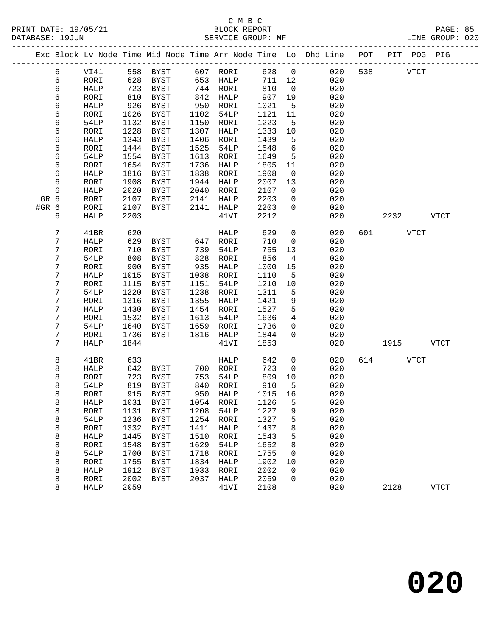|       |                  |             |      |                   |      |                  |        |                      | Exc Block Lv Node Time Mid Node Time Arr Node Time Lo Dhd Line POT |     |             | PIT POG PIG |             |
|-------|------------------|-------------|------|-------------------|------|------------------|--------|----------------------|--------------------------------------------------------------------|-----|-------------|-------------|-------------|
|       | 6                | VI41        |      | 558 BYST 607 RORI |      |                  | 628 0  |                      | 020                                                                | 538 | <b>VTCT</b> |             |             |
|       | 6                | RORI        | 628  | BYST              |      | 653 HALP         | 711 12 |                      | 020                                                                |     |             |             |             |
|       | 6                | HALP        | 723  | BYST              |      | 744 RORI         | 810    | $\overline{0}$       | 020                                                                |     |             |             |             |
|       | 6                | RORI        | 810  | BYST              | 842  | HALP             | 907    | 19                   | 020                                                                |     |             |             |             |
|       | 6                | HALP        | 926  | BYST              | 950  | RORI             | 1021   | $5^{\circ}$          | 020                                                                |     |             |             |             |
|       | 6                | RORI        | 1026 | BYST              | 1102 | 54LP             | 1121   | 11                   | 020                                                                |     |             |             |             |
|       | 6                | 54LP        | 1132 | BYST              | 1150 | RORI             | 1223   | 5                    | 020                                                                |     |             |             |             |
|       | 6                | RORI        | 1228 | BYST              | 1307 | HALP             | 1333   | 10                   | 020                                                                |     |             |             |             |
|       | 6                | HALP        | 1343 | BYST              | 1406 | RORI             | 1439   | 5                    | 020                                                                |     |             |             |             |
|       | 6                | RORI        | 1444 | BYST              | 1525 | 54LP             | 1548   | 6                    | 020                                                                |     |             |             |             |
|       | 6                | 54LP        | 1554 | <b>BYST</b>       | 1613 | RORI             | 1649   | 5                    | 020                                                                |     |             |             |             |
|       | 6                | RORI        | 1654 | BYST              | 1736 | HALP             | 1805   | 11                   | 020                                                                |     |             |             |             |
|       | 6                | HALP        | 1816 | <b>BYST</b>       | 1838 | RORI             | 1908   | $\overline{0}$       | 020                                                                |     |             |             |             |
|       | 6                |             | 1908 |                   | 1944 |                  |        |                      | 020                                                                |     |             |             |             |
|       |                  | RORI        |      | BYST              |      | HALP             | 2007   | 13<br>$\overline{0}$ |                                                                    |     |             |             |             |
|       | 6                | HALP        | 2020 | BYST              | 2040 | RORI             | 2107   |                      | 020                                                                |     |             |             |             |
| GR 6  |                  | RORI        | 2107 | BYST              | 2141 | HALP             | 2203   | $\mathbf 0$          | 020                                                                |     |             |             |             |
| #GR 6 |                  | RORI        | 2107 | BYST              | 2141 | HALP             | 2203   | $\overline{0}$       | 020                                                                |     |             |             |             |
|       | 6                | <b>HALP</b> | 2203 |                   |      | 41VI             | 2212   |                      | 020                                                                |     | 2232        |             | VTCT        |
|       | 7                | 41BR        | 620  |                   |      | HALP             | 629    | $\overline{0}$       | 020                                                                |     | 601 VTCT    |             |             |
|       | 7                | HALP        | 629  | BYST              | 647  | RORI             | 710    | $\mathsf{O}$         | 020                                                                |     |             |             |             |
|       | 7                | RORI        | 710  | BYST              | 739  | 54LP             | 755    | 13                   | 020                                                                |     |             |             |             |
|       | 7                | 54LP        | 808  | <b>BYST</b>       | 828  | RORI             | 856    | $\overline{4}$       | 020                                                                |     |             |             |             |
|       | 7                | RORI        | 900  | BYST              | 935  | HALP             | 1000   | 15                   | 020                                                                |     |             |             |             |
|       | 7                | HALP        | 1015 | BYST              | 1038 | RORI             | 1110   | 5                    | 020                                                                |     |             |             |             |
|       | 7                | RORI        | 1115 | BYST              | 1151 | 54LP             | 1210   | 10                   | 020                                                                |     |             |             |             |
|       | $\boldsymbol{7}$ | 54LP        | 1220 | <b>BYST</b>       | 1238 | RORI             | 1311   | 5                    | 020                                                                |     |             |             |             |
|       | 7                | RORI        | 1316 | BYST              | 1355 | HALP             | 1421   | 9                    | 020                                                                |     |             |             |             |
|       | 7                | HALP        | 1430 | BYST              | 1454 | RORI             | 1527   | 5                    | 020                                                                |     |             |             |             |
|       | 7                | RORI        | 1532 | BYST              | 1613 | 54LP             | 1636   | $\overline{4}$       | 020                                                                |     |             |             |             |
|       | 7                | 54LP        | 1640 | BYST              | 1659 | RORI             | 1736   | $\mathbf{0}$         | 020                                                                |     |             |             |             |
|       | 7                | RORI        | 1736 | <b>BYST</b>       | 1816 | HALP             | 1844   | $\Omega$             | 020                                                                |     |             |             |             |
|       | 7                | <b>HALP</b> | 1844 |                   |      | 41VI             | 1853   |                      | 020                                                                |     | 1915        |             | <b>VTCT</b> |
|       |                  |             |      |                   |      |                  |        |                      |                                                                    |     |             |             |             |
|       | 8                | 41BR        | 633  |                   |      | HALP             | 642    | $\mathsf{O}$         | 020                                                                |     | 614         | VTCT        |             |
|       | 8                | HALP        | 642  | BYST              |      | 700 RORI         | 723    | $\mathsf{O}$         | 020                                                                |     |             |             |             |
|       | 8                | RORI        | 723  | BYST              | 753  | 54LP             | 809    | 10                   | 020                                                                |     |             |             |             |
|       | 8                | 54LP        | 819  | BYST              | 840  | RORI             | 910    | 5                    | 020                                                                |     |             |             |             |
|       | 8                | RORI        | 915  | BYST              |      | 950 HALP         | 1015   | 16                   | 020                                                                |     |             |             |             |
|       | 8                | HALP        |      | 1031 BYST         |      | 1054 RORI 1126 5 |        |                      | 020                                                                |     |             |             |             |
|       | 8                | RORI        | 1131 | BYST              | 1208 | 54LP             | 1227   | 9                    | 020                                                                |     |             |             |             |
|       | 8                | 54LP        | 1236 | BYST              | 1254 | RORI             | 1327   | 5                    | 020                                                                |     |             |             |             |
|       | 8                | RORI        | 1332 | BYST              | 1411 | HALP             | 1437   | 8                    | 020                                                                |     |             |             |             |
|       | 8                | HALP        | 1445 | BYST              | 1510 | <b>RORI</b>      | 1543   | 5                    | 020                                                                |     |             |             |             |
|       | 8                | RORI        | 1548 | BYST              | 1629 | 54LP             | 1652   | 8                    | 020                                                                |     |             |             |             |
|       | 8                | 54LP        | 1700 | BYST              | 1718 | RORI             | 1755   | 0                    | 020                                                                |     |             |             |             |
|       | 8                | RORI        | 1755 | BYST              | 1834 | HALP             | 1902   | 10                   | 020                                                                |     |             |             |             |
|       | 8                | HALP        | 1912 | <b>BYST</b>       | 1933 | RORI             | 2002   | 0                    | 020                                                                |     |             |             |             |
|       | 8                | RORI        | 2002 | BYST              | 2037 | HALP             | 2059   | 0                    | 020                                                                |     |             |             |             |
|       | 8                | <b>HALP</b> | 2059 |                   |      | 41VI             | 2108   |                      | 020                                                                |     | 2128        |             | <b>VTCT</b> |
|       |                  |             |      |                   |      |                  |        |                      |                                                                    |     |             |             |             |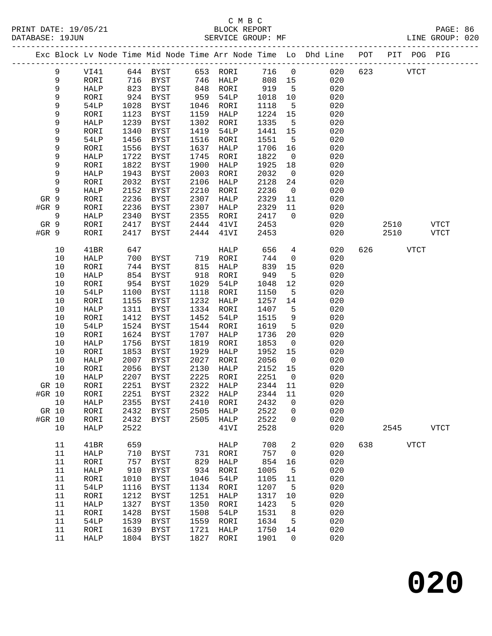#### C M B C<br>BLOCK REPORT SERVICE GROUP: MF

|        |        |              |      |                     |      |              |         |                 | Exc Block Lv Node Time Mid Node Time Arr Node Time Lo Dhd Line POT<br>------------------------------ |     |      | PIT POG PIG |             |
|--------|--------|--------------|------|---------------------|------|--------------|---------|-----------------|------------------------------------------------------------------------------------------------------|-----|------|-------------|-------------|
|        | 9      | VI41         |      | 644 BYST            | 653  | RORI         | 716     | $\mathsf{O}$    | 020                                                                                                  | 623 |      | <b>VTCT</b> |             |
|        | 9      | RORI         | 716  | BYST                | 746  | HALP         | 808     | 15              | 020                                                                                                  |     |      |             |             |
|        | 9      | HALP         | 823  | BYST                | 848  | RORI         | 919     | $-5$            | 020                                                                                                  |     |      |             |             |
|        | 9      | RORI         | 924  | BYST                | 959  | 54LP         | 1018    | 10              | 020                                                                                                  |     |      |             |             |
|        | 9      | 54LP         | 1028 | BYST                | 1046 | RORI         | 1118    | 5               | 020                                                                                                  |     |      |             |             |
|        | 9      | RORI         | 1123 | BYST                | 1159 | HALP         | 1224    | 15              | 020                                                                                                  |     |      |             |             |
|        | 9      | HALP         | 1239 | BYST                | 1302 | RORI         | 1335    | 5               | 020                                                                                                  |     |      |             |             |
|        | 9      | RORI         | 1340 | BYST                | 1419 | 54LP         | 1441    | 15              | 020                                                                                                  |     |      |             |             |
|        | 9      | 54LP         | 1456 | <b>BYST</b>         | 1516 | RORI         | 1551    | 5               | 020                                                                                                  |     |      |             |             |
|        | 9      | RORI         | 1556 | <b>BYST</b>         | 1637 | HALP         | 1706    | 16              | 020                                                                                                  |     |      |             |             |
|        | 9      | HALP         | 1722 | BYST                | 1745 | RORI         | 1822    | 0               | 020                                                                                                  |     |      |             |             |
|        | 9      | RORI         | 1822 | BYST                | 1900 | HALP         | 1925    | 18              | 020                                                                                                  |     |      |             |             |
|        | 9      | HALP         | 1943 | BYST                | 2003 | RORI         | 2032    | $\overline{0}$  | 020                                                                                                  |     |      |             |             |
|        | 9      | RORI         | 2032 | BYST                | 2106 | HALP         | 2128    | 24              | 020                                                                                                  |     |      |             |             |
|        | 9      | HALP         | 2152 | <b>BYST</b>         | 2210 | RORI         | 2236    | $\mathbf 0$     | 020                                                                                                  |     |      |             |             |
| GR 9   |        | RORI         | 2236 | BYST                | 2307 | HALP         | 2329    | 11              | 020                                                                                                  |     |      |             |             |
| #GR 9  |        | RORI         | 2236 | BYST                | 2307 | HALP         | 2329    | 11              | 020                                                                                                  |     |      |             |             |
|        | 9      | HALP         | 2340 | BYST                | 2355 | RORI         | 2417    | $\mathbf{0}$    | 020                                                                                                  |     |      |             |             |
| GR 9   |        | RORI         | 2417 | BYST                | 2444 | 41VI         | 2453    |                 | 020                                                                                                  |     | 2510 |             | <b>VTCT</b> |
| #GR 9  |        | RORI         | 2417 | <b>BYST</b>         | 2444 | 41VI         | 2453    |                 | 020                                                                                                  |     | 2510 |             | <b>VTCT</b> |
|        | 10     | 41BR         | 647  |                     |      | HALP         | 656     | $4\overline{ }$ | 020                                                                                                  | 626 |      | <b>VTCT</b> |             |
|        | 10     | HALP         | 700  | BYST                | 719  | RORI         | 744     | $\mathsf{O}$    | 020                                                                                                  |     |      |             |             |
|        | 10     | RORI         | 744  | BYST                | 815  | HALP         | 839     | 15              | 020                                                                                                  |     |      |             |             |
|        | 10     | HALP         | 854  | BYST                | 918  | RORI         | 949     | 5               | 020                                                                                                  |     |      |             |             |
|        | $10$   | RORI         | 954  | BYST                | 1029 | 54LP         | 1048    | 12              | 020                                                                                                  |     |      |             |             |
|        | 10     | 54LP         | 1100 | BYST                | 1118 | RORI         | 1150    | 5               | 020                                                                                                  |     |      |             |             |
|        | 10     | RORI         | 1155 | BYST                | 1232 | HALP         | 1257    | 14              | 020                                                                                                  |     |      |             |             |
|        | 10     | HALP         | 1311 | BYST                | 1334 | RORI         | 1407    | 5               | 020                                                                                                  |     |      |             |             |
|        | 10     | RORI         | 1412 | BYST                | 1452 | 54LP         | 1515    | 9               | 020                                                                                                  |     |      |             |             |
|        | 10     | 54LP         | 1524 | BYST                | 1544 | RORI         | 1619    | 5               | 020                                                                                                  |     |      |             |             |
|        | 10     | RORI         | 1624 | BYST                | 1707 | HALP         | 1736    | 20              | 020                                                                                                  |     |      |             |             |
|        | 10     | HALP         | 1756 | BYST                | 1819 | RORI         | 1853    | $\overline{0}$  | 020                                                                                                  |     |      |             |             |
|        | 10     | RORI         | 1853 | BYST                | 1929 | HALP         | 1952    | 15              | 020                                                                                                  |     |      |             |             |
|        | 10     | HALP         | 2007 | <b>BYST</b>         | 2027 | RORI         | 2056    | $\mathbf 0$     | 020                                                                                                  |     |      |             |             |
|        | 10     | RORI         | 2056 | <b>BYST</b>         | 2130 | HALP         | 2152    | 15              | 020                                                                                                  |     |      |             |             |
|        | 10     | HALP         | 2207 | BYST                | 2225 | RORI         | 2251    | $\overline{0}$  | 020                                                                                                  |     |      |             |             |
| GR 10  |        | RORI         | 2251 | BYST                | 2322 | HALP         | 2344    | 11              | 020                                                                                                  |     |      |             |             |
| #GR 10 |        | RORI         | 2251 | BYST                | 2322 | HALP         | 2344 11 |                 | 020                                                                                                  |     |      |             |             |
|        | 10     | HALP         | 2355 | BYST                | 2410 | RORI         | 2432    | 0               | 020                                                                                                  |     |      |             |             |
| GR 10  |        | RORI         | 2432 | BYST                | 2505 | HALP         | 2522    | 0               | 020                                                                                                  |     |      |             |             |
| #GR 10 |        | RORI         | 2432 | <b>BYST</b>         | 2505 | HALP         | 2522    | 0               | 020                                                                                                  |     |      |             |             |
|        | 10     | HALP         | 2522 |                     |      | 41VI         | 2528    |                 | 020                                                                                                  |     | 2545 |             | <b>VTCT</b> |
|        | 11     | 41BR         | 659  |                     |      | HALP         | 708     | 2               | 020                                                                                                  | 638 |      | <b>VTCT</b> |             |
|        | 11     | HALP         | 710  | BYST                | 731  | RORI         | 757     | 0               | 020                                                                                                  |     |      |             |             |
|        | 11     | RORI         | 757  | BYST                | 829  | HALP         | 854     | 16              | 020                                                                                                  |     |      |             |             |
|        | $11\,$ | HALP         | 910  | BYST                | 934  | RORI         | 1005    | 5               | 020                                                                                                  |     |      |             |             |
|        | $11\,$ | RORI         | 1010 | <b>BYST</b>         | 1046 | 54LP         | 1105    | 11              | 020                                                                                                  |     |      |             |             |
|        | 11     | 54LP         | 1116 | <b>BYST</b>         | 1134 | RORI         | 1207    | 5               | 020                                                                                                  |     |      |             |             |
|        | 11     | RORI         | 1212 | BYST                | 1251 | HALP         | 1317    | 10              | 020                                                                                                  |     |      |             |             |
|        | 11     | HALP         | 1327 | BYST                | 1350 | RORI         | 1423    | 5               | 020                                                                                                  |     |      |             |             |
|        | $11\,$ |              | 1428 |                     | 1508 |              | 1531    |                 | 020                                                                                                  |     |      |             |             |
|        | 11     | RORI         | 1539 | <b>BYST</b>         | 1559 | 54LP         | 1634    | 8               | 020                                                                                                  |     |      |             |             |
|        | $11\,$ | 54LP<br>RORI | 1639 | BYST<br><b>BYST</b> | 1721 | RORI<br>HALP | 1750    | 5<br>14         | 020                                                                                                  |     |      |             |             |
|        | 11     |              |      |                     | 1827 |              | 1901    | 0               | 020                                                                                                  |     |      |             |             |
|        |        | HALP         | 1804 | BYST                |      | RORI         |         |                 |                                                                                                      |     |      |             |             |

**020**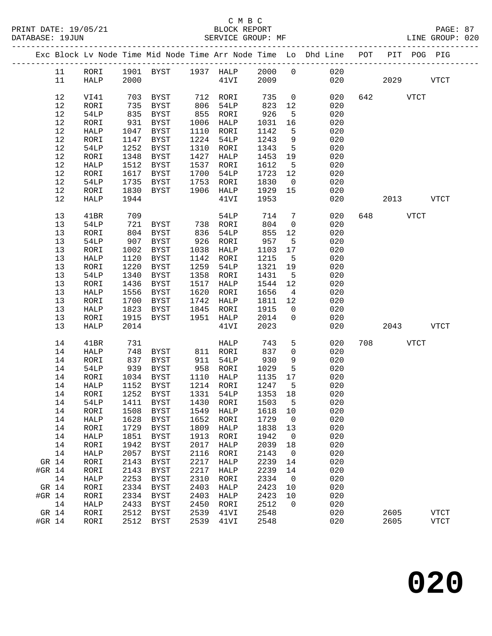|        |      |                   |            |             |      |                      |         |                          | Exc Block Lv Node Time Mid Node Time Arr Node Time Lo Dhd Line POT |     |           |           | PIT POG PIG |
|--------|------|-------------------|------------|-------------|------|----------------------|---------|--------------------------|--------------------------------------------------------------------|-----|-----------|-----------|-------------|
|        | 11   | RORI              |            |             |      |                      |         |                          |                                                                    |     |           |           |             |
|        | 11   | HALP              |            |             |      |                      |         |                          | 1901 BYST 1937 HALP 2000 0 020<br>2000 020 41VI 2009 020           | 020 | 2029      |           | <b>VTCT</b> |
|        |      |                   |            |             |      |                      |         |                          |                                                                    |     |           |           |             |
|        | 12   | VI41              | 703        | BYST        |      | 712 RORI             | 735     | $\overline{0}$           | 020                                                                |     | 642 VTCT  |           |             |
|        | 12   | RORI              | 735        | BYST        |      |                      | 823     | 12                       | 020                                                                |     |           |           |             |
|        | 12   | 54LP              | 835        | BYST        |      | 806 54LP<br>855 RORI | 926     | $5^{\circ}$              | 020                                                                |     |           |           |             |
|        | 12   | RORI              | 931        | BYST        | 1006 | HALP                 | 1031    | 16                       | 020                                                                |     |           |           |             |
|        | $12$ | HALP              | 1047       | BYST        | 1110 | RORI                 | 1142    | $5^{\circ}$              | 020                                                                |     |           |           |             |
|        | 12   | RORI              | 1147       | BYST        | 1224 | 54LP                 | 1243    | 9                        | 020                                                                |     |           |           |             |
|        | 12   | 54LP              | 1252       | BYST        | 1310 | RORI                 | 1343    | $5^{\circ}$              | 020                                                                |     |           |           |             |
|        | 12   | RORI              | 1348       | BYST        | 1427 | HALP                 | 1453    | 19                       | 020                                                                |     |           |           |             |
|        | 12   | HALP              | 1512       | BYST        | 1537 | RORI                 | 1612    | $5^{\circ}$              | 020                                                                |     |           |           |             |
|        | 12   | RORI              | 1617       | BYST        | 1700 | 54LP                 | 1723    | 12                       | 020                                                                |     |           |           |             |
|        | 12   | 54LP              | 1735       | BYST        | 1753 | RORI                 | 1830    | $\overline{0}$           | 020                                                                |     |           |           |             |
|        | 12   | RORI              | 1830       | BYST        | 1906 | HALP                 | 1929    | 15                       | 020                                                                |     |           |           |             |
|        | 12   | HALP              | 1944       |             |      | 41VI                 | 1953    |                          | 020                                                                |     |           | 2013 VTCT |             |
|        |      |                   |            |             |      |                      |         |                          |                                                                    |     |           |           |             |
|        | 13   | 41BR              |            |             |      | 54LP                 | 714     | $7\overline{ }$          | 020                                                                |     | 648 VTCT  |           |             |
|        | 13   | 54LP              | 709<br>721 | BYST        |      | 738 RORI             | 804     | $\overline{0}$           | 020                                                                |     |           |           |             |
|        | 13   | RORI              | 804        | BYST        | 836  | 54LP                 | 855     | 12                       | 020                                                                |     |           |           |             |
|        | 13   | 54LP              | 907        | <b>BYST</b> | 926  | RORI                 | 957     | $5\overline{)}$          | 020                                                                |     |           |           |             |
|        | 13   | RORI              | 1002       | BYST        | 1038 | HALP                 | 1103    | 17                       | 020                                                                |     |           |           |             |
|        | 13   | HALP              | 1120       | BYST        | 1142 | RORI                 | 1215    | $5^{\circ}$              | 020                                                                |     |           |           |             |
|        | 13   | RORI              | 1220       | BYST        | 1259 | 54LP                 | 1321 19 |                          | 020                                                                |     |           |           |             |
|        | 13   | 54LP              | 1340       | BYST        | 1358 | RORI                 | 1431    | $5^{\circ}$              | 020                                                                |     |           |           |             |
|        | 13   | RORI              | 1436       | BYST        | 1517 | HALP                 | 1544    | 12                       | 020                                                                |     |           |           |             |
|        | 13   | HALP              | 1556       | BYST        | 1620 | RORI                 | 1656    | $\overline{4}$           | 020                                                                |     |           |           |             |
|        | 13   | RORI              | 1700       | BYST        | 1742 | HALP                 | 1811 12 |                          | 020                                                                |     |           |           |             |
|        | 13   | HALP              | 1823       | BYST        | 1845 | RORI                 | 1915    | $\overline{0}$           | 020                                                                |     |           |           |             |
|        | 13   | RORI              | 1915       | BYST        |      | 1951 HALP            | 2014    | $\overline{0}$           | 020                                                                |     |           |           |             |
|        | 13   | HALP              | 2014       |             |      | 41VI                 | 2023    |                          | 020                                                                |     | 2043 VTCT |           |             |
|        |      |                   |            |             |      |                      |         |                          |                                                                    |     |           |           |             |
|        | 14   | 41BR              | 731        |             |      | HALP                 | 743     | 5 <sup>5</sup>           | 020                                                                |     | 708 708   | VTCT      |             |
|        | 14   | HALP              | 748        | BYST        |      | 811 RORI             | 837     | $\mathbf 0$              | 020                                                                |     |           |           |             |
|        | 14   | RORI              | 837        | BYST        | 911  | 54LP                 | 930     | 9                        | 020                                                                |     |           |           |             |
|        | 14   | 54LP              | 939        | BYST        |      | 958 RORI             | 1029    | $5\overline{)}$          | 020                                                                |     |           |           |             |
|        | 14   | RORI              | 1034       | BYST        |      | $1110$ HALP          | 1135 17 |                          | 020                                                                |     |           |           |             |
|        | 14   | HALP              | 1152       | BYST        |      | 1214 RORI            | 1247    | $5^{\circ}$              | 020                                                                |     |           |           |             |
|        | 14   | RORI              | 1252       | BYST        |      | 1331 54LP            | 1353 18 |                          | 020                                                                |     |           |           |             |
|        |      | 14 54LP 1411 BYST |            |             |      | 1430 RORI 1503 5     |         |                          | 020                                                                |     |           |           |             |
|        | 14   | RORI              | 1508       | BYST        | 1549 | HALP                 | 1618    | 10                       | 020                                                                |     |           |           |             |
|        | 14   | HALP              | 1628       | BYST        | 1652 | RORI                 | 1729    | $\overline{0}$           | 020                                                                |     |           |           |             |
|        | 14   | RORI              | 1729       | BYST        | 1809 | HALP                 | 1838    | 13                       | 020                                                                |     |           |           |             |
|        | 14   | HALP              | 1851       | <b>BYST</b> | 1913 | RORI                 | 1942    | $\overline{0}$           | 020                                                                |     |           |           |             |
|        | 14   | RORI              | 1942       | <b>BYST</b> | 2017 | HALP                 | 2039    | 18                       | 020                                                                |     |           |           |             |
|        | 14   | HALP              | 2057       | <b>BYST</b> | 2116 | RORI                 | 2143    | $\overline{0}$           | 020                                                                |     |           |           |             |
| GR 14  |      | RORI              | 2143       | <b>BYST</b> | 2217 | HALP                 | 2239    | 14                       | 020                                                                |     |           |           |             |
| #GR 14 |      | RORI              | 2143       | <b>BYST</b> | 2217 | HALP                 | 2239    | 14                       | 020                                                                |     |           |           |             |
|        | 14   | HALP              | 2253       | <b>BYST</b> | 2310 | RORI                 | 2334    | $\overline{\phantom{0}}$ | 020                                                                |     |           |           |             |
| GR 14  |      | RORI              | 2334       | BYST        | 2403 | HALP                 | 2423    | 10                       | 020                                                                |     |           |           |             |
| #GR 14 |      | RORI              | 2334       | <b>BYST</b> | 2403 | HALP                 | 2423    | 10                       | 020                                                                |     |           |           |             |
|        | 14   | HALP              | 2433       | BYST        | 2450 | RORI                 | 2512    | $\mathbf 0$              | 020                                                                |     |           |           |             |
| GR 14  |      | RORI              | 2512       | <b>BYST</b> | 2539 | 41VI                 | 2548    |                          | 020                                                                |     | 2605      |           | <b>VTCT</b> |
| #GR 14 |      | RORI              | 2512       | BYST        | 2539 | 41VI                 | 2548    |                          | 020                                                                |     | 2605      |           | <b>VTCT</b> |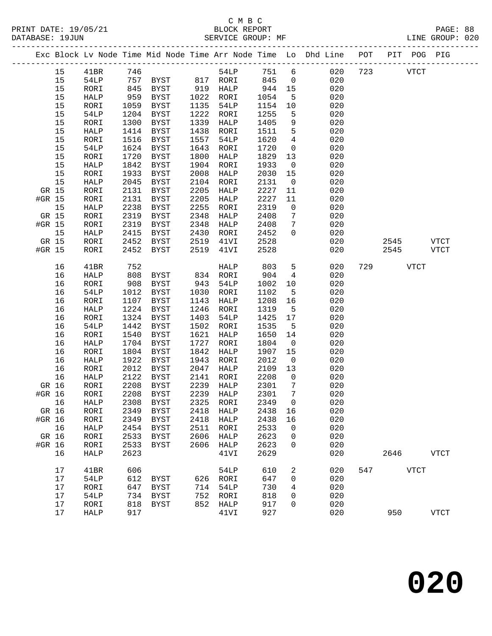|                 |    |         |      |                   |      |                |      |                         | Exc Block Lv Node Time Mid Node Time Arr Node Time Lo Dhd Line POT PIT POG PIG |     |              |             |             |
|-----------------|----|---------|------|-------------------|------|----------------|------|-------------------------|--------------------------------------------------------------------------------|-----|--------------|-------------|-------------|
|                 | 15 | 41BR    | 746  |                   |      | 54LP           | 751  | 6                       | 020                                                                            | 723 | <b>VTCT</b>  |             |             |
|                 | 15 | 54LP    |      | 757 BYST 817 RORI |      |                | 845  | $\overline{0}$          | 020                                                                            |     |              |             |             |
|                 | 15 | RORI    | 845  | BYST              |      | 919 HALP       | 944  | 15                      | 020                                                                            |     |              |             |             |
|                 | 15 | HALP    | 959  | BYST              | 1022 | RORI           | 1054 | 5                       | 020                                                                            |     |              |             |             |
|                 | 15 | RORI    | 1059 | BYST              | 1135 | 54LP           | 1154 | 10                      | 020                                                                            |     |              |             |             |
|                 | 15 | 54LP    | 1204 | BYST              | 1222 | RORI           | 1255 | 5                       | 020                                                                            |     |              |             |             |
|                 | 15 | RORI    | 1300 | BYST              | 1339 | HALP           | 1405 | 9                       | 020                                                                            |     |              |             |             |
|                 | 15 | HALP    | 1414 | <b>BYST</b>       | 1438 | RORI           | 1511 | 5                       | 020                                                                            |     |              |             |             |
|                 | 15 | RORI    | 1516 | BYST              | 1557 | 54LP           | 1620 | $\overline{4}$          | 020                                                                            |     |              |             |             |
|                 | 15 | 54LP    | 1624 | BYST              | 1643 | RORI           | 1720 | $\overline{0}$          | 020                                                                            |     |              |             |             |
|                 | 15 | RORI    | 1720 | BYST              | 1800 | HALP           | 1829 | 13                      | 020                                                                            |     |              |             |             |
|                 | 15 | HALP    | 1842 | BYST              | 1904 | RORI           | 1933 | $\overline{0}$          | 020                                                                            |     |              |             |             |
|                 | 15 | RORI    | 1933 | BYST              | 2008 | HALP           | 2030 | 15                      | 020                                                                            |     |              |             |             |
|                 | 15 | HALP    | 2045 | BYST              | 2104 | RORI           | 2131 | $\overline{0}$          | 020                                                                            |     |              |             |             |
| GR 15           |    | RORI    | 2131 | BYST              | 2205 | HALP           | 2227 | 11                      | 020                                                                            |     |              |             |             |
| #GR 15          |    | RORI    | 2131 | BYST              | 2205 | HALP           | 2227 | 11                      | 020                                                                            |     |              |             |             |
|                 | 15 | HALP    | 2238 | <b>BYST</b>       | 2255 | RORI           | 2319 | $\mathsf{O}$            | 020                                                                            |     |              |             |             |
| GR 15           |    | RORI    | 2319 | BYST              | 2348 | HALP           | 2408 | $7\phantom{.0}$         | 020                                                                            |     |              |             |             |
| #GR 15          |    | RORI    | 2319 | BYST              | 2348 | HALP           | 2408 | $7\phantom{.0}$         | 020                                                                            |     |              |             |             |
|                 | 15 | HALP    | 2415 | BYST              | 2430 | RORI           | 2452 | $\mathbf 0$             | 020                                                                            |     |              |             |             |
|                 |    | RORI    | 2452 |                   | 2519 |                | 2528 |                         | 020                                                                            |     |              |             | <b>VTCT</b> |
| GR 15<br>#GR 15 |    |         | 2452 | <b>BYST</b>       | 2519 | 41VI           | 2528 |                         | 020                                                                            |     | 2545<br>2545 |             | <b>VTCT</b> |
|                 |    | RORI    |      | BYST              |      | 41VI           |      |                         |                                                                                |     |              |             |             |
|                 | 16 | 41BR    | 752  |                   |      | HALP           | 803  | 5                       | 020                                                                            | 729 |              | <b>VTCT</b> |             |
|                 | 16 | HALP    | 808  | BYST              |      | 834 RORI       | 904  | $4\overline{4}$         | 020                                                                            |     |              |             |             |
|                 | 16 | RORI    | 908  | BYST              | 943  | 54LP           | 1002 | 10                      | 020                                                                            |     |              |             |             |
|                 | 16 | 54LP    | 1012 | BYST              | 1030 | RORI           | 1102 | 5                       | 020                                                                            |     |              |             |             |
|                 | 16 | RORI    | 1107 | BYST              | 1143 | HALP           | 1208 | 16                      | 020                                                                            |     |              |             |             |
|                 | 16 | HALP    | 1224 | <b>BYST</b>       | 1246 | RORI           | 1319 | $5^{\circ}$             | 020                                                                            |     |              |             |             |
|                 | 16 | RORI    | 1324 | <b>BYST</b>       | 1403 | 54LP           | 1425 | 17                      | 020                                                                            |     |              |             |             |
|                 | 16 | 54LP    | 1442 | <b>BYST</b>       | 1502 | RORI           | 1535 | 5                       | 020                                                                            |     |              |             |             |
|                 | 16 | RORI    | 1540 | BYST              | 1621 | HALP           | 1650 | 14                      | 020                                                                            |     |              |             |             |
|                 | 16 | HALP    | 1704 | BYST              | 1727 | RORI           | 1804 | $\overline{\mathbf{0}}$ | 020                                                                            |     |              |             |             |
|                 | 16 | RORI    | 1804 | BYST              | 1842 | HALP           | 1907 | 15                      | 020                                                                            |     |              |             |             |
|                 | 16 | HALP    | 1922 | <b>BYST</b>       | 1943 | RORI           | 2012 | $\overline{0}$          | 020                                                                            |     |              |             |             |
|                 | 16 | RORI    | 2012 | BYST              | 2047 | HALP           | 2109 | 13                      | 020                                                                            |     |              |             |             |
|                 | 16 | HALP    | 2122 | BYST              | 2141 | RORI           | 2208 | $\overline{0}$          | 020                                                                            |     |              |             |             |
| GR 16           |    | RORI    | 2208 | BYST              | 2239 | HALP           | 2301 | 7                       | 020                                                                            |     |              |             |             |
| #GR 16          |    | RORI    | 2208 | BYST              |      | 2239 HALP      | 2301 | $7\phantom{.0}$         | 020                                                                            |     |              |             |             |
|                 |    | 16 HALP |      | 2308 BYST         |      | 2325 RORI 2349 |      | $\overline{0}$          | 020                                                                            |     |              |             |             |
| GR 16           |    | RORI    | 2349 | BYST              | 2418 | HALP           | 2438 | 16                      | 020                                                                            |     |              |             |             |
| #GR 16          |    | RORI    | 2349 | BYST              | 2418 | HALP           | 2438 | 16                      | 020                                                                            |     |              |             |             |
| 16              |    | HALP    | 2454 | BYST              | 2511 | RORI           | 2533 | 0                       | 020                                                                            |     |              |             |             |
| GR 16           |    | RORI    | 2533 | BYST              | 2606 | HALP           | 2623 | 0                       | 020                                                                            |     |              |             |             |
| #GR 16          |    | RORI    | 2533 | BYST              | 2606 | HALP           | 2623 | 0                       | 020                                                                            |     |              |             |             |
|                 | 16 | HALP    | 2623 |                   |      | 41VI           | 2629 |                         | 020                                                                            |     | 2646         |             | <b>VTCT</b> |
|                 | 17 | 41BR    | 606  |                   |      | <b>54LP</b>    | 610  | 2                       | 020                                                                            | 547 | <b>VTCT</b>  |             |             |
|                 | 17 | 54LP    | 612  | BYST              |      | 626 RORI       | 647  | 0                       | 020                                                                            |     |              |             |             |
|                 | 17 | RORI    | 647  | <b>BYST</b>       | 714  | <b>54LP</b>    | 730  | 4                       | 020                                                                            |     |              |             |             |
|                 | 17 | 54LP    | 734  | BYST              | 752  | RORI           | 818  | 0                       | 020                                                                            |     |              |             |             |
|                 | 17 | RORI    | 818  | <b>BYST</b>       | 852  | HALP           | 917  | 0                       | 020                                                                            |     |              |             |             |
|                 | 17 | HALP    | 917  |                   |      | 41VI           | 927  |                         | 020                                                                            |     | 950          |             | <b>VTCT</b> |
|                 |    |         |      |                   |      |                |      |                         |                                                                                |     |              |             |             |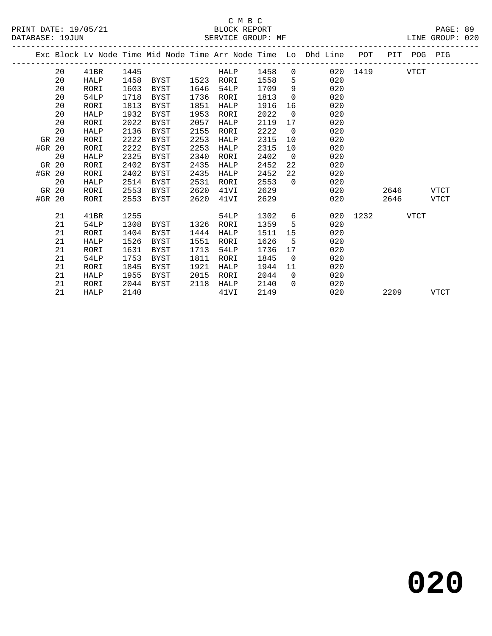#### C M B C<br>BLOCK REPORT SERVICE GROUP: MF

|        |    |             |      |             |      |      |      |                | Exc Block Lv Node Time Mid Node Time Arr Node Time Lo Dhd Line | POT      |             | PIT POG PIG |             |
|--------|----|-------------|------|-------------|------|------|------|----------------|----------------------------------------------------------------|----------|-------------|-------------|-------------|
|        | 20 | 41BR        | 1445 |             |      | HALP | 1458 | $\overline{0}$ |                                                                | 020 1419 |             | VTCT        |             |
|        | 20 | <b>HALP</b> | 1458 | BYST 1523   |      | RORI | 1558 | 5              | 020                                                            |          |             |             |             |
|        | 20 | RORI        | 1603 | BYST        | 1646 | 54LP | 1709 | 9              | 020                                                            |          |             |             |             |
|        | 20 | 54LP        | 1718 | BYST        | 1736 | RORI | 1813 | $\Omega$       | 020                                                            |          |             |             |             |
|        | 20 | RORI        | 1813 | BYST        | 1851 | HALP | 1916 | 16             | 020                                                            |          |             |             |             |
|        | 20 | HALP        | 1932 | BYST        | 1953 | RORI | 2022 | $\mathbf 0$    | 020                                                            |          |             |             |             |
|        | 20 | RORI        | 2022 | BYST        | 2057 | HALP | 2119 | 17             | 020                                                            |          |             |             |             |
|        | 20 | HALP        | 2136 | BYST        | 2155 | RORI | 2222 | $\overline{0}$ | 020                                                            |          |             |             |             |
| GR 20  |    | RORI        | 2222 | BYST        | 2253 | HALP | 2315 | 10             | 020                                                            |          |             |             |             |
| #GR 20 |    | RORI        | 2222 | BYST        | 2253 | HALP | 2315 | 10             | 020                                                            |          |             |             |             |
|        | 20 | HALP        | 2325 | BYST        | 2340 | RORI | 2402 | $\overline{0}$ | 020                                                            |          |             |             |             |
| GR 20  |    | RORI        | 2402 | <b>BYST</b> | 2435 | HALP | 2452 | 22             | 020                                                            |          |             |             |             |
| #GR 20 |    | RORI        | 2402 | BYST        | 2435 | HALP | 2452 | 22             | 020                                                            |          |             |             |             |
|        | 20 | HALP        | 2514 | BYST        | 2531 | RORI | 2553 | $\Omega$       | 020                                                            |          |             |             |             |
| GR 20  |    | RORI        | 2553 | BYST        | 2620 | 41VI | 2629 |                | 020                                                            |          | 2646        |             | VTCT        |
| #GR 20 |    | RORI        | 2553 | BYST        | 2620 | 41VI | 2629 |                | 020                                                            |          | 2646        |             | VTCT        |
|        | 21 | 41BR        | 1255 |             |      | 54LP | 1302 | 6              | 020                                                            | 1232     | <b>VTCT</b> |             |             |
|        | 21 | 54LP        | 1308 | BYST        | 1326 | RORI | 1359 | 5              | 020                                                            |          |             |             |             |
|        | 21 | RORI        | 1404 | BYST        | 1444 | HALP | 1511 | 15             | 020                                                            |          |             |             |             |
|        | 21 | <b>HALP</b> | 1526 | BYST        | 1551 | RORI | 1626 | - 5            | 020                                                            |          |             |             |             |
|        | 21 | RORI        | 1631 | BYST        | 1713 | 54LP | 1736 | 17             | 020                                                            |          |             |             |             |
|        | 21 | 54LP        | 1753 | BYST        | 1811 | RORI | 1845 | $\overline{0}$ | 020                                                            |          |             |             |             |
|        | 21 | RORI        | 1845 | BYST        | 1921 | HALP | 1944 | 11             | 020                                                            |          |             |             |             |
|        | 21 | HALP        | 1955 | BYST        | 2015 | RORI | 2044 | $\Omega$       | 020                                                            |          |             |             |             |
|        | 21 | RORI        | 2044 | BYST        | 2118 | HALP | 2140 | $\Omega$       | 020                                                            |          |             |             |             |
|        | 21 | HALP        | 2140 |             |      | 41VI | 2149 |                | 020                                                            |          | 2209        |             | <b>VTCT</b> |

**020**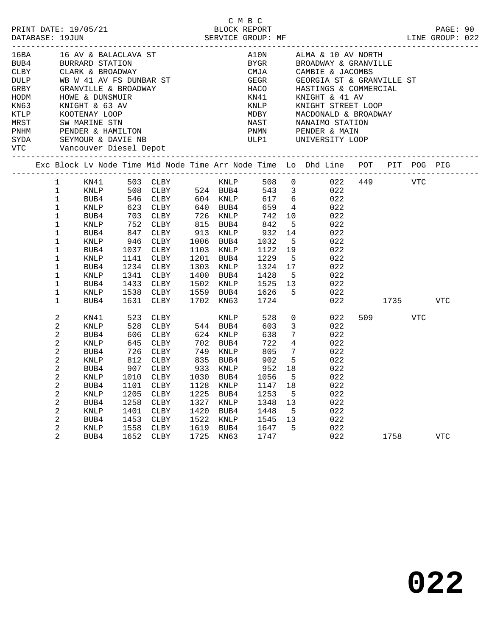| PRINT DATE: 19/05/21<br>DATABASE: 19JUN                                                                                                                                                                                                                                               |                                                                                                                                      |                                                                                                                                   |                                                      | 0 PLOCK REPORT<br>BLOCK REPORT<br>SERVICE GROUP: MF                                                                                                                                                                                                                                   |                                                      |                                                                                                                       | C M B C                                                                                                                                                       |                                                            |                                                                        |                                                                                                       |                                                             |             |     | PAGE: 90<br>LINE GROUP: 022 |  |
|---------------------------------------------------------------------------------------------------------------------------------------------------------------------------------------------------------------------------------------------------------------------------------------|--------------------------------------------------------------------------------------------------------------------------------------|-----------------------------------------------------------------------------------------------------------------------------------|------------------------------------------------------|---------------------------------------------------------------------------------------------------------------------------------------------------------------------------------------------------------------------------------------------------------------------------------------|------------------------------------------------------|-----------------------------------------------------------------------------------------------------------------------|---------------------------------------------------------------------------------------------------------------------------------------------------------------|------------------------------------------------------------|------------------------------------------------------------------------|-------------------------------------------------------------------------------------------------------|-------------------------------------------------------------|-------------|-----|-----------------------------|--|
| DULP WB W 41 AV FS DUNBAR ST<br>GRBY GRANVILLE & BROADWAY<br>HODM HOWE & DUNSMUIR<br>KN63 KNIGHT & 63 AV<br>GRBY GRANVILLE & BROADWAY<br>HODM HOWE & DUNSMUIR<br>KN63 KNIGHT & 63 AV<br>KTLP KOOTENAY LOOP<br>MRST SW MARINE STN<br>PNHM PENDER & HAMILTON<br>SYDA SEYMOUR & DAVIE NB |                                                                                                                                      |                                                                                                                                   |                                                      |                                                                                                                                                                                                                                                                                       |                                                      |                                                                                                                       | A10N ALMA & 10 AV NORTH<br>BYGR BROADWAY & GRANVILLE<br>CMJA CAMBIE & JACOMBS<br>HACO HASTINGS & COMMERCIAL<br>KN41 KNIGHT & 41 AV<br>KNIP KNIGHT STREET LOOP |                                                            |                                                                        |                                                                                                       | GEGR GEORGIA ST & GRANVILLE ST<br>MDBY MACDONALD & BROADWAY |             |     |                             |  |
| Exc Block Lv Node Time Mid Node Time Arr Node Time Lo Dhd Line POT PIT POG PIG                                                                                                                                                                                                        |                                                                                                                                      |                                                                                                                                   |                                                      |                                                                                                                                                                                                                                                                                       |                                                      |                                                                                                                       |                                                                                                                                                               |                                                            |                                                                        |                                                                                                       |                                                             |             |     |                             |  |
|                                                                                                                                                                                                                                                                                       | $\mathbf{1}$<br>$\mathbf{1}$<br>$\mathbf 1$<br>$\mathbf 1$<br>$\mathbf 1$<br>1<br>$1\,$<br>$\mathbf 1$<br>1<br>1<br>1<br>1<br>1<br>1 | BUB4<br>KNLP<br>BUB4<br>KNLP<br>BUB4<br>KNLP<br>BUB4<br>KNLP<br>BUB4<br>KNLP<br>BUB4                                              | 1538<br>1631                                         | KNLP 508 CLBY 524 BUB4 543 3 022<br>BUB4 546 CLBY 604 KNLP 617 6 022<br>KNLP 623 CLBY 640 BUB4 659 4 022<br>703 CLBY 726 KNLP 742 10<br>752 CLBY 815 BUB4<br>847 CLBY 913 KNLP<br>946 CLBY 1006 BUB4<br>1037 CLBY<br>1141 CLBY<br>1234 CLBY<br>1341 CLBY<br>1433 CLBY<br>CLBY<br>CLBY |                                                      | 913 KNLP<br>1103 KNLP<br>1201 BUB4<br>1303 KNLP<br>1400 BUB4<br>1702 KN63                                             | 842<br>932<br>1032<br>1229<br>1324 17<br>1428 5<br>1428<br>1502 KNLP 1525 13<br>1559 BUB4 1626<br>1724                                                        | $5^{\circ}$<br>1122 19<br>$5^{\circ}$<br>5 <sup>5</sup>    | $\frac{14}{1}$<br>5 <sub>5</sub><br>$5^{\circ}$                        | 022<br>022<br>022<br>022<br>022<br>022<br>022<br>022<br>022<br>022                                    | 022 2                                                       | 1735        |     | VTC                         |  |
|                                                                                                                                                                                                                                                                                       | 2<br>2<br>2<br>2<br>2<br>2<br>2<br>2<br>2<br>2<br>2<br>2<br>2<br>2<br>2                                                              | KN41<br>KNLP<br>BUB4<br>KNLP<br>BUB4<br>KNLP<br>BUB4<br>BUB4<br><b>KNLP</b><br>BUB4<br><b>KNLP</b><br>BUB4<br><b>KNLP</b><br>BUB4 | 1101<br>1205<br>1258<br>1401<br>1453<br>1558<br>1652 | 523 CLBY<br>528 CLBY<br>606 CLBY<br>645 CLBY<br>$726$ CLBY $749$ KNLP $805$<br>812 CLBY 835 BUB4<br>907 CLBY<br>KNLP 1010 CLBY 1030 BUB4 1056 5<br>CLBY<br>CLBY<br>CLBY<br><b>CLBY</b><br>CLBY<br><b>CLBY</b><br>CLBY                                                                 | 1128<br>1225<br>1327<br>1420<br>1522<br>1619<br>1725 | <b>KNLP</b><br>544 BUB4<br>$624$ KNLP<br>702 BUB4<br>933 KNLP<br>KNLP<br>BUB4<br>KNLP<br>BUB4<br>KNLP<br>BUB4<br>KN63 | 528<br>603<br>638<br>722<br>902 5<br>1147<br>1253<br>1348<br>1448<br>1545<br>1647<br>1747                                                                     | $7\overline{ }$<br>952 18<br>18<br>5<br>13<br>5<br>13<br>5 | $\overline{0}$<br>3 <sup>7</sup><br>$7\overline{ }$<br>$4\overline{4}$ | 022<br>022<br>022<br>022<br>022<br>022<br>022<br>022<br>022<br>022<br>022<br>022<br>022<br>022<br>022 |                                                             | 509<br>1758 | VTC | <b>VTC</b>                  |  |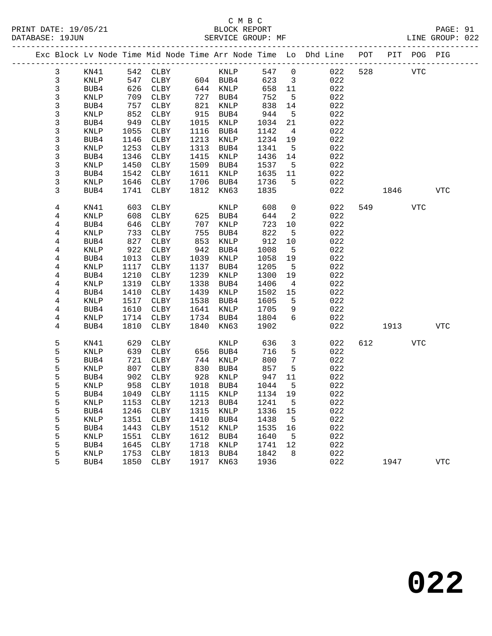|                         |                 |              |                            |              |              |              |                         | Exc Block Lv Node Time Mid Node Time Arr Node Time Lo Dhd Line POT |     |      | PIT POG PIG |            |
|-------------------------|-----------------|--------------|----------------------------|--------------|--------------|--------------|-------------------------|--------------------------------------------------------------------|-----|------|-------------|------------|
| $\mathbf{3}$            | KN41            |              | 542 CLBY                   |              | <b>KNLP</b>  | 547          | $\overline{0}$          | 022                                                                | 528 |      | <b>VTC</b>  |            |
| $\mathbf{3}$            | KNLP            | 547          | CLBY 604 BUB4              |              |              | 623          | $\overline{\mathbf{3}}$ | 022                                                                |     |      |             |            |
| 3                       | BUB4            | 626          | CLBY                       |              | 644 KNLP     | 658          | 11                      | 022                                                                |     |      |             |            |
| 3                       | KNLP            | 709          | CLBY                       | 727          | BUB4         | 752          | 5                       | 022                                                                |     |      |             |            |
| 3                       | BUB4            | 757          | CLBY                       | 821          | KNLP         | 838          | 14                      | 022                                                                |     |      |             |            |
| 3                       | KNLP            | 852          | CLBY                       | 915          | BUB4         | 944          | 5                       | 022                                                                |     |      |             |            |
| 3                       | BUB4            | 949          | CLBY                       | 1015         | KNLP         | 1034         | 21                      | 022                                                                |     |      |             |            |
| 3                       | KNLP            | 1055         | CLBY                       | 1116         | BUB4         | 1142         | $\overline{4}$          | 022                                                                |     |      |             |            |
| $\mathfrak{Z}$          | BUB4            | 1146         | CLBY                       | 1213         | KNLP         | 1234         | 19                      | 022                                                                |     |      |             |            |
| 3                       | KNLP            | 1253         | CLBY                       | 1313         | BUB4         | 1341         | $5^{\circ}$             | 022                                                                |     |      |             |            |
| 3                       | BUB4            | 1346         | CLBY                       | 1415         | KNLP         | 1436         | 14                      | 022                                                                |     |      |             |            |
| 3                       | KNLP            | 1450         | CLBY                       | 1509         | BUB4         | 1537         | $5^{\circ}$             | 022                                                                |     |      |             |            |
| 3                       | BUB4            | 1542         | CLBY                       | 1611         | KNLP         | 1635         | 11                      | 022                                                                |     |      |             |            |
| 3                       | KNLP            | 1646         | CLBY                       | 1706         | BUB4         | 1736         | 5                       | 022                                                                |     |      |             |            |
| 3                       | BUB4            | 1741         | CLBY                       | 1812         | KN63         | 1835         |                         | 022                                                                |     | 1846 |             | <b>VTC</b> |
| 4                       | KN41            | 603          | CLBY                       |              | KNLP         | 608          | $\mathsf{O}$            | 022                                                                | 549 |      | <b>VTC</b>  |            |
| 4                       | KNLP            | 608          | CLBY                       | 625          | BUB4         | 644          | 2                       | 022                                                                |     |      |             |            |
| 4                       | BUB4            | 646          | CLBY                       | 707          | KNLP         | 723          | 10                      | 022                                                                |     |      |             |            |
| 4                       | KNLP            | 733          | CLBY                       | 755          | BUB4         | 822          | 5                       | 022                                                                |     |      |             |            |
| 4                       | BUB4            | 827          | CLBY                       | 853          | KNLP         | 912          | 10                      | 022                                                                |     |      |             |            |
| 4                       | $\textsc{KNLP}$ | 922          | CLBY                       | 942          | BUB4         | 1008         | $5\overline{5}$         | 022                                                                |     |      |             |            |
| $\overline{\mathbf{4}}$ | BUB4            | 1013         | CLBY                       | 1039         | KNLP         | 1058         | 19                      | 022                                                                |     |      |             |            |
| 4                       | KNLP            | 1117         | CLBY                       | 1137         | BUB4         | 1205         | $5^{\circ}$             | 022                                                                |     |      |             |            |
| 4                       | BUB4            | 1210         | CLBY                       | 1239         | KNLP         | 1300         | 19                      | 022                                                                |     |      |             |            |
| 4                       | KNLP            | 1319         | CLBY                       | 1338         | BUB4         | 1406         | $\overline{4}$          | 022                                                                |     |      |             |            |
| 4                       | BUB4            | 1410         | CLBY                       | 1439         | KNLP         | 1502         | 15                      | 022                                                                |     |      |             |            |
| 4                       | KNLP            | 1517         | CLBY                       | 1538         | BUB4         | 1605         | 5                       | 022                                                                |     |      |             |            |
| 4                       | BUB4            | 1610         | CLBY                       | 1641         | KNLP         | 1705         | 9                       | 022                                                                |     |      |             |            |
| 4                       | KNLP            | 1714         | CLBY                       | 1734         | BUB4         | 1804         | 6                       | 022                                                                |     |      |             |            |
| 4                       | BUB4            | 1810         | CLBY                       | 1840         | KN63         | 1902         |                         | 022                                                                |     | 1913 |             | <b>VTC</b> |
| 5                       | KN41            | 629          | CLBY                       |              | KNLP         | 636          | 3                       | 022                                                                | 612 |      | VTC         |            |
| 5                       | <b>KNLP</b>     | 639          | CLBY                       | 656          | BUB4         | 716          | 5                       | 022                                                                |     |      |             |            |
| 5                       | BUB4            | 721          | CLBY                       | 744          | KNLP         | 800          | $7\phantom{.0}$         | 022                                                                |     |      |             |            |
| 5                       | KNLP            | 807          | CLBY                       | 830          | BUB4         | 857          | 5                       | 022                                                                |     |      |             |            |
| 5                       | BUB4            | 902          | CLBY                       | 928          | KNLP         | 947          | 11                      | 022                                                                |     |      |             |            |
| 5                       | KNLP            | 958          | CLBY                       | 1018         | BUB4         | 1044         | 5                       | 022                                                                |     |      |             |            |
| 5                       | BUB4            | 1049         | CLBY                       |              | 1115 KNLP    | 1134 19      |                         | 022                                                                |     |      |             |            |
| 5                       | $\textsc{KNLP}$ |              | 1153 CLBY 1213 BUB4 1241 5 |              |              |              |                         | 022                                                                |     |      |             |            |
| 5                       | BUB4            | 1246         | CLBY                       | 1315         | KNLP         | 1336         | 15                      | 022                                                                |     |      |             |            |
| 5<br>5                  | KNLP            | 1351<br>1443 | CLBY                       | 1410<br>1512 | BUB4         | 1438         | -5                      | 022<br>022                                                         |     |      |             |            |
| 5                       | BUB4<br>KNLP    | 1551         | CLBY<br>CLBY               | 1612         | KNLP<br>BUB4 | 1535<br>1640 | 16<br>5                 | 022                                                                |     |      |             |            |
| 5                       | BUB4            | 1645         | CLBY                       | 1718         | KNLP         | 1741         | 12                      | 022                                                                |     |      |             |            |
| 5                       | KNLP            | 1753         | CLBY                       | 1813         | BUB4         | 1842         | 8                       | 022                                                                |     |      |             |            |
| 5                       | BUB4            | 1850         | CLBY                       | 1917         | KN63         | 1936         |                         | 022                                                                |     | 1947 |             | <b>VTC</b> |
|                         |                 |              |                            |              |              |              |                         |                                                                    |     |      |             |            |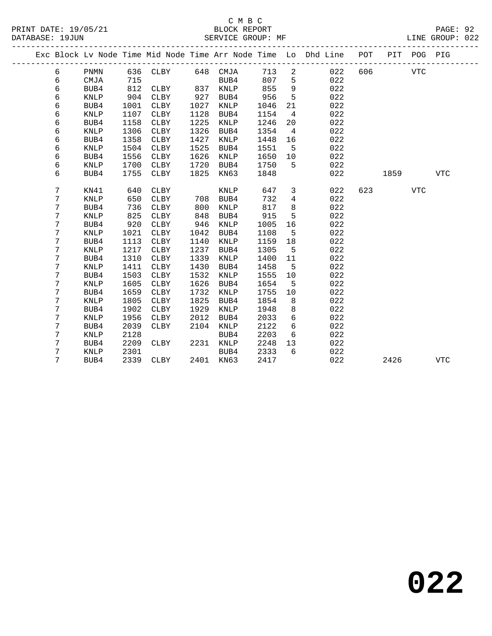|  |   |             |      |             |      |             |      |                | Exc Block Lv Node Time Mid Node Time Arr Node Time Lo Dhd Line | POT | PIT  | POG PIG    |            |
|--|---|-------------|------|-------------|------|-------------|------|----------------|----------------------------------------------------------------|-----|------|------------|------------|
|  | 6 | <b>PNMN</b> | 636  | CLBY        | 648  | CMJA        | 713  | $\overline{a}$ | 022                                                            | 606 |      | <b>VTC</b> |            |
|  | 6 | CMJA        | 715  |             |      | BUB4        | 807  | 5              | 022                                                            |     |      |            |            |
|  | 6 | BUB4        | 812  | <b>CLBY</b> | 837  | <b>KNLP</b> | 855  | 9              | 022                                                            |     |      |            |            |
|  | 6 | <b>KNLP</b> | 904  | <b>CLBY</b> | 927  | BUB4        | 956  | 5              | 022                                                            |     |      |            |            |
|  | 6 | BUB4        | 1001 | CLBY        | 1027 | KNLP        | 1046 | 21             | 022                                                            |     |      |            |            |
|  | 6 | KNLP        | 1107 | CLBY        | 1128 | BUB4        | 1154 | 4              | 022                                                            |     |      |            |            |
|  | 6 | BUB4        | 1158 | CLBY        | 1225 | KNLP        | 1246 | 20             | 022                                                            |     |      |            |            |
|  | 6 | KNLP        | 1306 | CLBY        | 1326 | BUB4        | 1354 | 4              | 022                                                            |     |      |            |            |
|  | 6 | BUB4        | 1358 | <b>CLBY</b> | 1427 | <b>KNLP</b> | 1448 | 16             | 022                                                            |     |      |            |            |
|  | 6 | <b>KNLP</b> | 1504 | <b>CLBY</b> | 1525 | BUB4        | 1551 | 5              | 022                                                            |     |      |            |            |
|  | 6 | BUB4        | 1556 | <b>CLBY</b> | 1626 | <b>KNLP</b> | 1650 | 10             | 022                                                            |     |      |            |            |
|  | 6 | <b>KNLP</b> | 1700 | <b>CLBY</b> | 1720 | BUB4        | 1750 | 5              | 022                                                            |     |      |            |            |
|  | 6 | BUB4        | 1755 | <b>CLBY</b> | 1825 | KN63        | 1848 |                | 022                                                            |     | 1859 |            | <b>VTC</b> |
|  |   |             |      |             |      |             |      |                |                                                                |     |      |            |            |
|  | 7 | KN41        | 640  | <b>CLBY</b> |      | <b>KNLP</b> | 647  | 3              | 022                                                            | 623 |      | <b>VTC</b> |            |
|  | 7 | <b>KNLP</b> | 650  | CLBY        | 708  | BUB4        | 732  | 4              | 022                                                            |     |      |            |            |
|  | 7 | BUB4        | 736  | CLBY        | 800  | KNLP        | 817  | 8              | 022                                                            |     |      |            |            |
|  | 7 | <b>KNLP</b> | 825  | CLBY        | 848  | BUB4        | 915  | 5              | 022                                                            |     |      |            |            |
|  | 7 | BUB4        | 920  | <b>CLBY</b> | 946  | KNLP        | 1005 | 16             | 022                                                            |     |      |            |            |
|  | 7 | <b>KNLP</b> | 1021 | <b>CLBY</b> | 1042 | BUB4        | 1108 | 5              | 022                                                            |     |      |            |            |
|  | 7 | BUB4        | 1113 | <b>CLBY</b> | 1140 | <b>KNLP</b> | 1159 | 18             | 022                                                            |     |      |            |            |
|  | 7 | <b>KNLP</b> | 1217 | <b>CLBY</b> | 1237 | BUB4        | 1305 | 5              | 022                                                            |     |      |            |            |
|  | 7 | BUB4        | 1310 | <b>CLBY</b> | 1339 | <b>KNLP</b> | 1400 | 11             | 022                                                            |     |      |            |            |
|  | 7 | <b>KNLP</b> | 1411 | <b>CLBY</b> | 1430 | BUB4        | 1458 | 5              | 022                                                            |     |      |            |            |
|  | 7 | BUB4        | 1503 | CLBY        | 1532 | KNLP        | 1555 | 10             | 022                                                            |     |      |            |            |
|  | 7 | KNLP        | 1605 | CLBY        | 1626 | BUB4        | 1654 | 5              | 022                                                            |     |      |            |            |
|  | 7 | BUB4        | 1659 | CLBY        | 1732 | KNLP        | 1755 | 10             | 022                                                            |     |      |            |            |
|  | 7 | KNLP        | 1805 | CLBY        | 1825 | BUB4        | 1854 | 8              | 022                                                            |     |      |            |            |
|  | 7 | BUB4        | 1902 | <b>CLBY</b> | 1929 | <b>KNLP</b> | 1948 | 8              | 022                                                            |     |      |            |            |
|  | 7 | <b>KNLP</b> | 1956 | <b>CLBY</b> | 2012 | BUB4        | 2033 | 6              | 022                                                            |     |      |            |            |
|  | 7 | BUB4        | 2039 | <b>CLBY</b> | 2104 | <b>KNLP</b> | 2122 | 6              | 022                                                            |     |      |            |            |
|  | 7 | <b>KNLP</b> | 2128 |             |      | BUB4        | 2203 | 6              | 022                                                            |     |      |            |            |
|  | 7 | BUB4        | 2209 | <b>CLBY</b> | 2231 | <b>KNLP</b> | 2248 | 13             | 022                                                            |     |      |            |            |
|  | 7 | <b>KNLP</b> | 2301 |             |      | BUB4        | 2333 | 6              | 022                                                            |     |      |            |            |
|  | 7 | BUB4        | 2339 | <b>CLBY</b> | 2401 | KN63        | 2417 |                | 022                                                            |     | 2426 |            | <b>VTC</b> |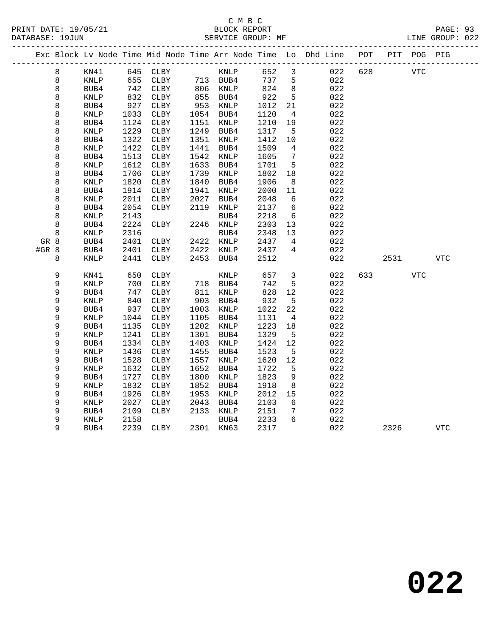|       |   |                 |      |              |      |           |      |                 | Exc Block Lv Node Time Mid Node Time Arr Node Time Lo Dhd Line POT |     |            | PIT POG PIG |            |
|-------|---|-----------------|------|--------------|------|-----------|------|-----------------|--------------------------------------------------------------------|-----|------------|-------------|------------|
|       | 8 | KN41            |      | 645 CLBY     |      | KNLP      | 652  | 3               | 022                                                                | 628 | <b>VTC</b> |             |            |
|       | 8 | KNLP            | 655  | CLBY         |      | 713 BUB4  | 737  | 5               | 022                                                                |     |            |             |            |
|       | 8 | BUB4            | 742  | CLBY         |      | 806 KNLP  | 824  | 8 <sup>8</sup>  | 022                                                                |     |            |             |            |
|       | 8 | <b>KNLP</b>     | 832  | CLBY         | 855  | BUB4      | 922  | $5\overline{5}$ | 022                                                                |     |            |             |            |
|       | 8 | BUB4            | 927  | CLBY         | 953  | KNLP      | 1012 | 21              | 022                                                                |     |            |             |            |
|       | 8 | KNLP            | 1033 | CLBY         |      | 1054 BUB4 | 1120 | $\overline{4}$  | 022                                                                |     |            |             |            |
|       | 8 | BUB4            | 1124 | CLBY         | 1151 | KNLP      | 1210 | 19              | 022                                                                |     |            |             |            |
|       | 8 | KNLP            | 1229 | CLBY         | 1249 | BUB4      | 1317 | 5               | 022                                                                |     |            |             |            |
|       | 8 | BUB4            | 1322 | CLBY         | 1351 | KNLP      | 1412 | 10              | 022                                                                |     |            |             |            |
|       | 8 | <b>KNLP</b>     | 1422 | CLBY         | 1441 | BUB4      | 1509 | $\overline{4}$  | 022                                                                |     |            |             |            |
|       | 8 | BUB4            | 1513 | CLBY         | 1542 | KNLP      | 1605 | $\overline{7}$  | 022                                                                |     |            |             |            |
|       | 8 | KNLP            | 1612 | CLBY         | 1633 | BUB4      | 1701 | 5               | 022                                                                |     |            |             |            |
|       | 8 | BUB4            | 1706 | CLBY         | 1739 | KNLP      | 1802 | 18              | 022                                                                |     |            |             |            |
|       | 8 | <b>KNLP</b>     | 1820 | CLBY         | 1840 | BUB4      | 1906 | 8               | 022                                                                |     |            |             |            |
|       | 8 | BUB4            | 1914 | CLBY         | 1941 | KNLP      | 2000 | 11              | 022                                                                |     |            |             |            |
|       | 8 | KNLP            | 2011 | CLBY         | 2027 | BUB4      | 2048 | - 6             | 022                                                                |     |            |             |            |
|       | 8 | BUB4            | 2054 | CLBY         | 2119 | KNLP      | 2137 | 6               | 022                                                                |     |            |             |            |
|       | 8 | KNLP            | 2143 |              |      | BUB4      | 2218 | $6\overline{6}$ | 022                                                                |     |            |             |            |
|       | 8 | BUB4            | 2224 | CLBY         |      | 2246 KNLP | 2303 | 13              | 022                                                                |     |            |             |            |
|       | 8 | KNLP            | 2316 |              |      | BUB4      | 2348 | 13              | 022                                                                |     |            |             |            |
| GR 8  |   | BUB4            | 2401 | CLBY         |      | 2422 KNLP | 2437 | $\overline{4}$  | 022                                                                |     |            |             |            |
| #GR 8 |   | BUB4            | 2401 | CLBY         | 2422 | KNLP      | 2437 | 4               | 022                                                                |     |            |             |            |
|       | 8 | <b>KNLP</b>     | 2441 | CLBY         | 2453 | BUB4      | 2512 |                 | 022                                                                |     | 2531       |             | <b>VTC</b> |
|       | 9 | KN41            | 650  | CLBY         |      | KNLP      | 657  | 3               | 022                                                                | 633 |            | <b>VTC</b>  |            |
|       | 9 | $\textsc{KNLP}$ | 700  | CLBY         |      | 718 BUB4  | 742  | 5               | 022                                                                |     |            |             |            |
|       | 9 | BUB4            | 747  | CLBY         | 811  | KNLP      | 828  | 12              | 022                                                                |     |            |             |            |
|       | 9 | <b>KNLP</b>     | 840  | CLBY         | 903  | BUB4      | 932  | 5               | 022                                                                |     |            |             |            |
|       | 9 | BUB4            | 937  | CLBY         | 1003 | KNLP      | 1022 | 22              | 022                                                                |     |            |             |            |
|       | 9 | $\textsc{KNLP}$ | 1044 | CLBY         | 1105 | BUB4      | 1131 | $\overline{4}$  | 022                                                                |     |            |             |            |
|       | 9 | BUB4            | 1135 | CLBY         | 1202 | KNLP      | 1223 | 18              | 022                                                                |     |            |             |            |
|       | 9 | <b>KNLP</b>     | 1241 | CLBY         | 1301 | BUB4      | 1329 | $5^{\circ}$     | 022                                                                |     |            |             |            |
|       | 9 | BUB4            | 1334 | ${\tt CLBY}$ | 1403 | KNLP      | 1424 | 12              | 022                                                                |     |            |             |            |
|       | 9 | KNLP            | 1436 | CLBY         | 1455 | BUB4      | 1523 | $5\overline{5}$ | 022                                                                |     |            |             |            |
|       | 9 | BUB4            | 1528 | CLBY         | 1557 | KNLP      | 1620 | 12              | 022                                                                |     |            |             |            |
|       | 9 | <b>KNLP</b>     | 1632 | CLBY         | 1652 | BUB4      | 1722 | 5               | 022                                                                |     |            |             |            |
|       | 9 | BUB4            | 1727 | CLBY         | 1800 | KNLP      | 1823 | 9               | 022                                                                |     |            |             |            |
|       | 9 | <b>KNLP</b>     | 1832 | CLBY         | 1852 | BUB4      | 1918 | 8               | 022                                                                |     |            |             |            |
|       | 9 | BUB4            | 1926 | CLBY         | 1953 | KNLP      | 2012 | 15              | 022                                                                |     |            |             |            |
|       | 9 | KNLP            | 2027 | CLBY         | 2043 | BUB4      | 2103 | 6               | 022                                                                |     |            |             |            |
|       | 9 | BUB4            | 2109 | CLBY         | 2133 | KNLP      | 2151 | 7               | 022                                                                |     |            |             |            |
|       | 9 | KNLP            | 2158 |              |      | BUB4      | 2233 | 6               | 022                                                                |     |            |             |            |
|       | 9 | BUB4            | 2239 | CLBY         |      | 2301 KN63 | 2317 |                 | 022                                                                |     | 2326       |             | <b>VTC</b> |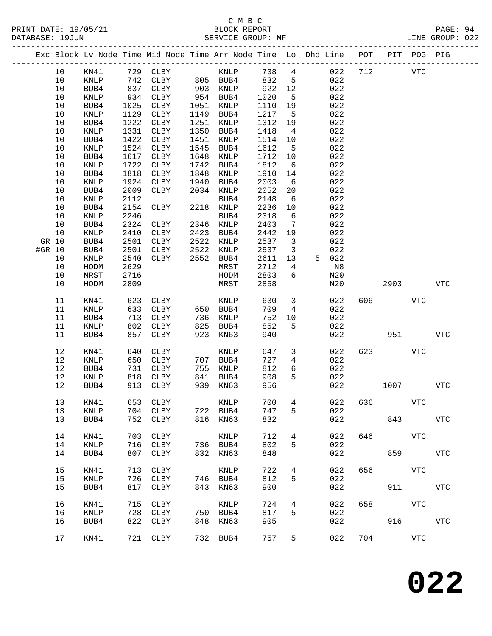|        |      |                 |      |                   |      |           |      |                         | Exc Block Lv Node Time Mid Node Time Arr Node Time Lo Dhd Line POT PIT POG PIG |     |                           |            |            |
|--------|------|-----------------|------|-------------------|------|-----------|------|-------------------------|--------------------------------------------------------------------------------|-----|---------------------------|------------|------------|
|        | 10   | KN41            |      | 729 CLBY          |      | KNLP      | 738  | $\overline{4}$          | 022                                                                            | 712 | <b>VTC</b>                |            |            |
|        | 10   | KNLP            |      | 742 CLBY 805 BUB4 |      |           | 832  | $5^{\circ}$             | 022                                                                            |     |                           |            |            |
|        | $10$ | BUB4            | 837  | CLBY              |      | 903 KNLP  | 922  | 12                      | 022                                                                            |     |                           |            |            |
|        | 10   | KNLP            | 934  | CLBY              | 954  | BUB4      | 1020 | $5^{\circ}$             | 022                                                                            |     |                           |            |            |
|        | 10   | BUB4            | 1025 | CLBY              | 1051 | KNLP      | 1110 | 19                      | 022                                                                            |     |                           |            |            |
|        | $10$ | $\textsc{KNLP}$ | 1129 | CLBY              | 1149 | BUB4      | 1217 | $5^{\circ}$             | 022                                                                            |     |                           |            |            |
|        | $10$ | BUB4            | 1222 | CLBY              | 1251 | KNLP      | 1312 | 19                      | 022                                                                            |     |                           |            |            |
|        | 10   | KNLP            | 1331 | CLBY              | 1350 | BUB4      | 1418 | $\overline{4}$          | 022                                                                            |     |                           |            |            |
|        | 10   | BUB4            | 1422 | CLBY              | 1451 | KNLP      | 1514 | 10                      | 022                                                                            |     |                           |            |            |
|        | 10   | $\textsc{KNLP}$ | 1524 | CLBY              | 1545 | BUB4      | 1612 | $5^{\circ}$             | 022                                                                            |     |                           |            |            |
|        | $10$ | BUB4            | 1617 | CLBY              | 1648 | KNLP      | 1712 | 10                      | 022                                                                            |     |                           |            |            |
|        | 10   | KNLP            | 1722 | CLBY              | 1742 | BUB4      | 1812 | $6\overline{6}$         | 022                                                                            |     |                           |            |            |
|        | 10   | BUB4            | 1818 | CLBY              | 1848 | KNLP      | 1910 | 14                      | 022                                                                            |     |                           |            |            |
|        | $10$ | $\textsc{KNLP}$ | 1924 | CLBY              | 1940 | BUB4      | 2003 | $6\overline{6}$         | 022                                                                            |     |                           |            |            |
|        | $10$ | BUB4            | 2009 | CLBY              | 2034 | KNLP      | 2052 | 20                      | 022                                                                            |     |                           |            |            |
|        | 10   | KNLP            | 2112 |                   |      | BUB4      | 2148 | $6\overline{6}$         | 022                                                                            |     |                           |            |            |
|        | 10   | BUB4            | 2154 | CLBY              |      | 2218 KNLP | 2236 | 10                      | 022                                                                            |     |                           |            |            |
|        | 10   | KNLP            | 2246 |                   |      | BUB4      | 2318 | $6\overline{6}$         | 022                                                                            |     |                           |            |            |
|        | 10   | BUB4            | 2324 | CLBY              | 2346 | KNLP      | 2403 | 7                       | 022                                                                            |     |                           |            |            |
|        | 10   | KNLP            | 2410 | CLBY              | 2423 | BUB4      | 2442 | 19                      | 022                                                                            |     |                           |            |            |
| GR 10  |      | BUB4            | 2501 | CLBY              | 2522 | KNLP      | 2537 | $\overline{\mathbf{3}}$ | 022                                                                            |     |                           |            |            |
| #GR 10 |      | BUB4            | 2501 | CLBY              | 2522 | KNLP      | 2537 | $\overline{\mathbf{3}}$ | 022                                                                            |     |                           |            |            |
|        | 10   | $\textsc{KNLP}$ | 2540 | CLBY              | 2552 | BUB4      | 2611 | 13                      | 5 022                                                                          |     |                           |            |            |
|        | 10   | HODM            | 2629 |                   |      | MRST      | 2712 | $\overline{4}$          | N8                                                                             |     |                           |            |            |
|        | 10   | MRST            | 2716 |                   |      | HODM      | 2803 | 6                       | N20                                                                            |     |                           |            |            |
|        | 10   | HODM            | 2809 |                   |      | MRST      | 2858 |                         | N20                                                                            |     | 2903                      |            | VTC        |
|        |      |                 |      |                   |      |           |      |                         |                                                                                |     |                           |            |            |
|        | 11   | KN41            | 623  | CLBY              |      | KNLP      | 630  | $\overline{\mathbf{3}}$ | 022                                                                            | 606 |                           | <b>VTC</b> |            |
|        | 11   | KNLP            | 633  | CLBY              |      | 650 BUB4  | 709  | 4                       | 022                                                                            |     |                           |            |            |
|        | 11   | BUB4            | 713  | CLBY              | 736  | KNLP      | 752  | 10                      | 022                                                                            |     |                           |            |            |
|        | 11   | KNLP            | 802  | CLBY              | 825  | BUB4      | 852  | 5                       | 022                                                                            |     |                           |            |            |
|        | 11   | BUB4            | 857  | CLBY              | 923  | KN63      | 940  |                         | 022                                                                            |     | 951                       |            | <b>VTC</b> |
|        |      |                 |      |                   |      |           |      |                         |                                                                                |     |                           |            |            |
|        | 12   | KN41            | 640  | CLBY              |      | KNLP      | 647  | $\mathbf{3}$            | 022                                                                            |     | 623 and the set of $\sim$ | VTC        |            |
|        | 12   | KNLP            | 650  | CLBY              |      | 707 BUB4  | 727  | $\overline{4}$          | 022                                                                            |     |                           |            |            |
|        | 12   | BUB4            | 731  | CLBY              | 755  | KNLP      | 812  | 6                       | 022                                                                            |     |                           |            |            |
|        | 12   | KNLP            | 818  | CLBY              | 841  | BUB4      | 908  | 5                       | 022                                                                            |     |                           |            |            |
|        | 12   | BUB4            | 913  | CLBY              | 939  | KN63      | 956  |                         | 022                                                                            |     | 1007                      |            | <b>VTC</b> |
|        | 13   | KN41            |      | 653 CLBY          |      | KNLP      |      |                         | 700 4 022 636                                                                  |     |                           | VTC        |            |
|        | 13   | KNLP            | 704  | CLBY              |      | 722 BUB4  | 747  | 5                       | 022                                                                            |     |                           |            |            |
|        | 13   | BUB4            | 752  | CLBY              |      | 816 KN63  | 832  |                         | 022                                                                            |     | 843                       |            | VTC        |
|        |      |                 |      |                   |      |           |      |                         |                                                                                |     |                           |            |            |
|        | 14   | KN41            | 703  | CLBY              |      | KNLP      | 712  | $4\overline{ }$         | 022                                                                            | 646 | <b>VTC</b>                |            |            |
|        | 14   | KNLP            | 716  | CLBY              |      | 736 BUB4  | 802  | 5                       | 022                                                                            |     |                           |            |            |
|        | 14   | BUB4            | 807  | CLBY              |      | 832 KN63  | 848  |                         | 022                                                                            |     |                           | 859        | VTC        |
|        |      |                 |      |                   |      |           |      |                         |                                                                                |     |                           |            |            |
|        | 15   | KN41            |      | 713 CLBY          |      | KNLP      | 722  | $4\overline{ }$         | 022                                                                            | 656 |                           | VTC        |            |
|        | 15   | KNLP            | 726  | CLBY              |      | 746 BUB4  | 812  | 5                       | 022                                                                            |     |                           |            |            |
|        | 15   | BUB4            | 817  | CLBY              | 843  | KN63      | 900  |                         | 022                                                                            |     |                           | 911        | <b>VTC</b> |
|        | 16   | KN41            | 715  | CLBY              |      | KNLP      | 724  | $4\overline{ }$         | 022                                                                            | 658 | <b>VTC</b>                |            |            |
|        | 16   | KNLP            | 728  | CLBY              |      | 750 BUB4  | 817  | 5                       | 022                                                                            |     |                           |            |            |
|        | 16   | BUB4            | 822  | CLBY              | 848  | KN63      | 905  |                         | 022                                                                            |     |                           | 916        | VTC        |
|        |      |                 |      |                   |      |           |      |                         |                                                                                |     |                           |            |            |
|        | 17   | KN41            |      | 721 CLBY          |      | 732 BUB4  | 757  | 5                       | 022                                                                            | 704 |                           | VTC        |            |
|        |      |                 |      |                   |      |           |      |                         |                                                                                |     |                           |            |            |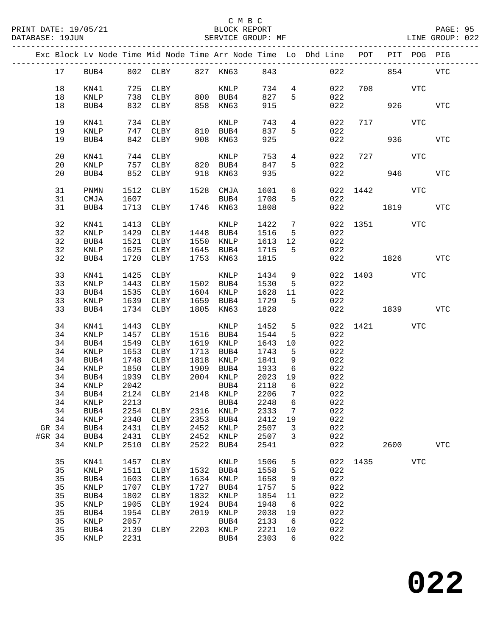|        |       |                 |      |                            |      |             |              |                         | Exc Block Lv Node Time Mid Node Time Arr Node Time Lo Dhd Line POT PIT POG PIG |              |         |            |            |
|--------|-------|-----------------|------|----------------------------|------|-------------|--------------|-------------------------|--------------------------------------------------------------------------------|--------------|---------|------------|------------|
|        | 17    |                 |      | BUB4 802 CLBY 827 KN63 843 |      |             |              |                         | $022$ 854                                                                      |              |         |            | <b>VTC</b> |
|        | 18    |                 |      |                            |      |             |              |                         |                                                                                |              | 708 VTC |            |            |
|        |       | KN41            |      | 725 CLBY                   |      | <b>KNLP</b> | 734          |                         | $4\overline{ }$<br>022                                                         |              |         |            |            |
|        | 18    | KNLP            |      |                            |      |             | 827          | $5^{\circ}$             | 022                                                                            |              |         |            |            |
|        | 18    | BUB4            |      |                            |      |             | 915          |                         | 022                                                                            |              |         | 926        | <b>VTC</b> |
|        | 19    | KN41            |      | 734 CLBY                   |      | KNLP        | 743          |                         | $4\degree$<br>022                                                              |              | 717     | VTC        |            |
|        | 19    | KNLP            |      | 747 CLBY                   |      | 810 BUB4    | 837          | $5 -$                   | 022                                                                            |              |         |            |            |
|        | 19    | BUB4            |      | 842 CLBY                   |      | 908 KN63    | 925          |                         | 022                                                                            |              |         | 936 00     | VTC        |
|        |       |                 |      |                            |      |             |              |                         |                                                                                |              |         |            |            |
|        | 20    | KN41            |      | 744 CLBY                   |      | KNLP        | 753          |                         | $4\degree$<br>022                                                              |              | 727 VTC |            |            |
|        | 20    | KNLP            |      | 757 CLBY 820 BUB4          |      |             | 847          | $5^{\circ}$             | 022                                                                            |              |         |            |            |
|        | 20    | BUB4            |      | 852 CLBY 918 KN63          |      |             | 935          |                         | 022                                                                            |              | 946     |            | <b>VTC</b> |
|        | 31    | PNMN            | 1512 | CLBY                       |      | 1528 CMJA   | 1601         |                         | $6\overline{}$                                                                 | 022 1442 VTC |         |            |            |
|        | 31    | CMJA            | 1607 |                            |      | BUB4        | 1708         | 5                       | 022                                                                            |              |         |            |            |
|        |       |                 |      | 1713 CLBY 1746 KN63        |      |             |              |                         |                                                                                |              |         |            |            |
|        | 31    | BUB4            |      |                            |      |             | 1808         |                         |                                                                                | 022 023      | 1819    |            | VTC        |
|        | 32    | KN41            |      | 1413 CLBY                  |      | KNLP        | 1422         | $7\overline{)}$         |                                                                                | 022 1351     |         | VTC        |            |
|        | 32    | KNLP            | 1429 | CLBY 1448 BUB4             |      |             | 1516         | 5 <sup>5</sup>          | 022                                                                            |              |         |            |            |
|        | 32    | BUB4            |      | 1521 CLBY                  |      | 1550 KNLP   | 1613         | 12                      | 022                                                                            |              |         |            |            |
|        | 32    | $\texttt{KNLP}$ |      | 1625 CLBY                  |      | 1645 BUB4   | 1613<br>1715 | $5^{\circ}$             | 022                                                                            |              |         |            |            |
|        | 32    | BUB4            |      | 1720 CLBY                  |      | 1753 KN63   | 1815         |                         |                                                                                | 022          | 1826    |            | <b>VTC</b> |
|        |       |                 |      |                            |      |             |              |                         |                                                                                |              |         |            |            |
|        | 33    | KN41            | 1425 | CLBY                       |      | KNLP        |              | $\overline{9}$          |                                                                                | 022 1403 VTC |         |            |            |
|        | 33    | $\texttt{KNLP}$ |      | 1443 CLBY 1502 BUB4        |      |             | 1434<br>1530 | $5^{\circ}$             | 022                                                                            |              |         |            |            |
|        | 33    | BUB4            |      | 1535 CLBY                  |      | 1604 KNLP   | 1628         | 11                      | 022                                                                            |              |         |            |            |
|        | 33    | KNLP            |      | 1639 CLBY                  |      | 1659 BUB4   | 1729         | 5                       | 022                                                                            |              |         |            |            |
|        | 33    | BUB4            |      | 1734 CLBY                  |      | 1805 KN63   | 1828         |                         |                                                                                | 022 1839     |         |            | VTC        |
|        |       |                 |      |                            |      |             |              |                         |                                                                                |              |         |            |            |
|        | 34    | KN41            |      | 1443 CLBY                  |      | KNLP        | 1452         | 5 <sup>5</sup>          |                                                                                | 022 1421     |         | VTC        |            |
|        | 34    | <b>KNLP</b>     |      | 1457 CLBY                  |      | 1516 BUB4   | 1544         | 5                       | 022                                                                            |              |         |            |            |
|        | 34    | BUB4            |      | 1549 CLBY                  |      | 1619 KNLP   | 1643         | 10                      | 022                                                                            |              |         |            |            |
|        | 34    | KNLP            |      | 1653 CLBY                  |      | 1713 BUB4   | 1743         | 5                       | 022                                                                            |              |         |            |            |
|        | 34    | BUB4            |      | 1748 CLBY                  |      | 1818 KNLP   | 1841         | 9                       | 022                                                                            |              |         |            |            |
|        | 34    | KNLP            |      | 1850 CLBY                  | 1909 | BUB4        | 1933         | 6                       | 022                                                                            |              |         |            |            |
|        | 34    | BUB4            |      | 1939 CLBY                  |      | 2004 KNLP   | 2023         | 19                      | 022                                                                            |              |         |            |            |
|        | 34    | KNLP            | 2042 |                            |      | BUB4        | 2118         | 6                       | 022                                                                            |              |         |            |            |
|        | 34    | BUB4            |      | 2124 CLBY                  |      | 2148 KNLP   | 2206         | $\overline{7}$          | 022                                                                            |              |         |            |            |
|        |       |                 |      | 34 KNLP 2213 BUB4 2248 6   |      |             |              |                         | 022                                                                            |              |         |            |            |
|        | 34    | BUB4            | 2254 | CLBY                       |      | 2316 KNLP   | 2333         | $7\phantom{.0}$         | 022                                                                            |              |         |            |            |
|        | 34    | KNLP            | 2340 | CLBY                       | 2353 | BUB4        | 2412         | 19                      | 022                                                                            |              |         |            |            |
|        | GR 34 |                 | 2431 |                            | 2452 |             | 2507         |                         | 022                                                                            |              |         |            |            |
|        |       | BUB4            |      | CLBY                       |      | KNLP        |              | $\overline{\mathbf{3}}$ |                                                                                |              |         |            |            |
| #GR 34 |       | BUB4            | 2431 | CLBY                       | 2452 | KNLP        | 2507         | 3                       | 022                                                                            |              |         |            |            |
|        | 34    | KNLP            | 2510 | CLBY                       | 2522 | BUB4        | 2541         |                         | 022                                                                            |              | 2600    |            | <b>VTC</b> |
|        | 35    | KN41            | 1457 | CLBY                       |      | KNLP        | 1506         | 5                       |                                                                                | 022 1435     |         | <b>VTC</b> |            |
|        | 35    | KNLP            | 1511 | CLBY                       |      | 1532 BUB4   | 1558         | 5                       | 022                                                                            |              |         |            |            |
|        | 35    | BUB4            | 1603 | CLBY                       | 1634 | KNLP        | 1658         | 9                       | 022                                                                            |              |         |            |            |
|        | 35    | KNLP            | 1707 | CLBY                       | 1727 | BUB4        | 1757         | 5                       | 022                                                                            |              |         |            |            |
|        | 35    | BUB4            | 1802 | CLBY                       | 1832 | KNLP        | 1854         | 11                      | 022                                                                            |              |         |            |            |
|        | 35    | KNLP            | 1905 | CLBY                       | 1924 | BUB4        | 1948         | $6\overline{6}$         | 022                                                                            |              |         |            |            |
|        |       |                 |      |                            |      |             |              |                         | 022                                                                            |              |         |            |            |
|        | 35    | BUB4            | 1954 | <b>CLBY</b>                | 2019 | KNLP        | 2038         | 19                      |                                                                                |              |         |            |            |
|        | 35    | KNLP            | 2057 |                            |      | BUB4        | 2133         | 6                       | 022                                                                            |              |         |            |            |
|        | 35    | BUB4            | 2139 | CLBY                       |      | 2203 KNLP   | 2221         | 10                      | 022                                                                            |              |         |            |            |
|        | 35    | KNLP            | 2231 |                            |      | BUB4        | 2303         | 6                       | 022                                                                            |              |         |            |            |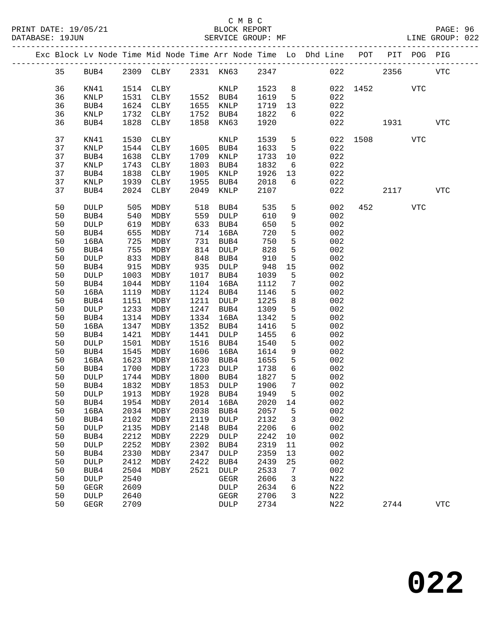|    |    |             |            |                             |      |             |      |                 | Exc Block Lv Node Time Mid Node Time Arr Node Time Lo Dhd Line POT PIT POG PIG |          |                        |            |              |
|----|----|-------------|------------|-----------------------------|------|-------------|------|-----------------|--------------------------------------------------------------------------------|----------|------------------------|------------|--------------|
| 35 |    | BUB4        |            | 2309 CLBY 2331 KN63 2347    |      |             |      |                 |                                                                                | 022      | 2356                   |            | <b>VTC</b>   |
| 36 |    | KN41        |            | 1514 CLBY                   |      | KNLP        | 1523 | 8 <sup>8</sup>  |                                                                                | 022 1452 |                        | <b>VTC</b> |              |
| 36 |    | KNLP        | 1531       | CLBY                        |      | 1552 BUB4   | 1619 | $5^{\circ}$     | 022                                                                            |          |                        |            |              |
| 36 |    | BUB4        | 1624       | CLBY                        |      | 1655 KNLP   | 1719 | 13              | 022                                                                            |          |                        |            |              |
| 36 |    | KNLP        | 1732       | CLBY                        | 1752 | BUB4        | 1822 | 6               | 022                                                                            |          |                        |            |              |
|    |    |             |            |                             |      |             |      |                 |                                                                                |          |                        |            |              |
| 36 |    | BUB4        | 1828       | CLBY                        | 1858 | KN63        | 1920 |                 | 022                                                                            |          | 1931                   |            | $_{\rm VTC}$ |
| 37 |    | KN41        | 1530       | CLBY                        |      | KNLP        | 1539 | $5^{\circ}$     |                                                                                | 022 1508 |                        | VTC        |              |
| 37 |    | KNLP        | 1544       | CLBY                        |      | 1605 BUB4   | 1633 | 5               | 022                                                                            |          |                        |            |              |
| 37 |    | BUB4        | 1638       | CLBY                        | 1709 | KNLP        | 1733 | $10 \,$         | 022                                                                            |          |                        |            |              |
| 37 |    | KNLP        | 1743       | CLBY                        | 1803 | BUB4        | 1832 | 6               | 022                                                                            |          |                        |            |              |
| 37 |    | BUB4        | 1838       | CLBY                        | 1905 | KNLP        | 1926 | 13              | 022                                                                            |          |                        |            |              |
| 37 |    | KNLP        | 1939       | CLBY                        | 1955 | BUB4        | 2018 | 6               | 022                                                                            |          |                        |            |              |
| 37 |    | BUB4        | 2024       | CLBY                        | 2049 | KNLP        | 2107 |                 | 022                                                                            |          | 2117                   |            | <b>VTC</b>   |
|    |    |             |            |                             |      |             |      |                 |                                                                                |          |                        |            |              |
| 50 |    | <b>DULP</b> | 505<br>540 | MDBY                        | 518  | BUB4        | 535  | 5               | 002                                                                            |          | 452 and $\overline{a}$ | VTC        |              |
| 50 |    | BUB4        |            | MDBY                        | 559  | DULP        | 610  | $\mathsf 9$     | 002                                                                            |          |                        |            |              |
| 50 |    | DULP        | 619        | MDBY                        | 633  | BUB4        | 650  | 5               | 002                                                                            |          |                        |            |              |
| 50 |    | BUB4        | 655        | MDBY                        |      | 714 16BA    | 720  | $\mathsf S$     | 002                                                                            |          |                        |            |              |
| 50 |    | 16BA        | 725        | MDBY                        | 731  | BUB4        | 750  | 5               | 002                                                                            |          |                        |            |              |
| 50 |    | BUB4        | 755        | MDBY                        | 814  | DULP        | 828  | $\mathsf S$     | 002                                                                            |          |                        |            |              |
| 50 |    | DULP        | 833        | MDBY                        | 848  | BUB4        | 910  | $\overline{5}$  | 002                                                                            |          |                        |            |              |
| 50 |    | BUB4        | 915        | MDBY                        | 935  | DULP        | 948  | 15              | 002                                                                            |          |                        |            |              |
| 50 |    | DULP        | 1003       | MDBY                        | 1017 | BUB4        | 1039 | 5               | 002                                                                            |          |                        |            |              |
| 50 |    |             | 1044       |                             | 1104 |             |      | $7\phantom{.0}$ | 002                                                                            |          |                        |            |              |
|    |    | BUB4        |            | MDBY                        |      | 16BA        | 1112 |                 |                                                                                |          |                        |            |              |
| 50 |    | 16BA        | 1119       | MDBY                        | 1124 | BUB4        | 1146 | 5               | 002                                                                            |          |                        |            |              |
| 50 |    | BUB4        | 1151       | MDBY                        | 1211 | DULP        | 1225 | $\,8\,$         | 002                                                                            |          |                        |            |              |
| 50 |    | <b>DULP</b> | 1233       | MDBY                        | 1247 | BUB4        | 1309 | $5\phantom{.0}$ | 002                                                                            |          |                        |            |              |
| 50 |    | BUB4        | 1314       | MDBY                        | 1334 | 16BA        | 1342 | $\mathsf S$     | 002                                                                            |          |                        |            |              |
| 50 |    | 16BA        | 1347       | MDBY                        | 1352 | BUB4        | 1416 | 5               | 002                                                                            |          |                        |            |              |
| 50 |    | BUB4        | 1421       | MDBY                        | 1441 | DULP        | 1455 | $\sqrt{6}$      | 002                                                                            |          |                        |            |              |
| 50 |    | <b>DULP</b> | 1501       | MDBY                        | 1516 | BUB4        | 1540 | 5               | 002                                                                            |          |                        |            |              |
| 50 |    | BUB4        | 1545       | MDBY                        | 1606 | 16BA        | 1614 | 9               | 002                                                                            |          |                        |            |              |
| 50 |    | 16BA        | 1623       | MDBY                        | 1630 | BUB4        | 1655 | $5\phantom{.0}$ | 002                                                                            |          |                        |            |              |
| 50 |    | BUB4        | 1700       | MDBY                        | 1723 | DULP        | 1738 | 6               | 002                                                                            |          |                        |            |              |
| 50 |    | DULP        | 1744       | MDBY                        | 1800 | BUB4        | 1827 | $\mathsf S$     | 002                                                                            |          |                        |            |              |
| 50 |    | BUB4        | 1832       | MDBY                        | 1853 | DULP        | 1906 | $\overline{7}$  | 002                                                                            |          |                        |            |              |
| 50 |    | <b>DULP</b> | 1913       | MDBY                        | 1928 | BUB4        | 1949 | 5               | 002                                                                            |          |                        |            |              |
|    | 50 | BUB4        |            | 1954 MDBY 2014 16BA 2020 14 |      |             |      |                 | 002                                                                            |          |                        |            |              |
| 50 |    | 16BA        | 2034       | MDBY                        | 2038 | BUB4        | 2057 | 5               | 002                                                                            |          |                        |            |              |
| 50 |    | BUB4        | 2102       | MDBY                        | 2119 | <b>DULP</b> | 2132 | $\overline{3}$  | 002                                                                            |          |                        |            |              |
| 50 |    |             | 2135       |                             | 2148 |             | 2206 | 6               | 002                                                                            |          |                        |            |              |
|    |    | <b>DULP</b> |            | MDBY                        |      | BUB4        |      |                 |                                                                                |          |                        |            |              |
| 50 |    | BUB4        | 2212       | MDBY                        | 2229 | DULP        | 2242 | 10              | 002                                                                            |          |                        |            |              |
| 50 |    | <b>DULP</b> | 2252       | MDBY                        | 2302 | BUB4        | 2319 | 11              | 002                                                                            |          |                        |            |              |
| 50 |    | BUB4        | 2330       | MDBY                        | 2347 | DULP        | 2359 | 13              | 002                                                                            |          |                        |            |              |
| 50 |    | <b>DULP</b> | 2412       | MDBY                        | 2422 | BUB4        | 2439 | 25              | 002                                                                            |          |                        |            |              |
| 50 |    | BUB4        | 2504       | MDBY                        | 2521 | <b>DULP</b> | 2533 | 7               | 002                                                                            |          |                        |            |              |
| 50 |    | <b>DULP</b> | 2540       |                             |      | GEGR        | 2606 | 3               | N22                                                                            |          |                        |            |              |
| 50 |    | <b>GEGR</b> | 2609       |                             |      | <b>DULP</b> | 2634 | 6               | N22                                                                            |          |                        |            |              |
| 50 |    | <b>DULP</b> | 2640       |                             |      | GEGR        | 2706 | 3               | N22                                                                            |          |                        |            |              |
| 50 |    | GEGR        | 2709       |                             |      | <b>DULP</b> | 2734 |                 | N22                                                                            |          | 2744                   |            | <b>VTC</b>   |
|    |    |             |            |                             |      |             |      |                 |                                                                                |          |                        |            |              |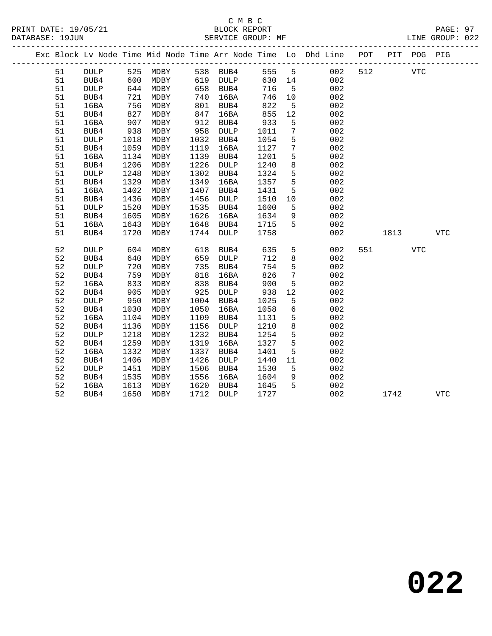# C M B C<br>BLOCK REPORT

LINE GROUP: 022

|  |    |                 |      |      |      |             |      |                 | Exc Block Lv Node Time Mid Node Time Arr Node Time Lo Dhd Line POT |     |      | PIT POG PIG |            |  |
|--|----|-----------------|------|------|------|-------------|------|-----------------|--------------------------------------------------------------------|-----|------|-------------|------------|--|
|  | 51 | <b>DULP</b>     | 525  | MDBY |      | 538 BUB4    | 555  | 5               | 002                                                                | 512 |      | <b>VTC</b>  |            |  |
|  | 51 | BUB4            | 600  | MDBY |      | 619 DULP    | 630  | 14              | 002                                                                |     |      |             |            |  |
|  | 51 | <b>DULP</b>     | 644  | MDBY | 658  | BUB4        | 716  | $5^{\circ}$     | 002                                                                |     |      |             |            |  |
|  | 51 | BUB4            | 721  | MDBY | 740  | 16BA        | 746  | 10              | 002                                                                |     |      |             |            |  |
|  | 51 | 16BA            | 756  | MDBY | 801  | BUB4        | 822  | 5               | 002                                                                |     |      |             |            |  |
|  | 51 | BUB4            | 827  | MDBY | 847  | 16BA        | 855  | 12              | 002                                                                |     |      |             |            |  |
|  | 51 | 16BA            | 907  | MDBY | 912  | BUB4        | 933  | 5               | 002                                                                |     |      |             |            |  |
|  | 51 | BUB4            | 938  | MDBY | 958  | <b>DULP</b> | 1011 | $7\phantom{.0}$ | 002                                                                |     |      |             |            |  |
|  | 51 | <b>DULP</b>     | 1018 | MDBY | 1032 | BUB4        | 1054 | 5               | 002                                                                |     |      |             |            |  |
|  | 51 | BUB4            | 1059 | MDBY | 1119 | 16BA        | 1127 | 7               | 002                                                                |     |      |             |            |  |
|  | 51 | 16BA            | 1134 | MDBY | 1139 | BUB4        | 1201 | 5               | 002                                                                |     |      |             |            |  |
|  | 51 | BUB4            | 1206 | MDBY | 1226 | DULP        | 1240 | 8               | 002                                                                |     |      |             |            |  |
|  | 51 | <b>DULP</b>     | 1248 | MDBY | 1302 | BUB4        | 1324 | 5               | 002                                                                |     |      |             |            |  |
|  | 51 | BUB4            | 1329 | MDBY | 1349 | 16BA        | 1357 | 5               | 002                                                                |     |      |             |            |  |
|  | 51 | 16BA            | 1402 | MDBY | 1407 | BUB4        | 1431 | 5               | 002                                                                |     |      |             |            |  |
|  | 51 | BUB4            | 1436 | MDBY | 1456 | DULP        | 1510 | 10              | 002                                                                |     |      |             |            |  |
|  | 51 | $\texttt{DULP}$ | 1520 | MDBY | 1535 | BUB4        | 1600 | 5               | 002                                                                |     |      |             |            |  |
|  | 51 | BUB4            | 1605 | MDBY | 1626 | 16BA        | 1634 | 9               | 002                                                                |     |      |             |            |  |
|  | 51 | 16BA            | 1643 | MDBY | 1648 | BUB4        | 1715 | 5               | 002                                                                |     |      |             |            |  |
|  | 51 | BUB4            | 1720 | MDBY | 1744 | DULP        | 1758 |                 | 002                                                                |     | 1813 |             | <b>VTC</b> |  |
|  | 52 | DULP            | 604  | MDBY | 618  | BUB4        | 635  | 5               | 002                                                                | 551 |      | <b>VTC</b>  |            |  |
|  | 52 | BUB4            | 640  | MDBY | 659  | <b>DULP</b> | 712  | 8               | 002                                                                |     |      |             |            |  |
|  | 52 | <b>DULP</b>     | 720  | MDBY | 735  | BUB4        | 754  | 5               | 002                                                                |     |      |             |            |  |
|  | 52 | BUB4            | 759  | MDBY | 818  | 16BA        | 826  | $7\phantom{.0}$ | 002                                                                |     |      |             |            |  |
|  | 52 | 16BA            | 833  | MDBY | 838  | BUB4        | 900  | 5               | 002                                                                |     |      |             |            |  |
|  | 52 | BUB4            | 905  | MDBY | 925  | DULP        | 938  | 12              | 002                                                                |     |      |             |            |  |
|  | 52 | <b>DULP</b>     | 950  | MDBY | 1004 | BUB4        | 1025 | 5               | 002                                                                |     |      |             |            |  |
|  | 52 | BUB4            | 1030 | MDBY | 1050 | 16BA        | 1058 | $6\overline{6}$ | 002                                                                |     |      |             |            |  |
|  | 52 | 16BA            | 1104 | MDBY | 1109 | BUB4        | 1131 | 5               | 002                                                                |     |      |             |            |  |
|  | 52 | BUB4            | 1136 | MDBY | 1156 | DULP        | 1210 | 8               | 002                                                                |     |      |             |            |  |
|  | 52 | <b>DULP</b>     | 1218 | MDBY | 1232 | BUB4        | 1254 | 5               | 002                                                                |     |      |             |            |  |
|  | 52 | BUB4            | 1259 | MDBY | 1319 | 16BA        | 1327 | 5               | 002                                                                |     |      |             |            |  |
|  | 52 | 16BA            | 1332 | MDBY | 1337 | BUB4        | 1401 | 5               | 002                                                                |     |      |             |            |  |
|  | 52 | BUB4            | 1406 | MDBY | 1426 | DULP        | 1440 | 11              | 002                                                                |     |      |             |            |  |
|  | 52 | <b>DULP</b>     | 1451 | MDBY | 1506 | BUB4        | 1530 | 5               | 002                                                                |     |      |             |            |  |
|  | 52 | BUB4            | 1535 | MDBY | 1556 | 16BA        | 1604 | 9               | 002                                                                |     |      |             |            |  |
|  | 52 | 16BA            | 1613 | MDBY | 1620 | BUB4        | 1645 | 5               | 002                                                                |     |      |             |            |  |
|  | 52 | BUB4            | 1650 | MDBY | 1712 | DULP        | 1727 |                 | 002                                                                |     | 1742 |             | <b>VTC</b> |  |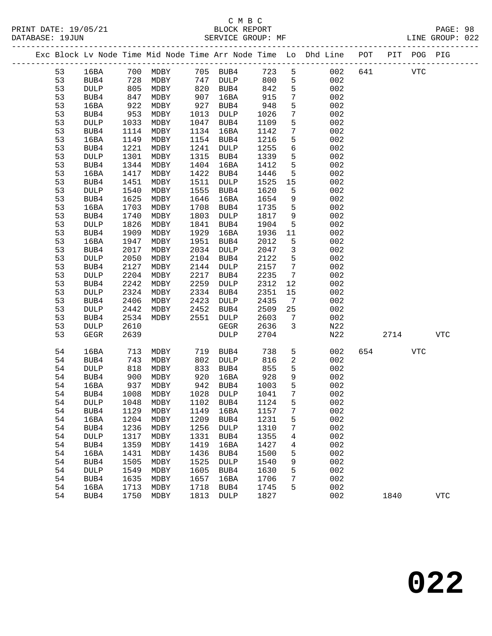|          |                     |              |              |              |              |              |                     | Exc Block Lv Node Time Mid Node Time Arr Node Time Lo Dhd Line POT |     |      | PIT POG PIG |            |  |
|----------|---------------------|--------------|--------------|--------------|--------------|--------------|---------------------|--------------------------------------------------------------------|-----|------|-------------|------------|--|
| 53       | 16BA                | 700          | MDBY         |              | 705 BUB4     | 723          | 5                   | 002                                                                | 641 |      | <b>VTC</b>  |            |  |
| 53       | BUB4                | 728          | MDBY         | 747          | DULP         | 800          | 5                   | 002                                                                |     |      |             |            |  |
| 53       | <b>DULP</b>         | 805          | MDBY         | 820          | BUB4         | 842          | $5\phantom{.0}$     | 002                                                                |     |      |             |            |  |
| 53       | BUB4                | 847          | MDBY         | 907          | 16BA         | 915          | 7                   | 002                                                                |     |      |             |            |  |
| 53       | 16BA                | 922          | MDBY         | 927          | BUB4         | 948          | 5                   | 002                                                                |     |      |             |            |  |
| 53       | BUB4                | 953          | MDBY         | 1013         | DULP         | 1026         | 7                   | 002                                                                |     |      |             |            |  |
| 53       | DULP                | 1033         | MDBY         | 1047         | BUB4         | 1109         | $5\phantom{.0}$     | 002                                                                |     |      |             |            |  |
| 53       | BUB4                | 1114         | MDBY         | 1134         | 16BA         | 1142         | 7                   | 002                                                                |     |      |             |            |  |
| 53       | 16BA                | 1149         | MDBY         | 1154         | BUB4         | 1216         | 5                   | 002                                                                |     |      |             |            |  |
| 53       | BUB4                | 1221         | MDBY         | 1241         | DULP         | 1255         | 6                   | 002                                                                |     |      |             |            |  |
| 53       | DULP                | 1301         | MDBY         | 1315         | BUB4         | 1339         | $5\phantom{.0}$     | 002                                                                |     |      |             |            |  |
| 53       | BUB4                | 1344         | MDBY         | 1404         | 16BA         | 1412         | 5                   | 002                                                                |     |      |             |            |  |
| 53       | 16BA                | 1417         | MDBY         | 1422         | BUB4         | 1446         | 5                   | 002                                                                |     |      |             |            |  |
| 53       | BUB4                | 1451         | MDBY         | 1511         | DULP         | 1525         | 15                  | 002                                                                |     |      |             |            |  |
| 53       | DULP                | 1540         | MDBY         | 1555         | BUB4         | 1620         | 5                   | 002                                                                |     |      |             |            |  |
| 53       | BUB4                | 1625         | MDBY         | 1646         | 16BA         | 1654         | 9                   | 002                                                                |     |      |             |            |  |
| 53       | 16BA                | 1703         | MDBY         | 1708         | BUB4         | 1735         | 5                   | 002                                                                |     |      |             |            |  |
| 53       | BUB4                | 1740         | MDBY         | 1803         | <b>DULP</b>  | 1817         | 9                   | 002                                                                |     |      |             |            |  |
| 53       | <b>DULP</b>         | 1826         | MDBY         | 1841         | BUB4         | 1904         | 5                   | 002                                                                |     |      |             |            |  |
| 53       | BUB4                | 1909         | MDBY         | 1929         | 16BA         | 1936         | 11                  | 002                                                                |     |      |             |            |  |
| 53       | 16BA                | 1947         | MDBY         | 1951         | BUB4         | 2012         | 5                   | 002                                                                |     |      |             |            |  |
| 53       | BUB4                | 2017         | MDBY         | 2034         | DULP         | 2047         | $\mathbf{3}$        | 002                                                                |     |      |             |            |  |
| 53       | DULP                | 2050         | MDBY         | 2104         | BUB4         | 2122         | 5                   | 002                                                                |     |      |             |            |  |
| 53       | BUB4                | 2127         | MDBY         | 2144         | DULP         | 2157         | $7\phantom{.0}$     | 002                                                                |     |      |             |            |  |
| 53       | <b>DULP</b>         | 2204         | MDBY         | 2217         | BUB4         | 2235         | 7                   | 002                                                                |     |      |             |            |  |
| 53       | BUB4                | 2242         | MDBY         | 2259         | DULP         | 2312         | 12                  | 002                                                                |     |      |             |            |  |
| 53       | DULP                | 2324         | MDBY         | 2334         | BUB4         | 2351         | 15                  | 002                                                                |     |      |             |            |  |
| 53       | BUB4                | 2406         | MDBY         | 2423         | DULP         | 2435         | $\overline{7}$      | 002                                                                |     |      |             |            |  |
| 53       | DULP                | 2442         | MDBY<br>MDBY | 2452         | BUB4         | 2509         | 25                  | 002<br>002                                                         |     |      |             |            |  |
| 53<br>53 | BUB4<br>DULP        | 2534<br>2610 |              | 2551         | DULP<br>GEGR | 2603<br>2636 | 7<br>$\overline{3}$ | N22                                                                |     |      |             |            |  |
| 53       | <b>GEGR</b>         | 2639         |              |              | <b>DULP</b>  | 2704         |                     | N22                                                                |     | 2714 |             | <b>VTC</b> |  |
|          |                     |              |              |              |              |              |                     |                                                                    |     |      |             |            |  |
| 54       | 16BA                | 713          | MDBY         | 719          | BUB4         | 738          | 5                   | 002                                                                | 654 |      | <b>VTC</b>  |            |  |
| 54       | BUB4                | 743          | MDBY         | 802          | DULP         | 816          | 2                   | 002                                                                |     |      |             |            |  |
| 54       | <b>DULP</b>         | 818          | MDBY         | 833          | BUB4         | 855          | 5                   | 002                                                                |     |      |             |            |  |
| 54       | BUB4                | 900          | MDBY         | 920          | 16BA         | 928          | 9                   | 002                                                                |     |      |             |            |  |
| 54       | 16BA                | 937          | MDBY         | 942          | BUB4         | 1003         | 5                   | 002                                                                |     |      |             |            |  |
| 54       | BUB4                | 1008         | MDBY         | 1028         | DULP         | 1041         | 7                   | 002                                                                |     |      |             |            |  |
| 54       | DULP                |              | 1048 MDBY    |              | 1102 BUB4    | 1124 5       |                     | 002                                                                |     |      |             |            |  |
| 54       | BUB4                | 1129         | MDBY         | 1149         | 16BA         | 1157         | 7                   | 002                                                                |     |      |             |            |  |
| 54       | 16BA                | 1204         | MDBY         | 1209         | BUB4         | 1231         | 5                   | 002                                                                |     |      |             |            |  |
| 54       | BUB4                | 1236         | MDBY         | 1256         | <b>DULP</b>  | 1310         | 7                   | 002                                                                |     |      |             |            |  |
| 54<br>54 | <b>DULP</b>         | 1317<br>1359 | <b>MDBY</b>  | 1331<br>1419 | BUB4         | 1355<br>1427 | 4                   | 002<br>002                                                         |     |      |             |            |  |
|          | BUB4                |              | MDBY         |              | 16BA         |              | 4                   |                                                                    |     |      |             |            |  |
| 54       | 16BA                | 1431         | MDBY         | 1436<br>1525 | BUB4         | 1500         | 5                   | 002<br>002                                                         |     |      |             |            |  |
| 54<br>54 | BUB4<br><b>DULP</b> | 1505<br>1549 | MDBY<br>MDBY | 1605         | DULP<br>BUB4 | 1540<br>1630 | 9<br>5              | 002                                                                |     |      |             |            |  |
| 54       | BUB4                | 1635         | MDBY         | 1657         | 16BA         | 1706         | 7                   | 002                                                                |     |      |             |            |  |
| 54       | 16BA                | 1713         | <b>MDBY</b>  | 1718         | BUB4         | 1745         | 5                   | 002                                                                |     |      |             |            |  |
| 54       | BUB4                | 1750         | MDBY         | 1813         | DULP         | 1827         |                     | 002                                                                |     | 1840 |             | <b>VTC</b> |  |
|          |                     |              |              |              |              |              |                     |                                                                    |     |      |             |            |  |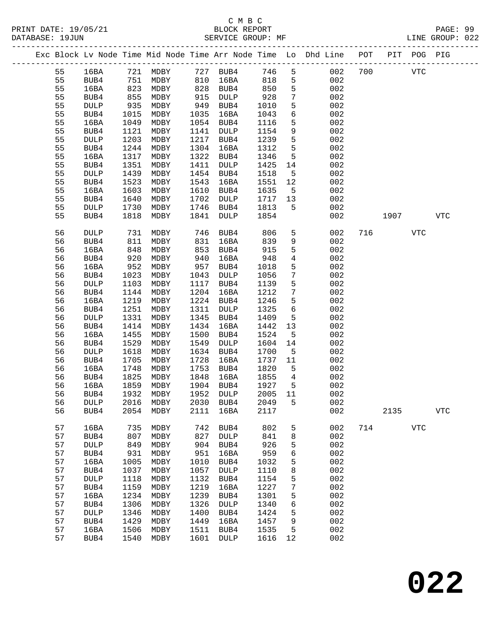|  |    |             |      |                   |      |                  |         |                 | Exc Block Lv Node Time Mid Node Time Arr Node Time Lo Dhd Line POT PIT POG PIG |     |            |            |            |
|--|----|-------------|------|-------------------|------|------------------|---------|-----------------|--------------------------------------------------------------------------------|-----|------------|------------|------------|
|  | 55 | 16BA        |      | 721 MDBY 727 BUB4 |      |                  | 746     | 5               | 002                                                                            | 700 | <b>VTC</b> |            |            |
|  | 55 | BUB4        | 751  | MDBY              | 810  | 16BA             | 818     | 5               | 002                                                                            |     |            |            |            |
|  | 55 | 16BA        | 823  | MDBY              |      | 828 BUB4         | 850     | 5               | 002                                                                            |     |            |            |            |
|  | 55 | BUB4        | 855  | MDBY              | 915  | DULP             | 928     | $7\overline{ }$ | 002                                                                            |     |            |            |            |
|  | 55 | <b>DULP</b> | 935  | MDBY              | 949  | BUB4             | 1010    | $5\phantom{.0}$ | 002                                                                            |     |            |            |            |
|  | 55 | BUB4        | 1015 | MDBY              | 1035 | 16BA             | 1043    | $6\overline{6}$ | 002                                                                            |     |            |            |            |
|  | 55 | 16BA        | 1049 | MDBY              | 1054 | BUB4             | 1116    | 5               | 002                                                                            |     |            |            |            |
|  | 55 | BUB4        | 1121 | MDBY              | 1141 | DULP             | 1154    | 9               | 002                                                                            |     |            |            |            |
|  | 55 | DULP        | 1203 | MDBY              | 1217 | BUB4             | 1239    | $5\phantom{.0}$ | 002                                                                            |     |            |            |            |
|  | 55 | BUB4        | 1244 | MDBY              | 1304 | 16BA             | 1312    | $5\phantom{.0}$ | 002                                                                            |     |            |            |            |
|  | 55 | 16BA        | 1317 | MDBY              | 1322 | BUB4             | 1346    | 5               | 002                                                                            |     |            |            |            |
|  | 55 | BUB4        | 1351 | MDBY              | 1411 | DULP             | 1425    | 14              | 002                                                                            |     |            |            |            |
|  | 55 | <b>DULP</b> | 1439 | MDBY              | 1454 | BUB4             | 1518    | $5^{\circ}$     | 002                                                                            |     |            |            |            |
|  | 55 | BUB4        | 1523 | MDBY              | 1543 | 16BA             | 1551    | 12              | 002                                                                            |     |            |            |            |
|  | 55 | 16BA        | 1603 | MDBY              | 1610 | BUB4             | 1635    | $5^{\circ}$     | 002                                                                            |     |            |            |            |
|  | 55 | BUB4        | 1640 | MDBY              | 1702 | DULP             | 1717    | 13              | 002                                                                            |     |            |            |            |
|  | 55 | <b>DULP</b> | 1730 | MDBY              | 1746 | BUB4             | 1813    | $5^{\circ}$     | 002                                                                            |     |            |            |            |
|  | 55 | BUB4        | 1818 | MDBY              | 1841 | DULP             | 1854    |                 | 002                                                                            |     | 1907       |            | VTC        |
|  |    |             |      |                   |      |                  |         |                 |                                                                                |     |            |            |            |
|  | 56 | <b>DULP</b> | 731  | MDBY              | 746  | BUB4             | 806     | 5 <sup>5</sup>  | 002                                                                            | 716 |            | VTC        |            |
|  | 56 | BUB4        | 811  | MDBY              | 831  | 16BA             | 839     | 9               | 002                                                                            |     |            |            |            |
|  | 56 | 16BA        | 848  | MDBY              | 853  | BUB4             | 915     | $5\phantom{.0}$ | 002                                                                            |     |            |            |            |
|  | 56 | BUB4        | 920  | MDBY              | 940  | 16BA             | 948     | $\overline{4}$  | 002                                                                            |     |            |            |            |
|  | 56 | 16BA        | 952  | MDBY              | 957  | BUB4             | 1018    | 5               | 002                                                                            |     |            |            |            |
|  | 56 | BUB4        | 1023 | MDBY              | 1043 | DULP             | 1056    | $7\phantom{.0}$ | 002                                                                            |     |            |            |            |
|  | 56 | <b>DULP</b> | 1103 | MDBY              | 1117 | BUB4             | 1139    | 5               | 002                                                                            |     |            |            |            |
|  | 56 | BUB4        | 1144 | MDBY              | 1204 | 16BA             | 1212    | $7\phantom{.0}$ | 002                                                                            |     |            |            |            |
|  | 56 | 16BA        | 1219 | MDBY              | 1224 | BUB4             | 1246    | 5               | 002                                                                            |     |            |            |            |
|  | 56 | BUB4        | 1251 | MDBY              | 1311 | DULP             | 1325    | $6\overline{6}$ | 002                                                                            |     |            |            |            |
|  | 56 | <b>DULP</b> | 1331 | MDBY              | 1345 | BUB4             | 1409    | $5\overline{5}$ | 002                                                                            |     |            |            |            |
|  | 56 | BUB4        | 1414 | MDBY              | 1434 | 16BA             | 1442    | 13              | 002                                                                            |     |            |            |            |
|  | 56 | 16BA        | 1455 | MDBY              | 1500 | BUB4             | 1524    | 5               | 002                                                                            |     |            |            |            |
|  | 56 | BUB4        | 1529 | MDBY              | 1549 | DULP             | 1604    | 14              | 002                                                                            |     |            |            |            |
|  | 56 | <b>DULP</b> | 1618 | MDBY              | 1634 | BUB4             | 1700    | $-5$            | 002                                                                            |     |            |            |            |
|  | 56 | BUB4        | 1705 | MDBY              | 1728 | 16BA             | 1737    | 11              | 002                                                                            |     |            |            |            |
|  | 56 | 16BA        | 1748 | MDBY              | 1753 | BUB4             | 1820    | $5^{\circ}$     | 002                                                                            |     |            |            |            |
|  | 56 | BUB4        | 1825 | MDBY              | 1848 | 16BA             | 1855    | $\overline{4}$  | 002                                                                            |     |            |            |            |
|  | 56 | 16BA        | 1859 | MDBY              |      | 1904 BUB4        | 1927    | $5^{\circ}$     | 002                                                                            |     |            |            |            |
|  | 56 | BUB4        | 1932 | MDBY              |      | 1952 DULP        | 2005    | 11              | 002                                                                            |     |            |            |            |
|  | 56 | DULP        |      | 2016 MDBY         |      | 2030 BUB4 2049 5 |         |                 | 002                                                                            |     |            |            |            |
|  | 56 | BUB4        | 2054 | MDBY              | 2111 | 16BA             | 2117    |                 | 002                                                                            |     | 2135       |            | <b>VTC</b> |
|  | 57 | 16BA        | 735  | MDBY              | 742  | BUB4             | 802     | 5               | 002                                                                            |     | 714        | <b>VTC</b> |            |
|  | 57 | BUB4        | 807  | MDBY              | 827  | DULP             | 841     | 8               | 002                                                                            |     |            |            |            |
|  | 57 | DULP        | 849  | MDBY              | 904  | BUB4             | 926     | 5               | 002                                                                            |     |            |            |            |
|  | 57 | BUB4        | 931  | MDBY              | 951  | 16BA             | 959     | 6               | 002                                                                            |     |            |            |            |
|  | 57 | 16BA        | 1005 | MDBY              | 1010 | BUB4             | 1032    | 5               | 002                                                                            |     |            |            |            |
|  | 57 | BUB4        | 1037 | MDBY              | 1057 | DULP             | 1110    | 8               | 002                                                                            |     |            |            |            |
|  | 57 | DULP        | 1118 | MDBY              | 1132 | BUB4             | 1154    | 5               | 002                                                                            |     |            |            |            |
|  | 57 | BUB4        | 1159 | MDBY              | 1219 | 16BA             | 1227    | 7               | 002                                                                            |     |            |            |            |
|  | 57 | 16BA        | 1234 | MDBY              | 1239 | BUB4             | 1301    | 5               | 002                                                                            |     |            |            |            |
|  | 57 | BUB4        | 1306 | MDBY              | 1326 | <b>DULP</b>      | 1340    | 6               | 002                                                                            |     |            |            |            |
|  | 57 | DULP        | 1346 | MDBY              | 1400 | BUB4             | 1424    | 5               | 002                                                                            |     |            |            |            |
|  | 57 | BUB4        | 1429 | MDBY              | 1449 | 16BA             | 1457    | 9               | 002                                                                            |     |            |            |            |
|  | 57 | 16BA        | 1506 | MDBY              | 1511 | BUB4             | 1535    | 5               | 002                                                                            |     |            |            |            |
|  | 57 | BUB4        | 1540 | MDBY              | 1601 | DULP             | 1616 12 |                 | 002                                                                            |     |            |            |            |
|  |    |             |      |                   |      |                  |         |                 |                                                                                |     |            |            |            |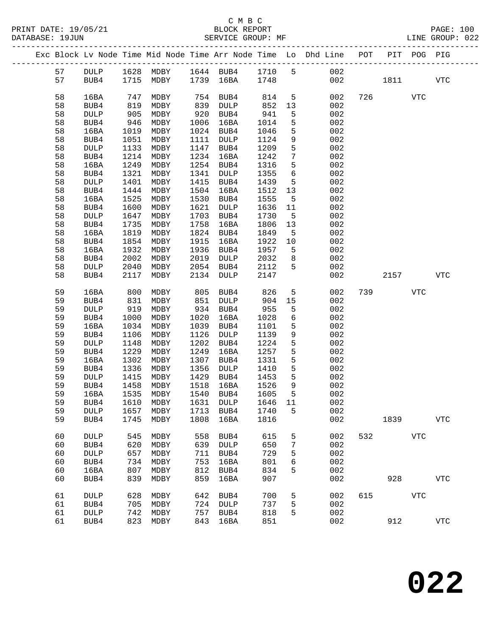## C M B C

| DATABASE: 19JUN |                     |              | SERVICE GROUP: MF               |              |                      |              |                      | LINE GROUP: 022                                                                |     |          |            |            |  |
|-----------------|---------------------|--------------|---------------------------------|--------------|----------------------|--------------|----------------------|--------------------------------------------------------------------------------|-----|----------|------------|------------|--|
|                 |                     |              |                                 |              |                      |              |                      | Exc Block Lv Node Time Mid Node Time Arr Node Time Lo Dhd Line POT PIT POG PIG |     |          |            |            |  |
| 57              |                     |              | DULP 1628 MDBY 1644 BUB4 1710 5 |              |                      |              |                      | 002                                                                            |     |          |            |            |  |
| 57              | BUB4                |              | 1715 MDBY 1739 16BA 1748        |              |                      |              |                      |                                                                                |     | 002 1811 |            | VTC        |  |
|                 |                     |              |                                 |              |                      |              |                      |                                                                                |     |          |            |            |  |
| 58              | 16BA                | 747<br>819   | MDBY                            |              | $754$ BUB4           | 814          | 5 <sub>5</sub>       | 002                                                                            |     | 726      | VTC        |            |  |
| 58<br>58        | BUB4<br><b>DULP</b> | 905          | MDBY<br>MDBY                    |              | 839 DULP<br>920 BUB4 | 852<br>941   | 13                   | 002<br>002                                                                     |     |          |            |            |  |
| 58              | BUB4                | 946          | MDBY                            | 1006         | 16BA                 | 1014         | $5\phantom{.0}$<br>5 | 002                                                                            |     |          |            |            |  |
| 58              | 16BA                | 1019         | MDBY                            |              | 1024 BUB4            | 1046         | 5                    | 002                                                                            |     |          |            |            |  |
| 58              | BUB4                | 1051         | MDBY                            |              | 1111 DULP            | 1124         | 9                    | 002                                                                            |     |          |            |            |  |
| 58              | DULP                | 1133         | MDBY                            | 1147         | BUB4                 | 1209         | 5                    | 002                                                                            |     |          |            |            |  |
| 58              | BUB4                | 1214         | MDBY                            |              | 1234 16BA            | 1242         | $7\phantom{.0}$      | 002                                                                            |     |          |            |            |  |
| 58              | 16BA                | 1249         | MDBY                            |              | 1254 BUB4            | 1316         | 5                    | 002                                                                            |     |          |            |            |  |
| 58              | BUB4                | 1321         | MDBY                            | 1341         | DULP                 | 1355         | 6                    | 002                                                                            |     |          |            |            |  |
| 58              | <b>DULP</b>         | 1401         | MDBY                            | 1415         | BUB4                 | 1439         | 5                    | 002                                                                            |     |          |            |            |  |
| 58              | BUB4                | 1444         | MDBY                            |              | 1504 16BA            | 1512         | 13                   | 002                                                                            |     |          |            |            |  |
| 58              | 16BA                | 1525         | MDBY                            | 1530         | BUB4                 | 1555         | $5^{\circ}$          | 002                                                                            |     |          |            |            |  |
| 58              | BUB4                | 1600         | MDBY                            | 1621         | DULP                 | 1636         | 11                   | 002                                                                            |     |          |            |            |  |
| 58              | DULP                | 1647         | MDBY                            | 1703         | BUB4                 | 1730         | $5^{\circ}$          | 002                                                                            |     |          |            |            |  |
| 58              | BUB4                | 1735         | MDBY                            | 1758         | 16BA                 | 1806         | 13                   | 002                                                                            |     |          |            |            |  |
| 58              | 16BA                | 1819         | MDBY                            | 1824         | BUB4                 | 1849         | $5^{\circ}$          | 002                                                                            |     |          |            |            |  |
| 58              | BUB4                | 1854         | MDBY                            | 1915         | 16BA                 | 1922         | 10                   | 002                                                                            |     |          |            |            |  |
| 58              | 16BA                | 1932         | MDBY                            | 1936         | BUB4                 | 1957         | $5^{\circ}$          | 002                                                                            |     |          |            |            |  |
| 58              | BUB4                | 2002         | MDBY                            | 2019         | DULP                 | 2032         | 8                    | 002                                                                            |     |          |            |            |  |
| 58<br>58        | DULP                | 2040<br>2117 | MDBY<br>MDBY                    | 2134         | 2054 BUB4            | 2112<br>2147 | 5                    | 002<br>002                                                                     |     |          | 2157       | VTC        |  |
|                 | BUB4                |              |                                 |              | DULP                 |              |                      |                                                                                |     |          |            |            |  |
| 59              | 16BA                | 800          | MDBY                            | 805          | BUB4                 | 826          | 5 <sub>5</sub>       | 002                                                                            |     | 739      | VTC        |            |  |
| 59              | BUB4                | 831          | MDBY                            | 851          | DULP                 | 904          | 15                   | 002                                                                            |     |          |            |            |  |
| 59              | <b>DULP</b>         | 919          | MDBY                            |              | 934 BUB4             | 955          | 5                    | 002                                                                            |     |          |            |            |  |
| 59              | BUB4                | 1000         | MDBY                            | 1020         | 16BA                 | 1028         | 6                    | 002                                                                            |     |          |            |            |  |
| 59              | 16BA                | 1034         | MDBY                            | 1039         | BUB4                 | 1101         | 5                    | 002                                                                            |     |          |            |            |  |
| 59              | BUB4                | 1106         | MDBY                            | 1126         | DULP                 | 1139         | 9                    | 002                                                                            |     |          |            |            |  |
| 59<br>59        | <b>DULP</b>         | 1148<br>1229 | MDBY                            | 1202<br>1249 | BUB4                 | 1224<br>1257 | $5\phantom{.}$<br>5  | 002<br>002                                                                     |     |          |            |            |  |
| 59              | BUB4<br>16BA        | 1302         | MDBY<br>MDBY                    | 1307         | 16BA<br>BUB4         | 1331         | 5                    | 002                                                                            |     |          |            |            |  |
| 59              | BUB4                | 1336         | MDBY                            | 1356         | DULP                 | 1410         | 5                    | 002                                                                            |     |          |            |            |  |
| 59              | DULP                | 1415         | MDBY                            | 1429         | BUB4                 | 1453         | $5^{\circ}$          | 002                                                                            |     |          |            |            |  |
| 59              | BUB4                | 1458         | MDBY                            |              | 1518 16BA            | 1526         | 9                    | 002                                                                            |     |          |            |            |  |
| 59              |                     |              | 16BA 1535 MDBY 1540 BUB4 1605   |              |                      |              | $5\overline{)}$      | 002                                                                            |     |          |            |            |  |
| 59              | BUB4                | 1610         | MDBY                            | 1631         | DULP                 | 1646         | 11                   | 002                                                                            |     |          |            |            |  |
| 59              | DULP                | 1657         | MDBY                            | 1713         | BUB4                 | 1740         | 5                    | 002                                                                            |     |          |            |            |  |
| 59              | BUB4                | 1745         | MDBY                            | 1808         | 16BA                 | 1816         |                      | 002                                                                            |     | 1839     |            | <b>VTC</b> |  |
| 60              | DULP                | 545          | MDBY                            | 558          | BUB4                 | 615          | 5                    | 002                                                                            | 532 |          | <b>VTC</b> |            |  |
| 60              | BUB4                | 620          | MDBY                            | 639          | DULP                 | 650          | 7                    | 002                                                                            |     |          |            |            |  |
| 60              | DULP                | 657          | MDBY                            | 711          | BUB4                 | 729          | 5                    | 002                                                                            |     |          |            |            |  |
| 60              | BUB4                | 734          | MDBY                            | 753          | 16BA                 | 801          | 6                    | 002                                                                            |     |          |            |            |  |
| 60              | 16BA                | 807          | MDBY                            | 812          | BUB4                 | 834          | 5                    | 002                                                                            |     |          |            |            |  |
| 60              | BUB4                | 839          | MDBY                            | 859          | 16BA                 | 907          |                      | 002                                                                            |     | 928      |            | <b>VTC</b> |  |
| 61              | <b>DULP</b>         | 628          | MDBY                            | 642          | BUB4                 | 700          | 5                    | 002                                                                            |     | 615      | <b>VTC</b> |            |  |
| 61              | BUB4                | 705          | MDBY                            | 724          | <b>DULP</b>          | 737          | 5                    | 002                                                                            |     |          |            |            |  |
| 61              | DULP                | 742          | MDBY                            | 757          | BUB4                 | 818          | 5                    | 002                                                                            |     |          |            |            |  |
| 61              | BUB4                | 823          | MDBY                            | 843          | 16BA                 | 851          |                      | 002                                                                            |     | 912      |            | <b>VTC</b> |  |
|                 |                     |              |                                 |              |                      |              |                      |                                                                                |     |          |            |            |  |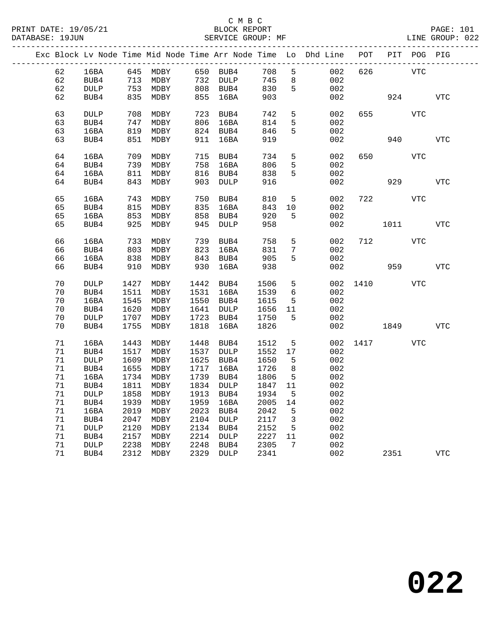|  |        |             |      |          |      |           |      |                 | Exc Block Lv Node Time Mid Node Time Arr Node Time Lo Dhd Line POT |      |      | PIT POG PIG |            |
|--|--------|-------------|------|----------|------|-----------|------|-----------------|--------------------------------------------------------------------|------|------|-------------|------------|
|  | 62     | 16BA        |      | 645 MDBY |      | 650 BUB4  | 708  | 5               | 002                                                                | 626  |      | VTC         |            |
|  | 62     | BUB4        |      | 713 MDBY |      | 732 DULP  | 745  | 8               | 002                                                                |      |      |             |            |
|  | 62     | <b>DULP</b> |      | 753 MDBY |      | 808 BUB4  | 830  | 5               | 002                                                                |      |      |             |            |
|  | 62     | BUB4        |      | 835 MDBY | 855  | 16BA      | 903  |                 | 002                                                                |      | 924  |             | <b>VTC</b> |
|  |        |             |      |          |      |           |      |                 |                                                                    |      |      |             |            |
|  | 63     | <b>DULP</b> | 708  | MDBY     | 723  | BUB4      | 742  | 5               | 002                                                                | 655  |      | <b>VTC</b>  |            |
|  | 63     | BUB4        | 747  | MDBY     | 806  | 16BA      | 814  | 5               | 002                                                                |      |      |             |            |
|  | 63     | 16BA        |      | 819 MDBY |      | 824 BUB4  | 846  | 5               | 002                                                                |      |      |             |            |
|  | 63     | BUB4        | 851  | MDBY     | 911  | 16BA      | 919  |                 | 002                                                                |      | 940  |             | <b>VTC</b> |
|  |        |             |      |          |      |           |      |                 |                                                                    |      |      |             |            |
|  | 64     | 16BA        | 709  | MDBY     | 715  | BUB4      | 734  | 5               | 002                                                                | 650  |      | <b>VTC</b>  |            |
|  | 64     | BUB4        | 739  | MDBY     | 758  | 16BA      | 806  | 5               | 002                                                                |      |      |             |            |
|  | 64     | 16BA        | 811  | MDBY     |      | 816 BUB4  | 838  | 5               | 002                                                                |      |      |             |            |
|  | 64     | BUB4        | 843  | MDBY     | 903  | DULP      | 916  |                 | 002                                                                |      | 929  |             | VTC        |
|  |        |             |      |          |      |           |      |                 |                                                                    |      |      |             |            |
|  | 65     | 16BA        | 743  | MDBY     | 750  | BUB4      | 810  | 5               | 002                                                                | 722  |      | <b>VTC</b>  |            |
|  | 65     | BUB4        | 815  | MDBY     | 835  | 16BA      | 843  | 10              | 002                                                                |      |      |             |            |
|  | 65     | 16BA        | 853  | MDBY     |      | 858 BUB4  | 920  | 5               | 002                                                                |      |      |             |            |
|  | 65     | BUB4        | 925  | MDBY     | 945  | DULP      | 958  |                 | 002                                                                |      | 1011 |             | <b>VTC</b> |
|  |        |             |      |          |      |           |      |                 |                                                                    |      |      |             |            |
|  | 66     | 16BA        | 733  | MDBY     | 739  | BUB4      | 758  | 5               | 002                                                                | 712  |      | <b>VTC</b>  |            |
|  | 66     | BUB4        | 803  | MDBY     | 823  | 16BA      | 831  | $7\phantom{.}$  | 002                                                                |      |      |             |            |
|  | 66     | 16BA        | 838  | MDBY     |      | 843 BUB4  | 905  | 5               | 002                                                                |      |      |             |            |
|  | 66     | BUB4        | 910  | MDBY     | 930  | 16BA      | 938  |                 | 002                                                                |      | 959  |             | <b>VTC</b> |
|  |        |             |      |          |      |           |      |                 |                                                                    |      |      |             |            |
|  | 70     | <b>DULP</b> | 1427 | MDBY     |      | 1442 BUB4 | 1506 | $5\phantom{.0}$ | 002                                                                | 1410 |      | <b>VTC</b>  |            |
|  | $70$   | BUB4        | 1511 | MDBY     |      | 1531 16BA | 1539 | $\epsilon$      | 002                                                                |      |      |             |            |
|  | 70     | 16BA        | 1545 | MDBY     |      | 1550 BUB4 | 1615 | $5^{\circ}$     | 002                                                                |      |      |             |            |
|  | 70     | BUB4        | 1620 | MDBY     |      | 1641 DULP | 1656 | 11              | 002                                                                |      |      |             |            |
|  | 70     | DULP        | 1707 | MDBY     | 1723 | BUB4      | 1750 | 5               | 002                                                                |      |      |             |            |
|  | 70     | BUB4        | 1755 | MDBY     | 1818 | 16BA      | 1826 |                 | 002                                                                |      | 1849 |             | <b>VTC</b> |
|  |        |             |      |          |      |           |      |                 |                                                                    |      |      |             |            |
|  | 71     | 16BA        | 1443 | MDBY     | 1448 | BUB4      | 1512 | 5               | 002                                                                | 1417 |      | <b>VTC</b>  |            |
|  | 71     | BUB4        | 1517 | MDBY     | 1537 | DULP      | 1552 | 17              | 002                                                                |      |      |             |            |
|  | 71     | DULP        | 1609 | MDBY     |      | 1625 BUB4 | 1650 | 5               | 002                                                                |      |      |             |            |
|  | 71     | BUB4        | 1655 | MDBY     | 1717 | 16BA      | 1726 | 8               | 002                                                                |      |      |             |            |
|  | 71     | 16BA        | 1734 | MDBY     | 1739 | BUB4      | 1806 | $5\phantom{.0}$ | 002                                                                |      |      |             |            |
|  | 71     | BUB4        | 1811 | MDBY     |      | 1834 DULP | 1847 | 11              | 002                                                                |      |      |             |            |
|  | 71     | DULP        | 1858 | MDBY     | 1913 | BUB4      | 1934 | $5\phantom{.0}$ | 002                                                                |      |      |             |            |
|  | 71     | BUB4        | 1939 | MDBY     | 1959 | 16BA      | 2005 | 14              | 002                                                                |      |      |             |            |
|  | 71     | 16BA        | 2019 | MDBY     | 2023 | BUB4      | 2042 | 5               | 002                                                                |      |      |             |            |
|  | 71     | BUB4        | 2047 | MDBY     |      | 2104 DULP | 2117 | $\overline{3}$  | 002                                                                |      |      |             |            |
|  | $71\,$ | <b>DULP</b> | 2120 | MDBY     |      | 2134 BUB4 | 2152 | $5\phantom{.0}$ | 002                                                                |      |      |             |            |
|  | $71\,$ | BUB4        | 2157 | MDBY     |      | 2214 DULP | 2227 | 11              | 002                                                                |      |      |             |            |
|  | 71     | <b>DULP</b> | 2238 | MDBY     | 2248 | BUB4      | 2305 | $\overline{7}$  | 002                                                                |      |      |             |            |
|  | 71     | BUB4        | 2312 | MDBY     | 2329 | DULP      | 2341 |                 | 002                                                                |      | 2351 |             | <b>VTC</b> |
|  |        |             |      |          |      |           |      |                 |                                                                    |      |      |             |            |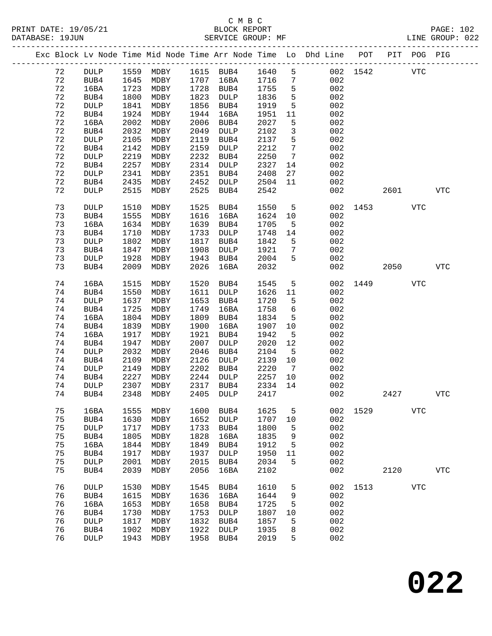|             |                     |              |              |              |                         |              |                       | Exc Block Lv Node Time Mid Node Time Arr Node Time Lo Dhd Line POT |          |      | PIT POG PIG |            |
|-------------|---------------------|--------------|--------------|--------------|-------------------------|--------------|-----------------------|--------------------------------------------------------------------|----------|------|-------------|------------|
| 72          | DULP                |              | 1559 MDBY    |              | 1615 BUB4               | 1640         | 5                     |                                                                    | 002 1542 |      | <b>VTC</b>  |            |
| 72          | BUB4                | 1645         | MDBY         | 1707         | 16BA                    | 1716         | $7\phantom{.0}$       | 002                                                                |          |      |             |            |
| 72          | 16BA                | 1723         | MDBY         | 1728         | BUB4                    | 1755         | $\mathsf S$           | 002                                                                |          |      |             |            |
| 72          | BUB4                | 1800         | MDBY         | 1823         | <b>DULP</b>             | 1836         | 5                     | 002                                                                |          |      |             |            |
| 72          | <b>DULP</b>         | 1841         | MDBY         | 1856         | BUB4                    | 1919         | $5\phantom{.0}$       | 002                                                                |          |      |             |            |
| 72          | BUB4                | 1924         | MDBY         | 1944         | 16BA                    | 1951         | 11                    | 002                                                                |          |      |             |            |
| 72          | 16BA                | 2002         | MDBY         | 2006         | BUB4                    | 2027         | 5                     | 002                                                                |          |      |             |            |
| 72          | BUB4                | 2032         | MDBY         | 2049         | <b>DULP</b>             | 2102         | $\mathbf{3}$          | 002                                                                |          |      |             |            |
| $7\sqrt{2}$ | <b>DULP</b>         | 2105         | MDBY         | 2119         | BUB4                    | 2137         | 5                     | 002                                                                |          |      |             |            |
| 72          | BUB4                | 2142         | MDBY         | 2159         | <b>DULP</b>             | 2212         | $7\phantom{.0}$       | 002                                                                |          |      |             |            |
| 72          | <b>DULP</b>         | 2219         | MDBY         | 2232         | BUB4                    | 2250         | $7\phantom{.0}$       | 002                                                                |          |      |             |            |
| 72          | BUB4                | 2257         | MDBY         | 2314         | <b>DULP</b>             | 2327         | 14                    | 002                                                                |          |      |             |            |
| 72          | <b>DULP</b>         | 2341         | MDBY         | 2351         | BUB4                    | 2408         | 27                    | 002                                                                |          |      |             |            |
| 72          | BUB4                | 2435         | MDBY         | 2452         | DULP                    | 2504         | 11                    | 002                                                                |          |      |             |            |
| 72          | <b>DULP</b>         | 2515         | MDBY         | 2525         | BUB4                    | 2542         |                       | 002                                                                |          | 2601 |             | <b>VTC</b> |
|             |                     |              |              |              |                         |              |                       |                                                                    |          |      |             |            |
| 73          | <b>DULP</b>         | 1510         | MDBY         | 1525         | BUB4                    | 1550         | 5                     | 002                                                                | 1453     |      | <b>VTC</b>  |            |
| 73          | BUB4                | 1555         | MDBY         | 1616         | 16BA                    | 1624         | 10                    | 002                                                                |          |      |             |            |
| 73          | 16BA                | 1634         | MDBY         | 1639         | BUB4                    | 1705         | 5                     | 002                                                                |          |      |             |            |
| 73          | BUB4                | 1710         | MDBY         | 1733         | <b>DULP</b>             | 1748         | 14                    | 002                                                                |          |      |             |            |
| 73          | <b>DULP</b>         | 1802         | MDBY         | 1817         | BUB4                    | 1842         | 5                     | 002                                                                |          |      |             |            |
| 73          | BUB4                | 1847         | MDBY         | 1908         | <b>DULP</b>             | 1921         | 7                     | 002                                                                |          |      |             |            |
| 73          | <b>DULP</b>         | 1928         | MDBY         | 1943         | BUB4                    | 2004         | 5                     | 002                                                                |          |      |             |            |
| 73          | BUB4                | 2009         | MDBY         | 2026         | 16BA                    | 2032         |                       | 002                                                                |          | 2050 |             | <b>VTC</b> |
|             |                     |              |              |              |                         |              |                       |                                                                    |          |      |             |            |
| 74          | 16BA                | 1515         | MDBY         | 1520         | BUB4                    | 1545         | 5                     | 002                                                                | 1449     |      | <b>VTC</b>  |            |
| 74          | BUB4                | 1550         | MDBY         | 1611         | <b>DULP</b>             | 1626         | 11                    | 002                                                                |          |      |             |            |
| 74          | <b>DULP</b>         | 1637         | MDBY         | 1653         | BUB4                    | 1720         | 5                     | 002                                                                |          |      |             |            |
| 74          | BUB4                | 1725         | MDBY         | 1749         | 16BA                    | 1758         | 6                     | 002                                                                |          |      |             |            |
| 74          | 16BA                | 1804         | MDBY         | 1809         | BUB4                    | 1834         | $\overline{5}$        | 002                                                                |          |      |             |            |
| 74          | BUB4                | 1839         | MDBY         | 1900         | 16BA                    | 1907         | 10                    | 002                                                                |          |      |             |            |
| 74          | 16BA                | 1917<br>1947 | MDBY         | 1921<br>2007 | BUB4                    | 1942<br>2020 | 5<br>12               | 002<br>002                                                         |          |      |             |            |
| 74<br>74    | BUB4                | 2032         | MDBY         | 2046         | DULP                    |              |                       | 002                                                                |          |      |             |            |
| 74          | <b>DULP</b>         | 2109         | MDBY         | 2126         | BUB4                    | 2104<br>2139 | 5                     | 002                                                                |          |      |             |            |
| 74          | BUB4<br>DULP        | 2149         | MDBY<br>MDBY | 2202         | <b>DULP</b><br>BUB4     | 2220         | 10<br>$7\overline{ }$ | 002                                                                |          |      |             |            |
| 74          | BUB4                | 2227         | MDBY         | 2244         | <b>DULP</b>             | 2257         | 10                    | 002                                                                |          |      |             |            |
| 74          | <b>DULP</b>         | 2307         | MDBY         | 2317         | BUB4                    | 2334         | 14                    | 002                                                                |          |      |             |            |
| 74          | BUB4                | 2348         | MDBY         | 2405         | DULP                    | 2417         |                       | 002                                                                |          | 2427 |             | <b>VTC</b> |
|             |                     |              |              |              |                         |              |                       |                                                                    |          |      |             |            |
| 75          | 16BA                | 1555         | MDBY         | 1600         | BUB4                    | 1625         | 5                     | 002                                                                | 1529     |      | <b>VTC</b>  |            |
| 75          | BUB4                | 1630         | MDBY         | 1652         | DULP                    | 1707         | 10                    | 002                                                                |          |      |             |            |
| 75          | <b>DULP</b>         | 1717         | MDBY         | 1733         | BUB4                    | 1800         | 5                     | 002                                                                |          |      |             |            |
| 75          | BUB4                | 1805         | MDBY         | 1828         | 16BA                    | 1835         | 9                     | 002                                                                |          |      |             |            |
| 75          | 16BA                | 1844         | MDBY         | 1849         | BUB4                    | 1912         | 5                     | 002                                                                |          |      |             |            |
| 75          | BUB4                | 1917         | MDBY         | 1937         | DULP                    | 1950         | 11                    | 002                                                                |          |      |             |            |
| 75          | <b>DULP</b>         | 2001         | MDBY         | 2015         | BUB4                    | 2034         | 5                     | 002                                                                |          |      |             |            |
| 75          | BUB4                | 2039         | MDBY         | 2056         | 16BA                    | 2102         |                       | 002                                                                |          | 2120 |             | <b>VTC</b> |
|             |                     |              |              |              |                         |              |                       |                                                                    |          |      |             |            |
| 76          | <b>DULP</b>         | 1530         | MDBY         | 1545         | BUB4                    | 1610         | 5                     | 002                                                                | 1513     |      | <b>VTC</b>  |            |
| 76          | BUB4                | 1615         | MDBY         | 1636         | 16BA                    | 1644         | 9                     | 002                                                                |          |      |             |            |
| 76          | 16BA                | 1653         | MDBY         | 1658         | BUB4                    | 1725         | 5                     | 002                                                                |          |      |             |            |
| 76          | BUB4                | 1730         | MDBY         | 1753         | DULP                    | 1807         | 10                    | 002<br>002                                                         |          |      |             |            |
| 76<br>76    | <b>DULP</b>         | 1817         | MDBY         | 1832<br>1922 | BUB4                    | 1857<br>1935 | 5                     | 002                                                                |          |      |             |            |
| 76          | BUB4<br><b>DULP</b> | 1902<br>1943 | MDBY<br>MDBY | 1958         | $\texttt{DULP}$<br>BUB4 | 2019         | 8<br>5                | 002                                                                |          |      |             |            |
|             |                     |              |              |              |                         |              |                       |                                                                    |          |      |             |            |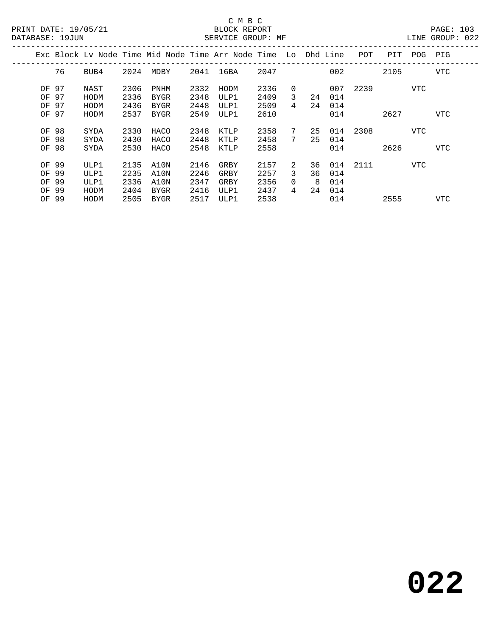### C M B C N B C N B C N B C C M B C

|       | DATABASE: 19JUN |      |      |      |      | SERVICE GROUP: MF                                              |      |                |     |     |          |      |     | LINE GROUP: 022 |  |
|-------|-----------------|------|------|------|------|----------------------------------------------------------------|------|----------------|-----|-----|----------|------|-----|-----------------|--|
|       |                 |      |      |      |      | Exc Block Lv Node Time Mid Node Time Arr Node Time Lo Dhd Line |      |                |     |     | POT      | PIT  | POG | PIG             |  |
|       | 76              | BUB4 | 2024 | MDBY |      | 2041 16BA                                                      | 2047 |                |     | 002 |          | 2105 |     | VTC             |  |
| OF 97 |                 | NAST | 2306 | PNHM | 2332 | HODM                                                           | 2336 | $\Omega$       |     |     | 007 2239 |      | VTC |                 |  |
| OF 97 |                 | HODM | 2336 | BYGR | 2348 | ULP1                                                           | 2409 | 3              | 24  | 014 |          |      |     |                 |  |
| OF 97 |                 | HODM | 2436 | BYGR | 2448 | ULP1                                                           | 2509 | 4              | 24  | 014 |          |      |     |                 |  |
| OF 97 |                 | HODM | 2537 | BYGR | 2549 | ULP1                                                           | 2610 |                |     | 014 |          | 2627 |     | VTC             |  |
| OF 98 |                 | SYDA | 2330 | HACO | 2348 | KTLP                                                           | 2358 | 7              | 25  |     | 014 2308 |      | VTC |                 |  |
| OF 98 |                 | SYDA | 2430 | HACO | 2448 | KTLP                                                           | 2458 | $7\phantom{0}$ | 25  | 014 |          |      |     |                 |  |
| OF    | 98              | SYDA | 2530 | HACO | 2548 | KTLP                                                           | 2558 |                |     | 014 |          | 2626 |     | <b>VTC</b>      |  |
| OF 99 |                 | ULP1 | 2135 | A10N | 2146 | GRBY                                                           | 2157 | 2.             | 36  |     | 014 2111 |      | VTC |                 |  |
| OF 99 |                 | ULP1 | 2235 | A10N | 2246 | GRBY                                                           | 2257 | 3              | 36  | 014 |          |      |     |                 |  |
| OF 99 |                 | ULP1 | 2336 | A10N | 2347 | GRBY                                                           | 2356 | $\Omega$       | - 8 | 014 |          |      |     |                 |  |
| OF 99 |                 | HODM | 2404 | BYGR | 2416 | ULP1                                                           | 2437 | $\overline{4}$ | 24  | 014 |          |      |     |                 |  |
| OF 99 |                 | HODM | 2505 | BYGR | 2517 | ULP1                                                           | 2538 |                |     | 014 |          | 2555 |     | VTC             |  |
|       |                 |      |      |      |      |                                                                |      |                |     |     |          |      |     |                 |  |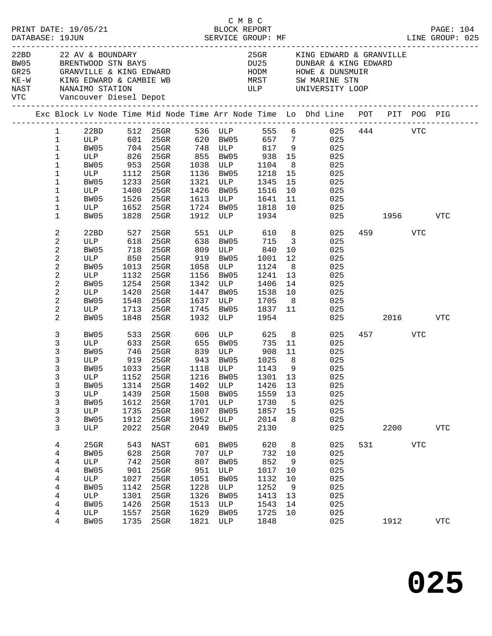|  |                                                                                                                                     | PRINT DATE: 19/05/21                                                                                 |                                                                          |                                                                                                                  |                                                                          |                                                                         | C M B C<br>BLOCK REPORT                                                                                                                          |                                                                 |                                                                                                                                                                                                                                                   |     |                 |            | PAGE: 104      |  |
|--|-------------------------------------------------------------------------------------------------------------------------------------|------------------------------------------------------------------------------------------------------|--------------------------------------------------------------------------|------------------------------------------------------------------------------------------------------------------|--------------------------------------------------------------------------|-------------------------------------------------------------------------|--------------------------------------------------------------------------------------------------------------------------------------------------|-----------------------------------------------------------------|---------------------------------------------------------------------------------------------------------------------------------------------------------------------------------------------------------------------------------------------------|-----|-----------------|------------|----------------|--|
|  |                                                                                                                                     | 22BD 22 AV & BOUNDARY<br>VTC Vancouver Diesel Depot                                                  |                                                                          | BW05 BRENTWOOD STN BAY5                                                                                          |                                                                          |                                                                         |                                                                                                                                                  |                                                                 | 25GR KING EDWARD & GRANVILLE<br>DU25 DUNBAR & KING EDWARD<br>GR25 GRANVILLE & KING EDWARD HODM HOWE & DUNSMUIR<br>KE-W KING EDWARD & CAMBIE WB MRST SW MARINE STN<br>NAST NANAIMO STATION                                                         |     |                 |            |                |  |
|  |                                                                                                                                     |                                                                                                      |                                                                          |                                                                                                                  |                                                                          |                                                                         |                                                                                                                                                  |                                                                 | Exc Block Lv Node Time Mid Node Time Arr Node Time Lo Dhd Line POT PIT POG PIG                                                                                                                                                                    |     |                 |            |                |  |
|  | $\mathbf 1$<br>$\mathbf{1}$<br>$\mathbf 1$<br>$\mathbf{1}$<br>$\mathbf 1$<br>$\mathbf 1$<br>$\mathbf 1$<br>$\mathbf 1$<br>1         | ULP<br>BW05<br>ULP<br>BW05<br><b>ULP</b>                                                             | 1233                                                                     | 1112 25GR<br>25GR<br>1400 25GR<br>1526 25GR<br>1652 25GR                                                         |                                                                          | 1136 BW05                                                               | 1218<br>1321 ULP 1345<br>1426 BW05 1516<br>$1613$ ULP $1641$<br>1724 BW05 1818                                                                   | 15<br>15<br>10                                                  | 1 22BD 512 25GR 536 ULP 555 6 025 444 VTC<br>ULP 601 25GR 620 BW05 657 7 025<br>BW05 704 25GR 748 ULP 817 9 025<br>ULP 826 25GR 855 BW05 938 15 025<br>BW05 953 25GR 1038 ULP 1104 8 025<br>025<br>025<br>025<br>$\overline{11}$ 025<br>10<br>025 |     |                 |            |                |  |
|  | $\mathbf 1$                                                                                                                         | BW05                                                                                                 | 1828                                                                     | $25$ GR                                                                                                          |                                                                          |                                                                         | 1912 ULP 1934                                                                                                                                    |                                                                 |                                                                                                                                                                                                                                                   |     | 025 1956 VTC    |            |                |  |
|  | 2<br>$\sqrt{2}$<br>$\sqrt{2}$<br>$\sqrt{2}$<br>2<br>$\sqrt{2}$<br>$\sqrt{2}$<br>$\overline{c}$<br>$\sqrt{2}$<br>$\overline{c}$<br>2 | 22BD<br>ULP 618<br>BW05<br>ULP 850<br>BW05 1013<br>BW05<br>ULP<br>BW05<br>ULP<br>BW05<br>ULP<br>BW05 | 527<br>718<br>1013<br>1132<br>1254<br>1420<br>1548<br>1848               | 25GR 551<br>25GR 638 BW05<br>25GR<br>25GR<br>25GR<br>$25$ GR<br>25GR<br>$25$ GR<br>25GR<br>1713 25GR<br>25GR     | 1058<br>1156<br>1342<br>1447<br>1637<br>1745<br>1932                     | ULP                                                                     | ULP 610 8<br>715 3<br>809 ULP 840<br>919 BW05 1001<br>1058 ULP 1124<br>BW05 1241 13<br>ULP 1406<br>BW05 1538<br>ULP 1705<br>BW05 1837 11<br>1954 | 10<br>12<br>8 <sup>8</sup><br>14                                | 025<br>025<br>025<br>025<br>025<br>025<br>025<br>$\begin{array}{c} 10 \\ 8 \end{array}$<br>025<br>025<br>025                                                                                                                                      | 025 | 459<br>2016 70  | VTC        | VTC            |  |
|  | 3<br>3<br>3<br>$\mathsf{3}$<br>3<br>3<br>3<br>3<br>3<br>3<br>3<br>3                                                                 | BW05<br>BW05<br>ULP<br>BW05<br>BW05<br>ULP<br>BW05<br>ULP<br>BW05<br>ULP                             | 533<br>1314<br>1439<br>1612<br>1735<br>1912<br>2022                      | 25GR 606<br>ULP 633 25GR 655 BW05 735<br>746 25GR 839 ULP 908<br>$25$ GR<br>25GR<br>25GR<br>25GR<br>25GR<br>25GR | 1402<br>1508<br>1701<br>1807<br>1952<br>2049                             | ULP<br>BW05<br>ULP<br>BW05<br>ULP<br>BW05                               | ULP 625 8<br>1426<br>1559<br>1730<br>1857<br>2014<br>2130                                                                                        | 11<br>8 <sup>8</sup><br>9<br>13<br>13<br>$5^{\circ}$<br>15<br>8 | 025<br>11<br>025<br>025<br>025<br>025<br>ULP 1152 25GR 1216 BW05 1301 13 025<br>025<br>025<br>025<br>025<br>025<br>025                                                                                                                            |     | 457 VTC<br>2200 |            | <b>VTC</b>     |  |
|  | 4<br>4<br>4<br>4<br>4<br>4<br>4<br>4<br>4<br>4                                                                                      | 25GR<br>BW05<br>ULP<br>BW05<br>ULP<br>BW05<br>ULP<br>BW05<br>ULP<br>BW05                             | 543<br>628<br>742<br>901<br>1027<br>1142<br>1301<br>1426<br>1557<br>1735 | NAST<br>25GR<br>25GR<br>25GR<br>25GR<br>25GR<br>25GR<br>25GR<br>25GR<br>25GR                                     | 601<br>707<br>807<br>951<br>1051<br>1228<br>1326<br>1513<br>1629<br>1821 | BW05<br>ULP<br>BW05<br>ULP<br>BW05<br>ULP<br>BW05<br>ULP<br>BW05<br>ULP | 620<br>732<br>852<br>1017<br>1132<br>1252<br>1413<br>1543<br>1725<br>1848                                                                        | 8<br>10<br>9<br>10<br>10<br>9<br>13<br>14<br>10                 | 025<br>025<br>025<br>025<br>025<br>025<br>025<br>025<br>025<br>025                                                                                                                                                                                | 531 | 1912            | <b>VTC</b> | ${\hbox{VTC}}$ |  |
|  |                                                                                                                                     |                                                                                                      |                                                                          |                                                                                                                  |                                                                          |                                                                         |                                                                                                                                                  |                                                                 |                                                                                                                                                                                                                                                   |     |                 |            |                |  |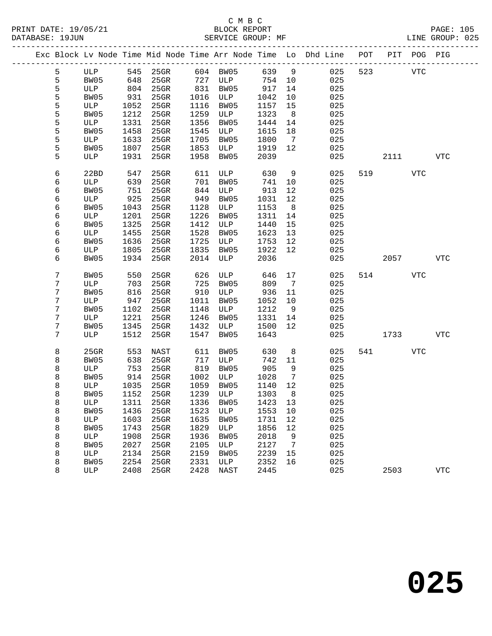|  |        |             |            |                                 |            |             |            |                | Exc Block Lv Node Time Mid Node Time Arr Node Time Lo Dhd Line POT PIT POG PIG |          |     |            |
|--|--------|-------------|------------|---------------------------------|------------|-------------|------------|----------------|--------------------------------------------------------------------------------|----------|-----|------------|
|  | 5      |             |            | ULP 545 25GR 604 BW05           |            |             | 639 9      |                | 025                                                                            | 523 VTC  |     |            |
|  | 5      | BW05        | 648        | $25$ GR                         |            | 727 ULP     | 754 10     |                | 025                                                                            |          |     |            |
|  | 5      | ULP         | 804        | $25$ GR                         | 831        | BW05        | 917        | 14             | 025                                                                            |          |     |            |
|  | 5      | BW05        | 931        | $25$ GR                         |            | 1016 ULP    | 1042       | 10             | 025                                                                            |          |     |            |
|  | 5      | ULP         | 1052       | 25GR                            | 1116       | BW05        | 1157       | 15             | 025                                                                            |          |     |            |
|  | 5      | BW05        | 1212       | 25GR                            | 1259       | ULP         | 1323       | 8 <sup>8</sup> | 025                                                                            |          |     |            |
|  | 5      | ULP         | 1331       | $25$ GR                         | 1356       | BW05        | 1444       | 14             | 025                                                                            |          |     |            |
|  | 5      | BW05        | 1458       | $25$ GR                         | 1545       | ULP         | 1615       | 18             | 025                                                                            |          |     |            |
|  | 5      | ULP         | 1633       | 25GR                            | 1705       | BW05        | 1800       | $\overline{7}$ | 025                                                                            |          |     |            |
|  | 5      | BW05        | 1807       | $25$ GR                         | 1853       | ULP         | 1919       | 12             | 025                                                                            |          |     |            |
|  | 5      | ULP         | 1931       | 25GR                            | 1958       | BW05        | 2039       |                | 025                                                                            | 2111     |     | VTC        |
|  | 6      | 22BD        | 547        | 25GR                            | 611        | ULP         | 630        | 9              | 025                                                                            | 519 — 10 | VTC |            |
|  | 6      | ULP         | 639        | $25$ GR                         | 701        | BW05        | 741        | 10             | 025                                                                            |          |     |            |
|  | 6      | BW05        | 751        | $25$ GR                         | 844        | ULP         | 913        | 12             | 025                                                                            |          |     |            |
|  | 6      | ULP         | 925        | $25$ GR                         | 949        | BW05        | 1031       | 12             | 025                                                                            |          |     |            |
|  | 6      | BW05        | 1043       | 25GR                            | 1128       | ULP         | 1153       | 8 <sup>8</sup> | 025                                                                            |          |     |            |
|  | 6      | ULP         | 1201       | $25$ GR                         | 1226       | BW05        | 1311       | 14             | 025                                                                            |          |     |            |
|  | 6      | BW05        | 1325       | 25GR                            | 1412       | ULP         | 1440       | 15             | 025                                                                            |          |     |            |
|  | 6      | ULP         | 1455       | 25GR                            | 1528       | BW05        | 1623       | 13             | 025                                                                            |          |     |            |
|  | 6      | BW05        | 1636       | $25$ GR                         | 1725       | ULP         | 1753       | 12             | 025                                                                            |          |     |            |
|  | 6      | ULP         | 1805       | $25$ GR                         | 1835       | BW05        | 1922       | 12             | 025                                                                            |          |     |            |
|  | 6      | BW05        | 1934       | $25$ GR                         | 2014       | ULP         | 2036       |                | 025                                                                            | 2057     |     | <b>VTC</b> |
|  | 7      | BW05        | 550        | $25$ GR                         | 626        | ULP         | 646        | 17             | 025                                                                            | 514 VTC  |     |            |
|  | 7      | ULP         | 703        | $25$ GR                         | 725        | BW05        | 809        | $\overline{7}$ | 025                                                                            |          |     |            |
|  | 7      | BW05        | 816        | $25$ GR                         | 910        | ULP         | 936        | 11             | 025                                                                            |          |     |            |
|  | 7      | ULP         | 947        | $25$ GR                         | 1011       | BW05        | 1052       | 10             | 025                                                                            |          |     |            |
|  | 7      | BW05        | 1102       | $25$ GR                         | 1148       | ULP         | 1212       | 9              | 025                                                                            |          |     |            |
|  | 7      | ULP         | 1221       | $25$ GR                         | 1246       | BW05        | 1331       | 14             | 025                                                                            |          |     |            |
|  | 7      | BW05        | 1345       | 25GR                            | 1432       | ULP         | 1500       | 12             | 025                                                                            |          |     |            |
|  | 7      | ULP         | 1512       | $25$ GR                         | 1547       | BW05        | 1643       |                | 025                                                                            | 1733     |     | <b>VTC</b> |
|  |        |             |            |                                 |            |             |            |                |                                                                                |          |     |            |
|  | 8      | 25GR        | 553        | NAST                            | 611        | BW05        | 630        | 8 <sup>8</sup> | 025                                                                            | 541 VTC  |     |            |
|  | 8<br>8 | BW05<br>ULP | 638<br>753 | 25GR<br>25GR                    | 717<br>819 | ULP<br>BW05 | 742<br>905 | 11<br>9        | 025<br>025                                                                     |          |     |            |
|  | 8      | BW05        | 914        | $25$ GR                         | 1002       | ULP         | 1028       | $\overline{7}$ | 025                                                                            |          |     |            |
|  | 8      | ULP         | 1035       | $25$ GR                         | 1059       | BW05        | 1140       | 12             | 025                                                                            |          |     |            |
|  | 8      | BW05        |            | 1152 25GR                       |            | 1239 ULP    | 1303       | 8 <sup>8</sup> | 025                                                                            |          |     |            |
|  | 8      |             |            | ULP 1311 25GR 1336 BW05 1423 13 |            |             |            |                | 025                                                                            |          |     |            |
|  | 8      | BW05        | 1436       | 25GR                            | 1523       | ULP         | 1553 10    |                | 025                                                                            |          |     |            |
|  | 8      | ULP         | 1603       | 25GR                            | 1635       | BW05        | 1731       | 12             | 025                                                                            |          |     |            |
|  | 8      | BW05        | 1743       | $25$ GR                         | 1829       | ULP         | 1856       | 12             | 025                                                                            |          |     |            |
|  | 8      | ULP         | 1908       | 25GR                            | 1936       | BW05        | 2018       | 9              | 025                                                                            |          |     |            |
|  | 8      | BW05        | 2027       | 25GR                            | 2105       | ULP         | 2127       | 7              | 025                                                                            |          |     |            |
|  | 8      | ULP         | 2134       | 25GR                            | 2159       | BW05        | 2239       | 15             | 025                                                                            |          |     |            |
|  | 8      | BW05        | 2254       | 25GR                            | 2331       | ULP         | 2352       | 16             | 025                                                                            |          |     |            |
|  | 8      | ULP         | 2408       | $25$ GR                         | 2428       | NAST        | 2445       |                | 025                                                                            | 2503     |     | <b>VTC</b> |
|  |        |             |            |                                 |            |             |            |                |                                                                                |          |     |            |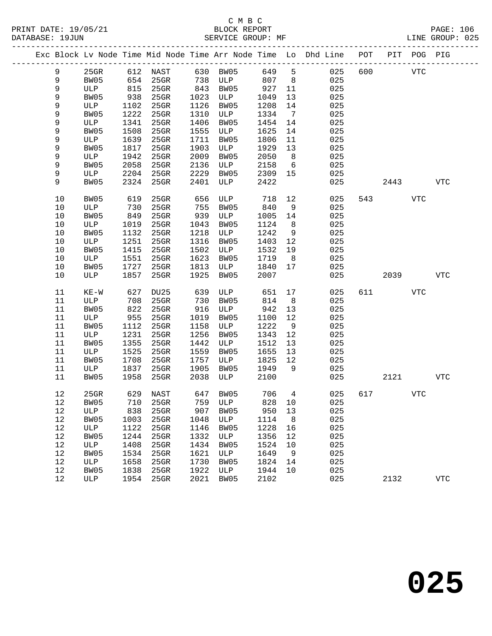|      |         |      |                   |      |          |       |                 | Exc Block Lv Node Time Mid Node Time Arr Node Time Lo Dhd Line POT PIT POG PIG |     |            |            |              |
|------|---------|------|-------------------|------|----------|-------|-----------------|--------------------------------------------------------------------------------|-----|------------|------------|--------------|
| 9    | $25$ GR |      | 612 NAST 630 BW05 |      |          | 649 5 |                 | 025                                                                            | 600 | <b>VTC</b> |            |              |
| 9    | BW05    |      | 654 25GR          |      | 738 ULP  | 807   | 8 <sup>8</sup>  | 025                                                                            |     |            |            |              |
| 9    | ULP     | 815  | $25$ GR           | 843  | BW05     | 927   | 11              | 025                                                                            |     |            |            |              |
| 9    | BW05    | 938  | $25$ GR           | 1023 | ULP      | 1049  | 13              | 025                                                                            |     |            |            |              |
| 9    | ULP     | 1102 | $25$ GR           | 1126 | BW05     | 1208  | 14              | 025                                                                            |     |            |            |              |
| 9    | BW05    | 1222 | $25$ GR           | 1310 | ULP      | 1334  | $\overline{7}$  | 025                                                                            |     |            |            |              |
| 9    | ULP     | 1341 | $25$ GR           | 1406 | BW05     | 1454  | 14              | 025                                                                            |     |            |            |              |
| 9    | BW05    | 1508 | $25$ GR           | 1555 | ULP      | 1625  | 14              | 025                                                                            |     |            |            |              |
| 9    | ULP     | 1639 | $25$ GR           | 1711 | BW05     | 1806  | 11              | 025                                                                            |     |            |            |              |
| 9    | BW05    | 1817 | $25$ GR           | 1903 | ULP      | 1929  | 13              | 025                                                                            |     |            |            |              |
| 9    | ULP     | 1942 | $25$ GR           | 2009 | BW05     | 2050  | 8 <sup>8</sup>  | 025                                                                            |     |            |            |              |
| 9    | BW05    | 2058 | $25$ GR           | 2136 | ULP      | 2158  | $6\overline{6}$ | 025                                                                            |     |            |            |              |
| 9    | ULP     | 2204 | $25$ GR           | 2229 | BW05     | 2309  | 15              | 025                                                                            |     |            |            |              |
| 9    | BW05    | 2324 | $25$ GR           | 2401 | ULP      | 2422  |                 | 025                                                                            |     | 2443       |            | VTC          |
| 10   | BW05    | 619  | 25GR              | 656  | ULP      | 718   | 12              | 025                                                                            |     | 543        | <b>VTC</b> |              |
| 10   | ULP     | 730  | 25GR              | 755  | BW05     | 840   | 9               | 025                                                                            |     |            |            |              |
| $10$ | BW05    | 849  | $25$ GR           | 939  | ULP      | 1005  | 14              | 025                                                                            |     |            |            |              |
| $10$ | ULP     | 1019 | 25GR              | 1043 | BW05     | 1124  | 8 <sup>8</sup>  | 025                                                                            |     |            |            |              |
| 10   | BW05    | 1132 | 25GR              | 1218 | ULP      | 1242  | 9               | 025                                                                            |     |            |            |              |
| $10$ | ULP     | 1251 | $25$ GR           | 1316 | BW05     | 1403  | 12              | 025                                                                            |     |            |            |              |
| $10$ | BW05    | 1415 | $25$ GR           | 1502 | ULP      | 1532  | 19              | 025                                                                            |     |            |            |              |
| 10   | ULP     | 1551 | $25$ GR           | 1623 | BW05     | 1719  | 8 <sup>8</sup>  | 025                                                                            |     |            |            |              |
| 10   | BW05    | 1727 | 25GR              | 1813 | ULP      | 1840  | 17              | 025                                                                            |     |            |            |              |
| 10   | ULP     | 1857 | 25GR              | 1925 | BW05     | 2007  |                 | 025                                                                            |     | 2039       |            | VTC          |
| 11   | $KE-W$  | 627  | DU25              | 639  | ULP      | 651   | 17              | 025                                                                            |     | 611 7      | VTC        |              |
| 11   | ULP     | 708  | $25$ GR           | 730  | BW05     | 814   | 8 <sup>8</sup>  | 025                                                                            |     |            |            |              |
| 11   | BW05    | 822  | $25$ GR           | 916  | ULP      | 942   | 13              | 025                                                                            |     |            |            |              |
| 11   | ULP     | 955  | $25$ GR           | 1019 | BW05     | 1100  | 12              | 025                                                                            |     |            |            |              |
| 11   | BW05    | 1112 | $25$ GR           | 1158 | ULP      | 1222  | 9               | 025                                                                            |     |            |            |              |
| 11   | ULP     | 1231 | $25$ GR           | 1256 | BW05     | 1343  | 12              | 025                                                                            |     |            |            |              |
| 11   | BW05    | 1355 | $25$ GR           | 1442 | ULP      | 1512  | 13              | 025                                                                            |     |            |            |              |
| 11   | ULP     | 1525 | $25$ GR           | 1559 | BW05     | 1655  | 13              | 025                                                                            |     |            |            |              |
| 11   | BW05    | 1708 | 25GR              | 1757 | ULP      | 1825  | 12              | 025                                                                            |     |            |            |              |
| 11   | ULP     | 1837 | $25$ GR           | 1905 | BW05     | 1949  | 9               | 025                                                                            |     |            |            |              |
| 11   | BW05    | 1958 | $25$ GR           | 2038 | ULP      | 2100  |                 | 025                                                                            |     | 2121       |            | VTC          |
| 12   | $25$ GR |      | 629 NAST          |      | 647 BW05 | 706   | $\overline{4}$  | 025                                                                            | 617 |            | <b>VTC</b> |              |
|      | 12 BW05 |      | 710 25GR 759 ULP  |      |          |       |                 | 828 10<br>025                                                                  |     |            |            |              |
| 12   | ULP     | 838  | 25GR              | 907  | BW05     | 950   | 13              | 025                                                                            |     |            |            |              |
| 12   | BW05    | 1003 | 25GR              | 1048 | ULP      | 1114  | 8 <sup>8</sup>  | 025                                                                            |     |            |            |              |
| 12   | ULP     | 1122 | 25GR              | 1146 | BW05     | 1228  | 16              | 025                                                                            |     |            |            |              |
| 12   | BW05    | 1244 | 25GR              | 1332 | ULP      | 1356  | 12              | 025                                                                            |     |            |            |              |
| 12   | ULP     | 1408 | 25GR              | 1434 | BW05     | 1524  | 10              | 025                                                                            |     |            |            |              |
| 12   | BW05    | 1534 | 25GR              | 1621 | ULP      | 1649  | 9               | 025                                                                            |     |            |            |              |
| 12   | ULP     | 1658 | $25$ GR           | 1730 | BW05     | 1824  | 14              | 025                                                                            |     |            |            |              |
| 12   | BW05    | 1838 | $25$ GR           | 1922 | ULP      | 1944  | 10              | 025                                                                            |     |            |            |              |
| 12   | ULP     |      | 1954 25GR         | 2021 | BW05     | 2102  |                 | 025                                                                            |     | 2132       |            | $_{\rm VTC}$ |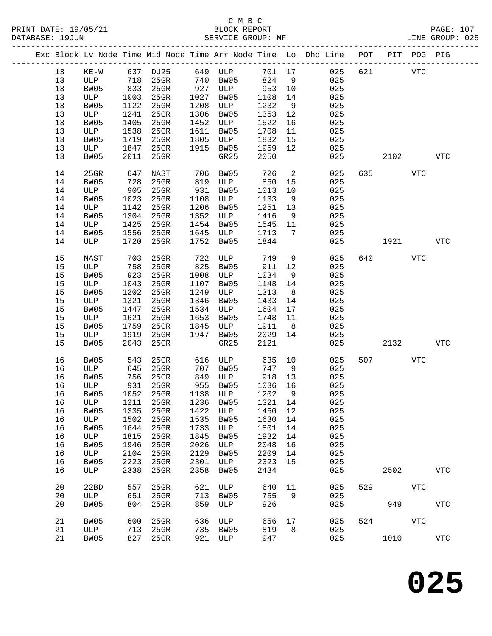|  |    |        |      |             |      |         |         |    | Exc Block Lv Node Time Mid Node Time Arr Node Time Lo Dhd Line POT<br>______________________________ |     |      | PIT POG PIG |             |
|--|----|--------|------|-------------|------|---------|---------|----|------------------------------------------------------------------------------------------------------|-----|------|-------------|-------------|
|  | 13 | $KE-W$ | 637  | <b>DU25</b> |      | 649 ULP | 701 17  |    | 025                                                                                                  | 621 |      | <b>VTC</b>  |             |
|  | 13 | ULP    | 718  | 25GR        | 740  | BW05    | 824     | 9  | 025                                                                                                  |     |      |             |             |
|  | 13 | BW05   | 833  | $25$ GR     | 927  | ULP     | 953     | 10 | 025                                                                                                  |     |      |             |             |
|  | 13 | ULP    | 1003 | $25$ GR     | 1027 | BW05    | 1108    | 14 | 025                                                                                                  |     |      |             |             |
|  | 13 | BW05   | 1122 | 25GR        | 1208 | ULP     | 1232    | 9  | 025                                                                                                  |     |      |             |             |
|  | 13 | ULP    | 1241 | 25GR        | 1306 | BW05    | 1353    | 12 | 025                                                                                                  |     |      |             |             |
|  | 13 | BW05   | 1405 | $25$ GR     | 1452 | ULP     | 1522    | 16 | 025                                                                                                  |     |      |             |             |
|  | 13 | ULP    | 1538 | $25$ GR     | 1611 | BW05    | 1708    | 11 | 025                                                                                                  |     |      |             |             |
|  | 13 | BW05   | 1719 | $25$ GR     | 1805 | ULP     | 1832    | 15 | 025                                                                                                  |     |      |             |             |
|  | 13 | ULP    | 1847 | $25$ GR     | 1915 | BW05    | 1959    | 12 | 025                                                                                                  |     |      |             |             |
|  | 13 | BW05   | 2011 | 25GR        |      | GR25    | 2050    |    | 025                                                                                                  |     | 2102 |             | <b>VTC</b>  |
|  |    |        |      |             |      |         |         |    |                                                                                                      |     |      |             |             |
|  | 14 | 25GR   | 647  | NAST        | 706  | BW05    | 726     | 2  | 025                                                                                                  | 635 |      | VTC         |             |
|  | 14 | BW05   | 728  | $25$ GR     | 819  | ULP     | 850     | 15 | 025                                                                                                  |     |      |             |             |
|  | 14 | ULP    | 905  | 25GR        | 931  | BW05    | 1013    | 10 | 025                                                                                                  |     |      |             |             |
|  | 14 | BW05   | 1023 | $25$ GR     | 1108 | ULP     | 1133    | 9  | 025                                                                                                  |     |      |             |             |
|  | 14 | ULP    | 1142 | $25$ GR     | 1206 | BW05    | 1251    | 13 | 025                                                                                                  |     |      |             |             |
|  | 14 | BW05   | 1304 | $25$ GR     | 1352 | ULP     | 1416    | 9  | 025                                                                                                  |     |      |             |             |
|  | 14 | ULP    | 1425 | $25$ GR     | 1454 | BW05    | 1545    | 11 | 025                                                                                                  |     |      |             |             |
|  | 14 | BW05   | 1556 | 25GR        | 1645 | ULP     | 1713    | 7  | 025                                                                                                  |     |      |             |             |
|  | 14 | ULP    | 1720 | 25GR        | 1752 | BW05    | 1844    |    | 025                                                                                                  |     | 1921 |             | <b>VTC</b>  |
|  |    |        |      |             |      |         |         |    |                                                                                                      |     |      |             |             |
|  | 15 | NAST   | 703  | 25GR        | 722  | ULP     | 749     | 9  | 025                                                                                                  | 640 |      | VTC         |             |
|  | 15 | ULP    | 758  | $25$ GR     | 825  | BW05    | 911     | 12 | 025                                                                                                  |     |      |             |             |
|  | 15 | BW05   | 923  | $25$ GR     | 1008 | ULP     | 1034    | 9  | 025                                                                                                  |     |      |             |             |
|  | 15 | ULP    | 1043 | 25GR        | 1107 | BW05    | 1148    | 14 | 025                                                                                                  |     |      |             |             |
|  | 15 | BW05   | 1202 | $25$ GR     | 1249 | ULP     | 1313    | 8  | 025                                                                                                  |     |      |             |             |
|  | 15 | ULP    | 1321 | $25$ GR     | 1346 | BW05    | 1433    | 14 | 025                                                                                                  |     |      |             |             |
|  | 15 | BW05   | 1447 | $25$ GR     | 1534 | ULP     | 1604    | 17 | 025                                                                                                  |     |      |             |             |
|  | 15 | ULP    | 1621 | 25GR        | 1653 | BW05    | 1748    | 11 | 025                                                                                                  |     |      |             |             |
|  | 15 | BW05   | 1759 | 25GR        | 1845 | ULP     | 1911    | 8  | 025                                                                                                  |     |      |             |             |
|  | 15 | ULP    | 1919 | 25GR        | 1947 | BW05    | 2029    | 14 | 025                                                                                                  |     |      |             |             |
|  | 15 | BW05   | 2043 | 25GR        |      | GR25    | 2121    |    | 025                                                                                                  |     | 2132 |             | <b>VTC</b>  |
|  |    |        |      |             |      |         |         |    |                                                                                                      |     |      |             |             |
|  | 16 | BW05   | 543  | 25GR        | 616  | ULP     | 635     | 10 | 025                                                                                                  | 507 |      | <b>VTC</b>  |             |
|  | 16 | ULP    | 645  | $25$ GR     | 707  | BW05    | 747     | 9  | 025                                                                                                  |     |      |             |             |
|  | 16 | BW05   | 756  | 25GR        | 849  | ULP     | 918     | 13 | 025                                                                                                  |     |      |             |             |
|  | 16 | ULP    | 931  | 25GR        | 955  | BW05    | 1036    | 16 | 025                                                                                                  |     |      |             |             |
|  | 16 | BW05   | 1052 | $25$ GR     | 1138 | ULP     | 1202    | 9  | 025                                                                                                  |     |      |             |             |
|  | 16 | ULP    | 1211 | 25GR        | 1236 | BW05    | 1321 14 |    | 025                                                                                                  |     |      |             |             |
|  | 16 | BW05   | 1335 | 25GR        | 1422 | ULP     | 1450    | 12 | 025                                                                                                  |     |      |             |             |
|  | 16 | ULP    | 1502 | 25GR        | 1535 | BW05    | 1630    | 14 | 025                                                                                                  |     |      |             |             |
|  | 16 | BW05   | 1644 | 25GR        | 1733 | ULP     | 1801    | 14 | 025                                                                                                  |     |      |             |             |
|  | 16 | ULP    | 1815 | 25GR        | 1845 | BW05    | 1932    | 14 | 025                                                                                                  |     |      |             |             |
|  | 16 | BW05   | 1946 | 25GR        | 2026 | ULP     | 2048    | 16 | 025                                                                                                  |     |      |             |             |
|  | 16 | ULP    | 2104 | 25GR        | 2129 | BW05    | 2209    | 14 | 025                                                                                                  |     |      |             |             |
|  | 16 | BW05   | 2223 | 25GR        | 2301 | ULP     | 2323    | 15 | 025                                                                                                  |     |      |             |             |
|  | 16 | ULP    | 2338 | 25GR        | 2358 | BW05    | 2434    |    | 025                                                                                                  |     | 2502 |             | ${\tt VTC}$ |
|  | 20 | 22BD   | 557  | $25$ GR     | 621  | ULP     | 640     | 11 | 025                                                                                                  | 529 |      | <b>VTC</b>  |             |
|  | 20 | ULP    | 651  | 25GR        | 713  | BW05    | 755     | 9  | 025                                                                                                  |     |      |             |             |
|  | 20 | BW05   | 804  | 25GR        | 859  | ULP     | 926     |    | 025                                                                                                  |     | 949  |             | ${\tt VTC}$ |
|  | 21 | BW05   | 600  | 25GR        | 636  | ULP     | 656     | 17 | 025                                                                                                  | 524 |      | <b>VTC</b>  |             |
|  | 21 | ULP    | 713  | 25GR        | 735  | BW05    | 819     | 8  | 025                                                                                                  |     |      |             |             |
|  | 21 | BW05   | 827  | $25$ GR     | 921  | ULP     | 947     |    | 025                                                                                                  |     | 1010 |             | ${\tt VTC}$ |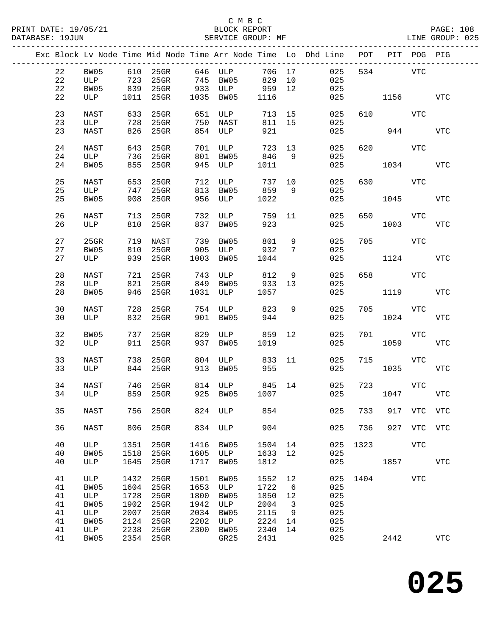|    |      |      |           |      |                |        |    | Exc Block Lv Node Time Mid Node Time Arr Node Time Lo Dhd Line | POT  |            | PIT POG PIG |             |
|----|------|------|-----------|------|----------------|--------|----|----------------------------------------------------------------|------|------------|-------------|-------------|
| 22 | BW05 |      | 610 25GR  |      | 646 ULP        | 706 17 |    | 025                                                            |      | 534        | VTC         |             |
| 22 | ULP  | 723  | 25GR      | 745  | BW05           | 829 10 |    | 025                                                            |      |            |             |             |
| 22 | BW05 |      | 839 25GR  | 933  | ULP            | 959    | 12 | 025                                                            |      |            |             |             |
|    |      |      |           |      |                |        |    |                                                                |      |            |             |             |
| 22 | ULP  |      | 1011 25GR |      | 1035 BW05      | 1116   |    | 025                                                            |      | 1156 11    |             | VTC         |
| 23 | NAST | 633  | 25GR      |      | 651 ULP        | 713 15 |    | 025                                                            |      | 610 000    | VTC         |             |
| 23 | ULP  | 728  | 25GR      | 750  | NAST           | 811    | 15 | 025                                                            |      |            |             |             |
| 23 | NAST | 826  | 25GR      |      | 854 ULP        | 921    |    | 025                                                            |      | 944        |             | <b>VTC</b>  |
|    |      |      |           |      |                |        |    |                                                                |      |            |             |             |
| 24 | NAST | 643  | $25$ GR   | 701  | ULP            | 723 13 |    | 025                                                            | 620  |            | VTC         |             |
| 24 | ULP  |      | 736 25GR  | 801  | BW05           | 846    | 9  | 025                                                            |      |            |             |             |
| 24 | BW05 | 855  | 25GR      | 945  | ULP            | 1011   |    | 025                                                            |      | 1034       |             | VTC         |
| 25 | NAST | 653  | 25GR      | 712  | ULP            | 737 10 |    | 025                                                            | 630  |            | VTC         |             |
| 25 | ULP  | 747  | $25$ GR   | 813  | BW05           | 859    | 9  | 025                                                            |      |            |             |             |
| 25 | BW05 | 908  | 25GR      | 956  | ULP            | 1022   |    | 025                                                            |      | 1045       |             | <b>VTC</b>  |
|    |      |      |           |      |                |        |    |                                                                |      |            |             |             |
| 26 | NAST | 713  | 25GR      | 732  | ULP            | 759    | 11 | 025                                                            | 650  | <b>VTC</b> |             |             |
| 26 | ULP  | 810  | 25GR      | 837  | BW05           | 923    |    | 025                                                            |      | 1003       |             | <b>VTC</b>  |
|    |      |      |           |      |                |        |    |                                                                |      |            |             |             |
| 27 | 25GR | 719  | NAST      | 739  | BW05           | 801    | 9  | 025                                                            | 705  | <b>VTC</b> |             |             |
| 27 | BW05 | 810  | $25$ GR   | 905  | ULP            | 932    | 7  | 025                                                            |      |            |             |             |
| 27 | ULP  | 939  | $25$ GR   | 1003 | BW05           | 1044   |    | 025                                                            |      | 1124       |             | <b>VTC</b>  |
|    |      |      |           |      |                |        |    |                                                                |      |            |             |             |
| 28 | NAST | 721  | 25GR      | 743  | ULP            | 812    | 9  | 025                                                            | 658  |            | VTC         |             |
| 28 | ULP  | 821  | $25$ GR   | 849  | BW05           | 933    | 13 | 025                                                            |      |            |             |             |
| 28 | BW05 | 946  | 25GR      | 1031 | ULP            | 1057   |    | 025                                                            |      | 1119       |             | VTC         |
|    |      |      |           |      |                |        |    |                                                                |      |            |             |             |
| 30 | NAST | 728  | $25$ GR   |      | 754 ULP 823    |        | 9  | 025                                                            | 705  |            | VTC         |             |
| 30 | ULP  | 832  | 25GR      | 901  | BW05           | 944    |    | 025                                                            |      | 1024       |             | <b>VTC</b>  |
|    |      |      |           |      |                |        |    |                                                                |      |            |             |             |
| 32 | BW05 | 737  | 25GR      | 829  | ULP            | 859    | 12 | 025                                                            | 701  |            | VTC         |             |
| 32 | ULP  | 911  | 25GR      | 937  | BW05           | 1019   |    | 025                                                            |      | 1059       |             | <b>VTC</b>  |
|    |      |      |           |      |                |        |    |                                                                |      |            |             |             |
| 33 | NAST | 738  | 25GR      | 804  | ULP            | 833    | 11 | 025                                                            | 715  |            | VTC         |             |
| 33 | ULP  |      | 844 25GR  | 913  | BW05           | 955    |    | 025                                                            |      | 1035       |             | <b>VTC</b>  |
|    |      |      |           |      |                |        |    |                                                                |      |            |             |             |
| 34 | NAST |      | 746 25GR  |      | 814 ULP 845 14 |        |    | 025                                                            | 723  |            | VTC         |             |
| 34 | ULP  |      | 859 25GR  |      | 925 BW05 1007  |        |    | 025                                                            |      | 1047       |             | VTC         |
|    |      |      |           |      |                |        |    |                                                                |      |            |             |             |
| 35 | NAST | 756  | 25GR      | 824  | ULP            | 854    |    | 025                                                            | 733  | 917        | <b>VTC</b>  | <b>VTC</b>  |
|    |      |      |           |      |                |        |    |                                                                |      |            |             |             |
| 36 | NAST | 806  | 25GR      | 834  | ULP            | 904    |    | 025                                                            | 736  |            | 927 VTC     | VTC         |
| 40 | ULP  | 1351 | 25GR      | 1416 | BW05           | 1504   | 14 | 025                                                            | 1323 |            | VTC         |             |
| 40 | BW05 | 1518 | 25GR      | 1605 |                |        | 12 | 025                                                            |      |            |             |             |
|    |      |      |           |      | ULP            | 1633   |    |                                                                |      |            |             |             |
| 40 | ULP  | 1645 | $25$ GR   | 1717 | BW05           | 1812   |    | 025                                                            |      | 1857       |             | <b>VTC</b>  |
| 41 | ULP  | 1432 | 25GR      | 1501 | BW05           | 1552   | 12 | 025                                                            | 1404 |            | <b>VTC</b>  |             |
| 41 | BW05 | 1604 | 25GR      | 1653 | ULP            | 1722   | 6  | 025                                                            |      |            |             |             |
| 41 | ULP  | 1728 | 25GR      | 1800 | BW05           | 1850   | 12 | 025                                                            |      |            |             |             |
| 41 | BW05 | 1902 | 25GR      | 1942 | $_{\rm ULP}$   | 2004   | 3  | 025                                                            |      |            |             |             |
| 41 | ULP  | 2007 | 25GR      | 2034 | BW05           | 2115   | 9  | 025                                                            |      |            |             |             |
|    |      |      |           |      |                |        |    |                                                                |      |            |             |             |
| 41 | BW05 | 2124 | 25GR      | 2202 | ULP            | 2224   | 14 | 025                                                            |      |            |             |             |
| 41 | ULP  | 2238 | 25GR      | 2300 | BW05           | 2340   | 14 | 025                                                            |      |            |             |             |
| 41 | BW05 | 2354 | 25GR      |      | GR25           | 2431   |    | 025                                                            |      | 2442       |             | ${\tt VTC}$ |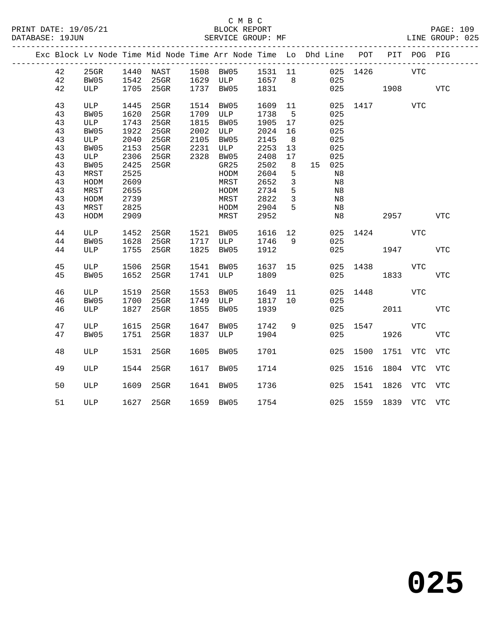### C M B C<br>BLOCK REPORT SERVICE GROUP: MF

|  |    |         |      |                |      | Exc Block Lv Node Time Mid Node Time Arr Node Time Lo Dhd Line POT PIT POG PIG |         |                |        |                       |              |     |            |
|--|----|---------|------|----------------|------|--------------------------------------------------------------------------------|---------|----------------|--------|-----------------------|--------------|-----|------------|
|  | 42 | $25$ GR |      |                |      | 1440 NAST 1508 BW05 1531 11                                                    |         |                |        | 025 1426              | VTC          |     |            |
|  | 42 | BW05    |      |                |      | 1542 25GR 1629 ULP 1657 8                                                      |         |                | 025    |                       |              |     |            |
|  | 42 | ULP     |      | 1705 25GR      |      | 1737 BW05 1831                                                                 |         |                |        | 025 1908 VTC          |              |     |            |
|  |    |         |      |                |      |                                                                                |         |                |        |                       |              |     |            |
|  | 43 | ULP     | 1445 | $25$ GR        | 1514 | BW05                                                                           | 1609    | 11             | 025    |                       | 1417         | VTC |            |
|  | 43 | BW05    | 1620 | $25$ GR        |      | 1709 ULP                                                                       | 1738    | 5              | 025    |                       |              |     |            |
|  | 43 | ULP     | 1743 | $25$ GR        | 1815 | BW05                                                                           | 1905    | 17             | 025    |                       |              |     |            |
|  | 43 | BW05    | 1922 | $25$ GR        |      | 2002 ULP                                                                       | 2024    | 16             | 025    |                       |              |     |            |
|  | 43 | ULP     | 2040 | 25GR           | 2105 | BW05                                                                           | 2145    | 8 <sup>8</sup> | 025    |                       |              |     |            |
|  | 43 | BW05    | 2153 | $25$ GR        |      | 2231 ULP                                                                       | 2253    | 13             | 025    |                       |              |     |            |
|  | 43 | ULP     | 2306 | $25$ GR        |      | 2328 BW05                                                                      | 2408    | 17             | 025    |                       |              |     |            |
|  | 43 | BW05    | 2425 | 25GR           |      | GR25                                                                           | 2502    | 8 <sup>8</sup> | 15 025 |                       |              |     |            |
|  | 43 | MRST    | 2525 |                |      | HODM                                                                           | 2604    | 5              | N8     |                       |              |     |            |
|  | 43 | HODM    | 2609 |                |      | MRST                                                                           | 2652    | $\mathbf{3}$   | Ν8     |                       |              |     |            |
|  | 43 | MRST    | 2655 |                |      | HODM                                                                           | 2734    | 5              | N8     |                       |              |     |            |
|  | 43 | HODM    | 2739 |                |      | MRST                                                                           | 2822    | $\overline{3}$ | Ν8     |                       |              |     |            |
|  | 43 | MRST    | 2825 |                |      | HODM                                                                           | 2904    | 5              | N8     |                       |              |     |            |
|  | 43 | HODM    | 2909 |                |      | MRST                                                                           | 2952    |                | Ν8     |                       | 2957         |     | VTC        |
|  |    |         |      |                |      |                                                                                |         |                |        |                       |              |     |            |
|  | 44 | ULP     | 1452 | 25GR 1521 BW05 |      |                                                                                | 1616 12 |                |        | 025 1424 VTC          |              |     |            |
|  | 44 | BW05    | 1628 | 25GR           |      | 1717 ULP                                                                       | 1746    | 9              | 025    |                       |              |     |            |
|  | 44 | ULP     | 1755 | $25$ GR        |      | 1825 BW05                                                                      | 1912    |                |        | 025                   | 1947         |     | VTC        |
|  |    |         |      |                |      |                                                                                |         |                |        |                       |              |     |            |
|  | 45 | ULP     |      | 1506 25GR      |      | 1541 BW05                                                                      | 1637 15 |                |        | 025 1438              |              | VTC |            |
|  | 45 | BW05    | 1652 | $25$ GR        |      | 1741 ULP                                                                       | 1809    |                | 025    |                       | 1833         |     | VTC        |
|  |    |         |      |                |      |                                                                                |         |                |        |                       |              |     |            |
|  | 46 | ULP     | 1519 | $25$ GR        | 1553 | BW05                                                                           | 1649    | 11             |        | 025 1448              | <b>VTC</b>   |     |            |
|  | 46 | BW05    | 1700 | 25GR           |      | 1749 ULP                                                                       | 1817 10 |                | 025    |                       |              |     |            |
|  | 46 | ULP     | 1827 | $25$ GR        | 1855 | BW05                                                                           | 1939    |                | 025    |                       | 2011 2012    |     | VTC        |
|  |    |         |      |                |      |                                                                                |         |                |        |                       |              |     |            |
|  | 47 | ULP     |      | 1615 25GR      | 1647 | BW05                                                                           | 1742 9  |                |        | 025 1547              |              | VTC |            |
|  | 47 | BW05    | 1751 | 25GR           | 1837 | ULP                                                                            | 1904    |                | 025    |                       | 1926         |     | <b>VTC</b> |
|  |    |         |      |                |      |                                                                                |         |                |        |                       |              |     |            |
|  | 48 | ULP     | 1531 | 25GR           |      | 1605 BW05                                                                      | 1701    |                |        | 025 1500              | 1751 VTC     |     | VTC        |
|  |    |         |      |                |      |                                                                                |         |                |        |                       |              |     |            |
|  | 49 | ULP     | 1544 | 25GR           | 1617 | BW05                                                                           | 1714    |                |        | 025 1516              | 1804 VTC VTC |     |            |
|  |    |         |      |                |      |                                                                                |         |                |        |                       |              |     |            |
|  | 50 | ULP     |      | 1609 25GR      |      | 1641 BW05                                                                      | 1736    |                |        | 025 1541 1826 VTC VTC |              |     |            |
|  |    |         |      |                |      |                                                                                |         |                |        |                       |              |     |            |
|  | 51 | ULP     |      |                |      | 1627 25GR 1659 BW05 1754                                                       |         |                |        | 025 1559 1839 VTC VTC |              |     |            |
|  |    |         |      |                |      |                                                                                |         |                |        |                       |              |     |            |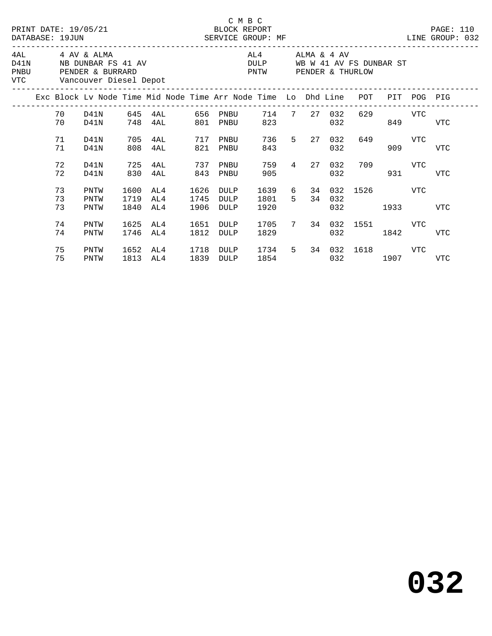|      |                |                                               |                      | PRINT DATE: 19/05/21 BLOCK REPORT<br>DATABASE: 19JUN SERVICE GROUP: MF SERVICE THE SERVICE ON THE SERVICE SERVICE SERVICE SERVICE SERVICE SERVICE SERVICE SERVICE SERVICE SERVICE SERVICE SERVICE SERVICE SERVICE SERVICE SERVICE SERVICE SERVICE SERVICE SERVICE S |                      |                      | C M B C                                                                  |                                                                                                                                                                                                                               |               |                                    |                                                                                                                                                                                                                               |             | PAGE: 110  |  |
|------|----------------|-----------------------------------------------|----------------------|---------------------------------------------------------------------------------------------------------------------------------------------------------------------------------------------------------------------------------------------------------------------|----------------------|----------------------|--------------------------------------------------------------------------|-------------------------------------------------------------------------------------------------------------------------------------------------------------------------------------------------------------------------------|---------------|------------------------------------|-------------------------------------------------------------------------------------------------------------------------------------------------------------------------------------------------------------------------------|-------------|------------|--|
| PNBU |                | 4AL 4 AV & ALMA<br>VTC Vancouver Diesel Depot |                      | D41N NB DUNBAR FS 41 AV<br>PENDER & BURRARD                                                                                                                                                                                                                         |                      |                      | AL4 ALMA & 4 AV<br>DULP WB W 41 AV FS DUNBAR ST<br>PNTW PENDER & THURLOW |                                                                                                                                                                                                                               |               |                                    |                                                                                                                                                                                                                               |             |            |  |
|      |                |                                               |                      | Exc Block Lv Node Time Mid Node Time Arr Node Time Lo Dhd Line POT                                                                                                                                                                                                  |                      |                      |                                                                          |                                                                                                                                                                                                                               |               |                                    |                                                                                                                                                                                                                               | PIT POG PIG |            |  |
|      | 70 D41N<br>70  | D41N                                          |                      | 645 4AL 656 PNBU<br>748 4AL                                                                                                                                                                                                                                         |                      | 801 PNBU             | 823                                                                      | 714 7 27 032                                                                                                                                                                                                                  | 032           |                                    | 629 VTC<br>849                                                                                                                                                                                                                |             | <b>VTC</b> |  |
|      | 71<br>71       | D41N<br>D41N                                  | 705<br>808           | 4AL 717 PNBU<br>4AL                                                                                                                                                                                                                                                 | 821                  | PNBU                 | 843                                                                      | 736 5 27 032                                                                                                                                                                                                                  | 032           | 649                                | 909                                                                                                                                                                                                                           | <b>VTC</b>  | <b>VTC</b> |  |
|      | 72<br>72       | D41N<br>D41N                                  | 725<br>830           | 4AL<br>4AL                                                                                                                                                                                                                                                          | 737<br>843           | PNBU<br>PNBU         | 905                                                                      | 759 4 27                                                                                                                                                                                                                      | 032<br>032    |                                    | 709 VTC<br>931                                                                                                                                                                                                                |             | <b>VTC</b> |  |
|      | 73<br>73<br>73 | PNTW<br>PNTW<br>PNTW                          | 1600<br>1719<br>1840 | AL4<br>AL4<br>AL4                                                                                                                                                                                                                                                   | 1626<br>1745<br>1906 | DULP<br>DULP<br>DULP | 1639 6<br>1801 5<br>1920                                                 |                                                                                                                                                                                                                               | 34 032<br>032 | 34 032 1526 VTC                    | 1933   1933   1934   1935   1936   1937   1938   1938   1938   1939   1939   1939   1939   1939   1939   1939   1939   1939   1939   1939   1939   1939   1939   1939   1939   1939   1939   1939   1939   1939   1939   1939 |             | <b>VTC</b> |  |
|      | 74<br>74       | PNTW<br>PNTW                                  | 1625<br>1746         | AL4<br>AL4                                                                                                                                                                                                                                                          | 1651<br>1812         | DULP<br>DULP         | 1705<br>1829                                                             |                                                                                                                                                                                                                               | 032           | 7 34 032 1551 VTC                  | 1842                                                                                                                                                                                                                          |             | <b>VTC</b> |  |
|      | 75<br>75       | PNTW<br>PNTW                                  | 1652<br>1813         | AL4 1718<br>AL4                                                                                                                                                                                                                                                     | 1839                 | DULP<br>DULP         |                                                                          | 1854   1860   1860   1860   1860   1860   1860   1860   1860   1860   1860   1860   1860   1860   1860   1860   1860   1860   1860   1860   1860   1860   1860   1860   1860   1860   1860   1860   1860   1860   1860   1860 |               | 1734 5 34 032 1618 VTC<br>032 1907 |                                                                                                                                                                                                                               |             | VTC        |  |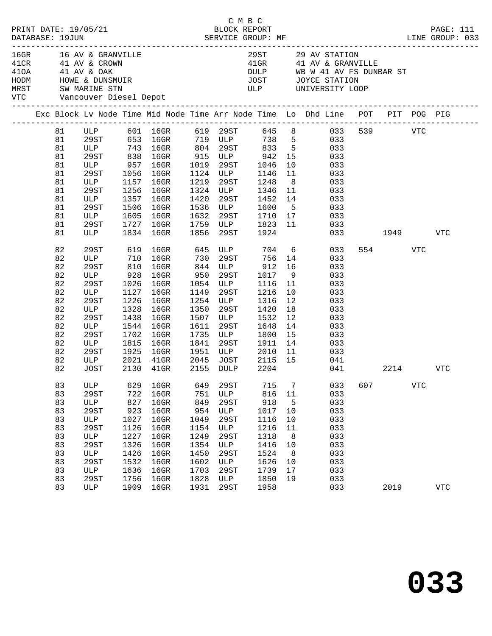| PRINT DATE: 19/05/21<br>DATABASE: 19JUN                                                |                                                                                                                                            |            |                                                                                                  |                                                                                                                                                    |                                                                                                  |                                                                                                                                      | C M B C                                                                                                                                              |                                                                      |                                                                                                                                                                                                                                                                                                                               |            |              |            |                    |
|----------------------------------------------------------------------------------------|--------------------------------------------------------------------------------------------------------------------------------------------|------------|--------------------------------------------------------------------------------------------------|----------------------------------------------------------------------------------------------------------------------------------------------------|--------------------------------------------------------------------------------------------------|--------------------------------------------------------------------------------------------------------------------------------------|------------------------------------------------------------------------------------------------------------------------------------------------------|----------------------------------------------------------------------|-------------------------------------------------------------------------------------------------------------------------------------------------------------------------------------------------------------------------------------------------------------------------------------------------------------------------------|------------|--------------|------------|--------------------|
| VTC Vancouver Diesel Depot                                                             |                                                                                                                                            |            |                                                                                                  | HODM HOWE & DUNSMUIR<br>MRST SW MARINE STN                                                                                                         |                                                                                                  |                                                                                                                                      |                                                                                                                                                      |                                                                      | 29ST 29 AV STATION<br>41GR 41 AV & GRANVILLE<br>DULP WB W 41 AV FS DUNBAR ST<br>JOST JOYCE STATION<br>ULP UNIVERSITY LOOP                                                                                                                                                                                                     |            |              |            |                    |
|                                                                                        |                                                                                                                                            |            |                                                                                                  |                                                                                                                                                    |                                                                                                  |                                                                                                                                      |                                                                                                                                                      |                                                                      | Exc Block Lv Node Time Mid Node Time Arr Node Time Lo Dhd Line POT PIT POG PIG                                                                                                                                                                                                                                                |            |              |            |                    |
| 81<br>81<br>81<br>81<br>81<br>81<br>81<br>81<br>81<br>81<br>81<br>81                   | 29ST<br>ULP<br>29ST<br>29ST<br>ULP<br>29ST                                                                                                 | ULP        | 1506<br>1605                                                                                     | ULP 957 16GR 1019 29ST 1046<br>1056 16GR<br>1157 16GR<br>1256 16GR<br>1357 16GR<br>$16$ GR<br>$16$ GR<br>1727 16GR                                 | 1420<br>1536                                                                                     | 1124 ULP<br>29ST<br><b>ULP</b>                                                                                                       | 1146<br>1219 29ST 1248<br>1324 ULP 1346<br>1452 14<br>1600                                                                                           | 10<br>11                                                             | ULP 601 16GR 619 29ST 645 8 033<br>29ST 653 16GR 719 ULP 738 5 033<br>ULP 743 16GR 804 29ST 833 5 033<br>29ST 838 16GR 915 ULP 942 15 033<br>033<br>033<br>$\begin{array}{ccc} 8 & 033 \\ 11 & 033 \end{array}$<br>033<br>5 <sub>5</sub><br>033<br>1632 29ST 1710 17 033<br>1759 ULP 1823 11 033<br>1856 29ST 1924 033<br>033 |            | 539 VTC      |            |                    |
| 81<br>82<br>82<br>82<br>82<br>82<br>82<br>82<br>82<br>82<br>82<br>82<br>82<br>82<br>82 | ULP<br>29ST<br>ULP<br>29ST<br>ULP<br>29ST<br>ULP<br>29ST<br>ULP<br>29ST<br>ULP<br>29ST<br>29ST<br>ULP                                      | <b>ULP</b> | 928<br>1026<br>1127<br>1226<br>1328<br>1438<br>1544<br>1702<br>1815<br>1925<br>2021              | 1834 16GR<br>619 16GR 645<br>710 16GR<br>810 16GR<br>16GR<br>$16$ GR<br>16GR<br>16GR<br>16GR<br>16GR<br>16GR<br>16GR<br>16GR<br>$16$ GR<br>$41$ GR | 950<br>1054<br>1149<br>1254<br>1350<br>1507<br>1611<br>1735<br>1841<br>1951<br>2045              | 1856 29ST<br>29ST<br>ULP<br>29ST<br>ULP<br>29ST<br>ULP<br>29ST<br>ULP<br>29ST<br>JOST                                                | 730      29ST              756<br>844     ULP                912<br>1017<br>1116<br>1216<br>1316<br>1420<br>1532<br>1648<br>1800<br>1911<br>ULP 2010 | 14<br>16<br>11<br>10<br>12<br>18<br>12<br>14<br>15<br>14<br>11       | ULP 704 6 033<br>033<br>033<br>9<br>033<br>033<br>033<br>033<br>033<br>033<br>033<br>033<br>033<br>033                                                                                                                                                                                                                        | 033 1949   | 554          | VTC        | VTC                |
| 82<br>83<br>83<br>83<br>83<br>83<br>83<br>83<br>83<br>83<br>83<br>83<br>83<br>83       | JOST<br>ULP<br>29ST<br>$_{\rm ULP}$<br><b>29ST</b><br>ULP<br><b>29ST</b><br>ULP<br>29ST<br>ULP<br><b>29ST</b><br>ULP<br><b>29ST</b><br>ULP |            | 629<br>722<br>827<br>923<br>1027<br>1126<br>1227<br>1326<br>1426<br>1532<br>1636<br>1756<br>1909 | 2130 41GR<br>16GR<br>16GR<br>16GR<br>16GR<br>16GR<br>16GR<br>16GR<br>16GR<br>16GR<br>16GR<br>$16$ GR<br>16GR<br>$16$ GR                            | 649<br>751<br>849<br>954<br>1049<br>1154<br>1249<br>1354<br>1450<br>1602<br>1703<br>1828<br>1931 | 2155 DULP<br><b>29ST</b><br>ULP<br>29ST<br>$_{\rm ULP}$<br>29ST<br>ULP<br>29ST<br>$_{\rm ULP}$<br>29ST<br>ULP<br>29ST<br>ULP<br>29ST | 715<br>816<br>918<br>1017<br>1116<br>1216<br>1318<br>1416<br>1524<br>1626<br>1739<br>1850<br>1958                                                    | 7<br>$11\,$<br>5<br>10<br>10<br>11<br>8<br>10<br>8<br>10<br>17<br>19 | 2115 15 041<br>2204 041<br>033<br>033<br>033<br>033<br>033<br>033<br>033<br>033<br>033<br>033<br>033<br>033<br>033                                                                                                                                                                                                            | 041<br>607 | 2214<br>2019 | <b>VTC</b> | VTC<br>${\tt VTC}$ |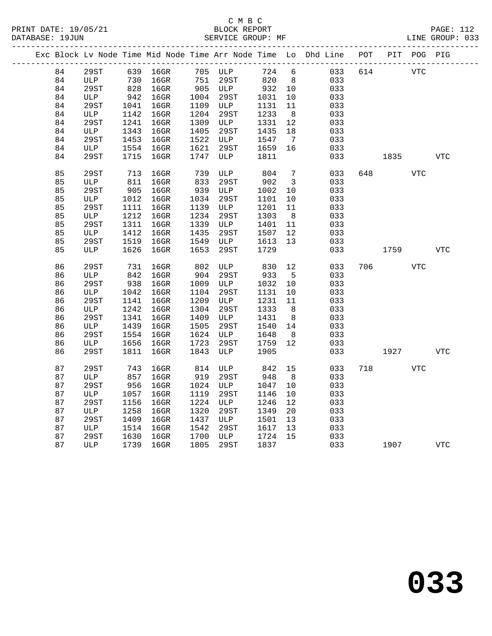|    | Exc Block Lv Node Time Mid Node Time Arr Node Time Lo Dhd Line POT PIT POG PIG |            |          |            |                                 |        |                         |     |     |            |            |            |
|----|--------------------------------------------------------------------------------|------------|----------|------------|---------------------------------|--------|-------------------------|-----|-----|------------|------------|------------|
| 84 | 29ST                                                                           |            | 639 16GR |            | 705 ULP                         | 724 6  |                         | 033 | 614 | <b>VTC</b> |            |            |
| 84 | ULP                                                                            | 730<br>828 | $16$ GR  |            | 29ST<br>$751$ $4301$<br>905 ULP | 820    | 8 <sup>8</sup>          | 033 |     |            |            |            |
| 84 | 29ST                                                                           |            | $16$ GR  |            |                                 | 932 10 |                         | 033 |     |            |            |            |
| 84 | ULP                                                                            | 942        | $16$ GR  | 1004       | 29ST                            | 1031   | 10                      | 033 |     |            |            |            |
| 84 | 29ST                                                                           | 1041       | $16$ GR  |            | 1109 ULP                        | 1131   | 11                      | 033 |     |            |            |            |
| 84 | ULP                                                                            | 1142       | $16$ GR  | 1204       | 29ST                            | 1233   | 8 <sup>8</sup>          | 033 |     |            |            |            |
| 84 | 29ST                                                                           | 1241       | $16$ GR  | 1309       | ULP                             | 1331   | 12                      | 033 |     |            |            |            |
| 84 | ULP                                                                            | 1343       | 16GR     | 1405       | 29ST                            | 1435   | 18                      | 033 |     |            |            |            |
| 84 | 29ST                                                                           | 1453       | $16$ GR  | 1522       | ULP                             | 1547   | $7\overline{ }$         | 033 |     |            |            |            |
| 84 | ULP                                                                            | 1554       | $16$ GR  | 1621       | 29ST                            | 1659   | 16                      | 033 |     |            |            |            |
| 84 | 29ST                                                                           | 1715       | $16$ GR  | 1747       | ULP                             | 1811   |                         | 033 |     | 1835       |            | <b>VTC</b> |
|    |                                                                                |            |          |            |                                 |        |                         |     |     |            |            |            |
| 85 | 29ST                                                                           | 713        | $16$ GR  | 739<br>833 | ULP                             | 804    | $7\overline{ }$         | 033 |     | 648   100  | <b>VTC</b> |            |
| 85 | ULP                                                                            | 811        | $16$ GR  |            | 29ST                            | 902    | $\overline{\mathbf{3}}$ | 033 |     |            |            |            |
| 85 | 29ST                                                                           | 905        | $16$ GR  | 939        | ULP                             | 1002   | $10\,$                  | 033 |     |            |            |            |
| 85 | ULP                                                                            | 1012       | $16$ GR  | 1034       | 29ST                            | 1101   | 10                      | 033 |     |            |            |            |
| 85 | 29ST                                                                           | 1111       | $16$ GR  |            | 1139 ULP                        | 1201   | 11                      | 033 |     |            |            |            |
| 85 | ULP                                                                            | 1212       | $16$ GR  | 1234       | 29ST                            | 1303   | 8 <sup>8</sup>          | 033 |     |            |            |            |
| 85 | 29ST                                                                           | 1311       | $16$ GR  | 1339       | <b>ULP</b>                      | 1401   | 11                      | 033 |     |            |            |            |
| 85 | ULP                                                                            | 1412       | $16$ GR  | 1435       | 29ST                            | 1507   | 12                      | 033 |     |            |            |            |
| 85 | 29ST                                                                           | 1519       | $16$ GR  | 1549       | ULP                             | 1613   | 13                      | 033 |     |            |            |            |
| 85 | ULP                                                                            | 1626       | 16GR     | 1653       | 29ST                            | 1729   |                         | 033 |     | 1759       |            | VTC        |
|    |                                                                                |            |          |            |                                 |        |                         |     |     |            |            |            |
| 86 | 29ST                                                                           | 731        | 16GR     | 802<br>904 | ULP                             | 830    | 12                      | 033 | 706 |            | <b>VTC</b> |            |
| 86 | ULP                                                                            | 842        | $16$ GR  |            | 29ST                            | 933    | $5^{\circ}$             | 033 |     |            |            |            |
| 86 | 29ST                                                                           | 938        | $16$ GR  |            | 1009 ULP                        | 1032   | 10                      | 033 |     |            |            |            |
| 86 | ULP                                                                            | 1042       | $16$ GR  | 1104       | 29ST                            | 1131   | 10                      | 033 |     |            |            |            |
| 86 | 29ST                                                                           | 1141       | $16$ GR  | 1209       | ULP                             | 1231   | 11                      | 033 |     |            |            |            |
| 86 | ULP                                                                            | 1242       | $16$ GR  | 1304       | 29ST                            | 1333   | 8 <sup>8</sup>          | 033 |     |            |            |            |
| 86 | 29ST                                                                           | 1341       | $16$ GR  | 1409       | ULP                             | 1431   | 8                       | 033 |     |            |            |            |
| 86 | ULP                                                                            | 1439       | $16$ GR  | 1505       | 29ST                            | 1540   | 14                      | 033 |     |            |            |            |
| 86 | 29ST                                                                           | 1554       | $16$ GR  | 1624       | ULP                             | 1648   | 8 <sup>8</sup>          | 033 |     |            |            |            |
| 86 | ULP                                                                            | 1656       | $16$ GR  | 1723       | 29ST                            | 1759   | 12                      | 033 |     |            |            |            |
| 86 | 29ST                                                                           | 1811       | 16GR     | 1843       | ULP                             | 1905   |                         | 033 |     | 1927       |            | VTC        |
|    |                                                                                |            |          |            |                                 |        |                         |     |     |            |            |            |
| 87 | 29ST                                                                           | 743        | $16$ GR  | 814        | ULP                             | 842    | 15                      | 033 | 718 |            | VTC        |            |
| 87 | ULP                                                                            | 857        | $16$ GR  | 919        | 29ST                            | 948    | 8 <sup>8</sup>          | 033 |     |            |            |            |
| 87 | 29ST                                                                           | 956        | $16$ GR  | 1024       | ULP                             | 1047   | 10                      | 033 |     |            |            |            |
| 87 | ULP                                                                            | 1057       | $16$ GR  | 1119       | 29ST                            | 1146   | $10 \,$                 | 033 |     |            |            |            |
| 87 | 29ST                                                                           | 1156       | $16$ GR  | 1224       | ULP                             | 1246   | 12                      | 033 |     |            |            |            |
| 87 | ULP                                                                            | 1258       | $16$ GR  | 1320       | 29ST                            | 1349   | 20                      | 033 |     |            |            |            |
| 87 | 29ST                                                                           | 1409       | $16$ GR  | 1437       | ULP                             | 1501   | 13                      | 033 |     |            |            |            |
| 87 | ULP                                                                            | 1514       | $16$ GR  | 1542       | 29ST                            | 1617   | 13                      | 033 |     |            |            |            |
| 87 | 29ST                                                                           | 1630       | $16$ GR  | 1700       | <b>ULP</b>                      | 1724   | 15                      | 033 |     |            |            |            |
| 87 | ULP                                                                            | 1739       | $16$ GR  | 1805       | 29ST                            | 1837   |                         | 033 |     | 1907       |            | <b>VTC</b> |
|    |                                                                                |            |          |            |                                 |        |                         |     |     |            |            |            |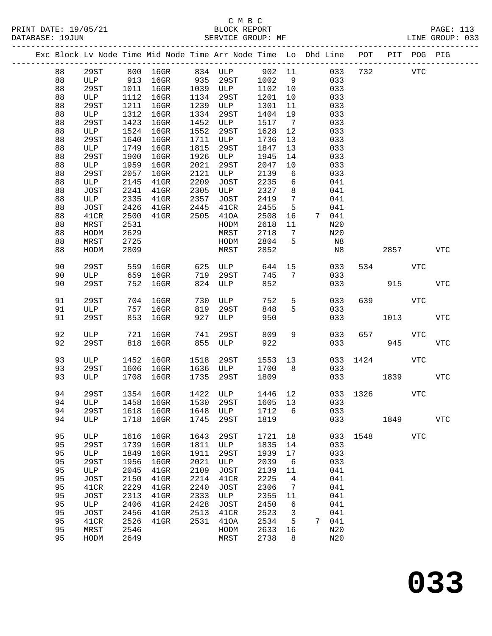|  |          |              |              |                    |              |              |              |                 | Exc Block Lv Node Time Mid Node Time Arr Node Time Lo Dhd Line POT PIT POG PIG |          |            |            |             |
|--|----------|--------------|--------------|--------------------|--------------|--------------|--------------|-----------------|--------------------------------------------------------------------------------|----------|------------|------------|-------------|
|  | 88       | 29ST         |              |                    |              |              |              |                 | 033                                                                            | 732      | <b>VTC</b> |            |             |
|  | 88       | ULP          |              |                    |              |              |              |                 | 033                                                                            |          |            |            |             |
|  | 88       | 29ST         | 1011         | $16$ GR            |              | 1039 ULP     | 1102 10      |                 | 033                                                                            |          |            |            |             |
|  | 88       | ULP          | 1112         | $16$ GR            | 1134         | 29ST         | 1201         | 10              | 033                                                                            |          |            |            |             |
|  | 88       | 29ST         | 1211         | $16$ GR            | 1239         | ULP          | 1301         | 11              | 033                                                                            |          |            |            |             |
|  | 88       | ULP          | 1312         | $16$ GR            | 1334         | 29ST         | 1404         | 19              | 033                                                                            |          |            |            |             |
|  | 88       | 29ST         | 1423         | $16$ GR            | 1452         | ULP          | 1517         | $\overline{7}$  | 033                                                                            |          |            |            |             |
|  | 88       | ULP          | 1524         | 16GR               | 1552         | 29ST         | 1628         | 12              | 033                                                                            |          |            |            |             |
|  | 88       | 29ST         | 1640         | $16$ GR            | 1711         | ULP          | 1736         | 13              | 033                                                                            |          |            |            |             |
|  | 88       | ULP          | 1749         | $16$ GR            | 1815         | 29ST         | 1847         | 13              | 033                                                                            |          |            |            |             |
|  | 88       | 29ST         | 1900         | $16$ GR            | 1926         | ULP          | 1945         | 14              | 033                                                                            |          |            |            |             |
|  | 88       | ULP          | 1959         | $16$ GR            | 2021         | 29ST         | 2047         | 10              | 033                                                                            |          |            |            |             |
|  | 88       | 29ST         | 2057         | $16$ GR            | 2121         | ULP          | 2139         | 6               | 033                                                                            |          |            |            |             |
|  | 88       | ULP          | 2145         | $41$ GR            | 2209         | JOST         | 2235         | 6               | 041                                                                            |          |            |            |             |
|  | 88       | JOST         | 2241         | $41$ GR            | 2305         | ULP          | 2327         | 8               | 041                                                                            |          |            |            |             |
|  | 88       | ULP          | 2335         | $41$ GR            | 2357         | JOST         | 2419         | $7\phantom{.0}$ | 041                                                                            |          |            |            |             |
|  | 88       | JOST         | 2426         | $41$ GR            | 2445         | 41CR         | 2455         | 5               | 041                                                                            |          |            |            |             |
|  | 88       | 41CR         | 2500         | $41$ GR            | 2505         | 410A         | 2508         | 16              | 7 041                                                                          |          |            |            |             |
|  | 88       | MRST         | 2531         |                    |              | HODM         | 2618         | 11              | N20                                                                            |          |            |            |             |
|  | 88       | HODM         | 2629         |                    |              | MRST         | 2718         | $\overline{7}$  | N20                                                                            |          |            |            |             |
|  | 88       | MRST         | 2725         |                    |              | HODM         | 2804         | 5               | $_{\rm N8}$                                                                    |          |            |            |             |
|  | 88       | HODM         | 2809         |                    |              | MRST         | 2852         |                 | N8                                                                             |          | 2857       |            | VTC         |
|  | 90       | 29ST         | 559          | 16GR               |              | 625 ULP      | 644          | 15              | 033                                                                            |          | 534        | VTC        |             |
|  | 90       | ULP          | 659          | $16$ GR            | 719          | 29ST         | 745          | $7\phantom{.0}$ | 033                                                                            |          |            |            |             |
|  | 90       | 29ST         | 752          | 16GR               | 824          | ULP          | 852          |                 | 033                                                                            |          | 915        |            | <b>VTC</b>  |
|  |          |              |              |                    |              |              |              |                 |                                                                                |          |            |            |             |
|  | 91       | 29ST         | 704          | 16GR               | 730          | ULP          | 752          | $5^{\circ}$     | 033                                                                            |          | 639        | VTC        |             |
|  | 91       | ULP          | 757          | $16$ GR            | 819          | 29ST         | 848          | 5               | 033                                                                            |          |            |            |             |
|  | 91       | 29ST         | 853          | $16$ GR            | 927          | ULP          | 950          |                 | 033                                                                            |          | 1013       |            | VTC         |
|  | 92       | ULP          | 721          | 16GR               | 741          | 29ST         | 809          | 9               | 033                                                                            | 657      |            | VTC        |             |
|  | 92       | 29ST         | 818          | $16$ GR            | 855          | ULP          | 922          |                 | 033                                                                            |          | 945        |            | ${\tt VTC}$ |
|  |          |              |              |                    |              |              |              |                 |                                                                                |          |            |            |             |
|  | 93       | ULP          | 1452         | $16$ GR            | 1518         | 29ST         | 1553 13      |                 | 033                                                                            |          | 1424       | VTC        |             |
|  | 93       | 29ST         | 1606         | $16$ GR            | 1636         | ULP          | 1700         | 8 <sup>8</sup>  | 033                                                                            |          |            |            |             |
|  | 93       | ULP          | 1708         | $16$ GR            | 1735         | 29ST         | 1809         |                 |                                                                                | 033 1839 |            |            | VTC         |
|  |          |              |              |                    |              |              | 1446 12      |                 |                                                                                |          |            |            |             |
|  | 94       | 29ST         |              | 1354 16GR          |              | 1422 ULP     |              |                 | 94 ULP 1458 16GR 1530 29ST 1605 13 033                                         | 033 1326 |            | <b>VTC</b> |             |
|  | 94       | 29ST         |              |                    |              |              | 1712         | 6               | 033                                                                            |          |            |            |             |
|  | 94       | ULP          | 1618<br>1718 | $16$ GR<br>$16$ GR | 1648<br>1745 | ULP<br>29ST  | 1819         |                 | 033                                                                            |          | 1849       |            | <b>VTC</b>  |
|  |          |              |              |                    |              |              |              |                 |                                                                                |          |            |            |             |
|  | 95       | ULP          | 1616         | $16$ GR            | 1643         | 29ST         | 1721         | 18              |                                                                                | 033 1548 |            | <b>VTC</b> |             |
|  | 95       | 29ST         | 1739         | $16$ GR            | 1811         | ULP          | 1835         | 14              | 033                                                                            |          |            |            |             |
|  | 95       | ULP          | 1849         | $16$ GR            | 1911         | 29ST         | 1939         | 17              | 033                                                                            |          |            |            |             |
|  | 95       | 29ST         | 1956         | $16$ GR            | 2021         | ULP          | 2039         | 6               | 033                                                                            |          |            |            |             |
|  | 95       | ULP          | 2045         | $41$ GR            | 2109         | JOST         | 2139         | 11              | 041                                                                            |          |            |            |             |
|  | 95       | JOST         | 2150         | $41$ GR            | 2214         | 41CR         | 2225         | 4               | 041                                                                            |          |            |            |             |
|  | 95       | 41CR         | 2229         | $41$ GR            | 2240         | JOST         | 2306         | 7               | 041                                                                            |          |            |            |             |
|  | 95       | <b>JOST</b>  | 2313         | $41$ GR            | 2333         | ULP          | 2355         | 11              | 041                                                                            |          |            |            |             |
|  | 95       | ULP          | 2406         | $41$ GR            | 2428         | JOST         | 2450         | 6               | 041                                                                            |          |            |            |             |
|  | 95       | JOST         | 2456         | $41$ GR            | 2513         | 41CR         | 2523         | 3               | 041                                                                            |          |            |            |             |
|  | 95<br>95 | 41CR<br>MRST | 2526<br>2546 | $41$ GR            | 2531         | 410A<br>HODM | 2534<br>2633 | 5<br>16         | 041<br>7<br>N20                                                                |          |            |            |             |
|  | 95       | HODM         | 2649         |                    |              | MRST         | 2738         | 8               | N20                                                                            |          |            |            |             |
|  |          |              |              |                    |              |              |              |                 |                                                                                |          |            |            |             |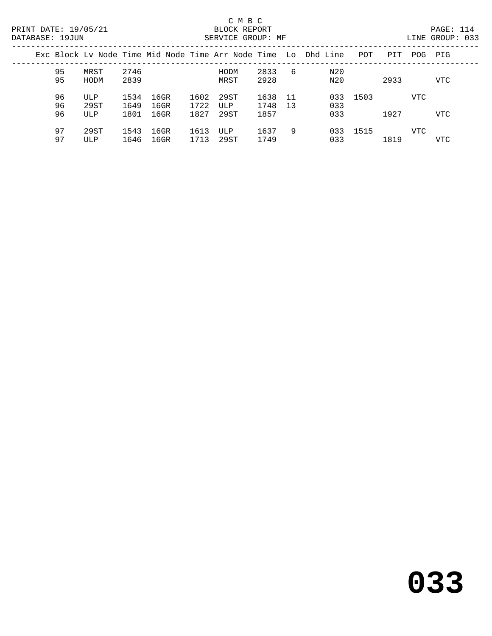PAGE: 114<br>LINE GROUP: 033

|  | DATABASE: 19JUN |                    |                      |                      |                      | SERVICE GROUP: MF   |                      |           |                                                                |      |      |      | LINE GROUP: 033 |  |
|--|-----------------|--------------------|----------------------|----------------------|----------------------|---------------------|----------------------|-----------|----------------------------------------------------------------|------|------|------|-----------------|--|
|  |                 |                    |                      |                      |                      |                     |                      |           | Exc Block Ly Node Time Mid Node Time Arr Node Time Lo Dhd Line | POT  | PIT  | POG- | PIG             |  |
|  | 95<br>95        | MRST<br>HODM       | 2746<br>2839         |                      |                      | HODM<br>MRST        | 2833<br>2928         | -6        | N20<br>N20                                                     |      | 2933 |      | <b>VTC</b>      |  |
|  | 96<br>96<br>96  | ULP<br>29ST<br>ULP | 1534<br>1649<br>1801 | 16GR<br>16GR<br>16GR | 1602<br>1722<br>1827 | 29ST<br>ULP<br>29ST | 1638<br>1748<br>1857 | -11<br>13 | 033<br>033<br>033                                              | 1503 | 1927 | VTC  | VTC             |  |

 97 29ST 1543 16GR 1613 ULP 1637 9 033 1515 VTC 97 ULP 1646 16GR 1713 29ST 1749 033 1819 VTC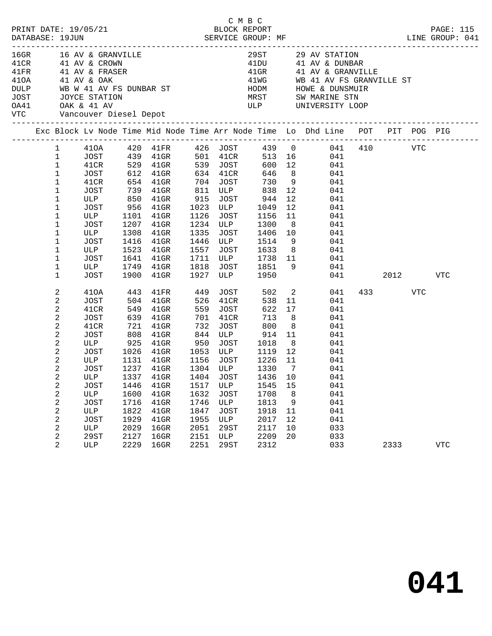| PRINT DATE: 19/05/21<br>DATABASE: 19JUN                                                                                                                                                         |                                                                                                                                                  |                                                                                                                                                      |                                                                            | 5/21 BLOCK REPORT<br>SERVICE GROUP: MF                                                                                                                                                                            |                                                                            |                                                                                                                      | C M B C                                                                                                                      |                                                                                                  |                                                                                                                                                                                                                                                                                                                                                                                                                                                     |     |                 | PAGE: 115<br>LINE GROUP: 041 |
|-------------------------------------------------------------------------------------------------------------------------------------------------------------------------------------------------|--------------------------------------------------------------------------------------------------------------------------------------------------|------------------------------------------------------------------------------------------------------------------------------------------------------|----------------------------------------------------------------------------|-------------------------------------------------------------------------------------------------------------------------------------------------------------------------------------------------------------------|----------------------------------------------------------------------------|----------------------------------------------------------------------------------------------------------------------|------------------------------------------------------------------------------------------------------------------------------|--------------------------------------------------------------------------------------------------|-----------------------------------------------------------------------------------------------------------------------------------------------------------------------------------------------------------------------------------------------------------------------------------------------------------------------------------------------------------------------------------------------------------------------------------------------------|-----|-----------------|------------------------------|
| 16GR 16 AV & GRANVILLE<br>41CR 41 AV & CROWN<br>41FR 41 AV & FRASER<br>410A 41 AV & OAK<br>DULP WB W 41 AV FS DUNBAR ST<br>JOST JOYCE STATION<br>0A41 OAK & 41 AV<br>VTC Vancouver Diesel Depot |                                                                                                                                                  |                                                                                                                                                      |                                                                            |                                                                                                                                                                                                                   |                                                                            |                                                                                                                      |                                                                                                                              |                                                                                                  | 29ST 29 AV STATION<br>$\begin{tabular}{llll} 41DU & 41 AV & & DUNBAR \\ 41GR & 41 AV & & GRANVILLE \end{tabular}$<br>41WG WB 41 AV FS GRANVILLE ST<br>HODM HOWE & DUNSMUIR<br>MRST       SW MARINE STN<br>ULP       UNIVERSITY LOOP                                                                                                                                                                                                                 |     |                 |                              |
|                                                                                                                                                                                                 |                                                                                                                                                  |                                                                                                                                                      |                                                                            |                                                                                                                                                                                                                   |                                                                            |                                                                                                                      |                                                                                                                              |                                                                                                  | Exc Block Lv Node Time Mid Node Time Arr Node Time Lo Dhd Line POT PIT POG PIG                                                                                                                                                                                                                                                                                                                                                                      |     |                 |                              |
|                                                                                                                                                                                                 | $\mathbf{1}$<br>$\mathbf{1}$<br>$\mathbf 1$<br>$\mathbf{1}$<br>$\mathbf 1$<br>1<br>1<br>1<br>1<br>1<br>1<br>$\mathbf 1$<br>$\mathbf 1$<br>1<br>1 | JOST<br>JOST<br>ULP<br>JOST<br>ULP<br>JOST<br>ULP<br>JOST                                                                                            | 1308<br>1416<br>1900                                                       | 739 41GR 811 ULP 838 12<br>ULP 850 41GR 915 JOST 944 12<br>JOST 956 41GR 1023 ULP 1049 12<br>ULP 1101 41GR 1126 JOST 1156 11<br>1207 41GR<br>$41$ GR<br>$41$ GR<br>1523 41GR<br>1641 41GR<br>1749 41GR<br>$41$ GR |                                                                            |                                                                                                                      | 1234 ULP 1300 8                                                                                                              |                                                                                                  | 1   410A   420   41FR   426   JOST   439   0   041   410   VTC<br>$\begin{tabular}{cccccc} JOST & 439 & 41GR & 501 & 41CR & 513 & 16 & 041 \\ 41CR & 529 & 41GR & 539 & JOST & 600 & 12 & 041 \\ JOST & 612 & 41GR & 634 & 41CR & 646 & 8 & 041 \\ 41CR & 654 & 41GR & 704 & JOST & 730 & 9 & 041 \end{tabular}$<br>041<br>041<br>041<br>041<br>041<br>1335 JOST 1406 10 041<br>1446 ULP 1514 9 041<br>1557 JOST 1633 8 041<br>1711 ULP 1738 11 041 | 041 | 2012 2013       | VTC                          |
|                                                                                                                                                                                                 | 2<br>2<br>2<br>2<br>2<br>2<br>2<br>2<br>2<br>$\overline{a}$<br>$\overline{a}$<br>2<br>2<br>2<br>2<br>2<br>2<br>2<br>2                            | 410A<br>JOST<br>41CR<br>JOST<br>41CR<br><b>JOST</b><br><b>ULP</b><br>JOST<br>ULP<br><b>JOST</b><br>ULP<br><b>JOST</b><br>$_{\rm ULP}$<br>29ST<br>ULP | 443<br>808<br>1446<br>1600<br>1716<br>1822<br>1929<br>2029<br>2127<br>2229 | 41FR 449<br>504 41GR<br>721 41GR<br>ULP 1131 41GR 1156 JOST 1226 11<br>1237 41GR<br>1337 41GR 1404 JOST 1436 10<br>$41$ GR<br>$41$ GR<br>$41$ GR<br>$41$ GR<br>$41$ GR<br>16GR<br>16GR<br>16GR                    | 526<br>732<br>1517<br>1632<br>1746<br>1847<br>1955<br>2051<br>2151<br>2251 | 41CR<br>559 JOST<br>701 41CR<br>ULP<br><b>JOST</b><br>ULP<br><b>JOST</b><br>ULP<br><b>29ST</b><br>ULP<br><b>29ST</b> | JOST 502 2<br>538<br>622<br>713<br>JOST 800<br>1304 ULP 1330<br>1545<br>1708<br>1813<br>1918<br>2017<br>2117<br>2209<br>2312 | 17<br>8 <sup>8</sup><br>8 <sup>8</sup><br>$\overline{7}$<br>15<br>8<br>9<br>11<br>12<br>10<br>20 | 041<br>11<br>041<br>041<br>041<br>041<br>$\begin{tabular}{cccccc} JOST & 808 & 41GR & 844 & ULP & 914 & 11 & 041 \\ \text{ULP} & 925 & 41GR & 950 & JOST & 1018 & 8 & 041 \\ JOST & 1026 & 41GR & 1053 & ULP & 1119 & 12 & 041 \end{tabular}$<br>041<br>041<br>041<br>041<br>041<br>041<br>041<br>041<br>033<br>033<br>033                                                                                                                          |     | 433 VTC<br>2333 | <b>VTC</b>                   |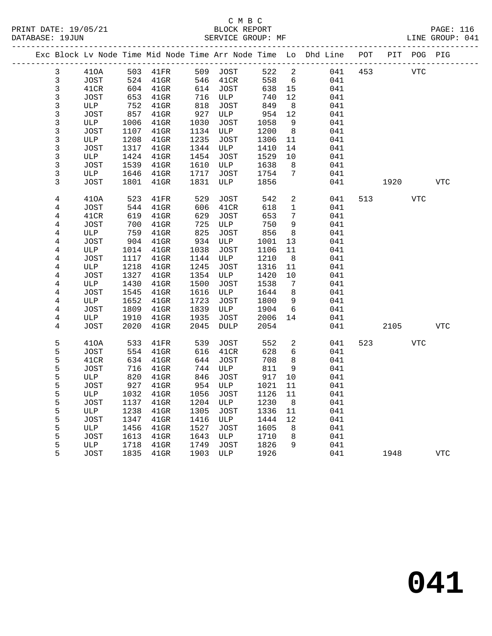|                |             |      |                 |      |             |      |                         | Exc Block Lv Node Time Mid Node Time Arr Node Time Lo Dhd Line POT PIT POG PIG |     |      |            |            |
|----------------|-------------|------|-----------------|------|-------------|------|-------------------------|--------------------------------------------------------------------------------|-----|------|------------|------------|
| 3              | 410A        |      | 503 41FR        |      | 509 JOST    | 522  | $\overline{\mathbf{c}}$ | 041                                                                            | 453 |      | <b>VTC</b> |            |
| $\mathbf{3}$   | <b>JOST</b> | 524  | $41$ GR         | 546  | 41CR        | 558  | $6\overline{6}$         | 041                                                                            |     |      |            |            |
| $\mathfrak{Z}$ | 41CR        | 604  | 41GR            | 614  | JOST        | 638  | 15                      | 041                                                                            |     |      |            |            |
| 3              | JOST        | 653  | $41$ GR         | 716  | ULP         | 740  | 12                      | 041                                                                            |     |      |            |            |
| 3              | ULP         | 752  | $41$ GR         | 818  | JOST        | 849  | 8                       | 041                                                                            |     |      |            |            |
| 3              | JOST        | 857  | 41GR            | 927  | ULP         | 954  | 12                      | 041                                                                            |     |      |            |            |
| 3              | ULP         | 1006 | 41GR            | 1030 | JOST        | 1058 | 9                       | 041                                                                            |     |      |            |            |
| 3              | <b>JOST</b> | 1107 | $41$ GR         | 1134 | ULP         | 1200 | 8                       | 041                                                                            |     |      |            |            |
| 3              | ULP         | 1208 | $41$ GR         | 1235 | JOST        | 1306 | 11                      | 041                                                                            |     |      |            |            |
| 3              | <b>JOST</b> | 1317 | $41$ GR         | 1344 | ULP         | 1410 | 14                      | 041                                                                            |     |      |            |            |
| 3              | ULP         | 1424 | $41$ GR         | 1454 | JOST        | 1529 | 10                      | 041                                                                            |     |      |            |            |
| $\mathsf{3}$   | <b>JOST</b> | 1539 | $41$ GR         | 1610 | ULP         | 1638 | 8                       | 041                                                                            |     |      |            |            |
| 3              | ULP         | 1646 | $41$ GR         | 1717 | JOST        | 1754 | 7                       | 041                                                                            |     |      |            |            |
| 3              | <b>JOST</b> | 1801 | $41$ GR         | 1831 | ULP         | 1856 |                         | 041                                                                            |     | 1920 |            | <b>VTC</b> |
| $\overline{4}$ | 410A        | 523  | 41FR            | 529  | <b>JOST</b> | 542  | $\overline{a}$          | 041                                                                            | 513 |      | <b>VTC</b> |            |
| 4              | JOST        | 544  | $41$ GR         | 606  | 41CR        | 618  | $\mathbf{1}$            | 041                                                                            |     |      |            |            |
| 4              | 41CR        | 619  | $41$ GR         | 629  | JOST        | 653  | $7\phantom{.}$          | 041                                                                            |     |      |            |            |
| 4              | JOST        | 700  | 41GR            | 725  | ULP         | 750  | 9                       | 041                                                                            |     |      |            |            |
| 4              | ULP         | 759  | 41GR            | 825  | JOST        | 856  | 8                       | 041                                                                            |     |      |            |            |
| $\overline{4}$ | JOST        | 904  | $41$ GR         | 934  | ULP         | 1001 | 13                      | 041                                                                            |     |      |            |            |
| 4              | ULP         | 1014 | $41$ GR         | 1038 | JOST        | 1106 | 11                      | 041                                                                            |     |      |            |            |
| $\overline{4}$ | <b>JOST</b> | 1117 | $41$ GR         | 1144 | ULP         | 1210 | 8                       | 041                                                                            |     |      |            |            |
| 4              | ULP         | 1218 | $41$ GR         | 1245 | JOST        | 1316 | 11                      | 041                                                                            |     |      |            |            |
| 4              | JOST        | 1327 | $41$ GR         | 1354 | ULP         | 1420 | 10                      | 041                                                                            |     |      |            |            |
| 4              | ULP         | 1430 | $41$ GR         | 1500 | JOST        | 1538 | 7                       | 041                                                                            |     |      |            |            |
| 4              | <b>JOST</b> | 1545 | $41$ GR         | 1616 | ULP         | 1644 | 8                       | 041                                                                            |     |      |            |            |
| $\overline{4}$ | ULP         | 1652 | $41$ GR         | 1723 | JOST        | 1800 | 9                       | 041                                                                            |     |      |            |            |
| $\overline{4}$ | JOST        | 1809 | $41$ GR         | 1839 | ULP         | 1904 | 6                       | 041                                                                            |     |      |            |            |
| 4              | ULP         | 1910 | $41$ GR         | 1935 | JOST        | 2006 | 14                      | 041                                                                            |     |      |            |            |
| 4              | JOST        | 2020 | $41$ GR         | 2045 | DULP        | 2054 |                         | 041                                                                            |     | 2105 |            | <b>VTC</b> |
| 5              | 410A        | 533  | $41\mathrm{FR}$ | 539  | JOST        | 552  | $\overline{2}$          | 041                                                                            | 523 |      | VTC        |            |
| 5              | <b>JOST</b> | 554  | $41$ GR         | 616  | 41CR        | 628  | 6                       | 041                                                                            |     |      |            |            |
| 5              | 41CR        | 634  | $41$ GR         | 644  | <b>JOST</b> | 708  | 8                       | 041                                                                            |     |      |            |            |
| 5              | <b>JOST</b> | 716  | $41$ GR         | 744  | ULP         | 811  | 9                       | 041                                                                            |     |      |            |            |
| 5              | ULP         | 820  | $41$ GR         | 846  | JOST        | 917  | 10                      | 041                                                                            |     |      |            |            |
| 5              | <b>JOST</b> | 927  | $41$ GR         | 954  | ULP         | 1021 | 11                      | 041                                                                            |     |      |            |            |
| 5              | ULP         | 1032 | $41$ GR         | 1056 | JOST        | 1126 | 11                      | 041                                                                            |     |      |            |            |
| 5              | <b>JOST</b> | 1137 | 41GR            | 1204 | ULP         | 1230 | 8                       | 041                                                                            |     |      |            |            |
| 5              | ULP         | 1238 | $41$ GR         | 1305 | JOST        | 1336 | 11                      | 041                                                                            |     |      |            |            |
| 5              | JOST        | 1347 | $41$ GR         | 1416 | ULP         | 1444 | 12                      | 041                                                                            |     |      |            |            |
| 5              | ULP         | 1456 | $41$ GR         | 1527 | JOST        | 1605 | 8                       | 041                                                                            |     |      |            |            |
| 5              | JOST        | 1613 | $41$ GR         | 1643 | ULP         | 1710 | 8                       | 041                                                                            |     |      |            |            |
| 5              | ULP         | 1718 | 41GR            | 1749 | JOST        | 1826 | 9                       | 041                                                                            |     |      |            |            |
| 5              | <b>JOST</b> | 1835 | $41$ GR         | 1903 | ULP         | 1926 |                         | 041                                                                            |     | 1948 |            | <b>VTC</b> |
|                |             |      |                 |      |             |      |                         |                                                                                |     |      |            |            |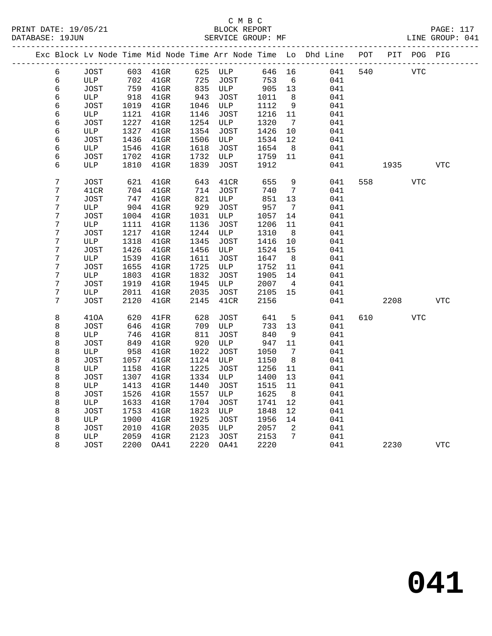|                  |             |      |          |      |             |        |                              | Exc Block Lv Node Time Mid Node Time Arr Node Time Lo Dhd Line POT |     |            | PIT POG PIG |            |  |
|------------------|-------------|------|----------|------|-------------|--------|------------------------------|--------------------------------------------------------------------|-----|------------|-------------|------------|--|
| 6                | JOST        |      | 603 41GR |      | 625 ULP     | 646 16 |                              | 041                                                                | 540 | <b>VTC</b> |             |            |  |
| 6                | ULP         | 702  | $41$ GR  | 725  | JOST        | 753    | - 6                          | 041                                                                |     |            |             |            |  |
| 6                | JOST        | 759  | $41$ GR  | 835  | ULP         | 905    | 13                           | 041                                                                |     |            |             |            |  |
| 6                | ULP         | 918  | $41$ GR  | 943  | JOST        | 1011   | 8                            | 041                                                                |     |            |             |            |  |
| 6                | JOST        | 1019 | $41$ GR  | 1046 | ULP         | 1112   | 9                            | 041                                                                |     |            |             |            |  |
| 6                | ULP         | 1121 | $41$ GR  | 1146 | JOST        | 1216   | 11                           | 041                                                                |     |            |             |            |  |
| 6                | JOST        | 1227 | $41$ GR  | 1254 | ULP         | 1320   | $7\phantom{.0}\phantom{.0}7$ | 041                                                                |     |            |             |            |  |
| 6                | ULP         | 1327 | $41$ GR  | 1354 | JOST        | 1426   | 10                           | 041                                                                |     |            |             |            |  |
| 6                | JOST        | 1436 | $41$ GR  | 1506 | ULP         | 1534   | 12                           | 041                                                                |     |            |             |            |  |
| 6                | ULP         | 1546 | $41$ GR  | 1618 | JOST        | 1654   | 8 <sup>8</sup>               | 041                                                                |     |            |             |            |  |
| 6                | JOST        | 1702 | $41$ GR  | 1732 | ULP         | 1759   | 11                           | 041                                                                |     |            |             |            |  |
| 6                | ULP         | 1810 | $41$ GR  | 1839 | JOST        | 1912   |                              | 041                                                                |     | 1935       |             | VTC        |  |
| 7                | JOST        | 621  | $41$ GR  | 643  | 41CR        | 655    | 9                            | 041                                                                | 558 |            | <b>VTC</b>  |            |  |
| $\overline{7}$   | 41CR        | 704  | $41$ GR  | 714  | <b>JOST</b> | 740    | $\overline{7}$               | 041                                                                |     |            |             |            |  |
| 7                | JOST        | 747  | $41$ GR  | 821  | ULP         | 851    | 13                           | 041                                                                |     |            |             |            |  |
| $\boldsymbol{7}$ | ULP         | 904  | $41$ GR  | 929  | JOST        | 957    | $\overline{7}$               | 041                                                                |     |            |             |            |  |
| 7                | JOST        | 1004 | $41$ GR  | 1031 | ULP         | 1057   | 14                           | 041                                                                |     |            |             |            |  |
| 7                | ULP         | 1111 | $41$ GR  | 1136 | JOST        | 1206   | 11                           | 041                                                                |     |            |             |            |  |
| 7                | JOST        | 1217 | $41$ GR  | 1244 | ULP         | 1310   | 8 <sup>8</sup>               | 041                                                                |     |            |             |            |  |
| 7                | ULP         | 1318 | $41$ GR  | 1345 | <b>JOST</b> | 1416   | 10                           | 041                                                                |     |            |             |            |  |
| 7                | JOST        | 1426 | $41$ GR  | 1456 | ULP         | 1524   | 15                           | 041                                                                |     |            |             |            |  |
| 7                | ULP         | 1539 | $41$ GR  | 1611 | JOST        | 1647   | 8                            | 041                                                                |     |            |             |            |  |
| 7                | JOST        | 1655 | $41$ GR  | 1725 | ULP         | 1752   | 11                           | 041                                                                |     |            |             |            |  |
| 7                | ULP         | 1803 | $41$ GR  | 1832 | JOST        | 1905   | 14                           | 041                                                                |     |            |             |            |  |
| $\overline{7}$   | <b>JOST</b> | 1919 | $41$ GR  | 1945 | ULP         | 2007   | $\overline{4}$               | 041                                                                |     |            |             |            |  |
| 7                | ULP         | 2011 | $41$ GR  | 2035 | JOST        | 2105   | 15                           | 041                                                                |     |            |             |            |  |
| 7                | JOST        | 2120 | $41$ GR  | 2145 | 41CR        | 2156   |                              | 041                                                                |     | 2208       |             | <b>VTC</b> |  |
| 8                | 410A        | 620  | 41FR     | 628  | JOST        | 641    | 5                            | 041                                                                | 610 |            | <b>VTC</b>  |            |  |
| 8                | JOST        | 646  | $41$ GR  | 709  | ULP         | 733    | 13                           | 041                                                                |     |            |             |            |  |
| 8                | ULP         | 746  | $41$ GR  | 811  | JOST        | 840    | 9                            | 041                                                                |     |            |             |            |  |
| 8                | JOST        | 849  | 41GR     | 920  | ULP         | 947    | 11                           | 041                                                                |     |            |             |            |  |
| 8                | ULP         | 958  | $41$ GR  | 1022 | <b>JOST</b> | 1050   | $7\phantom{.0}\phantom{.0}7$ | 041                                                                |     |            |             |            |  |
| 8                | JOST        | 1057 | $41$ GR  | 1124 | ULP         | 1150   | 8                            | 041                                                                |     |            |             |            |  |
| 8                | ULP         | 1158 | $41$ GR  | 1225 | <b>JOST</b> | 1256   | 11                           | 041                                                                |     |            |             |            |  |
| 8                | <b>JOST</b> | 1307 | $41$ GR  | 1334 | ULP         | 1400   | 13                           | 041                                                                |     |            |             |            |  |
| 8                | ULP         | 1413 | $41$ GR  | 1440 | JOST        | 1515   | 11                           | 041                                                                |     |            |             |            |  |
| 8                | JOST        | 1526 | $41$ GR  | 1557 | ULP         | 1625   | 8 <sup>8</sup>               | 041                                                                |     |            |             |            |  |
| 8                | ULP         | 1633 | $41$ GR  | 1704 | JOST        | 1741   | 12                           | 041                                                                |     |            |             |            |  |
| 8                | <b>JOST</b> | 1753 | $41$ GR  | 1823 | ULP         | 1848   | 12                           | 041                                                                |     |            |             |            |  |
| 8                | ULP         | 1900 | $41$ GR  | 1925 | JOST        | 1956   | 14                           | 041                                                                |     |            |             |            |  |
| 8                | JOST        | 2010 | $41$ GR  | 2035 | ULP         | 2057   | 2                            | 041                                                                |     |            |             |            |  |
| 8                | ULP         | 2059 | 41GR     | 2123 | JOST        | 2153   | 7                            | 041                                                                |     |            |             |            |  |
| 8                | <b>JOST</b> | 2200 | OA41     | 2220 | OA41        | 2220   |                              | 041                                                                |     | 2230       |             | <b>VTC</b> |  |
|                  |             |      |          |      |             |        |                              |                                                                    |     |            |             |            |  |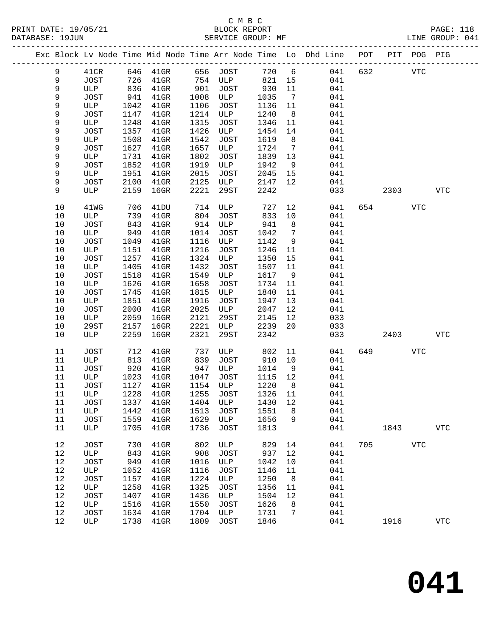|             |                  |      |                                 |      |             |       |                              | Exc Block Lv Node Time Mid Node Time Arr Node Time Lo Dhd Line POT PIT POG PIG |     |      |            |              |
|-------------|------------------|------|---------------------------------|------|-------------|-------|------------------------------|--------------------------------------------------------------------------------|-----|------|------------|--------------|
| 9           | 41CR             |      | 646 41GR                        |      | 656 JOST    | 720 6 |                              | 041                                                                            | 632 |      | <b>VTC</b> |              |
| 9           | JOST             | 726  | $41$ GR                         | 754  | ULP         | 821   | 15                           | 041                                                                            |     |      |            |              |
| $\mathsf 9$ | ULP              | 836  | $41$ GR                         | 901  | JOST        | 930   | 11                           | 041                                                                            |     |      |            |              |
| 9           | JOST             | 941  | 41GR                            | 1008 | ULP         | 1035  | $7\phantom{.0}\phantom{.0}7$ | 041                                                                            |     |      |            |              |
| 9           | ULP              | 1042 | $41$ GR                         | 1106 | JOST        | 1136  | 11                           | 041                                                                            |     |      |            |              |
| 9           | JOST             | 1147 | $41$ GR                         | 1214 | ULP         | 1240  | 8 <sup>8</sup>               | 041                                                                            |     |      |            |              |
| 9           | ULP              | 1248 | $41$ GR                         | 1315 | JOST        | 1346  | 11                           | 041                                                                            |     |      |            |              |
| 9           | JOST             | 1357 | $41$ GR                         | 1426 | ULP         | 1454  | 14                           | 041                                                                            |     |      |            |              |
| 9           | ULP              | 1508 | $41$ GR                         | 1542 | JOST        | 1619  | 8 <sup>8</sup>               | 041                                                                            |     |      |            |              |
| 9           | JOST             | 1627 | $41$ GR                         | 1657 | ULP         | 1724  | 7                            | 041                                                                            |     |      |            |              |
| 9           | ULP              | 1731 | $41$ GR                         | 1802 | JOST        | 1839  | 13                           | 041                                                                            |     |      |            |              |
| 9           | JOST             | 1852 | $41$ GR                         | 1919 | ULP         | 1942  | 9                            | 041                                                                            |     |      |            |              |
| 9           | ULP              | 1951 | $41$ GR                         | 2015 | JOST        | 2045  | 15                           | 041                                                                            |     |      |            |              |
| 9           | JOST             | 2100 | $41$ GR                         | 2125 | ULP         | 2147  | 12                           | 041                                                                            |     |      |            |              |
| 9           | ULP              | 2159 | $16$ GR                         | 2221 | 29ST        | 2242  |                              | 033                                                                            |     | 2303 |            | <b>VTC</b>   |
| $10$        | 41 <sub>WG</sub> | 706  | 41DU                            | 714  | ULP         | 727   | 12                           | 041                                                                            | 654 |      | <b>VTC</b> |              |
| 10          | ULP              | 739  | 41GR                            | 804  | JOST        | 833   | 10                           | 041                                                                            |     |      |            |              |
| $10$        | JOST             | 843  | $41$ GR                         | 914  | ULP         | 941   | 8                            | 041                                                                            |     |      |            |              |
| 10          | ULP              | 949  | $41$ GR                         | 1014 | JOST        | 1042  | $7\phantom{.0}$              | 041                                                                            |     |      |            |              |
| $10$        | JOST             | 1049 | $41$ GR                         | 1116 | ULP         | 1142  | 9                            | 041                                                                            |     |      |            |              |
| 10          | ULP              | 1151 | $41$ GR                         | 1216 | JOST        | 1246  | 11                           | 041                                                                            |     |      |            |              |
| 10          | JOST             | 1257 | $41$ GR                         | 1324 | ULP         | 1350  | 15                           | 041                                                                            |     |      |            |              |
| $10$        | ULP              | 1405 | $41$ GR                         | 1432 | JOST        | 1507  | 11                           | 041                                                                            |     |      |            |              |
| $10$        | JOST             | 1518 | $41$ GR                         | 1549 | ULP         | 1617  | 9                            | 041                                                                            |     |      |            |              |
| 10          | ULP              | 1626 | $41$ GR                         | 1658 | JOST        | 1734  | 11                           | 041                                                                            |     |      |            |              |
| 10          | JOST             | 1745 | $41$ GR                         | 1815 | ULP         | 1840  | 11                           | 041                                                                            |     |      |            |              |
| 10          | ULP              | 1851 | $41$ GR                         | 1916 | <b>JOST</b> | 1947  | 13                           | 041                                                                            |     |      |            |              |
| $10$        | JOST             | 2000 | $41$ GR                         | 2025 | ULP         | 2047  | 12                           | 041                                                                            |     |      |            |              |
| $10$        | ULP              | 2059 | $16$ GR                         | 2121 | 29ST        | 2145  | 12                           | 033                                                                            |     |      |            |              |
| 10          | 29ST             | 2157 | $16$ GR                         | 2221 | ULP         | 2239  | 20                           | 033                                                                            |     |      |            |              |
| 10          | ULP              | 2259 | $16$ GR                         | 2321 | 29ST        | 2342  |                              | 033                                                                            |     | 2403 |            | <b>VTC</b>   |
| 11          | JOST             | 712  | $41$ GR                         | 737  | ULP         | 802   | 11                           | 041                                                                            | 649 |      | <b>VTC</b> |              |
| 11          | ULP              | 813  | $41$ GR                         | 839  | <b>JOST</b> | 910   | 10                           | 041                                                                            |     |      |            |              |
| 11          | JOST             | 920  | $41$ GR                         | 947  | ULP         | 1014  | 9                            | 041                                                                            |     |      |            |              |
| 11          | ULP              | 1023 | 41GR                            | 1047 | JOST        | 1115  | 12                           | 041                                                                            |     |      |            |              |
| 11          | JOST             | 1127 | 41GR                            | 1154 | ULP         | 1220  | 8 <sup>8</sup>               | 041                                                                            |     |      |            |              |
| 11          | ULP              | 1228 | $41$ GR                         | 1255 | JOST        | 1326  | 11                           | 041                                                                            |     |      |            |              |
| 11          |                  |      | JOST 1337 41GR 1404 ULP 1430 12 |      |             |       |                              | 041                                                                            |     |      |            |              |
| 11          | ULP              | 1442 | $41$ GR                         | 1513 | JOST        | 1551  | 8                            | 041                                                                            |     |      |            |              |
| 11          | JOST             | 1559 | $41$ GR                         | 1629 | ULP         | 1656  | 9                            | 041                                                                            |     |      |            |              |
| 11          | ULP              | 1705 | $41$ GR                         | 1736 | JOST        | 1813  |                              | 041                                                                            |     | 1843 |            | $_{\rm VTC}$ |
| 12          | <b>JOST</b>      | 730  | $41$ GR                         | 802  | ULP         | 829   | 14                           | 041                                                                            | 705 |      | <b>VTC</b> |              |
| 12          | ULP              | 843  | $41$ GR                         | 908  | <b>JOST</b> | 937   | 12                           | 041                                                                            |     |      |            |              |
| 12          | JOST             | 949  | $41$ GR                         | 1016 | ULP         | 1042  | 10                           | 041                                                                            |     |      |            |              |
| 12          | ULP              | 1052 | $41$ GR                         | 1116 | <b>JOST</b> | 1146  | 11                           | 041                                                                            |     |      |            |              |
| 12          | JOST             | 1157 | $41$ GR                         | 1224 | ULP         | 1250  | 8                            | 041                                                                            |     |      |            |              |
| 12          | ULP              | 1258 | $41$ GR                         | 1325 | <b>JOST</b> | 1356  | 11                           | 041                                                                            |     |      |            |              |
| 12          | JOST             | 1407 | $41$ GR                         | 1436 | ULP         | 1504  | 12                           | 041                                                                            |     |      |            |              |
| 12          | ULP              | 1516 | $41$ GR                         | 1550 | <b>JOST</b> | 1626  | 8                            | 041                                                                            |     |      |            |              |
| $12$        | JOST             | 1634 | $41$ GR                         | 1704 | ULP         | 1731  | 7                            | 041                                                                            |     |      |            |              |
| 12          | ULP              | 1738 | $41$ GR                         | 1809 | JOST        | 1846  |                              | 041                                                                            |     | 1916 |            | ${\tt VTC}$  |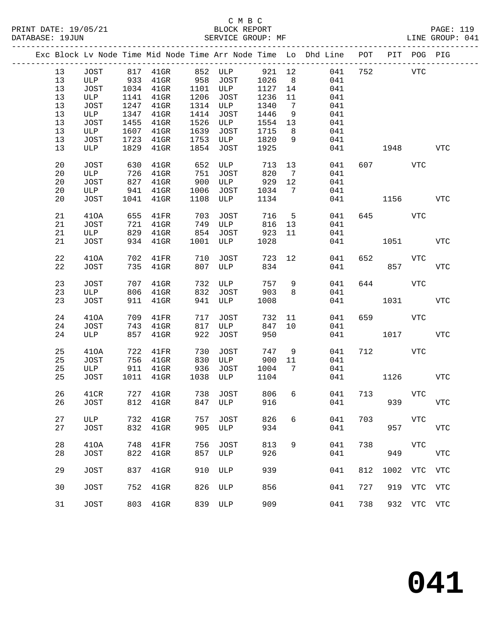|    |             |      |                            |            |                          |         |                | Exc Block Lv Node Time Mid Node Time Arr Node Time Lo Dhd Line POT PIT POG PIG |     |              |             |            |
|----|-------------|------|----------------------------|------------|--------------------------|---------|----------------|--------------------------------------------------------------------------------|-----|--------------|-------------|------------|
| 13 | JOST        |      |                            |            | 817 41GR 852 ULP 921 12  |         |                | 041                                                                            | 752 | <b>VTC</b>   |             |            |
| 13 |             |      | ULP 933 41GR 958 JOST      |            |                          | 1026    | 8 <sup>8</sup> | 041                                                                            |     |              |             |            |
| 13 | JOST        |      | 1034 41GR                  |            | 1101 ULP                 | 1127    | 14             | 041                                                                            |     |              |             |            |
| 13 | ULP         | 1141 | $41$ GR                    | 1206       | JOST                     | 1236    | 11             | 041                                                                            |     |              |             |            |
| 13 | JOST        | 1247 | 41GR                       | 1314       | ULP                      | 1340    | $\overline{7}$ | 041                                                                            |     |              |             |            |
| 13 | ULP         |      | 1347 41GR                  | 1414       | JOST                     | 1446    | 9              | 041                                                                            |     |              |             |            |
| 13 | JOST        | 1455 | 41GR                       | 1526       | ULP                      | 1554    | 13             | 041                                                                            |     |              |             |            |
|    |             |      |                            |            |                          |         |                |                                                                                |     |              |             |            |
| 13 | ULP         |      | 1607 41GR                  | 1639       | JOST                     | 1715    | 8              | 041                                                                            |     |              |             |            |
| 13 | JOST        |      | 1723 41GR                  | 1753       | ULP                      | 1820    | 9              | 041                                                                            |     |              |             |            |
| 13 | ULP         | 1829 | $41$ GR                    | 1854       | JOST                     | 1925    |                | 041                                                                            |     | 1948         | <b>VTC</b>  |            |
| 20 | <b>JOST</b> | 630  | $41$ GR                    | 652        | ULP                      | 713     | 13             | 041                                                                            |     | 607 VTC      |             |            |
| 20 | ULP         |      |                            |            | JOST                     | 820     | $\overline{7}$ | 041                                                                            |     |              |             |            |
| 20 | JOST        |      | 726 41GR<br>827 41GR       | 751<br>900 | ULP                      | 929     | 12             | 041                                                                            |     |              |             |            |
| 20 | ULP         |      | 941 41GR                   | 1006       | JOST                     | 1034    | $\overline{7}$ | 041                                                                            |     |              |             |            |
| 20 | JOST        |      | 1041 41GR                  | 1108       | ULP                      | 1134    |                | 041                                                                            |     | 1156         |             | <b>VTC</b> |
|    |             |      |                            |            |                          |         |                |                                                                                |     |              |             |            |
| 21 | 410A        |      | 655 41FR 703               |            | JOST                     | 716     | 5 <sub>5</sub> | 041                                                                            | 645 |              | VTC         |            |
| 21 | JOST        |      | 721 41GR                   | 749        | ULP                      | 816     | 13             | 041                                                                            |     |              |             |            |
| 21 | ULP         |      | 829 41GR                   | 854        | JOST                     | 923     | 11             | 041                                                                            |     |              |             |            |
| 21 | JOST        |      | 934 41GR                   | 1001       | <b>ULP</b>               | 1028    |                | 041                                                                            |     | 1051         |             | <b>VTC</b> |
|    |             |      |                            |            |                          |         |                |                                                                                |     |              |             |            |
| 22 | 410A        | 702  | $41\mathrm{FR}$            | 710        | JOST                     | 723     | 12             | 041                                                                            | 652 |              | VTC         |            |
| 22 | JOST        |      | 735 41GR                   | 807        | ULP                      | 834     |                | 041                                                                            |     | 857          |             | <b>VTC</b> |
|    |             |      |                            |            |                          |         |                |                                                                                |     |              |             |            |
| 23 | JOST        |      | 707 41GR                   | 732        | ULP                      | 757     | 9              | 041                                                                            | 644 |              | VTC         |            |
| 23 | ULP         |      | 806 41GR                   | 832        | JOST                     | 903     | 8              | 041                                                                            |     |              |             |            |
| 23 | JOST        |      | 911 41GR                   | 941        | <b>ULP</b>               | 1008    |                | 041                                                                            |     | 1031         |             | <b>VTC</b> |
|    |             |      |                            |            |                          |         |                |                                                                                |     |              |             |            |
| 24 | 410A        |      | 709 41FR                   | 717        | JOST                     | 732     | 11             | 041                                                                            | 659 |              | VTC         |            |
| 24 | JOST        | 743  | 41GR                       | 817        | ULP                      | 847     | 10             | 041                                                                            |     |              |             |            |
| 24 | ULP         |      | 857 41GR                   | 922        | JOST                     | 950     |                | 041                                                                            |     | 1017         |             | <b>VTC</b> |
|    |             |      |                            |            |                          |         |                |                                                                                |     |              |             |            |
| 25 | 410A        |      | 722 41FR                   | 730        | JOST                     | 747     | 9              | 041                                                                            | 712 |              | VTC         |            |
| 25 | JOST        |      | 122 --<br>756 41GR<br>11GR | 830        | ULP                      | 900     | 11             | 041                                                                            |     |              |             |            |
| 25 | ULP         |      | 911 41GR 936               |            | JOST                     | 1004    | $\overline{7}$ | 041                                                                            |     |              |             |            |
| 25 | JOST        |      | 1011 41GR                  | 1038       | ULP                      | 1104    |                | 041                                                                            |     | 1126         |             | <b>VTC</b> |
|    |             |      |                            |            |                          |         |                |                                                                                |     |              |             |            |
| 26 | 41CR        |      | 727 41GR                   |            | 738 JOST                 | 806     | 6              | 041                                                                            | 713 |              | VTC         |            |
|    |             |      |                            |            | 26 JOST 812 41GR 847 ULP | 916 000 |                |                                                                                | 041 | 939          |             | <b>VTC</b> |
|    |             |      |                            |            |                          |         |                |                                                                                |     |              |             |            |
| 27 | ULP         | 732  | $41$ GR                    | 757        | JOST                     | 826     | 6              | 041                                                                            | 703 |              | VTC         |            |
| 27 | JOST        | 832  | $41$ GR                    | 905        | ULP                      | 934     |                | 041                                                                            |     | 957          |             | <b>VTC</b> |
|    |             |      |                            |            |                          |         |                |                                                                                |     |              |             |            |
| 28 | 410A        | 748  | 41FR                       | 756        | JOST                     | 813     | 9              | 041                                                                            | 738 |              | VTC         |            |
| 28 | <b>JOST</b> | 822  | $41$ GR                    | 857        | ULP                      | 926     |                | 041                                                                            |     | 949          |             | <b>VTC</b> |
|    |             |      |                            |            |                          |         |                |                                                                                |     |              |             |            |
| 29 | <b>JOST</b> | 837  | $41$ GR                    | 910        | ULP                      | 939     |                | 041                                                                            | 812 | 1002 VTC VTC |             |            |
|    |             |      |                            |            |                          |         |                |                                                                                |     |              |             |            |
| 30 | <b>JOST</b> | 752  | $41$ GR                    | 826        | ULP                      | 856     |                | 041                                                                            | 727 |              | 919 VTC VTC |            |
|    |             |      |                            |            |                          |         |                |                                                                                |     |              |             |            |
| 31 | <b>JOST</b> | 803  | $41$ GR                    | 839        | ULP                      | 909     |                | 041                                                                            | 738 |              | 932 VTC VTC |            |
|    |             |      |                            |            |                          |         |                |                                                                                |     |              |             |            |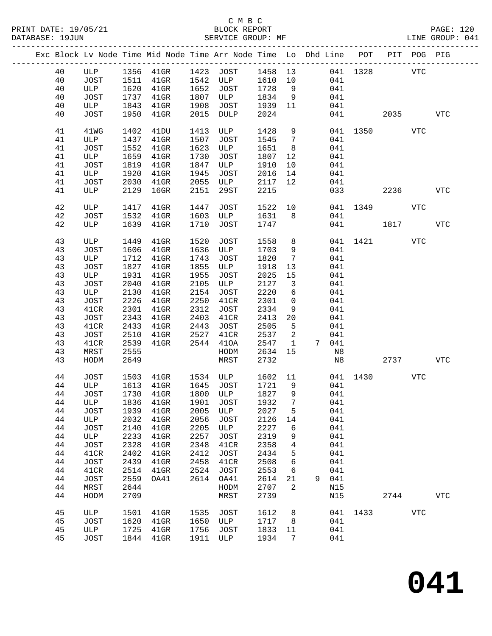# C M B C<br>
PRINT DATE: 19/05/21 BLOCK REPOR

| DATABASE: 19JUN |          |              |              | SERVICE GROUP: MF                                                              |      |                            |              |                         |       |          |              |      |            | LINE GROUP: 041 |  |
|-----------------|----------|--------------|--------------|--------------------------------------------------------------------------------|------|----------------------------|--------------|-------------------------|-------|----------|--------------|------|------------|-----------------|--|
|                 |          |              |              | Exc Block Lv Node Time Mid Node Time Arr Node Time Lo Dhd Line POT PIT POG PIG |      |                            |              |                         |       |          |              |      |            |                 |  |
|                 | 40       |              |              | ULP 1356 41GR 1423 JOST 1458 13                                                |      |                            |              |                         |       |          | 041 1328 VTC |      |            |                 |  |
|                 | 40       | JOST         | 1511         |                                                                                |      | 41GR 1542 ULP 1610 10      |              |                         |       | 041      |              |      |            |                 |  |
|                 | 40       | ULP          | 1620         | $41$ GR                                                                        |      | 1652 JOST                  | 1728         | 9                       |       | 041      |              |      |            |                 |  |
|                 | 40       | JOST         | 1737         | $41$ GR                                                                        |      | 1807 ULP                   | 1834         | 9                       |       | 041      |              |      |            |                 |  |
|                 | 40       | ULP          | 1843         | $41$ GR                                                                        | 1908 | JOST                       | 1939         | 11                      |       | 041      |              |      |            |                 |  |
|                 | 40       | JOST         | 1950         | $41$ GR                                                                        |      | 2015 DULP                  | 2024         |                         |       |          | 041 04       |      | 2035 70    | <b>VTC</b>      |  |
|                 |          |              |              |                                                                                |      |                            |              |                         |       |          |              |      |            |                 |  |
|                 | 41       | 41WG         | 1402         | 41DU                                                                           | 1413 | ULP                        | 1428         | 9                       |       |          | 041 1350     |      | VTC        |                 |  |
|                 | 41       | ULP          | 1437         | $41$ GR                                                                        | 1507 | JOST                       | 1545         | $\overline{7}$          |       | 041      |              |      |            |                 |  |
|                 | 41       | JOST         | 1552         | 41GR                                                                           | 1623 | ULP                        | 1651         | 8 <sup>8</sup>          |       | 041      |              |      |            |                 |  |
|                 | 41       | ULP          | 1659         | $41$ GR                                                                        | 1730 | JOST                       | 1807         | 12                      |       | 041      |              |      |            |                 |  |
|                 | 41       | JOST         | 1819         | $41$ GR                                                                        | 1847 | ULP                        | 1910         | 10                      |       | 041      |              |      |            |                 |  |
|                 | 41       | ULP          | 1920         | 41GR                                                                           | 1945 | JOST                       | 2016         | 14                      |       | 041      |              |      |            |                 |  |
|                 | 41       | JOST         | 2030         | $41$ GR                                                                        | 2055 | ULP                        | 2117         | 12                      |       | 041      |              |      |            |                 |  |
|                 | 41       | ULP          | 2129         | $16$ GR                                                                        | 2151 | 29ST                       | 2215         |                         |       |          | 033          | 2236 |            | <b>VTC</b>      |  |
|                 | 42       | ULP          | 1417         | $41$ GR                                                                        | 1447 | JOST                       | 1522 10      |                         |       |          | 041 1349     |      | VTC        |                 |  |
|                 | 42       | JOST         | 1532         | $41$ GR                                                                        | 1603 | ULP                        | 1631         | 8 <sup>8</sup>          |       | 041      |              |      |            |                 |  |
|                 | 42       | ULP          | 1639         | $41$ GR                                                                        | 1710 | JOST                       | 1747         |                         |       |          | 041 1817     |      |            | <b>VTC</b>      |  |
|                 |          |              |              |                                                                                |      |                            |              |                         |       |          |              |      |            |                 |  |
|                 | 43       | ULP          | 1449         | $41$ GR                                                                        | 1520 | JOST                       | 1558         | 8                       |       |          | 041 1421     |      | VTC        |                 |  |
|                 | 43       | JOST         | 1606         | $41$ GR                                                                        | 1636 | ULP                        | 1703         | 9                       |       | 041      |              |      |            |                 |  |
|                 | 43       | ULP          | 1712         | $41$ GR                                                                        | 1743 | JOST                       | 1820         | $7\phantom{.0}$         |       | 041      |              |      |            |                 |  |
|                 | 43       | <b>JOST</b>  | 1827         | $41$ GR                                                                        | 1855 | ULP                        | 1918         | 13                      |       | 041      |              |      |            |                 |  |
|                 | 43       | ULP          | 1931         | $41$ GR                                                                        | 1955 | JOST                       | 2025         | 15                      |       | 041      |              |      |            |                 |  |
|                 | 43       | JOST         | 2040         | $41$ GR                                                                        | 2105 | ULP                        | 2127         | $\overline{\mathbf{3}}$ |       | 041      |              |      |            |                 |  |
|                 | 43       | ULP          | 2130         | $41$ GR                                                                        | 2154 | JOST                       | 2220         | 6                       |       | 041      |              |      |            |                 |  |
|                 | 43       | JOST         | 2226         | $41$ GR                                                                        | 2250 | 41CR                       | 2301         | $\mathbf 0$             |       | 041      |              |      |            |                 |  |
|                 | 43       | 41CR         | 2301         | $41$ GR                                                                        | 2312 | JOST                       | 2334         | 9                       |       | 041      |              |      |            |                 |  |
|                 | 43       | JOST         | 2343         | $41$ GR                                                                        | 2403 | 41CR                       | 2413         | 20                      |       | 041      |              |      |            |                 |  |
|                 | 43       | 41CR         | 2433         | $41$ GR                                                                        | 2443 | JOST                       | 2505         | 5                       |       | 041      |              |      |            |                 |  |
|                 | 43       | JOST         | 2510         | $41$ GR                                                                        | 2527 | 41CR                       | 2537         | 2                       |       | 041      |              |      |            |                 |  |
|                 | 43       |              |              |                                                                                | 2544 |                            |              |                         |       | 7 041    |              |      |            |                 |  |
|                 |          | 41CR         | 2539         | $41$ GR                                                                        |      | 410A                       | 2547         | $\mathbf{1}$            |       |          |              |      |            |                 |  |
|                 | 43<br>43 | MRST<br>HODM | 2555<br>2649 |                                                                                |      | HODM<br>MRST               | 2634<br>2732 | 15                      |       | N8<br>N8 |              | 2737 |            | VTC             |  |
|                 |          |              |              |                                                                                |      | 41GR 1534 ULP<br>1165 1087 |              |                         |       |          |              |      |            |                 |  |
|                 | 44       | JOST         | 1503         |                                                                                |      |                            | 1602 11      |                         |       |          | 041 1430     |      | <b>VTC</b> |                 |  |
|                 | 44       | ULP          |              | 1613 41GR                                                                      |      | 1645 JOST                  | 1721 9       |                         |       | 041      |              |      |            |                 |  |
|                 | 44       |              |              | JOST 1730 41GR 1800 ULP 1827                                                   |      |                            |              |                         | 9 041 |          |              |      |            |                 |  |
|                 | 44       | ULP          | 1836         | $41$ GR                                                                        | 1901 | JOST                       | 1932         | 7                       |       | 041      |              |      |            |                 |  |
|                 | 44       | JOST         | 1939         | $41$ GR                                                                        | 2005 | ULP                        | 2027         | 5                       |       | 041      |              |      |            |                 |  |
|                 | 44       | ULP          | 2032         | $41$ GR                                                                        | 2056 | <b>JOST</b>                | 2126         | 14                      |       | 041      |              |      |            |                 |  |
|                 | 44       | JOST         | 2140         | $41$ GR                                                                        | 2205 | ULP                        | 2227         | 6                       |       | 041      |              |      |            |                 |  |
|                 | 44       | ULP          | 2233         | $41$ GR                                                                        | 2257 | JOST                       | 2319         | 9                       |       | 041      |              |      |            |                 |  |
|                 | 44       | JOST         | 2328         | $41$ GR                                                                        | 2348 | 41CR                       | 2358         | 4                       |       | 041      |              |      |            |                 |  |
|                 | 44       | 41CR         | 2402         | $41$ GR                                                                        | 2412 | JOST                       | 2434         | 5                       |       | 041      |              |      |            |                 |  |
|                 | 44       | JOST         | 2439         | $41$ GR                                                                        | 2458 | 41CR                       | 2508         | 6                       |       | 041      |              |      |            |                 |  |
|                 | 44       | 41CR         | 2514         | $41$ GR                                                                        | 2524 | JOST                       | 2553         | 6                       |       | 041      |              |      |            |                 |  |
|                 | 44       | JOST         | 2559         | OA41                                                                           | 2614 | OA41                       | 2614         | 21                      | 9     | 041      |              |      |            |                 |  |
|                 | 44       | MRST         | 2644         |                                                                                |      | HODM                       | 2707         | 2                       |       | N15      |              |      |            |                 |  |
|                 | 44       | HODM         | 2709         |                                                                                |      | MRST                       | 2739         |                         |       | N15      |              | 2744 |            | <b>VTC</b>      |  |
|                 |          |              |              |                                                                                |      |                            |              |                         |       |          |              |      |            |                 |  |
|                 | 45       | ULP          | 1501         | 41GR                                                                           | 1535 | JOST                       | 1612         | 8                       |       | 041      | 1433         |      | VTC        |                 |  |
|                 | 45       | JOST         | 1620         | 41GR                                                                           | 1650 | ULP                        | 1717         | 8                       |       | 041      |              |      |            |                 |  |
|                 | 45       | ULP          | 1725         | $41$ GR                                                                        | 1756 | JOST                       | 1833         | 11                      |       | 041      |              |      |            |                 |  |
|                 | 45       | JOST         |              | 1844 41GR                                                                      | 1911 | ULP                        | 1934         | 7                       |       | 041      |              |      |            |                 |  |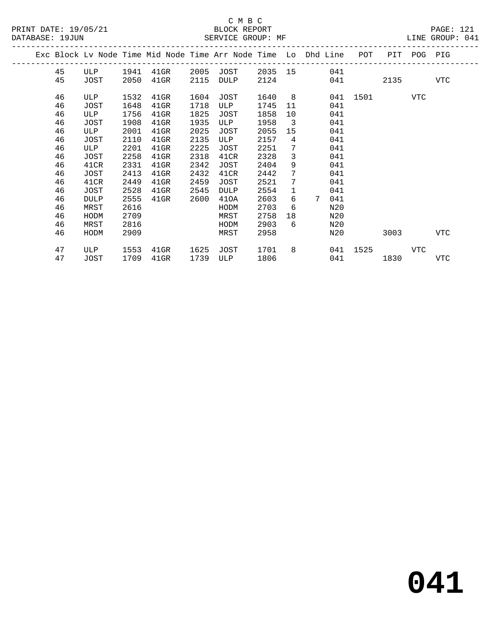# C M B C N B C N B C N B C C M B C

|  | DATABASE: 19JUN |             |      | SERVICE GROUP: MF                                                              |      |                       |        |                         |                    |              |      |     | LINE GROUP: 041 |  |
|--|-----------------|-------------|------|--------------------------------------------------------------------------------|------|-----------------------|--------|-------------------------|--------------------|--------------|------|-----|-----------------|--|
|  |                 |             |      | Exc Block Lv Node Time Mid Node Time Arr Node Time Lo Dhd Line POT PIT POG PIG |      |                       |        |                         |                    |              |      |     |                 |  |
|  | 45              | ULP         |      | 1941 41GR                                                                      |      | 2005 JOST 2035 15 041 |        |                         |                    |              |      |     |                 |  |
|  | 45              | JOST        | 2050 | $41$ GR                                                                        | 2115 | DULP                  | 2124   |                         | 041 2135           |              |      |     | VTC             |  |
|  | 46              | ULP         | 1532 | $41$ GR                                                                        | 1604 | JOST                  | 1640 8 |                         |                    | 041 1501 VTC |      |     |                 |  |
|  | 46              | JOST        | 1648 | $41$ GR                                                                        | 1718 | ULP                   | 1745   | 11                      | 041                |              |      |     |                 |  |
|  | 46              | ULP         | 1756 | 41GR                                                                           | 1825 | JOST                  | 1858   | 10                      | 041                |              |      |     |                 |  |
|  | 46              | JOST        | 1908 | 41GR                                                                           | 1935 | ULP                   | 1958   | $\overline{\mathbf{3}}$ | 041                |              |      |     |                 |  |
|  | 46              | ULP         | 2001 | $41$ GR                                                                        | 2025 | JOST                  | 2055   | 15                      | 041                |              |      |     |                 |  |
|  | 46              | JOST        | 2110 | 41GR                                                                           | 2135 | ULP                   | 2157   | 4                       | 041                |              |      |     |                 |  |
|  | 46              | ULP         | 2201 | $41$ GR                                                                        | 2225 | JOST                  | 2251   | $7\overline{ }$         | 041                |              |      |     |                 |  |
|  | 46              | JOST        | 2258 | $41$ GR                                                                        | 2318 | 41CR                  | 2328   | $\overline{3}$          | 041                |              |      |     |                 |  |
|  | 46              | 41CR        | 2331 | $41$ GR                                                                        | 2342 | JOST                  | 2404   | 9                       | 041                |              |      |     |                 |  |
|  | 46              | JOST        | 2413 | 41GR                                                                           | 2432 | 41CR                  | 2442   | $7\phantom{.0}$         | 041                |              |      |     |                 |  |
|  | 46              | 41CR        | 2449 | $41$ GR                                                                        | 2459 | JOST                  | 2521   | $7\phantom{.0}$         | 041                |              |      |     |                 |  |
|  | 46              | JOST        | 2528 | 41GR                                                                           | 2545 | DULP                  | 2554   | $\mathbf{1}$            | 041                |              |      |     |                 |  |
|  | 46              | <b>DULP</b> | 2555 | $41$ GR                                                                        | 2600 | 410A                  | 2603   | 6                       | $7^{\circ}$<br>041 |              |      |     |                 |  |
|  | 46              | MRST        | 2616 |                                                                                |      | HODM                  | 2703   | 6                       | N20                |              |      |     |                 |  |
|  | 46              | HODM        | 2709 |                                                                                |      | MRST                  | 2758   | 18                      | N20                |              |      |     |                 |  |
|  | 46              | MRST        | 2816 |                                                                                |      | HODM                  | 2903   | 6                       | N20                |              |      |     |                 |  |
|  | 46              | HODM        | 2909 |                                                                                |      | MRST                  | 2958   |                         | N20                |              | 3003 |     | VTC             |  |
|  | 47              | ULP         | 1553 | $41$ GR                                                                        | 1625 | JOST                  | 1701   |                         | 8 041 1525         |              |      | VTC |                 |  |
|  | 47              | JOST        |      | 1709 41GR                                                                      | 1739 | ULP                   | 1806   |                         |                    | 041 04       | 1830 |     | VTC             |  |
|  |                 |             |      |                                                                                |      |                       |        |                         |                    |              |      |     |                 |  |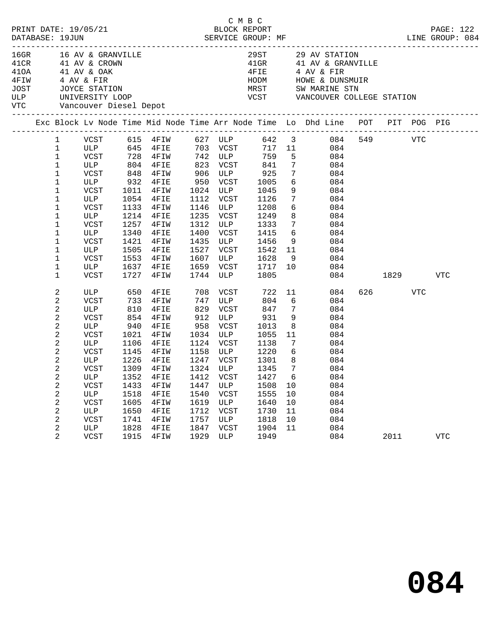| PRINT DATE: 19/05/21<br>DATABASE: 19JUN |                       | C M B C<br>5/21 BLOCK REPORT<br>SERVICE GROUP: MF<br>LINE GROUP: 084 |              |                                                                                     |              |                                                                                                          |  |              |                 |                                                                     | PAGE: 122  |              |         |                                                                                |
|-----------------------------------------|-----------------------|----------------------------------------------------------------------|--------------|-------------------------------------------------------------------------------------|--------------|----------------------------------------------------------------------------------------------------------|--|--------------|-----------------|---------------------------------------------------------------------|------------|--------------|---------|--------------------------------------------------------------------------------|
|                                         |                       |                                                                      |              |                                                                                     |              |                                                                                                          |  |              |                 |                                                                     |            |              |         |                                                                                |
|                                         |                       |                                                                      |              | 16GR 16 AV & GRANVILLE<br>41CR 41 AV & CROWN                                        |              |                                                                                                          |  |              |                 | 29ST 29 AV STATION<br>41GR 41 AV & GRANVI                           |            |              |         |                                                                                |
|                                         |                       |                                                                      |              |                                                                                     |              |                                                                                                          |  |              |                 | 41 AV & GRANVILLE                                                   |            |              |         |                                                                                |
| 410A 41 AV & OAK                        |                       |                                                                      |              |                                                                                     |              |                                                                                                          |  |              |                 | 4 AV & FIR                                                          |            |              |         |                                                                                |
| 4FIW                                    |                       | 4 AV & FIR                                                           |              |                                                                                     |              |                                                                                                          |  |              |                 | HODM HOWE & DUNSMUIR                                                |            |              |         |                                                                                |
|                                         |                       |                                                                      |              |                                                                                     |              |                                                                                                          |  |              |                 | MRST       SW MARINE STN<br>VCST       VANCOUVER COLLEGE STATION    |            |              |         |                                                                                |
|                                         |                       |                                                                      |              | JOST JOYCE STATION<br>ULP UNIVERSITY LOOP<br>VTC Vancouver Diesel Depot             |              |                                                                                                          |  |              |                 |                                                                     |            |              |         |                                                                                |
|                                         |                       |                                                                      |              |                                                                                     |              |                                                                                                          |  |              |                 |                                                                     |            |              |         |                                                                                |
|                                         |                       |                                                                      |              | Exc Block Lv Node Time Mid Node Time Arr Node Time Lo Dhd Line POT PIT POG PIG      |              |                                                                                                          |  |              |                 |                                                                     |            |              |         | Exc Block Lv Node Time Mid Node Time Arr Node Time Lo Dhd Line POT PIT POG PIG |
|                                         |                       |                                                                      |              | 1 VCST 615 4FIW 627 ULP 642 3 084 549 VTC                                           |              |                                                                                                          |  |              |                 |                                                                     |            |              |         |                                                                                |
|                                         | $\mathbf{1}$          |                                                                      |              | ULP 645 4FIE 703 VCST 717 11 084                                                    |              |                                                                                                          |  |              |                 |                                                                     |            |              |         |                                                                                |
|                                         | $\mathbf 1$           |                                                                      |              | VCST 728 4FIW 742 ULP 759<br>ULP 804 4FIE 823 VCST 841<br>VCST 848 4FIW 906 ULP 925 |              |                                                                                                          |  |              |                 | 5 084                                                               |            |              |         |                                                                                |
|                                         | $\mathbf 1$           |                                                                      |              |                                                                                     |              |                                                                                                          |  |              | $7\overline{ }$ |                                                                     | 084        |              |         |                                                                                |
|                                         | 1                     |                                                                      |              |                                                                                     |              |                                                                                                          |  |              | $\overline{7}$  | 084                                                                 |            |              |         |                                                                                |
|                                         | $\mathbf 1$           | ULP 932 4FIE                                                         |              |                                                                                     |              | 950 VCST 1005                                                                                            |  |              |                 | $6\overline{6}$                                                     | 084        |              |         |                                                                                |
|                                         | 1                     | VCST                                                                 |              | 1011 4FIW                                                                           |              | $\begin{tabular}{c c c c} 1024 & ULP & 1045 \\ 1112 & VCST & 1126 \\ 1146 & ULP & 1208 \\ \end{tabular}$ |  |              |                 | 9 084                                                               |            |              |         |                                                                                |
|                                         | 1                     | ULP<br>VCST                                                          |              | 1054 4FIE                                                                           |              |                                                                                                          |  |              |                 | $7\overline{ }$<br>$\overline{6}$                                   | 084        |              |         |                                                                                |
|                                         | 1                     | VCST                                                                 |              | 1133 4FIW                                                                           |              |                                                                                                          |  |              |                 |                                                                     | 084        |              |         |                                                                                |
|                                         | 1                     | ULP                                                                  |              | 1214 4FIE                                                                           |              | 1235 VCST 1249                                                                                           |  |              |                 | 8                                                                   | 084        |              |         |                                                                                |
|                                         | 1                     | VCST                                                                 | 1257         | $4$ FIW                                                                             | 1312         | ULP 1333                                                                                                 |  |              |                 | $7\overline{}$                                                      | 084        |              |         |                                                                                |
|                                         | 1                     | ULP                                                                  | 1340         | $4$ FIE                                                                             |              | 1400 VCST 1415<br>1435 ULP 1456                                                                          |  |              |                 | $\begin{array}{ccc} 6 & 084 \\ 9 & 084 \end{array}$                 |            |              |         |                                                                                |
|                                         | 1                     | VCST                                                                 |              | 1421 4FIW                                                                           |              |                                                                                                          |  |              |                 | 11                                                                  |            |              |         |                                                                                |
|                                         | 1                     | ULP                                                                  |              | 1505 4FIE                                                                           |              | 1527 VCST                                                                                                |  | 1542         |                 |                                                                     | 084        |              |         |                                                                                |
|                                         | 1                     | VCST                                                                 | 1553         | 4FIW                                                                                |              | 1607 ULP 1628                                                                                            |  |              |                 | 9                                                                   | 084        |              |         |                                                                                |
|                                         | 1<br>$\mathbf 1$      | ULP<br>VCST                                                          |              | 1637 4FIE                                                                           |              | 1659 VCST 1717 10<br>1744 ULP 1805                                                                       |  |              |                 |                                                                     | 084        | 084 1829 VTC |         |                                                                                |
|                                         |                       |                                                                      |              | 1727 4FIW                                                                           |              |                                                                                                          |  |              |                 |                                                                     |            |              |         |                                                                                |
|                                         | $\sqrt{2}$            | ULP                                                                  | 650          | $4$ FIE                                                                             |              |                                                                                                          |  |              |                 | 708 VCST 722 11                                                     | 084        |              | 626 VTC |                                                                                |
|                                         | 2                     | VCST                                                                 |              | 733 4FIW<br>810 4FIE                                                                |              | 747 ULP 804<br>829 VCST 847                                                                              |  |              |                 | 6 <sup>6</sup>                                                      | 084        |              |         |                                                                                |
|                                         | $\mathbf 2$           | ULP                                                                  |              |                                                                                     |              |                                                                                                          |  |              | $7\overline{ }$ |                                                                     | 084        |              |         |                                                                                |
|                                         | $\overline{c}$        | VCST                                                                 |              | 854 4FIW                                                                            |              | $912$ ULP $931$                                                                                          |  |              |                 | $9^{\circ}$                                                         | 084        |              |         |                                                                                |
|                                         | $\mathbf{2}$          | ULP                                                                  | 940          | $4$ FIE                                                                             |              | 958 VCST                                                                                                 |  | 1013         |                 | 8                                                                   | 084        |              |         |                                                                                |
|                                         | $\overline{c}$        | VCST                                                                 |              | 1021 4FIW                                                                           |              |                                                                                                          |  |              |                 | 1034 ULP 1055 11 084<br>1124 VCST 1138 7 084<br>1158 ULP 1220 6 084 |            |              |         |                                                                                |
|                                         | $\mathbf 2$           | ULP                                                                  |              | 1106 4FIE                                                                           |              |                                                                                                          |  |              |                 |                                                                     |            |              |         |                                                                                |
|                                         | $\overline{c}$        | VCST                                                                 |              | 1145 4FIW                                                                           |              |                                                                                                          |  |              |                 |                                                                     |            |              |         |                                                                                |
|                                         | 2                     | <b>ULP</b>                                                           |              | 1226 4FIE                                                                           |              | 1247 VCST 1301                                                                                           |  |              | 8 <sup>8</sup>  | 084                                                                 |            |              |         |                                                                                |
|                                         | 2                     | VCST                                                                 |              | 1309 4FIW                                                                           |              | 1324 ULP 1345                                                                                            |  |              | $\overline{7}$  |                                                                     | 084        |              |         |                                                                                |
|                                         | $\sqrt{2}$            | <b>ULP</b>                                                           |              | 1352 4FIE 1412 VCST 1427 6                                                          |              |                                                                                                          |  |              |                 |                                                                     | 084        |              |         |                                                                                |
|                                         | 2<br>$\boldsymbol{2}$ | VCST<br>ULP                                                          | 1433<br>1518 | 4FIW<br>4FIE                                                                        | 1447<br>1540 | ULP<br>VCST                                                                                              |  | 1508<br>1555 | 10<br>10        |                                                                     | 084<br>084 |              |         |                                                                                |
|                                         | $\sqrt{2}$            | <b>VCST</b>                                                          | 1605         | 4FIW                                                                                | 1619         | ULP                                                                                                      |  | 1640         | 10              |                                                                     | 084        |              |         |                                                                                |
|                                         | $\overline{c}$        | ULP                                                                  | 1650         | 4FIE                                                                                | 1712         | VCST                                                                                                     |  | 1730         | 11              |                                                                     | 084        |              |         |                                                                                |
|                                         | $\sqrt{2}$            | <b>VCST</b>                                                          | 1741         | 4FIW                                                                                | 1757         | ULP                                                                                                      |  | 1818         | 10              |                                                                     | 084        |              |         |                                                                                |
|                                         | $\overline{c}$        | ULP                                                                  | 1828         | 4FIE                                                                                | 1847         | VCST                                                                                                     |  | 1904         | 11              |                                                                     | 084        |              |         |                                                                                |
|                                         | 2                     | <b>VCST</b>                                                          | 1915         | 4FIW                                                                                | 1929         | ULP                                                                                                      |  | 1949         |                 |                                                                     | 084        |              | 2011    | <b>VTC</b>                                                                     |
|                                         |                       |                                                                      |              |                                                                                     |              |                                                                                                          |  |              |                 |                                                                     |            |              |         |                                                                                |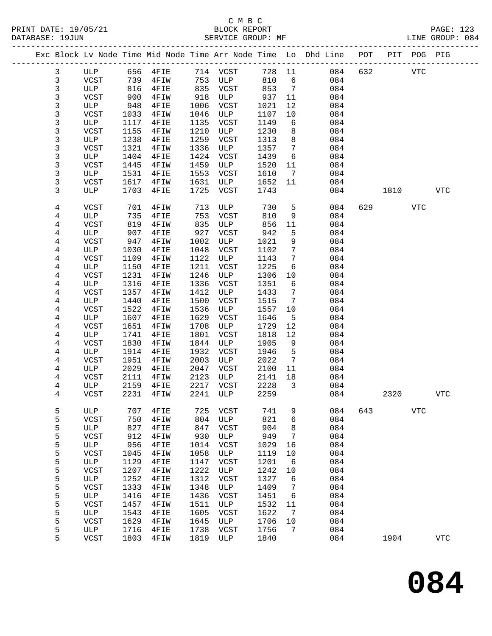# C M B C<br>
PRINT DATE: 19/05/21 BLOCK REPOR

| DATABASE: 19JUN |   |              |      | SERVICE GROUP: MF            |      |             |      |                         | LINE GROUP: 084                                                                |     |         |      |            |  |
|-----------------|---|--------------|------|------------------------------|------|-------------|------|-------------------------|--------------------------------------------------------------------------------|-----|---------|------|------------|--|
|                 |   |              |      |                              |      |             |      |                         | Exc Block Lv Node Time Mid Node Time Arr Node Time Lo Dhd Line POT PIT POG PIG |     |         |      |            |  |
|                 | 3 |              |      | ULP 656 4FIE 714 VCST 728 11 |      |             |      |                         | 084                                                                            |     | 632 VTC |      |            |  |
|                 | 3 | VCST 739     |      | 4FIW                         |      | 753 ULP     | 810  | 6                       | 084                                                                            |     |         |      |            |  |
|                 | 3 | ULP          | 816  | $4$ FIE                      |      | 835 VCST    | 853  | $\overline{7}$          | 084                                                                            |     |         |      |            |  |
|                 | 3 | VCST         | 900  | 4FIW                         | 918  | ULP         | 937  | 11                      | 084                                                                            |     |         |      |            |  |
|                 | 3 | ULP          | 948  | $4$ FIE                      | 1006 | VCST        | 1021 | 12                      | 084                                                                            |     |         |      |            |  |
|                 | 3 | VCST         | 1033 | 4FIW                         | 1046 | ULP         | 1107 | 10                      | 084                                                                            |     |         |      |            |  |
|                 | 3 | ULP          | 1117 | 4FIE                         | 1135 | VCST        | 1149 | 6                       | 084                                                                            |     |         |      |            |  |
|                 | 3 | VCST         | 1155 | 4FIW                         | 1210 | ULP         | 1230 | 8                       | 084                                                                            |     |         |      |            |  |
|                 | 3 | ULP          | 1238 | 4FIE                         | 1259 | VCST        | 1313 | 8                       | 084                                                                            |     |         |      |            |  |
|                 | 3 | VCST         | 1321 | 4FIW                         | 1336 | ULP         | 1357 | $7\phantom{.0}\,$       | 084                                                                            |     |         |      |            |  |
|                 | 3 | ULP          | 1404 | 4FIE                         | 1424 | VCST        | 1439 | 6                       | 084                                                                            |     |         |      |            |  |
|                 | 3 | VCST         | 1445 | 4FIW                         | 1459 | ULP         | 1520 | 11                      | 084                                                                            |     |         |      |            |  |
|                 | 3 | ULP          | 1531 | 4FIE                         | 1553 | VCST        | 1610 | 7                       | 084                                                                            |     |         |      |            |  |
|                 | 3 | VCST         | 1617 | 4FIW                         | 1631 | ULP         | 1652 | 11                      | 084                                                                            |     |         |      |            |  |
|                 | 3 | ULP          | 1703 | 4FIE                         | 1725 | VCST        | 1743 |                         | 084                                                                            |     | 1810    |      | <b>VTC</b> |  |
|                 | 4 | VCST         | 701  | 4FIW                         | 713  | ULP         | 730  | 5                       | 084                                                                            |     | 629     | VTC  |            |  |
|                 | 4 | ULP          | 735  | 4FIE                         | 753  | VCST        | 810  | 9                       | 084                                                                            |     |         |      |            |  |
|                 | 4 | VCST         | 819  | 4FIW                         | 835  | ULP         | 856  | 11                      | 084                                                                            |     |         |      |            |  |
|                 | 4 | ULP          | 907  | 4FIE                         | 927  | VCST        | 942  | 5                       | 084                                                                            |     |         |      |            |  |
|                 | 4 | VCST         | 947  | 4FIW                         | 1002 | ULP         | 1021 | 9                       | 084                                                                            |     |         |      |            |  |
|                 | 4 | ULP          | 1030 | 4FIE                         | 1048 | VCST        | 1102 | $7\phantom{.0}$         | 084                                                                            |     |         |      |            |  |
|                 | 4 | VCST         | 1109 | 4FIW                         | 1122 | ULP         | 1143 | $7\phantom{.0}$         | 084                                                                            |     |         |      |            |  |
|                 | 4 | ULP          | 1150 | 4FIE                         | 1211 | VCST        | 1225 | 6                       | 084                                                                            |     |         |      |            |  |
|                 | 4 | <b>VCST</b>  | 1231 | 4FIW                         | 1246 | ULP         | 1306 | 10                      | 084                                                                            |     |         |      |            |  |
|                 | 4 | ULP          | 1316 | $4$ FIE                      | 1336 | VCST        | 1351 | 6                       | 084                                                                            |     |         |      |            |  |
|                 | 4 | VCST         | 1357 | 4FIW                         | 1412 | ULP         | 1433 | $7\phantom{.0}$         | 084                                                                            |     |         |      |            |  |
|                 | 4 | ULP          | 1440 | 4FIE                         | 1500 | VCST        | 1515 | 7                       | 084                                                                            |     |         |      |            |  |
|                 | 4 | VCST         | 1522 | 4FIW                         | 1536 | ULP         | 1557 | 10                      | 084                                                                            |     |         |      |            |  |
|                 | 4 | ULP          | 1607 | 4FIE                         | 1629 | VCST        | 1646 | 5                       | 084                                                                            |     |         |      |            |  |
|                 | 4 | VCST         | 1651 | 4FIW                         | 1708 | ULP         | 1729 | 12                      | 084                                                                            |     |         |      |            |  |
|                 | 4 | ULP          | 1741 | 4FIE                         | 1801 | VCST        | 1818 | 12                      | 084                                                                            |     |         |      |            |  |
|                 | 4 | VCST         | 1830 | 4FIW                         | 1844 | ULP         | 1905 | 9                       | 084                                                                            |     |         |      |            |  |
|                 | 4 | ULP          | 1914 | 4FIE                         | 1932 | VCST        | 1946 | 5                       | 084                                                                            |     |         |      |            |  |
|                 | 4 | VCST         | 1951 | 4FIW                         | 2003 | ULP         | 2022 | $\overline{7}$          | 084                                                                            |     |         |      |            |  |
|                 | 4 | ULP          | 2029 | $4$ FIE                      | 2047 | VCST        | 2100 | 11                      | 084                                                                            |     |         |      |            |  |
|                 | 4 | VCST         | 2111 | 4FIW                         | 2123 | ULP         | 2141 | 18                      | 084                                                                            |     |         |      |            |  |
|                 | 4 | ULP          | 2159 | $4$ FIE                      |      | 2217 VCST   | 2228 | $\overline{\mathbf{3}}$ | 084                                                                            |     |         |      |            |  |
|                 | 4 | VCST         |      | 2231 4FIW 2241 ULP 2259      |      |             |      |                         | 084                                                                            |     |         | 2320 | <b>VTC</b> |  |
|                 | 5 | ULP          | 707  | 4FIE                         | 725  | VCST        | 741  | 9                       | 084                                                                            | 643 |         | VTC  |            |  |
|                 | 5 | VCST         | 750  | 4FIW                         | 804  | ULP         | 821  | 6                       | 084                                                                            |     |         |      |            |  |
|                 | 5 | ULP          | 827  | 4FIE                         | 847  | VCST        | 904  | 8                       | 084                                                                            |     |         |      |            |  |
|                 | 5 | <b>VCST</b>  | 912  | 4FIW                         | 930  | ULP         | 949  | 7                       | 084                                                                            |     |         |      |            |  |
|                 | 5 | $_{\rm ULP}$ | 956  | 4FIE                         | 1014 | VCST        | 1029 | 16                      | 084                                                                            |     |         |      |            |  |
|                 | 5 | <b>VCST</b>  | 1045 | 4FIW                         | 1058 | ULP         | 1119 | 10                      | 084                                                                            |     |         |      |            |  |
|                 | 5 | ULP          | 1129 | 4FIE                         | 1147 | <b>VCST</b> | 1201 | 6                       | 084                                                                            |     |         |      |            |  |
|                 | 5 | <b>VCST</b>  | 1207 | 4FIW                         | 1222 | ULP         | 1242 | 10                      | 084                                                                            |     |         |      |            |  |
|                 | 5 | ULP          | 1252 | 4FIE                         | 1312 | <b>VCST</b> | 1327 | 6                       | 084                                                                            |     |         |      |            |  |
|                 | 5 | <b>VCST</b>  | 1333 | 4FIW                         | 1348 | ULP         | 1409 | 7                       | 084                                                                            |     |         |      |            |  |
|                 | 5 | ULP          | 1416 | 4FIE                         | 1436 | VCST        | 1451 | 6                       | 084                                                                            |     |         |      |            |  |
|                 | 5 | <b>VCST</b>  | 1457 | 4FIW                         | 1511 | ULP         | 1532 | 11                      | 084                                                                            |     |         |      |            |  |
|                 | 5 | ULP          | 1543 | 4FIE                         | 1605 | VCST        | 1622 | 7                       | 084                                                                            |     |         |      |            |  |
|                 | 5 | VCST         | 1629 | 4FIW                         | 1645 | ULP         | 1706 | 10                      | 084                                                                            |     |         |      |            |  |
|                 | 5 | ULP          | 1716 | 4FIE                         | 1738 | VCST        | 1756 | 7                       | 084                                                                            |     |         |      |            |  |
|                 | 5 | VCST         | 1803 | 4FIW                         | 1819 | ULP         | 1840 |                         | 084                                                                            |     | 1904    |      | <b>VTC</b> |  |
|                 |   |              |      |                              |      |             |      |                         |                                                                                |     |         |      |            |  |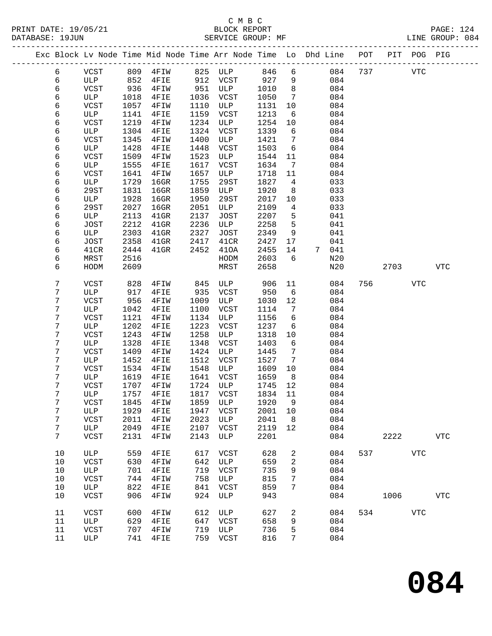## C M B C<br>BLOCK REPORT SERVICE GROUP: MF

|  |                  |                    |              | Exc Block Lv Node Time Mid Node Time Arr Node Time Lo Dhd Line POT |              |             |                 |                              |   |            |     |         | PIT POG PIG |             |
|--|------------------|--------------------|--------------|--------------------------------------------------------------------|--------------|-------------|-----------------|------------------------------|---|------------|-----|---------|-------------|-------------|
|  | 6                | VCST               |              | 809  4FIW  825  ULP  846                                           |              |             |                 | $6\overline{6}$              |   | 084        |     | 737     | VTC         |             |
|  | 6                | ULP                | 852          | $4$ FIE                                                            |              | 912 VCST    | 927             | 9                            |   | 084        |     |         |             |             |
|  | 6                | VCST               | 936          | 4FIW                                                               | 951          | ULP         | 1010            | 8 <sup>8</sup>               |   | 084        |     |         |             |             |
|  | 6                | ULP                | 1018         | 4FIE                                                               | 1036         | VCST        | 1050            | $7\overline{ }$              |   | 084        |     |         |             |             |
|  | 6                | VCST               | 1057         | 4FIW                                                               | 1110         | ULP         | 1131            | 10                           |   | 084        |     |         |             |             |
|  | 6                | ULP                | 1141         | 4FIE                                                               | 1159         | VCST        | 1213            | - 6                          |   | 084        |     |         |             |             |
|  | 6                | VCST               | 1219         | 4FIW                                                               | 1234         | ULP         | 1254            | 10                           |   | 084        |     |         |             |             |
|  | 6                | ULP                | 1304         | 4FIE                                                               | 1324         | VCST        | 1339            | 6                            |   | 084        |     |         |             |             |
|  | 6                | VCST               | 1345         | 4FIW                                                               | 1400         | ULP         | 1421            | $7\phantom{.0}$              |   | 084        |     |         |             |             |
|  | 6                | ULP                | 1428         | 4FIE                                                               | 1448         | VCST        | 1503            | 6                            |   | 084        |     |         |             |             |
|  | 6                | VCST               | 1509         | 4FIW                                                               | 1523         | ULP         | 1544            | 11                           |   | 084        |     |         |             |             |
|  | 6                | ULP                | 1555         | 4FIE                                                               | 1617         | VCST        | 1634            | $7\phantom{.0}\phantom{.0}7$ |   | 084        |     |         |             |             |
|  | 6                | VCST               | 1641         | 4FIW                                                               | 1657         | ULP         | 1718            | 11                           |   | 084        |     |         |             |             |
|  | 6                | ULP                | 1729         | $16$ GR                                                            | 1755         | 29ST        | 1827            | $4\overline{ }$              |   | 033        |     |         |             |             |
|  | 6                | 29ST               | 1831         | $16$ GR                                                            | 1859         | ULP         | 1920            | 8                            |   | 033        |     |         |             |             |
|  | 6                | ULP                | 1928         | $16$ GR                                                            | 1950         | 29ST        | 2017            | $10 \,$                      |   | 033        |     |         |             |             |
|  | 6                | 29ST               | 2027         | 16GR                                                               | 2051         | ULP         | 2109            | 4                            |   | 033        |     |         |             |             |
|  | 6                | ULP                | 2113         | $41$ GR                                                            | 2137         | JOST        | 2207            | 5                            |   | 041        |     |         |             |             |
|  | 6                | JOST               | 2212         | $41$ GR                                                            | 2236         | ULP         | 2258            | 5                            |   | 041        |     |         |             |             |
|  | 6                | ULP                | 2303         | $41$ GR                                                            | 2327         | JOST        | 2349            | 9                            |   | 041        |     |         |             |             |
|  | 6                | JOST               | 2358         | $41$ GR                                                            | 2417         | 41CR        | 2427            | 17                           |   | 041        |     |         |             |             |
|  | 6                | 41CR               | 2444         | $41$ GR                                                            | 2452         | 410A        | 2455            | 14                           | 7 | 041        |     |         |             |             |
|  | 6                | MRST               | 2516         |                                                                    |              | HODM        | 2603            | 6                            |   | N20        |     |         |             |             |
|  | 6                | HODM               | 2609         |                                                                    |              | MRST        | 2658            |                              |   | N20        |     | 2703    |             | <b>VTC</b>  |
|  |                  |                    |              |                                                                    |              |             |                 |                              |   |            |     |         |             |             |
|  | $\boldsymbol{7}$ | VCST               | 828          | 4FIW                                                               | 845          | ULP         | 906             | 11                           |   | 084        |     | 756 751 | <b>VTC</b>  |             |
|  | 7                | ULP                | 917          | 4FIE                                                               | 935          | VCST        | 950             | 6                            |   | 084        |     |         |             |             |
|  | 7                | VCST               | 956          | 4FIW                                                               | 1009         | ULP         | 1030            | 12                           |   | 084        |     |         |             |             |
|  | 7                | ULP                | 1042         | 4FIE                                                               | 1100         | VCST        | 1114            | 7                            |   | 084        |     |         |             |             |
|  | 7                | VCST               | 1121         | 4FIW                                                               | 1134         | ULP         | 1156            | 6                            |   | 084        |     |         |             |             |
|  | 7                | ULP                | 1202         | 4FIE                                                               | 1223         | VCST        | 1237            | 6                            |   | 084        |     |         |             |             |
|  | 7                | VCST               | 1243         | 4FIW                                                               | 1258         | ULP         | 1318            | 10                           |   | 084        |     |         |             |             |
|  | 7                | ULP                | 1328         | 4FIE                                                               | 1348         | VCST        | 1403            | 6                            |   | 084        |     |         |             |             |
|  | 7                | VCST               | 1409         | 4FIW                                                               | 1424         | ULP         | 1445            | $7\phantom{.0}$              |   | 084        |     |         |             |             |
|  | 7                | ULP                | 1452         | 4FIE                                                               | 1512         | VCST        | 1527            | $7\phantom{.0}\,$            |   | 084        |     |         |             |             |
|  | 7                | VCST               | 1534         | 4FIW                                                               | 1548         | ULP         | 1609            | 10                           |   | 084        |     |         |             |             |
|  | 7<br>7           | ULP<br>VCST        | 1619<br>1707 | 4FIE                                                               | 1641<br>1724 | VCST<br>ULP | 1659            | 8 <sup>8</sup><br>12         |   | 084<br>084 |     |         |             |             |
|  | 7                | ULP                | 1757         | 4FIW<br>4FIE                                                       | 1817         | VCST        | 1745<br>1834    | 11                           |   | 084        |     |         |             |             |
|  | 7                | VCST               |              | 1845  4FIW  1859  ULP  1920  9                                     |              |             |                 |                              |   | 084        |     |         |             |             |
|  | 7                |                    |              |                                                                    | 1947         |             |                 |                              |   |            |     |         |             |             |
|  | $7\phantom{.}$   | ULP<br>VCST        | 1929<br>2011 | 4FIE                                                               | 2023         | VCST<br>ULP | 2001 10<br>2041 | 8                            |   | 084<br>084 |     |         |             |             |
|  | $7\phantom{.}$   | ULP                | 2049         | 4FIW<br>4FIE                                                       | 2107         | VCST        | 2119            | 12                           |   | 084        |     |         |             |             |
|  | $7\phantom{.}$   | VCST               | 2131         | 4FIW                                                               | 2143         | ULP         | 2201            |                              |   | 084        |     | 2222    |             | ${\tt VTC}$ |
|  |                  |                    |              |                                                                    |              |             |                 |                              |   |            |     |         |             |             |
|  | 10               | ULP                | 559          | 4FIE                                                               | 617          | VCST        | 628             | 2                            |   | 084        | 537 |         | <b>VTC</b>  |             |
|  | 10               | VCST               | 630          | 4FIW                                                               | 642          | ULP         | 659             | 2                            |   | 084        |     |         |             |             |
|  | 10               | ULP                | 701          | 4FIE                                                               | 719          | VCST        | 735             | 9                            |   | 084        |     |         |             |             |
|  | 10               | VCST               | 744          | 4FIW                                                               | 758          | ULP         | 815             | 7                            |   | 084        |     |         |             |             |
|  | 10               | ULP                | 822          | 4FIE                                                               | 841          | VCST        | 859             | 7                            |   | 084        |     |         |             |             |
|  | 10               | VCST               | 906          | 4FIW                                                               | 924          | ULP         | 943             |                              |   | 084        |     | 1006    |             | <b>VTC</b>  |
|  |                  |                    |              |                                                                    |              |             |                 |                              |   |            |     |         |             |             |
|  | 11<br>11         | <b>VCST</b><br>ULP | 600<br>629   | 4FIW<br>4FIE                                                       | 612<br>647   | ULP<br>VCST | 627<br>658      | 2<br>9                       |   | 084<br>084 | 534 |         | VTC         |             |
|  | 11               | VCST               | 707          | 4FIW                                                               | 719          | ULP         | 736             | 5                            |   | 084        |     |         |             |             |
|  |                  |                    |              |                                                                    |              |             |                 |                              |   |            |     |         |             |             |

11 ULP 741 4FIE 759 VCST 816 7 084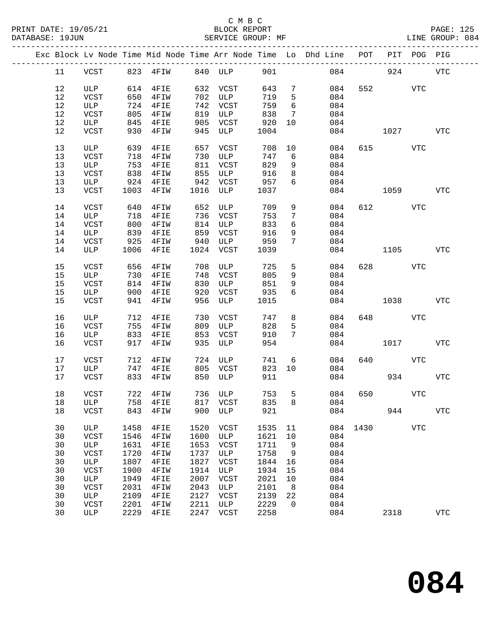|    |             |      |                       |      |             |      |                 | Exc Block Lv Node Time Mid Node Time Arr Node Time Lo Dhd Line POT |      |                          | PIT POG PIG |                |
|----|-------------|------|-----------------------|------|-------------|------|-----------------|--------------------------------------------------------------------|------|--------------------------|-------------|----------------|
| 11 |             |      | VCST 823 4FIW 840 ULP |      |             | 901  |                 |                                                                    | 084  | 924                      |             | <b>VTC</b>     |
| 12 | ULP         |      | 614 4FIE              |      | 632 VCST    | 643  | 7               | 084                                                                |      | 552 and $\overline{552}$ | <b>VTC</b>  |                |
| 12 | VCST        | 650  | 4FIW                  | 702  | ULP         | 719  | 5               | 084                                                                |      |                          |             |                |
| 12 |             | 724  |                       |      |             |      | $6\overline{6}$ |                                                                    |      |                          |             |                |
|    | ULP         |      | 4FIE                  | 742  | VCST        | 759  |                 | 084                                                                |      |                          |             |                |
| 12 | VCST        | 805  | 4FIW                  | 819  | ULP         | 838  | $7\phantom{.0}$ | 084                                                                |      |                          |             |                |
| 12 | ULP         | 845  | 4FIE                  | 905  | VCST        | 920  | 10              | 084                                                                |      |                          |             |                |
| 12 | VCST        | 930  | 4FIW                  | 945  | ULP         | 1004 |                 | 084                                                                |      | 1027                     |             | VTC            |
| 13 | ULP         | 639  | 4FIE                  | 657  | VCST        | 708  | 10              | 084                                                                |      | 615 — 10                 | VTC         |                |
| 13 | VCST        | 718  | 4FIW                  | 730  | ULP         | 747  | 6               | 084                                                                |      |                          |             |                |
| 13 | ULP         | 753  | 4FIE                  | 811  | VCST        | 829  | 9               | 084                                                                |      |                          |             |                |
| 13 | VCST        | 838  | 4FIW                  | 855  | ULP         | 916  | 8               | 084                                                                |      |                          |             |                |
| 13 | ULP         | 924  | $4$ FIE               | 942  | VCST        | 957  | 6               | 084                                                                |      |                          |             |                |
|    |             |      |                       |      |             |      |                 |                                                                    |      |                          |             |                |
| 13 | VCST        | 1003 | 4FIW                  | 1016 | ULP         | 1037 |                 | 084                                                                |      | 1059                     |             | VTC            |
| 14 | VCST        | 640  | 4FIW                  | 652  | ULP         | 709  | 9               | 084                                                                |      | 612 7                    | VTC         |                |
| 14 | ULP         | 718  | 4FIE                  | 736  | VCST        | 753  | $7\phantom{.0}$ | 084                                                                |      |                          |             |                |
| 14 | VCST        | 800  | 4FIW                  | 814  | ULP         | 833  | 6               | 084                                                                |      |                          |             |                |
| 14 | ULP         | 839  | 4FIE                  | 859  | VCST        | 916  | 9               | 084                                                                |      |                          |             |                |
|    | <b>VCST</b> |      |                       |      |             |      | $7\phantom{.0}$ |                                                                    |      |                          |             |                |
| 14 |             | 925  | 4FIW                  | 940  | ULP         | 959  |                 | 084                                                                |      |                          |             |                |
| 14 | ULP         | 1006 | 4FIE                  | 1024 | VCST        | 1039 |                 | 084                                                                |      | 1105                     |             | <b>VTC</b>     |
| 15 | VCST        | 656  | 4FIW                  | 708  | ULP         | 725  | 5               | 084                                                                |      | 628 — 10                 | <b>VTC</b>  |                |
| 15 | ULP         | 730  | 4FIE                  | 748  | VCST        | 805  | 9               | 084                                                                |      |                          |             |                |
| 15 | VCST        | 814  | 4FIW                  | 830  | ULP         | 851  | 9               | 084                                                                |      |                          |             |                |
| 15 |             |      |                       |      |             |      | 6               |                                                                    |      |                          |             |                |
|    | ULP         | 900  | 4FIE                  | 920  | VCST        | 935  |                 | 084                                                                |      |                          |             |                |
| 15 | VCST        | 941  | 4FIW                  | 956  | ULP         | 1015 |                 | 084                                                                |      | 1038                     |             | VTC            |
| 16 | ULP         | 712  | 4FIE                  | 730  | VCST        | 747  | 8               | 084                                                                |      | 648 — 100                | VTC         |                |
| 16 | VCST        | 755  | 4FIW                  | 809  | ULP         | 828  | 5               | 084                                                                |      |                          |             |                |
| 16 | ULP         | 833  | 4FIE                  | 853  | VCST        | 910  | $7\phantom{.0}$ | 084                                                                |      |                          |             |                |
| 16 | VCST        | 917  | 4FIW                  | 935  | ULP         | 954  |                 | 084                                                                |      | 1017                     |             | VTC            |
| 17 | VCST        | 712  | 4FIW                  |      | 724 ULP     | 741  | 6               | 084                                                                | 640  |                          | VTC         |                |
|    |             |      |                       |      |             |      |                 |                                                                    |      |                          |             |                |
| 17 | ULP         | 747  | 4FIE                  |      | 805 VCST    | 823  | 10              | 084                                                                |      |                          |             |                |
| 17 | VCST        | 833  | 4FIW                  | 850  | ULP         | 911  |                 | 084                                                                |      | 934                      |             | <b>VTC</b>     |
| 18 | VCST        |      | 722 4FIW              |      | 736 ULP     | 753  | 5               | 084                                                                | 650  |                          | <b>VTC</b>  |                |
|    | 18 ULP      |      | 758 4FIE              |      | 817 VCST    | 835  |                 | 8<br>084                                                           |      |                          |             |                |
| 18 | VCST        | 843  | 4FIW                  | 900  | ULP         | 921  |                 | 084                                                                |      | 944                      |             | ${\hbox{VTC}}$ |
| 30 | ULP         | 1458 | 4FIE                  | 1520 | VCST        | 1535 | 11              | 084                                                                | 1430 |                          | <b>VTC</b>  |                |
|    |             |      |                       |      |             |      |                 |                                                                    |      |                          |             |                |
| 30 | VCST        | 1546 | 4FIW                  | 1600 | ULP         | 1621 | 10              | 084                                                                |      |                          |             |                |
| 30 | ULP         | 1631 | 4FIE                  | 1653 | <b>VCST</b> | 1711 | 9               | 084                                                                |      |                          |             |                |
| 30 | VCST        | 1720 | 4FIW                  | 1737 | ULP         | 1758 | 9               | 084                                                                |      |                          |             |                |
| 30 | ULP         | 1807 | 4FIE                  | 1827 | <b>VCST</b> | 1844 | 16              | 084                                                                |      |                          |             |                |
| 30 | VCST        | 1900 | 4FIW                  | 1914 | ULP         | 1934 | 15              | 084                                                                |      |                          |             |                |
| 30 | ULP         | 1949 | 4FIE                  | 2007 | <b>VCST</b> | 2021 | 10              | 084                                                                |      |                          |             |                |
| 30 | VCST        | 2031 | 4FIW                  | 2043 | ULP         | 2101 | 8               | 084                                                                |      |                          |             |                |
| 30 | ULP         | 2109 | 4FIE                  | 2127 | <b>VCST</b> | 2139 | 22              | 084                                                                |      |                          |             |                |
| 30 |             | 2201 |                       | 2211 | ULP         | 2229 | 0               | 084                                                                |      |                          |             |                |
|    | VCST        |      | 4FIW                  |      |             |      |                 |                                                                    |      |                          |             |                |
| 30 | ULP         | 2229 | 4FIE                  | 2247 | <b>VCST</b> | 2258 |                 | 084                                                                |      | 2318                     |             | <b>VTC</b>     |